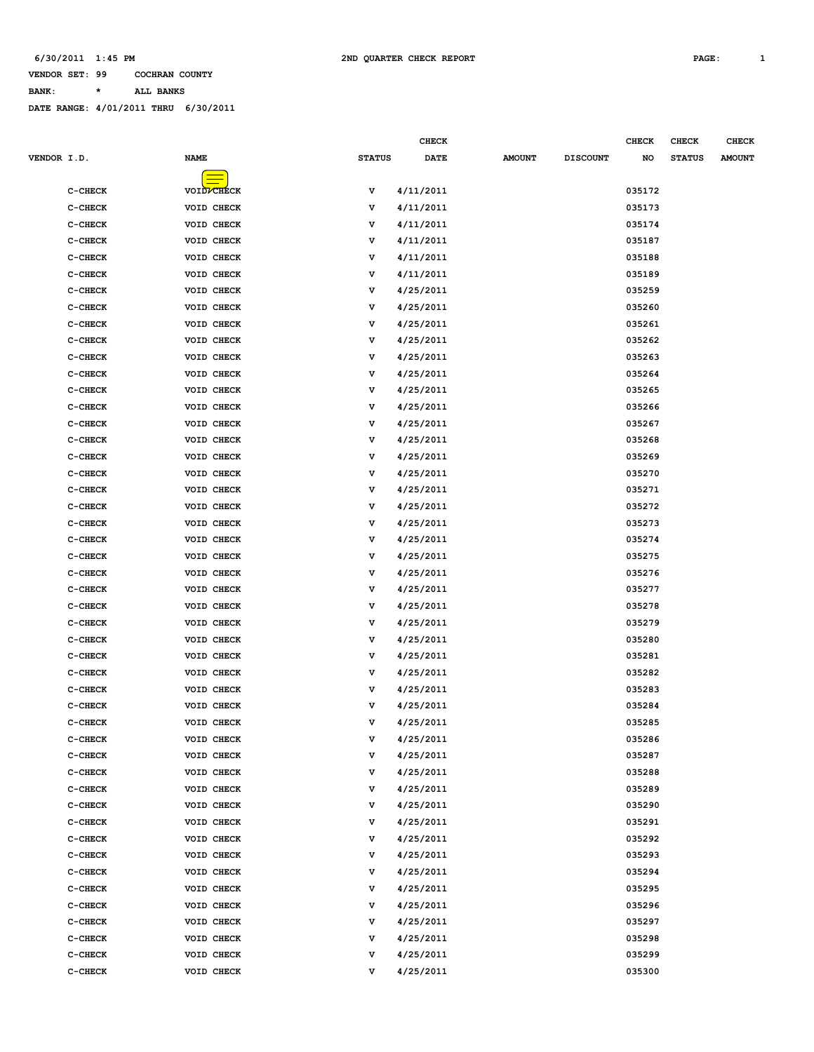**CHECK CHECK CHECK CHECK** 

**VENDOR SET: 99 COCHRAN COUNTY**

**BANK: \* ALL BANKS**

| VENDOR I.D. |           | <b>NAME</b>        | <b>STATUS</b> | <b>DATE</b> | <b>AMOUNT</b> | <b>DISCOUNT</b> | NO     | <b>STATUS</b> | <b>AMOUNT</b> |
|-------------|-----------|--------------------|---------------|-------------|---------------|-----------------|--------|---------------|---------------|
|             |           |                    |               |             |               |                 |        |               |               |
|             | C-CHECK   | VOID <b>/CHECK</b> | v             | 4/11/2011   |               |                 | 035172 |               |               |
|             | C-CHECK   | VOID CHECK         | v             | 4/11/2011   |               |                 | 035173 |               |               |
|             | $C-CHECK$ | VOID CHECK         | v             | 4/11/2011   |               |                 | 035174 |               |               |
|             | C-CHECK   | VOID CHECK         | v             | 4/11/2011   |               |                 | 035187 |               |               |
|             | $C-CHECK$ | VOID CHECK         | v             | 4/11/2011   |               |                 | 035188 |               |               |
|             | $C-CHECK$ | VOID CHECK         | v             | 4/11/2011   |               |                 | 035189 |               |               |
|             | C-CHECK   | VOID CHECK         | v             | 4/25/2011   |               |                 | 035259 |               |               |
|             | $C-CHECK$ | VOID CHECK         | v             | 4/25/2011   |               |                 | 035260 |               |               |
|             | $C-CHECK$ | VOID CHECK         | v             | 4/25/2011   |               |                 | 035261 |               |               |
|             | C-CHECK   | VOID CHECK         | v             | 4/25/2011   |               |                 | 035262 |               |               |
|             | $C-CHECK$ | VOID CHECK         | v             | 4/25/2011   |               |                 | 035263 |               |               |
|             | $C-CHECK$ | VOID CHECK         | v             | 4/25/2011   |               |                 | 035264 |               |               |
|             | C-CHECK   | VOID CHECK         | v             | 4/25/2011   |               |                 | 035265 |               |               |
|             | $C-CHECK$ | VOID CHECK         | v             | 4/25/2011   |               |                 | 035266 |               |               |
|             | C-CHECK   | VOID CHECK         | v             | 4/25/2011   |               |                 | 035267 |               |               |
|             | C-CHECK   | VOID CHECK         | v             | 4/25/2011   |               |                 | 035268 |               |               |
|             | $C-CHECK$ | VOID CHECK         | v             | 4/25/2011   |               |                 | 035269 |               |               |
|             | $C-CHECK$ | VOID CHECK         | v             | 4/25/2011   |               |                 | 035270 |               |               |
|             | C-CHECK   | VOID CHECK         | v             | 4/25/2011   |               |                 | 035271 |               |               |
|             | $C-CHECK$ | VOID CHECK         | v             | 4/25/2011   |               |                 | 035272 |               |               |
|             | C-CHECK   | VOID CHECK         | v             | 4/25/2011   |               |                 | 035273 |               |               |
|             | C-CHECK   | VOID CHECK         | v             | 4/25/2011   |               |                 | 035274 |               |               |
|             | $C-CHECK$ | VOID CHECK         | v             | 4/25/2011   |               |                 | 035275 |               |               |
|             | $C-CHECK$ | VOID CHECK         | v             | 4/25/2011   |               |                 | 035276 |               |               |
|             | C-CHECK   | VOID CHECK         | v             | 4/25/2011   |               |                 | 035277 |               |               |
|             | $C-CHECK$ | VOID CHECK         | v             | 4/25/2011   |               |                 | 035278 |               |               |
|             | C-CHECK   | VOID CHECK         | v             | 4/25/2011   |               |                 | 035279 |               |               |
|             | C-CHECK   | VOID CHECK         | v             | 4/25/2011   |               |                 | 035280 |               |               |
|             | $C-CHECK$ | VOID CHECK         | v             | 4/25/2011   |               |                 | 035281 |               |               |
|             | $C-CHECK$ | VOID CHECK         | v             | 4/25/2011   |               |                 | 035282 |               |               |
|             | C-CHECK   | VOID CHECK         | v             | 4/25/2011   |               |                 | 035283 |               |               |
|             | $C-CHECK$ | VOID CHECK         | v             | 4/25/2011   |               |                 | 035284 |               |               |
|             | C-CHECK   | VOID CHECK         | v             | 4/25/2011   |               |                 | 035285 |               |               |
|             | C-CHECK   | VOID CHECK         | v             | 4/25/2011   |               |                 | 035286 |               |               |
|             | $C-CHECK$ | VOID CHECK         | v             | 4/25/2011   |               |                 | 035287 |               |               |
|             | C-CHECK   | VOID CHECK         | v             | 4/25/2011   |               |                 | 035288 |               |               |
|             | C-CHECK   | VOID CHECK         | v             | 4/25/2011   |               |                 | 035289 |               |               |
|             | $C-CHECK$ | VOID CHECK         | v             | 4/25/2011   |               |                 | 035290 |               |               |
|             | C-CHECK   | VOID CHECK         | v             | 4/25/2011   |               |                 | 035291 |               |               |
|             | C-CHECK   | VOID CHECK         | v             | 4/25/2011   |               |                 | 035292 |               |               |
|             | C-CHECK   | VOID CHECK         | v             | 4/25/2011   |               |                 | 035293 |               |               |
|             | C-CHECK   | VOID CHECK         | v             | 4/25/2011   |               |                 | 035294 |               |               |
|             | C-CHECK   | VOID CHECK         | v             | 4/25/2011   |               |                 | 035295 |               |               |
|             | C-CHECK   | VOID CHECK         | v             | 4/25/2011   |               |                 | 035296 |               |               |
|             | C-CHECK   | VOID CHECK         | v             | 4/25/2011   |               |                 | 035297 |               |               |
|             | C-CHECK   | VOID CHECK         | v             | 4/25/2011   |               |                 | 035298 |               |               |
|             | C-CHECK   | VOID CHECK         | v             | 4/25/2011   |               |                 | 035299 |               |               |
|             | C-CHECK   | VOID CHECK         | v             | 4/25/2011   |               |                 | 035300 |               |               |
|             |           |                    |               |             |               |                 |        |               |               |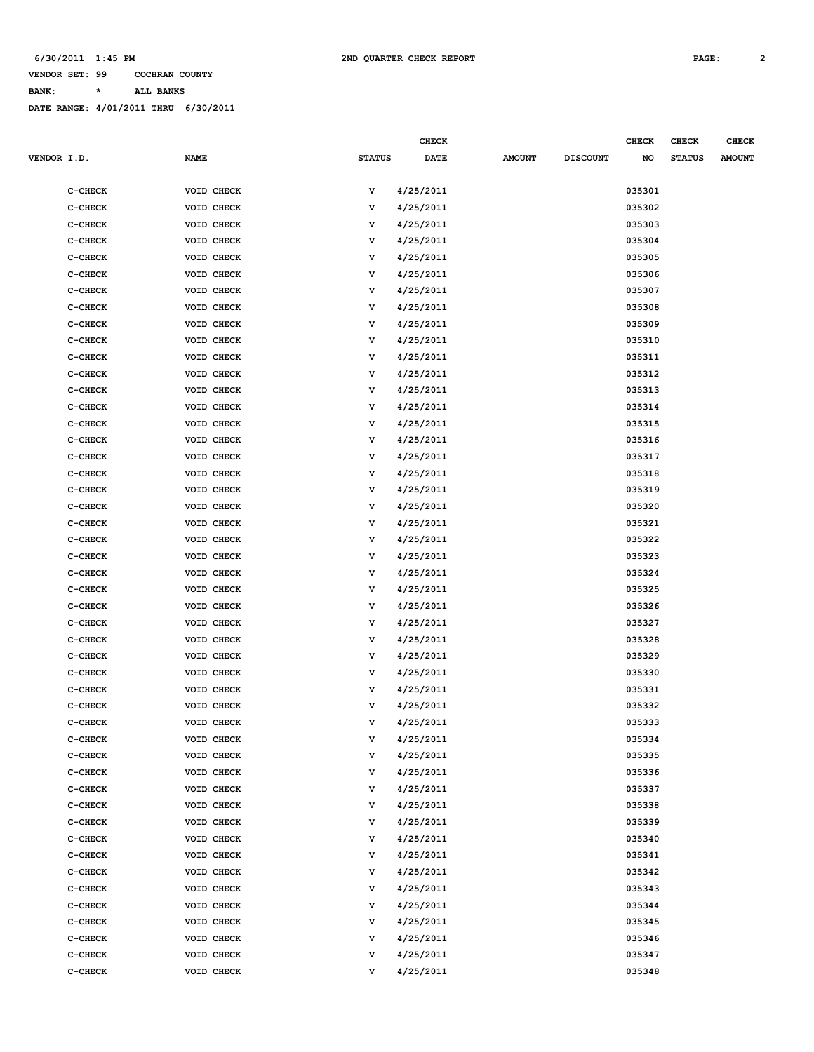**CHECK CHECK CHECK CHECK** 

### **VENDOR SET: 99 COCHRAN COUNTY**

**BANK: \* ALL BANKS**

| <b>VENDOR I.D.</b> |           | <b>NAME</b> | <b>STATUS</b> | <b>DATE</b> | <b>AMOUNT</b> | <b>DISCOUNT</b> | NO     | <b>STATUS</b> | <b>AMOUNT</b> |
|--------------------|-----------|-------------|---------------|-------------|---------------|-----------------|--------|---------------|---------------|
|                    | $C-CHECK$ | VOID CHECK  | v             | 4/25/2011   |               |                 | 035301 |               |               |
|                    | $C-CHECK$ | VOID CHECK  | v             | 4/25/2011   |               |                 | 035302 |               |               |
|                    | $C-CHECK$ | VOID CHECK  | v             | 4/25/2011   |               |                 | 035303 |               |               |
|                    | $C-CHECK$ | VOID CHECK  | v             | 4/25/2011   |               |                 | 035304 |               |               |
|                    | $C-CHECK$ | VOID CHECK  | v             | 4/25/2011   |               |                 | 035305 |               |               |
|                    | $C-CHECK$ | VOID CHECK  | v             | 4/25/2011   |               |                 | 035306 |               |               |
|                    | $C-CHECK$ | VOID CHECK  | v             | 4/25/2011   |               |                 | 035307 |               |               |
|                    | $C-CHECK$ | VOID CHECK  | v             | 4/25/2011   |               |                 | 035308 |               |               |
|                    | C-CHECK   | VOID CHECK  | v             | 4/25/2011   |               |                 | 035309 |               |               |
|                    | $C-CHECK$ | VOID CHECK  | v             | 4/25/2011   |               |                 | 035310 |               |               |
|                    | $C-CHECK$ | VOID CHECK  | v             | 4/25/2011   |               |                 | 035311 |               |               |
|                    | $C-CHECK$ | VOID CHECK  | v             | 4/25/2011   |               |                 | 035312 |               |               |
|                    | $C-CHECK$ | VOID CHECK  | v             | 4/25/2011   |               |                 | 035313 |               |               |
|                    | $C-CHECK$ | VOID CHECK  | v             | 4/25/2011   |               |                 | 035314 |               |               |
|                    | $C-CHECK$ | VOID CHECK  | v             | 4/25/2011   |               |                 | 035315 |               |               |
|                    | $C-CHECK$ | VOID CHECK  | v             | 4/25/2011   |               |                 | 035316 |               |               |
|                    | $C-CHECK$ | VOID CHECK  | v             | 4/25/2011   |               |                 | 035317 |               |               |
|                    | $C-CHECK$ | VOID CHECK  | v             | 4/25/2011   |               |                 | 035318 |               |               |
|                    | $C-CHECK$ | VOID CHECK  | v             | 4/25/2011   |               |                 | 035319 |               |               |
|                    | $C-CHECK$ | VOID CHECK  | v             | 4/25/2011   |               |                 | 035320 |               |               |
|                    | $C-CHECK$ | VOID CHECK  | v             | 4/25/2011   |               |                 | 035321 |               |               |
|                    | $C-CHECK$ | VOID CHECK  | v             | 4/25/2011   |               |                 | 035322 |               |               |
|                    | $C-CHECK$ | VOID CHECK  | v             | 4/25/2011   |               |                 | 035323 |               |               |
|                    | $C-CHECK$ | VOID CHECK  | v             | 4/25/2011   |               |                 | 035324 |               |               |
|                    | $C-CHECK$ | VOID CHECK  | v             | 4/25/2011   |               |                 | 035325 |               |               |
|                    | $C-CHECK$ | VOID CHECK  | v             | 4/25/2011   |               |                 | 035326 |               |               |
|                    | $C-CHECK$ | VOID CHECK  | v             | 4/25/2011   |               |                 | 035327 |               |               |
|                    | $C-CHECK$ | VOID CHECK  | v             | 4/25/2011   |               |                 | 035328 |               |               |
|                    | $C-CHECK$ | VOID CHECK  | v             | 4/25/2011   |               |                 | 035329 |               |               |
|                    | $C-CHECK$ | VOID CHECK  | v             | 4/25/2011   |               |                 | 035330 |               |               |
|                    | $C-CHECK$ | VOID CHECK  | v             | 4/25/2011   |               |                 | 035331 |               |               |
|                    | $C-CHECK$ | VOID CHECK  | v             | 4/25/2011   |               |                 | 035332 |               |               |
|                    | C-CHECK   | VOID CHECK  | v             | 4/25/2011   |               |                 | 035333 |               |               |
|                    | C-CHECK   | VOID CHECK  | v             | 4/25/2011   |               |                 | 035334 |               |               |
|                    | C-CHECK   | VOID CHECK  | v             | 4/25/2011   |               |                 | 035335 |               |               |
|                    | $C-CHECK$ | VOID CHECK  | v             | 4/25/2011   |               |                 | 035336 |               |               |
|                    | $C-CHECK$ | VOID CHECK  | $\mathbf v$   | 4/25/2011   |               |                 | 035337 |               |               |
|                    | $C-CHECK$ | VOID CHECK  | v             | 4/25/2011   |               |                 | 035338 |               |               |
|                    | $C-CHECK$ | VOID CHECK  | v             | 4/25/2011   |               |                 | 035339 |               |               |
|                    | $C-CHECK$ | VOID CHECK  | v             | 4/25/2011   |               |                 | 035340 |               |               |
|                    | $C-CHECK$ | VOID CHECK  | v             | 4/25/2011   |               |                 | 035341 |               |               |
|                    | $C-CHECK$ | VOID CHECK  | v             | 4/25/2011   |               |                 | 035342 |               |               |
|                    | $C-CHECK$ | VOID CHECK  | v             | 4/25/2011   |               |                 | 035343 |               |               |
|                    | C-CHECK   | VOID CHECK  | v             | 4/25/2011   |               |                 | 035344 |               |               |
|                    | $C-CHECK$ | VOID CHECK  | v             | 4/25/2011   |               |                 | 035345 |               |               |
|                    | $C-CHECK$ | VOID CHECK  | v             | 4/25/2011   |               |                 | 035346 |               |               |
|                    | $C-CHECK$ | VOID CHECK  | v             | 4/25/2011   |               |                 | 035347 |               |               |
|                    | $C-CHECK$ | VOID CHECK  | v             | 4/25/2011   |               |                 | 035348 |               |               |
|                    |           |             |               |             |               |                 |        |               |               |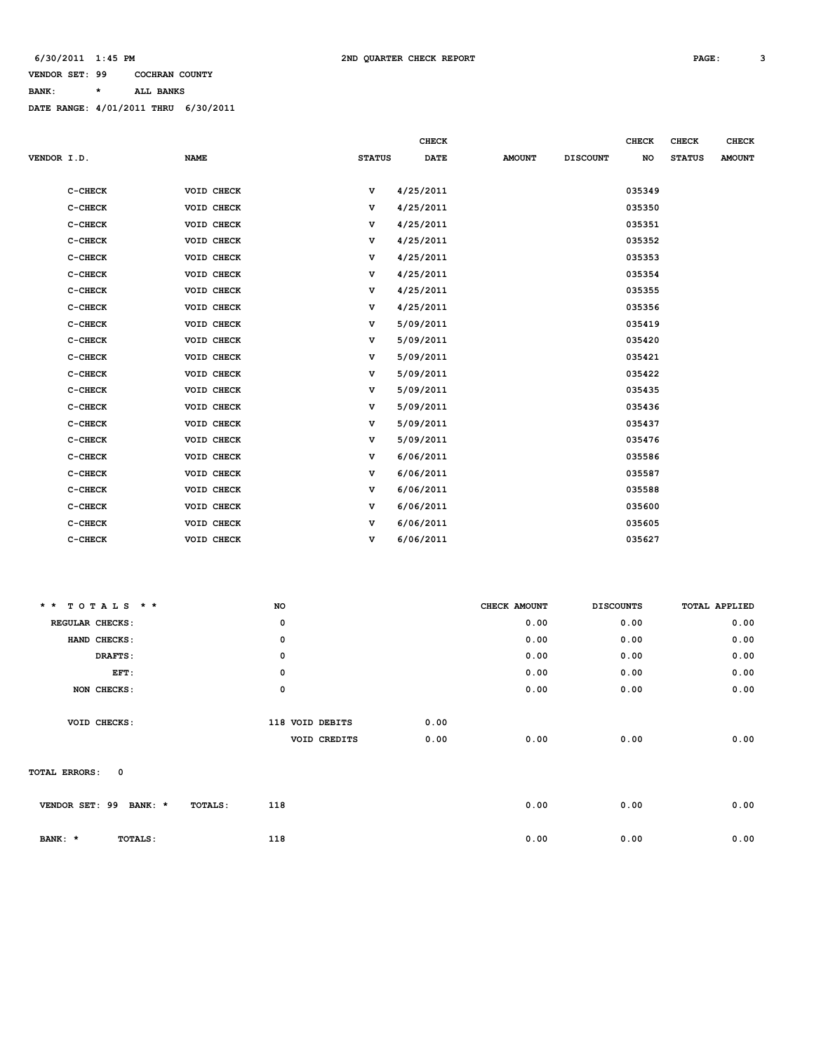**BANK: \* ALL BANKS**

|             |           |             |               | <b>CHECK</b> |               |                 | <b>CHECK</b> | <b>CHECK</b>  | <b>CHECK</b>  |
|-------------|-----------|-------------|---------------|--------------|---------------|-----------------|--------------|---------------|---------------|
| VENDOR I.D. |           | <b>NAME</b> | <b>STATUS</b> | <b>DATE</b>  | <b>AMOUNT</b> | <b>DISCOUNT</b> | NO           | <b>STATUS</b> | <b>AMOUNT</b> |
|             |           |             |               |              |               |                 |              |               |               |
|             | C-CHECK   | VOID CHECK  | v             | 4/25/2011    |               |                 | 035349       |               |               |
|             | C-CHECK   | VOID CHECK  | v             | 4/25/2011    |               |                 | 035350       |               |               |
|             | C-CHECK   | VOID CHECK  | v             | 4/25/2011    |               |                 | 035351       |               |               |
|             | C-CHECK   | VOID CHECK  | v             | 4/25/2011    |               |                 | 035352       |               |               |
|             | C-CHECK   | VOID CHECK  | v             | 4/25/2011    |               |                 | 035353       |               |               |
|             | $C-CHECK$ | VOID CHECK  | v             | 4/25/2011    |               |                 | 035354       |               |               |
|             | C-CHECK   | VOID CHECK  | v             | 4/25/2011    |               |                 | 035355       |               |               |
|             | $C-CHECK$ | VOID CHECK  | v             | 4/25/2011    |               |                 | 035356       |               |               |
|             | C-CHECK   | VOID CHECK  | v             | 5/09/2011    |               |                 | 035419       |               |               |
|             | C-CHECK   | VOID CHECK  | v             | 5/09/2011    |               |                 | 035420       |               |               |
|             | C-CHECK   | VOID CHECK  | $\mathbf v$   | 5/09/2011    |               |                 | 035421       |               |               |
|             | C-CHECK   | VOID CHECK  | v             | 5/09/2011    |               |                 | 035422       |               |               |
|             | C-CHECK   | VOID CHECK  | v             | 5/09/2011    |               |                 | 035435       |               |               |
|             | C-CHECK   | VOID CHECK  | v             | 5/09/2011    |               |                 | 035436       |               |               |
|             | C-CHECK   | VOID CHECK  | v             | 5/09/2011    |               |                 | 035437       |               |               |
|             | C-CHECK   | VOID CHECK  | v             | 5/09/2011    |               |                 | 035476       |               |               |
|             | C-CHECK   | VOID CHECK  | v             | 6/06/2011    |               |                 | 035586       |               |               |
|             | C-CHECK   | VOID CHECK  | v             | 6/06/2011    |               |                 | 035587       |               |               |
|             | C-CHECK   | VOID CHECK  | v             | 6/06/2011    |               |                 | 035588       |               |               |
|             | $C-CHECK$ | VOID CHECK  | v             | 6/06/2011    |               |                 | 035600       |               |               |
|             | C-CHECK   | VOID CHECK  | v             | 6/06/2011    |               |                 | 035605       |               |               |
|             | C-CHECK   | VOID CHECK  | v             | 6/06/2011    |               |                 | 035627       |               |               |

| $* * TOTALS$ * *             | NO              | CHECK AMOUNT | <b>DISCOUNTS</b> | <b>TOTAL APPLIED</b> |
|------------------------------|-----------------|--------------|------------------|----------------------|
| REGULAR CHECKS:              | $\mathbf 0$     | 0.00         | 0.00             | 0.00                 |
| HAND CHECKS:                 | $\mathbf 0$     | 0.00         | 0.00             | 0.00                 |
| DRAFTS:                      | $\mathbf 0$     | 0.00         | 0.00             | 0.00                 |
| EFT:                         | $\mathbf 0$     | 0.00         | 0.00             | 0.00                 |
| NON CHECKS:                  | $\mathbf 0$     | 0.00         | 0.00             | 0.00                 |
|                              |                 |              |                  |                      |
| VOID CHECKS:                 | 118 VOID DEBITS | 0.00         |                  |                      |
|                              | VOID CREDITS    | 0.00<br>0.00 | 0.00             | 0.00                 |
|                              |                 |              |                  |                      |
| $\mathbf 0$<br>TOTAL ERRORS: |                 |              |                  |                      |
|                              |                 |              |                  |                      |
| VENDOR SET: 99<br>BANK: *    | 118<br>TOTALS:  | 0.00         | 0.00             | 0.00                 |
|                              |                 |              |                  |                      |
| BANK: *<br>TOTALS:           | 118             | 0.00         | 0.00             | 0.00                 |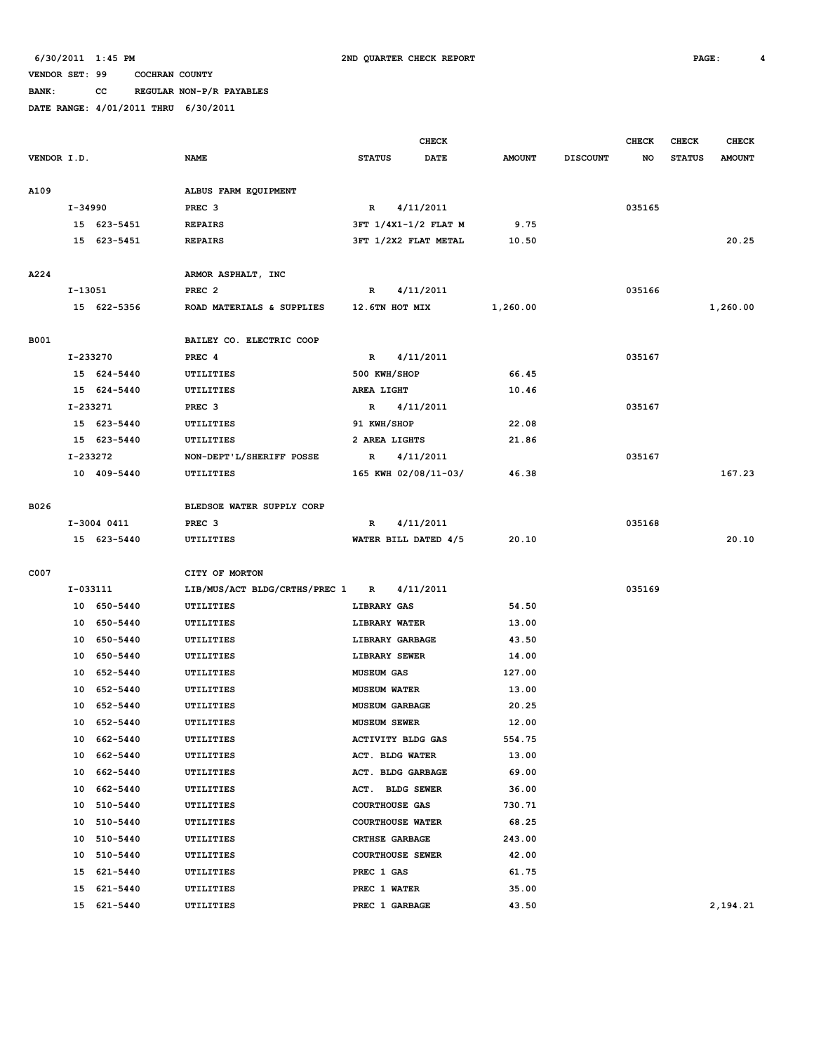**BANK: CC REGULAR NON-P/R PAYABLES**

|             |           |                            |                                         | <b>CHECK</b>                     |                      |                |                 | <b>CHECK</b> | <b>CHECK</b>  | <b>CHECK</b>  |
|-------------|-----------|----------------------------|-----------------------------------------|----------------------------------|----------------------|----------------|-----------------|--------------|---------------|---------------|
| VENDOR I.D. |           |                            | <b>NAME</b>                             | <b>STATUS</b>                    | <b>DATE</b>          | <b>AMOUNT</b>  | <b>DISCOUNT</b> | NO           | <b>STATUS</b> | <b>AMOUNT</b> |
|             |           |                            |                                         |                                  |                      |                |                 |              |               |               |
| A109        |           |                            | ALBUS FARM EQUIPMENT                    |                                  |                      |                |                 |              |               |               |
|             | I-34990   |                            | PREC <sub>3</sub>                       | $\mathbb{R}$                     | 4/11/2011            |                |                 | 035165       |               |               |
|             |           | 15 623-5451                | <b>REPAIRS</b>                          |                                  | 3FT 1/4X1-1/2 FLAT M | 9.75           |                 |              |               |               |
|             |           | 15 623-5451                | <b>REPAIRS</b>                          |                                  | 3FT 1/2X2 FLAT METAL | 10.50          |                 |              |               | 20.25         |
| A224        |           |                            |                                         |                                  |                      |                |                 |              |               |               |
|             | $I-13051$ |                            | ARMOR ASPHALT, INC<br>PREC <sub>2</sub> | $\mathbb{R}$                     | 4/11/2011            |                |                 | 035166       |               |               |
|             |           | 15 622-5356                | ROAD MATERIALS & SUPPLIES               | 12.6TN HOT MIX                   |                      | 1,260.00       |                 |              |               | 1,260.00      |
|             |           |                            |                                         |                                  |                      |                |                 |              |               |               |
| <b>B001</b> |           |                            | BAILEY CO. ELECTRIC COOP                |                                  |                      |                |                 |              |               |               |
|             |           | I-233270                   | PREC 4                                  | $\mathbf R$                      | 4/11/2011            |                |                 | 035167       |               |               |
|             |           | 15 624-5440                | UTILITIES                               | 500 KWH/SHOP                     |                      | 66.45          |                 |              |               |               |
|             |           | 15 624-5440                | UTILITIES                               | AREA LIGHT                       |                      | 10.46          |                 |              |               |               |
|             |           | I-233271                   | PREC <sub>3</sub>                       | $\mathbb{R}$                     | 4/11/2011            |                |                 | 035167       |               |               |
|             |           | 15 623-5440                | UTILITIES                               | 91 KWH/SHOP                      |                      | 22.08          |                 |              |               |               |
|             |           | 15 623-5440                | UTILITIES                               | 2 AREA LIGHTS                    |                      | 21.86          |                 |              |               |               |
|             |           | I-233272                   | NON-DEPT'L/SHERIFF POSSE                | R                                | 4/11/2011            |                |                 | 035167       |               |               |
|             |           | 10 409-5440                | UTILITIES                               |                                  | 165 KWH 02/08/11-03/ | 46.38          |                 |              |               | 167.23        |
|             |           |                            |                                         |                                  |                      |                |                 |              |               |               |
| B026        |           |                            | BLEDSOE WATER SUPPLY CORP               |                                  |                      |                |                 |              |               |               |
|             |           | I-3004 0411                | PREC <sub>3</sub>                       | $\mathbf R$                      | 4/11/2011            |                |                 | 035168       |               |               |
|             |           | 15 623-5440                | UTILITIES                               |                                  | WATER BILL DATED 4/5 | 20.10          |                 |              |               | 20.10         |
|             |           |                            |                                         |                                  |                      |                |                 |              |               |               |
| C007        |           |                            | CITY OF MORTON                          |                                  |                      |                |                 |              |               |               |
|             |           | I-033111                   | LIB/MUS/ACT BLDG/CRTHS/PREC 1           | $\mathbb{R}$                     | 4/11/2011            |                |                 | 035169       |               |               |
|             |           | 10 650-5440                | UTILITIES                               | <b>LIBRARY GAS</b>               |                      | 54.50          |                 |              |               |               |
|             | 10        | 650-5440                   | UTILITIES                               | <b>LIBRARY WATER</b>             |                      | 13.00          |                 |              |               |               |
|             |           | 10 650-5440<br>10 650-5440 | UTILITIES<br>UTILITIES                  | LIBRARY GARBAGE<br>LIBRARY SEWER |                      | 43.50<br>14.00 |                 |              |               |               |
|             |           | 10 652-5440                | UTILITIES                               | <b>MUSEUM GAS</b>                |                      | 127.00         |                 |              |               |               |
|             | 10        | 652-5440                   | UTILITIES                               | <b>MUSEUM WATER</b>              |                      | 13.00          |                 |              |               |               |
|             | 10        | 652-5440                   | UTILITIES                               | <b>MUSEUM GARBAGE</b>            |                      | 20.25          |                 |              |               |               |
|             | 10        | 652-5440                   | UTILITIES                               | <b>MUSEUM SEWER</b>              |                      | 12.00          |                 |              |               |               |
|             |           | 10 662-5440                | UTILITIES                               | ACTIVITY BLDG GAS                |                      | 554.75         |                 |              |               |               |
|             |           | 10 662-5440                | UTILITIES                               | ACT. BLDG WATER                  |                      | 13.00          |                 |              |               |               |
|             | 10        | 662-5440                   | UTILITIES                               | ACT. BLDG GARBAGE                |                      | 69.00          |                 |              |               |               |
|             | 10        | 662-5440                   | UTILITIES                               | ACT. BLDG SEWER                  |                      | 36.00          |                 |              |               |               |
|             | 10        | 510-5440                   | UTILITIES                               | <b>COURTHOUSE GAS</b>            |                      | 730.71         |                 |              |               |               |
|             | 10        | 510-5440                   | UTILITIES                               | <b>COURTHOUSE WATER</b>          |                      | 68.25          |                 |              |               |               |
|             | 10        | 510-5440                   | UTILITIES                               | CRTHSE GARBAGE                   |                      | 243.00         |                 |              |               |               |
|             | 10        | 510-5440                   | UTILITIES                               | <b>COURTHOUSE SEWER</b>          |                      | 42.00          |                 |              |               |               |
|             | 15        | 621-5440                   | UTILITIES                               | PREC 1 GAS                       |                      | 61.75          |                 |              |               |               |
|             | 15        | 621-5440                   | UTILITIES                               | PREC 1 WATER                     |                      | 35.00          |                 |              |               |               |
|             |           | 15 621-5440                | UTILITIES                               | PREC 1 GARBAGE                   |                      | 43.50          |                 |              |               | 2,194.21      |
|             |           |                            |                                         |                                  |                      |                |                 |              |               |               |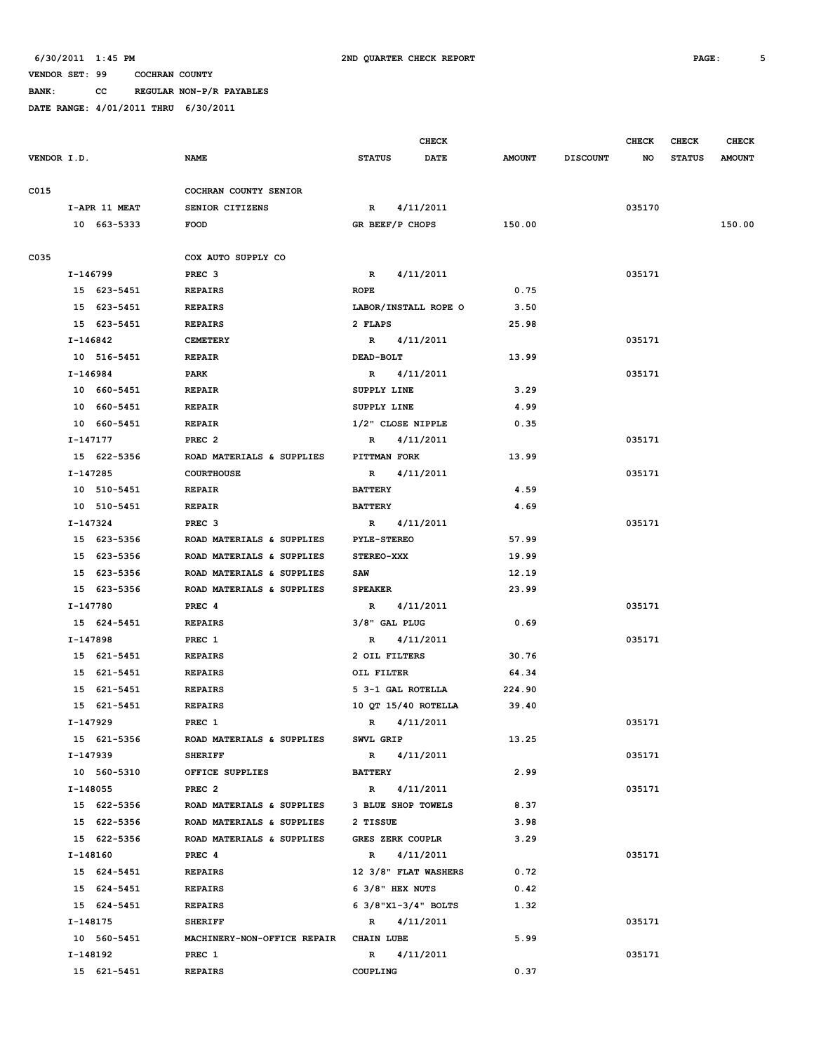**BANK: CC REGULAR NON-P/R PAYABLES**

|             |               |                                        |                         | <b>CHECK</b>           |               |                 | <b>CHECK</b> | CHECK         | <b>CHECK</b>  |
|-------------|---------------|----------------------------------------|-------------------------|------------------------|---------------|-----------------|--------------|---------------|---------------|
| VENDOR I.D. |               | <b>NAME</b>                            | <b>STATUS</b>           | <b>DATE</b>            | <b>AMOUNT</b> | <b>DISCOUNT</b> | NO.          | <b>STATUS</b> | <b>AMOUNT</b> |
| C015        |               | COCHRAN COUNTY SENIOR                  |                         |                        |               |                 |              |               |               |
|             | I-APR 11 MEAT | SENIOR CITIZENS                        | $\mathbf{R}$            | 4/11/2011              |               |                 | 035170       |               |               |
|             | 10 663-5333   | <b>FOOD</b>                            | GR BEEF/P CHOPS         |                        | 150.00        |                 |              |               | 150.00        |
|             |               |                                        |                         |                        |               |                 |              |               |               |
| C035        |               | COX AUTO SUPPLY CO                     |                         |                        |               |                 |              |               |               |
|             | I-146799      | PREC <sub>3</sub>                      | $\mathbb{R}$            | 4/11/2011              |               |                 | 035171       |               |               |
|             | 15 623-5451   | <b>REPAIRS</b>                         | <b>ROPE</b>             |                        | 0.75          |                 |              |               |               |
|             | 15 623-5451   | <b>REPAIRS</b>                         |                         | LABOR/INSTALL ROPE O   | 3.50          |                 |              |               |               |
|             | 15 623-5451   | <b>REPAIRS</b>                         | 2 FLAPS                 |                        | 25.98         |                 |              |               |               |
|             | I-146842      | <b>CEMETERY</b>                        |                         | R 4/11/2011            |               |                 | 035171       |               |               |
|             | 10 516-5451   | <b>REPAIR</b>                          | DEAD-BOLT               |                        | 13.99         |                 |              |               |               |
|             | I-146984      | PARK                                   |                         | R 4/11/2011            |               |                 | 035171       |               |               |
|             | 10 660-5451   | <b>REPAIR</b>                          | SUPPLY LINE             |                        | 3.29          |                 |              |               |               |
|             | 10 660-5451   | <b>REPAIR</b>                          | SUPPLY LINE             |                        | 4.99          |                 |              |               |               |
|             | 10 660-5451   | <b>REPAIR</b>                          | 1/2" CLOSE NIPPLE       |                        | 0.35          |                 |              |               |               |
|             | I-147177      | PREC <sub>2</sub>                      | $\mathbb{R}$            | 4/11/2011              |               |                 | 035171       |               |               |
|             | 15 622-5356   | ROAD MATERIALS & SUPPLIES              | PITTMAN FORK            |                        | 13.99         |                 |              |               |               |
|             | I-147285      | <b>COURTHOUSE</b>                      |                         | R 4/11/2011            |               |                 | 035171       |               |               |
|             | 10 510-5451   | <b>REPAIR</b>                          | <b>BATTERY</b>          |                        | 4.59          |                 |              |               |               |
|             | 10 510-5451   | <b>REPAIR</b>                          | <b>BATTERY</b>          |                        | 4.69          |                 |              |               |               |
|             | I-147324      | PREC <sub>3</sub>                      | $\mathbb{R}$            | 4/11/2011              |               |                 | 035171       |               |               |
|             | 15 623-5356   | ROAD MATERIALS & SUPPLIES              | <b>PYLE-STEREO</b>      |                        | 57.99         |                 |              |               |               |
|             | 15 623-5356   | ROAD MATERIALS & SUPPLIES              | <b>STEREO-XXX</b>       |                        | 19.99         |                 |              |               |               |
|             | 15 623-5356   | ROAD MATERIALS & SUPPLIES              | SAW                     |                        | 12.19         |                 |              |               |               |
|             | 15 623-5356   | ROAD MATERIALS & SUPPLIES              | <b>SPEAKER</b>          |                        | 23.99         |                 |              |               |               |
|             | I-147780      | PREC 4                                 | R 4/11/2011             |                        |               |                 | 035171       |               |               |
|             | 15 624-5451   | <b>REPAIRS</b>                         | 3/8" GAL PLUG           |                        | 0.69          |                 |              |               |               |
|             | I-147898      | PREC 1                                 | R                       | 4/11/2011              |               |                 | 035171       |               |               |
|             | 15 621-5451   | <b>REPAIRS</b>                         | 2 OIL FILTERS           |                        | 30.76         |                 |              |               |               |
|             | 15 621-5451   | <b>REPAIRS</b>                         | OIL FILTER              |                        | 64.34         |                 |              |               |               |
|             | 15 621-5451   | <b>REPAIRS</b>                         | 5 3-1 GAL ROTELLA       |                        | 224.90        |                 |              |               |               |
|             | 15 621-5451   | <b>REPAIRS</b>                         | 10 OT 15/40 ROTELLA     |                        | 39.40         |                 |              |               |               |
|             | I-147929      | PREC 1                                 | $\mathbb{R}$            | 4/11/2011              |               |                 | 035171       |               |               |
|             | 15 621-5356   | ROAD MATERIALS & SUPPLIES              | SWVL GRIP               |                        | 13.25         |                 |              |               |               |
|             | I-147939      | <b>SHERIFF</b>                         |                         | R 4/11/2011            |               |                 | 035171       |               |               |
|             | 10 560-5310   | OFFICE SUPPLIES                        | <b>BATTERY</b>          |                        | 2.99          |                 |              |               |               |
|             | I-148055      | PREC <sub>2</sub>                      |                         | R 4/11/2011            |               |                 | 035171       |               |               |
|             | 15 622-5356   | ROAD MATERIALS & SUPPLIES              | 3 BLUE SHOP TOWELS      |                        | 8.37          |                 |              |               |               |
|             | 15 622-5356   | ROAD MATERIALS & SUPPLIES 2 TISSUE     |                         |                        | 3.98          |                 |              |               |               |
|             | 15 622-5356   | ROAD MATERIALS & SUPPLIES              | <b>GRES ZERK COUPLR</b> |                        | 3.29          |                 |              |               |               |
|             | I-148160      | PREC 4                                 | R 4/11/2011             |                        |               |                 | 035171       |               |               |
|             | 15 624-5451   | <b>REPAIRS</b>                         |                         | 12 3/8" FLAT WASHERS   | 0.72          |                 |              |               |               |
|             | 15 624-5451   | <b>REPAIRS</b>                         | 6 3/8" HEX NUTS         |                        | 0.42          |                 |              |               |               |
|             | 15 624-5451   | <b>REPAIRS</b>                         |                         | 6 $3/8$ "X1-3/4" BOLTS | 1.32          |                 |              |               |               |
|             | I-148175      | <b>SHERIFF</b>                         |                         | R 4/11/2011            |               |                 | 035171       |               |               |
|             | 10 560-5451   | MACHINERY-NON-OFFICE REPAIR CHAIN LUBE |                         |                        | 5.99          |                 |              |               |               |
|             | I-148192      | PREC 1                                 |                         | R 4/11/2011            |               |                 | 035171       |               |               |
|             | 15 621-5451   | <b>REPAIRS</b>                         | COUPLING                |                        | 0.37          |                 |              |               |               |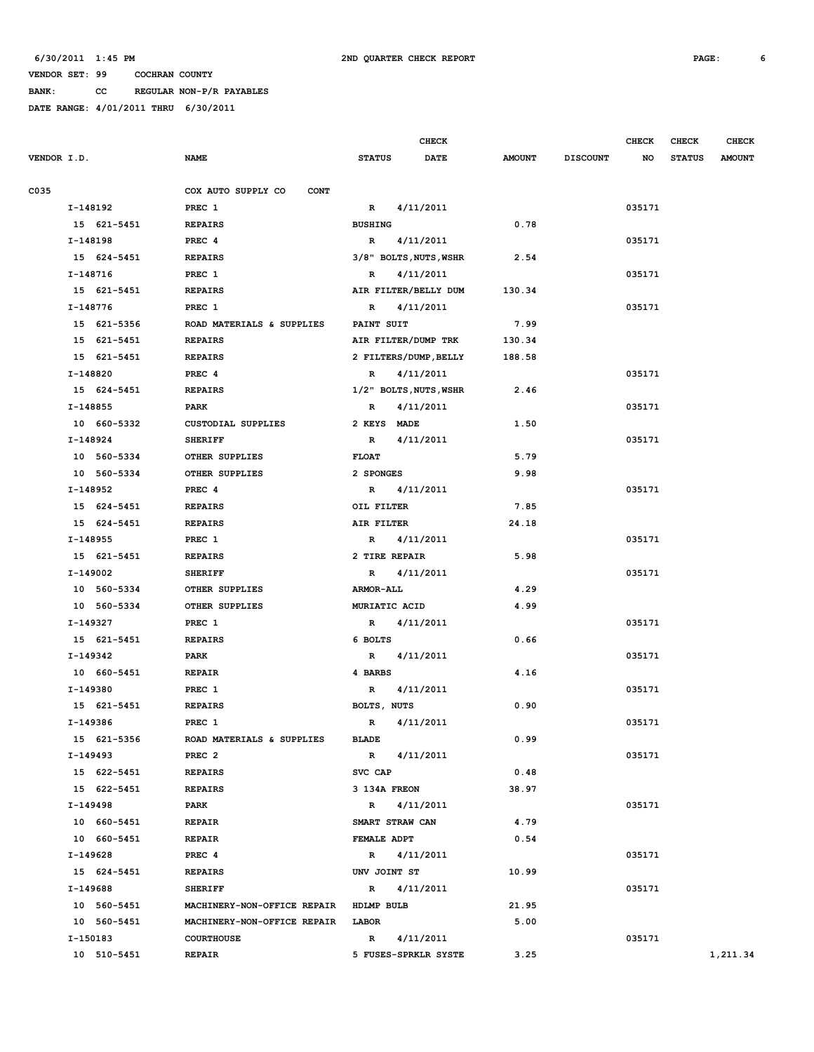**BANK: CC REGULAR NON-P/R PAYABLES**

|             |             |                                   |                  | <b>CHECK</b>           |               |                 | <b>CHECK</b> | <b>CHECK</b>  | <b>CHECK</b>  |
|-------------|-------------|-----------------------------------|------------------|------------------------|---------------|-----------------|--------------|---------------|---------------|
| VENDOR I.D. |             | <b>NAME</b>                       | <b>STATUS</b>    | <b>DATE</b>            | <b>AMOUNT</b> | <b>DISCOUNT</b> | NO           | <b>STATUS</b> | <b>AMOUNT</b> |
| C035        |             | COX AUTO SUPPLY CO<br><b>CONT</b> |                  |                        |               |                 |              |               |               |
|             | I-148192    | PREC 1                            | $\mathbb{R}$     | 4/11/2011              |               |                 | 035171       |               |               |
|             | 15 621-5451 | <b>REPAIRS</b>                    | <b>BUSHING</b>   |                        | 0.78          |                 |              |               |               |
|             | I-148198    | PREC 4                            | R                | 4/11/2011              |               |                 | 035171       |               |               |
|             | 15 624-5451 | <b>REPAIRS</b>                    |                  | 3/8" BOLTS, NUTS, WSHR | 2.54          |                 |              |               |               |
|             | I-148716    | PREC 1                            | R                | 4/11/2011              |               |                 | 035171       |               |               |
|             | 15 621-5451 | <b>REPAIRS</b>                    |                  | AIR FILTER/BELLY DUM   | 130.34        |                 |              |               |               |
|             | I-148776    | PREC 1                            | R                | 4/11/2011              |               |                 | 035171       |               |               |
|             | 15 621-5356 | ROAD MATERIALS & SUPPLIES         | PAINT SUIT       |                        | 7.99          |                 |              |               |               |
|             | 15 621-5451 | <b>REPAIRS</b>                    |                  | AIR FILTER/DUMP TRK    | 130.34        |                 |              |               |               |
|             | 15 621-5451 | <b>REPAIRS</b>                    |                  | 2 FILTERS/DUMP, BELLY  | 188.58        |                 |              |               |               |
|             | I-148820    | PREC 4                            | $\mathbb{R}$     | 4/11/2011              |               |                 | 035171       |               |               |
|             | 15 624-5451 | <b>REPAIRS</b>                    |                  | 1/2" BOLTS, NUTS, WSHR | 2.46          |                 |              |               |               |
|             | I-148855    | PARK                              | R                | 4/11/2011              |               |                 | 035171       |               |               |
|             | 10 660-5332 | <b>CUSTODIAL SUPPLIES</b>         | 2 KEYS MADE      |                        | 1.50          |                 |              |               |               |
|             | I-148924    | <b>SHERIFF</b>                    | $\mathbb{R}$     | 4/11/2011              |               |                 | 035171       |               |               |
|             | 10 560-5334 | OTHER SUPPLIES                    | <b>FLOAT</b>     |                        | 5.79          |                 |              |               |               |
|             | 10 560-5334 | OTHER SUPPLIES                    | 2 SPONGES        |                        | 9.98          |                 |              |               |               |
|             | I-148952    | PREC 4                            | R                | 4/11/2011              |               |                 | 035171       |               |               |
|             | 15 624-5451 | <b>REPAIRS</b>                    | OIL FILTER       |                        | 7.85          |                 |              |               |               |
|             | 15 624-5451 | <b>REPAIRS</b>                    | AIR FILTER       |                        | 24.18         |                 |              |               |               |
|             | I-148955    | PREC 1                            | $\mathbb{R}$     | 4/11/2011              |               |                 | 035171       |               |               |
|             | 15 621-5451 | <b>REPAIRS</b>                    | 2 TIRE REPAIR    |                        | 5.98          |                 |              |               |               |
|             | I-149002    | <b>SHERIFF</b>                    | R                | 4/11/2011              |               |                 | 035171       |               |               |
|             | 10 560-5334 | OTHER SUPPLIES                    | <b>ARMOR-ALL</b> |                        | 4.29          |                 |              |               |               |
|             | 10 560-5334 | OTHER SUPPLIES                    | MURIATIC ACID    |                        | 4.99          |                 |              |               |               |
|             | I-149327    | PREC 1                            | $\mathbb{R}$     | 4/11/2011              |               |                 | 035171       |               |               |
|             | 15 621-5451 | <b>REPAIRS</b>                    | 6 BOLTS          |                        | 0.66          |                 |              |               |               |
|             | I-149342    | PARK                              | R                | 4/11/2011              |               |                 | 035171       |               |               |
|             | 10 660-5451 | <b>REPAIR</b>                     | 4 BARBS          |                        | 4.16          |                 |              |               |               |
|             | I-149380    | PREC 1                            | R                | 4/11/2011              |               |                 | 035171       |               |               |
|             | 15 621-5451 | <b>REPAIRS</b>                    | BOLTS, NUTS      |                        | 0.90          |                 |              |               |               |
|             | I-149386    | PREC 1                            | R                | 4/11/2011              |               |                 | 035171       |               |               |
|             | 15 621-5356 | ROAD MATERIALS & SUPPLIES         | <b>BLADE</b>     |                        | 0.99          |                 |              |               |               |
|             | I-149493    | PREC <sub>2</sub>                 |                  | R 4/11/2011            |               |                 | 035171       |               |               |
|             | 15 622-5451 | <b>REPAIRS</b>                    | SVC CAP          |                        | 0.48          |                 |              |               |               |
|             | 15 622-5451 | <b>REPAIRS</b>                    | 3 134A FREON     |                        | 38.97         |                 |              |               |               |
|             | I-149498    | <b>PARK</b>                       |                  | R 4/11/2011            |               |                 | 035171       |               |               |
|             | 10 660-5451 | <b>REPAIR</b>                     | SMART STRAW CAN  |                        | 4.79          |                 |              |               |               |
|             | 10 660-5451 | <b>REPAIR</b>                     | FEMALE ADPT      |                        | 0.54          |                 |              |               |               |
|             | I-149628    | PREC 4                            | R 4/11/2011      |                        |               |                 | 035171       |               |               |
|             | 15 624-5451 | <b>REPAIRS</b>                    | UNV JOINT ST     |                        | 10.99         |                 |              |               |               |
|             | I-149688    | <b>SHERIFF</b>                    | R 4/11/2011      |                        |               |                 | 035171       |               |               |
|             | 10 560-5451 | MACHINERY-NON-OFFICE REPAIR       | HDLMP BULB       |                        | 21.95         |                 |              |               |               |
|             | 10 560-5451 | MACHINERY-NON-OFFICE REPAIR LABOR |                  |                        | 5.00          |                 |              |               |               |
|             | I-150183    | <b>COURTHOUSE</b>                 |                  | R 4/11/2011            |               |                 | 035171       |               |               |
|             | 10 510-5451 | <b>REPAIR</b>                     |                  | 5 FUSES-SPRKLR SYSTE   | 3.25          |                 |              |               | 1,211.34      |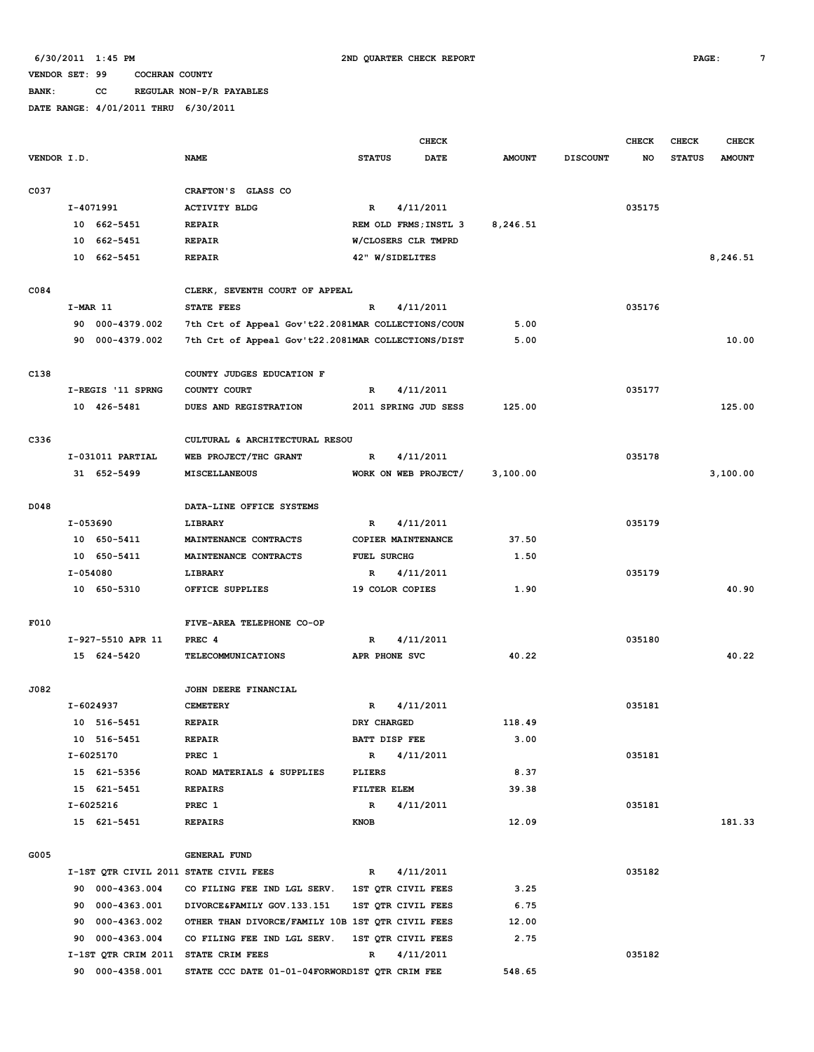# **BANK: CC REGULAR NON-P/R PAYABLES**

|             |            |                   |                                                    |                    | <b>CHECK</b>          |               |                 | <b>CHECK</b> | <b>CHECK</b>  | <b>CHECK</b>  |
|-------------|------------|-------------------|----------------------------------------------------|--------------------|-----------------------|---------------|-----------------|--------------|---------------|---------------|
| VENDOR I.D. |            |                   | <b>NAME</b>                                        | <b>STATUS</b>      | <b>DATE</b>           | <b>AMOUNT</b> | <b>DISCOUNT</b> | NO           | <b>STATUS</b> | <b>AMOUNT</b> |
|             |            |                   |                                                    |                    |                       |               |                 |              |               |               |
| C037        |            |                   | CRAFTON'S GLASS CO                                 |                    |                       |               |                 |              |               |               |
|             |            | I-4071991         | <b>ACTIVITY BLDG</b>                               | R                  | 4/11/2011             |               |                 | 035175       |               |               |
|             |            | 10 662-5451       | <b>REPAIR</b>                                      |                    | REM OLD FRMS; INSTL 3 | 8,246.51      |                 |              |               |               |
|             | 10         | 662-5451          | <b>REPAIR</b>                                      |                    | W/CLOSERS CLR TMPRD   |               |                 |              |               |               |
|             | 10         | 662-5451          | <b>REPAIR</b>                                      |                    | 42" W/SIDELITES       |               |                 |              |               | 8,246.51      |
|             |            |                   |                                                    |                    |                       |               |                 |              |               |               |
| C084        |            |                   | CLERK, SEVENTH COURT OF APPEAL                     |                    |                       |               |                 |              |               |               |
|             | $I-MAR$ 11 |                   | STATE FEES                                         | R                  | 4/11/2011             |               |                 | 035176       |               |               |
|             |            | 90 000-4379.002   | 7th Crt of Appeal Gov't22.2081MAR COLLECTIONS/COUN |                    |                       | 5.00          |                 |              |               |               |
|             |            | 90 000-4379.002   | 7th Crt of Appeal Gov't22.2081MAR COLLECTIONS/DIST |                    |                       | 5.00          |                 |              |               | 10.00         |
| C138        |            |                   | COUNTY JUDGES EDUCATION F                          |                    |                       |               |                 |              |               |               |
|             |            | I-REGIS '11 SPRNG | COUNTY COURT                                       | R                  | 4/11/2011             |               |                 | 035177       |               |               |
|             |            | 10 426-5481       | DUES AND REGISTRATION                              |                    | 2011 SPRING JUD SESS  | 125.00        |                 |              |               | 125.00        |
|             |            |                   |                                                    |                    |                       |               |                 |              |               |               |
| C336        |            |                   | CULTURAL & ARCHITECTURAL RESOU                     |                    |                       |               |                 |              |               |               |
|             |            | I-031011 PARTIAL  | WEB PROJECT/THC GRANT                              | R                  | 4/11/2011             |               |                 | 035178       |               |               |
|             |            | 31 652-5499       | <b>MISCELLANEOUS</b>                               |                    | WORK ON WEB PROJECT/  | 3,100.00      |                 |              |               | 3,100.00      |
|             |            |                   |                                                    |                    |                       |               |                 |              |               |               |
| D048        |            |                   | DATA-LINE OFFICE SYSTEMS                           |                    |                       |               |                 |              |               |               |
|             | I-053690   |                   | LIBRARY                                            | R                  | 4/11/2011             |               |                 | 035179       |               |               |
|             |            | 10 650-5411       | MAINTENANCE CONTRACTS                              |                    | COPIER MAINTENANCE    | 37.50         |                 |              |               |               |
|             |            | 10 650-5411       | MAINTENANCE CONTRACTS                              | <b>FUEL SURCHG</b> |                       | 1.50          |                 |              |               |               |
|             | I-054080   |                   | LIBRARY                                            | R                  | 4/11/2011             |               |                 | 035179       |               |               |
|             |            | 10 650-5310       | OFFICE SUPPLIES                                    |                    | 19 COLOR COPIES       | 1.90          |                 |              |               | 40.90         |
|             |            |                   |                                                    |                    |                       |               |                 |              |               |               |
| F010        |            |                   | FIVE-AREA TELEPHONE CO-OP                          |                    |                       |               |                 |              |               |               |
|             |            | I-927-5510 APR 11 | PREC 4                                             | R                  | 4/11/2011             |               |                 | 035180       |               |               |
|             |            | 15 624-5420       | <b>TELECOMMUNICATIONS</b>                          |                    | APR PHONE SVC         | 40.22         |                 |              |               | 40.22         |
|             |            |                   |                                                    |                    |                       |               |                 |              |               |               |
| J082        |            |                   | JOHN DEERE FINANCIAL                               |                    |                       |               |                 |              |               |               |
|             |            | I-6024937         | <b>CEMETERY</b>                                    | R                  | 4/11/2011             |               |                 | 035181       |               |               |
|             |            | 10 516-5451       | <b>REPAIR</b>                                      | DRY CHARGED        |                       | 118.49        |                 |              |               |               |
|             |            | 10 516-5451       | REPAIR                                             |                    | BATT DISP FEE         | 3.00          |                 |              |               |               |
|             |            | I-6025170         | PREC 1                                             | $\mathbb{R}$       | 4/11/2011             |               |                 | 035181       |               |               |
|             |            | 15 621-5356       | ROAD MATERIALS & SUPPLIES                          | PLIERS             |                       | 8.37          |                 |              |               |               |
|             |            | 15 621-5451       | REPAIRS                                            |                    | FILTER ELEM           | 39.38         |                 |              |               |               |
|             |            | I-6025216         | PREC 1                                             | $\mathbb{R}$       | 4/11/2011             |               |                 | 035181       |               |               |
|             |            | 15 621-5451       | <b>REPAIRS</b>                                     | KNOB               |                       | 12.09         |                 |              |               | 181.33        |
|             |            |                   |                                                    |                    |                       |               |                 |              |               |               |
| G005        |            |                   | <b>GENERAL FUND</b>                                |                    |                       |               |                 |              |               |               |
|             |            |                   | I-1ST QTR CIVIL 2011 STATE CIVIL FEES              | $\mathbf{R}$       | 4/11/2011             |               |                 | 035182       |               |               |
|             |            | 90 000-4363.004   | CO FILING FEE IND LGL SERV. 1ST QTR CIVIL FEES     |                    |                       | 3.25          |                 |              |               |               |
|             |            | 90 000-4363.001   | DIVORCE&FAMILY GOV.133.151                         |                    | 1ST QTR CIVIL FEES    | 6.75          |                 |              |               |               |
|             |            | 90 000-4363.002   | OTHER THAN DIVORCE/FAMILY 10B 1ST QTR CIVIL FEES   |                    |                       | 12.00         |                 |              |               |               |
|             |            | 90 000-4363.004   | CO FILING FEE IND LGL SERV.                        |                    | 1ST QTR CIVIL FEES    | 2.75          |                 |              |               |               |
|             |            |                   | I-1ST QTR CRIM 2011 STATE CRIM FEES                | $\mathbb{R}$       | 4/11/2011             |               |                 | 035182       |               |               |
|             |            | 90 000-4358.001   | STATE CCC DATE 01-01-04FORWORD1ST QTR CRIM FEE     |                    |                       | 548.65        |                 |              |               |               |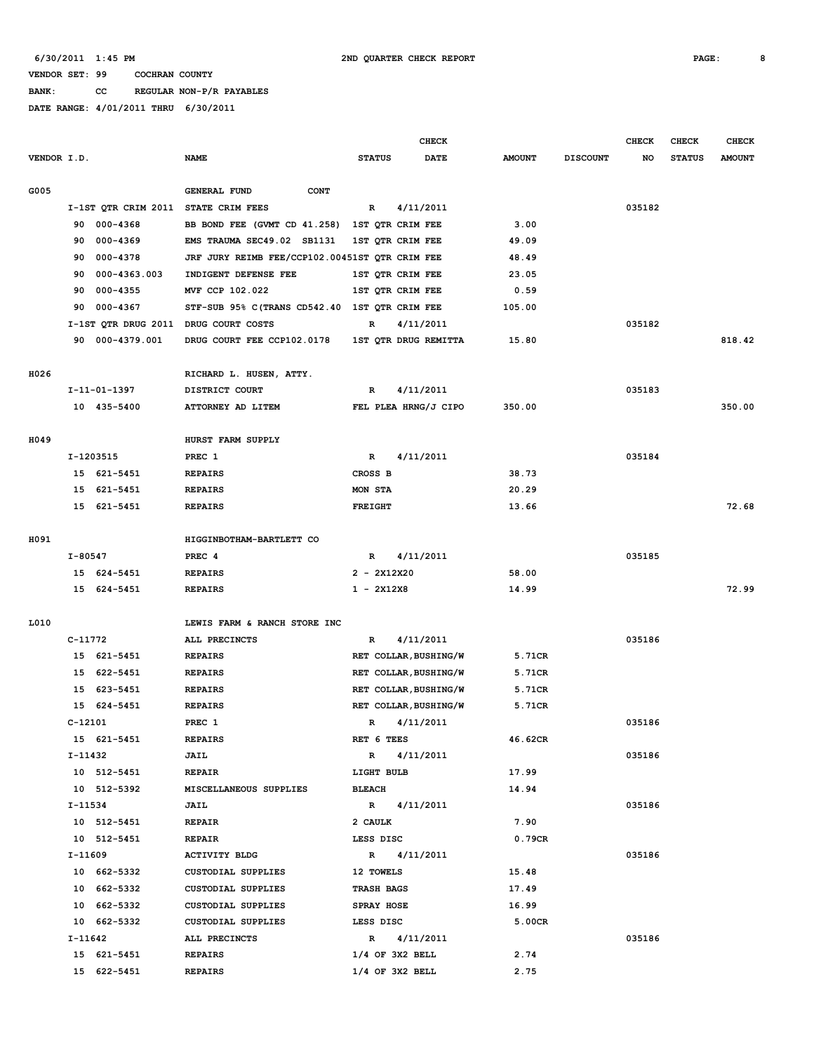**BANK: CC REGULAR NON-P/R PAYABLES**

|             |           |                     |                                                |                   |             | <b>CHECK</b>          |               |                 | <b>CHECK</b> | <b>CHECK</b>  | <b>CHECK</b>  |
|-------------|-----------|---------------------|------------------------------------------------|-------------------|-------------|-----------------------|---------------|-----------------|--------------|---------------|---------------|
| VENDOR I.D. |           |                     | <b>NAME</b>                                    | <b>STATUS</b>     |             | DATE                  | <b>AMOUNT</b> | <b>DISCOUNT</b> | NO           | <b>STATUS</b> | <b>AMOUNT</b> |
|             |           |                     |                                                |                   |             |                       |               |                 |              |               |               |
| G005        |           |                     | <b>GENERAL FUND</b><br><b>CONT</b>             |                   |             |                       |               |                 |              |               |               |
|             |           | I-1ST QTR CRIM 2011 | STATE CRIM FEES                                | R                 |             | 4/11/2011             |               |                 | 035182       |               |               |
|             | 90        | 000-4368            | BB BOND FEE (GVMT CD 41.258)                   | 1ST QTR CRIM FEE  |             |                       | 3.00          |                 |              |               |               |
|             | 90        | 000-4369            | EMS TRAUMA SEC49.02 SB1131                     | 1ST QTR CRIM FEE  |             |                       | 49.09         |                 |              |               |               |
|             | 90        | 000-4378            | JRF JURY REIMB FEE/CCP102.00451ST QTR CRIM FEE |                   |             |                       | 48.49         |                 |              |               |               |
|             | 90        | 000-4363.003        | INDIGENT DEFENSE FEE                           | 1ST QTR CRIM FEE  |             |                       | 23.05         |                 |              |               |               |
|             | 90        | $000 - 4355$        | MVF CCP 102.022                                | 1ST QTR CRIM FEE  |             |                       | 0.59          |                 |              |               |               |
|             | 90        | 000-4367            | STF-SUB 95% C(TRANS CD542.40 1ST QTR CRIM FEE  |                   |             |                       | 105.00        |                 |              |               |               |
|             |           |                     | I-1ST QTR DRUG 2011 DRUG COURT COSTS           | R                 |             | 4/11/2011             |               |                 | 035182       |               |               |
|             | 90        | 000-4379.001        | DRUG COURT FEE CCP102.0178                     |                   |             | 1ST QTR DRUG REMITTA  | 15.80         |                 |              |               | 818.42        |
| H026        |           |                     | RICHARD L. HUSEN, ATTY.                        |                   |             |                       |               |                 |              |               |               |
|             |           | I-11-01-1397        | DISTRICT COURT                                 | R                 |             | 4/11/2011             |               |                 | 035183       |               |               |
|             |           | 10 435-5400         | ATTORNEY AD LITEM                              |                   |             | FEL PLEA HRNG/J CIPO  | 350.00        |                 |              |               | 350.00        |
| H049        |           |                     | HURST FARM SUPPLY                              |                   |             |                       |               |                 |              |               |               |
|             |           | I-1203515           | PREC 1                                         | R                 |             | 4/11/2011             |               |                 | 035184       |               |               |
|             |           | 15 621-5451         | <b>REPAIRS</b>                                 | CROSS B           |             |                       | 38.73         |                 |              |               |               |
|             |           | 15 621-5451         | <b>REPAIRS</b>                                 | MON STA           |             |                       | 20.29         |                 |              |               |               |
|             |           | 15 621-5451         | <b>REPAIRS</b>                                 | <b>FREIGHT</b>    |             |                       | 13.66         |                 |              |               | 72.68         |
|             |           |                     |                                                |                   |             |                       |               |                 |              |               |               |
| H091        |           |                     | HIGGINBOTHAM-BARTLETT CO                       |                   |             |                       |               |                 |              |               |               |
|             | I-80547   |                     | PREC 4                                         | R                 |             | 4/11/2011             |               |                 | 035185       |               |               |
|             |           | 15 624-5451         | <b>REPAIRS</b>                                 | $2 - 2X12X20$     |             |                       | 58.00         |                 |              |               |               |
|             |           | 15 624-5451         | <b>REPAIRS</b>                                 | $1 - 2X12X8$      |             |                       | 14.99         |                 |              |               | 72.99         |
|             |           |                     |                                                |                   |             |                       |               |                 |              |               |               |
| L010        |           |                     | LEWIS FARM & RANCH STORE INC                   |                   |             |                       |               |                 |              |               |               |
|             | C-11772   |                     | ALL PRECINCTS                                  | R                 |             | 4/11/2011             |               |                 | 035186       |               |               |
|             |           | 15 621-5451         | <b>REPAIRS</b>                                 |                   |             | RET COLLAR, BUSHING/W | 5.71CR        |                 |              |               |               |
|             |           | 15 622-5451         | <b>REPAIRS</b>                                 |                   |             | RET COLLAR, BUSHING/W | 5.71CR        |                 |              |               |               |
|             |           | 15 623-5451         | <b>REPAIRS</b>                                 |                   |             | RET COLLAR, BUSHING/W | 5.71CR        |                 |              |               |               |
|             |           | 15 624-5451         | <b>REPAIRS</b>                                 |                   |             | RET COLLAR, BUSHING/W | 5.71CR        |                 |              |               |               |
|             | $C-12101$ |                     | PREC 1                                         | $\mathbf R$       |             | 4/11/2011             |               |                 | 035186       |               |               |
|             |           | 15 621-5451         | <b>REPAIRS</b>                                 | RET 6 TEES        |             |                       | 46.62CR       |                 |              |               |               |
|             |           | I-11432             | <b>JAIL</b>                                    |                   | R 4/11/2011 |                       |               |                 | 035186       |               |               |
|             |           | 10 512-5451         | <b>REPAIR</b>                                  | LIGHT BULB        |             |                       | 17.99         |                 |              |               |               |
|             |           | 10 512-5392         | MISCELLANEOUS SUPPLIES                         | <b>BLEACH</b>     |             |                       | 14.94         |                 |              |               |               |
|             | I-11534   |                     | <b>JAIL</b>                                    | R 4/11/2011       |             |                       |               |                 | 035186       |               |               |
|             |           | 10 512-5451         | <b>REPAIR</b>                                  | 2 CAULK           |             |                       | 7.90          |                 |              |               |               |
|             |           | 10 512-5451         | REPAIR                                         | LESS DISC         |             |                       | 0.79CR        |                 |              |               |               |
|             | I-11609   |                     | <b>ACTIVITY BLDG</b>                           | R 4/11/2011       |             |                       |               |                 | 035186       |               |               |
|             |           | 10 662-5332         | CUSTODIAL SUPPLIES                             | 12 TOWELS         |             |                       | 15.48         |                 |              |               |               |
|             |           | 10 662-5332         | CUSTODIAL SUPPLIES                             | <b>TRASH BAGS</b> |             |                       | 17.49         |                 |              |               |               |
|             |           | 10 662-5332         | CUSTODIAL SUPPLIES                             | SPRAY HOSE        |             |                       | 16.99         |                 |              |               |               |
|             |           | 10 662-5332         | CUSTODIAL SUPPLIES                             | LESS DISC         |             |                       | 5.00CR        |                 |              |               |               |
|             | I-11642   |                     | ALL PRECINCTS                                  | R 4/11/2011       |             |                       |               |                 | 035186       |               |               |
|             |           | 15 621-5451         | <b>REPAIRS</b>                                 | $1/4$ OF 3X2 BELL |             |                       | 2.74          |                 |              |               |               |
|             |           | 15 622-5451         | <b>REPAIRS</b>                                 | $1/4$ OF 3X2 BELL |             |                       | 2.75          |                 |              |               |               |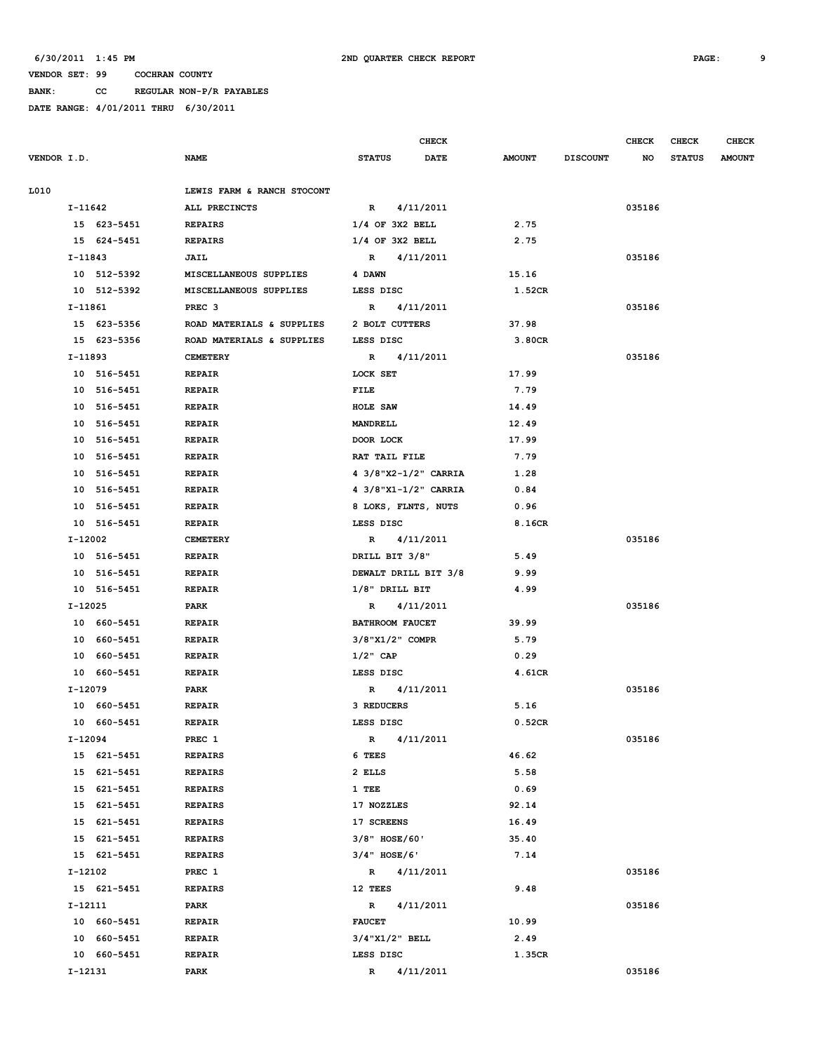**BANK: CC REGULAR NON-P/R PAYABLES**

| <b>NAME</b><br><b>STATUS</b><br>DATE<br><b>AMOUNT</b><br><b>DISCOUNT</b><br><b>STATUS</b><br><b>AMOUNT</b><br>NO<br>LEWIS FARM & RANCH STOCONT<br>4/11/2011<br>I-11642<br>ALL PRECINCTS<br>$\mathbf R$<br>035186<br>$1/4$ OF 3X2 BELL<br>2.75<br>15 623-5451<br><b>REPAIRS</b><br>$1/4$ OF 3X2 BELL<br>15 624-5451<br><b>REPAIRS</b><br>2.75<br>I-11843<br>JAIL<br>$\mathbb{R}$<br>4/11/2011<br>035186<br>10 512-5392<br>MISCELLANEOUS SUPPLIES<br>4 DAWN<br>15.16<br>10 512-5392<br>MISCELLANEOUS SUPPLIES<br>LESS DISC<br>1.52CR<br>I-11861<br>PREC <sub>3</sub><br>4/11/2011<br>035186<br>R<br>15 623-5356<br>ROAD MATERIALS & SUPPLIES<br>2 BOLT CUTTERS<br>37.98<br>15 623-5356<br>ROAD MATERIALS & SUPPLIES<br>LESS DISC<br>3.80CR<br>I-11893<br><b>CEMETERY</b><br>4/11/2011<br>035186<br>$\mathbf R$<br>17.99<br>10 516-5451<br>LOCK SET<br><b>REPAIR</b><br>10 516-5451<br><b>REPAIR</b><br>FILE<br>7.79<br>10 516-5451<br><b>REPAIR</b><br>HOLE SAW<br>14.49<br>10 516-5451<br><b>REPAIR</b><br>MANDRELL<br>12.49<br>10 516-5451<br><b>REPAIR</b><br>DOOR LOCK<br>17.99<br>RAT TAIL FILE<br>7.79<br>10 516-5451<br><b>REPAIR</b><br>4 3/8"X2-1/2" CARRIA<br>1.28<br>10 516-5451<br><b>REPAIR</b><br>10 516-5451<br><b>REPAIR</b><br>4 3/8"X1-1/2" CARRIA<br>0.84<br>10 516-5451<br><b>REPAIR</b><br>8 LOKS, FLNTS, NUTS<br>0.96<br>10 516-5451<br>8.16CR<br><b>REPAIR</b><br>LESS DISC<br>I-12002<br>4/11/2011<br>035186<br><b>CEMETERY</b><br>$\mathbb{R}$<br>10 516-5451<br><b>REPAIR</b><br>DRILL BIT 3/8"<br>5.49<br>10 516-5451<br>DEWALT DRILL BIT 3/8<br>9.99<br><b>REPAIR</b><br>10 516-5451<br>$1/8"$ DRILL BIT<br>4.99<br><b>REPAIR</b><br>I-12025<br>PARK<br>4/11/2011<br>035186<br>$\mathbb{R}$<br>10 660-5451<br><b>BATHROOM FAUCET</b><br>39.99<br><b>REPAIR</b><br>10 660-5451<br><b>REPAIR</b><br>$3/8$ "X $1/2$ " COMPR<br>5.79<br>0.29<br>10 660-5451<br><b>REPAIR</b><br>$1/2$ " CAP<br>4.61CR<br>10 660-5451<br><b>REPAIR</b><br>LESS DISC<br>I-12079<br>PARK<br>4/11/2011<br>035186<br>R<br>5.16<br>10 660-5451<br><b>REPAIR</b><br>3 REDUCERS<br>10 660-5451<br><b>REPAIR</b><br>LESS DISC<br>0.52CR<br>4/11/2011<br>I-12094<br>PREC 1<br>035186<br>R<br>15 621-5451<br>6 TEES<br>46.62<br><b>REPAIRS</b><br>15 621-5451<br>2 ELLS<br>5.58<br><b>REPAIRS</b><br>15 621-5451<br>0.69<br><b>REPAIRS</b><br>1 TEE<br>15 621-5451<br>17 NOZZLES<br>92.14<br><b>REPAIRS</b><br>17 SCREENS<br>16.49<br>15 621-5451<br><b>REPAIRS</b><br>$3/8"$ HOSE/60'<br>15 621-5451<br><b>REPAIRS</b><br>35.40<br>$3/4"$ HOSE/6'<br>15 621-5451<br><b>REPAIRS</b><br>7.14<br>I-12102<br>035186<br>PREC 1<br>R 4/11/2011<br>9.48<br>15 621-5451<br><b>REPAIRS</b><br>12 TEES<br>I-12111<br>PARK<br>$\mathbb{R}$<br>4/11/2011<br>035186<br>10 660-5451<br><b>FAUCET</b><br>10.99<br><b>REPAIR</b><br>10 660-5451<br><b>REPAIR</b><br>$3/4$ "X $1/2$ " BELL<br>2.49<br>10 660-5451<br><b>REPAIR</b><br>LESS DISC<br>1.35CR<br>035186<br>I-12131<br>PARK<br>4/11/2011<br>$\mathbb{R}$ |             |  | <b>CHECK</b> |  | <b>CHECK</b> | <b>CHECK</b> | <b>CHECK</b> |
|------------------------------------------------------------------------------------------------------------------------------------------------------------------------------------------------------------------------------------------------------------------------------------------------------------------------------------------------------------------------------------------------------------------------------------------------------------------------------------------------------------------------------------------------------------------------------------------------------------------------------------------------------------------------------------------------------------------------------------------------------------------------------------------------------------------------------------------------------------------------------------------------------------------------------------------------------------------------------------------------------------------------------------------------------------------------------------------------------------------------------------------------------------------------------------------------------------------------------------------------------------------------------------------------------------------------------------------------------------------------------------------------------------------------------------------------------------------------------------------------------------------------------------------------------------------------------------------------------------------------------------------------------------------------------------------------------------------------------------------------------------------------------------------------------------------------------------------------------------------------------------------------------------------------------------------------------------------------------------------------------------------------------------------------------------------------------------------------------------------------------------------------------------------------------------------------------------------------------------------------------------------------------------------------------------------------------------------------------------------------------------------------------------------------------------------------------------------------------------------------------------------------------------------------------------------------------------------------------------------------------------------------------------------------------------------------------------------------------------------------------------------------------------------------------------------------------------------------------------------------------------------------------------------------------------------------------------------------------------------------|-------------|--|--------------|--|--------------|--------------|--------------|
|                                                                                                                                                                                                                                                                                                                                                                                                                                                                                                                                                                                                                                                                                                                                                                                                                                                                                                                                                                                                                                                                                                                                                                                                                                                                                                                                                                                                                                                                                                                                                                                                                                                                                                                                                                                                                                                                                                                                                                                                                                                                                                                                                                                                                                                                                                                                                                                                                                                                                                                                                                                                                                                                                                                                                                                                                                                                                                                                                                                                | VENDOR I.D. |  |              |  |              |              |              |
|                                                                                                                                                                                                                                                                                                                                                                                                                                                                                                                                                                                                                                                                                                                                                                                                                                                                                                                                                                                                                                                                                                                                                                                                                                                                                                                                                                                                                                                                                                                                                                                                                                                                                                                                                                                                                                                                                                                                                                                                                                                                                                                                                                                                                                                                                                                                                                                                                                                                                                                                                                                                                                                                                                                                                                                                                                                                                                                                                                                                | L010        |  |              |  |              |              |              |
|                                                                                                                                                                                                                                                                                                                                                                                                                                                                                                                                                                                                                                                                                                                                                                                                                                                                                                                                                                                                                                                                                                                                                                                                                                                                                                                                                                                                                                                                                                                                                                                                                                                                                                                                                                                                                                                                                                                                                                                                                                                                                                                                                                                                                                                                                                                                                                                                                                                                                                                                                                                                                                                                                                                                                                                                                                                                                                                                                                                                |             |  |              |  |              |              |              |
|                                                                                                                                                                                                                                                                                                                                                                                                                                                                                                                                                                                                                                                                                                                                                                                                                                                                                                                                                                                                                                                                                                                                                                                                                                                                                                                                                                                                                                                                                                                                                                                                                                                                                                                                                                                                                                                                                                                                                                                                                                                                                                                                                                                                                                                                                                                                                                                                                                                                                                                                                                                                                                                                                                                                                                                                                                                                                                                                                                                                |             |  |              |  |              |              |              |
|                                                                                                                                                                                                                                                                                                                                                                                                                                                                                                                                                                                                                                                                                                                                                                                                                                                                                                                                                                                                                                                                                                                                                                                                                                                                                                                                                                                                                                                                                                                                                                                                                                                                                                                                                                                                                                                                                                                                                                                                                                                                                                                                                                                                                                                                                                                                                                                                                                                                                                                                                                                                                                                                                                                                                                                                                                                                                                                                                                                                |             |  |              |  |              |              |              |
|                                                                                                                                                                                                                                                                                                                                                                                                                                                                                                                                                                                                                                                                                                                                                                                                                                                                                                                                                                                                                                                                                                                                                                                                                                                                                                                                                                                                                                                                                                                                                                                                                                                                                                                                                                                                                                                                                                                                                                                                                                                                                                                                                                                                                                                                                                                                                                                                                                                                                                                                                                                                                                                                                                                                                                                                                                                                                                                                                                                                |             |  |              |  |              |              |              |
|                                                                                                                                                                                                                                                                                                                                                                                                                                                                                                                                                                                                                                                                                                                                                                                                                                                                                                                                                                                                                                                                                                                                                                                                                                                                                                                                                                                                                                                                                                                                                                                                                                                                                                                                                                                                                                                                                                                                                                                                                                                                                                                                                                                                                                                                                                                                                                                                                                                                                                                                                                                                                                                                                                                                                                                                                                                                                                                                                                                                |             |  |              |  |              |              |              |
|                                                                                                                                                                                                                                                                                                                                                                                                                                                                                                                                                                                                                                                                                                                                                                                                                                                                                                                                                                                                                                                                                                                                                                                                                                                                                                                                                                                                                                                                                                                                                                                                                                                                                                                                                                                                                                                                                                                                                                                                                                                                                                                                                                                                                                                                                                                                                                                                                                                                                                                                                                                                                                                                                                                                                                                                                                                                                                                                                                                                |             |  |              |  |              |              |              |
|                                                                                                                                                                                                                                                                                                                                                                                                                                                                                                                                                                                                                                                                                                                                                                                                                                                                                                                                                                                                                                                                                                                                                                                                                                                                                                                                                                                                                                                                                                                                                                                                                                                                                                                                                                                                                                                                                                                                                                                                                                                                                                                                                                                                                                                                                                                                                                                                                                                                                                                                                                                                                                                                                                                                                                                                                                                                                                                                                                                                |             |  |              |  |              |              |              |
|                                                                                                                                                                                                                                                                                                                                                                                                                                                                                                                                                                                                                                                                                                                                                                                                                                                                                                                                                                                                                                                                                                                                                                                                                                                                                                                                                                                                                                                                                                                                                                                                                                                                                                                                                                                                                                                                                                                                                                                                                                                                                                                                                                                                                                                                                                                                                                                                                                                                                                                                                                                                                                                                                                                                                                                                                                                                                                                                                                                                |             |  |              |  |              |              |              |
|                                                                                                                                                                                                                                                                                                                                                                                                                                                                                                                                                                                                                                                                                                                                                                                                                                                                                                                                                                                                                                                                                                                                                                                                                                                                                                                                                                                                                                                                                                                                                                                                                                                                                                                                                                                                                                                                                                                                                                                                                                                                                                                                                                                                                                                                                                                                                                                                                                                                                                                                                                                                                                                                                                                                                                                                                                                                                                                                                                                                |             |  |              |  |              |              |              |
|                                                                                                                                                                                                                                                                                                                                                                                                                                                                                                                                                                                                                                                                                                                                                                                                                                                                                                                                                                                                                                                                                                                                                                                                                                                                                                                                                                                                                                                                                                                                                                                                                                                                                                                                                                                                                                                                                                                                                                                                                                                                                                                                                                                                                                                                                                                                                                                                                                                                                                                                                                                                                                                                                                                                                                                                                                                                                                                                                                                                |             |  |              |  |              |              |              |
|                                                                                                                                                                                                                                                                                                                                                                                                                                                                                                                                                                                                                                                                                                                                                                                                                                                                                                                                                                                                                                                                                                                                                                                                                                                                                                                                                                                                                                                                                                                                                                                                                                                                                                                                                                                                                                                                                                                                                                                                                                                                                                                                                                                                                                                                                                                                                                                                                                                                                                                                                                                                                                                                                                                                                                                                                                                                                                                                                                                                |             |  |              |  |              |              |              |
|                                                                                                                                                                                                                                                                                                                                                                                                                                                                                                                                                                                                                                                                                                                                                                                                                                                                                                                                                                                                                                                                                                                                                                                                                                                                                                                                                                                                                                                                                                                                                                                                                                                                                                                                                                                                                                                                                                                                                                                                                                                                                                                                                                                                                                                                                                                                                                                                                                                                                                                                                                                                                                                                                                                                                                                                                                                                                                                                                                                                |             |  |              |  |              |              |              |
|                                                                                                                                                                                                                                                                                                                                                                                                                                                                                                                                                                                                                                                                                                                                                                                                                                                                                                                                                                                                                                                                                                                                                                                                                                                                                                                                                                                                                                                                                                                                                                                                                                                                                                                                                                                                                                                                                                                                                                                                                                                                                                                                                                                                                                                                                                                                                                                                                                                                                                                                                                                                                                                                                                                                                                                                                                                                                                                                                                                                |             |  |              |  |              |              |              |
|                                                                                                                                                                                                                                                                                                                                                                                                                                                                                                                                                                                                                                                                                                                                                                                                                                                                                                                                                                                                                                                                                                                                                                                                                                                                                                                                                                                                                                                                                                                                                                                                                                                                                                                                                                                                                                                                                                                                                                                                                                                                                                                                                                                                                                                                                                                                                                                                                                                                                                                                                                                                                                                                                                                                                                                                                                                                                                                                                                                                |             |  |              |  |              |              |              |
|                                                                                                                                                                                                                                                                                                                                                                                                                                                                                                                                                                                                                                                                                                                                                                                                                                                                                                                                                                                                                                                                                                                                                                                                                                                                                                                                                                                                                                                                                                                                                                                                                                                                                                                                                                                                                                                                                                                                                                                                                                                                                                                                                                                                                                                                                                                                                                                                                                                                                                                                                                                                                                                                                                                                                                                                                                                                                                                                                                                                |             |  |              |  |              |              |              |
|                                                                                                                                                                                                                                                                                                                                                                                                                                                                                                                                                                                                                                                                                                                                                                                                                                                                                                                                                                                                                                                                                                                                                                                                                                                                                                                                                                                                                                                                                                                                                                                                                                                                                                                                                                                                                                                                                                                                                                                                                                                                                                                                                                                                                                                                                                                                                                                                                                                                                                                                                                                                                                                                                                                                                                                                                                                                                                                                                                                                |             |  |              |  |              |              |              |
|                                                                                                                                                                                                                                                                                                                                                                                                                                                                                                                                                                                                                                                                                                                                                                                                                                                                                                                                                                                                                                                                                                                                                                                                                                                                                                                                                                                                                                                                                                                                                                                                                                                                                                                                                                                                                                                                                                                                                                                                                                                                                                                                                                                                                                                                                                                                                                                                                                                                                                                                                                                                                                                                                                                                                                                                                                                                                                                                                                                                |             |  |              |  |              |              |              |
|                                                                                                                                                                                                                                                                                                                                                                                                                                                                                                                                                                                                                                                                                                                                                                                                                                                                                                                                                                                                                                                                                                                                                                                                                                                                                                                                                                                                                                                                                                                                                                                                                                                                                                                                                                                                                                                                                                                                                                                                                                                                                                                                                                                                                                                                                                                                                                                                                                                                                                                                                                                                                                                                                                                                                                                                                                                                                                                                                                                                |             |  |              |  |              |              |              |
|                                                                                                                                                                                                                                                                                                                                                                                                                                                                                                                                                                                                                                                                                                                                                                                                                                                                                                                                                                                                                                                                                                                                                                                                                                                                                                                                                                                                                                                                                                                                                                                                                                                                                                                                                                                                                                                                                                                                                                                                                                                                                                                                                                                                                                                                                                                                                                                                                                                                                                                                                                                                                                                                                                                                                                                                                                                                                                                                                                                                |             |  |              |  |              |              |              |
|                                                                                                                                                                                                                                                                                                                                                                                                                                                                                                                                                                                                                                                                                                                                                                                                                                                                                                                                                                                                                                                                                                                                                                                                                                                                                                                                                                                                                                                                                                                                                                                                                                                                                                                                                                                                                                                                                                                                                                                                                                                                                                                                                                                                                                                                                                                                                                                                                                                                                                                                                                                                                                                                                                                                                                                                                                                                                                                                                                                                |             |  |              |  |              |              |              |
|                                                                                                                                                                                                                                                                                                                                                                                                                                                                                                                                                                                                                                                                                                                                                                                                                                                                                                                                                                                                                                                                                                                                                                                                                                                                                                                                                                                                                                                                                                                                                                                                                                                                                                                                                                                                                                                                                                                                                                                                                                                                                                                                                                                                                                                                                                                                                                                                                                                                                                                                                                                                                                                                                                                                                                                                                                                                                                                                                                                                |             |  |              |  |              |              |              |
|                                                                                                                                                                                                                                                                                                                                                                                                                                                                                                                                                                                                                                                                                                                                                                                                                                                                                                                                                                                                                                                                                                                                                                                                                                                                                                                                                                                                                                                                                                                                                                                                                                                                                                                                                                                                                                                                                                                                                                                                                                                                                                                                                                                                                                                                                                                                                                                                                                                                                                                                                                                                                                                                                                                                                                                                                                                                                                                                                                                                |             |  |              |  |              |              |              |
|                                                                                                                                                                                                                                                                                                                                                                                                                                                                                                                                                                                                                                                                                                                                                                                                                                                                                                                                                                                                                                                                                                                                                                                                                                                                                                                                                                                                                                                                                                                                                                                                                                                                                                                                                                                                                                                                                                                                                                                                                                                                                                                                                                                                                                                                                                                                                                                                                                                                                                                                                                                                                                                                                                                                                                                                                                                                                                                                                                                                |             |  |              |  |              |              |              |
|                                                                                                                                                                                                                                                                                                                                                                                                                                                                                                                                                                                                                                                                                                                                                                                                                                                                                                                                                                                                                                                                                                                                                                                                                                                                                                                                                                                                                                                                                                                                                                                                                                                                                                                                                                                                                                                                                                                                                                                                                                                                                                                                                                                                                                                                                                                                                                                                                                                                                                                                                                                                                                                                                                                                                                                                                                                                                                                                                                                                |             |  |              |  |              |              |              |
|                                                                                                                                                                                                                                                                                                                                                                                                                                                                                                                                                                                                                                                                                                                                                                                                                                                                                                                                                                                                                                                                                                                                                                                                                                                                                                                                                                                                                                                                                                                                                                                                                                                                                                                                                                                                                                                                                                                                                                                                                                                                                                                                                                                                                                                                                                                                                                                                                                                                                                                                                                                                                                                                                                                                                                                                                                                                                                                                                                                                |             |  |              |  |              |              |              |
|                                                                                                                                                                                                                                                                                                                                                                                                                                                                                                                                                                                                                                                                                                                                                                                                                                                                                                                                                                                                                                                                                                                                                                                                                                                                                                                                                                                                                                                                                                                                                                                                                                                                                                                                                                                                                                                                                                                                                                                                                                                                                                                                                                                                                                                                                                                                                                                                                                                                                                                                                                                                                                                                                                                                                                                                                                                                                                                                                                                                |             |  |              |  |              |              |              |
|                                                                                                                                                                                                                                                                                                                                                                                                                                                                                                                                                                                                                                                                                                                                                                                                                                                                                                                                                                                                                                                                                                                                                                                                                                                                                                                                                                                                                                                                                                                                                                                                                                                                                                                                                                                                                                                                                                                                                                                                                                                                                                                                                                                                                                                                                                                                                                                                                                                                                                                                                                                                                                                                                                                                                                                                                                                                                                                                                                                                |             |  |              |  |              |              |              |
|                                                                                                                                                                                                                                                                                                                                                                                                                                                                                                                                                                                                                                                                                                                                                                                                                                                                                                                                                                                                                                                                                                                                                                                                                                                                                                                                                                                                                                                                                                                                                                                                                                                                                                                                                                                                                                                                                                                                                                                                                                                                                                                                                                                                                                                                                                                                                                                                                                                                                                                                                                                                                                                                                                                                                                                                                                                                                                                                                                                                |             |  |              |  |              |              |              |
|                                                                                                                                                                                                                                                                                                                                                                                                                                                                                                                                                                                                                                                                                                                                                                                                                                                                                                                                                                                                                                                                                                                                                                                                                                                                                                                                                                                                                                                                                                                                                                                                                                                                                                                                                                                                                                                                                                                                                                                                                                                                                                                                                                                                                                                                                                                                                                                                                                                                                                                                                                                                                                                                                                                                                                                                                                                                                                                                                                                                |             |  |              |  |              |              |              |
|                                                                                                                                                                                                                                                                                                                                                                                                                                                                                                                                                                                                                                                                                                                                                                                                                                                                                                                                                                                                                                                                                                                                                                                                                                                                                                                                                                                                                                                                                                                                                                                                                                                                                                                                                                                                                                                                                                                                                                                                                                                                                                                                                                                                                                                                                                                                                                                                                                                                                                                                                                                                                                                                                                                                                                                                                                                                                                                                                                                                |             |  |              |  |              |              |              |
|                                                                                                                                                                                                                                                                                                                                                                                                                                                                                                                                                                                                                                                                                                                                                                                                                                                                                                                                                                                                                                                                                                                                                                                                                                                                                                                                                                                                                                                                                                                                                                                                                                                                                                                                                                                                                                                                                                                                                                                                                                                                                                                                                                                                                                                                                                                                                                                                                                                                                                                                                                                                                                                                                                                                                                                                                                                                                                                                                                                                |             |  |              |  |              |              |              |
|                                                                                                                                                                                                                                                                                                                                                                                                                                                                                                                                                                                                                                                                                                                                                                                                                                                                                                                                                                                                                                                                                                                                                                                                                                                                                                                                                                                                                                                                                                                                                                                                                                                                                                                                                                                                                                                                                                                                                                                                                                                                                                                                                                                                                                                                                                                                                                                                                                                                                                                                                                                                                                                                                                                                                                                                                                                                                                                                                                                                |             |  |              |  |              |              |              |
|                                                                                                                                                                                                                                                                                                                                                                                                                                                                                                                                                                                                                                                                                                                                                                                                                                                                                                                                                                                                                                                                                                                                                                                                                                                                                                                                                                                                                                                                                                                                                                                                                                                                                                                                                                                                                                                                                                                                                                                                                                                                                                                                                                                                                                                                                                                                                                                                                                                                                                                                                                                                                                                                                                                                                                                                                                                                                                                                                                                                |             |  |              |  |              |              |              |
|                                                                                                                                                                                                                                                                                                                                                                                                                                                                                                                                                                                                                                                                                                                                                                                                                                                                                                                                                                                                                                                                                                                                                                                                                                                                                                                                                                                                                                                                                                                                                                                                                                                                                                                                                                                                                                                                                                                                                                                                                                                                                                                                                                                                                                                                                                                                                                                                                                                                                                                                                                                                                                                                                                                                                                                                                                                                                                                                                                                                |             |  |              |  |              |              |              |
|                                                                                                                                                                                                                                                                                                                                                                                                                                                                                                                                                                                                                                                                                                                                                                                                                                                                                                                                                                                                                                                                                                                                                                                                                                                                                                                                                                                                                                                                                                                                                                                                                                                                                                                                                                                                                                                                                                                                                                                                                                                                                                                                                                                                                                                                                                                                                                                                                                                                                                                                                                                                                                                                                                                                                                                                                                                                                                                                                                                                |             |  |              |  |              |              |              |
|                                                                                                                                                                                                                                                                                                                                                                                                                                                                                                                                                                                                                                                                                                                                                                                                                                                                                                                                                                                                                                                                                                                                                                                                                                                                                                                                                                                                                                                                                                                                                                                                                                                                                                                                                                                                                                                                                                                                                                                                                                                                                                                                                                                                                                                                                                                                                                                                                                                                                                                                                                                                                                                                                                                                                                                                                                                                                                                                                                                                |             |  |              |  |              |              |              |
|                                                                                                                                                                                                                                                                                                                                                                                                                                                                                                                                                                                                                                                                                                                                                                                                                                                                                                                                                                                                                                                                                                                                                                                                                                                                                                                                                                                                                                                                                                                                                                                                                                                                                                                                                                                                                                                                                                                                                                                                                                                                                                                                                                                                                                                                                                                                                                                                                                                                                                                                                                                                                                                                                                                                                                                                                                                                                                                                                                                                |             |  |              |  |              |              |              |
|                                                                                                                                                                                                                                                                                                                                                                                                                                                                                                                                                                                                                                                                                                                                                                                                                                                                                                                                                                                                                                                                                                                                                                                                                                                                                                                                                                                                                                                                                                                                                                                                                                                                                                                                                                                                                                                                                                                                                                                                                                                                                                                                                                                                                                                                                                                                                                                                                                                                                                                                                                                                                                                                                                                                                                                                                                                                                                                                                                                                |             |  |              |  |              |              |              |
|                                                                                                                                                                                                                                                                                                                                                                                                                                                                                                                                                                                                                                                                                                                                                                                                                                                                                                                                                                                                                                                                                                                                                                                                                                                                                                                                                                                                                                                                                                                                                                                                                                                                                                                                                                                                                                                                                                                                                                                                                                                                                                                                                                                                                                                                                                                                                                                                                                                                                                                                                                                                                                                                                                                                                                                                                                                                                                                                                                                                |             |  |              |  |              |              |              |
|                                                                                                                                                                                                                                                                                                                                                                                                                                                                                                                                                                                                                                                                                                                                                                                                                                                                                                                                                                                                                                                                                                                                                                                                                                                                                                                                                                                                                                                                                                                                                                                                                                                                                                                                                                                                                                                                                                                                                                                                                                                                                                                                                                                                                                                                                                                                                                                                                                                                                                                                                                                                                                                                                                                                                                                                                                                                                                                                                                                                |             |  |              |  |              |              |              |
|                                                                                                                                                                                                                                                                                                                                                                                                                                                                                                                                                                                                                                                                                                                                                                                                                                                                                                                                                                                                                                                                                                                                                                                                                                                                                                                                                                                                                                                                                                                                                                                                                                                                                                                                                                                                                                                                                                                                                                                                                                                                                                                                                                                                                                                                                                                                                                                                                                                                                                                                                                                                                                                                                                                                                                                                                                                                                                                                                                                                |             |  |              |  |              |              |              |
|                                                                                                                                                                                                                                                                                                                                                                                                                                                                                                                                                                                                                                                                                                                                                                                                                                                                                                                                                                                                                                                                                                                                                                                                                                                                                                                                                                                                                                                                                                                                                                                                                                                                                                                                                                                                                                                                                                                                                                                                                                                                                                                                                                                                                                                                                                                                                                                                                                                                                                                                                                                                                                                                                                                                                                                                                                                                                                                                                                                                |             |  |              |  |              |              |              |
|                                                                                                                                                                                                                                                                                                                                                                                                                                                                                                                                                                                                                                                                                                                                                                                                                                                                                                                                                                                                                                                                                                                                                                                                                                                                                                                                                                                                                                                                                                                                                                                                                                                                                                                                                                                                                                                                                                                                                                                                                                                                                                                                                                                                                                                                                                                                                                                                                                                                                                                                                                                                                                                                                                                                                                                                                                                                                                                                                                                                |             |  |              |  |              |              |              |
|                                                                                                                                                                                                                                                                                                                                                                                                                                                                                                                                                                                                                                                                                                                                                                                                                                                                                                                                                                                                                                                                                                                                                                                                                                                                                                                                                                                                                                                                                                                                                                                                                                                                                                                                                                                                                                                                                                                                                                                                                                                                                                                                                                                                                                                                                                                                                                                                                                                                                                                                                                                                                                                                                                                                                                                                                                                                                                                                                                                                |             |  |              |  |              |              |              |
|                                                                                                                                                                                                                                                                                                                                                                                                                                                                                                                                                                                                                                                                                                                                                                                                                                                                                                                                                                                                                                                                                                                                                                                                                                                                                                                                                                                                                                                                                                                                                                                                                                                                                                                                                                                                                                                                                                                                                                                                                                                                                                                                                                                                                                                                                                                                                                                                                                                                                                                                                                                                                                                                                                                                                                                                                                                                                                                                                                                                |             |  |              |  |              |              |              |
|                                                                                                                                                                                                                                                                                                                                                                                                                                                                                                                                                                                                                                                                                                                                                                                                                                                                                                                                                                                                                                                                                                                                                                                                                                                                                                                                                                                                                                                                                                                                                                                                                                                                                                                                                                                                                                                                                                                                                                                                                                                                                                                                                                                                                                                                                                                                                                                                                                                                                                                                                                                                                                                                                                                                                                                                                                                                                                                                                                                                |             |  |              |  |              |              |              |
|                                                                                                                                                                                                                                                                                                                                                                                                                                                                                                                                                                                                                                                                                                                                                                                                                                                                                                                                                                                                                                                                                                                                                                                                                                                                                                                                                                                                                                                                                                                                                                                                                                                                                                                                                                                                                                                                                                                                                                                                                                                                                                                                                                                                                                                                                                                                                                                                                                                                                                                                                                                                                                                                                                                                                                                                                                                                                                                                                                                                |             |  |              |  |              |              |              |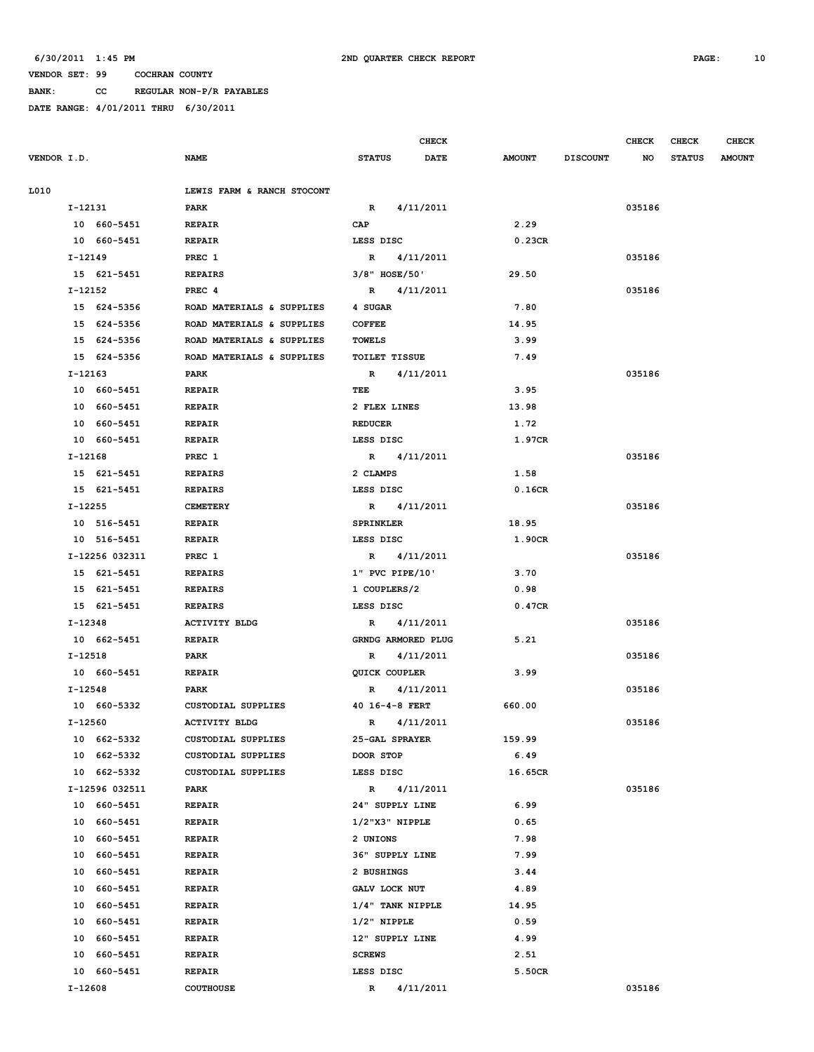**BANK: CC REGULAR NON-P/R PAYABLES**

|             |                |                            |                      | CHECK       |               |                 | <b>CHECK</b> | CHECK         | <b>CHECK</b>  |
|-------------|----------------|----------------------------|----------------------|-------------|---------------|-----------------|--------------|---------------|---------------|
| VENDOR I.D. |                | <b>NAME</b>                | <b>STATUS</b>        | <b>DATE</b> | <b>AMOUNT</b> | <b>DISCOUNT</b> | NO           | <b>STATUS</b> | <b>AMOUNT</b> |
| L010        |                | LEWIS FARM & RANCH STOCONT |                      |             |               |                 |              |               |               |
|             | I-12131        | PARK                       | $\mathbf{R}$         | 4/11/2011   |               |                 | 035186       |               |               |
|             | 10 660-5451    | <b>REPAIR</b>              | CAP                  |             | 2.29          |                 |              |               |               |
|             | 10 660-5451    | <b>REPAIR</b>              | LESS DISC            |             | 0.23CR        |                 |              |               |               |
|             | I-12149        | PREC 1                     | R                    | 4/11/2011   |               |                 | 035186       |               |               |
|             | 15 621-5451    | <b>REPAIRS</b>             | $3/8"$ HOSE/50'      |             | 29.50         |                 |              |               |               |
|             | I-12152        | PREC <sub>4</sub>          | R 4/11/2011          |             |               |                 | 035186       |               |               |
|             | 15 624-5356    | ROAD MATERIALS & SUPPLIES  | 4 SUGAR              |             | 7.80          |                 |              |               |               |
|             | 15 624-5356    | ROAD MATERIALS & SUPPLIES  | <b>COFFEE</b>        |             | 14.95         |                 |              |               |               |
|             | 15 624-5356    | ROAD MATERIALS & SUPPLIES  | TOWELS               |             | 3.99          |                 |              |               |               |
|             | 15 624-5356    | ROAD MATERIALS & SUPPLIES  | <b>TOILET TISSUE</b> |             | 7.49          |                 |              |               |               |
|             | I-12163        | PARK                       | R                    | 4/11/2011   |               |                 | 035186       |               |               |
|             | 10 660-5451    | <b>REPAIR</b>              | TEE                  |             | 3.95          |                 |              |               |               |
|             | 10 660-5451    | <b>REPAIR</b>              | 2 FLEX LINES         |             | 13.98         |                 |              |               |               |
|             | 10 660-5451    | <b>REPAIR</b>              | <b>REDUCER</b>       |             | 1.72          |                 |              |               |               |
|             | 10 660-5451    | <b>REPAIR</b>              | LESS DISC            |             | 1.97CR        |                 |              |               |               |
|             | I-12168        | PREC 1                     | R 4/11/2011          |             |               |                 | 035186       |               |               |
|             | 15 621-5451    | <b>REPAIRS</b>             | 2 CLAMPS             |             | 1.58          |                 |              |               |               |
|             | 15 621-5451    | <b>REPAIRS</b>             | LESS DISC            |             | 0.16CR        |                 |              |               |               |
|             | I-12255        | <b>CEMETERY</b>            | R 4/11/2011          |             |               |                 | 035186       |               |               |
|             | 10 516-5451    | <b>REPAIR</b>              | <b>SPRINKLER</b>     |             | 18.95         |                 |              |               |               |
|             | 10 516-5451    | <b>REPAIR</b>              | LESS DISC            |             | 1.90CR        |                 |              |               |               |
|             | I-12256 032311 | PREC 1                     | R 4/11/2011          |             |               |                 | 035186       |               |               |
|             | 15 621-5451    | <b>REPAIRS</b>             | $1"$ PVC PIPE/10'    |             | 3.70          |                 |              |               |               |
|             | 15 621-5451    | <b>REPAIRS</b>             | 1 COUPLERS/2         |             | 0.98          |                 |              |               |               |
|             | 15 621-5451    | <b>REPAIRS</b>             | LESS DISC            |             | 0.47CR        |                 |              |               |               |
|             | I-12348        | <b>ACTIVITY BLDG</b>       | $\mathbb{R}$         | 4/11/2011   |               |                 | 035186       |               |               |
|             | 10 662-5451    | <b>REPAIR</b>              | GRNDG ARMORED PLUG   |             | 5.21          |                 |              |               |               |
|             | I-12518        | PARK                       | R                    | 4/11/2011   |               |                 | 035186       |               |               |
|             | 10 660-5451    | <b>REPAIR</b>              | QUICK COUPLER        |             | 3.99          |                 |              |               |               |
|             | I-12548        | PARK                       | $\mathbf{R}$         | 4/11/2011   |               |                 | 035186       |               |               |
|             | 10 660-5332    | CUSTODIAL SUPPLIES         | 40 16-4-8 FERT       |             | 660.00        |                 |              |               |               |
|             | I-12560        | <b>ACTIVITY BLDG</b>       | $\mathbb{R}$         | 4/11/2011   |               |                 | 035186       |               |               |
|             | 10 662-5332    | <b>CUSTODIAL SUPPLIES</b>  | 25-GAL SPRAYER       |             | 159.99        |                 |              |               |               |
|             | 10 662-5332    | CUSTODIAL SUPPLIES         | DOOR STOP            |             | 6.49          |                 |              |               |               |
|             | 10 662-5332    | CUSTODIAL SUPPLIES         | LESS DISC            |             | 16.65CR       |                 |              |               |               |
|             | I-12596 032511 | PARK                       | $\mathbb{R}$         | 4/11/2011   |               |                 | 035186       |               |               |
|             | 10 660-5451    | REPAIR                     | 24" SUPPLY LINE      |             | 6.99          |                 |              |               |               |
|             | 10 660-5451    | <b>REPAIR</b>              | $1/2$ "X3" NIPPLE    |             | 0.65          |                 |              |               |               |
|             | 10 660-5451    | REPAIR                     | 2 UNIONS             |             | 7.98          |                 |              |               |               |
|             | 660-5451<br>10 | REPAIR                     | 36" SUPPLY LINE      |             | 7.99          |                 |              |               |               |
|             | 10 660-5451    | REPAIR                     | 2 BUSHINGS           |             | 3.44          |                 |              |               |               |
|             | 10 660-5451    | REPAIR                     | GALV LOCK NUT        |             | 4.89          |                 |              |               |               |
|             | 10 660-5451    | REPAIR                     | $1/4$ " TANK NIPPLE  |             | 14.95         |                 |              |               |               |
|             | 10 660-5451    | <b>REPAIR</b>              | $1/2$ " NIPPLE       |             | 0.59          |                 |              |               |               |
|             | 10 660-5451    | REPAIR                     | 12" SUPPLY LINE      |             | 4.99          |                 |              |               |               |
|             | 10 660-5451    | REPAIR                     | <b>SCREWS</b>        |             | 2.51          |                 |              |               |               |
|             | 10 660-5451    | REPAIR                     | LESS DISC            |             | 5.50CR        |                 |              |               |               |
|             | I-12608        | <b>COUTHOUSE</b>           | R                    | 4/11/2011   |               |                 | 035186       |               |               |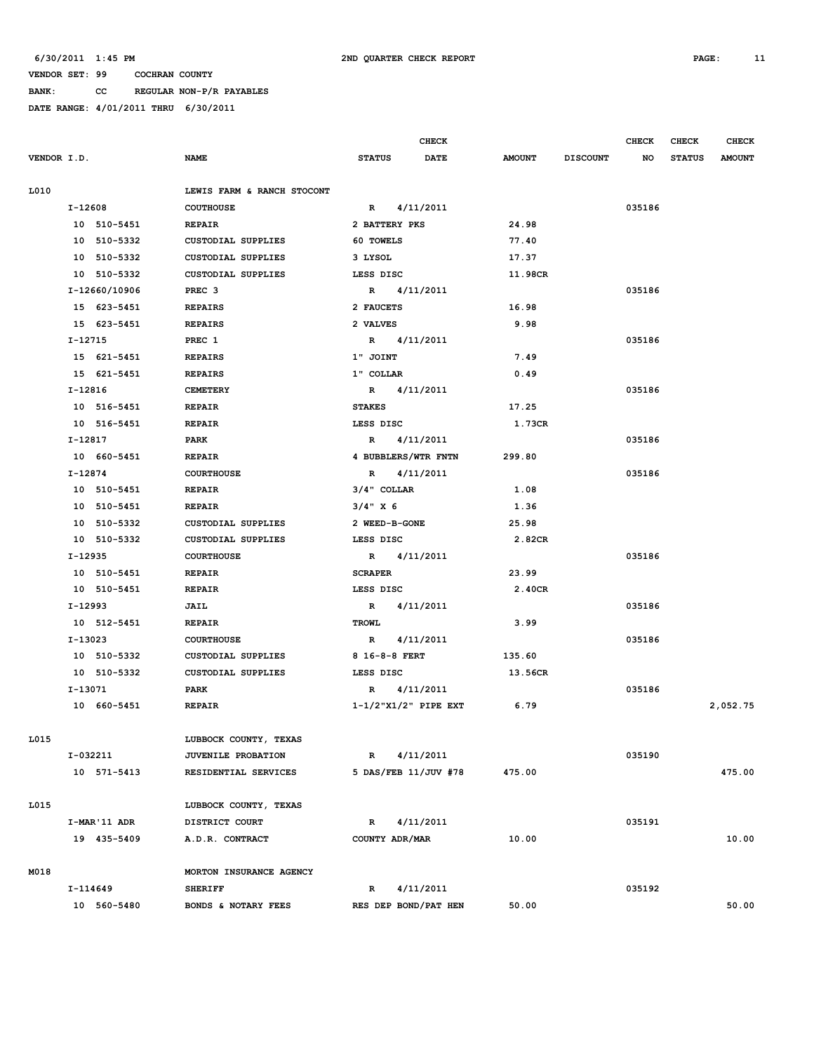**BANK: CC REGULAR NON-P/R PAYABLES**

|               |                            |                             | <b>CHECK</b> |               |                 | <b>CHECK</b> | <b>CHECK</b>  | <b>CHECK</b>  |
|---------------|----------------------------|-----------------------------|--------------|---------------|-----------------|--------------|---------------|---------------|
| VENDOR I.D.   | <b>NAME</b>                | <b>STATUS</b>               | DATE         | <b>AMOUNT</b> | <b>DISCOUNT</b> | NO           | <b>STATUS</b> | <b>AMOUNT</b> |
|               |                            |                             |              |               |                 |              |               |               |
| L010          | LEWIS FARM & RANCH STOCONT |                             |              |               |                 |              |               |               |
| $I-12608$     | <b>COUTHOUSE</b>           | R                           | 4/11/2011    |               |                 | 035186       |               |               |
| 10 510-5451   | <b>REPAIR</b>              | 2 BATTERY PKS               |              | 24.98         |                 |              |               |               |
| 10 510-5332   | <b>CUSTODIAL SUPPLIES</b>  | 60 TOWELS                   |              | 77.40         |                 |              |               |               |
| 10 510-5332   | <b>CUSTODIAL SUPPLIES</b>  | 3 LYSOL                     |              | 17.37         |                 |              |               |               |
| 10 510-5332   | <b>CUSTODIAL SUPPLIES</b>  | LESS DISC                   |              | 11.98CR       |                 |              |               |               |
| I-12660/10906 | PREC <sub>3</sub>          | R 4/11/2011                 |              |               |                 | 035186       |               |               |
| 15 623-5451   | <b>REPAIRS</b>             | 2 FAUCETS                   |              | 16.98         |                 |              |               |               |
| 15 623-5451   | <b>REPAIRS</b>             | 2 VALVES                    |              | 9.98          |                 |              |               |               |
| I-12715       | PREC 1                     | R 4/11/2011                 |              |               |                 | 035186       |               |               |
| 15 621-5451   | <b>REPAIRS</b>             | 1" JOINT                    |              | 7.49          |                 |              |               |               |
| 15 621-5451   | <b>REPAIRS</b>             | 1" COLLAR                   |              | 0.49          |                 |              |               |               |
| I-12816       | <b>CEMETERY</b>            | R 4/11/2011                 |              |               |                 | 035186       |               |               |
| 10 516-5451   | <b>REPAIR</b>              | <b>STAKES</b>               |              | 17.25         |                 |              |               |               |
| 10 516-5451   | <b>REPAIR</b>              | LESS DISC                   |              | 1.73CR        |                 |              |               |               |
| I-12817       | PARK                       | $\mathbb{R}$                | 4/11/2011    |               |                 | 035186       |               |               |
| 10 660-5451   | <b>REPAIR</b>              | 4 BUBBLERS/WTR FNTN         |              | 299.80        |                 |              |               |               |
| I-12874       | <b>COURTHOUSE</b>          | R 4/11/2011                 |              |               |                 | 035186       |               |               |
| 10 510-5451   | <b>REPAIR</b>              | $3/4$ " COLLAR              |              | 1.08          |                 |              |               |               |
| 10 510-5451   | <b>REPAIR</b>              | $3/4$ " X 6                 |              | 1.36          |                 |              |               |               |
| 10 510-5332   | <b>CUSTODIAL SUPPLIES</b>  | 2 WEED-B-GONE               |              | 25.98         |                 |              |               |               |
| 10 510-5332   | CUSTODIAL SUPPLIES         | LESS DISC                   |              | 2.82CR        |                 |              |               |               |
| I-12935       | <b>COURTHOUSE</b>          | R 4/11/2011                 |              |               |                 | 035186       |               |               |
| 10 510-5451   | <b>REPAIR</b>              | <b>SCRAPER</b>              |              | 23.99         |                 |              |               |               |
| 10 510-5451   | <b>REPAIR</b>              | LESS DISC                   |              | 2.40CR        |                 |              |               |               |
| I-12993       | JAIL                       | R 4/11/2011                 |              |               |                 | 035186       |               |               |
| 10 512-5451   | <b>REPAIR</b>              | <b>TROWL</b>                |              | 3.99          |                 |              |               |               |
| I-13023       | <b>COURTHOUSE</b>          | R 4/11/2011                 |              |               |                 | 035186       |               |               |
| 10 510-5332   | <b>CUSTODIAL SUPPLIES</b>  | 8 16-8-8 FERT               |              | 135.60        |                 |              |               |               |
| 10 510-5332   | <b>CUSTODIAL SUPPLIES</b>  | LESS DISC                   |              | 13.56CR       |                 |              |               |               |
| I-13071       | PARK                       | R                           | 4/11/2011    |               |                 | 035186       |               |               |
| 10 660-5451   | <b>REPAIR</b>              | $1-1/2$ "X $1/2$ " PIPE EXT |              | 6.79          |                 |              |               | 2,052.75      |
|               |                            |                             |              |               |                 |              |               |               |
| L015          | LUBBOCK COUNTY, TEXAS      |                             |              |               |                 |              |               |               |
| I-032211      | JUVENILE PROBATION         | R                           | 4/11/2011    |               |                 | 035190       |               |               |
| 10 571-5413   | RESIDENTIAL SERVICES       | 5 DAS/FEB 11/JUV #78        |              | 475.00        |                 |              |               | 475.00        |
|               |                            |                             |              |               |                 |              |               |               |
| L015          | LUBBOCK COUNTY, TEXAS      |                             |              |               |                 |              |               |               |
| I-MAR'11 ADR  | DISTRICT COURT             | $\mathbb{R}$                | 4/11/2011    |               |                 | 035191       |               |               |
| 19 435-5409   | A.D.R. CONTRACT            | COUNTY ADR/MAR              |              | 10.00         |                 |              |               | 10.00         |
|               |                            |                             |              |               |                 |              |               |               |
| M018          | MORTON INSURANCE AGENCY    |                             |              |               |                 |              |               |               |
| I-114649      | <b>SHERIFF</b>             | R                           | 4/11/2011    |               |                 | 035192       |               |               |
| 10 560-5480   | BONDS & NOTARY FEES        | RES DEP BOND/PAT HEN        |              | 50.00         |                 |              |               | 50.00         |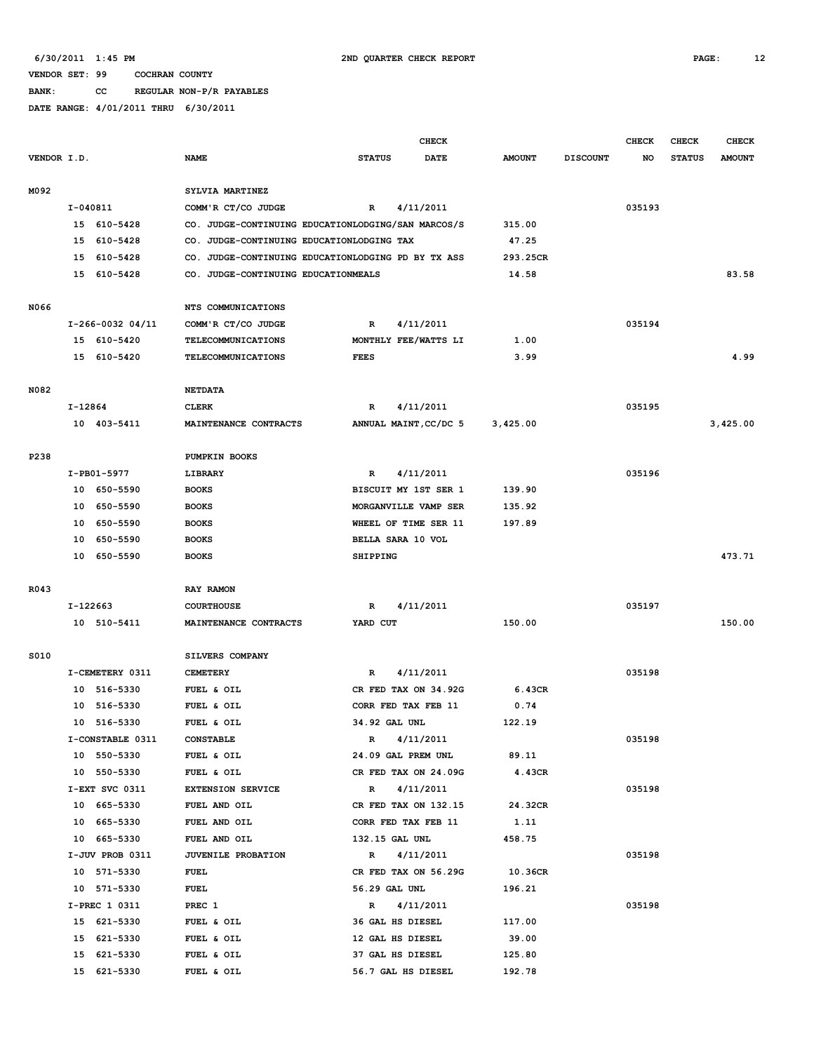**BANK: CC REGULAR NON-P/R PAYABLES**

|             |            |                            |                                                    |                                      | <b>CHECK</b>          |                 |                 | <b>CHECK</b> | <b>CHECK</b>  | <b>CHECK</b>  |
|-------------|------------|----------------------------|----------------------------------------------------|--------------------------------------|-----------------------|-----------------|-----------------|--------------|---------------|---------------|
| VENDOR I.D. |            |                            | <b>NAME</b>                                        | <b>STATUS</b>                        | <b>DATE</b>           | <b>AMOUNT</b>   | <b>DISCOUNT</b> | NO.          | <b>STATUS</b> | <b>AMOUNT</b> |
|             |            |                            |                                                    |                                      |                       |                 |                 |              |               |               |
| M092        |            |                            | SYLVIA MARTINEZ                                    |                                      |                       |                 |                 |              |               |               |
|             | $I-040811$ |                            | COMM'R CT/CO JUDGE                                 | R                                    | 4/11/2011             |                 |                 | 035193       |               |               |
|             |            | 15 610-5428                | CO. JUDGE-CONTINUING EDUCATIONLODGING/SAN MARCOS/S |                                      |                       | 315.00          |                 |              |               |               |
|             | 15         | 610-5428                   | CO. JUDGE-CONTINUING EDUCATIONLODGING TAX          |                                      |                       | 47.25           |                 |              |               |               |
|             | 15         | 610-5428                   | CO. JUDGE-CONTINUING EDUCATIONLODGING PD BY TX ASS |                                      |                       | 293.25CR        |                 |              |               |               |
|             |            | 15 610-5428                | CO. JUDGE-CONTINUING EDUCATIONMEALS                |                                      |                       | 14.58           |                 |              |               | 83.58         |
|             |            |                            |                                                    |                                      |                       |                 |                 |              |               |               |
| N066        |            |                            | NTS COMMUNICATIONS                                 |                                      |                       |                 |                 |              |               |               |
|             |            | $I-266-0032$ 04/11         | COMM'R CT/CO JUDGE                                 | R                                    | 4/11/2011             |                 |                 | 035194       |               |               |
|             |            | 15 610-5420                | <b>TELECOMMUNICATIONS</b>                          |                                      | MONTHLY FEE/WATTS LI  | 1.00            |                 |              |               |               |
|             |            | 15 610-5420                | <b>TELECOMMUNICATIONS</b>                          | <b>FEES</b>                          |                       | 3.99            |                 |              |               | 4.99          |
| N082        |            |                            | <b>NETDATA</b>                                     |                                      |                       |                 |                 |              |               |               |
|             | I-12864    |                            | <b>CLERK</b>                                       | R                                    | 4/11/2011             |                 |                 | 035195       |               |               |
|             |            | 10 403-5411                | MAINTENANCE CONTRACTS                              |                                      | ANNUAL MAINT, CC/DC 5 | 3,425.00        |                 |              |               | 3,425.00      |
|             |            |                            |                                                    |                                      |                       |                 |                 |              |               |               |
| P238        |            |                            | PUMPKIN BOOKS                                      |                                      |                       |                 |                 |              |               |               |
|             |            | I-PB01-5977                | LIBRARY                                            | R                                    | 4/11/2011             |                 |                 | 035196       |               |               |
|             |            | 10 650-5590                | <b>BOOKS</b>                                       |                                      | BISCUIT MY 1ST SER 1  | 139.90          |                 |              |               |               |
|             |            | 10 650-5590                | <b>BOOKS</b>                                       |                                      | MORGANVILLE VAMP SER  | 135.92          |                 |              |               |               |
|             | 10         | 650-5590                   | <b>BOOKS</b>                                       |                                      | WHEEL OF TIME SER 11  | 197.89          |                 |              |               |               |
|             | 10         | 650-5590                   | <b>BOOKS</b>                                       |                                      | BELLA SARA 10 VOL     |                 |                 |              |               |               |
|             |            | 10 650-5590                | <b>BOOKS</b>                                       | <b>SHIPPING</b>                      |                       |                 |                 |              |               | 473.71        |
|             |            |                            |                                                    |                                      |                       |                 |                 |              |               |               |
| R043        |            |                            | RAY RAMON                                          |                                      |                       |                 |                 |              |               |               |
|             | I-122663   |                            | <b>COURTHOUSE</b>                                  | R                                    | 4/11/2011             |                 |                 | 035197       |               |               |
|             |            | 10 510-5411                | MAINTENANCE CONTRACTS                              | YARD CUT                             |                       | 150.00          |                 |              |               | 150.00        |
|             |            |                            |                                                    |                                      |                       |                 |                 |              |               |               |
| S010        |            |                            | SILVERS COMPANY                                    |                                      |                       |                 |                 |              |               |               |
|             |            | I-CEMETERY 0311            | <b>CEMETERY</b>                                    | R                                    | 4/11/2011             |                 |                 | 035198       |               |               |
|             |            | 10 516-5330                | FUEL & OIL                                         |                                      | CR FED TAX ON 34.92G  | 6.43CR          |                 |              |               |               |
|             |            | 10 516-5330                | FUEL & OIL                                         |                                      | CORR FED TAX FEB 11   | 0.74            |                 |              |               |               |
|             |            | 10 516-5330                | FUEL & OIL                                         | 34.92 GAL UNL                        |                       | 122.19          |                 |              |               |               |
|             |            | I-CONSTABLE 0311           | <b>CONSTABLE</b>                                   | R                                    | 4/11/2011             |                 |                 | 035198       |               |               |
|             |            | 10 550-5330                | FUEL & OIL                                         |                                      | 24.09 GAL PREM UNL    | 89.11           |                 |              |               |               |
|             |            | 10 550-5330                | FUEL & OIL                                         |                                      | CR FED TAX ON 24.09G  | 4.43CR          |                 |              |               |               |
|             |            | I-EXT SVC 0311             | <b>EXTENSION SERVICE</b>                           |                                      | R 4/11/2011           |                 |                 | 035198       |               |               |
|             |            | 10 665-5330                | FUEL AND OIL                                       |                                      | CR FED TAX ON 132.15  | 24.32CR         |                 |              |               |               |
|             |            | 10 665-5330                | FUEL AND OIL                                       |                                      | CORR FED TAX FEB 11   | 1.11            |                 |              |               |               |
|             |            | 10 665-5330                | FUEL AND OIL                                       | 132.15 GAL UNL                       |                       | 458.75          |                 |              |               |               |
|             |            | I-JUV PROB 0311            | JUVENILE PROBATION                                 |                                      | R 4/11/2011           |                 |                 | 035198       |               |               |
|             |            | 10 571-5330                | <b>FUEL</b>                                        |                                      | CR FED TAX ON 56.29G  | 10.36CR         |                 |              |               |               |
|             |            | 10 571-5330                | FUEL                                               | 56.29 GAL UNL                        |                       | 196.21          |                 |              |               |               |
|             |            | I-PREC 1 0311              | PREC 1                                             |                                      | R 4/11/2011           |                 |                 | 035198       |               |               |
|             |            | 15 621-5330                | FUEL & OIL                                         | 36 GAL HS DIESEL                     |                       | 117.00          |                 |              |               |               |
|             |            | 15 621-5330<br>15 621-5330 | FUEL & OIL<br>FUEL & OIL                           | 12 GAL HS DIESEL<br>37 GAL HS DIESEL |                       | 39.00<br>125.80 |                 |              |               |               |
|             |            | 15 621-5330                | FUEL & OIL                                         |                                      | 56.7 GAL HS DIESEL    | 192.78          |                 |              |               |               |
|             |            |                            |                                                    |                                      |                       |                 |                 |              |               |               |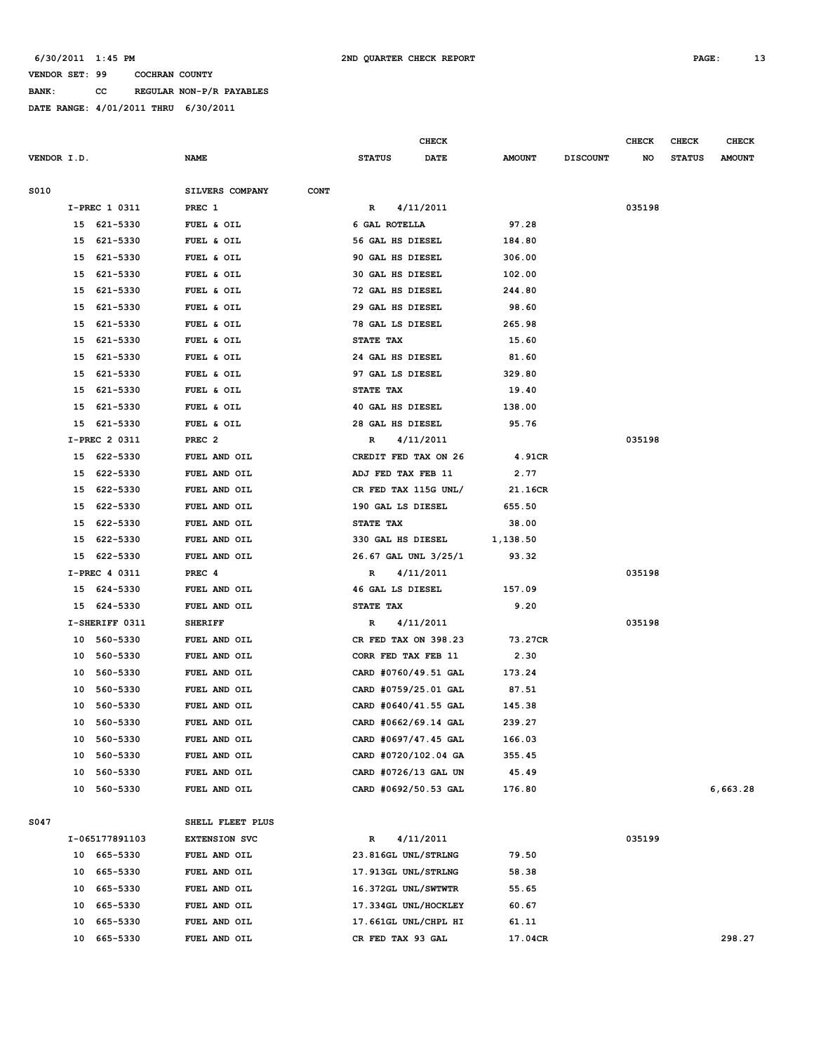**BANK: CC REGULAR NON-P/R PAYABLES**

|             |    |                |                                |                  | <b>CHECK</b>         |               |                 | <b>CHECK</b> | <b>CHECK</b>  | <b>CHECK</b>  |
|-------------|----|----------------|--------------------------------|------------------|----------------------|---------------|-----------------|--------------|---------------|---------------|
| VENDOR I.D. |    |                | <b>NAME</b>                    | <b>STATUS</b>    | <b>DATE</b>          | <b>AMOUNT</b> | <b>DISCOUNT</b> | NO           | <b>STATUS</b> | <b>AMOUNT</b> |
| S010        |    |                | SILVERS COMPANY<br><b>CONT</b> |                  |                      |               |                 |              |               |               |
|             |    | I-PREC 1 0311  | PREC 1                         | R                | 4/11/2011            |               |                 | 035198       |               |               |
|             |    | 15 621-5330    | FUEL & OIL                     | 6 GAL ROTELLA    |                      | 97.28         |                 |              |               |               |
|             |    | 15 621-5330    | FUEL & OIL                     | 56 GAL HS DIESEL |                      | 184.80        |                 |              |               |               |
|             | 15 | 621-5330       | FUEL & OIL                     | 90 GAL HS DIESEL |                      | 306.00        |                 |              |               |               |
|             | 15 | 621-5330       | FUEL & OIL                     | 30 GAL HS DIESEL |                      | 102.00        |                 |              |               |               |
|             | 15 | 621-5330       | FUEL & OIL                     | 72 GAL HS DIESEL |                      | 244.80        |                 |              |               |               |
|             | 15 | 621-5330       | FUEL & OIL                     | 29 GAL HS DIESEL |                      | 98.60         |                 |              |               |               |
|             | 15 | 621-5330       | FUEL & OIL                     | 78 GAL LS DIESEL |                      | 265.98        |                 |              |               |               |
|             | 15 | 621-5330       | FUEL & OIL                     | STATE TAX        |                      | 15.60         |                 |              |               |               |
|             | 15 | 621-5330       | FUEL & OIL                     | 24 GAL HS DIESEL |                      | 81.60         |                 |              |               |               |
|             | 15 | 621-5330       | FUEL & OIL                     | 97 GAL LS DIESEL |                      | 329.80        |                 |              |               |               |
|             | 15 | 621-5330       | FUEL & OIL                     | STATE TAX        |                      | 19.40         |                 |              |               |               |
|             | 15 | 621-5330       | FUEL & OIL                     | 40 GAL HS DIESEL |                      | 138.00        |                 |              |               |               |
|             | 15 | 621-5330       | FUEL & OIL                     | 28 GAL HS DIESEL |                      | 95.76         |                 |              |               |               |
|             |    | I-PREC 2 0311  | PREC <sub>2</sub>              | R                | 4/11/2011            |               |                 | 035198       |               |               |
|             |    | 15 622-5330    | FUEL AND OIL                   |                  | CREDIT FED TAX ON 26 | 4.91CR        |                 |              |               |               |
|             |    | 15 622-5330    | FUEL AND OIL                   |                  | ADJ FED TAX FEB 11   | 2.77          |                 |              |               |               |
|             | 15 | 622-5330       | FUEL AND OIL                   |                  | CR FED TAX 115G UNL/ | 21.16CR       |                 |              |               |               |
|             | 15 | 622-5330       | FUEL AND OIL                   |                  | 190 GAL LS DIESEL    | 655.50        |                 |              |               |               |
|             | 15 | 622-5330       | FUEL AND OIL                   | STATE TAX        |                      | 38.00         |                 |              |               |               |
|             | 15 | 622-5330       | FUEL AND OIL                   |                  | 330 GAL HS DIESEL    | 1,138.50      |                 |              |               |               |
|             | 15 | 622-5330       | FUEL AND OIL                   |                  | 26.67 GAL UNL 3/25/1 | 93.32         |                 |              |               |               |
|             |    | I-PREC 4 0311  | PREC 4                         | R                | 4/11/2011            |               |                 | 035198       |               |               |
|             |    | 15 624-5330    | FUEL AND OIL                   | 46 GAL LS DIESEL |                      | 157.09        |                 |              |               |               |
|             |    | 15 624-5330    | FUEL AND OIL                   | STATE TAX        |                      | 9.20          |                 |              |               |               |
|             |    | I-SHERIFF 0311 | <b>SHERIFF</b>                 | R                | 4/11/2011            |               |                 | 035198       |               |               |
|             |    | 10 560-5330    | FUEL AND OIL                   |                  | CR FED TAX ON 398.23 | 73.27CR       |                 |              |               |               |
|             | 10 | 560-5330       | FUEL AND OIL                   |                  | CORR FED TAX FEB 11  | 2.30          |                 |              |               |               |
|             | 10 | 560-5330       | FUEL AND OIL                   |                  | CARD #0760/49.51 GAL | 173.24        |                 |              |               |               |
|             | 10 | 560-5330       | FUEL AND OIL                   |                  | CARD #0759/25.01 GAL | 87.51         |                 |              |               |               |
|             | 10 | 560-5330       | FUEL AND OIL                   |                  | CARD #0640/41.55 GAL | 145.38        |                 |              |               |               |
|             |    | 10 560-5330    | FUEL AND OIL                   |                  | CARD #0662/69.14 GAL | 239.27        |                 |              |               |               |
|             | 10 | 560-5330       | FUEL AND OIL                   |                  | CARD #0697/47.45 GAL | 166.03        |                 |              |               |               |
|             | 10 | 560-5330       | FUEL AND OIL                   |                  | CARD #0720/102.04 GA | 355.45        |                 |              |               |               |
|             | 10 | 560-5330       | FUEL AND OIL                   |                  | CARD #0726/13 GAL UN | 45.49         |                 |              |               |               |
|             | 10 | 560-5330       | FUEL AND OIL                   |                  | CARD #0692/50.53 GAL | 176.80        |                 |              |               | 6,663.28      |
| S047        |    |                | SHELL FLEET PLUS               |                  |                      |               |                 |              |               |               |
|             |    | I-065177891103 | <b>EXTENSION SVC</b>           | R                | 4/11/2011            |               |                 | 035199       |               |               |
|             |    | 10 665-5330    | FUEL AND OIL                   |                  | 23.816GL UNL/STRLNG  | 79.50         |                 |              |               |               |
|             | 10 | 665-5330       | FUEL AND OIL                   |                  | 17.913GL UNL/STRLNG  | 58.38         |                 |              |               |               |
|             | 10 | 665-5330       | FUEL AND OIL                   |                  | 16.372GL UNL/SWTWTR  | 55.65         |                 |              |               |               |
|             | 10 | 665-5330       | FUEL AND OIL                   |                  | 17.334GL UNL/HOCKLEY | 60.67         |                 |              |               |               |
|             | 10 | 665-5330       | FUEL AND OIL                   |                  | 17.661GL UNL/CHPL HI | 61.11         |                 |              |               |               |
|             | 10 | 665-5330       | FUEL AND OIL                   |                  | CR FED TAX 93 GAL    | 17.04CR       |                 |              |               | 298.27        |
|             |    |                |                                |                  |                      |               |                 |              |               |               |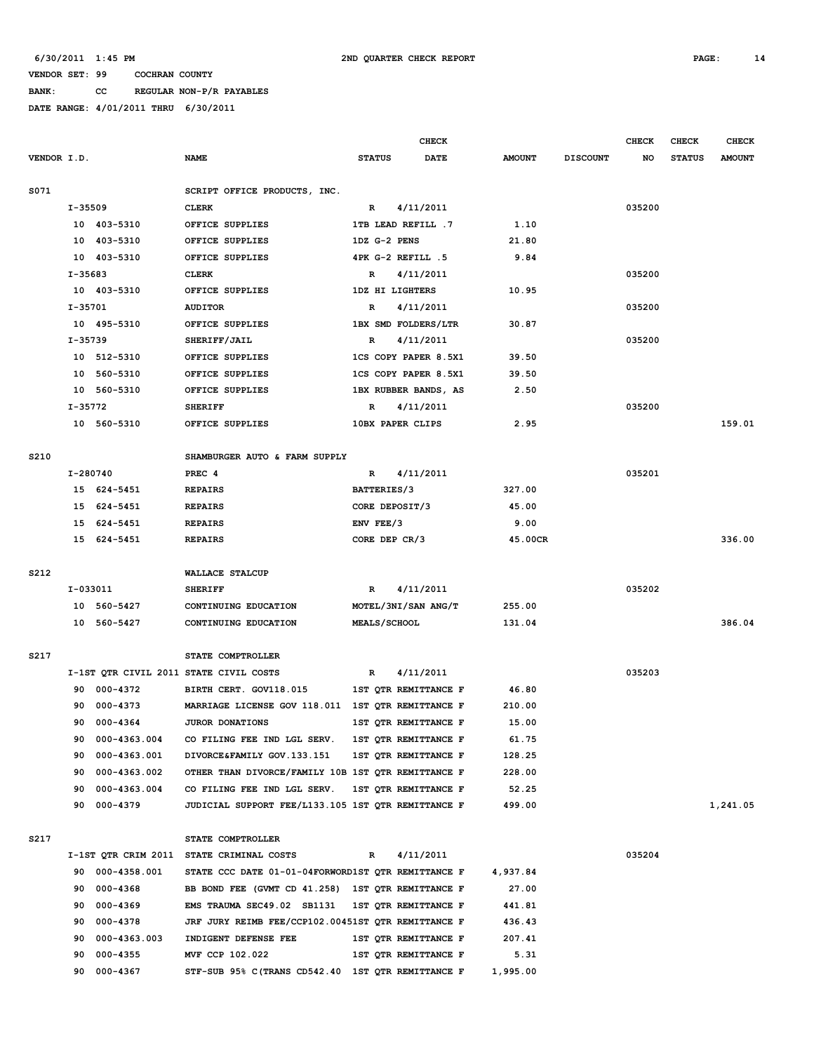**BANK: CC REGULAR NON-P/R PAYABLES**

|             |           |              |                                                    |   |               | CHECK                |               |                 | <b>CHECK</b> | <b>CHECK</b>  | <b>CHECK</b>  |
|-------------|-----------|--------------|----------------------------------------------------|---|---------------|----------------------|---------------|-----------------|--------------|---------------|---------------|
| VENDOR I.D. |           |              | <b>NAME</b>                                        |   | <b>STATUS</b> | <b>DATE</b>          | <b>AMOUNT</b> | <b>DISCOUNT</b> | NO           | <b>STATUS</b> | <b>AMOUNT</b> |
| S071        |           |              | SCRIPT OFFICE PRODUCTS, INC.                       |   |               |                      |               |                 |              |               |               |
|             | I-35509   |              | <b>CLERK</b>                                       |   | R             | 4/11/2011            |               |                 | 035200       |               |               |
|             |           | 10 403-5310  | OFFICE SUPPLIES                                    |   |               | 1TB LEAD REFILL .7   | 1.10          |                 |              |               |               |
|             |           | 10 403-5310  | OFFICE SUPPLIES                                    |   | 1DZ G-2 PENS  |                      | 21.80         |                 |              |               |               |
|             |           | 10 403-5310  | OFFICE SUPPLIES                                    |   |               | 4PK G-2 REFILL .5    | 9.84          |                 |              |               |               |
|             | I-35683   |              | <b>CLERK</b>                                       | R |               | 4/11/2011            |               |                 | 035200       |               |               |
|             |           | 10 403-5310  | OFFICE SUPPLIES                                    |   |               | 1DZ HI LIGHTERS      | 10.95         |                 |              |               |               |
|             | $I-35701$ |              | <b>AUDITOR</b>                                     | R |               | 4/11/2011            |               |                 | 035200       |               |               |
|             |           | 10 495-5310  | OFFICE SUPPLIES                                    |   |               | 1BX SMD FOLDERS/LTR  | 30.87         |                 |              |               |               |
|             | $I-35739$ |              | SHERIFF/JAIL                                       | R |               | 4/11/2011            |               |                 | 035200       |               |               |
|             |           | 10 512-5310  | OFFICE SUPPLIES                                    |   |               | 1CS COPY PAPER 8.5X1 | 39.50         |                 |              |               |               |
|             |           | 10 560-5310  | OFFICE SUPPLIES                                    |   |               | 1CS COPY PAPER 8.5X1 | 39.50         |                 |              |               |               |
|             |           | 10 560-5310  | OFFICE SUPPLIES                                    |   |               | 1BX RUBBER BANDS, AS | 2.50          |                 |              |               |               |
|             | $I-35772$ |              | <b>SHERIFF</b>                                     | R |               | 4/11/2011            |               |                 | 035200       |               |               |
|             |           | 10 560-5310  | OFFICE SUPPLIES                                    |   |               | 10BX PAPER CLIPS     | 2.95          |                 |              |               | 159.01        |
|             |           |              |                                                    |   |               |                      |               |                 |              |               |               |
| S210        |           |              | SHAMBURGER AUTO & FARM SUPPLY                      |   |               |                      |               |                 |              |               |               |
|             | I-280740  |              | PREC 4                                             | R |               | 4/11/2011            |               |                 | 035201       |               |               |
|             |           | 15 624-5451  | <b>REPAIRS</b>                                     |   | BATTERIES/3   |                      | 327.00        |                 |              |               |               |
|             |           | 15 624-5451  | <b>REPAIRS</b>                                     |   |               | CORE DEPOSIT/3       | 45.00         |                 |              |               |               |
|             | 15        | 624-5451     | <b>REPAIRS</b>                                     |   | ENV FEE/3     |                      | 9.00          |                 |              |               |               |
|             |           | 15 624-5451  | <b>REPAIRS</b>                                     |   | CORE DEP CR/3 |                      | 45.00CR       |                 |              |               | 336.00        |
|             |           |              |                                                    |   |               |                      |               |                 |              |               |               |
| S212        |           |              | WALLACE STALCUP                                    |   |               |                      |               |                 |              |               |               |
|             | I-033011  |              | <b>SHERIFF</b>                                     |   | R             | 4/11/2011            |               |                 | 035202       |               |               |
|             |           | 10 560-5427  | CONTINUING EDUCATION                               |   |               | MOTEL/3NI/SAN ANG/T  | 255.00        |                 |              |               |               |
|             |           | 10 560-5427  | CONTINUING EDUCATION                               |   | MEALS/SCHOOL  |                      | 131.04        |                 |              |               | 386.04        |
|             |           |              |                                                    |   |               |                      |               |                 |              |               |               |
| S217        |           |              | STATE COMPTROLLER                                  |   |               |                      |               |                 |              |               |               |
|             |           |              | I-1ST QTR CIVIL 2011 STATE CIVIL COSTS             | R |               | 4/11/2011            |               |                 | 035203       |               |               |
|             |           | 90 000-4372  | BIRTH CERT. GOV118.015                             |   |               | 1ST QTR REMITTANCE F | 46.80         |                 |              |               |               |
|             | 90        | 000-4373     | MARRIAGE LICENSE GOV 118.011 1ST QTR REMITTANCE F  |   |               |                      | 210.00        |                 |              |               |               |
|             | 90        | 000-4364     | JUROR DONATIONS                                    |   |               | 1ST OTR REMITTANCE F | 15.00         |                 |              |               |               |
|             | 90        | 000-4363.004 | CO FILING FEE IND LGL SERV.                        |   |               | 1ST QTR REMITTANCE F | 61.75         |                 |              |               |               |
|             | 90        | 000-4363.001 | DIVORCE&FAMILY GOV.133.151                         |   |               | 1ST QTR REMITTANCE F | 128.25        |                 |              |               |               |
|             | 90        | 000-4363.002 | OTHER THAN DIVORCE/FAMILY 10B 1ST QTR REMITTANCE F |   |               |                      | 228.00        |                 |              |               |               |
|             | 90        | 000-4363.004 | CO FILING FEE IND LGL SERV.                        |   |               | 1ST QTR REMITTANCE F | 52.25         |                 |              |               |               |
|             | 90        | 000-4379     | JUDICIAL SUPPORT FEE/L133.105 1ST QTR REMITTANCE F |   |               |                      | 499.00        |                 |              |               | 1,241.05      |
|             |           |              |                                                    |   |               |                      |               |                 |              |               |               |
| S217        |           |              | STATE COMPTROLLER                                  |   |               |                      |               |                 |              |               |               |
|             |           |              | I-1ST QTR CRIM 2011 STATE CRIMINAL COSTS           |   | R             | 4/11/2011            |               |                 | 035204       |               |               |
|             | 90        | 000-4358.001 | STATE CCC DATE 01-01-04FORWORD1ST QTR REMITTANCE F |   |               |                      | 4,937.84      |                 |              |               |               |
|             | 90        | 000-4368     | BB BOND FEE (GVMT CD 41.258) 1ST QTR REMITTANCE F  |   |               |                      | 27.00         |                 |              |               |               |
|             | 90        | 000-4369     | EMS TRAUMA SEC49.02 SB1131                         |   |               | 1ST QTR REMITTANCE F | 441.81        |                 |              |               |               |
|             | 90        | 000-4378     | JRF JURY REIMB FEE/CCP102.00451ST QTR REMITTANCE F |   |               |                      | 436.43        |                 |              |               |               |
|             | 90        | 000-4363.003 | INDIGENT DEFENSE FEE                               |   |               | 1ST QTR REMITTANCE F | 207.41        |                 |              |               |               |
|             | 90        | $000 - 4355$ | MVF CCP 102.022                                    |   |               | 1ST QTR REMITTANCE F | 5.31          |                 |              |               |               |
|             | 90        | 000-4367     | STF-SUB 95% C(TRANS CD542.40 1ST QTR REMITTANCE F  |   |               |                      | 1,995.00      |                 |              |               |               |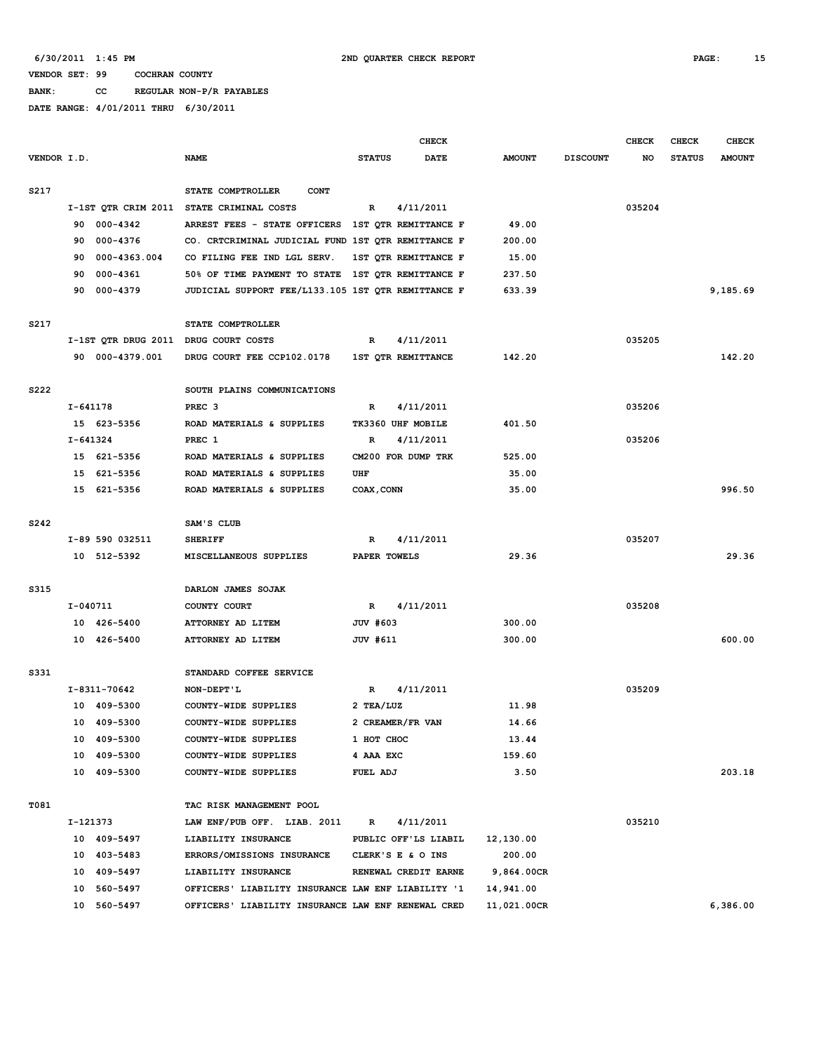**BANK: CC REGULAR NON-P/R PAYABLES DATE RANGE: 4/01/2011 THRU 6/30/2011**

| VENDOR I.D. |              |                 | <b>NAME</b>                                        | <b>STATUS</b> | <b>CHECK</b><br><b>DATE</b> | <b>AMOUNT</b> | <b>DISCOUNT</b> | <b>CHECK</b><br>NO | <b>CHECK</b><br><b>STATUS</b> | <b>CHECK</b><br><b>AMOUNT</b> |
|-------------|--------------|-----------------|----------------------------------------------------|---------------|-----------------------------|---------------|-----------------|--------------------|-------------------------------|-------------------------------|
| S217        |              |                 | STATE COMPTROLLER<br><b>CONT</b>                   |               |                             |               |                 |                    |                               |                               |
|             |              |                 | I-1ST QTR CRIM 2011 STATE CRIMINAL COSTS           | $\mathbb{R}$  | 4/11/2011                   |               |                 | 035204             |                               |                               |
|             |              | 90 000-4342     | ARREST FEES - STATE OFFICERS 1ST QTR REMITTANCE F  |               |                             | 49.00         |                 |                    |                               |                               |
|             |              | 90 000-4376     | CO. CRTCRIMINAL JUDICIAL FUND 1ST QTR REMITTANCE F |               |                             | 200.00        |                 |                    |                               |                               |
|             | 90           | 000-4363.004    | CO FILING FEE IND LGL SERV.                        |               | 1ST OTR REMITTANCE F        | 15.00         |                 |                    |                               |                               |
|             |              | 90 000-4361     | 50% OF TIME PAYMENT TO STATE 1ST QTR REMITTANCE F  |               |                             | 237.50        |                 |                    |                               |                               |
|             |              | 90 000-4379     | JUDICIAL SUPPORT FEE/L133.105 1ST QTR REMITTANCE F |               |                             | 633.39        |                 |                    |                               | 9,185.69                      |
| S217        |              |                 | STATE COMPTROLLER                                  |               |                             |               |                 |                    |                               |                               |
|             |              |                 | I-1ST QTR DRUG 2011 DRUG COURT COSTS               | R             | 4/11/2011                   |               |                 | 035205             |                               |                               |
|             |              | 90 000-4379.001 | DRUG COURT FEE CCP102.0178                         |               | 1ST QTR REMITTANCE          | 142.20        |                 |                    |                               | 142.20                        |
| S222        |              |                 | SOUTH PLAINS COMMUNICATIONS                        |               |                             |               |                 |                    |                               |                               |
|             | I-641178     |                 | PREC <sub>3</sub>                                  | R             | 4/11/2011                   |               |                 | 035206             |                               |                               |
|             |              | 15 623-5356     | ROAD MATERIALS & SUPPLIES                          |               | TK3360 UHF MOBILE           | 401.50        |                 |                    |                               |                               |
|             | $I - 641324$ |                 | PREC 1                                             | R             | 4/11/2011                   |               |                 | 035206             |                               |                               |
|             |              | 15 621-5356     | ROAD MATERIALS & SUPPLIES                          |               | CM200 FOR DUMP TRK          | 525.00        |                 |                    |                               |                               |
|             |              | 15 621-5356     | ROAD MATERIALS & SUPPLIES                          | UHF           |                             | 35.00         |                 |                    |                               |                               |
|             |              | 15 621-5356     | ROAD MATERIALS & SUPPLIES                          | COAX, CONN    |                             | 35.00         |                 |                    |                               | 996.50                        |
| S242        |              |                 | SAM'S CLUB                                         |               |                             |               |                 |                    |                               |                               |
|             |              | I-89 590 032511 | <b>SHERIFF</b>                                     | R             | 4/11/2011                   |               |                 | 035207             |                               |                               |
|             |              | 10 512-5392     | MISCELLANEOUS SUPPLIES                             | PAPER TOWELS  |                             | 29.36         |                 |                    |                               | 29.36                         |
| S315        |              |                 | DARLON JAMES SOJAK                                 |               |                             |               |                 |                    |                               |                               |
|             | I-040711     |                 | COUNTY COURT                                       | R             | 4/11/2011                   |               |                 | 035208             |                               |                               |
|             |              | 10 426-5400     | ATTORNEY AD LITEM                                  | JUV #603      |                             | 300.00        |                 |                    |                               |                               |
|             |              | 10 426-5400     | ATTORNEY AD LITEM                                  | JUV #611      |                             | 300.00        |                 |                    |                               | 600.00                        |
| S331        |              |                 | STANDARD COFFEE SERVICE                            |               |                             |               |                 |                    |                               |                               |
|             |              | I-8311-70642    | NON-DEPT'L                                         | R             | 4/11/2011                   |               |                 | 035209             |                               |                               |
|             |              | 10 409-5300     | COUNTY-WIDE SUPPLIES                               | 2 TEA/LUZ     |                             | 11.98         |                 |                    |                               |                               |
|             |              | 10 409-5300     | COUNTY-WIDE SUPPLIES                               |               | 2 CREAMER/FR VAN            | 14.66         |                 |                    |                               |                               |
|             |              | 10 409-5300     | COUNTY-WIDE SUPPLIES                               | 1 HOT CHOC    |                             | 13.44         |                 |                    |                               |                               |
|             |              | 10 409-5300     | COUNTY-WIDE SUPPLIES                               | 4 AAA EXC     |                             | 159.60        |                 |                    |                               |                               |
|             |              | 10 409-5300     | COUNTY-WIDE SUPPLIES                               | FUEL ADJ      |                             | 3.50          |                 |                    |                               | 203.18                        |
| T081        |              |                 | TAC RISK MANAGEMENT POOL                           |               |                             |               |                 |                    |                               |                               |
|             |              | I-121373        | LAW ENF/PUB OFF. LIAB. 2011                        | R             | 4/11/2011                   |               |                 | 035210             |                               |                               |
|             |              | 10 409-5497     | LIABILITY INSURANCE                                |               | PUBLIC OFF'LS LIABIL        | 12,130.00     |                 |                    |                               |                               |
|             |              | 10 403-5483     | ERRORS/OMISSIONS INSURANCE                         |               | CLERK'S E & O INS           | 200.00        |                 |                    |                               |                               |
|             |              | 10 409-5497     | LIABILITY INSURANCE                                |               | RENEWAL CREDIT EARNE        | 9,864.00CR    |                 |                    |                               |                               |
|             |              | 10 560-5497     | OFFICERS' LIABILITY INSURANCE LAW ENF LIABILITY '1 |               |                             | 14,941.00     |                 |                    |                               |                               |
|             |              | 10 560-5497     | OFFICERS' LIABILITY INSURANCE LAW ENF RENEWAL CRED |               |                             | 11,021.00CR   |                 |                    |                               | 6,386.00                      |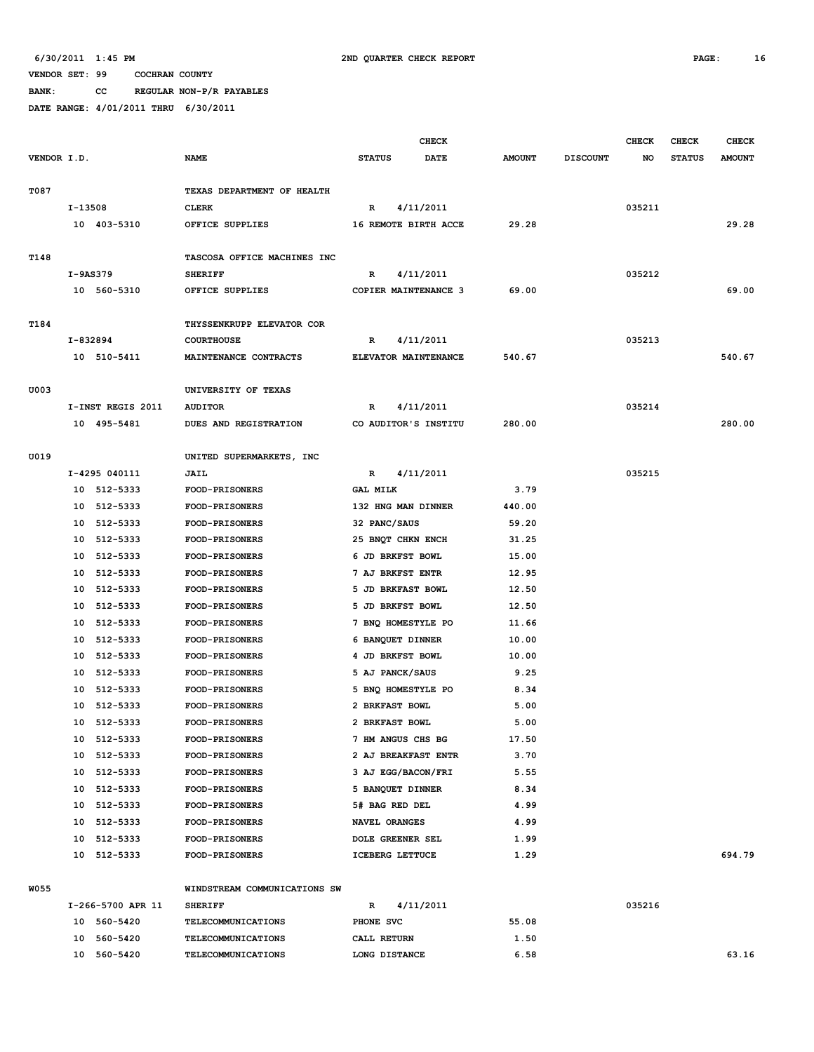**BANK: CC REGULAR NON-P/R PAYABLES**

|             |            |                   |                              |                 | <b>CHECK</b>            |               |                 | <b>CHECK</b> | CHECK         | <b>CHECK</b>  |
|-------------|------------|-------------------|------------------------------|-----------------|-------------------------|---------------|-----------------|--------------|---------------|---------------|
| VENDOR I.D. |            |                   | <b>NAME</b>                  | <b>STATUS</b>   | <b>DATE</b>             | <b>AMOUNT</b> | <b>DISCOUNT</b> | NO           | <b>STATUS</b> | <b>AMOUNT</b> |
|             |            |                   |                              |                 |                         |               |                 |              |               |               |
| T087        |            |                   | TEXAS DEPARTMENT OF HEALTH   |                 |                         |               |                 |              |               |               |
|             | I-13508    |                   | <b>CLERK</b>                 | R               | 4/11/2011               |               |                 | 035211       |               |               |
|             |            | 10 403-5310       | OFFICE SUPPLIES              |                 | 16 REMOTE BIRTH ACCE    | 29.28         |                 |              |               | 29.28         |
|             |            |                   |                              |                 |                         |               |                 |              |               |               |
| T148        |            |                   | TASCOSA OFFICE MACHINES INC  |                 |                         |               |                 |              |               |               |
|             | $I-9AS379$ |                   | <b>SHERIFF</b>               | R               | 4/11/2011               |               |                 | 035212       |               |               |
|             |            | 10 560-5310       | OFFICE SUPPLIES              |                 | COPIER MAINTENANCE 3    | 69.00         |                 |              |               | 69.00         |
| T184        |            |                   | THYSSENKRUPP ELEVATOR COR    |                 |                         |               |                 |              |               |               |
|             |            | I-832894          | <b>COURTHOUSE</b>            | R               | 4/11/2011               |               |                 | 035213       |               |               |
|             |            | 10 510-5411       | MAINTENANCE CONTRACTS        |                 | ELEVATOR MAINTENANCE    | 540.67        |                 |              |               | 540.67        |
|             |            |                   |                              |                 |                         |               |                 |              |               |               |
| U003        |            |                   | UNIVERSITY OF TEXAS          |                 |                         |               |                 |              |               |               |
|             |            | I-INST REGIS 2011 | <b>AUDITOR</b>               | $\mathbb{R}$    | 4/11/2011               |               |                 | 035214       |               |               |
|             |            | 10 495-5481       | DUES AND REGISTRATION        |                 | CO AUDITOR'S INSTITU    | 280.00        |                 |              |               | 280.00        |
|             |            |                   |                              |                 |                         |               |                 |              |               |               |
| U019        |            |                   | UNITED SUPERMARKETS, INC     |                 |                         |               |                 |              |               |               |
|             |            | I-4295 040111     | JAIL                         | R               | 4/11/2011               |               |                 | 035215       |               |               |
|             |            | 10 512-5333       | <b>FOOD-PRISONERS</b>        | <b>GAL MILK</b> |                         | 3.79          |                 |              |               |               |
|             |            | 10 512-5333       | <b>FOOD-PRISONERS</b>        |                 | 132 HNG MAN DINNER      | 440.00        |                 |              |               |               |
|             |            | 10 512-5333       | FOOD-PRISONERS               | 32 PANC/SAUS    |                         | 59.20         |                 |              |               |               |
|             |            | 10 512-5333       | <b>FOOD-PRISONERS</b>        |                 | 25 BNQT CHKN ENCH       | 31.25         |                 |              |               |               |
|             |            | 10 512-5333       | <b>FOOD-PRISONERS</b>        |                 | 6 JD BRKFST BOWL        | 15.00         |                 |              |               |               |
|             |            | 10 512-5333       | <b>FOOD-PRISONERS</b>        |                 | 7 AJ BRKFST ENTR        | 12.95         |                 |              |               |               |
|             |            | 10 512-5333       | <b>FOOD-PRISONERS</b>        |                 | 5 JD BRKFAST BOWL       | 12.50         |                 |              |               |               |
|             |            | 10 512-5333       | <b>FOOD-PRISONERS</b>        |                 | 5 JD BRKFST BOWL        | 12.50         |                 |              |               |               |
|             |            | 10 512-5333       | FOOD-PRISONERS               |                 | 7 BNQ HOMESTYLE PO      | 11.66         |                 |              |               |               |
|             | 10         | 512-5333          | <b>FOOD-PRISONERS</b>        |                 | 6 BANQUET DINNER        | 10.00         |                 |              |               |               |
|             | 10         | 512-5333          | <b>FOOD-PRISONERS</b>        |                 | 4 JD BRKFST BOWL        | 10.00         |                 |              |               |               |
|             | 10         | 512-5333          | <b>FOOD-PRISONERS</b>        |                 | 5 AJ PANCK/SAUS         | 9.25          |                 |              |               |               |
|             | 10         | 512-5333          | <b>FOOD-PRISONERS</b>        |                 | 5 BNQ HOMESTYLE PO      | 8.34          |                 |              |               |               |
|             |            | 10 512-5333       | <b>FOOD-PRISONERS</b>        |                 | 2 BRKFAST BOWL          | 5.00          |                 |              |               |               |
|             |            | 10 512-5333       | FOOD-PRISONERS               |                 | 2 BRKFAST BOWL          | 5.00          |                 |              |               |               |
|             |            | 10 512-5333       | <b>FOOD-PRISONERS</b>        |                 | 7 HM ANGUS CHS BG       | 17.50         |                 |              |               |               |
|             |            | 10 512-5333       | <b>FOOD-PRISONERS</b>        |                 | 2 AJ BREAKFAST ENTR     | 3.70          |                 |              |               |               |
|             |            | 10 512-5333       | <b>FOOD-PRISONERS</b>        |                 | 3 AJ EGG/BACON/FRI      | 5.55          |                 |              |               |               |
|             |            | 10 512-5333       | <b>FOOD-PRISONERS</b>        |                 | 5 BANQUET DINNER        | 8.34          |                 |              |               |               |
|             |            | 10 512-5333       | <b>FOOD-PRISONERS</b>        |                 | 5# BAG RED DEL          | 4.99          |                 |              |               |               |
|             |            | 10 512-5333       | <b>FOOD-PRISONERS</b>        |                 | NAVEL ORANGES           | 4.99          |                 |              |               |               |
|             |            | 10 512-5333       | <b>FOOD-PRISONERS</b>        |                 | <b>DOLE GREENER SEL</b> | 1.99          |                 |              |               |               |
|             |            | 10 512-5333       | <b>FOOD-PRISONERS</b>        |                 | ICEBERG LETTUCE         | 1.29          |                 |              |               | 694.79        |
|             |            |                   |                              |                 |                         |               |                 |              |               |               |
| <b>W055</b> |            |                   | WINDSTREAM COMMUNICATIONS SW |                 |                         |               |                 |              |               |               |
|             |            | I-266-5700 APR 11 | <b>SHERIFF</b>               | R               | 4/11/2011               |               |                 | 035216       |               |               |
|             |            | 10 560-5420       | <b>TELECOMMUNICATIONS</b>    | PHONE SVC       |                         | 55.08         |                 |              |               |               |

|    | I-266-5700 APR 11 | <b>SHERIFF</b>            | 4/11/2011<br>R |       | 035216 |       |
|----|-------------------|---------------------------|----------------|-------|--------|-------|
| 10 | 560-5420          | TELECOMMUNICATIONS        | PHONE SVC      | 55.08 |        |       |
| 10 | 560-5420          | <b>TELECOMMUNICATIONS</b> | CALL RETURN    | 1.50  |        |       |
| 10 | 560-5420          | <b>TELECOMMUNICATIONS</b> | LONG DISTANCE  | 6.58  |        | 63.16 |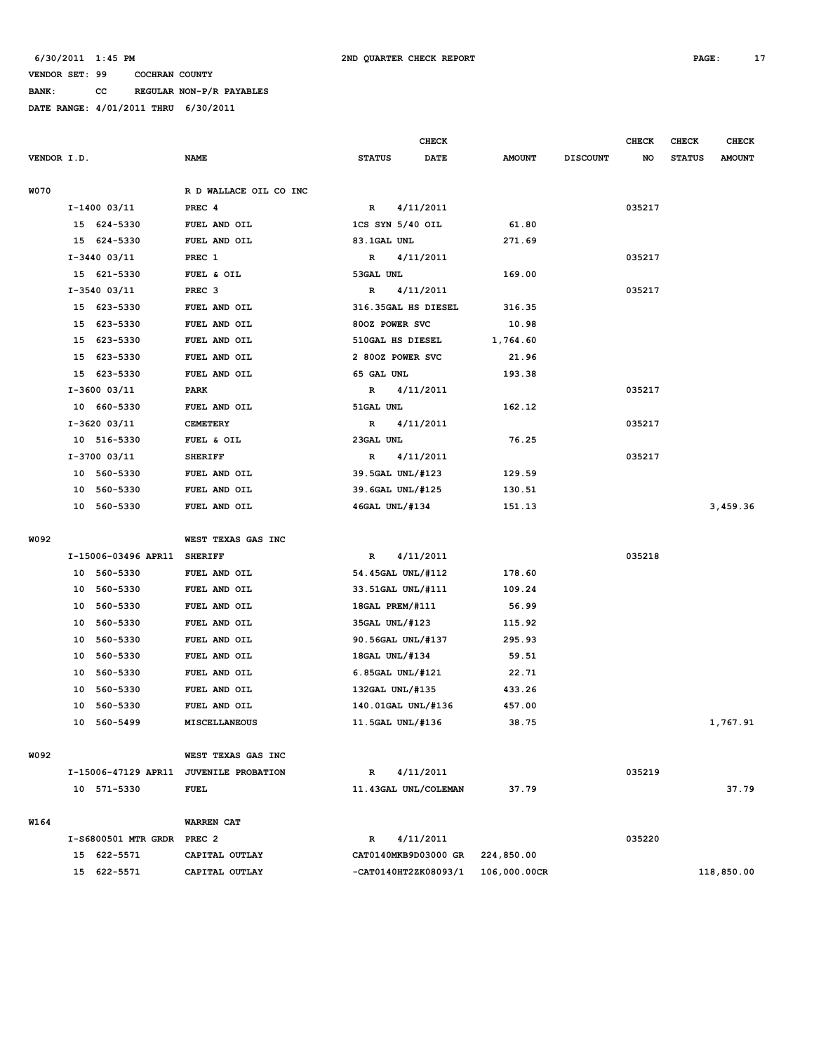**BANK: CC REGULAR NON-P/R PAYABLES**

|             |    |                             |                                        |               | <b>CHECK</b>         |               |                 | <b>CHECK</b> | <b>CHECK</b>  | <b>CHECK</b>  |
|-------------|----|-----------------------------|----------------------------------------|---------------|----------------------|---------------|-----------------|--------------|---------------|---------------|
| VENDOR I.D. |    |                             | <b>NAME</b>                            | <b>STATUS</b> | <b>DATE</b>          | <b>AMOUNT</b> | <b>DISCOUNT</b> | NO           | <b>STATUS</b> | <b>AMOUNT</b> |
| W070        |    |                             | R D WALLACE OIL CO INC                 |               |                      |               |                 |              |               |               |
|             |    | I-1400 03/11                | PREC 4                                 | $\mathbb{R}$  | 4/11/2011            |               |                 | 035217       |               |               |
|             |    | 15 624-5330                 | FUEL AND OIL                           |               | 1CS SYN 5/40 OIL     | 61.80         |                 |              |               |               |
|             |    |                             |                                        |               |                      |               |                 |              |               |               |
|             |    | 15 624-5330                 | FUEL AND OIL                           | 83.1GAL UNL   |                      | 271.69        |                 |              |               |               |
|             |    | I-3440 03/11<br>15 621-5330 | PREC 1                                 | R             | 4/11/2011            |               |                 | 035217       |               |               |
|             |    |                             | FUEL & OIL                             | 53GAL UNL     |                      | 169.00        |                 |              |               |               |
|             |    | I-3540 03/11                | PREC <sub>3</sub>                      | R             | 4/11/2011            |               |                 | 035217       |               |               |
|             |    | 15 623-5330                 | FUEL AND OIL                           |               | 316.35GAL HS DIESEL  | 316.35        |                 |              |               |               |
|             |    | 15 623-5330                 | FUEL AND OIL                           |               | 800Z POWER SVC       | 10.98         |                 |              |               |               |
|             |    | 15 623-5330                 | FUEL AND OIL                           |               | 510GAL HS DIESEL     | 1,764.60      |                 |              |               |               |
|             | 15 | 623-5330                    | FUEL AND OIL                           |               | 2 800Z POWER SVC     | 21.96         |                 |              |               |               |
|             | 15 | 623-5330                    | FUEL AND OIL                           | 65 GAL UNL    |                      | 193.38        |                 |              |               |               |
|             |    | I-3600 03/11                | <b>PARK</b>                            | R             | 4/11/2011            |               |                 | 035217       |               |               |
|             |    | 10 660-5330                 | FUEL AND OIL                           | 51GAL UNL     |                      | 162.12        |                 |              |               |               |
|             |    | I-3620 03/11                | <b>CEMETERY</b>                        | R             | 4/11/2011            |               |                 | 035217       |               |               |
|             |    | 10 516-5330                 | FUEL & OIL                             | 23GAL UNL     |                      | 76.25         |                 |              |               |               |
|             |    | I-3700 03/11                | <b>SHERIFF</b>                         | R             | 4/11/2011            |               |                 | 035217       |               |               |
|             |    | 10 560-5330                 | FUEL AND OIL                           |               | 39.5GAL UNL/#123     | 129.59        |                 |              |               |               |
|             | 10 | 560-5330                    | FUEL AND OIL                           |               | 39.6GAL UNL/#125     | 130.51        |                 |              |               |               |
|             |    | 10 560-5330                 | FUEL AND OIL                           |               | 46GAL UNL/#134       | 151.13        |                 |              |               | 3,459.36      |
|             |    |                             |                                        |               |                      |               |                 |              |               |               |
| W092        |    |                             | WEST TEXAS GAS INC                     |               |                      |               |                 |              |               |               |
|             |    | I-15006-03496 APR11         | <b>SHERIFF</b>                         | R             | 4/11/2011            |               |                 | 035218       |               |               |
|             |    | 10 560-5330                 | FUEL AND OIL                           |               | 54.45GAL UNL/#112    | 178.60        |                 |              |               |               |
|             |    | 10 560-5330                 | FUEL AND OIL                           |               | 33.51GAL UNL/#111    | 109.24        |                 |              |               |               |
|             | 10 | 560-5330                    | FUEL AND OIL                           |               | 18GAL PREM/#111      | 56.99         |                 |              |               |               |
|             | 10 | 560-5330                    | FUEL AND OIL                           |               | 35GAL UNL/#123       | 115.92        |                 |              |               |               |
|             | 10 | 560-5330                    | FUEL AND OIL                           |               | 90.56GAL UNL/#137    | 295.93        |                 |              |               |               |
|             | 10 | 560-5330                    | FUEL AND OIL                           |               | 18GAL UNL/#134       | 59.51         |                 |              |               |               |
|             | 10 | 560-5330                    | FUEL AND OIL                           |               | 6.85GAL UNL/#121     | 22.71         |                 |              |               |               |
|             | 10 | 560-5330                    | FUEL AND OIL                           |               | 132GAL UNL/#135      | 433.26        |                 |              |               |               |
|             | 10 | 560-5330                    | FUEL AND OIL                           |               | 140.01GAL UNL/#136   | 457.00        |                 |              |               |               |
|             | 10 | 560-5499                    | MISCELLANEOUS                          |               | 11.5GAL UNL/#136     | 38.75         |                 |              |               | 1,767.91      |
| W092        |    |                             | WEST TEXAS GAS INC                     |               |                      |               |                 |              |               |               |
|             |    |                             | I-15006-47129 APR11 JUVENILE PROBATION | $\mathbb{R}$  | 4/11/2011            |               |                 | 035219       |               |               |
|             |    | 10 571-5330                 | FUEL                                   |               | 11.43GAL UNL/COLEMAN | 37.79         |                 |              |               | 37.79         |
|             |    |                             |                                        |               |                      |               |                 |              |               |               |
| W164        |    |                             | <b>WARREN CAT</b>                      |               |                      |               |                 |              |               |               |
|             |    | I-S6800501 MTR GRDR PREC 2  |                                        | $\mathbb{R}$  | 4/11/2011            |               |                 | 035220       |               |               |
|             |    | 15 622-5571                 | CAPITAL OUTLAY                         |               | CAT0140MKB9D03000 GR | 224,850.00    |                 |              |               |               |
|             |    | 15 622-5571                 | CAPITAL OUTLAY                         |               | -CAT0140HT2ZK08093/1 | 106,000.00CR  |                 |              |               | 118,850.00    |
|             |    |                             |                                        |               |                      |               |                 |              |               |               |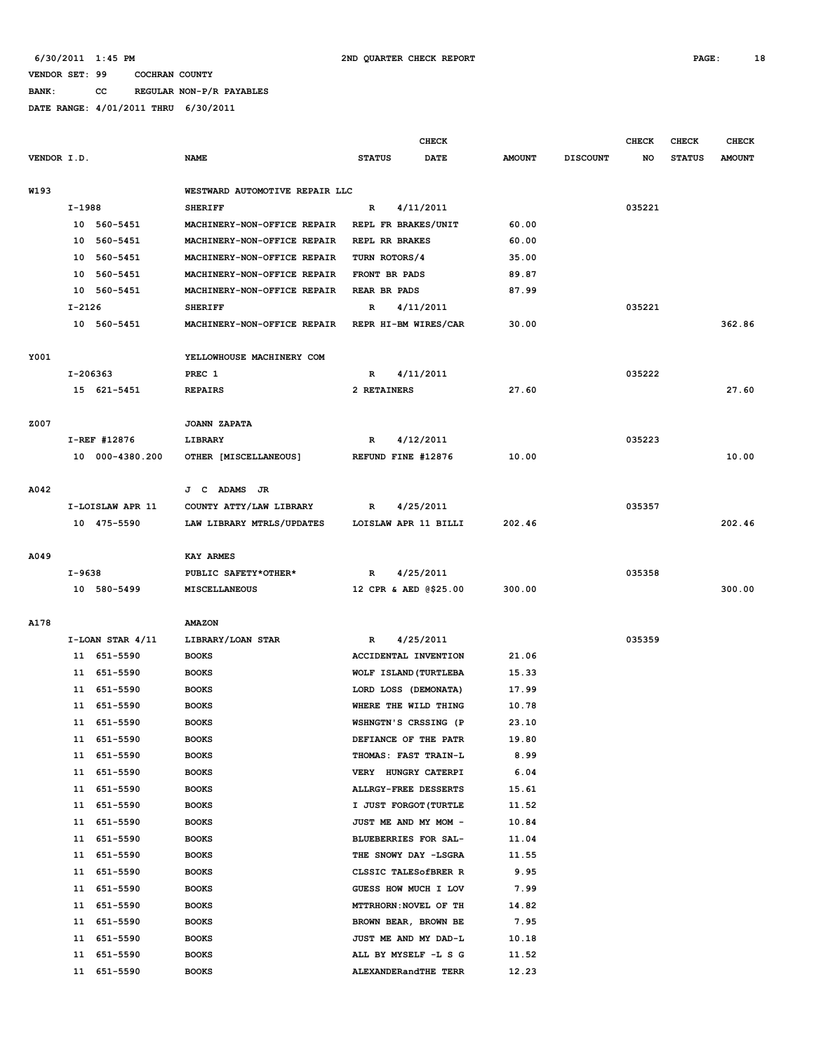**BANK: CC REGULAR NON-P/R PAYABLES**

|             |          |                      |                                |                     | <b>CHECK</b>          |               |                 | <b>CHECK</b> | <b>CHECK</b>  | <b>CHECK</b>  |
|-------------|----------|----------------------|--------------------------------|---------------------|-----------------------|---------------|-----------------|--------------|---------------|---------------|
| VENDOR I.D. |          |                      | <b>NAME</b>                    | <b>STATUS</b>       | DATE                  | <b>AMOUNT</b> | <b>DISCOUNT</b> | NO           | <b>STATUS</b> | <b>AMOUNT</b> |
|             |          |                      |                                |                     |                       |               |                 |              |               |               |
| W193        |          |                      | WESTWARD AUTOMOTIVE REPAIR LLC |                     |                       |               |                 |              |               |               |
|             | I-1988   |                      | <b>SHERIFF</b>                 | R                   | 4/11/2011             |               |                 | 035221       |               |               |
|             |          | 10 560-5451          | MACHINERY-NON-OFFICE REPAIR    | REPL FR BRAKES/UNIT |                       | 60.00         |                 |              |               |               |
|             | 10       | 560-5451             | MACHINERY-NON-OFFICE REPAIR    | REPL RR BRAKES      |                       | 60.00         |                 |              |               |               |
|             | 10       | 560-5451             | MACHINERY-NON-OFFICE REPAIR    | TURN ROTORS/4       |                       | 35.00         |                 |              |               |               |
|             | 10       | 560-5451             | MACHINERY-NON-OFFICE REPAIR    | FRONT BR PADS       |                       | 89.87         |                 |              |               |               |
|             |          | 10 560-5451          | MACHINERY-NON-OFFICE REPAIR    | REAR BR PADS        |                       | 87.99         |                 |              |               |               |
|             | $I-2126$ |                      | <b>SHERIFF</b>                 | R                   | 4/11/2011             |               |                 | 035221       |               |               |
|             |          | 10 560-5451          | MACHINERY-NON-OFFICE REPAIR    |                     | REPR HI-BM WIRES/CAR  | 30.00         |                 |              |               | 362.86        |
|             |          |                      |                                |                     |                       |               |                 |              |               |               |
| Y001        |          |                      | YELLOWHOUSE MACHINERY COM      |                     |                       |               |                 |              |               |               |
|             | I-206363 |                      | PREC 1                         | R                   | 4/11/2011             |               |                 | 035222       |               |               |
|             |          | 15 621-5451          | <b>REPAIRS</b>                 | 2 RETAINERS         |                       | 27.60         |                 |              |               | 27.60         |
|             |          |                      |                                |                     |                       |               |                 |              |               |               |
| Z007        |          |                      | <b>JOANN ZAPATA</b>            |                     |                       |               |                 |              |               |               |
|             |          | I-REF #12876         | LIBRARY                        | R                   | 4/12/2011             |               |                 | 035223       |               |               |
|             |          | 10 000-4380.200      | OTHER [MISCELLANEOUS]          | REFUND FINE #12876  |                       | 10.00         |                 |              |               | 10.00         |
|             |          |                      |                                |                     |                       |               |                 |              |               |               |
| A042        |          |                      | J C ADAMS JR                   |                     |                       |               |                 |              |               |               |
|             |          | I-LOISLAW APR 11     | COUNTY ATTY/LAW LIBRARY        | R                   | 4/25/2011             |               |                 | 035357       |               |               |
|             |          | 10 475-5590          | LAW LIBRARY MTRLS/UPDATES      |                     | LOISLAW APR 11 BILLI  | 202.46        |                 |              |               | 202.46        |
|             |          |                      |                                |                     |                       |               |                 |              |               |               |
| A049        |          |                      | <b>KAY ARMES</b>               |                     |                       |               |                 |              |               |               |
|             | I-9638   |                      | PUBLIC SAFETY*OTHER*           | R                   | 4/25/2011             |               |                 | 035358       |               |               |
|             |          | 10 580-5499          | MISCELLANEOUS                  |                     | 12 CPR & AED @\$25.00 | 300.00        |                 |              |               | 300.00        |
|             |          |                      |                                |                     |                       |               |                 |              |               |               |
| A178        |          |                      | <b>AMAZON</b>                  |                     |                       |               |                 |              |               |               |
|             |          | $I-LOAN$ STAR $4/11$ | LIBRARY/LOAN STAR              | R                   | 4/25/2011             |               |                 | 035359       |               |               |
|             |          | 11 651-5590          | <b>BOOKS</b>                   |                     | ACCIDENTAL INVENTION  | 21.06         |                 |              |               |               |
|             |          | 11 651-5590          | <b>BOOKS</b>                   |                     | WOLF ISLAND (TURTLEBA | 15.33         |                 |              |               |               |
|             |          | 11 651-5590          | <b>BOOKS</b>                   |                     | LORD LOSS (DEMONATA)  | 17.99         |                 |              |               |               |
|             |          | 11 651-5590          | <b>BOOKS</b>                   |                     | WHERE THE WILD THING  | 10.78         |                 |              |               |               |
|             |          | 11 651-5590          | <b>BOOKS</b>                   |                     | WSHNGTN'S CRSSING (P  | 23.10         |                 |              |               |               |
|             |          | 11 651-5590          | <b>BOOKS</b>                   |                     | DEFIANCE OF THE PATR  | 19.80         |                 |              |               |               |
|             |          | 11 651-5590          | <b>BOOKS</b>                   |                     | THOMAS: FAST TRAIN-L  | 8.99          |                 |              |               |               |
|             | 11       | 651-5590             | <b>BOOKS</b>                   |                     | VERY HUNGRY CATERPI   | 6.04          |                 |              |               |               |
|             | 11       | 651-5590             | <b>BOOKS</b>                   |                     | ALLRGY-FREE DESSERTS  | 15.61         |                 |              |               |               |
|             | 11       | 651-5590             | <b>BOOKS</b>                   |                     | I JUST FORGOT (TURTLE | 11.52         |                 |              |               |               |
|             | 11       | 651-5590             | <b>BOOKS</b>                   |                     | JUST ME AND MY MOM -  | 10.84         |                 |              |               |               |
|             | 11       | 651-5590             | <b>BOOKS</b>                   |                     | BLUEBERRIES FOR SAL-  | 11.04         |                 |              |               |               |
|             | 11       | 651-5590             | <b>BOOKS</b>                   |                     | THE SNOWY DAY -LSGRA  | 11.55         |                 |              |               |               |
|             | 11       | 651-5590             | <b>BOOKS</b>                   |                     | CLSSIC TALESOfBRER R  | 9.95          |                 |              |               |               |
|             | 11       | 651-5590             | <b>BOOKS</b>                   |                     | GUESS HOW MUCH I LOV  | 7.99          |                 |              |               |               |
|             | 11       |                      | <b>BOOKS</b>                   |                     | MTTRHORN: NOVEL OF TH | 14.82         |                 |              |               |               |
|             |          | 651-5590             |                                |                     |                       |               |                 |              |               |               |
|             | 11       | 651-5590             | <b>BOOKS</b>                   |                     | BROWN BEAR, BROWN BE  | 7.95          |                 |              |               |               |
|             | 11       | 651-5590             | <b>BOOKS</b>                   |                     | JUST ME AND MY DAD-L  | 10.18         |                 |              |               |               |
|             | 11       | 651-5590             | <b>BOOKS</b>                   |                     | ALL BY MYSELF -L S G  | 11.52         |                 |              |               |               |
|             |          | 11 651-5590          | <b>BOOKS</b>                   |                     | ALEXANDERandTHE TERR  | 12.23         |                 |              |               |               |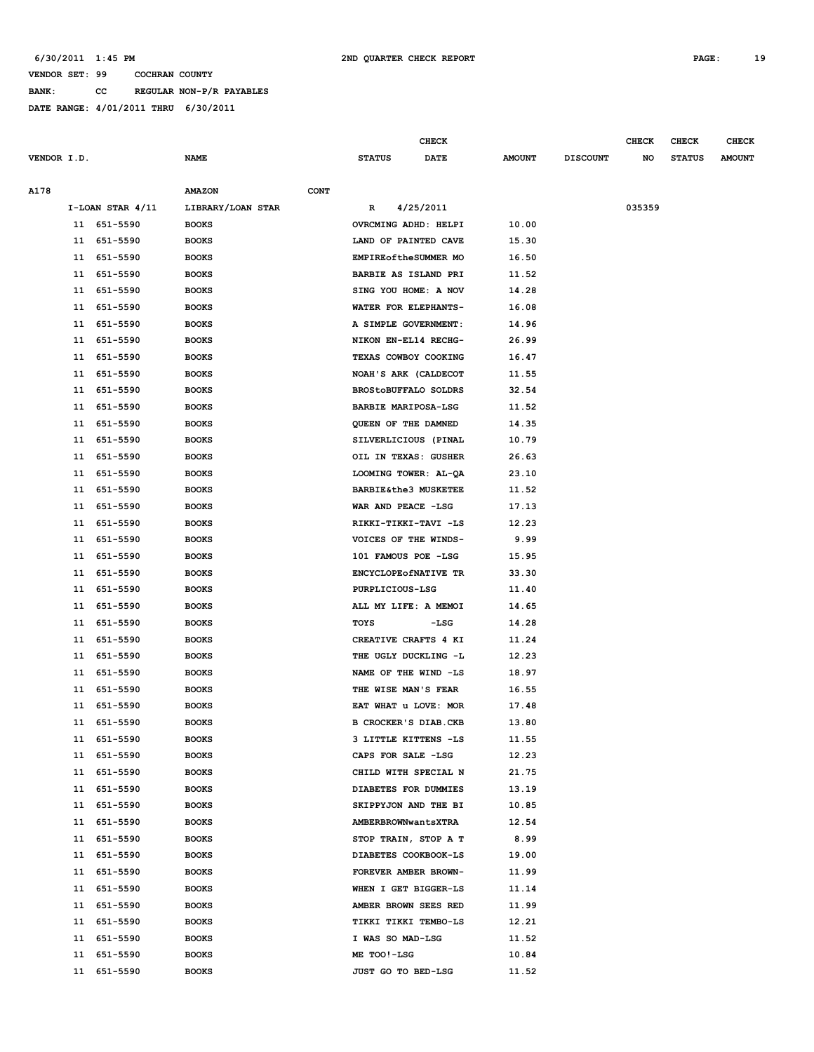#### **6/30/2011 1:45 PM 2ND QUARTER CHECK REPORT PAGE: 19**

#### **VENDOR SET: 99 COCHRAN COUNTY**

**BANK: CC REGULAR NON-P/R PAYABLES**

|             |    |                      |                   |             |                                 | CHECK       |               |                 | <b>CHECK</b> | CHECK         | <b>CHECK</b>  |
|-------------|----|----------------------|-------------------|-------------|---------------------------------|-------------|---------------|-----------------|--------------|---------------|---------------|
| VENDOR I.D. |    |                      | <b>NAME</b>       |             | <b>STATUS</b>                   | <b>DATE</b> | <b>AMOUNT</b> | <b>DISCOUNT</b> | NO           | <b>STATUS</b> | <b>AMOUNT</b> |
|             |    |                      |                   |             |                                 |             |               |                 |              |               |               |
| A178        |    |                      | <b>AMAZON</b>     | <b>CONT</b> |                                 |             |               |                 |              |               |               |
|             |    | $I-LOAN$ STAR $4/11$ | LIBRARY/LOAN STAR |             | R                               | 4/25/2011   |               |                 | 035359       |               |               |
|             |    | 11 651-5590          | <b>BOOKS</b>      |             | OVRCMING ADHD: HELPI            |             | 10.00         |                 |              |               |               |
|             | 11 | 651-5590             | <b>BOOKS</b>      |             | LAND OF PAINTED CAVE            |             | 15.30         |                 |              |               |               |
|             | 11 | 651-5590             | <b>BOOKS</b>      |             | EMPIRE of the SUMMER MO         |             | 16.50         |                 |              |               |               |
|             | 11 | 651-5590             | <b>BOOKS</b>      |             | BARBIE AS ISLAND PRI            |             | 11.52         |                 |              |               |               |
|             | 11 | 651-5590             | <b>BOOKS</b>      |             | SING YOU HOME: A NOV            |             | 14.28         |                 |              |               |               |
|             | 11 | 651-5590             | <b>BOOKS</b>      |             | WATER FOR ELEPHANTS-            |             | 16.08         |                 |              |               |               |
|             | 11 | 651-5590             | <b>BOOKS</b>      |             | A SIMPLE GOVERNMENT:            |             | 14.96         |                 |              |               |               |
|             | 11 | 651-5590             | <b>BOOKS</b>      |             | NIKON EN-EL14 RECHG-            |             | 26.99         |                 |              |               |               |
|             | 11 | 651-5590             | <b>BOOKS</b>      |             | TEXAS COWBOY COOKING            |             | 16.47         |                 |              |               |               |
|             | 11 | 651-5590             | <b>BOOKS</b>      |             | NOAH'S ARK (CALDECOT            |             | 11.55         |                 |              |               |               |
|             | 11 | 651-5590             | <b>BOOKS</b>      |             | <b>BROStoBUFFALO SOLDRS</b>     |             | 32.54         |                 |              |               |               |
|             | 11 | 651-5590             | <b>BOOKS</b>      |             | BARBIE MARIPOSA-LSG             |             | 11.52         |                 |              |               |               |
|             | 11 | 651-5590             | <b>BOOKS</b>      |             | QUEEN OF THE DAMNED             |             | 14.35         |                 |              |               |               |
|             | 11 | 651-5590             | <b>BOOKS</b>      |             | SILVERLICIOUS (PINAL            |             | 10.79         |                 |              |               |               |
|             | 11 | 651-5590             | <b>BOOKS</b>      |             | OIL IN TEXAS: GUSHER            |             | 26.63         |                 |              |               |               |
|             | 11 | 651-5590             | <b>BOOKS</b>      |             | LOOMING TOWER: AL-QA            |             | 23.10         |                 |              |               |               |
|             | 11 | 651-5590             | <b>BOOKS</b>      |             | <b>BARBIE&amp;the3 MUSKETEE</b> |             | 11.52         |                 |              |               |               |
|             | 11 | 651-5590             | <b>BOOKS</b>      |             | WAR AND PEACE -LSG              |             | 17.13         |                 |              |               |               |
|             | 11 | 651-5590             | <b>BOOKS</b>      |             | RIKKI-TIKKI-TAVI -LS            |             | 12.23         |                 |              |               |               |
|             | 11 | 651-5590             | <b>BOOKS</b>      |             | VOICES OF THE WINDS-            |             | 9.99          |                 |              |               |               |
|             | 11 | 651-5590             | <b>BOOKS</b>      |             | 101 FAMOUS POE -LSG             |             | 15.95         |                 |              |               |               |
|             | 11 | 651-5590             | <b>BOOKS</b>      |             | ENCYCLOPEOfNATIVE TR            |             | 33.30         |                 |              |               |               |
|             | 11 | 651-5590             | <b>BOOKS</b>      |             | PURPLICIOUS-LSG                 |             | 11.40         |                 |              |               |               |
|             | 11 | 651-5590             | <b>BOOKS</b>      |             | ALL MY LIFE: A MEMOI            |             | 14.65         |                 |              |               |               |
|             | 11 | 651-5590             | <b>BOOKS</b>      |             | TOYS                            | $-LSG$      | 14.28         |                 |              |               |               |
|             | 11 | 651-5590             | <b>BOOKS</b>      |             | CREATIVE CRAFTS 4 KI            |             | 11.24         |                 |              |               |               |
|             | 11 | 651-5590             | <b>BOOKS</b>      |             | THE UGLY DUCKLING -L            |             | 12.23         |                 |              |               |               |
|             | 11 | 651-5590             | <b>BOOKS</b>      |             | NAME OF THE WIND -LS            |             | 18.97         |                 |              |               |               |
|             | 11 | 651-5590             | <b>BOOKS</b>      |             | THE WISE MAN'S FEAR             |             | 16.55         |                 |              |               |               |
|             | 11 | 651-5590             | <b>BOOKS</b>      |             | EAT WHAT u LOVE: MOR            |             | 17.48         |                 |              |               |               |
|             | 11 | 651-5590             | <b>BOOKS</b>      |             | B CROCKER'S DIAB.CKB            |             | 13.80         |                 |              |               |               |
|             |    | 11 651-5590          | <b>BOOKS</b>      |             | 3 LITTLE KITTENS -LS            |             | 11.55         |                 |              |               |               |
|             |    | 11 651-5590          | <b>BOOKS</b>      |             | CAPS FOR SALE -LSG              |             | 12.23         |                 |              |               |               |
|             | 11 | 651-5590             | <b>BOOKS</b>      |             | CHILD WITH SPECIAL N            |             | 21.75         |                 |              |               |               |
|             | 11 | 651-5590             | <b>BOOKS</b>      |             | DIABETES FOR DUMMIES            |             | 13.19         |                 |              |               |               |
|             | 11 | 651-5590             | <b>BOOKS</b>      |             | SKIPPYJON AND THE BI            |             | 10.85         |                 |              |               |               |
|             | 11 | 651-5590             | <b>BOOKS</b>      |             | AMBERBROWNwantsXTRA             |             | 12.54         |                 |              |               |               |
|             | 11 | 651-5590             | <b>BOOKS</b>      |             | STOP TRAIN, STOP A T            |             | 8.99          |                 |              |               |               |
|             | 11 | 651-5590             | <b>BOOKS</b>      |             | DIABETES COOKBOOK-LS            |             | 19.00         |                 |              |               |               |
|             | 11 | 651-5590             | <b>BOOKS</b>      |             | FOREVER AMBER BROWN-            |             | 11.99         |                 |              |               |               |
|             | 11 | 651-5590             | <b>BOOKS</b>      |             | WHEN I GET BIGGER-LS            |             | 11.14         |                 |              |               |               |
|             | 11 | 651-5590             | <b>BOOKS</b>      |             | AMBER BROWN SEES RED            |             | 11.99         |                 |              |               |               |
|             | 11 | 651-5590             | <b>BOOKS</b>      |             | TIKKI TIKKI TEMBO-LS            |             | 12.21         |                 |              |               |               |
|             | 11 | 651-5590             | <b>BOOKS</b>      |             | I WAS SO MAD-LSG                |             | 11.52         |                 |              |               |               |
|             | 11 | 651-5590             | <b>BOOKS</b>      |             | ME TOO!-LSG                     |             | 10.84         |                 |              |               |               |
|             | 11 | 651-5590             | <b>BOOKS</b>      |             | JUST GO TO BED-LSG              |             | 11.52         |                 |              |               |               |
|             |    |                      |                   |             |                                 |             |               |                 |              |               |               |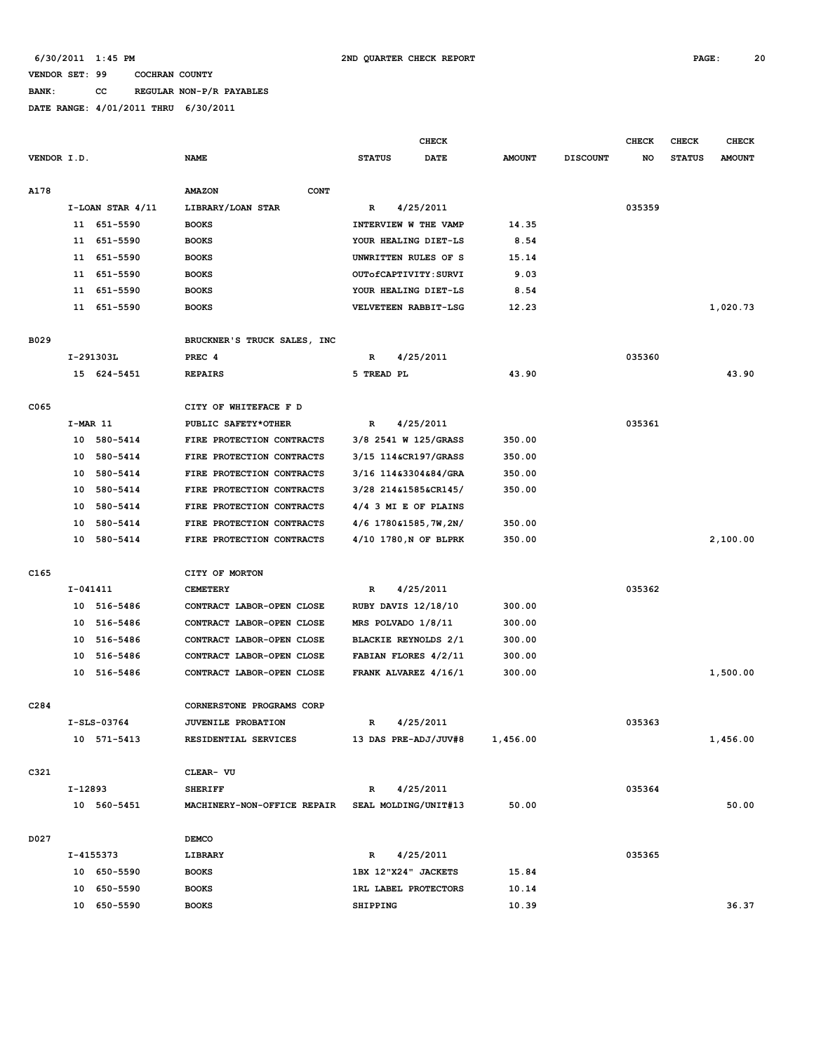# **BANK: CC REGULAR NON-P/R PAYABLES**

|             |            |                      |                              |                             | <b>CHECK</b> |               |                 | <b>CHECK</b> | <b>CHECK</b>  | <b>CHECK</b>  |
|-------------|------------|----------------------|------------------------------|-----------------------------|--------------|---------------|-----------------|--------------|---------------|---------------|
| VENDOR I.D. |            |                      | <b>NAME</b>                  | <b>STATUS</b>               | DATE         | <b>AMOUNT</b> | <b>DISCOUNT</b> | NO           | <b>STATUS</b> | <b>AMOUNT</b> |
| A178        |            |                      | <b>AMAZON</b><br><b>CONT</b> |                             |              |               |                 |              |               |               |
|             |            |                      |                              |                             | 4/25/2011    |               |                 | 035359       |               |               |
|             |            | $I-LOAN$ STAR $4/11$ | LIBRARY/LOAN STAR            | R                           |              |               |                 |              |               |               |
|             |            | 11 651-5590          | <b>BOOKS</b>                 | INTERVIEW W THE VAMP        |              | 14.35         |                 |              |               |               |
|             | 11         | 651-5590             | <b>BOOKS</b>                 | YOUR HEALING DIET-LS        |              | 8.54          |                 |              |               |               |
|             | 11         | 651-5590             | <b>BOOKS</b>                 | UNWRITTEN RULES OF S        |              | 15.14         |                 |              |               |               |
|             | 11         | 651-5590             | <b>BOOKS</b>                 | OUTOfCAPTIVITY: SURVI       |              | 9.03          |                 |              |               |               |
|             | 11         | 651-5590             | <b>BOOKS</b>                 | YOUR HEALING DIET-LS        |              | 8.54          |                 |              |               |               |
|             |            | 11 651-5590          | <b>BOOKS</b>                 | VELVETEEN RABBIT-LSG        |              | 12.23         |                 |              |               | 1,020.73      |
| B029        |            |                      | BRUCKNER'S TRUCK SALES, INC  |                             |              |               |                 |              |               |               |
|             |            | I-291303L            | PREC 4                       | R                           | 4/25/2011    |               |                 | 035360       |               |               |
|             |            | 15 624-5451          | <b>REPAIRS</b>               | 5 TREAD PL                  |              | 43.90         |                 |              |               | 43.90         |
|             |            |                      |                              |                             |              |               |                 |              |               |               |
| C065        |            |                      | CITY OF WHITEFACE F D        |                             |              |               |                 |              |               |               |
|             | $I-MAR$ 11 |                      | PUBLIC SAFETY*OTHER          | R                           | 4/25/2011    |               |                 | 035361       |               |               |
|             | 10         | 580-5414             | FIRE PROTECTION CONTRACTS    | 3/8 2541 W 125/GRASS        |              | 350.00        |                 |              |               |               |
|             | 10         | 580-5414             | FIRE PROTECTION CONTRACTS    | 3/15 114&CR197/GRASS        |              | 350.00        |                 |              |               |               |
|             | 10         | 580-5414             | FIRE PROTECTION CONTRACTS    | 3/16 114&3304&84/GRA        |              | 350.00        |                 |              |               |               |
|             | 10         | 580-5414             | FIRE PROTECTION CONTRACTS    | 3/28 214&1585&CR145/        |              | 350.00        |                 |              |               |               |
|             | 10         | 580-5414             | FIRE PROTECTION CONTRACTS    | 4/4 3 MI E OF PLAINS        |              |               |                 |              |               |               |
|             | 10         | 580-5414             | FIRE PROTECTION CONTRACTS    | $4/6$ 1780 61585, 7W, 2N/   |              | 350.00        |                 |              |               |               |
|             | 10         | 580-5414             | FIRE PROTECTION CONTRACTS    | 4/10 1780, N OF BLPRK       |              | 350.00        |                 |              |               | 2,100.00      |
|             |            |                      |                              |                             |              |               |                 |              |               |               |
| C165        |            |                      | CITY OF MORTON               |                             |              |               |                 |              |               |               |
|             | I-041411   |                      | <b>CEMETERY</b>              | $\mathbb{R}$                | 4/25/2011    |               |                 | 035362       |               |               |
|             |            | 10 516-5486          | CONTRACT LABOR-OPEN CLOSE    | <b>RUBY DAVIS 12/18/10</b>  |              | 300.00        |                 |              |               |               |
|             | 10         | 516-5486             | CONTRACT LABOR-OPEN CLOSE    | MRS POLVADO 1/8/11          |              | 300.00        |                 |              |               |               |
|             | 10         | 516-5486             | CONTRACT LABOR-OPEN CLOSE    | BLACKIE REYNOLDS 2/1        |              | 300.00        |                 |              |               |               |
|             | 10         | 516-5486             | CONTRACT LABOR-OPEN CLOSE    | FABIAN FLORES 4/2/11        |              | 300.00        |                 |              |               |               |
|             | 10         | 516-5486             | CONTRACT LABOR-OPEN CLOSE    | FRANK ALVAREZ 4/16/1        |              | 300.00        |                 |              |               | 1,500.00      |
|             |            |                      |                              |                             |              |               |                 |              |               |               |
| C284        |            |                      | CORNERSTONE PROGRAMS CORP    |                             |              |               |                 |              |               |               |
|             |            | $I-SLS-03764$        | JUVENILE PROBATION           | $\mathbf R$                 | 4/25/2011    |               |                 | 035363       |               |               |
|             |            | 10 571-5413          | RESIDENTIAL SERVICES         | 13 DAS PRE-ADJ/JUV#8        |              | 1,456.00      |                 |              |               | 1,456.00      |
|             |            |                      |                              |                             |              |               |                 |              |               |               |
| C321        |            |                      | CLEAR- VU                    |                             |              |               |                 |              |               |               |
|             | I-12893    |                      | <b>SHERIFF</b>               | $\mathbb{R}$                | 4/25/2011    |               |                 | 035364       |               |               |
|             |            | 10 560-5451          | MACHINERY-NON-OFFICE REPAIR  | SEAL MOLDING/UNIT#13        |              | 50.00         |                 |              |               | 50.00         |
|             |            |                      |                              |                             |              |               |                 |              |               |               |
| D027        |            |                      | <b>DEMCO</b>                 |                             |              |               |                 |              |               |               |
|             |            | I-4155373            | LIBRARY                      | R                           | 4/25/2011    |               |                 | 035365       |               |               |
|             |            | 10 650-5590          | <b>BOOKS</b>                 | 1BX 12"X24" JACKETS         |              | 15.84         |                 |              |               |               |
|             |            | 10 650-5590          | <b>BOOKS</b>                 | <b>1RL LABEL PROTECTORS</b> |              | 10.14         |                 |              |               |               |
|             |            | 10 650-5590          | <b>BOOKS</b>                 | <b>SHIPPING</b>             |              | 10.39         |                 |              |               | 36.37         |
|             |            |                      |                              |                             |              |               |                 |              |               |               |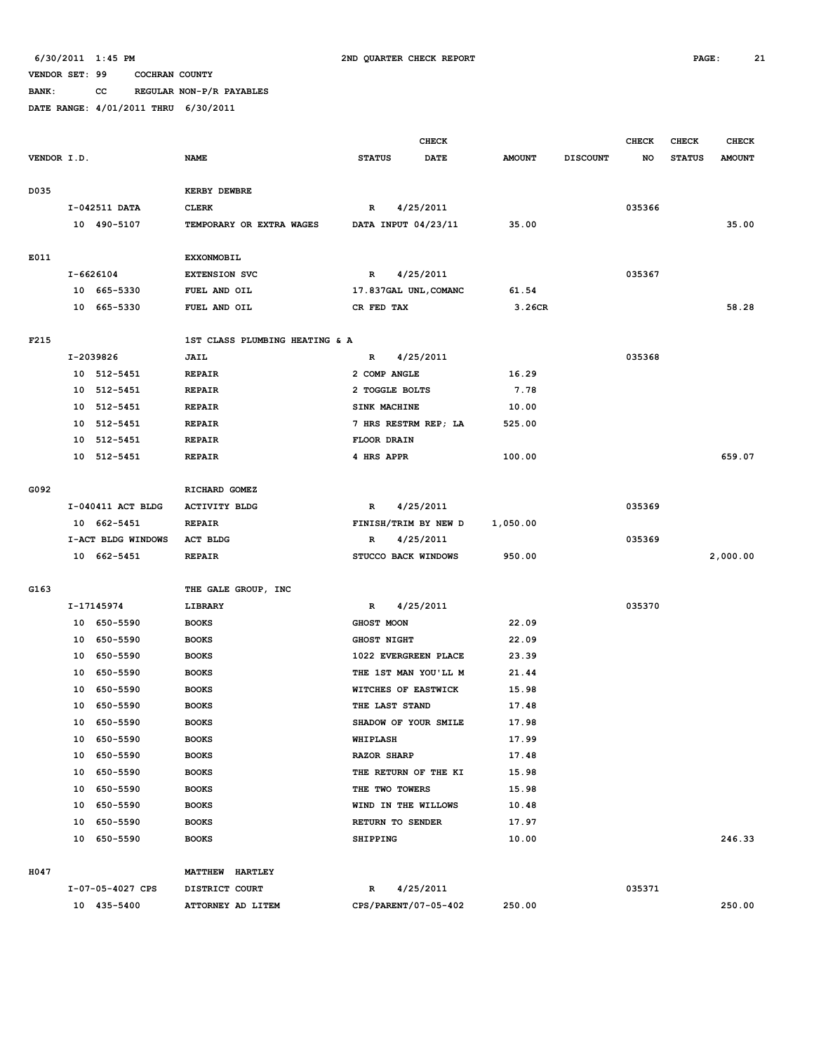### **BANK: CC REGULAR NON-P/R PAYABLES**

|             |    |                    |                                |                 |                    | CHECK                 |               |                 | <b>CHECK</b> | CHECK         | <b>CHECK</b>  |
|-------------|----|--------------------|--------------------------------|-----------------|--------------------|-----------------------|---------------|-----------------|--------------|---------------|---------------|
| VENDOR I.D. |    |                    | <b>NAME</b>                    | <b>STATUS</b>   |                    | <b>DATE</b>           | <b>AMOUNT</b> | <b>DISCOUNT</b> | NO           | <b>STATUS</b> | <b>AMOUNT</b> |
|             |    |                    |                                |                 |                    |                       |               |                 |              |               |               |
| D035        |    |                    | <b>KERBY DEWBRE</b>            |                 |                    |                       |               |                 |              |               |               |
|             |    | I-042511 DATA      | <b>CLERK</b>                   | R               |                    | 4/25/2011             |               |                 | 035366       |               |               |
|             |    | 10 490-5107        | TEMPORARY OR EXTRA WAGES       |                 |                    | DATA INPUT 04/23/11   | 35.00         |                 |              |               | 35.00         |
|             |    |                    |                                |                 |                    |                       |               |                 |              |               |               |
| E011        |    |                    | <b>EXXONMOBIL</b>              |                 |                    |                       |               |                 |              |               |               |
|             |    | I-6626104          | <b>EXTENSION SVC</b>           | $\mathbb{R}$    |                    | 4/25/2011             |               |                 | 035367       |               |               |
|             |    | 10 665-5330        | FUEL AND OIL                   |                 |                    | 17.837GAL UNL, COMANC | 61.54         |                 |              |               |               |
|             |    | 10 665-5330        | FUEL AND OIL                   |                 | CR FED TAX         |                       | 3.26CR        |                 |              |               | 58.28         |
|             |    |                    |                                |                 |                    |                       |               |                 |              |               |               |
| F215        |    |                    | 1ST CLASS PLUMBING HEATING & A |                 |                    |                       |               |                 |              |               |               |
|             |    | I-2039826          | JAIL                           | $\mathbf R$     |                    | 4/25/2011             |               |                 | 035368       |               |               |
|             |    | 10 512-5451        | <b>REPAIR</b>                  |                 | 2 COMP ANGLE       |                       | 16.29         |                 |              |               |               |
|             | 10 | 512-5451           | <b>REPAIR</b>                  |                 | 2 TOGGLE BOLTS     |                       | 7.78          |                 |              |               |               |
|             | 10 | 512-5451           | <b>REPAIR</b>                  |                 | SINK MACHINE       |                       | 10.00         |                 |              |               |               |
|             | 10 | 512-5451           | <b>REPAIR</b>                  |                 |                    | 7 HRS RESTRM REP; LA  | 525.00        |                 |              |               |               |
|             | 10 | 512-5451           | <b>REPAIR</b>                  |                 | FLOOR DRAIN        |                       |               |                 |              |               |               |
|             | 10 | 512-5451           | <b>REPAIR</b>                  |                 | 4 HRS APPR         |                       | 100.00        |                 |              |               | 659.07        |
|             |    |                    |                                |                 |                    |                       |               |                 |              |               |               |
| G092        |    |                    | RICHARD GOMEZ                  |                 |                    |                       |               |                 |              |               |               |
|             |    | I-040411 ACT BLDG  | <b>ACTIVITY BLDG</b>           | R               |                    | 4/25/2011             |               |                 | 035369       |               |               |
|             |    | 10 662-5451        | <b>REPAIR</b>                  |                 |                    | FINISH/TRIM BY NEW D  | 1,050.00      |                 |              |               |               |
|             |    | I-ACT BLDG WINDOWS | ACT BLDG                       | R               |                    | 4/25/2011             |               |                 | 035369       |               |               |
|             |    | 10 662-5451        | <b>REPAIR</b>                  |                 |                    | STUCCO BACK WINDOWS   | 950.00        |                 |              |               | 2,000.00      |
|             |    |                    |                                |                 |                    |                       |               |                 |              |               |               |
| G163        |    | I-17145974         | THE GALE GROUP, INC<br>LIBRARY | R               |                    | 4/25/2011             |               |                 | 035370       |               |               |
|             |    | 10 650-5590        | <b>BOOKS</b>                   |                 | <b>GHOST MOON</b>  |                       | 22.09         |                 |              |               |               |
|             | 10 | 650-5590           | <b>BOOKS</b>                   |                 | <b>GHOST NIGHT</b> |                       | 22.09         |                 |              |               |               |
|             | 10 | 650-5590           | <b>BOOKS</b>                   |                 |                    | 1022 EVERGREEN PLACE  | 23.39         |                 |              |               |               |
|             | 10 | 650-5590           | <b>BOOKS</b>                   |                 |                    | THE 1ST MAN YOU'LL M  | 21.44         |                 |              |               |               |
|             | 10 | 650-5590           | <b>BOOKS</b>                   |                 |                    | WITCHES OF EASTWICK   | 15.98         |                 |              |               |               |
|             | 10 | 650-5590           | <b>BOOKS</b>                   |                 | THE LAST STAND     |                       | 17.48         |                 |              |               |               |
|             | 10 | 650-5590           | <b>BOOKS</b>                   |                 |                    | SHADOW OF YOUR SMILE  | 17.98         |                 |              |               |               |
|             |    | 10 650-5590        | <b>BOOKS</b>                   | WHIPLASH        |                    |                       | 17.99         |                 |              |               |               |
|             |    | 10 650-5590        | <b>BOOKS</b>                   |                 | <b>RAZOR SHARP</b> |                       | 17.48         |                 |              |               |               |
|             |    | 10 650-5590        | <b>BOOKS</b>                   |                 |                    | THE RETURN OF THE KI  | 15.98         |                 |              |               |               |
|             |    | 10 650-5590        | <b>BOOKS</b>                   |                 | THE TWO TOWERS     |                       | 15.98         |                 |              |               |               |
|             |    | 10 650-5590        | <b>BOOKS</b>                   |                 |                    | WIND IN THE WILLOWS   | 10.48         |                 |              |               |               |
|             |    | 10 650-5590        | <b>BOOKS</b>                   |                 | RETURN TO SENDER   |                       | 17.97         |                 |              |               |               |
|             |    | 10 650-5590        | <b>BOOKS</b>                   | <b>SHIPPING</b> |                    |                       | 10.00         |                 |              |               | 246.33        |
|             |    |                    |                                |                 |                    |                       |               |                 |              |               |               |
| H047        |    |                    | <b>MATTHEW HARTLEY</b>         |                 |                    |                       |               |                 |              |               |               |
|             |    | I-07-05-4027 CPS   | DISTRICT COURT                 | R               |                    | 4/25/2011             |               |                 | 035371       |               |               |
|             |    | 10 435-5400        | ATTORNEY AD LITEM              |                 |                    | CPS/PARENT/07-05-402  | 250.00        |                 |              |               | 250.00        |
|             |    |                    |                                |                 |                    |                       |               |                 |              |               |               |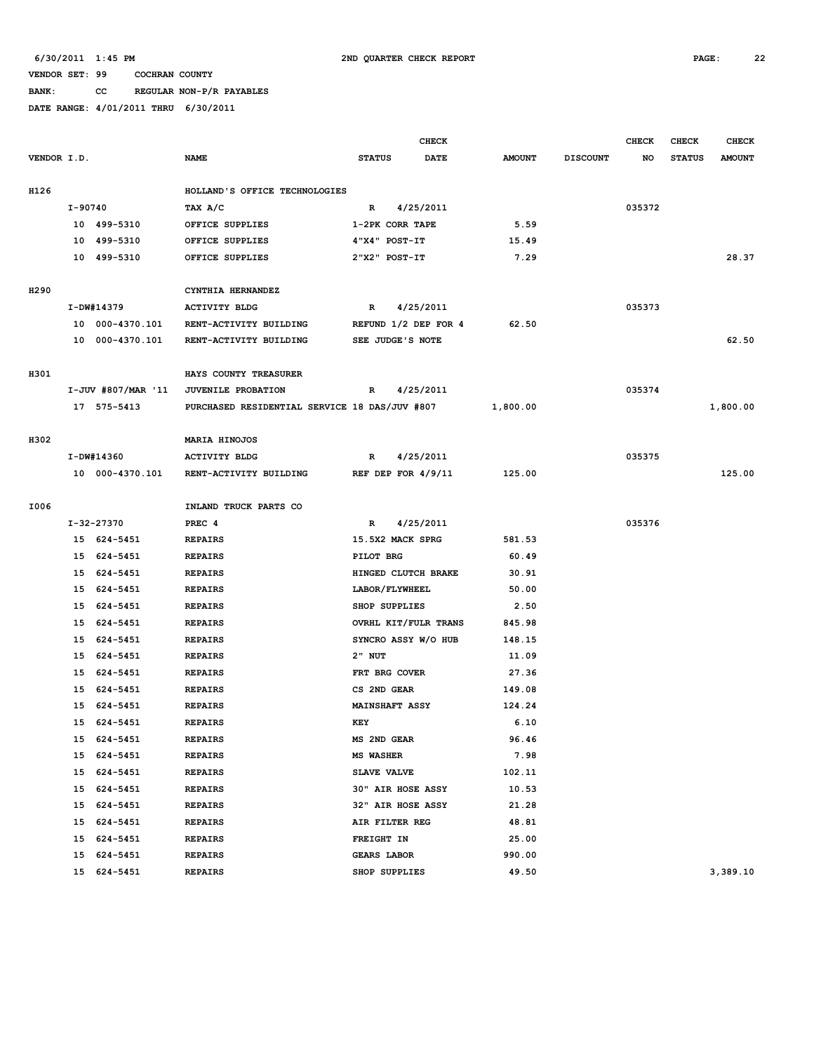**BANK: CC REGULAR NON-P/R PAYABLES**

|             |         |                    |                                               |                  | <b>CHECK</b>          |      |               |                 | <b>CHECK</b> | CHECK         | <b>CHECK</b>  |
|-------------|---------|--------------------|-----------------------------------------------|------------------|-----------------------|------|---------------|-----------------|--------------|---------------|---------------|
| VENDOR I.D. |         |                    | <b>NAME</b>                                   | <b>STATUS</b>    |                       | DATE | <b>AMOUNT</b> | <b>DISCOUNT</b> | NO           | <b>STATUS</b> | <b>AMOUNT</b> |
|             |         |                    |                                               |                  |                       |      |               |                 |              |               |               |
| H126        |         |                    | HOLLAND'S OFFICE TECHNOLOGIES                 |                  |                       |      |               |                 |              |               |               |
|             | I-90740 |                    | TAX A/C                                       | R                | 4/25/2011             |      |               |                 | 035372       |               |               |
|             |         | 10 499-5310        | OFFICE SUPPLIES                               |                  | 1-2PK CORR TAPE       |      | 5.59          |                 |              |               |               |
|             | 10      | 499-5310           | OFFICE SUPPLIES                               |                  | 4"X4" POST-IT         |      | 15.49         |                 |              |               |               |
|             |         | 10 499-5310        | OFFICE SUPPLIES                               |                  | 2"X2" POST-IT         |      | 7.29          |                 |              |               | 28.37         |
|             |         |                    |                                               |                  |                       |      |               |                 |              |               |               |
| H290        |         |                    | CYNTHIA HERNANDEZ                             |                  |                       |      |               |                 |              |               |               |
|             |         | I-DW#14379         | <b>ACTIVITY BLDG</b>                          | R                | 4/25/2011             |      |               |                 | 035373       |               |               |
|             |         | 10 000-4370.101    | RENT-ACTIVITY BUILDING                        |                  | REFUND 1/2 DEP FOR 4  |      | 62.50         |                 |              |               |               |
|             |         | 10 000-4370.101    | RENT-ACTIVITY BUILDING                        |                  | SEE JUDGE'S NOTE      |      |               |                 |              |               | 62.50         |
|             |         |                    |                                               |                  |                       |      |               |                 |              |               |               |
| H301        |         |                    | HAYS COUNTY TREASURER                         |                  |                       |      |               |                 |              |               |               |
|             |         | I-JUV #807/MAR '11 | JUVENILE PROBATION                            | R                | 4/25/2011             |      |               |                 | 035374       |               |               |
|             |         | 17 575-5413        | PURCHASED RESIDENTIAL SERVICE 18 DAS/JUV #807 |                  |                       |      | 1,800.00      |                 |              |               | 1,800.00      |
|             |         |                    |                                               |                  |                       |      |               |                 |              |               |               |
| H302        |         |                    | MARIA HINOJOS                                 |                  |                       |      |               |                 | 035375       |               |               |
|             |         | I-DW#14360         | <b>ACTIVITY BLDG</b>                          | R                | 4/25/2011             |      |               |                 |              |               | 125.00        |
|             |         | 10 000-4370.101    | RENT-ACTIVITY BUILDING                        |                  | REF DEP FOR $4/9/11$  |      | 125.00        |                 |              |               |               |
| I006        |         |                    | INLAND TRUCK PARTS CO                         |                  |                       |      |               |                 |              |               |               |
|             |         | I-32-27370         | PREC <sub>4</sub>                             | $\mathbb{R}$     | 4/25/2011             |      |               |                 | 035376       |               |               |
|             |         | 15 624-5451        | <b>REPAIRS</b>                                |                  | 15.5X2 MACK SPRG      |      | 581.53        |                 |              |               |               |
|             |         | 15 624-5451        | <b>REPAIRS</b>                                | PILOT BRG        |                       |      | 60.49         |                 |              |               |               |
|             | 15      | 624-5451           | <b>REPAIRS</b>                                |                  | HINGED CLUTCH BRAKE   |      | 30.91         |                 |              |               |               |
|             | 15      | 624-5451           | <b>REPAIRS</b>                                |                  | LABOR/FLYWHEEL        |      | 50.00         |                 |              |               |               |
|             | 15      | 624-5451           | <b>REPAIRS</b>                                |                  | SHOP SUPPLIES         |      | 2.50          |                 |              |               |               |
|             | 15      | 624-5451           | <b>REPAIRS</b>                                |                  | OVRHL KIT/FULR TRANS  |      | 845.98        |                 |              |               |               |
|             | 15      | 624-5451           | <b>REPAIRS</b>                                |                  | SYNCRO ASSY W/O HUB   |      | 148.15        |                 |              |               |               |
|             | 15      | 624-5451           | <b>REPAIRS</b>                                | 2" NUT           |                       |      | 11.09         |                 |              |               |               |
|             | 15      | 624-5451           | <b>REPAIRS</b>                                |                  | FRT BRG COVER         |      | 27.36         |                 |              |               |               |
|             | 15      | 624-5451           | <b>REPAIRS</b>                                | CS 2ND GEAR      |                       |      | 149.08        |                 |              |               |               |
|             | 15      | 624-5451           | <b>REPAIRS</b>                                |                  | <b>MAINSHAFT ASSY</b> |      | 124.24        |                 |              |               |               |
|             |         | 15 624-5451        | <b>REPAIRS</b>                                | KEY              |                       |      | 6.10          |                 |              |               |               |
|             |         | 15 624-5451        | <b>REPAIRS</b>                                | MS 2ND GEAR      |                       |      | 96.46         |                 |              |               |               |
|             |         | 15 624-5451        | <b>REPAIRS</b>                                | <b>MS WASHER</b> |                       |      | 7.98          |                 |              |               |               |
|             |         | 15 624-5451        | <b>REPAIRS</b>                                |                  | SLAVE VALVE           |      | 102.11        |                 |              |               |               |
|             |         | 15 624-5451        | <b>REPAIRS</b>                                |                  | 30" AIR HOSE ASSY     |      | 10.53         |                 |              |               |               |
|             |         | 15 624-5451        | <b>REPAIRS</b>                                |                  | 32" AIR HOSE ASSY     |      | 21.28         |                 |              |               |               |
|             |         | 15 624-5451        | <b>REPAIRS</b>                                |                  | AIR FILTER REG        |      | 48.81         |                 |              |               |               |
|             |         | 15 624-5451        | <b>REPAIRS</b>                                | FREIGHT IN       |                       |      | 25.00         |                 |              |               |               |
|             | 15      | 624-5451           | <b>REPAIRS</b>                                |                  | <b>GEARS LABOR</b>    |      | 990.00        |                 |              |               |               |
|             | 15      | 624-5451           | <b>REPAIRS</b>                                |                  | SHOP SUPPLIES         |      | 49.50         |                 |              |               | 3,389.10      |
|             |         |                    |                                               |                  |                       |      |               |                 |              |               |               |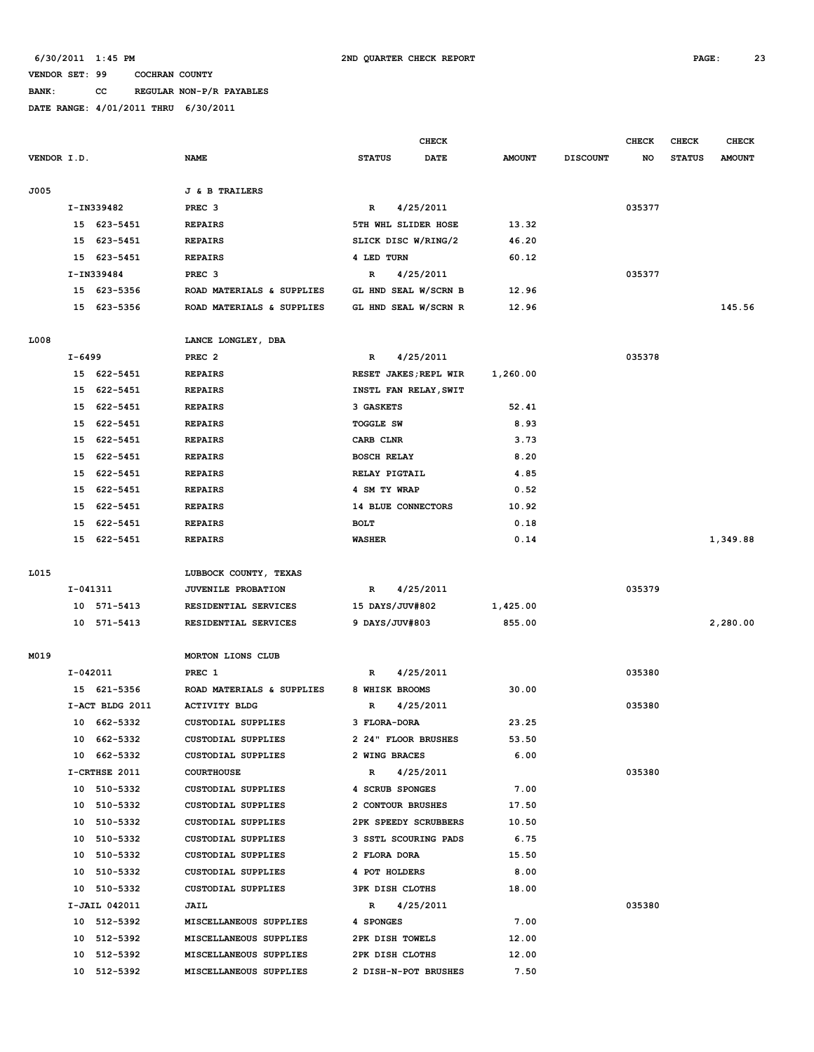# **BANK: CC REGULAR NON-P/R PAYABLES**

|             |            |                 |                           |                       | CHECK       |               |                 | <b>CHECK</b> | <b>CHECK</b>  | <b>CHECK</b>  |
|-------------|------------|-----------------|---------------------------|-----------------------|-------------|---------------|-----------------|--------------|---------------|---------------|
| VENDOR I.D. |            |                 | <b>NAME</b>               | <b>STATUS</b>         | <b>DATE</b> | <b>AMOUNT</b> | <b>DISCOUNT</b> | NO           | <b>STATUS</b> | <b>AMOUNT</b> |
| J005        |            |                 | <b>J &amp; B TRAILERS</b> |                       |             |               |                 |              |               |               |
|             |            | I-IN339482      | PREC <sub>3</sub>         | $\mathbb{R}$          | 4/25/2011   |               |                 | 035377       |               |               |
|             |            | 15 623-5451     | <b>REPAIRS</b>            | 5TH WHL SLIDER HOSE   |             | 13.32         |                 |              |               |               |
|             | 15         | 623-5451        | <b>REPAIRS</b>            | SLICK DISC W/RING/2   |             | 46.20         |                 |              |               |               |
|             | 15         | 623-5451        | <b>REPAIRS</b>            | 4 LED TURN            |             | 60.12         |                 |              |               |               |
|             |            | I-IN339484      | PREC <sub>3</sub>         | R                     | 4/25/2011   |               |                 | 035377       |               |               |
|             |            | 15 623-5356     | ROAD MATERIALS & SUPPLIES | GL HND SEAL W/SCRN B  |             | 12.96         |                 |              |               |               |
|             |            | 15 623-5356     | ROAD MATERIALS & SUPPLIES | GL HND SEAL W/SCRN R  |             | 12.96         |                 |              |               | 145.56        |
| L008        |            |                 | LANCE LONGLEY, DBA        |                       |             |               |                 |              |               |               |
|             | $I - 6499$ |                 | PREC <sub>2</sub>         | R                     | 4/25/2011   |               |                 | 035378       |               |               |
|             |            | 15 622-5451     | <b>REPAIRS</b>            | RESET JAKES; REPL WIR |             | 1,260.00      |                 |              |               |               |
|             | 15         | 622-5451        | <b>REPAIRS</b>            | INSTL FAN RELAY, SWIT |             |               |                 |              |               |               |
|             | 15         | 622-5451        | <b>REPAIRS</b>            | 3 GASKETS             |             | 52.41         |                 |              |               |               |
|             | 15         | 622-5451        | <b>REPAIRS</b>            | <b>TOGGLE SW</b>      |             | 8.93          |                 |              |               |               |
|             | 15         | 622-5451        | <b>REPAIRS</b>            | CARB CLNR             |             | 3.73          |                 |              |               |               |
|             | 15         | 622-5451        | <b>REPAIRS</b>            | <b>BOSCH RELAY</b>    |             | 8.20          |                 |              |               |               |
|             | 15         | 622-5451        | <b>REPAIRS</b>            | RELAY PIGTAIL         |             | 4.85          |                 |              |               |               |
|             | 15         | 622-5451        | <b>REPAIRS</b>            | 4 SM TY WRAP          |             | 0.52          |                 |              |               |               |
|             | 15         | 622-5451        | <b>REPAIRS</b>            | 14 BLUE CONNECTORS    |             | 10.92         |                 |              |               |               |
|             | 15         | 622-5451        | <b>REPAIRS</b>            | <b>BOLT</b>           |             | 0.18          |                 |              |               |               |
|             | 15         | 622-5451        | <b>REPAIRS</b>            | <b>WASHER</b>         |             | 0.14          |                 |              |               | 1,349.88      |
| L015        |            |                 | LUBBOCK COUNTY, TEXAS     |                       |             |               |                 |              |               |               |
|             | I-041311   |                 | <b>JUVENILE PROBATION</b> | $\mathbb{R}$          | 4/25/2011   |               |                 | 035379       |               |               |
|             |            | 10 571-5413     | RESIDENTIAL SERVICES      | 15 DAYS/JUV#802       |             | 1,425.00      |                 |              |               |               |
|             |            | 10 571-5413     | RESIDENTIAL SERVICES      | 9 DAYS/JUV#803        |             | 855.00        |                 |              |               | 2,280.00      |
| M019        |            |                 | MORTON LIONS CLUB         |                       |             |               |                 |              |               |               |
|             | I-042011   |                 | PREC 1                    | R                     | 4/25/2011   |               |                 | 035380       |               |               |
|             |            | 15 621-5356     | ROAD MATERIALS & SUPPLIES | 8 WHISK BROOMS        |             | 30.00         |                 |              |               |               |
|             |            | I-ACT BLDG 2011 | <b>ACTIVITY BLDG</b>      | R                     | 4/25/2011   |               |                 | 035380       |               |               |
|             |            | 10 662-5332     | <b>CUSTODIAL SUPPLIES</b> | 3 FLORA-DORA          |             | 23.25         |                 |              |               |               |
|             |            | 10 662-5332     | CUSTODIAL SUPPLIES        | 2 24" FLOOR BRUSHES   |             | 53.50         |                 |              |               |               |
|             |            | 10 662-5332     | CUSTODIAL SUPPLIES        | 2 WING BRACES         |             | 6.00          |                 |              |               |               |
|             |            | I-CRTHSE 2011   | <b>COURTHOUSE</b>         | $\mathbb{R}$          | 4/25/2011   |               |                 | 035380       |               |               |
|             |            | 10 510-5332     | CUSTODIAL SUPPLIES        | 4 SCRUB SPONGES       |             | 7.00          |                 |              |               |               |
|             |            | 10 510-5332     | CUSTODIAL SUPPLIES        | 2 CONTOUR BRUSHES     |             | 17.50         |                 |              |               |               |
|             |            | 10 510-5332     | CUSTODIAL SUPPLIES        | 2PK SPEEDY SCRUBBERS  |             | 10.50         |                 |              |               |               |
|             |            | 10 510-5332     | CUSTODIAL SUPPLIES        | 3 SSTL SCOURING PADS  |             | 6.75          |                 |              |               |               |
|             |            | 10 510-5332     | CUSTODIAL SUPPLIES        | 2 FLORA DORA          |             | 15.50         |                 |              |               |               |
|             |            | 10 510-5332     | CUSTODIAL SUPPLIES        | 4 POT HOLDERS         |             | 8.00          |                 |              |               |               |
|             |            | 10 510-5332     | CUSTODIAL SUPPLIES        | 3PK DISH CLOTHS       |             | 18.00         |                 |              |               |               |
|             |            | I-JAIL 042011   | JAIL                      | R                     | 4/25/2011   |               |                 | 035380       |               |               |
|             |            | 10 512-5392     | MISCELLANEOUS SUPPLIES    | 4 SPONGES             |             | 7.00          |                 |              |               |               |
|             |            | 10 512-5392     | MISCELLANEOUS SUPPLIES    | 2PK DISH TOWELS       |             | 12.00         |                 |              |               |               |
|             |            | 10 512-5392     | MISCELLANEOUS SUPPLIES    | 2PK DISH CLOTHS       |             | 12.00         |                 |              |               |               |
|             |            | 10 512-5392     | MISCELLANEOUS SUPPLIES    | 2 DISH-N-POT BRUSHES  |             | 7.50          |                 |              |               |               |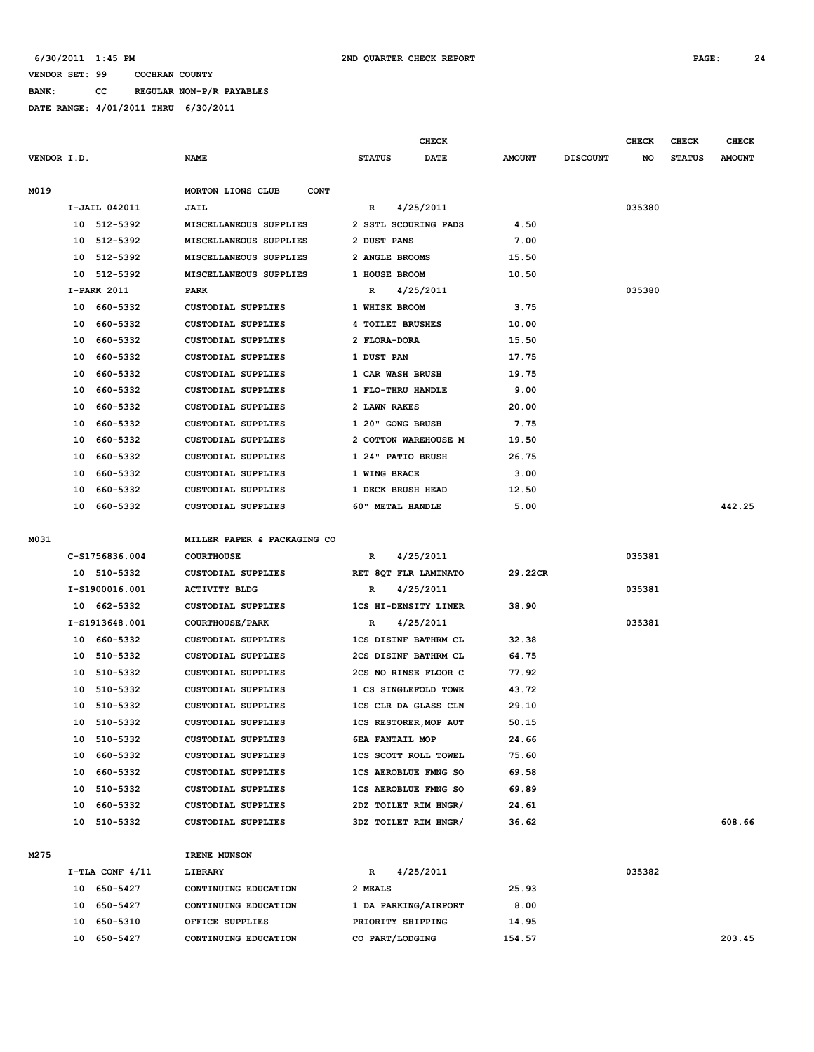**BANK: CC REGULAR NON-P/R PAYABLES**

|             |    |                         |                                          |                                                        | CHECK       |                |                 | <b>CHECK</b> | CHECK         | <b>CHECK</b>  |
|-------------|----|-------------------------|------------------------------------------|--------------------------------------------------------|-------------|----------------|-----------------|--------------|---------------|---------------|
| VENDOR I.D. |    |                         | <b>NAME</b>                              | <b>STATUS</b>                                          | <b>DATE</b> | <b>AMOUNT</b>  | <b>DISCOUNT</b> | NO           | <b>STATUS</b> | <b>AMOUNT</b> |
| M019        |    |                         | MORTON LIONS CLUB<br><b>CONT</b>         |                                                        |             |                |                 |              |               |               |
|             |    | I-JAIL 042011           | JAIL                                     | R                                                      | 4/25/2011   |                |                 | 035380       |               |               |
|             |    | 10 512-5392             | MISCELLANEOUS SUPPLIES                   | 2 SSTL SCOURING PADS                                   |             | 4.50           |                 |              |               |               |
|             |    | 10 512-5392             | MISCELLANEOUS SUPPLIES                   | 2 DUST PANS                                            |             | 7.00           |                 |              |               |               |
|             |    | 10 512-5392             | MISCELLANEOUS SUPPLIES                   | 2 ANGLE BROOMS                                         |             | 15.50          |                 |              |               |               |
|             |    | 10 512-5392             | MISCELLANEOUS SUPPLIES                   | 1 HOUSE BROOM                                          |             | 10.50          |                 |              |               |               |
|             |    | I-PARK 2011             | PARK                                     | R                                                      | 4/25/2011   |                |                 | 035380       |               |               |
|             |    | 10 660-5332             | CUSTODIAL SUPPLIES                       | 1 WHISK BROOM                                          |             | 3.75           |                 |              |               |               |
|             |    | 10 660-5332             | CUSTODIAL SUPPLIES                       | 4 TOILET BRUSHES                                       |             | 10.00          |                 |              |               |               |
|             | 10 | 660-5332                | CUSTODIAL SUPPLIES                       | 2 FLORA-DORA                                           |             | 15.50          |                 |              |               |               |
|             | 10 | 660-5332                | <b>CUSTODIAL SUPPLIES</b>                | 1 DUST PAN                                             |             | 17.75          |                 |              |               |               |
|             | 10 | 660-5332                | <b>CUSTODIAL SUPPLIES</b>                | 1 CAR WASH BRUSH                                       |             | 19.75          |                 |              |               |               |
|             | 10 | 660-5332                | <b>CUSTODIAL SUPPLIES</b>                | 1 FLO-THRU HANDLE                                      |             | 9.00           |                 |              |               |               |
|             | 10 | 660–5332                | CUSTODIAL SUPPLIES                       | 2 LAWN RAKES                                           |             | 20.00          |                 |              |               |               |
|             | 10 | 660-5332                | <b>CUSTODIAL SUPPLIES</b>                | 1 20" GONG BRUSH                                       |             | 7.75           |                 |              |               |               |
|             | 10 | 660-5332                | <b>CUSTODIAL SUPPLIES</b>                | 2 COTTON WAREHOUSE M                                   |             | 19.50          |                 |              |               |               |
|             | 10 | 660-5332                | <b>CUSTODIAL SUPPLIES</b>                | 1 24" PATIO BRUSH                                      |             | 26.75          |                 |              |               |               |
|             | 10 | 660-5332                | CUSTODIAL SUPPLIES                       | 1 WING BRACE                                           |             | 3.00           |                 |              |               |               |
|             | 10 | 660-5332                | CUSTODIAL SUPPLIES                       | 1 DECK BRUSH HEAD                                      |             | 12.50          |                 |              |               |               |
|             |    | 10 660-5332             | CUSTODIAL SUPPLIES                       | 60" METAL HANDLE                                       |             | 5.00           |                 |              |               | 442.25        |
| M031        |    |                         | MILLER PAPER & PACKAGING CO              |                                                        |             |                |                 |              |               |               |
|             |    | C-S1756836.004          | <b>COURTHOUSE</b>                        | $\mathbb{R}$                                           | 4/25/2011   |                |                 | 035381       |               |               |
|             |    | 10 510-5332             | CUSTODIAL SUPPLIES                       | RET 8QT FLR LAMINATO                                   |             | 29.22CR        |                 |              |               |               |
|             |    | I-S1900016.001          | <b>ACTIVITY BLDG</b>                     | R                                                      | 4/25/2011   |                |                 | 035381       |               |               |
|             |    | 10 662-5332             | CUSTODIAL SUPPLIES                       | 1CS HI-DENSITY LINER                                   |             | 38.90          |                 |              |               |               |
|             |    | I-S1913648.001          | <b>COURTHOUSE/PARK</b>                   | R                                                      | 4/25/2011   |                |                 | 035381       |               |               |
|             |    | 10 660-5332             | <b>CUSTODIAL SUPPLIES</b>                | 1CS DISINF BATHRM CL                                   |             | 32.38          |                 |              |               |               |
|             |    |                         |                                          | 2CS DISINF BATHRM CL                                   |             |                |                 |              |               |               |
|             | 10 | 10 510-5332<br>510-5332 | CUSTODIAL SUPPLIES<br>CUSTODIAL SUPPLIES | 2CS NO RINSE FLOOR C                                   |             | 64.75<br>77.92 |                 |              |               |               |
|             | 10 | 510-5332                | <b>CUSTODIAL SUPPLIES</b>                | 1 CS SINGLEFOLD TOWE                                   |             | 43.72          |                 |              |               |               |
|             | 10 | 510-5332                | CUSTODIAL SUPPLIES                       | 1CS CLR DA GLASS CLN                                   |             | 29.10          |                 |              |               |               |
|             |    | 10 510-5332             | <b>CUSTODIAL SUPPLIES</b>                |                                                        |             | 50.15          |                 |              |               |               |
|             |    | 10 510-5332             |                                          | <b>1CS RESTORER, MOP AUT</b><br><b>6EA FANTAIL MOP</b> |             |                |                 |              |               |               |
|             |    | 10 660-5332             | CUSTODIAL SUPPLIES<br>CUSTODIAL SUPPLIES | <b>1CS SCOTT ROLL TOWEL</b>                            |             | 24.66<br>75.60 |                 |              |               |               |
|             |    | 10 660-5332             | CUSTODIAL SUPPLIES                       | <b>1CS AEROBLUE FMNG SO</b>                            |             | 69.58          |                 |              |               |               |
|             |    | 10 510-5332             | CUSTODIAL SUPPLIES                       | <b>1CS AEROBLUE FMNG SO</b>                            |             | 69.89          |                 |              |               |               |
|             |    | 10 660-5332             | CUSTODIAL SUPPLIES                       | 2DZ TOILET RIM HNGR/                                   |             | 24.61          |                 |              |               |               |
|             |    |                         |                                          |                                                        |             |                |                 |              |               | 608.66        |
|             |    | 10 510-5332             | CUSTODIAL SUPPLIES                       | 3DZ TOILET RIM HNGR/                                   |             | 36.62          |                 |              |               |               |
| M275        |    |                         | IRENE MUNSON                             |                                                        |             |                |                 |              |               |               |
|             |    | $I-TLA$ CONF $4/11$     | LIBRARY                                  | R                                                      | 4/25/2011   |                |                 | 035382       |               |               |
|             |    | 10 650-5427             | CONTINUING EDUCATION                     | 2 MEALS                                                |             | 25.93          |                 |              |               |               |
|             |    | 10 650-5427             | CONTINUING EDUCATION                     | 1 DA PARKING/AIRPORT                                   |             | 8.00           |                 |              |               |               |
|             |    | 10 650-5310             | OFFICE SUPPLIES                          | PRIORITY SHIPPING                                      |             | 14.95          |                 |              |               |               |
|             |    | 10 650-5427             | CONTINUING EDUCATION                     | CO PART/LODGING                                        |             | 154.57         |                 |              |               | 203.45        |
|             |    |                         |                                          |                                                        |             |                |                 |              |               |               |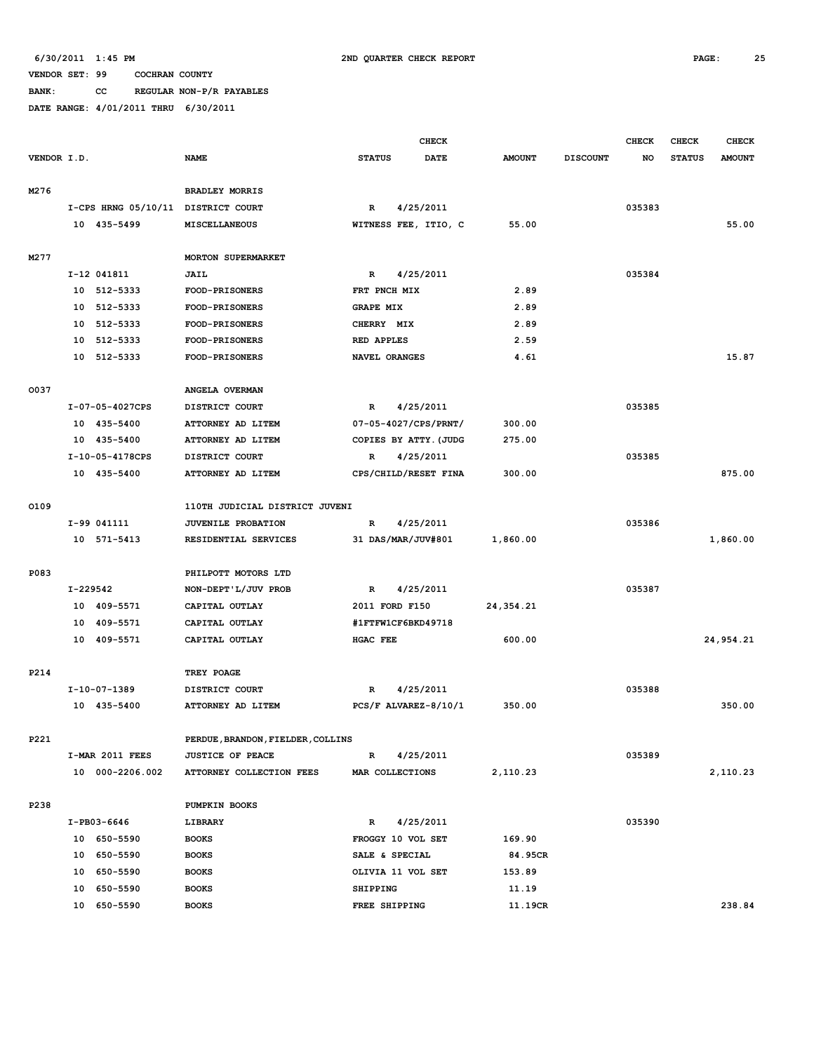| <b>BANK:</b> | CC. |  | REGULAR NON-P/R PAYABLES |
|--------------|-----|--|--------------------------|
|              |     |  |                          |

|             |                                    |                                   | <b>CHECK</b>              |               |                 | <b>CHECK</b> | CHECK         | <b>CHECK</b>  |
|-------------|------------------------------------|-----------------------------------|---------------------------|---------------|-----------------|--------------|---------------|---------------|
| VENDOR I.D. |                                    | <b>NAME</b>                       | <b>STATUS</b><br>DATE     | <b>AMOUNT</b> | <b>DISCOUNT</b> | NO           | <b>STATUS</b> | <b>AMOUNT</b> |
|             |                                    |                                   |                           |               |                 |              |               |               |
| M276        |                                    | <b>BRADLEY MORRIS</b>             |                           |               |                 |              |               |               |
|             | I-CPS HRNG 05/10/11 DISTRICT COURT |                                   | 4/25/2011<br>$\mathbf R$  |               |                 | 035383       |               |               |
|             | 10 435-5499                        | <b>MISCELLANEOUS</b>              | WITNESS FEE, ITIO, C      | 55.00         |                 |              |               | 55.00         |
|             |                                    |                                   |                           |               |                 |              |               |               |
| M277        |                                    | <b>MORTON SUPERMARKET</b>         |                           |               |                 |              |               |               |
|             | I-12 041811                        | <b>JAIL</b>                       | 4/25/2011<br>R            |               |                 | 035384       |               |               |
|             | 10 512-5333                        | FOOD-PRISONERS                    | FRT PNCH MIX              | 2.89          |                 |              |               |               |
|             | 10 512-5333                        | FOOD-PRISONERS                    | <b>GRAPE MIX</b>          | 2.89          |                 |              |               |               |
|             | 512-5333<br>10                     | <b>FOOD-PRISONERS</b>             | CHERRY MIX                | 2.89          |                 |              |               |               |
|             | 512-5333<br>10                     | FOOD-PRISONERS                    | <b>RED APPLES</b>         | 2.59          |                 |              |               |               |
|             | 512-5333<br>10                     | FOOD-PRISONERS                    | NAVEL ORANGES             | 4.61          |                 |              |               | 15.87         |
|             |                                    |                                   |                           |               |                 |              |               |               |
| 0037        |                                    | ANGELA OVERMAN                    |                           |               |                 |              |               |               |
|             | I-07-05-4027CPS                    | DISTRICT COURT                    | 4/25/2011<br>R            |               |                 | 035385       |               |               |
|             | 10 435-5400                        | ATTORNEY AD LITEM                 | 07-05-4027/CPS/PRNT/      | 300.00        |                 |              |               |               |
|             | 10 435-5400                        | ATTORNEY AD LITEM                 | COPIES BY ATTY. (JUDG     | 275.00        |                 |              |               |               |
|             | I-10-05-4178CPS                    | DISTRICT COURT                    | 4/25/2011<br>$\mathbb{R}$ |               |                 | 035385       |               |               |
|             | 10 435-5400                        | ATTORNEY AD LITEM                 | CPS/CHILD/RESET FINA      | 300.00        |                 |              |               | 875.00        |
|             |                                    |                                   |                           |               |                 |              |               |               |
| 0109        |                                    | 110TH JUDICIAL DISTRICT JUVENI    |                           |               |                 |              |               |               |
|             | I-99 041111                        | JUVENILE PROBATION                | 4/25/2011<br>$\mathbf R$  |               |                 | 035386       |               |               |
|             | 10 571-5413                        | RESIDENTIAL SERVICES              | 31 DAS/MAR/JUV#801        | 1,860.00      |                 |              |               | 1,860.00      |
|             |                                    |                                   |                           |               |                 |              |               |               |
| P083        |                                    | PHILPOTT MOTORS LTD               |                           |               |                 |              |               |               |
|             | I-229542                           | NON-DEPT'L/JUV PROB               | 4/25/2011<br>R            |               |                 | 035387       |               |               |
|             | 10 409-5571                        | CAPITAL OUTLAY                    | 2011 FORD F150            | 24,354.21     |                 |              |               |               |
|             | 409-5571<br>10                     | CAPITAL OUTLAY                    | #1FTFW1CF6BKD49718        |               |                 |              |               |               |
|             | 409-5571<br>10                     | CAPITAL OUTLAY                    | <b>HGAC FEE</b>           | 600.00        |                 |              |               | 24,954.21     |
|             |                                    |                                   |                           |               |                 |              |               |               |
| P214        |                                    | TREY POAGE                        |                           |               |                 |              |               |               |
|             | I-10-07-1389                       | DISTRICT COURT                    | R<br>4/25/2011            |               |                 | 035388       |               |               |
|             | 10 435-5400                        | ATTORNEY AD LITEM                 | $PCS/F$ ALVAREZ-8/10/1    | 350.00        |                 |              |               | 350.00        |
|             |                                    |                                   |                           |               |                 |              |               |               |
| P221        |                                    | PERDUE, BRANDON, FIELDER, COLLINS |                           |               |                 |              |               |               |
|             | I-MAR 2011 FEES                    | <b>JUSTICE OF PEACE</b>           | 4/25/2011<br>R            |               |                 | 035389       |               |               |
|             | 10 000-2206.002                    | ATTORNEY COLLECTION FEES          | MAR COLLECTIONS           | 2,110.23      |                 |              |               | 2,110.23      |
| P238        |                                    | PUMPKIN BOOKS                     |                           |               |                 |              |               |               |
|             | I-PB03-6646                        | LIBRARY                           | $\mathbf R$<br>4/25/2011  |               |                 | 035390       |               |               |
|             | 10 650-5590                        | <b>BOOKS</b>                      | FROGGY 10 VOL SET         | 169.90        |                 |              |               |               |
|             | 10 650-5590                        | <b>BOOKS</b>                      | SALE & SPECIAL            | 84.95CR       |                 |              |               |               |
|             | 10 650-5590                        | <b>BOOKS</b>                      | OLIVIA 11 VOL SET         | 153.89        |                 |              |               |               |
|             | 650-5590<br>10                     | <b>BOOKS</b>                      | SHIPPING                  | 11.19         |                 |              |               |               |
|             | 10 650-5590                        | <b>BOOKS</b>                      | FREE SHIPPING             | 11.19CR       |                 |              |               | 238.84        |
|             |                                    |                                   |                           |               |                 |              |               |               |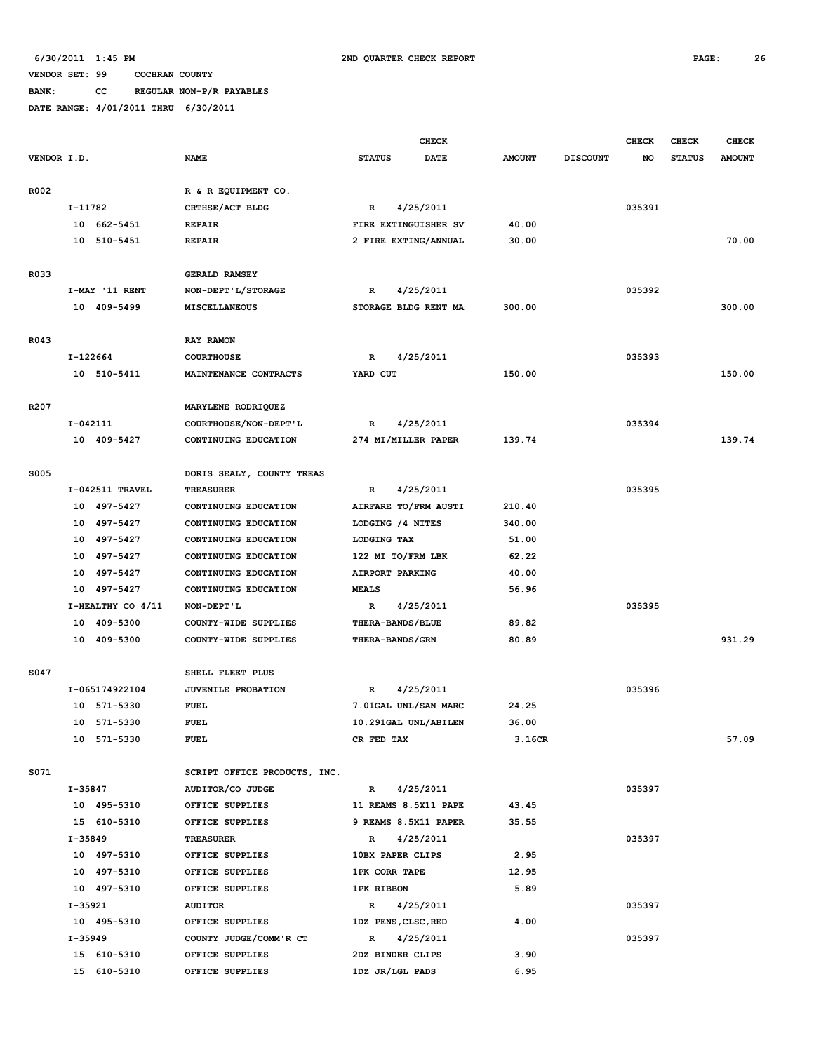**BANK: CC REGULAR NON-P/R PAYABLES**

|                  |           |                            |                              |                      | <b>CHECK</b> |               |                 | <b>CHECK</b> | CHECK         | <b>CHECK</b>  |
|------------------|-----------|----------------------------|------------------------------|----------------------|--------------|---------------|-----------------|--------------|---------------|---------------|
| VENDOR I.D.      |           |                            | <b>NAME</b>                  | <b>STATUS</b>        | <b>DATE</b>  | <b>AMOUNT</b> | <b>DISCOUNT</b> | NO           | <b>STATUS</b> | <b>AMOUNT</b> |
|                  |           |                            |                              |                      |              |               |                 |              |               |               |
| R002             |           |                            | R & R EQUIPMENT CO.          |                      |              |               |                 |              |               |               |
|                  | I-11782   |                            | CRTHSE/ACT BLDG              | R                    | 4/25/2011    |               |                 | 035391       |               |               |
|                  |           | 10 662-5451                | <b>REPAIR</b>                | FIRE EXTINGUISHER SV |              | 40.00         |                 |              |               |               |
|                  | 10        | 510-5451                   | <b>REPAIR</b>                | 2 FIRE EXTING/ANNUAL |              | 30.00         |                 |              |               | 70.00         |
|                  |           |                            |                              |                      |              |               |                 |              |               |               |
| R033             |           |                            | <b>GERALD RAMSEY</b>         |                      |              |               |                 |              |               |               |
|                  |           | I-MAY '11 RENT             | NON-DEPT'L/STORAGE           | R                    | 4/25/2011    |               |                 | 035392       |               |               |
|                  |           | 10 409-5499                | <b>MISCELLANEOUS</b>         | STORAGE BLDG RENT MA |              | 300.00        |                 |              |               | 300.00        |
|                  |           |                            |                              |                      |              |               |                 |              |               |               |
| R043             |           |                            | RAY RAMON                    |                      |              |               |                 |              |               |               |
|                  | I-122664  |                            | <b>COURTHOUSE</b>            | R                    | 4/25/2011    |               |                 | 035393       |               |               |
|                  |           | 10 510-5411                | MAINTENANCE CONTRACTS        | YARD CUT             |              | 150.00        |                 |              |               | 150.00        |
|                  |           |                            |                              |                      |              |               |                 |              |               |               |
| R <sub>207</sub> |           |                            | MARYLENE RODRIQUEZ           |                      |              |               |                 |              |               |               |
|                  | I-042111  |                            | COURTHOUSE/NON-DEPT'L        | R                    | 4/25/2011    |               |                 | 035394       |               |               |
|                  |           | 10 409-5427                | CONTINUING EDUCATION         | 274 MI/MILLER PAPER  |              | 139.74        |                 |              |               | 139.74        |
|                  |           |                            |                              |                      |              |               |                 |              |               |               |
| <b>S005</b>      |           |                            | DORIS SEALY, COUNTY TREAS    |                      |              |               |                 |              |               |               |
|                  |           | I-042511 TRAVEL            | <b>TREASURER</b>             | $\mathbf R$          | 4/25/2011    |               |                 | 035395       |               |               |
|                  |           | 10 497-5427                | CONTINUING EDUCATION         | AIRFARE TO/FRM AUSTI |              | 210.40        |                 |              |               |               |
|                  |           | 10 497-5427                | CONTINUING EDUCATION         | LODGING /4 NITES     |              | 340.00        |                 |              |               |               |
|                  |           | 10 497-5427                | CONTINUING EDUCATION         | LODGING TAX          |              | 51.00         |                 |              |               |               |
|                  | 10        | 497–5427                   | CONTINUING EDUCATION         | 122 MI TO/FRM LBK    |              | 62.22         |                 |              |               |               |
|                  | 10        | 497–5427                   | CONTINUING EDUCATION         | AIRPORT PARKING      |              | 40.00         |                 |              |               |               |
|                  | 10        | 497–5427                   | CONTINUING EDUCATION         | <b>MEALS</b>         |              | 56.96         |                 |              |               |               |
|                  |           | I-HEALTHY CO 4/11          | NON-DEPT'L                   | R                    | 4/25/2011    |               |                 | 035395       |               |               |
|                  | 10        | 409-5300                   | COUNTY-WIDE SUPPLIES         | THERA-BANDS/BLUE     |              | 89.82         |                 |              |               |               |
|                  | 10        | 409-5300                   | COUNTY-WIDE SUPPLIES         | THERA-BANDS/GRN      |              | 80.89         |                 |              |               | 931.29        |
|                  |           |                            |                              |                      |              |               |                 |              |               |               |
| S047             |           |                            | SHELL FLEET PLUS             |                      |              |               |                 |              |               |               |
|                  |           |                            | JUVENILE PROBATION           | R                    | 4/25/2011    |               |                 | 035396       |               |               |
|                  |           | I-065174922104<br>571-5330 | <b>FUEL</b>                  |                      |              | 24.25         |                 |              |               |               |
|                  | 10        |                            |                              | 7.01GAL UNL/SAN MARC |              |               |                 |              |               |               |
|                  | 10        | 571-5330                   | <b>FUEL</b>                  | 10.291GAL UNL/ABILEN |              | 36.00         |                 |              |               |               |
|                  |           | 10 571-5330                | <b>FUEL</b>                  | CR FED TAX           |              | 3.16CR        |                 |              |               | 57.09         |
| S071             |           |                            | SCRIPT OFFICE PRODUCTS, INC. |                      |              |               |                 |              |               |               |
|                  |           |                            |                              |                      |              |               |                 |              |               |               |
|                  | I-35847   |                            | AUDITOR/CO JUDGE             | R 4/25/2011          |              |               |                 | 035397       |               |               |
|                  |           | 10 495-5310                | OFFICE SUPPLIES              | 11 REAMS 8.5X11 PAPE |              | 43.45         |                 |              |               |               |
|                  |           | 15 610-5310                | OFFICE SUPPLIES              | 9 REAMS 8.5X11 PAPER |              | 35.55         |                 |              |               |               |
|                  | $I-35849$ |                            | <b>TREASURER</b>             | $\mathbb{R}$         | 4/25/2011    |               |                 | 035397       |               |               |
|                  |           | 10 497-5310                | OFFICE SUPPLIES              | 10BX PAPER CLIPS     |              | 2.95          |                 |              |               |               |
|                  |           | 10 497-5310                | OFFICE SUPPLIES              | <b>1PK CORR TAPE</b> |              | 12.95         |                 |              |               |               |
|                  |           | 10 497-5310                | OFFICE SUPPLIES              | 1PK RIBBON           |              | 5.89          |                 |              |               |               |
|                  | I-35921   |                            | <b>AUDITOR</b>               | $\mathbb{R}$         | 4/25/2011    |               |                 | 035397       |               |               |
|                  |           | 10 495-5310                | OFFICE SUPPLIES              | 1DZ PENS, CLSC, RED  |              | 4.00          |                 |              |               |               |
|                  | I-35949   |                            | COUNTY JUDGE/COMM'R CT       | $\mathbb{R}$         | 4/25/2011    |               |                 | 035397       |               |               |
|                  |           | 15 610-5310                | OFFICE SUPPLIES              | 2DZ BINDER CLIPS     |              | 3.90          |                 |              |               |               |
|                  |           | 15 610-5310                | OFFICE SUPPLIES              | 1DZ JR/LGL PADS      |              | 6.95          |                 |              |               |               |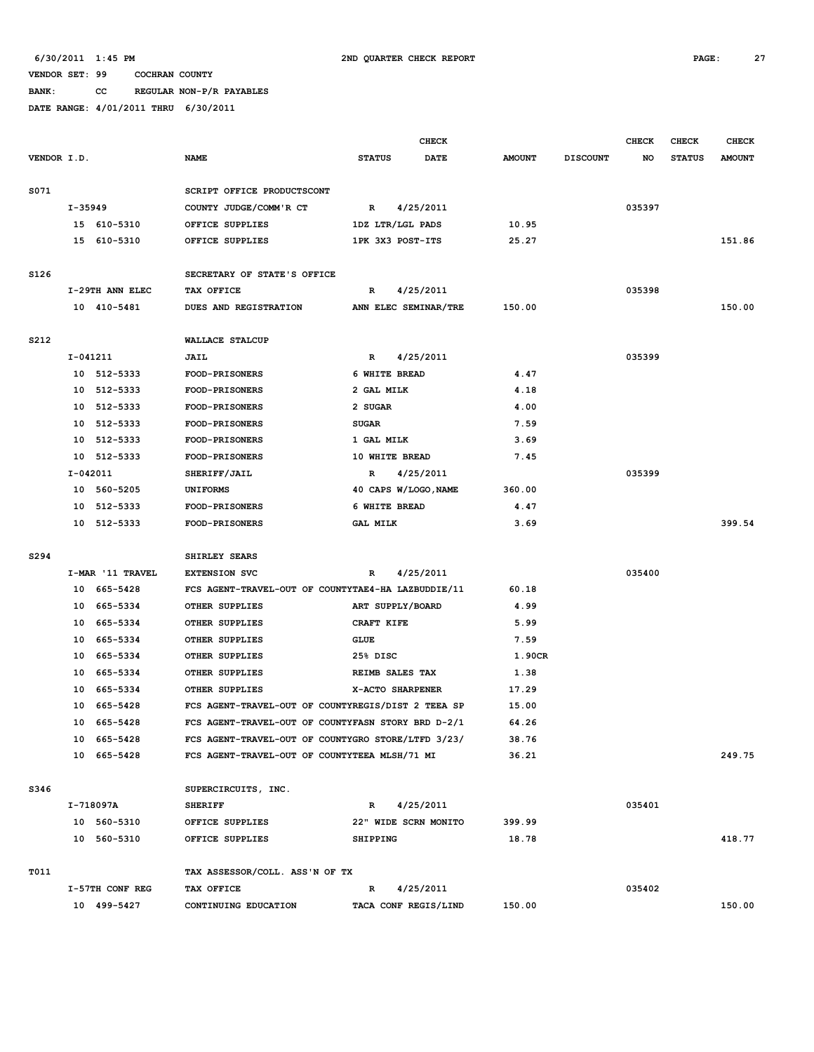**BANK: CC REGULAR NON-P/R PAYABLES**

|             |          |                            |                                                                                                     |                      | CHECK                |                |                 | <b>CHECK</b> | CHECK         | <b>CHECK</b>  |
|-------------|----------|----------------------------|-----------------------------------------------------------------------------------------------------|----------------------|----------------------|----------------|-----------------|--------------|---------------|---------------|
| VENDOR I.D. |          |                            | <b>NAME</b>                                                                                         | <b>STATUS</b>        | DATE                 | <b>AMOUNT</b>  | <b>DISCOUNT</b> | NO           | <b>STATUS</b> | <b>AMOUNT</b> |
| S071        |          |                            | SCRIPT OFFICE PRODUCTSCONT                                                                          |                      |                      |                |                 |              |               |               |
|             | I-35949  |                            | COUNTY JUDGE/COMM'R CT                                                                              | $\mathbb{R}$         | 4/25/2011            |                |                 | 035397       |               |               |
|             |          | 15 610-5310                | OFFICE SUPPLIES                                                                                     | 1DZ LTR/LGL PADS     |                      | 10.95          |                 |              |               |               |
|             |          | 15 610-5310                | OFFICE SUPPLIES                                                                                     | 1PK 3X3 POST-ITS     |                      | 25.27          |                 |              |               | 151.86        |
| S126        |          |                            | SECRETARY OF STATE'S OFFICE                                                                         |                      |                      |                |                 |              |               |               |
|             |          |                            |                                                                                                     |                      |                      |                |                 |              |               |               |
|             |          | I-29TH ANN ELEC            | TAX OFFICE                                                                                          | R                    | 4/25/2011            |                |                 | 035398       |               |               |
|             |          | 10 410-5481                | DUES AND REGISTRATION                                                                               |                      | ANN ELEC SEMINAR/TRE | 150.00         |                 |              |               | 150.00        |
| S212        |          |                            | <b>WALLACE STALCUP</b>                                                                              |                      |                      |                |                 |              |               |               |
|             | I-041211 |                            | <b>JAIL</b>                                                                                         | R                    | 4/25/2011            |                |                 | 035399       |               |               |
|             |          | 10 512-5333                | <b>FOOD-PRISONERS</b>                                                                               | 6 WHITE BREAD        |                      | 4.47           |                 |              |               |               |
|             | 10       | 512-5333                   | FOOD-PRISONERS                                                                                      | 2 GAL MILK           |                      | 4.18           |                 |              |               |               |
|             |          | 10 512-5333                | <b>FOOD-PRISONERS</b>                                                                               | 2 SUGAR              |                      | 4.00           |                 |              |               |               |
|             | 10       | 512-5333                   | <b>FOOD-PRISONERS</b>                                                                               | <b>SUGAR</b>         |                      | 7.59           |                 |              |               |               |
|             | 10       | 512-5333                   | <b>FOOD-PRISONERS</b>                                                                               | 1 GAL MILK           |                      | 3.69           |                 |              |               |               |
|             | 10       | 512-5333                   | <b>FOOD-PRISONERS</b>                                                                               | 10 WHITE BREAD       |                      | 7.45           |                 |              |               |               |
|             | I-042011 |                            | SHERIFF/JAIL                                                                                        | R                    | 4/25/2011            |                |                 | 035399       |               |               |
|             | 10       | 560-5205                   | <b>UNIFORMS</b>                                                                                     | 40 CAPS W/LOGO, NAME |                      | 360.00         |                 |              |               |               |
|             | 10       | 512-5333                   | FOOD-PRISONERS                                                                                      | 6 WHITE BREAD        |                      | 4.47           |                 |              |               |               |
|             |          | 10 512-5333                | FOOD-PRISONERS                                                                                      | <b>GAL MILK</b>      |                      | 3.69           |                 |              |               | 399.54        |
| S294        |          |                            | SHIRLEY SEARS                                                                                       |                      |                      |                |                 |              |               |               |
|             |          | I-MAR '11 TRAVEL           | <b>EXTENSION SVC</b>                                                                                | R                    | 4/25/2011            |                |                 | 035400       |               |               |
|             | 10       | 665–5428                   | FCS AGENT-TRAVEL-OUT OF COUNTYTAE4-HA LAZBUDDIE/11                                                  |                      |                      | 60.18          |                 |              |               |               |
|             | 10       | 665–5334                   | OTHER SUPPLIES                                                                                      | ART SUPPLY/BOARD     |                      | 4.99           |                 |              |               |               |
|             | 10       | 665-5334                   | OTHER SUPPLIES                                                                                      | CRAFT KIFE           |                      | 5.99           |                 |              |               |               |
|             | 10       | 665-5334                   | OTHER SUPPLIES                                                                                      | <b>GLUE</b>          |                      | 7.59           |                 |              |               |               |
|             | 10       | 665-5334                   | OTHER SUPPLIES                                                                                      | 25% DISC             |                      | 1.90CR         |                 |              |               |               |
|             | 10       | 665-5334                   | OTHER SUPPLIES                                                                                      | REIMB SALES TAX      |                      | 1.38           |                 |              |               |               |
|             | 10       | 665-5334                   | OTHER SUPPLIES                                                                                      | X-ACTO SHARPENER     |                      | 17.29          |                 |              |               |               |
|             | 10       | 665-5428                   | FCS AGENT-TRAVEL-OUT OF COUNTYREGIS/DIST 2 TEEA SP                                                  |                      |                      | 15.00          |                 |              |               |               |
|             | 10       | 665-5428                   | FCS AGENT-TRAVEL-OUT OF COUNTYFASN STORY BRD D-2/1                                                  |                      |                      | 64.26          |                 |              |               |               |
|             |          |                            |                                                                                                     |                      |                      |                |                 |              |               |               |
|             |          | 10 665-5428<br>10 665-5428 | FCS AGENT-TRAVEL-OUT OF COUNTYGRO STORE/LTFD 3/23/<br>FCS AGENT-TRAVEL-OUT OF COUNTYTEEA MLSH/71 MI |                      |                      | 38.76<br>36.21 |                 |              |               | 249.75        |
|             |          |                            |                                                                                                     |                      |                      |                |                 |              |               |               |
| S346        |          |                            | SUPERCIRCUITS, INC.                                                                                 |                      |                      |                |                 |              |               |               |
|             |          | I-718097A                  | <b>SHERIFF</b>                                                                                      | R                    | 4/25/2011            |                |                 | 035401       |               |               |
|             |          | 10 560-5310                | OFFICE SUPPLIES                                                                                     |                      | 22" WIDE SCRN MONITO | 399.99         |                 |              |               |               |
|             |          | 10 560-5310                | OFFICE SUPPLIES                                                                                     | <b>SHIPPING</b>      |                      | 18.78          |                 |              |               | 418.77        |
| T011        |          |                            | TAX ASSESSOR/COLL. ASS'N OF TX                                                                      |                      |                      |                |                 |              |               |               |
|             |          | I-57TH CONF REG            | TAX OFFICE                                                                                          | R                    | 4/25/2011            |                |                 | 035402       |               |               |
|             |          | 10 499-5427                | CONTINUING EDUCATION                                                                                |                      | TACA CONF REGIS/LIND | 150.00         |                 |              |               | 150.00        |
|             |          |                            |                                                                                                     |                      |                      |                |                 |              |               |               |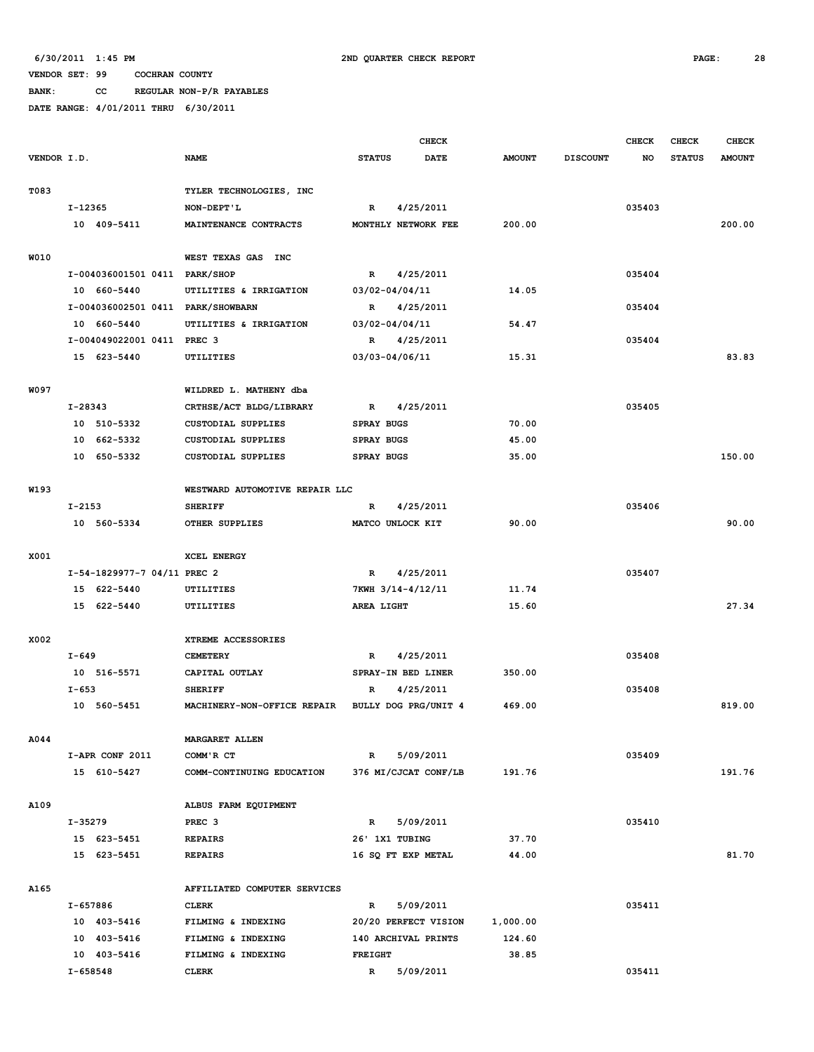**BANK: CC REGULAR NON-P/R PAYABLES**

|             |            |                                   |                                |                   | <b>CHECK</b>         |               |                 | <b>CHECK</b> | CHECK         | <b>CHECK</b>  |
|-------------|------------|-----------------------------------|--------------------------------|-------------------|----------------------|---------------|-----------------|--------------|---------------|---------------|
| VENDOR I.D. |            |                                   | <b>NAME</b>                    | <b>STATUS</b>     | <b>DATE</b>          | <b>AMOUNT</b> | <b>DISCOUNT</b> | NO           | <b>STATUS</b> | <b>AMOUNT</b> |
| T083        |            |                                   | TYLER TECHNOLOGIES, INC        |                   |                      |               |                 |              |               |               |
|             | I-12365    |                                   | NON-DEPT'L                     | $\mathbb{R}$      | 4/25/2011            |               |                 | 035403       |               |               |
|             |            | 10 409-5411                       | MAINTENANCE CONTRACTS          |                   | MONTHLY NETWORK FEE  | 200.00        |                 |              |               | 200.00        |
| W010        |            |                                   | WEST TEXAS GAS<br><b>INC</b>   |                   |                      |               |                 |              |               |               |
|             |            | I-004036001501 0411 PARK/SHOP     |                                | R                 | 4/25/2011            |               |                 | 035404       |               |               |
|             |            | 10 660-5440                       | UTILITIES & IRRIGATION         | 03/02-04/04/11    |                      | 14.05         |                 |              |               |               |
|             |            | I-004036002501 0411 PARK/SHOWBARN |                                | R                 | 4/25/2011            |               |                 | 035404       |               |               |
|             |            | 10 660-5440                       | UTILITIES & IRRIGATION         | 03/02-04/04/11    |                      | 54.47         |                 |              |               |               |
|             |            | I-004049022001 0411 PREC 3        |                                | R                 | 4/25/2011            |               |                 | 035404       |               |               |
|             |            | 15 623-5440                       | UTILITIES                      | 03/03-04/06/11    |                      | 15.31         |                 |              |               | 83.83         |
| W097        |            |                                   | WILDRED L. MATHENY dba         |                   |                      |               |                 |              |               |               |
|             | I-28343    |                                   | CRTHSE/ACT BLDG/LIBRARY        | R                 | 4/25/2011            |               |                 | 035405       |               |               |
|             |            | 10 510-5332                       | <b>CUSTODIAL SUPPLIES</b>      | <b>SPRAY BUGS</b> |                      | 70.00         |                 |              |               |               |
|             | 10         | 662-5332                          | CUSTODIAL SUPPLIES             | <b>SPRAY BUGS</b> |                      | 45.00         |                 |              |               |               |
|             | 10         | 650-5332                          | <b>CUSTODIAL SUPPLIES</b>      | <b>SPRAY BUGS</b> |                      | 35.00         |                 |              |               | 150.00        |
| W193        |            |                                   | WESTWARD AUTOMOTIVE REPAIR LLC |                   |                      |               |                 |              |               |               |
|             | $I - 2153$ |                                   | <b>SHERIFF</b>                 | R                 | 4/25/2011            |               |                 | 035406       |               |               |
|             |            | 10 560-5334                       | OTHER SUPPLIES                 |                   | MATCO UNLOCK KIT     | 90.00         |                 |              |               | 90.00         |
|             |            |                                   |                                |                   |                      |               |                 |              |               |               |
| X001        |            |                                   | XCEL ENERGY                    |                   |                      |               |                 |              |               |               |
|             |            | I-54-1829977-7 04/11 PREC 2       |                                | $\mathbb{R}$      | 4/25/2011            |               |                 | 035407       |               |               |
|             |            | 15 622-5440                       | UTILITIES                      |                   | 7KWH 3/14-4/12/11    | 11.74         |                 |              |               |               |
|             | 15         | 622-5440                          | UTILITIES                      | AREA LIGHT        |                      | 15.60         |                 |              |               | 27.34         |
| X002        |            |                                   | XTREME ACCESSORIES             |                   |                      |               |                 |              |               |               |
|             | $I - 649$  |                                   | <b>CEMETERY</b>                | R                 | 4/25/2011            |               |                 | 035408       |               |               |
|             |            | 10 516-5571                       | CAPITAL OUTLAY                 |                   | SPRAY-IN BED LINER   | 350.00        |                 |              |               |               |
|             | $I - 653$  |                                   | <b>SHERIFF</b>                 | R                 | 4/25/2011            |               |                 | 035408       |               |               |
|             |            | 10 560-5451                       | MACHINERY-NON-OFFICE REPAIR    |                   | BULLY DOG PRG/UNIT 4 | 469.00        |                 |              |               | 819.00        |
| A044        |            |                                   | MARGARET ALLEN                 |                   |                      |               |                 |              |               |               |
|             |            | I-APR CONF 2011                   | COMM'R CT                      | R                 | 5/09/2011            |               |                 | 035409       |               |               |
|             |            | 15 610-5427                       | COMM-CONTINUING EDUCATION      |                   | 376 MI/CJCAT CONF/LB | 191.76        |                 |              |               | 191.76        |
|             |            |                                   |                                |                   |                      |               |                 |              |               |               |
| A109        |            |                                   | ALBUS FARM EQUIPMENT           |                   |                      |               |                 |              |               |               |
|             | I-35279    |                                   | PREC <sub>3</sub>              | $\mathbb{R}$      | 5/09/2011            |               |                 | 035410       |               |               |
|             |            | 15 623-5451                       | <b>REPAIRS</b>                 | 26' 1X1 TUBING    |                      | 37.70         |                 |              |               |               |
|             |            | 15 623-5451                       | <b>REPAIRS</b>                 |                   | 16 SQ FT EXP METAL   | 44.00         |                 |              |               | 81.70         |
| A165        |            |                                   | AFFILIATED COMPUTER SERVICES   |                   |                      |               |                 |              |               |               |
|             | I-657886   |                                   | <b>CLERK</b>                   | R                 | 5/09/2011            |               |                 | 035411       |               |               |
|             |            | 10 403-5416                       | FILMING & INDEXING             |                   | 20/20 PERFECT VISION | 1,000.00      |                 |              |               |               |
|             |            | 10 403-5416                       | FILMING & INDEXING             |                   | 140 ARCHIVAL PRINTS  | 124.60        |                 |              |               |               |
|             |            | 10 403-5416                       | FILMING & INDEXING             | <b>FREIGHT</b>    |                      | 38.85         |                 |              |               |               |
|             | I-658548   |                                   | <b>CLERK</b>                   | $\mathbb{R}$      | 5/09/2011            |               |                 | 035411       |               |               |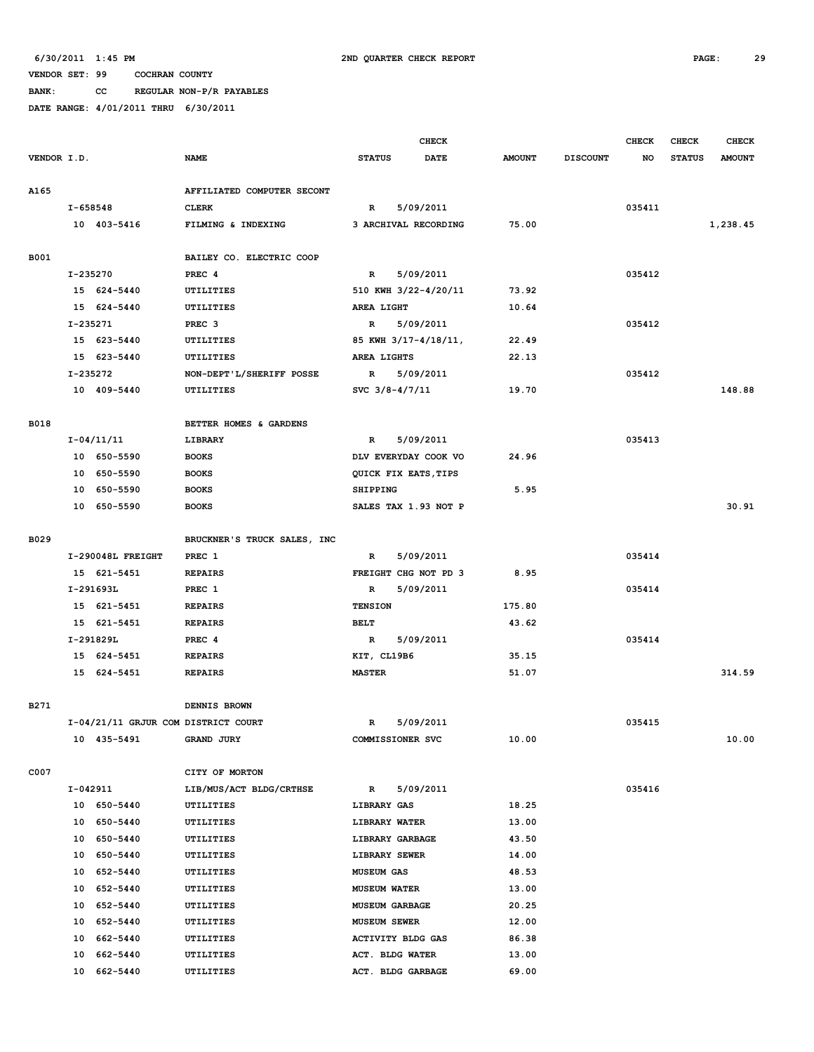**BANK: CC REGULAR NON-P/R PAYABLES**

|             |          |                                     |                                |                                      | <b>CHECK</b> |               |                 | <b>CHECK</b> | CHECK         | <b>CHECK</b>  |
|-------------|----------|-------------------------------------|--------------------------------|--------------------------------------|--------------|---------------|-----------------|--------------|---------------|---------------|
| VENDOR I.D. |          |                                     | <b>NAME</b>                    | <b>STATUS</b>                        | <b>DATE</b>  | <b>AMOUNT</b> | <b>DISCOUNT</b> | NO           | <b>STATUS</b> | <b>AMOUNT</b> |
|             |          |                                     |                                |                                      |              |               |                 |              |               |               |
| A165        |          |                                     | AFFILIATED COMPUTER SECONT     |                                      |              |               |                 |              |               |               |
|             | I-658548 |                                     | <b>CLERK</b>                   | R                                    | 5/09/2011    |               |                 | 035411       |               |               |
|             |          | 10 403-5416                         | FILMING & INDEXING             | 3 ARCHIVAL RECORDING                 |              | 75.00         |                 |              |               | 1,238.45      |
|             |          |                                     |                                |                                      |              |               |                 |              |               |               |
| B001        |          |                                     | BAILEY CO. ELECTRIC COOP       |                                      |              |               |                 |              |               |               |
|             | I-235270 | 15 624-5440                         | PREC <sub>4</sub><br>UTILITIES | $\mathbb{R}$<br>510 KWH 3/22-4/20/11 | 5/09/2011    | 73.92         |                 | 035412       |               |               |
|             |          | 15 624-5440                         | UTILITIES                      | AREA LIGHT                           |              | 10.64         |                 |              |               |               |
|             | I-235271 |                                     | PREC <sub>3</sub>              | $\mathbb{R}$                         | 5/09/2011    |               |                 | 035412       |               |               |
|             |          | 15 623-5440                         | UTILITIES                      | 85 KWH 3/17-4/18/11,                 |              | 22.49         |                 |              |               |               |
|             |          | 15 623-5440                         | UTILITIES                      | AREA LIGHTS                          |              | 22.13         |                 |              |               |               |
|             | I-235272 |                                     | NON-DEPT'L/SHERIFF POSSE       | R                                    | 5/09/2011    |               |                 | 035412       |               |               |
|             |          | 10 409-5440                         | UTILITIES                      | SVC $3/8 - 4/7/11$                   |              | 19.70         |                 |              |               | 148.88        |
|             |          |                                     |                                |                                      |              |               |                 |              |               |               |
| <b>B018</b> |          |                                     | BETTER HOMES & GARDENS         |                                      |              |               |                 |              |               |               |
|             |          | $I - 04/11/11$                      | LIBRARY                        | $\mathbb{R}$                         | 5/09/2011    |               |                 | 035413       |               |               |
|             |          | 10 650-5590                         | <b>BOOKS</b>                   | DLV EVERYDAY COOK VO                 |              | 24.96         |                 |              |               |               |
|             |          | 10 650-5590                         | <b>BOOKS</b>                   | QUICK FIX EATS, TIPS                 |              |               |                 |              |               |               |
|             |          | 10 650-5590                         | <b>BOOKS</b>                   | <b>SHIPPING</b>                      |              | 5.95          |                 |              |               |               |
|             |          | 10 650-5590                         | <b>BOOKS</b>                   | SALES TAX 1.93 NOT P                 |              |               |                 |              |               | 30.91         |
|             |          |                                     |                                |                                      |              |               |                 |              |               |               |
| B029        |          |                                     | BRUCKNER'S TRUCK SALES, INC    |                                      |              |               |                 |              |               |               |
|             |          | I-290048L FREIGHT                   | PREC 1                         | R                                    | 5/09/2011    |               |                 | 035414       |               |               |
|             |          | 15 621-5451                         | <b>REPAIRS</b>                 | FREIGHT CHG NOT PD 3                 |              | 8.95          |                 |              |               |               |
|             |          | I-291693L                           | PREC 1                         | $\mathbb{R}$                         | 5/09/2011    |               |                 | 035414       |               |               |
|             |          | 15 621-5451                         | <b>REPAIRS</b>                 | <b>TENSION</b>                       |              | 175.80        |                 |              |               |               |
|             |          | 15 621-5451                         | <b>REPAIRS</b>                 | <b>BELT</b>                          |              | 43.62         |                 |              |               |               |
|             |          | I-291829L                           | PREC 4                         | $\mathbb{R}$                         | 5/09/2011    |               |                 | 035414       |               |               |
|             |          | 15 624-5451                         | <b>REPAIRS</b>                 | KIT, CL19B6                          |              | 35.15         |                 |              |               |               |
|             |          | 15 624-5451                         | <b>REPAIRS</b>                 | <b>MASTER</b>                        |              | 51.07         |                 |              |               | 314.59        |
|             |          |                                     |                                |                                      |              |               |                 |              |               |               |
| B271        |          | I-04/21/11 GRJUR COM DISTRICT COURT | DENNIS BROWN                   | $\mathbb{R}$                         | 5/09/2011    |               |                 | 035415       |               |               |
|             |          | 10 435-5491                         | GRAND JURY                     |                                      |              | 10.00         |                 |              |               | 10.00         |
|             |          |                                     |                                | COMMISSIONER SVC                     |              |               |                 |              |               |               |
| C007        |          |                                     | CITY OF MORTON                 |                                      |              |               |                 |              |               |               |
|             | I-042911 |                                     | LIB/MUS/ACT BLDG/CRTHSE        | $\mathbb{R}$                         | 5/09/2011    |               |                 | 035416       |               |               |
|             |          | 10 650-5440                         | UTILITIES                      | LIBRARY GAS                          |              | 18.25         |                 |              |               |               |
|             |          | 10 650-5440                         | UTILITIES                      | LIBRARY WATER                        |              | 13.00         |                 |              |               |               |
|             |          | 10 650-5440                         | UTILITIES                      | LIBRARY GARBAGE                      |              | 43.50         |                 |              |               |               |
|             |          | 10 650-5440                         | UTILITIES                      | LIBRARY SEWER                        |              | 14.00         |                 |              |               |               |
|             | 10       | 652-5440                            | UTILITIES                      | <b>MUSEUM GAS</b>                    |              | 48.53         |                 |              |               |               |
|             |          | 10 652-5440                         | UTILITIES                      | <b>MUSEUM WATER</b>                  |              | 13.00         |                 |              |               |               |
|             |          | 10 652-5440                         | UTILITIES                      | MUSEUM GARBAGE                       |              | 20.25         |                 |              |               |               |
|             |          | 10 652-5440                         | UTILITIES                      | <b>MUSEUM SEWER</b>                  |              | 12.00         |                 |              |               |               |
|             |          | 10 662-5440                         | UTILITIES                      | <b>ACTIVITY BLDG GAS</b>             |              | 86.38         |                 |              |               |               |
|             | 10       | 662-5440                            | UTILITIES                      | ACT. BLDG WATER                      |              | 13.00         |                 |              |               |               |
|             | 10       | 662-5440                            | UTILITIES                      | ACT. BLDG GARBAGE                    |              | 69.00         |                 |              |               |               |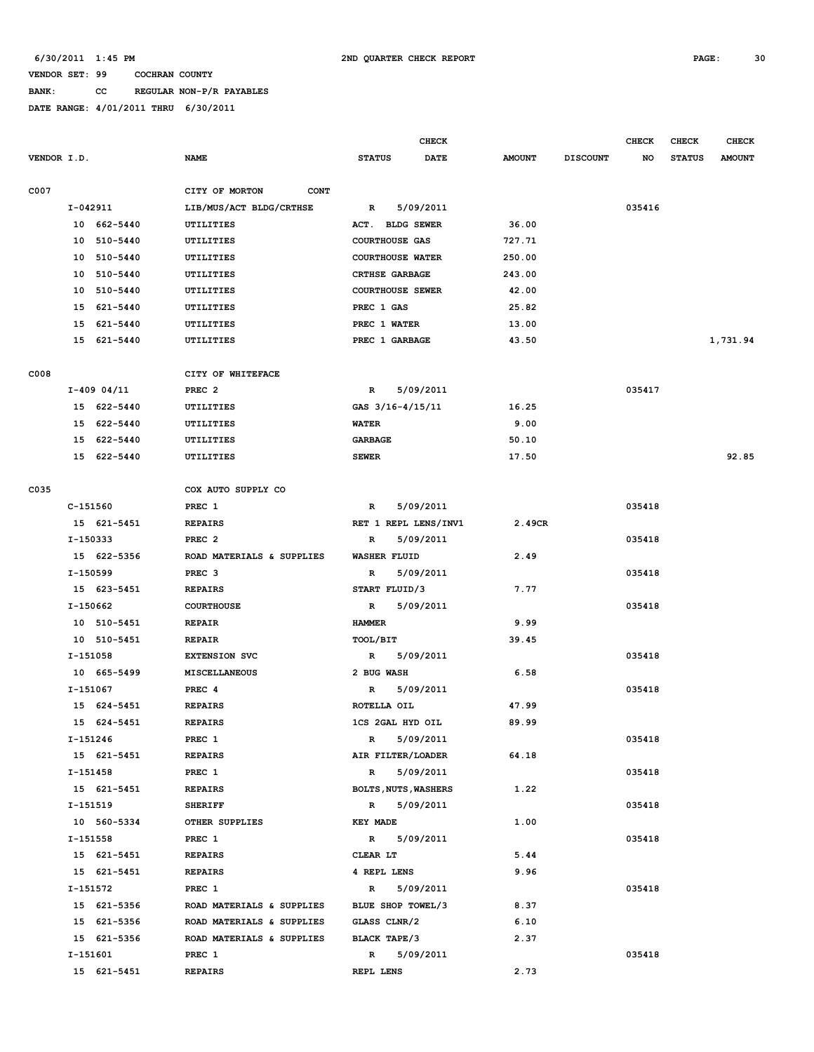# **BANK: CC REGULAR NON-P/R PAYABLES**

|             |                |                               |                             | CHECK       |               |                 | <b>CHECK</b> | <b>CHECK</b>  | <b>CHECK</b>  |
|-------------|----------------|-------------------------------|-----------------------------|-------------|---------------|-----------------|--------------|---------------|---------------|
| VENDOR I.D. |                | <b>NAME</b>                   | <b>STATUS</b>               | <b>DATE</b> | <b>AMOUNT</b> | <b>DISCOUNT</b> | NO           | <b>STATUS</b> | <b>AMOUNT</b> |
| C007        |                | CITY OF MORTON<br><b>CONT</b> |                             |             |               |                 |              |               |               |
|             | I-042911       | LIB/MUS/ACT BLDG/CRTHSE       | R                           | 5/09/2011   |               |                 | 035416       |               |               |
|             | 10 662-5440    | <b>UTILITIES</b>              | ACT. BLDG SEWER             |             | 36.00         |                 |              |               |               |
|             | 10<br>510-5440 | UTILITIES                     | <b>COURTHOUSE GAS</b>       |             | 727.71        |                 |              |               |               |
|             | 510-5440<br>10 | UTILITIES                     | <b>COURTHOUSE WATER</b>     |             | 250.00        |                 |              |               |               |
|             | 510-5440<br>10 | UTILITIES                     | <b>CRTHSE GARBAGE</b>       |             | 243.00        |                 |              |               |               |
|             | 10<br>510-5440 | <b>UTILITIES</b>              | <b>COURTHOUSE SEWER</b>     |             | 42.00         |                 |              |               |               |
|             | 15<br>621-5440 | UTILITIES                     | PREC 1 GAS                  |             | 25.82         |                 |              |               |               |
|             | 621-5440<br>15 | UTILITIES                     | PREC 1 WATER                |             | 13.00         |                 |              |               |               |
|             | 15 621-5440    | UTILITIES                     | PREC 1 GARBAGE              |             | 43.50         |                 |              |               | 1,731.94      |
|             |                |                               |                             |             |               |                 |              |               |               |
| C008        |                | CITY OF WHITEFACE             |                             |             |               |                 |              |               |               |
|             | $I-409$ 04/11  | PREC <sub>2</sub>             | $\mathbb{R}$                | 5/09/2011   |               |                 | 035417       |               |               |
|             | 15 622-5440    | UTILITIES                     | GAS 3/16-4/15/11            |             | 16.25         |                 |              |               |               |
|             | 15 622-5440    | UTILITIES                     | <b>WATER</b>                |             | 9.00          |                 |              |               |               |
|             | 15 622-5440    | UTILITIES                     | <b>GARBAGE</b>              |             | 50.10         |                 |              |               |               |
|             | 15 622-5440    | UTILITIES                     | <b>SEWER</b>                |             | 17.50         |                 |              |               | 92.85         |
| C035        |                | COX AUTO SUPPLY CO            |                             |             |               |                 |              |               |               |
|             | C-151560       | PREC 1                        | R                           | 5/09/2011   |               |                 | 035418       |               |               |
|             | 15 621-5451    | <b>REPAIRS</b>                | RET 1 REPL LENS/INV1        |             | 2.49CR        |                 |              |               |               |
|             | I-150333       | PREC <sub>2</sub>             | R                           | 5/09/2011   |               |                 | 035418       |               |               |
|             | 15 622-5356    | ROAD MATERIALS & SUPPLIES     | <b>WASHER FLUID</b>         |             | 2.49          |                 |              |               |               |
|             | I-150599       | PREC <sub>3</sub>             | R                           | 5/09/2011   |               |                 | 035418       |               |               |
|             | 15 623-5451    | <b>REPAIRS</b>                | START FLUID/3               |             | 7.77          |                 |              |               |               |
|             | I-150662       | <b>COURTHOUSE</b>             | R                           | 5/09/2011   |               |                 | 035418       |               |               |
|             | 10 510-5451    | <b>REPAIR</b>                 | <b>HAMMER</b>               |             | 9.99          |                 |              |               |               |
|             | 10 510-5451    | <b>REPAIR</b>                 | TOOL/BIT                    |             | 39.45         |                 |              |               |               |
|             | I-151058       | <b>EXTENSION SVC</b>          | R                           | 5/09/2011   |               |                 | 035418       |               |               |
|             | 10 665-5499    | <b>MISCELLANEOUS</b>          | 2 BUG WASH                  |             | 6.58          |                 |              |               |               |
|             | I-151067       | PREC 4                        | $\mathbb{R}$                | 5/09/2011   |               |                 | 035418       |               |               |
|             | 15 624-5451    | <b>REPAIRS</b>                | ROTELLA OIL                 |             | 47.99         |                 |              |               |               |
|             | 15 624-5451    | <b>REPAIRS</b>                | 1CS 2GAL HYD OIL            |             | 89.99         |                 |              |               |               |
|             | I-151246       | PREC 1                        | R                           | 5/09/2011   |               |                 | 035418       |               |               |
|             | 15 621-5451    | <b>REPAIRS</b>                | AIR FILTER/LOADER           |             | 64.18         |                 |              |               |               |
|             | I-151458       | PREC 1                        | $\mathbb{R}$                | 5/09/2011   |               |                 | 035418       |               |               |
|             | 15 621-5451    | <b>REPAIRS</b>                | <b>BOLTS, NUTS, WASHERS</b> |             | 1.22          |                 |              |               |               |
|             | I-151519       | <b>SHERIFF</b>                | $\mathbb{R}$                | 5/09/2011   |               |                 | 035418       |               |               |
|             | 10 560-5334    | OTHER SUPPLIES                | <b>KEY MADE</b>             |             | 1.00          |                 |              |               |               |
|             | I-151558       | PREC 1                        | $\mathbb{R}$                | 5/09/2011   |               |                 | 035418       |               |               |
|             | 15 621-5451    | <b>REPAIRS</b>                | CLEAR LT                    |             | 5.44          |                 |              |               |               |
|             | 15 621-5451    | <b>REPAIRS</b>                | 4 REPL LENS                 |             | 9.96          |                 |              |               |               |
|             | I-151572       | PREC 1                        | $\mathbb{R}$                | 5/09/2011   |               |                 | 035418       |               |               |
|             | 15 621-5356    | ROAD MATERIALS & SUPPLIES     | BLUE SHOP TOWEL/3           |             | 8.37          |                 |              |               |               |
|             | 15 621-5356    | ROAD MATERIALS & SUPPLIES     | GLASS CLNR/2                |             | 6.10          |                 |              |               |               |
|             | 15 621-5356    | ROAD MATERIALS & SUPPLIES     | BLACK TAPE/3                |             | 2.37          |                 |              |               |               |
|             | I-151601       | PREC 1                        | R                           | 5/09/2011   |               |                 | 035418       |               |               |
|             | 15 621-5451    | <b>REPAIRS</b>                | REPL LENS                   |             | 2.73          |                 |              |               |               |
|             |                |                               |                             |             |               |                 |              |               |               |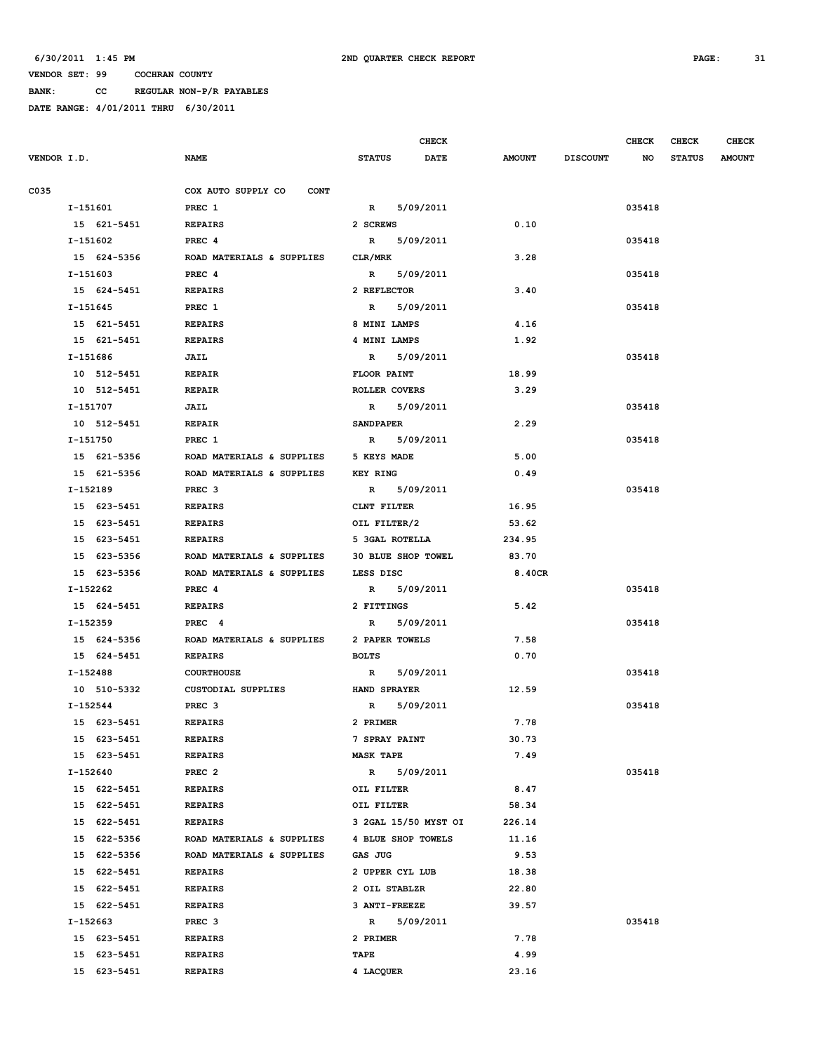**BANK: CC REGULAR NON-P/R PAYABLES**

|             |             |                                   |                    | <b>CHECK</b>         |               |                 | <b>CHECK</b> | <b>CHECK</b>  | <b>CHECK</b>  |
|-------------|-------------|-----------------------------------|--------------------|----------------------|---------------|-----------------|--------------|---------------|---------------|
| VENDOR I.D. |             | <b>NAME</b>                       | <b>STATUS</b>      | DATE                 | <b>AMOUNT</b> | <b>DISCOUNT</b> | NO           | <b>STATUS</b> | <b>AMOUNT</b> |
| C035        |             | COX AUTO SUPPLY CO<br><b>CONT</b> |                    |                      |               |                 |              |               |               |
|             | I-151601    | PREC 1                            |                    | R 5/09/2011          |               |                 | 035418       |               |               |
|             | 15 621-5451 | <b>REPAIRS</b>                    | 2 SCREWS           |                      | 0.10          |                 |              |               |               |
|             | I-151602    | PREC 4                            |                    | R 5/09/2011          |               |                 | 035418       |               |               |
|             | 15 624-5356 | ROAD MATERIALS & SUPPLIES         | CLR/MRK            |                      | 3.28          |                 |              |               |               |
|             | I-151603    | PREC 4                            | $\mathbb{R}$       | 5/09/2011            |               |                 | 035418       |               |               |
|             | 15 624-5451 | <b>REPAIRS</b>                    | 2 REFLECTOR        |                      | 3.40          |                 |              |               |               |
|             | $I-151645$  | PREC 1                            | R                  | 5/09/2011            |               |                 | 035418       |               |               |
|             | 15 621-5451 | <b>REPAIRS</b>                    | 8 MINI LAMPS       |                      | 4.16          |                 |              |               |               |
|             | 15 621-5451 | <b>REPAIRS</b>                    | 4 MINI LAMPS       |                      | 1.92          |                 |              |               |               |
|             | I-151686    | JAIL                              | $\mathbb{R}$       | 5/09/2011            |               |                 | 035418       |               |               |
|             | 10 512-5451 | <b>REPAIR</b>                     | <b>FLOOR PAINT</b> |                      | 18.99         |                 |              |               |               |
|             | 10 512-5451 | <b>REPAIR</b>                     | ROLLER COVERS      |                      | 3.29          |                 |              |               |               |
|             | I-151707    | JAIL                              | R 5/09/2011        |                      |               |                 | 035418       |               |               |
|             | 10 512-5451 | <b>REPAIR</b>                     | <b>SANDPAPER</b>   |                      | 2.29          |                 |              |               |               |
|             | I-151750    | PREC 1                            |                    | R 5/09/2011          |               |                 | 035418       |               |               |
|             | 15 621-5356 | ROAD MATERIALS & SUPPLIES         | 5 KEYS MADE        |                      | 5.00          |                 |              |               |               |
|             | 15 621-5356 | ROAD MATERIALS & SUPPLIES         | <b>KEY RING</b>    |                      | 0.49          |                 |              |               |               |
|             | I-152189    | PREC <sub>3</sub>                 | R 5/09/2011        |                      |               |                 | 035418       |               |               |
|             | 15 623-5451 | <b>REPAIRS</b>                    | CLNT FILTER        |                      | 16.95         |                 |              |               |               |
|             | 15 623-5451 | <b>REPAIRS</b>                    | OIL FILTER/2       |                      | 53.62         |                 |              |               |               |
|             | 15 623-5451 | <b>REPAIRS</b>                    | 5 3GAL ROTELLA     |                      | 234.95        |                 |              |               |               |
|             | 15 623-5356 | ROAD MATERIALS & SUPPLIES         | 30 BLUE SHOP TOWEL |                      | 83.70         |                 |              |               |               |
|             | 15 623-5356 | ROAD MATERIALS & SUPPLIES         | LESS DISC          |                      | 8.40CR        |                 |              |               |               |
|             | I-152262    | PREC <sub>4</sub>                 | $\mathbb{R}$       | 5/09/2011            |               |                 | 035418       |               |               |
|             | 15 624-5451 | <b>REPAIRS</b>                    | 2 FITTINGS         |                      | 5.42          |                 |              |               |               |
|             | I-152359    | PREC <sub>4</sub>                 | $\mathbb{R}$       | 5/09/2011            |               |                 | 035418       |               |               |
|             | 15 624-5356 | ROAD MATERIALS & SUPPLIES         | 2 PAPER TOWELS     |                      | 7.58          |                 |              |               |               |
|             | 15 624-5451 | <b>REPAIRS</b>                    | <b>BOLTS</b>       |                      | 0.70          |                 |              |               |               |
|             | I-152488    | <b>COURTHOUSE</b>                 | R                  | 5/09/2011            |               |                 | 035418       |               |               |
|             | 10 510-5332 | CUSTODIAL SUPPLIES                | HAND SPRAYER       |                      | 12.59         |                 |              |               |               |
|             | I-152544    | PREC <sub>3</sub>                 | $\mathbb{R}$       | 5/09/2011            |               |                 | 035418       |               |               |
|             | 15 623-5451 | <b>REPAIRS</b>                    | 2 PRIMER           |                      | 7.78          |                 |              |               |               |
|             | 15 623-5451 | <b>REPAIRS</b>                    | 7 SPRAY PAINT      |                      | 30.73         |                 |              |               |               |
|             | 15 623-5451 | <b>REPAIRS</b>                    | <b>MASK TAPE</b>   |                      | 7.49          |                 |              |               |               |
|             | I-152640    | PREC <sub>2</sub>                 | $\mathbb{R}$       | 5/09/2011            |               |                 | 035418       |               |               |
|             | 15 622-5451 | <b>REPAIRS</b>                    | OIL FILTER         |                      | 8.47          |                 |              |               |               |
|             | 15 622-5451 | <b>REPAIRS</b>                    | OIL FILTER         |                      | 58.34         |                 |              |               |               |
|             | 15 622-5451 | <b>REPAIRS</b>                    |                    | 3 2GAL 15/50 MYST OI | 226.14        |                 |              |               |               |
|             | 15 622-5356 | ROAD MATERIALS & SUPPLIES         | 4 BLUE SHOP TOWELS |                      | 11.16         |                 |              |               |               |
|             | 15 622-5356 | ROAD MATERIALS & SUPPLIES         | GAS JUG            |                      | 9.53          |                 |              |               |               |
|             | 15 622-5451 | <b>REPAIRS</b>                    | 2 UPPER CYL LUB    |                      | 18.38         |                 |              |               |               |
|             | 15 622-5451 | <b>REPAIRS</b>                    | 2 OIL STABLZR      |                      | 22.80         |                 |              |               |               |
|             | 15 622-5451 | <b>REPAIRS</b>                    | 3 ANTI-FREEZE      |                      | 39.57         |                 |              |               |               |
|             | I-152663    | PREC <sub>3</sub>                 | $\mathbb{R}$       | 5/09/2011            |               |                 | 035418       |               |               |
|             | 15 623-5451 | <b>REPAIRS</b>                    | 2 PRIMER           |                      | 7.78          |                 |              |               |               |
|             | 15 623-5451 | <b>REPAIRS</b>                    | TAPE               |                      | 4.99          |                 |              |               |               |
|             | 15 623-5451 | <b>REPAIRS</b>                    | 4 LACQUER          |                      | 23.16         |                 |              |               |               |
|             |             |                                   |                    |                      |               |                 |              |               |               |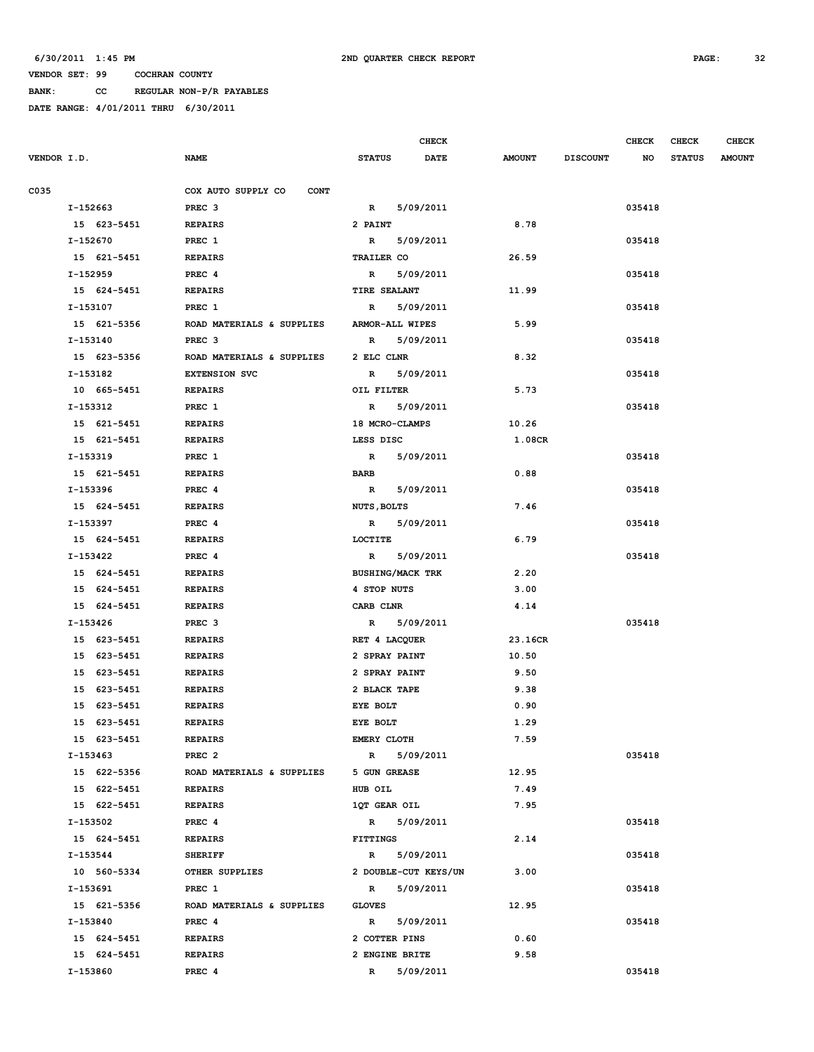**BANK: CC REGULAR NON-P/R PAYABLES**

|             |             |                                   |                         | <b>CHECK</b>         |               |                 | <b>CHECK</b> | <b>CHECK</b>  | <b>CHECK</b>  |
|-------------|-------------|-----------------------------------|-------------------------|----------------------|---------------|-----------------|--------------|---------------|---------------|
| VENDOR I.D. |             | <b>NAME</b>                       | <b>STATUS</b>           | <b>DATE</b>          | <b>AMOUNT</b> | <b>DISCOUNT</b> | NO           | <b>STATUS</b> | <b>AMOUNT</b> |
|             |             |                                   |                         |                      |               |                 |              |               |               |
| C035        |             | COX AUTO SUPPLY CO<br><b>CONT</b> |                         |                      |               |                 |              |               |               |
|             | I-152663    | PREC <sub>3</sub>                 | $\mathbb{R}$            | 5/09/2011            |               |                 | 035418       |               |               |
|             | 15 623-5451 | <b>REPAIRS</b>                    | 2 PAINT                 |                      | 8.78          |                 |              |               |               |
|             | I-152670    | PREC 1                            | $\mathbb{R}$            | 5/09/2011            |               |                 | 035418       |               |               |
|             | 15 621-5451 | <b>REPAIRS</b>                    | <b>TRAILER CO</b>       |                      | 26.59         |                 |              |               |               |
|             | I-152959    | PREC 4                            | $\mathbb{R}$            | 5/09/2011            |               |                 | 035418       |               |               |
|             | 15 624-5451 | <b>REPAIRS</b>                    | TIRE SEALANT            |                      | 11.99         |                 |              |               |               |
|             | I-153107    | PREC 1                            | $\mathbb{R}$            | 5/09/2011            |               |                 | 035418       |               |               |
|             | 15 621-5356 | ROAD MATERIALS & SUPPLIES         | <b>ARMOR-ALL WIPES</b>  |                      | 5.99          |                 |              |               |               |
|             | I-153140    | PREC <sub>3</sub>                 | $\mathbb{R}$            | 5/09/2011            |               |                 | 035418       |               |               |
|             | 15 623-5356 | ROAD MATERIALS & SUPPLIES         | 2 ELC CLNR              |                      | 8.32          |                 |              |               |               |
|             | I-153182    | <b>EXTENSION SVC</b>              | $\mathbb{R}$            | 5/09/2011            |               |                 | 035418       |               |               |
|             | 10 665-5451 | <b>REPAIRS</b>                    | OIL FILTER              |                      | 5.73          |                 |              |               |               |
|             | I-153312    | PREC 1                            | $\mathbf{R}$            | 5/09/2011            |               |                 | 035418       |               |               |
|             | 15 621-5451 | <b>REPAIRS</b>                    | 18 MCRO-CLAMPS          |                      | 10.26         |                 |              |               |               |
|             | 15 621-5451 | <b>REPAIRS</b>                    | LESS DISC               |                      | 1.08CR        |                 |              |               |               |
|             | I-153319    | PREC 1                            | $\mathbb{R}$            | 5/09/2011            |               |                 | 035418       |               |               |
|             | 15 621-5451 | <b>REPAIRS</b>                    | <b>BARB</b>             |                      | 0.88          |                 |              |               |               |
|             | I-153396    | PREC 4                            | $\mathbb{R}$            | 5/09/2011            |               |                 | 035418       |               |               |
|             | 15 624-5451 | <b>REPAIRS</b>                    | <b>NUTS, BOLTS</b>      |                      | 7.46          |                 |              |               |               |
|             | I-153397    | PREC 4                            | $\mathbb{R}$            | 5/09/2011            |               |                 | 035418       |               |               |
|             | 15 624-5451 | <b>REPAIRS</b>                    | LOCTITE                 |                      | 6.79          |                 |              |               |               |
|             | I-153422    | PREC 4                            | R                       | 5/09/2011            |               |                 | 035418       |               |               |
|             | 15 624-5451 | <b>REPAIRS</b>                    | <b>BUSHING/MACK TRK</b> |                      | 2.20          |                 |              |               |               |
|             | 15 624-5451 | <b>REPAIRS</b>                    | 4 STOP NUTS             |                      | 3.00          |                 |              |               |               |
|             | 15 624-5451 | <b>REPAIRS</b>                    | CARB CLNR               |                      | 4.14          |                 |              |               |               |
|             | I-153426    | PREC <sub>3</sub>                 | $\mathbb{R}$            | 5/09/2011            |               |                 | 035418       |               |               |
|             | 15 623-5451 | <b>REPAIRS</b>                    | RET 4 LACQUER           |                      | 23.16CR       |                 |              |               |               |
|             | 15 623-5451 | <b>REPAIRS</b>                    | 2 SPRAY PAINT           |                      | 10.50         |                 |              |               |               |
|             | 15 623-5451 | <b>REPAIRS</b>                    | 2 SPRAY PAINT           |                      | 9.50          |                 |              |               |               |
|             | 15 623-5451 | <b>REPAIRS</b>                    | 2 BLACK TAPE            |                      | 9.38          |                 |              |               |               |
|             | 15 623-5451 | <b>REPAIRS</b>                    | EYE BOLT                |                      | 0.90          |                 |              |               |               |
|             | 15 623-5451 | <b>REPAIRS</b>                    | EYE BOLT                |                      | 1.29          |                 |              |               |               |
|             | 15 623-5451 | <b>REPAIRS</b>                    | <b>EMERY CLOTH</b>      |                      | 7.59          |                 |              |               |               |
|             | I-153463    | PREC <sub>2</sub>                 | $\mathbb{R}$            | 5/09/2011            |               |                 | 035418       |               |               |
|             | 15 622-5356 | ROAD MATERIALS & SUPPLIES         | 5 GUN GREASE            |                      | 12.95         |                 |              |               |               |
|             | 15 622-5451 | <b>REPAIRS</b>                    | HUB OIL                 |                      | 7.49          |                 |              |               |               |
|             | 15 622-5451 | <b>REPAIRS</b>                    | 1QT GEAR OIL            |                      | 7.95          |                 |              |               |               |
|             | I-153502    | PREC 4                            |                         | R 5/09/2011          |               |                 | 035418       |               |               |
|             | 15 624-5451 | <b>REPAIRS</b>                    | <b>FITTINGS</b>         |                      | 2.14          |                 |              |               |               |
|             | I-153544    | <b>SHERIFF</b>                    |                         | R 5/09/2011          |               |                 | 035418       |               |               |
|             | 10 560-5334 | OTHER SUPPLIES                    |                         | 2 DOUBLE-CUT KEYS/UN | 3.00          |                 |              |               |               |
|             | I-153691    | PREC 1                            |                         | R 5/09/2011          |               |                 | 035418       |               |               |
|             | 15 621-5356 | ROAD MATERIALS & SUPPLIES         | <b>GLOVES</b>           |                      | 12.95         |                 |              |               |               |
|             | I-153840    | PREC 4                            | $\mathbf{R}$            | 5/09/2011            |               |                 | 035418       |               |               |
|             | 15 624-5451 | <b>REPAIRS</b>                    | 2 COTTER PINS           |                      | 0.60          |                 |              |               |               |
|             | 15 624-5451 | <b>REPAIRS</b>                    | 2 ENGINE BRITE          |                      | 9.58          |                 |              |               |               |
|             | I-153860    | PREC 4                            | $\mathbb{R}$            | 5/09/2011            |               |                 | 035418       |               |               |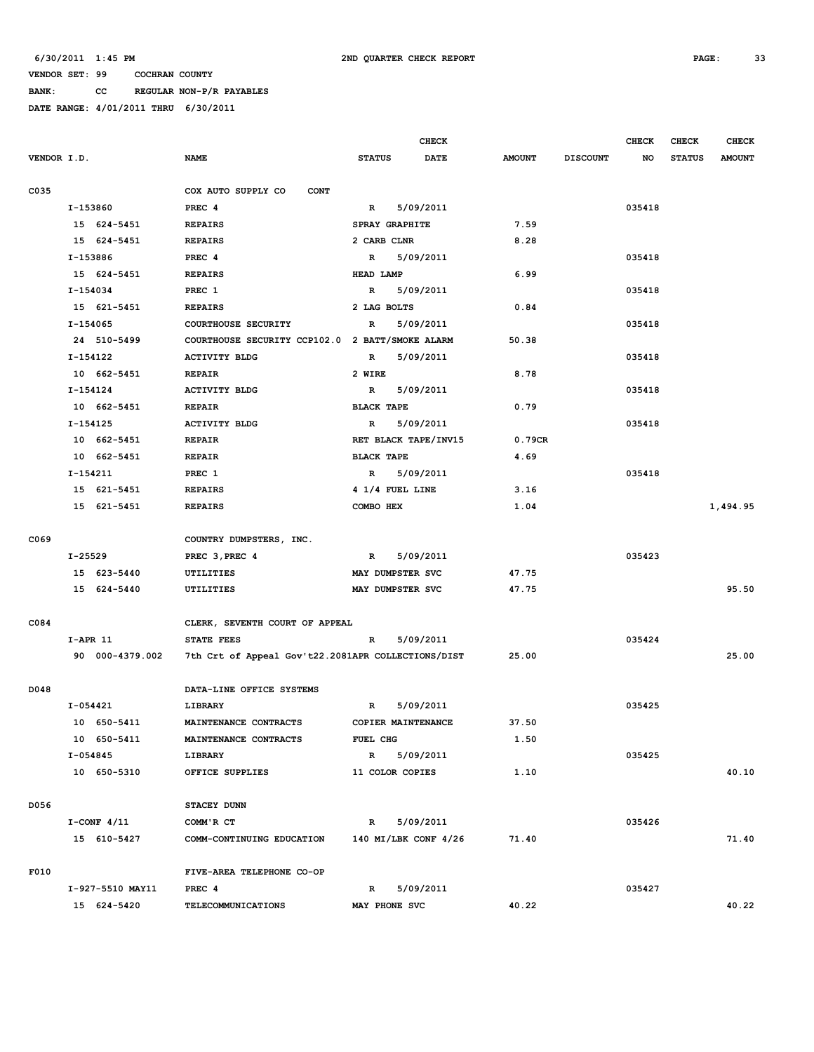**BANK: CC REGULAR NON-P/R PAYABLES**

|             |                  |                                                    |                      | <b>CHECK</b> |               |                 | <b>CHECK</b> | <b>CHECK</b>  | <b>CHECK</b>  |
|-------------|------------------|----------------------------------------------------|----------------------|--------------|---------------|-----------------|--------------|---------------|---------------|
| VENDOR I.D. |                  | <b>NAME</b>                                        | <b>STATUS</b>        | DATE         | <b>AMOUNT</b> | <b>DISCOUNT</b> | NO           | <b>STATUS</b> | <b>AMOUNT</b> |
| C035        |                  | COX AUTO SUPPLY CO<br><b>CONT</b>                  |                      |              |               |                 |              |               |               |
|             | I-153860         | PREC 4                                             | $\mathbb{R}$         | 5/09/2011    |               |                 | 035418       |               |               |
|             | 15 624-5451      | <b>REPAIRS</b>                                     | SPRAY GRAPHITE       |              | 7.59          |                 |              |               |               |
|             | 15 624-5451      | <b>REPAIRS</b>                                     | 2 CARB CLNR          |              | 8.28          |                 |              |               |               |
|             | I-153886         | PREC 4                                             | $\mathbb{R}$         | 5/09/2011    |               |                 | 035418       |               |               |
|             | 15 624-5451      | <b>REPAIRS</b>                                     | HEAD LAMP            |              | 6.99          |                 |              |               |               |
|             | I-154034         | PREC 1                                             | $\mathbf R$          | 5/09/2011    |               |                 | 035418       |               |               |
|             | 15 621-5451      | <b>REPAIRS</b>                                     | 2 LAG BOLTS          |              | 0.84          |                 |              |               |               |
|             | I-154065         | COURTHOUSE SECURITY                                | $\mathbf R$          | 5/09/2011    |               |                 | 035418       |               |               |
|             | 24 510-5499      | COURTHOUSE SECURITY CCP102.0 2 BATT/SMOKE ALARM    |                      |              | 50.38         |                 |              |               |               |
|             | I-154122         | <b>ACTIVITY BLDG</b>                               | R                    | 5/09/2011    |               |                 | 035418       |               |               |
|             | 10 662-5451      | <b>REPAIR</b>                                      | 2 WIRE               |              | 8.78          |                 |              |               |               |
|             | $I-154124$       | <b>ACTIVITY BLDG</b>                               | $\mathbb{R}$         | 5/09/2011    |               |                 | 035418       |               |               |
|             | 10 662-5451      | <b>REPAIR</b>                                      | <b>BLACK TAPE</b>    |              | 0.79          |                 |              |               |               |
|             | I-154125         | <b>ACTIVITY BLDG</b>                               | $\mathbb{R}$         | 5/09/2011    |               |                 | 035418       |               |               |
|             | 10 662-5451      | <b>REPAIR</b>                                      | RET BLACK TAPE/INV15 |              | 0.79CR        |                 |              |               |               |
|             | 10 662-5451      | <b>REPAIR</b>                                      | <b>BLACK TAPE</b>    |              | 4.69          |                 |              |               |               |
|             | I-154211         | PREC 1                                             | $\mathbb{R}$         | 5/09/2011    |               |                 | 035418       |               |               |
|             | 15 621-5451      | <b>REPAIRS</b>                                     | 4 1/4 FUEL LINE      |              | 3.16          |                 |              |               |               |
|             | 15 621-5451      | <b>REPAIRS</b>                                     | COMBO HEX            |              | 1.04          |                 |              |               | 1,494.95      |
|             |                  |                                                    |                      |              |               |                 |              |               |               |
| C069        |                  | COUNTRY DUMPSTERS, INC.                            |                      |              |               |                 |              |               |               |
|             | I-25529          | PREC 3, PREC 4                                     | $\mathbb{R}$         | 5/09/2011    |               |                 | 035423       |               |               |
|             | 15 623-5440      | UTILITIES                                          | MAY DUMPSTER SVC     |              | 47.75         |                 |              |               |               |
|             | 15 624-5440      | UTILITIES                                          | MAY DUMPSTER SVC     |              | 47.75         |                 |              |               | 95.50         |
|             |                  |                                                    |                      |              |               |                 |              |               |               |
| C084        |                  | CLERK, SEVENTH COURT OF APPEAL                     |                      |              |               |                 |              |               |               |
|             | $I-APR$ 11       | STATE FEES                                         | $\mathbb{R}$         | 5/09/2011    |               |                 | 035424       |               |               |
|             | 90 000-4379.002  | 7th Crt of Appeal Gov't22.2081APR COLLECTIONS/DIST |                      |              | 25.00         |                 |              |               | 25.00         |
|             |                  |                                                    |                      |              |               |                 |              |               |               |
| D048        |                  | DATA-LINE OFFICE SYSTEMS                           |                      |              |               |                 |              |               |               |
|             | I-054421         | LIBRARY                                            | R                    | 5/09/2011    |               |                 | 035425       |               |               |
|             | 10 650-5411      | MAINTENANCE CONTRACTS                              | COPIER MAINTENANCE   |              | 37.50         |                 |              |               |               |
|             | 10 650-5411      | MAINTENANCE CONTRACTS                              | FUEL CHG             |              | 1.50          |                 |              |               |               |
|             | I-054845         | LIBRARY                                            | $\mathbb{R}$         | 5/09/2011    |               |                 | 035425       |               |               |
|             | 10 650-5310      | OFFICE SUPPLIES                                    | 11 COLOR COPIES      |              | 1.10          |                 |              |               | 40.10         |
|             |                  |                                                    |                      |              |               |                 |              |               |               |
| D056        |                  | STACEY DUNN                                        |                      |              |               |                 |              |               |               |
|             | $I$ -CONF $4/11$ | COMM'R CT                                          | R                    | 5/09/2011    |               |                 | 035426       |               |               |
|             | 15 610-5427      | COMM-CONTINUING EDUCATION                          | 140 MI/LBK CONF 4/26 |              | 71.40         |                 |              |               | 71.40         |
|             |                  |                                                    |                      |              |               |                 |              |               |               |
| F010        |                  | FIVE-AREA TELEPHONE CO-OP                          |                      |              |               |                 |              |               |               |
|             | I-927-5510 MAY11 | PREC 4                                             | $\mathbb{R}$         | 5/09/2011    |               |                 | 035427       |               |               |
|             | 15 624-5420      | <b>TELECOMMUNICATIONS</b>                          | MAY PHONE SVC        |              | 40.22         |                 |              |               | 40.22         |
|             |                  |                                                    |                      |              |               |                 |              |               |               |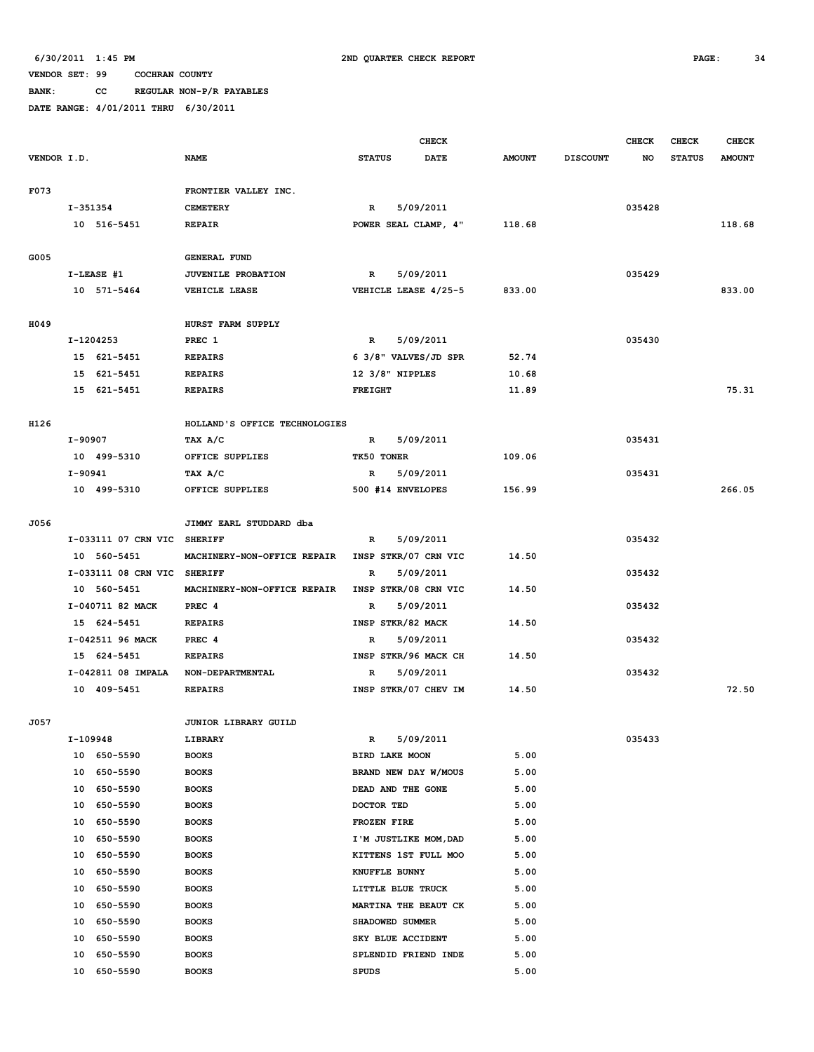**BANK: CC REGULAR NON-P/R PAYABLES**

|             |          |                             |                                 |                          | <b>CHECK</b>          |               |                 | <b>CHECK</b> | <b>CHECK</b>  | <b>CHECK</b>  |
|-------------|----------|-----------------------------|---------------------------------|--------------------------|-----------------------|---------------|-----------------|--------------|---------------|---------------|
| VENDOR I.D. |          |                             | <b>NAME</b>                     | <b>STATUS</b>            | <b>DATE</b>           | <b>AMOUNT</b> | <b>DISCOUNT</b> | NO           | <b>STATUS</b> | <b>AMOUNT</b> |
|             |          |                             |                                 |                          |                       |               |                 |              |               |               |
| F073        |          |                             | FRONTIER VALLEY INC.            |                          |                       |               |                 |              |               |               |
|             | I-351354 |                             | <b>CEMETERY</b>                 | R                        | 5/09/2011             |               |                 | 035428       |               |               |
|             |          | 10 516-5451                 | <b>REPAIR</b>                   |                          | POWER SEAL CLAMP, 4"  | 118.68        |                 |              |               | 118.68        |
|             |          |                             |                                 |                          |                       |               |                 |              |               |               |
| G005        |          |                             | <b>GENERAL FUND</b>             |                          |                       |               |                 |              |               |               |
|             |          | I-LEASE #1                  | JUVENILE PROBATION              | $\mathbb{R}$             | 5/09/2011             |               |                 | 035429       |               |               |
|             |          | 10 571-5464                 | VEHICLE LEASE                   |                          | VEHICLE LEASE 4/25-5  | 833.00        |                 |              |               | 833.00        |
| H049        |          |                             | HURST FARM SUPPLY               |                          |                       |               |                 |              |               |               |
|             |          | I-1204253                   | PREC 1                          | $\mathbb{R}$             | 5/09/2011             |               |                 | 035430       |               |               |
|             |          | 15 621-5451                 | <b>REPAIRS</b>                  |                          | 6 3/8" VALVES/JD SPR  | 52.74         |                 |              |               |               |
|             |          | 15 621-5451                 | <b>REPAIRS</b>                  | $12 \frac{3}{8}$ NIPPLES |                       | 10.68         |                 |              |               |               |
|             |          | 15 621-5451                 | <b>REPAIRS</b>                  | <b>FREIGHT</b>           |                       | 11.89         |                 |              |               | 75.31         |
|             |          |                             |                                 |                          |                       |               |                 |              |               |               |
| H126        |          |                             | HOLLAND'S OFFICE TECHNOLOGIES   |                          |                       |               |                 |              |               |               |
|             | I-90907  |                             | TAX A/C                         | $\mathbb{R}$             | 5/09/2011             |               |                 | 035431       |               |               |
|             |          | 10 499-5310                 | OFFICE SUPPLIES                 | TK50 TONER               |                       | 109.06        |                 |              |               |               |
|             | I-90941  |                             | TAX A/C                         | $\mathbb{R}$             | 5/09/2011             |               |                 | 035431       |               |               |
|             |          | 10 499-5310                 | OFFICE SUPPLIES                 |                          | 500 #14 ENVELOPES     | 156.99        |                 |              |               | 266.05        |
|             |          |                             |                                 |                          |                       |               |                 |              |               |               |
| J056        |          |                             | JIMMY EARL STUDDARD dba         |                          |                       |               |                 |              |               |               |
|             |          | I-033111 07 CRN VIC SHERIFF |                                 | $\mathbb{R}$             | 5/09/2011             |               |                 | 035432       |               |               |
|             |          | 10 560-5451                 | MACHINERY-NON-OFFICE REPAIR     |                          | INSP STKR/07 CRN VIC  | 14.50         |                 |              |               |               |
|             |          | I-033111 08 CRN VIC SHERIFF |                                 | $\mathbb{R}$             | 5/09/2011             |               |                 | 035432       |               |               |
|             |          | 10 560-5451                 | MACHINERY-NON-OFFICE REPAIR     |                          | INSP STKR/08 CRN VIC  | 14.50         |                 |              |               |               |
|             |          | I-040711 82 MACK            | PREC 4                          | $\mathbb{R}$             | 5/09/2011             |               |                 | 035432       |               |               |
|             |          | 15 624-5451                 | <b>REPAIRS</b>                  |                          | INSP STKR/82 MACK     | 14.50         |                 |              |               |               |
|             |          | I-042511 96 MACK            | PREC 4                          | R                        | 5/09/2011             |               |                 | 035432       |               |               |
|             |          | 15 624-5451                 | <b>REPAIRS</b>                  |                          | INSP STKR/96 MACK CH  | 14.50         |                 |              |               |               |
|             |          | I-042811 08 IMPALA          | NON-DEPARTMENTAL                | $\mathbb{R}$             | 5/09/2011             |               |                 | 035432       |               |               |
|             |          | 10 409-5451                 | <b>REPAIRS</b>                  |                          | INSP STKR/07 CHEV IM  | 14.50         |                 |              |               | 72.50         |
| J057        |          |                             |                                 |                          |                       |               |                 |              |               |               |
|             | I-109948 |                             | JUNIOR LIBRARY GUILD<br>LIBRARY | R                        | 5/09/2011             |               |                 | 035433       |               |               |
|             |          | 10 650-5590                 | <b>BOOKS</b>                    | BIRD LAKE MOON           |                       | 5.00          |                 |              |               |               |
|             |          | 10 650-5590                 | <b>BOOKS</b>                    |                          | BRAND NEW DAY W/MOUS  | 5.00          |                 |              |               |               |
|             | 10       | 650-5590                    | <b>BOOKS</b>                    |                          | DEAD AND THE GONE     | 5.00          |                 |              |               |               |
|             | 10       | 650-5590                    | <b>BOOKS</b>                    | DOCTOR TED               |                       | 5.00          |                 |              |               |               |
|             | 10       | 650-5590                    | <b>BOOKS</b>                    | FROZEN FIRE              |                       | 5.00          |                 |              |               |               |
|             | 10       | 650-5590                    | <b>BOOKS</b>                    |                          | I'M JUSTLIKE MOM, DAD | 5.00          |                 |              |               |               |
|             | 10       | 650-5590                    | <b>BOOKS</b>                    |                          | KITTENS 1ST FULL MOO  | 5.00          |                 |              |               |               |
|             | 10       | 650-5590                    | <b>BOOKS</b>                    | KNUFFLE BUNNY            |                       | 5.00          |                 |              |               |               |
|             | 10       | 650-5590                    | <b>BOOKS</b>                    |                          | LITTLE BLUE TRUCK     | 5.00          |                 |              |               |               |
|             | 10       | 650-5590                    | <b>BOOKS</b>                    |                          | MARTINA THE BEAUT CK  | 5.00          |                 |              |               |               |
|             | 10       | 650-5590                    | <b>BOOKS</b>                    |                          | SHADOWED SUMMER       | 5.00          |                 |              |               |               |
|             | 10       | 650-5590                    | <b>BOOKS</b>                    |                          | SKY BLUE ACCIDENT     | 5.00          |                 |              |               |               |
|             | 10       | 650-5590                    | <b>BOOKS</b>                    |                          | SPLENDID FRIEND INDE  | 5.00          |                 |              |               |               |
|             |          | 10 650-5590                 | <b>BOOKS</b>                    | <b>SPUDS</b>             |                       | 5.00          |                 |              |               |               |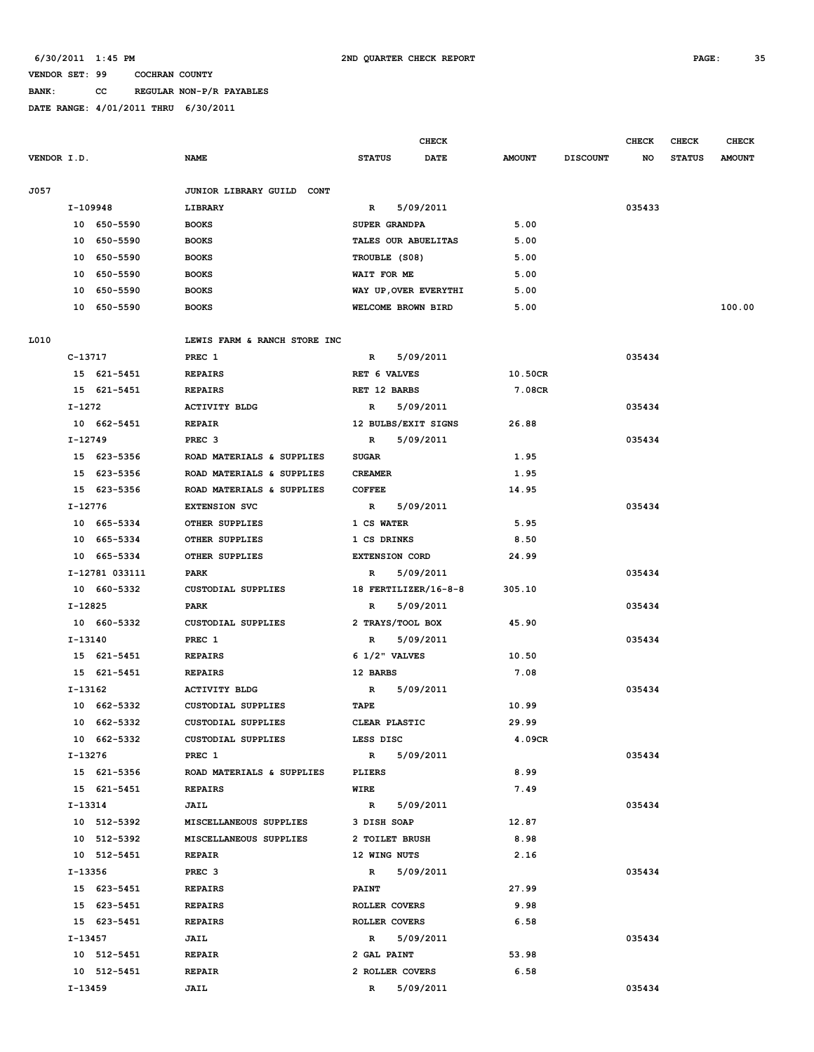# **BANK: CC REGULAR NON-P/R PAYABLES**

|             |          |                | <b>CHECK</b>                 |                                             |                       |                      |               | <b>CHECK</b>    | CHECK  | <b>CHECK</b>  |               |
|-------------|----------|----------------|------------------------------|---------------------------------------------|-----------------------|----------------------|---------------|-----------------|--------|---------------|---------------|
| VENDOR I.D. |          |                | NAME                         | <b>STATUS</b>                               |                       | <b>DATE</b>          | <b>AMOUNT</b> | <b>DISCOUNT</b> | NO     | <b>STATUS</b> | <b>AMOUNT</b> |
| J057        |          |                | JUNIOR LIBRARY GUILD CONT    |                                             |                       |                      |               |                 |        |               |               |
|             | I-109948 |                | LIBRARY                      | 5/09/2011<br>R                              |                       |                      |               |                 | 035433 |               |               |
|             |          | 10 650-5590    | <b>BOOKS</b>                 |                                             | SUPER GRANDPA         |                      | 5.00          |                 |        |               |               |
|             |          | 10 650-5590    | <b>BOOKS</b>                 | TALES OUR ABUELITAS                         |                       |                      | 5.00          |                 |        |               |               |
|             |          | 10 650-5590    | <b>BOOKS</b>                 |                                             | TROUBLE (S08)         |                      | 5.00          |                 |        |               |               |
|             |          | 10 650-5590    | <b>BOOKS</b>                 | WAIT FOR ME                                 |                       |                      | 5.00          |                 |        |               |               |
|             |          | 10 650-5590    | <b>BOOKS</b>                 |                                             |                       |                      | 5.00          |                 |        |               |               |
|             |          | 10 650-5590    | <b>BOOKS</b>                 | WAY UP, OVER EVERYTHI<br>WELCOME BROWN BIRD |                       |                      | 5.00          |                 |        |               | 100.00        |
|             |          |                |                              |                                             |                       |                      |               |                 |        |               |               |
| L010        |          |                | LEWIS FARM & RANCH STORE INC |                                             |                       |                      |               |                 |        |               |               |
|             | C-13717  |                | PREC 1                       | R                                           | 5/09/2011             |                      |               |                 | 035434 |               |               |
|             |          | 15 621-5451    | <b>REPAIRS</b>               |                                             | RET 6 VALVES          |                      | 10.50CR       |                 |        |               |               |
|             |          | 15 621-5451    | <b>REPAIRS</b>               | RET 12 BARBS                                |                       |                      | 7.08CR        |                 |        |               |               |
|             | I-1272   |                | <b>ACTIVITY BLDG</b>         | $\mathbb{R}$                                | 5/09/2011             |                      |               |                 | 035434 |               |               |
|             |          | 10 662-5451    | <b>REPAIR</b>                |                                             | 12 BULBS/EXIT SIGNS   |                      | 26.88         |                 |        |               |               |
|             | I-12749  |                | PREC <sub>3</sub>            | $\mathbb{R}$                                | 5/09/2011             |                      |               |                 | 035434 |               |               |
|             |          | 15 623-5356    | ROAD MATERIALS & SUPPLIES    | <b>SUGAR</b>                                |                       |                      | 1.95          |                 |        |               |               |
|             |          | 15 623-5356    | ROAD MATERIALS & SUPPLIES    | <b>CREAMER</b>                              |                       |                      | 1.95          |                 |        |               |               |
|             |          | 15 623-5356    | ROAD MATERIALS & SUPPLIES    | <b>COFFEE</b>                               |                       |                      | 14.95         |                 |        |               |               |
|             | I-12776  |                | <b>EXTENSION SVC</b>         | R                                           | 5/09/2011             |                      |               |                 | 035434 |               |               |
|             |          | 10 665-5334    | OTHER SUPPLIES               | 1 CS WATER                                  |                       |                      | 5.95          |                 |        |               |               |
|             |          | 10 665-5334    | OTHER SUPPLIES               | 1 CS DRINKS                                 |                       |                      | 8.50          |                 |        |               |               |
|             |          | 10 665-5334    | OTHER SUPPLIES               |                                             | <b>EXTENSION CORD</b> |                      | 24.99         |                 |        |               |               |
|             |          | I-12781 033111 | PARK                         | $\mathbb{R}$                                | 5/09/2011             |                      |               |                 | 035434 |               |               |
|             |          | 10 660-5332    | CUSTODIAL SUPPLIES           |                                             |                       | 18 FERTILIZER/16-8-8 | 305.10        |                 |        |               |               |
|             | I-12825  |                | PARK                         | R                                           | 5/09/2011             |                      |               |                 | 035434 |               |               |
|             |          | 10 660-5332    | CUSTODIAL SUPPLIES           |                                             | 2 TRAYS/TOOL BOX      |                      | 45.90         |                 |        |               |               |
|             | I-13140  |                | PREC 1                       | R                                           | 5/09/2011             |                      |               |                 | 035434 |               |               |
|             |          | 15 621-5451    | <b>REPAIRS</b>               |                                             | $6$ $1/2$ " VALVES    |                      | 10.50         |                 |        |               |               |
|             |          | 15 621-5451    | <b>REPAIRS</b>               | 12 BARBS                                    |                       |                      | 7.08          |                 |        |               |               |
|             | I-13162  |                | <b>ACTIVITY BLDG</b>         | $\mathbb{R}$                                | 5/09/2011             |                      |               |                 | 035434 |               |               |
|             |          | 10 662-5332    | CUSTODIAL SUPPLIES           | TAPE                                        |                       |                      | 10.99         |                 |        |               |               |
|             |          | 10 662-5332    | <b>CUSTODIAL SUPPLIES</b>    |                                             | CLEAR PLASTIC         |                      | 29.99         |                 |        |               |               |
|             |          | 10 662-5332    | CUSTODIAL SUPPLIES           | LESS DISC                                   |                       |                      | 4.09CR        |                 |        |               |               |
|             | I-13276  |                | PREC 1                       | $\mathbb{R}$                                | 5/09/2011             |                      |               |                 | 035434 |               |               |
|             |          | 15 621-5356    | ROAD MATERIALS & SUPPLIES    | PLIERS                                      |                       |                      | 8.99          |                 |        |               |               |
|             |          | 15 621-5451    | <b>REPAIRS</b>               | WIRE                                        |                       |                      | 7.49          |                 |        |               |               |
|             | I-13314  |                | <b>JAIL</b>                  | $\mathbb{R}$                                | 5/09/2011             |                      |               |                 | 035434 |               |               |
|             |          | 10 512-5392    | MISCELLANEOUS SUPPLIES       | 3 DISH SOAP                                 |                       |                      | 12.87         |                 |        |               |               |
|             |          | 10 512-5392    | MISCELLANEOUS SUPPLIES       |                                             | 2 TOILET BRUSH        |                      | 8.98          |                 |        |               |               |
|             |          | 10 512-5451    | REPAIR                       | 12 WING NUTS                                |                       |                      | 2.16          |                 |        |               |               |
|             | I-13356  |                | PREC <sub>3</sub>            |                                             | R 5/09/2011           |                      |               |                 | 035434 |               |               |
|             |          | 15 623-5451    | <b>REPAIRS</b>               | <b>PAINT</b>                                |                       |                      | 27.99         |                 |        |               |               |
|             |          | 15 623-5451    | <b>REPAIRS</b>               |                                             | ROLLER COVERS         |                      | 9.98          |                 |        |               |               |
|             |          | 15 623-5451    | <b>REPAIRS</b>               |                                             | ROLLER COVERS         |                      | 6.58          |                 |        |               |               |
|             | I-13457  |                | <b>JAIL</b>                  |                                             | R 5/09/2011           |                      |               |                 | 035434 |               |               |
|             |          | 10 512-5451    | REPAIR                       |                                             | 2 GAL PAINT           |                      | 53.98         |                 |        |               |               |
|             |          | 10 512-5451    | <b>REPAIR</b>                |                                             | 2 ROLLER COVERS       |                      | 6.58          |                 |        |               |               |
|             | I-13459  |                | JAIL                         | $\mathbb{R}$                                | 5/09/2011             |                      |               |                 | 035434 |               |               |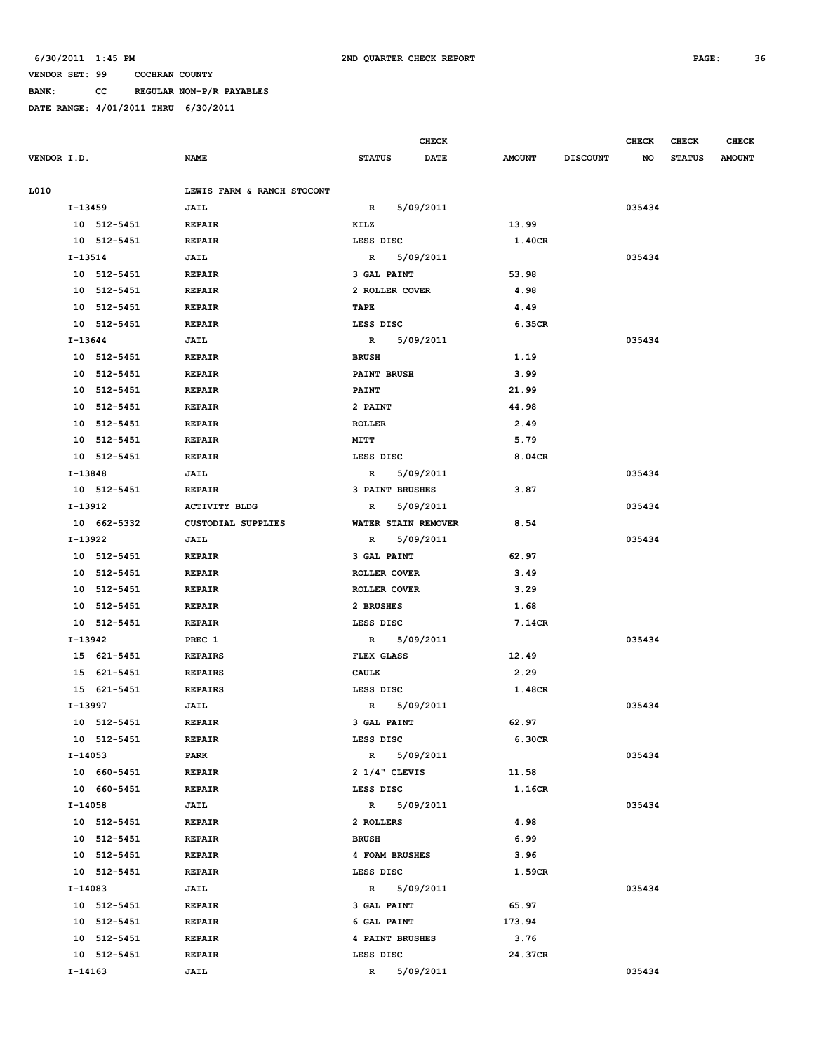# **BANK: CC REGULAR NON-P/R PAYABLES**

|             |             |                            |                          | <b>CHECK</b> |                        |                 | <b>CHECK</b> | <b>CHECK</b>  | <b>CHECK</b>  |
|-------------|-------------|----------------------------|--------------------------|--------------|------------------------|-----------------|--------------|---------------|---------------|
| VENDOR I.D. |             | <b>NAME</b>                | <b>STATUS</b>            | <b>DATE</b>  | <b>AMOUNT</b>          | <b>DISCOUNT</b> | NO           | <b>STATUS</b> | <b>AMOUNT</b> |
|             |             |                            |                          |              |                        |                 |              |               |               |
| L010        |             | LEWIS FARM & RANCH STOCONT |                          |              |                        |                 |              |               |               |
|             | I-13459     | JAIL                       | $\mathbb{R}$             | 5/09/2011    |                        |                 | 035434       |               |               |
|             | 10 512-5451 | <b>REPAIR</b>              | KILZ                     |              | 13.99                  |                 |              |               |               |
|             | 10 512-5451 | <b>REPAIR</b>              | LESS DISC                |              | 1.40CR                 |                 |              |               |               |
|             | I-13514     | JAIL                       | R                        | 5/09/2011    |                        |                 | 035434       |               |               |
|             | 10 512-5451 | <b>REPAIR</b>              | 3 GAL PAINT              |              | 53.98                  |                 |              |               |               |
|             | 10 512-5451 | <b>REPAIR</b>              | 2 ROLLER COVER           |              | 4.98                   |                 |              |               |               |
|             | 10 512-5451 | <b>REPAIR</b>              | TAPE                     |              | 4.49                   |                 |              |               |               |
|             | 10 512-5451 | <b>REPAIR</b>              | LESS DISC                |              | 6.35CR                 |                 |              |               |               |
|             | I-13644     | <b>JAIL</b>                | 5/09/2011<br>R           |              |                        |                 | 035434       |               |               |
|             | 10 512-5451 | <b>REPAIR</b>              | <b>BRUSH</b>             |              | 1.19                   |                 |              |               |               |
|             | 10 512-5451 | <b>REPAIR</b>              | <b>PAINT BRUSH</b>       |              | 3.99                   |                 |              |               |               |
|             | 10 512-5451 | <b>REPAIR</b>              | <b>PAINT</b>             |              | 21.99<br>44.98<br>2.49 |                 |              |               |               |
|             | 10 512-5451 | <b>REPAIR</b>              | 2 PAINT                  |              |                        |                 |              |               |               |
|             | 10 512-5451 | <b>REPAIR</b>              | <b>ROLLER</b>            |              |                        |                 |              |               |               |
|             | 10 512-5451 | <b>REPAIR</b>              | MITT                     |              | 5.79                   |                 |              |               |               |
|             | 10 512-5451 | <b>REPAIR</b>              | LESS DISC                |              | 8.04CR                 |                 |              |               |               |
|             | I-13848     | JAIL                       | R                        | 5/09/2011    |                        |                 | 035434       |               |               |
|             | 10 512-5451 | <b>REPAIR</b>              | 3 PAINT BRUSHES          |              | 3.87                   |                 |              |               |               |
|             | I-13912     | <b>ACTIVITY BLDG</b>       | R                        | 5/09/2011    |                        |                 | 035434       |               |               |
|             | 10 662-5332 | <b>CUSTODIAL SUPPLIES</b>  | WATER STAIN REMOVER      |              | 8.54                   |                 |              |               |               |
|             | I-13922     | JAIL                       | R                        | 5/09/2011    |                        |                 | 035434       |               |               |
|             | 10 512-5451 | <b>REPAIR</b>              | 3 GAL PAINT              |              | 62.97                  |                 |              |               |               |
|             | 10 512-5451 | <b>REPAIR</b>              | ROLLER COVER             |              | 3.49                   |                 |              |               |               |
|             | 10 512-5451 | <b>REPAIR</b>              | ROLLER COVER             |              | 3.29                   |                 |              |               |               |
|             | 10 512-5451 | <b>REPAIR</b>              | 2 BRUSHES                |              | 1.68                   |                 |              |               |               |
|             | 10 512-5451 | <b>REPAIR</b>              | LESS DISC                |              | 7.14CR                 |                 |              |               |               |
|             | I-13942     | PREC 1                     | $\mathbb{R}$             | 5/09/2011    |                        |                 | 035434       |               |               |
|             | 15 621-5451 | <b>REPAIRS</b>             | FLEX GLASS               |              | 12.49                  |                 |              |               |               |
|             | 15 621-5451 | <b>REPAIRS</b>             | <b>CAULK</b>             |              | 2.29                   |                 |              |               |               |
|             | 15 621-5451 | <b>REPAIRS</b>             | LESS DISC                |              | 1.48CR                 |                 |              |               |               |
|             | I-13997     | <b>JAIL</b>                | R 5/09/2011              |              |                        |                 | 035434       |               |               |
|             | 10 512-5451 | <b>REPAIR</b>              | 3 GAL PAINT              |              | 62.97                  |                 |              |               |               |
|             | 10 512-5451 | <b>REPAIR</b>              | LESS DISC                |              | 6.30CR                 |                 |              |               |               |
|             | I-14053     | PARK                       | R 5/09/2011              |              |                        |                 | 035434       |               |               |
|             | 10 660-5451 | <b>REPAIR</b>              | $2 \frac{1}{4}$ " CLEVIS |              | 11.58                  |                 |              |               |               |
|             | 10 660-5451 | <b>REPAIR</b>              | LESS DISC                |              | 1.16CR                 |                 |              |               |               |
|             | I-14058     | <b>JAIL</b>                | R 5/09/2011              |              |                        |                 | 035434       |               |               |
|             | 10 512-5451 | REPAIR                     | 2 ROLLERS                |              | 4.98                   |                 |              |               |               |
|             | 10 512-5451 | <b>REPAIR</b>              | <b>BRUSH</b>             |              | 6.99                   |                 |              |               |               |
|             | 10 512-5451 | <b>REPAIR</b>              | 4 FOAM BRUSHES           |              | 3.96                   |                 |              |               |               |
|             | 10 512-5451 | <b>REPAIR</b>              | LESS DISC                |              | 1.59CR                 |                 |              |               |               |
|             | I-14083     | <b>JAIL</b>                | R 5/09/2011              |              |                        |                 | 035434       |               |               |
|             | 10 512-5451 | <b>REPAIR</b>              | 3 GAL PAINT              |              | 65.97                  |                 |              |               |               |
|             | 10 512-5451 | REPAIR                     | 6 GAL PAINT              |              | 173.94                 |                 |              |               |               |
|             | 10 512-5451 | <b>REPAIR</b>              | 4 PAINT BRUSHES          |              | 3.76                   |                 |              |               |               |
|             | 10 512-5451 | <b>REPAIR</b>              | LESS DISC                |              | 24.37CR                |                 |              |               |               |
|             | I-14163     | JAIL                       | $\mathbb{R}$             | 5/09/2011    |                        |                 | 035434       |               |               |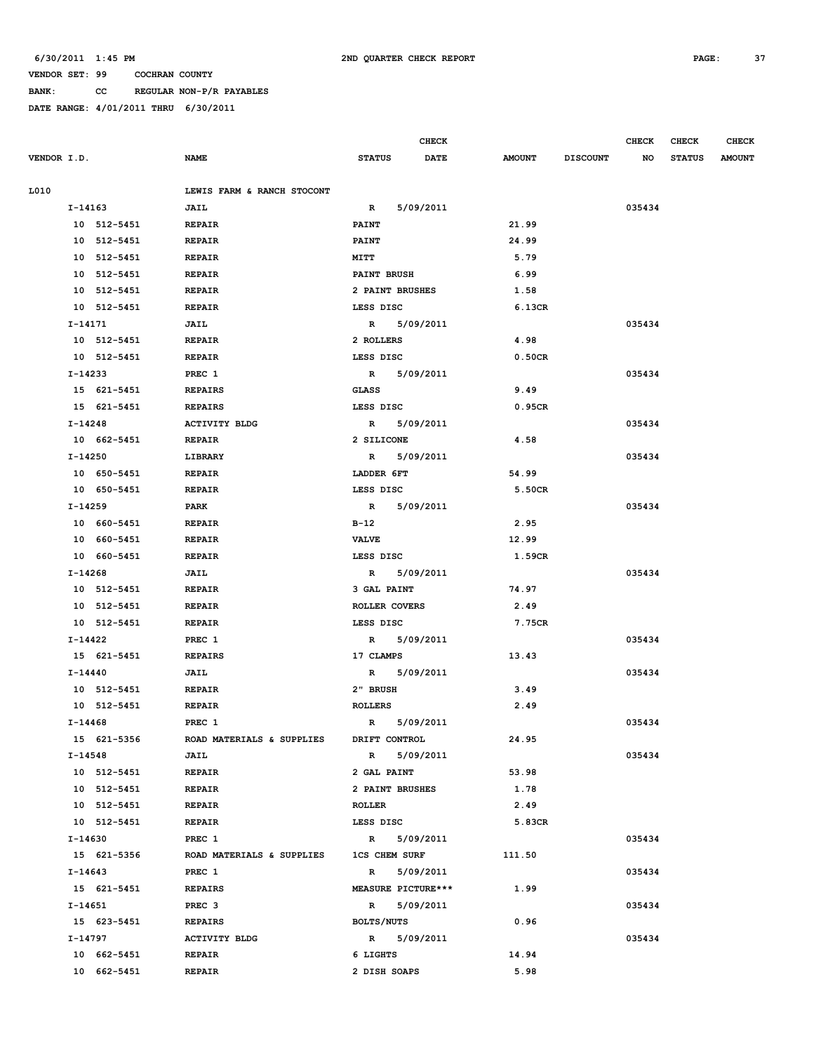**BANK: CC REGULAR NON-P/R PAYABLES**

|             |             |             |                            |                      |             | <b>CHECK</b> |               |                 | <b>CHECK</b> | <b>CHECK</b>  | <b>CHECK</b>  |
|-------------|-------------|-------------|----------------------------|----------------------|-------------|--------------|---------------|-----------------|--------------|---------------|---------------|
| VENDOR I.D. |             |             | <b>NAME</b>                | <b>STATUS</b>        |             | <b>DATE</b>  | <b>AMOUNT</b> | <b>DISCOUNT</b> | NO           | <b>STATUS</b> | <b>AMOUNT</b> |
| L010        |             |             | LEWIS FARM & RANCH STOCONT |                      |             |              |               |                 |              |               |               |
|             | $I-14163$   |             | JAIL                       | $\mathbf{R}$         | 5/09/2011   |              |               |                 | 035434       |               |               |
|             |             | 10 512-5451 | <b>REPAIR</b>              | <b>PAINT</b>         |             |              | 21.99         |                 |              |               |               |
|             |             | 10 512-5451 | <b>REPAIR</b>              | <b>PAINT</b>         |             |              | 24.99         |                 |              |               |               |
|             |             | 10 512-5451 | <b>REPAIR</b>              | MITT                 |             |              | 5.79          |                 |              |               |               |
|             |             | 10 512-5451 | <b>REPAIR</b>              | <b>PAINT BRUSH</b>   |             |              | 6.99          |                 |              |               |               |
|             |             | 10 512-5451 | <b>REPAIR</b>              | 2 PAINT BRUSHES      |             |              | 1.58          |                 |              |               |               |
|             |             | 10 512-5451 | <b>REPAIR</b>              | LESS DISC            |             |              | 6.13CR        |                 |              |               |               |
|             | I-14171     |             | <b>JAIL</b>                |                      | R 5/09/2011 |              |               |                 | 035434       |               |               |
|             |             | 10 512-5451 | <b>REPAIR</b>              | 2 ROLLERS            |             |              | 4.98          |                 |              |               |               |
|             |             | 10 512-5451 | <b>REPAIR</b>              | LESS DISC            |             |              | 0.50CR        |                 |              |               |               |
|             | I-14233     |             | PREC 1                     |                      | R 5/09/2011 |              |               |                 | 035434       |               |               |
|             |             | 15 621-5451 | <b>REPAIRS</b>             | GLASS                |             |              | 9.49          |                 |              |               |               |
|             |             | 15 621-5451 | <b>REPAIRS</b>             | LESS DISC            |             |              | 0.95CR        |                 |              |               |               |
|             | I-14248     |             | <b>ACTIVITY BLDG</b>       |                      | R 5/09/2011 |              |               |                 | 035434       |               |               |
|             |             | 10 662-5451 | REPAIR                     | 2 SILICONE           |             |              | 4.58          |                 |              |               |               |
|             | I-14250     |             | LIBRARY                    |                      | R 5/09/2011 |              |               |                 | 035434       |               |               |
|             |             | 10 650-5451 | <b>REPAIR</b>              | LADDER 6FT           |             |              | 54.99         |                 |              |               |               |
|             |             | 10 650-5451 | <b>REPAIR</b>              | LESS DISC            |             |              | 5.50CR        |                 |              |               |               |
|             | I-14259     |             | PARK                       |                      | R 5/09/2011 |              |               |                 | 035434       |               |               |
|             |             | 10 660-5451 | <b>REPAIR</b>              | B-12                 |             |              | 2.95          |                 |              |               |               |
|             |             | 10 660-5451 | <b>REPAIR</b>              | <b>VALVE</b>         |             |              | 12.99         |                 |              |               |               |
|             |             | 10 660-5451 | <b>REPAIR</b>              | LESS DISC            |             |              | 1.59CR        |                 |              |               |               |
|             | I-14268     |             | <b>JAIL</b>                |                      | R 5/09/2011 |              |               |                 | 035434       |               |               |
|             |             | 10 512-5451 | <b>REPAIR</b>              | 3 GAL PAINT          |             |              | 74.97         |                 |              |               |               |
|             |             | 10 512-5451 | <b>REPAIR</b>              | ROLLER COVERS        |             |              | 2.49          |                 |              |               |               |
|             |             | 10 512-5451 | <b>REPAIR</b>              | LESS DISC            |             |              | 7.75CR        |                 |              |               |               |
|             | I-14422     |             | PREC 1                     |                      | R 5/09/2011 |              |               |                 | 035434       |               |               |
|             |             | 15 621-5451 | <b>REPAIRS</b>             | 17 CLAMPS            |             |              | 13.43         |                 |              |               |               |
|             | $I - 14440$ |             | <b>JAIL</b>                |                      | R 5/09/2011 |              |               |                 | 035434       |               |               |
|             |             | 10 512-5451 | <b>REPAIR</b>              | 2" BRUSH             |             |              | 3.49          |                 |              |               |               |
|             |             | 10 512-5451 | <b>REPAIR</b>              | <b>ROLLERS</b>       |             |              | 2.49          |                 |              |               |               |
|             | $I-14468$   |             | PREC 1                     | $\mathbb{R}$         | 5/09/2011   |              |               |                 | 035434       |               |               |
|             |             | 15 621-5356 | ROAD MATERIALS & SUPPLIES  | DRIFT CONTROL        |             |              | 24.95         |                 |              |               |               |
|             |             | I-14548     | <b>JAIL</b>                |                      | R 5/09/2011 |              |               |                 | 035434       |               |               |
|             |             | 10 512-5451 | <b>REPAIR</b>              | 2 GAL PAINT          |             |              | 53.98         |                 |              |               |               |
|             |             | 10 512-5451 | <b>REPAIR</b>              | 2 PAINT BRUSHES      |             |              | 1.78          |                 |              |               |               |
|             |             | 10 512-5451 | <b>REPAIR</b>              | ROLLER               |             |              | 2.49          |                 |              |               |               |
|             |             | 10 512-5451 | <b>REPAIR</b>              | LESS DISC            |             |              | 5.83CR        |                 |              |               |               |
|             |             | I-14630     | PREC 1                     |                      | R 5/09/2011 |              |               |                 | 035434       |               |               |
|             |             | 15 621-5356 | ROAD MATERIALS & SUPPLIES  | <b>1CS CHEM SURF</b> |             |              | 111.50        |                 |              |               |               |
|             |             | I-14643     | PREC 1                     |                      | R 5/09/2011 |              |               |                 | 035434       |               |               |
|             |             | 15 621-5451 | <b>REPAIRS</b>             | MEASURE PICTURE***   |             |              | 1.99          |                 |              |               |               |
|             |             | I-14651     | PREC 3                     |                      | R 5/09/2011 |              |               |                 | 035434       |               |               |
|             |             | 15 623-5451 | REPAIRS                    | <b>BOLTS/NUTS</b>    |             |              | 0.96          |                 |              |               |               |
|             |             | I-14797     | <b>ACTIVITY BLDG</b>       | R 5/09/2011          |             |              |               |                 | 035434       |               |               |
|             |             | 10 662-5451 | <b>REPAIR</b>              | 6 LIGHTS             |             |              | 14.94         |                 |              |               |               |
|             |             | 10 662-5451 | <b>REPAIR</b>              | 2 DISH SOAPS         |             |              | 5.98          |                 |              |               |               |
|             |             |             |                            |                      |             |              |               |                 |              |               |               |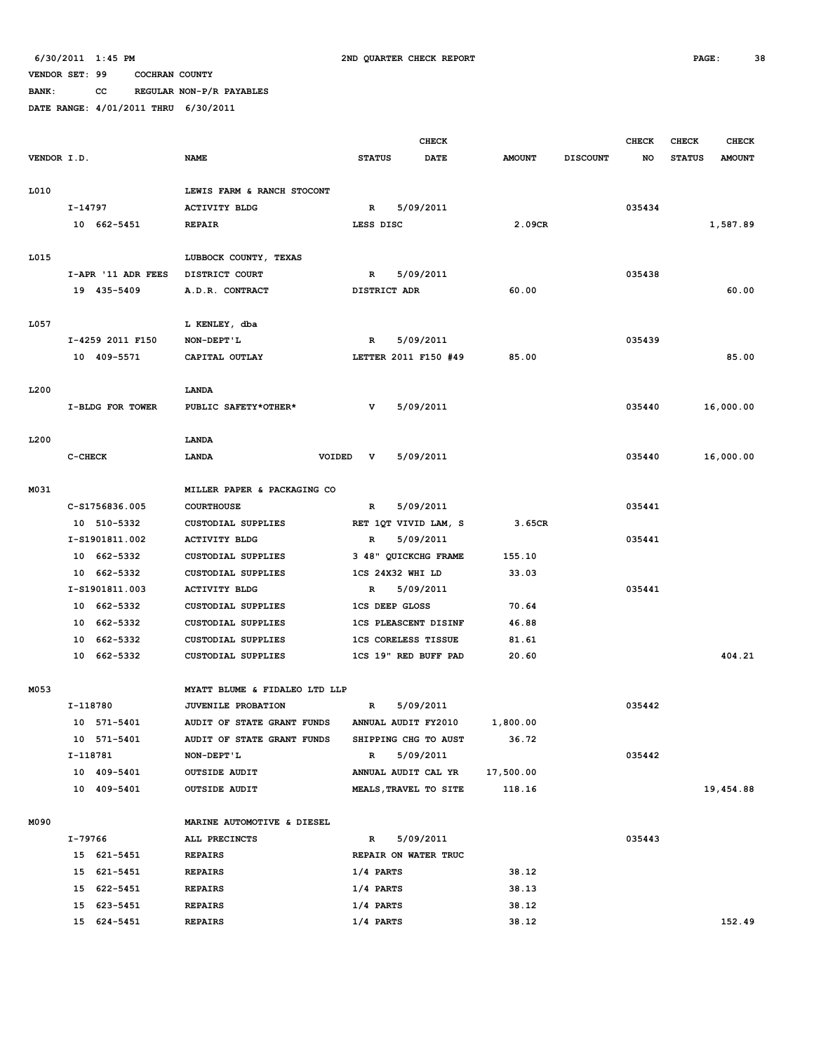**BANK: CC REGULAR NON-P/R PAYABLES**

|             |          |                    |                               |                             | <b>CHECK</b>          |               |                 | <b>CHECK</b> | <b>CHECK</b>  | <b>CHECK</b>  |
|-------------|----------|--------------------|-------------------------------|-----------------------------|-----------------------|---------------|-----------------|--------------|---------------|---------------|
| VENDOR I.D. |          |                    | <b>NAME</b>                   | <b>STATUS</b>               | DATE                  | <b>AMOUNT</b> | <b>DISCOUNT</b> | NO           | <b>STATUS</b> | <b>AMOUNT</b> |
|             |          |                    |                               |                             |                       |               |                 |              |               |               |
| L010        |          |                    | LEWIS FARM & RANCH STOCONT    |                             |                       |               |                 |              |               |               |
|             | I-14797  |                    | <b>ACTIVITY BLDG</b>          | $\mathbb{R}$                | 5/09/2011             |               |                 | 035434       |               |               |
|             |          | 10 662-5451        | <b>REPAIR</b>                 | LESS DISC                   |                       | 2.09CR        |                 |              |               | 1,587.89      |
|             |          |                    |                               |                             |                       |               |                 |              |               |               |
| L015        |          |                    | LUBBOCK COUNTY, TEXAS         |                             |                       |               |                 |              |               |               |
|             |          | I-APR '11 ADR FEES | DISTRICT COURT                | R                           | 5/09/2011             |               |                 | 035438       |               |               |
|             |          | 19 435-5409        | A.D.R. CONTRACT               | DISTRICT ADR                |                       | 60.00         |                 |              |               | 60.00         |
|             |          |                    |                               |                             |                       |               |                 |              |               |               |
| L057        |          |                    | L KENLEY, dba                 |                             |                       |               |                 |              |               |               |
|             |          | I-4259 2011 F150   | NON-DEPT'L                    | R                           | 5/09/2011             |               |                 | 035439       |               |               |
|             |          | 10 409-5571        | CAPITAL OUTLAY                |                             | LETTER 2011 F150 #49  | 85.00         |                 |              |               | 85.00         |
|             |          |                    |                               |                             |                       |               |                 |              |               |               |
| L200        |          |                    | LANDA                         |                             |                       |               |                 |              |               |               |
|             |          | I-BLDG FOR TOWER   | PUBLIC SAFETY*OTHER*          | v                           | 5/09/2011             |               |                 | 035440       |               | 16,000.00     |
|             |          |                    |                               |                             |                       |               |                 |              |               |               |
| L200        |          |                    | LANDA                         |                             |                       |               |                 |              |               |               |
|             | C-CHECK  |                    | LANDA<br>VOIDED               | v                           | 5/09/2011             |               |                 | 035440       |               | 16,000.00     |
|             |          |                    |                               |                             |                       |               |                 |              |               |               |
| M031        |          |                    | MILLER PAPER & PACKAGING CO   |                             |                       |               |                 |              |               |               |
|             |          | C-S1756836.005     | <b>COURTHOUSE</b>             | $\mathbb{R}$                | 5/09/2011             |               |                 | 035441       |               |               |
|             |          | 10 510-5332        | CUSTODIAL SUPPLIES            |                             | RET 1QT VIVID LAM, S  | 3.65CR        |                 |              |               |               |
|             |          | I-S1901811.002     | <b>ACTIVITY BLDG</b>          | R                           | 5/09/2011             |               |                 | 035441       |               |               |
|             |          | 10 662-5332        | <b>CUSTODIAL SUPPLIES</b>     |                             | 3 48" QUICKCHG FRAME  | 155.10        |                 |              |               |               |
|             |          | 10 662-5332        | <b>CUSTODIAL SUPPLIES</b>     | 1CS 24X32 WHI LD            |                       | 33.03         |                 |              |               |               |
|             |          | I-S1901811.003     | <b>ACTIVITY BLDG</b>          | $\mathbb{R}$                | 5/09/2011             |               |                 | 035441       |               |               |
|             |          | 10 662-5332        | CUSTODIAL SUPPLIES            | <b>1CS DEEP GLOSS</b>       |                       | 70.64         |                 |              |               |               |
|             |          | 10 662-5332        | <b>CUSTODIAL SUPPLIES</b>     | <b>1CS PLEASCENT DISINF</b> |                       | 46.88         |                 |              |               |               |
|             |          | 10 662-5332        | <b>CUSTODIAL SUPPLIES</b>     | <b>1CS CORELESS TISSUE</b>  |                       | 81.61         |                 |              |               |               |
|             |          | 10 662-5332        | <b>CUSTODIAL SUPPLIES</b>     |                             | 1CS 19" RED BUFF PAD  | 20.60         |                 |              |               | 404.21        |
|             |          |                    | MYATT BLUME & FIDALEO LTD LLP |                             |                       |               |                 |              |               |               |
| M053        | I-118780 |                    | <b>JUVENILE PROBATION</b>     | $\mathbb{R}$                | 5/09/2011             |               |                 | 035442       |               |               |
|             |          | 10 571-5401        | AUDIT OF STATE GRANT FUNDS    | ANNUAL AUDIT FY2010         |                       | 1,800.00      |                 |              |               |               |
|             |          | 10 571-5401        | AUDIT OF STATE GRANT FUNDS    |                             | SHIPPING CHG TO AUST  | 36.72         |                 |              |               |               |
|             | I-118781 |                    | NON-DEPT'L                    | $\mathbb{R}$                | 5/09/2011             |               |                 | 035442       |               |               |
|             |          | 10 409-5401        | <b>OUTSIDE AUDIT</b>          | ANNUAL AUDIT CAL YR         |                       | 17,500.00     |                 |              |               |               |
|             |          | 10 409-5401        | <b>OUTSIDE AUDIT</b>          |                             | MEALS, TRAVEL TO SITE | 118.16        |                 |              |               | 19,454.88     |
|             |          |                    |                               |                             |                       |               |                 |              |               |               |
| M090        |          |                    | MARINE AUTOMOTIVE & DIESEL    |                             |                       |               |                 |              |               |               |
|             | I-79766  |                    | ALL PRECINCTS                 | R                           | 5/09/2011             |               |                 | 035443       |               |               |
|             |          | 15 621-5451        | <b>REPAIRS</b>                |                             | REPAIR ON WATER TRUC  |               |                 |              |               |               |
|             |          | 15 621-5451        | <b>REPAIRS</b>                | $1/4$ PARTS                 |                       | 38.12         |                 |              |               |               |
|             |          | 15 622-5451        | <b>REPAIRS</b>                | $1/4$ PARTS                 |                       | 38.13         |                 |              |               |               |
|             |          | 15 623-5451        | <b>REPAIRS</b>                | 1/4 PARTS                   |                       | 38.12         |                 |              |               |               |
|             |          | 15 624-5451        | <b>REPAIRS</b>                | $1/4$ PARTS                 |                       | 38.12         |                 |              |               | 152.49        |
|             |          |                    |                               |                             |                       |               |                 |              |               |               |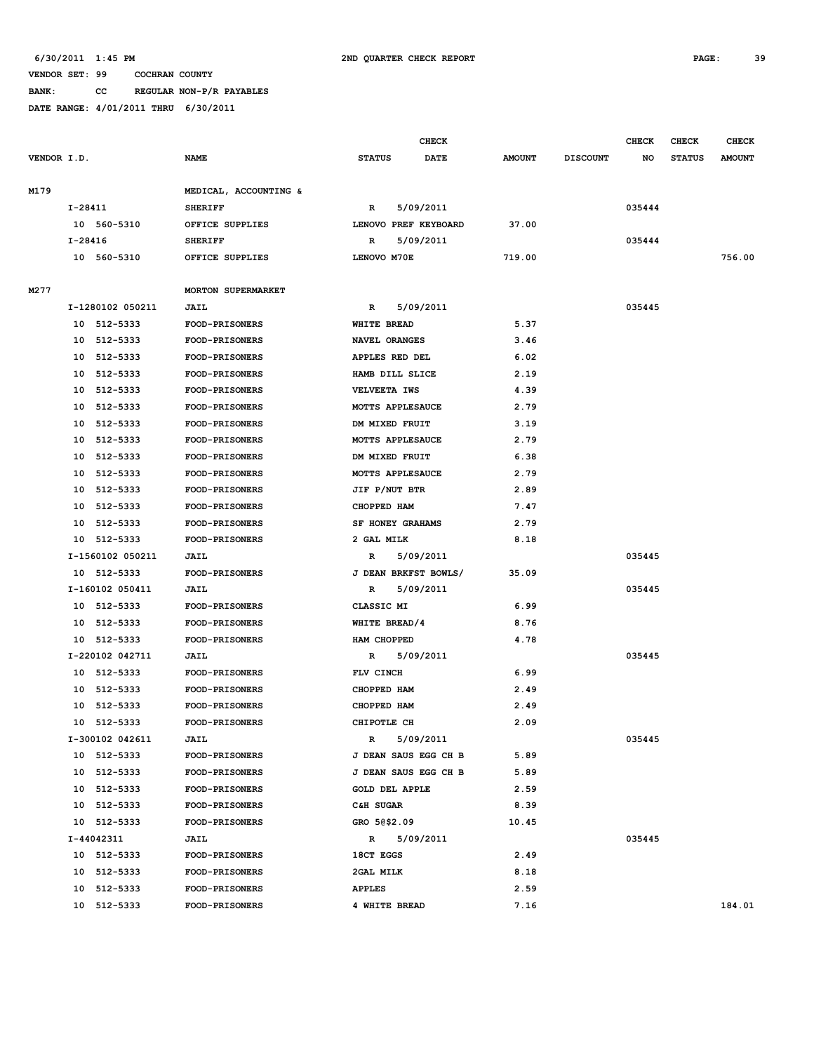# **VENDOR SET: 99 COCHRAN COUNTY BANK: CC REGULAR NON-P/R PAYABLES**

|             |         |                  |                       |                    |                       | CHECK |               |                 | <b>CHECK</b> | CHECK         | <b>CHECK</b>  |
|-------------|---------|------------------|-----------------------|--------------------|-----------------------|-------|---------------|-----------------|--------------|---------------|---------------|
| VENDOR I.D. |         |                  | <b>NAME</b>           | <b>STATUS</b>      |                       | DATE  | <b>AMOUNT</b> | <b>DISCOUNT</b> | NO           | <b>STATUS</b> | <b>AMOUNT</b> |
| M179        |         |                  | MEDICAL, ACCOUNTING & |                    |                       |       |               |                 |              |               |               |
|             | I-28411 |                  | <b>SHERIFF</b>        | R                  | 5/09/2011             |       |               |                 | 035444       |               |               |
|             |         | 10 560-5310      | OFFICE SUPPLIES       |                    | LENOVO PREF KEYBOARD  |       | 37.00         |                 |              |               |               |
|             | I-28416 |                  | <b>SHERIFF</b>        | R                  | 5/09/2011             |       |               |                 | 035444       |               |               |
|             |         | 10 560-5310      | OFFICE SUPPLIES       | LENOVO M70E        |                       |       | 719.00        |                 |              |               | 756.00        |
| M277        |         |                  | MORTON SUPERMARKET    |                    |                       |       |               |                 |              |               |               |
|             |         | I-1280102 050211 | <b>JAIL</b>           | R                  | 5/09/2011             |       |               |                 | 035445       |               |               |
|             | 10      | 512-5333         | FOOD-PRISONERS        | <b>WHITE BREAD</b> |                       |       | 5.37          |                 |              |               |               |
|             | 10      | 512-5333         | FOOD-PRISONERS        | NAVEL ORANGES      |                       |       | 3.46          |                 |              |               |               |
|             | 10      | 512-5333         | FOOD-PRISONERS        |                    | APPLES RED DEL        |       | 6.02          |                 |              |               |               |
|             | 10      | 512-5333         | <b>FOOD-PRISONERS</b> |                    | HAMB DILL SLICE       |       | 2.19          |                 |              |               |               |
|             | 10      | 512-5333         | FOOD-PRISONERS        | VELVEETA IWS       |                       |       | 4.39          |                 |              |               |               |
|             | 10      | 512-5333         | FOOD-PRISONERS        |                    | MOTTS APPLESAUCE      |       | 2.79          |                 |              |               |               |
|             | 10      | 512-5333         | <b>FOOD-PRISONERS</b> |                    | DM MIXED FRUIT        |       | 3.19          |                 |              |               |               |
|             | 10      | 512-5333         | FOOD-PRISONERS        |                    | MOTTS APPLESAUCE      |       | 2.79          |                 |              |               |               |
|             | 10      | 512-5333         | <b>FOOD-PRISONERS</b> |                    | DM MIXED FRUIT        |       | 6.38          |                 |              |               |               |
|             | 10      | 512-5333         | <b>FOOD-PRISONERS</b> |                    | MOTTS APPLESAUCE      |       | 2.79          |                 |              |               |               |
|             | 10      | 512-5333         | FOOD-PRISONERS        | JIF P/NUT BTR      |                       |       | 2.89          |                 |              |               |               |
|             | 10      | 512-5333         | <b>FOOD-PRISONERS</b> | CHOPPED HAM        |                       |       | 7.47          |                 |              |               |               |
|             | 10      | 512-5333         | FOOD-PRISONERS        |                    | SF HONEY GRAHAMS      |       | 2.79          |                 |              |               |               |
|             | 10      | 512-5333         | FOOD-PRISONERS        | 2 GAL MILK         |                       |       | 8.18          |                 |              |               |               |
|             |         | I-1560102 050211 | <b>JAIL</b>           | R                  | 5/09/2011             |       |               |                 | 035445       |               |               |
|             |         | 10 512-5333      | <b>FOOD-PRISONERS</b> |                    | J DEAN BRKFST BOWLS/  |       | 35.09         |                 |              |               |               |
|             |         | I-160102 050411  | JAIL                  | R                  | 5/09/2011             |       |               |                 | 035445       |               |               |
|             | 10      | 512-5333         | FOOD-PRISONERS        | CLASSIC MI         |                       |       | 6.99          |                 |              |               |               |
|             | 10      | 512-5333         | FOOD-PRISONERS        | WHITE BREAD/4      |                       |       | 8.76          |                 |              |               |               |
|             | 10      | 512-5333         | <b>FOOD-PRISONERS</b> | HAM CHOPPED        |                       |       | 4.78          |                 |              |               |               |
|             |         | I-220102 042711  | <b>JAIL</b>           | R                  | 5/09/2011             |       |               |                 | 035445       |               |               |
|             | 10      | 512-5333         | <b>FOOD-PRISONERS</b> | FLV CINCH          |                       |       | 6.99          |                 |              |               |               |
|             | 10      | 512-5333         | <b>FOOD-PRISONERS</b> | CHOPPED HAM        |                       |       | 2.49          |                 |              |               |               |
|             | 10      | 512-5333         | FOOD-PRISONERS        | CHOPPED HAM        |                       |       | 2.49          |                 |              |               |               |
|             | 10      | 512-5333         | FOOD-PRISONERS        | CHIPOTLE CH        |                       |       | 2.09          |                 |              |               |               |
|             |         | I-300102 042611  | <b>JAIL</b>           | R                  | 5/09/2011             |       |               |                 | 035445       |               |               |
|             |         | 10 512-5333      | FOOD-PRISONERS        |                    | J DEAN SAUS EGG CH B  |       | 5.89          |                 |              |               |               |
|             |         | 10 512-5333      | <b>FOOD-PRISONERS</b> |                    | J DEAN SAUS EGG CH B  |       | 5.89          |                 |              |               |               |
|             |         | 10 512-5333      | FOOD-PRISONERS        |                    | <b>GOLD DEL APPLE</b> |       | 2.59          |                 |              |               |               |
|             |         | 10 512-5333      | FOOD-PRISONERS        | C&H SUGAR          |                       |       | 8.39          |                 |              |               |               |
|             |         | 10 512-5333      | FOOD-PRISONERS        | GRO 50\$2.09       |                       |       | 10.45         |                 |              |               |               |
|             |         | I-44042311       | JAIL                  | R                  | 5/09/2011             |       |               |                 | 035445       |               |               |
|             |         | 10 512-5333      | <b>FOOD-PRISONERS</b> | 18CT EGGS          |                       |       | 2.49          |                 |              |               |               |
|             |         | 10 512-5333      | <b>FOOD-PRISONERS</b> | 2GAL MILK          |                       |       | 8.18          |                 |              |               |               |
|             |         | 10 512-5333      | FOOD-PRISONERS        | <b>APPLES</b>      |                       |       | 2.59          |                 |              |               |               |
|             |         | 10 512-5333      | <b>FOOD-PRISONERS</b> | 4 WHITE BREAD      |                       |       | 7.16          |                 |              |               | 184.01        |
|             |         |                  |                       |                    |                       |       |               |                 |              |               |               |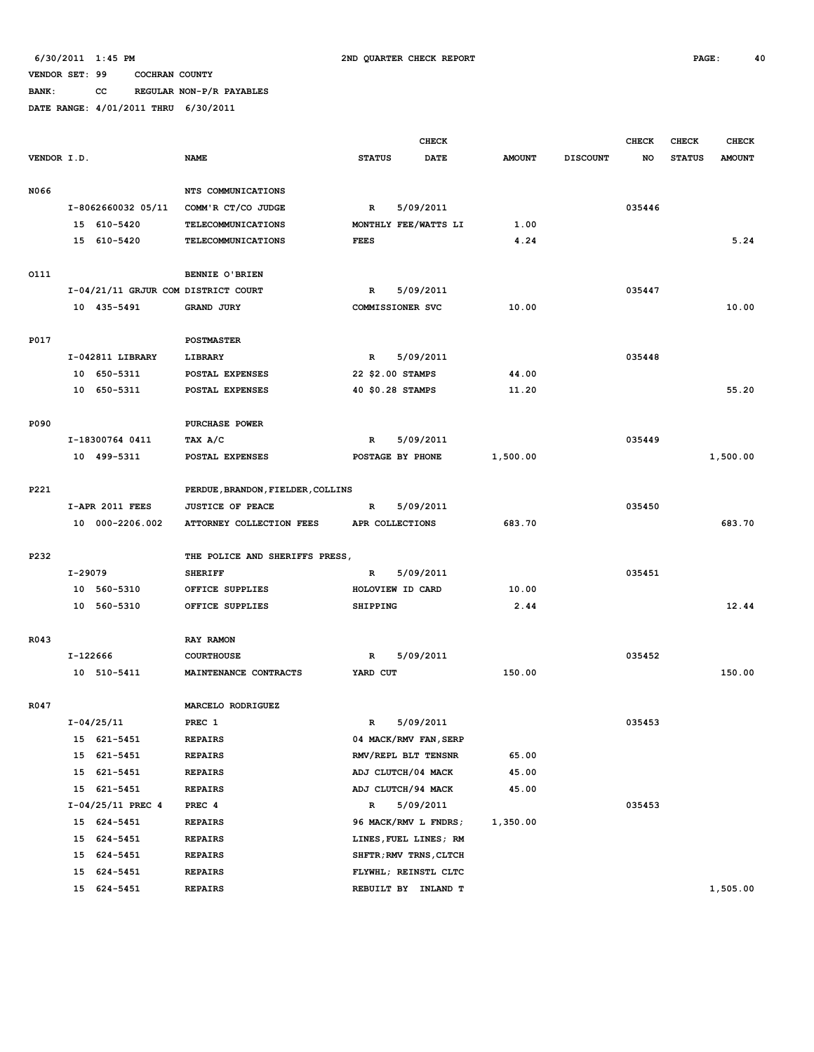**BANK: CC REGULAR NON-P/R PAYABLES**

|             |          |                                     |                                   |               | CHECK                  |               |                 | <b>CHECK</b> | <b>CHECK</b>  | <b>CHECK</b>  |
|-------------|----------|-------------------------------------|-----------------------------------|---------------|------------------------|---------------|-----------------|--------------|---------------|---------------|
| VENDOR I.D. |          |                                     | <b>NAME</b>                       | <b>STATUS</b> | <b>DATE</b>            | <b>AMOUNT</b> | <b>DISCOUNT</b> | NO           | <b>STATUS</b> | <b>AMOUNT</b> |
|             |          |                                     |                                   |               |                        |               |                 |              |               |               |
| N066        |          |                                     | NTS COMMUNICATIONS                |               |                        |               |                 |              |               |               |
|             |          | I-8062660032 05/11                  | COMM'R CT/CO JUDGE                | $\mathbb{R}$  | 5/09/2011              |               |                 | 035446       |               |               |
|             |          | 15 610-5420                         | <b>TELECOMMUNICATIONS</b>         |               | MONTHLY FEE/WATTS LI   | 1.00          |                 |              |               |               |
|             |          | 15 610-5420                         | TELECOMMUNICATIONS                | <b>FEES</b>   |                        | 4.24          |                 |              |               | 5.24          |
|             |          |                                     |                                   |               |                        |               |                 |              |               |               |
| 0111        |          |                                     | BENNIE O'BRIEN                    |               |                        |               |                 |              |               |               |
|             |          | I-04/21/11 GRJUR COM DISTRICT COURT |                                   | R             | 5/09/2011              |               |                 | 035447       |               |               |
|             |          | 10 435-5491                         | <b>GRAND JURY</b>                 |               | COMMISSIONER SVC       | 10.00         |                 |              |               | 10.00         |
|             |          |                                     |                                   |               |                        |               |                 |              |               |               |
| <b>P017</b> |          |                                     | <b>POSTMASTER</b>                 |               |                        |               |                 |              |               |               |
|             |          | I-042811 LIBRARY                    | LIBRARY                           | R             | 5/09/2011              |               |                 | 035448       |               |               |
|             |          | 10 650-5311                         | POSTAL EXPENSES                   |               | 22 \$2.00 STAMPS       | 44.00         |                 |              |               |               |
|             |          | 10 650-5311                         | POSTAL EXPENSES                   |               | 40 \$0.28 STAMPS       | 11.20         |                 |              |               | 55.20         |
|             |          |                                     |                                   |               |                        |               |                 |              |               |               |
| P090        |          |                                     | PURCHASE POWER                    |               |                        |               |                 |              |               |               |
|             |          | I-18300764 0411                     | TAX A/C                           | R             | 5/09/2011              |               |                 | 035449       |               |               |
|             |          | 10 499-5311                         | POSTAL EXPENSES                   |               | POSTAGE BY PHONE       | 1,500.00      |                 |              |               | 1,500.00      |
|             |          |                                     |                                   |               |                        |               |                 |              |               |               |
| P221        |          |                                     | PERDUE, BRANDON, FIELDER, COLLINS |               |                        |               |                 |              |               |               |
|             |          | I-APR 2011 FEES                     | <b>JUSTICE OF PEACE</b>           | R             | 5/09/2011              |               |                 | 035450       |               |               |
|             |          | 10 000-2206.002                     | ATTORNEY COLLECTION FEES          |               | APR COLLECTIONS        | 683.70        |                 |              |               | 683.70        |
|             |          |                                     |                                   |               |                        |               |                 |              |               |               |
| P232        |          |                                     | THE POLICE AND SHERIFFS PRESS,    |               |                        |               |                 |              |               |               |
|             | I-29079  |                                     | <b>SHERIFF</b>                    | R             | 5/09/2011              |               |                 | 035451       |               |               |
|             |          | 10 560-5310                         | OFFICE SUPPLIES                   |               | HOLOVIEW ID CARD       | 10.00         |                 |              |               |               |
|             |          | 10 560-5310                         | OFFICE SUPPLIES                   | SHIPPING      |                        | 2.44          |                 |              |               | 12.44         |
|             |          |                                     |                                   |               |                        |               |                 |              |               |               |
| R043        |          |                                     | RAY RAMON                         |               |                        |               |                 |              |               |               |
|             | I-122666 |                                     | <b>COURTHOUSE</b>                 | R             | 5/09/2011              |               |                 | 035452       |               |               |
|             |          | 10 510-5411                         | MAINTENANCE CONTRACTS             | YARD CUT      |                        | 150.00        |                 |              |               | 150.00        |
|             |          |                                     |                                   |               |                        |               |                 |              |               |               |
| R047        |          |                                     | MARCELO RODRIGUEZ                 |               |                        |               |                 |              |               |               |
|             |          | $I - 04/25/11$                      | PREC 1                            | R             | 5/09/2011              |               |                 | 035453       |               |               |
|             | 15       | 621-5451                            | <b>REPAIRS</b>                    |               | 04 MACK/RMV FAN, SERP  |               |                 |              |               |               |
|             | 15       | 621-5451                            | <b>REPAIRS</b>                    |               | RMV/REPL BLT TENSNR    | 65.00         |                 |              |               |               |
|             | 15       | 621-5451                            | <b>REPAIRS</b>                    |               | ADJ CLUTCH/04 MACK     | 45.00         |                 |              |               |               |
|             | 15       | 621-5451                            | <b>REPAIRS</b>                    |               | ADJ CLUTCH/94 MACK     | 45.00         |                 |              |               |               |
|             |          | $I-04/25/11$ PREC 4                 | PREC 4                            | R             | 5/09/2011              |               |                 | 035453       |               |               |
|             | 15       | 624-5451                            | <b>REPAIRS</b>                    |               | 96 MACK/RMV L FNDRS;   | 1,350.00      |                 |              |               |               |
|             | 15       | 624-5451                            | <b>REPAIRS</b>                    |               | LINES, FUEL LINES; RM  |               |                 |              |               |               |
|             | 15       | 624-5451                            | <b>REPAIRS</b>                    |               | SHFTR; RMV TRNS, CLTCH |               |                 |              |               |               |
|             | 15       | 624-5451                            | <b>REPAIRS</b>                    |               | FLYWHL; REINSTL CLTC   |               |                 |              |               |               |
|             | 15       | 624-5451                            | <b>REPAIRS</b>                    |               | REBUILT BY INLAND T    |               |                 |              |               | 1,505.00      |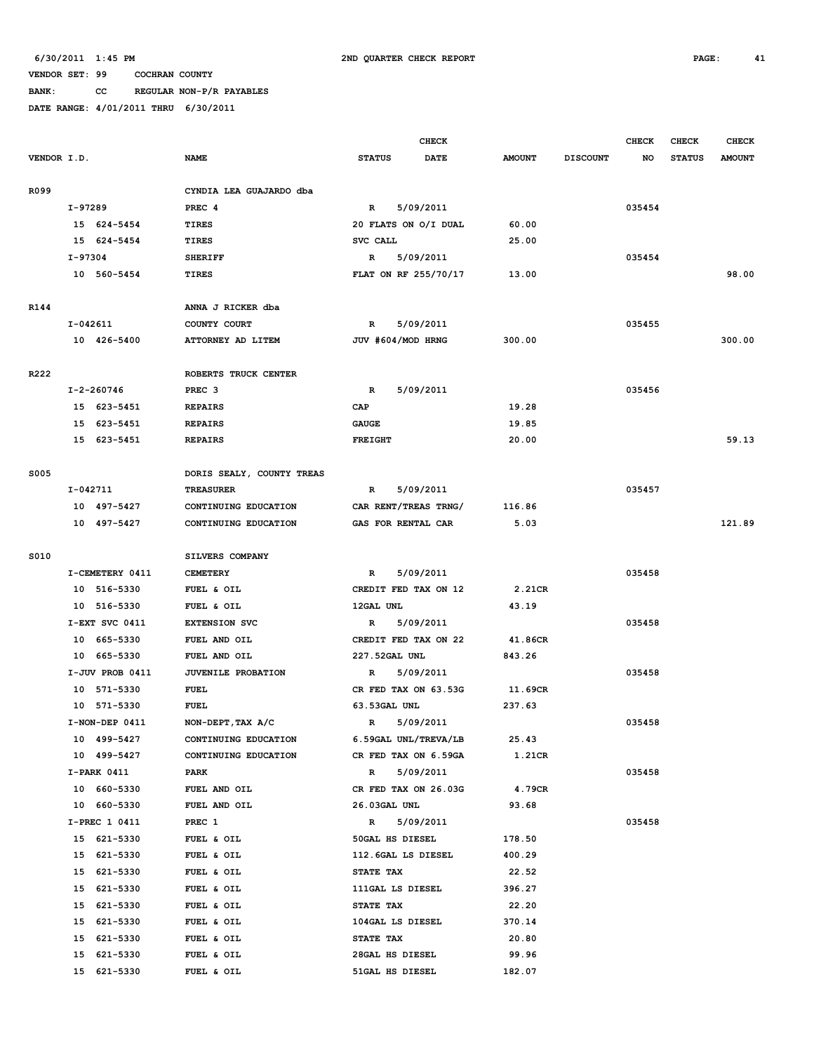# **BANK: CC REGULAR NON-P/R PAYABLES**

|             |                 |                           |                      | <b>CHECK</b> |               |                 | <b>CHECK</b> | <b>CHECK</b>  | <b>CHECK</b>  |
|-------------|-----------------|---------------------------|----------------------|--------------|---------------|-----------------|--------------|---------------|---------------|
| VENDOR I.D. |                 | <b>NAME</b>               | <b>STATUS</b>        | <b>DATE</b>  | <b>AMOUNT</b> | <b>DISCOUNT</b> | NO           | <b>STATUS</b> | <b>AMOUNT</b> |
|             |                 |                           |                      |              |               |                 |              |               |               |
| R099        |                 | CYNDIA LEA GUAJARDO dba   |                      |              |               |                 |              |               |               |
|             | I-97289         | PREC <sub>4</sub>         | R                    | 5/09/2011    |               |                 | 035454       |               |               |
|             | 15 624-5454     | TIRES                     | 20 FLATS ON O/I DUAL |              | 60.00         |                 |              |               |               |
|             | 15 624-5454     | <b>TIRES</b>              | SVC CALL             |              | 25.00         |                 |              |               |               |
|             | I-97304         | <b>SHERIFF</b>            | $\mathbb{R}$         | 5/09/2011    |               |                 | 035454       |               |               |
|             | 10 560-5454     | <b>TIRES</b>              | FLAT ON RF 255/70/17 |              | 13.00         |                 |              |               | 98.00         |
| R144        |                 | ANNA J RICKER dba         |                      |              |               |                 |              |               |               |
|             | $I-042611$      | COUNTY COURT              | R                    | 5/09/2011    |               |                 | 035455       |               |               |
|             | 10 426-5400     | ATTORNEY AD LITEM         | JUV #604/MOD HRNG    |              | 300.00        |                 |              |               | 300.00        |
|             |                 |                           |                      |              |               |                 |              |               |               |
| R222        |                 | ROBERTS TRUCK CENTER      |                      |              |               |                 |              |               |               |
|             | I-2-260746      | PREC <sub>3</sub>         | $\mathbb{R}$         | 5/09/2011    |               |                 | 035456       |               |               |
|             | 15 623-5451     | <b>REPAIRS</b>            | CAP                  |              | 19.28         |                 |              |               |               |
|             | 15 623-5451     | <b>REPAIRS</b>            | <b>GAUGE</b>         |              | 19.85         |                 |              |               |               |
|             | 15 623-5451     | <b>REPAIRS</b>            | <b>FREIGHT</b>       |              | 20.00         |                 |              |               | 59.13         |
|             |                 |                           |                      |              |               |                 |              |               |               |
| <b>S005</b> |                 | DORIS SEALY, COUNTY TREAS |                      |              |               |                 |              |               |               |
|             | I-042711        | <b>TREASURER</b>          | $\mathbb{R}$         | 5/09/2011    |               |                 | 035457       |               |               |
|             | 10 497-5427     | CONTINUING EDUCATION      | CAR RENT/TREAS TRNG/ |              | 116.86        |                 |              |               |               |
|             | 10 497-5427     | CONTINUING EDUCATION      | GAS FOR RENTAL CAR   |              | 5.03          |                 |              |               | 121.89        |
|             |                 |                           |                      |              |               |                 |              |               |               |
| S010        |                 | SILVERS COMPANY           |                      |              |               |                 |              |               |               |
|             | I-CEMETERY 0411 | <b>CEMETERY</b>           | R                    | 5/09/2011    |               |                 | 035458       |               |               |
|             | 10 516-5330     | FUEL & OIL                | CREDIT FED TAX ON 12 |              | 2.21CR        |                 |              |               |               |
|             | 10 516-5330     | FUEL & OIL                | 12GAL UNL            |              | 43.19         |                 |              |               |               |
|             | I-EXT SVC 0411  | <b>EXTENSION SVC</b>      | R                    | 5/09/2011    |               |                 | 035458       |               |               |
|             | 10 665-5330     | FUEL AND OIL              | CREDIT FED TAX ON 22 |              | 41.86CR       |                 |              |               |               |
|             | 10 665-5330     | FUEL AND OIL              | 227.52GAL UNL        |              | 843.26        |                 |              |               |               |
|             | I-JUV PROB 0411 | JUVENILE PROBATION        | R                    | 5/09/2011    |               |                 | 035458       |               |               |
|             | 10 571-5330     | <b>FUEL</b>               | CR FED TAX ON 63.53G |              | 11.69CR       |                 |              |               |               |
|             | 10 571-5330     | <b>FUEL</b>               | 63.53GAL UNL         |              | 237.63        |                 |              |               |               |
|             | I-NON-DEP 0411  | NON-DEPT, TAX A/C         | $\mathbb{R}$         | 5/09/2011    |               |                 | 035458       |               |               |
|             | 10 499-5427     | CONTINUING EDUCATION      | 6.59GAL UNL/TREVA/LB |              | 25.43         |                 |              |               |               |
|             | 10 499-5427     | CONTINUING EDUCATION      | CR FED TAX ON 6.59GA |              | 1.21CR        |                 |              |               |               |
|             | I-PARK 0411     | PARK                      | R                    | 5/09/2011    |               |                 | 035458       |               |               |
|             | 10 660-5330     | FUEL AND OIL              | CR FED TAX ON 26.03G |              | 4.79CR        |                 |              |               |               |
|             | 10 660-5330     | FUEL AND OIL              | 26.03GAL UNL         |              | 93.68         |                 |              |               |               |
|             | I-PREC 1 0411   | PREC 1                    | $\mathbb{R}$         | 5/09/2011    |               |                 | 035458       |               |               |
|             | 15 621-5330     | FUEL & OIL                | 50GAL HS DIESEL      |              | 178.50        |                 |              |               |               |
|             | 15 621-5330     | FUEL & OIL                | 112.6GAL LS DIESEL   |              | 400.29        |                 |              |               |               |
|             | 15 621-5330     | FUEL & OIL                | STATE TAX            |              | 22.52         |                 |              |               |               |
|             | 15 621-5330     | FUEL & OIL                | 111GAL LS DIESEL     |              | 396.27        |                 |              |               |               |
|             | 621-5330<br>15  | FUEL & OIL                | STATE TAX            |              | 22.20         |                 |              |               |               |
|             | 621-5330<br>15  | FUEL & OIL                | 104GAL LS DIESEL     |              | 370.14        |                 |              |               |               |
|             | 621-5330<br>15  | FUEL & OIL                | STATE TAX            |              | 20.80         |                 |              |               |               |
|             | 621-5330<br>15  | FUEL & OIL                | 28GAL HS DIESEL      |              | 99.96         |                 |              |               |               |
|             | 15 621-5330     | FUEL & OIL                | 51GAL HS DIESEL      |              | 182.07        |                 |              |               |               |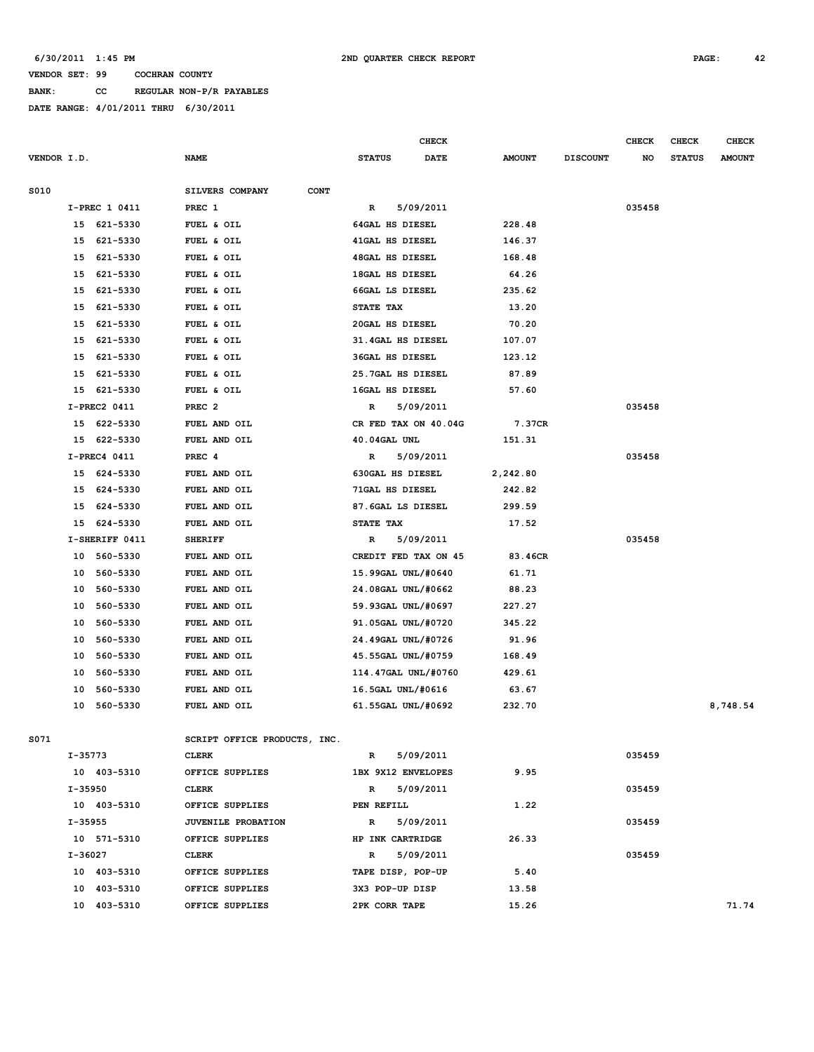**BANK: CC REGULAR NON-P/R PAYABLES**

**DATE RANGE: 4/01/2011 THRU 6/30/2011**

|             |                |                                |                        | <b>CHECK</b>         |               |                 | <b>CHECK</b> | CHECK         | <b>CHECK</b>  |
|-------------|----------------|--------------------------------|------------------------|----------------------|---------------|-----------------|--------------|---------------|---------------|
| VENDOR I.D. |                | <b>NAME</b>                    | <b>STATUS</b>          | <b>DATE</b>          | <b>AMOUNT</b> | <b>DISCOUNT</b> | NO           | <b>STATUS</b> | <b>AMOUNT</b> |
| S010        |                | SILVERS COMPANY<br><b>CONT</b> |                        |                      |               |                 |              |               |               |
|             | I-PREC 1 0411  | PREC 1                         | R                      | 5/09/2011            |               |                 | 035458       |               |               |
|             | 15 621-5330    | FUEL & OIL                     | 64GAL HS DIESEL        |                      | 228.48        |                 |              |               |               |
| 15          | 621-5330       | FUEL & OIL                     | 41GAL HS DIESEL        |                      | 146.37        |                 |              |               |               |
| 15          | 621-5330       | FUEL & OIL                     | <b>48GAL HS DIESEL</b> |                      | 168.48        |                 |              |               |               |
|             | 15 621-5330    | FUEL & OIL                     | 18GAL HS DIESEL        |                      | 64.26         |                 |              |               |               |
| 15          | 621-5330       | FUEL & OIL                     | 66GAL LS DIESEL        |                      | 235.62        |                 |              |               |               |
| 15          | 621-5330       | FUEL & OIL                     | STATE TAX              |                      | 13.20         |                 |              |               |               |
|             | 15 621-5330    | FUEL & OIL                     | 20GAL HS DIESEL        |                      | 70.20         |                 |              |               |               |
| 15          | 621-5330       | FUEL & OIL                     |                        | 31.4GAL HS DIESEL    | 107.07        |                 |              |               |               |
| 15          | 621-5330       | FUEL & OIL                     | <b>36GAL HS DIESEL</b> |                      | 123.12        |                 |              |               |               |
| 15          | 621-5330       | FUEL & OIL                     |                        | 25.7GAL HS DIESEL    | 87.89         |                 |              |               |               |
| 15          |                |                                |                        |                      |               |                 |              |               |               |
|             | 621-5330       | FUEL & OIL                     | 16GAL HS DIESEL        |                      | 57.60         |                 |              |               |               |
|             | I-PREC2 0411   | PREC <sub>2</sub>              | R                      | 5/09/2011            |               |                 | 035458       |               |               |
|             | 15 622-5330    | FUEL AND OIL                   |                        | CR FED TAX ON 40.04G | 7.37CR        |                 |              |               |               |
|             | 15 622-5330    | FUEL AND OIL                   | 40.04GAL UNL           |                      | 151.31        |                 |              |               |               |
|             | I-PREC4 0411   | PREC 4                         | R                      | 5/09/2011            |               |                 | 035458       |               |               |
|             | 15 624-5330    | FUEL AND OIL                   | 630GAL HS DIESEL       |                      | 2,242.80      |                 |              |               |               |
|             | 15 624-5330    | FUEL AND OIL                   | 71GAL HS DIESEL        |                      | 242.82        |                 |              |               |               |
| 15          | 624-5330       | FUEL AND OIL                   |                        | 87.6GAL LS DIESEL    | 299.59        |                 |              |               |               |
|             | 15 624-5330    | FUEL AND OIL                   | STATE TAX              |                      | 17.52         |                 |              |               |               |
|             | I-SHERIFF 0411 | <b>SHERIFF</b>                 | R                      | 5/09/2011            |               |                 | 035458       |               |               |
| 10          | 560-5330       | FUEL AND OIL                   |                        | CREDIT FED TAX ON 45 | 83.46CR       |                 |              |               |               |
| 10          | 560-5330       | FUEL AND OIL                   |                        | 15.99GAL UNL/#0640   | 61.71         |                 |              |               |               |
| 10          | 560-5330       | FUEL AND OIL                   |                        | 24.08GAL UNL/#0662   | 88.23         |                 |              |               |               |
| 10          | 560-5330       | FUEL AND OIL                   |                        | 59.93GAL UNL/#0697   | 227.27        |                 |              |               |               |
| 10          | 560-5330       | FUEL AND OIL                   |                        | 91.05GAL UNL/#0720   | 345.22        |                 |              |               |               |
| 10          | 560-5330       | FUEL AND OIL                   |                        | 24.49GAL UNL/#0726   | 91.96         |                 |              |               |               |
| 10          | 560-5330       | FUEL AND OIL                   |                        | 45.55GAL UNL/#0759   | 168.49        |                 |              |               |               |
| 10          | 560-5330       | FUEL AND OIL                   |                        | 114.47GAL UNL/#0760  | 429.61        |                 |              |               |               |
| 10          | 560-5330       | FUEL AND OIL                   |                        | 16.5GAL UNL/#0616    | 63.67         |                 |              |               |               |
| 10          | 560-5330       | FUEL AND OIL                   |                        | 61.55GAL UNL/#0692   | 232.70        |                 |              |               | 8,748.54      |
| S071        |                | SCRIPT OFFICE PRODUCTS, INC.   |                        |                      |               |                 |              |               |               |
|             | I-35773        | <b>CLERK</b>                   | R                      | 5/09/2011            |               |                 | 035459       |               |               |
|             | 10 403-5310    | OFFICE SUPPLIES                |                        | 1BX 9X12 ENVELOPES   | 9.95          |                 |              |               |               |
|             | $I - 35950$    | <b>CLERK</b>                   | R                      | 5/09/2011            |               |                 | 035459       |               |               |
|             | 10 403-5310    | OFFICE SUPPLIES                | PEN REFILL             |                      | 1.22          |                 |              |               |               |
|             | $I - 35955$    | <b>JUVENILE PROBATION</b>      | $\mathbb{R}$           | 5/09/2011            |               |                 | 035459       |               |               |
|             | 10 571-5310    | OFFICE SUPPLIES                | HP INK CARTRIDGE       |                      | 26.33         |                 |              |               |               |
|             | I-36027        | CLERK                          | R                      | 5/09/2011            |               |                 | 035459       |               |               |
|             | 10 403-5310    | OFFICE SUPPLIES                |                        | TAPE DISP, POP-UP    | 5.40          |                 |              |               |               |
|             | 10 403-5310    | OFFICE SUPPLIES                | 3X3 POP-UP DISP        |                      | 13.58         |                 |              |               |               |
|             |                |                                |                        |                      |               |                 |              |               |               |

 **10 403-5310 OFFICE SUPPLIES 2PK CORR TAPE 15.26 71.74**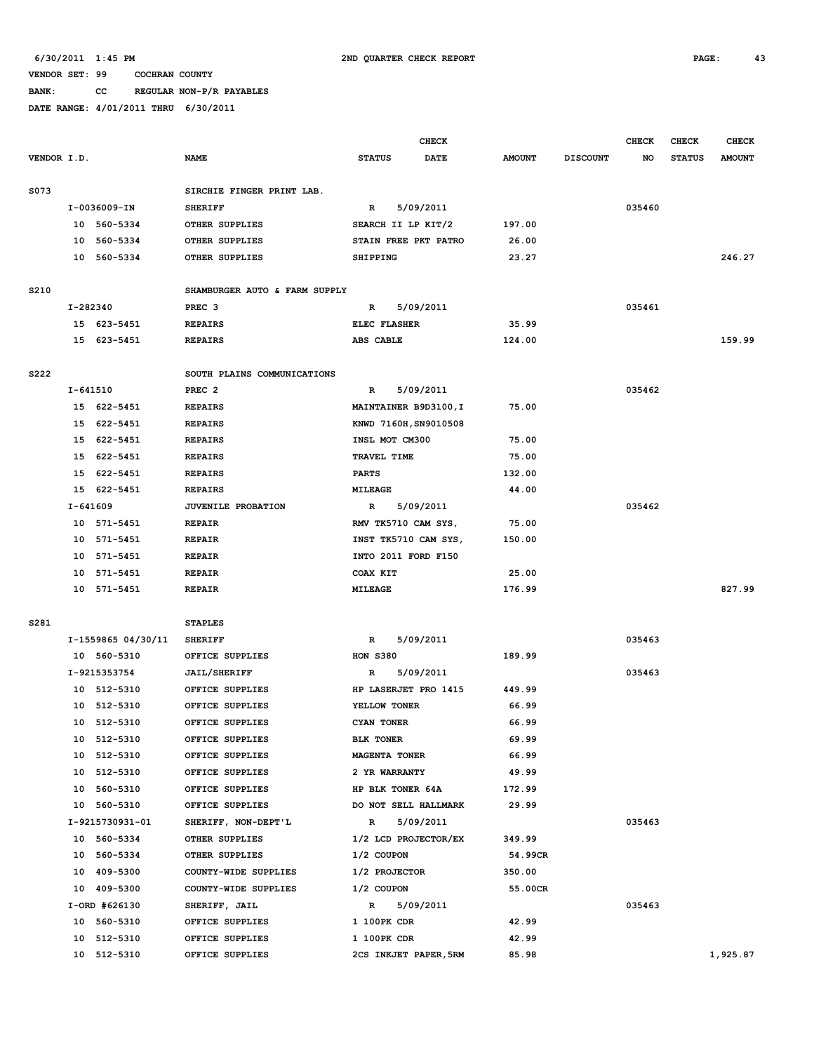# **BANK: CC REGULAR NON-P/R PAYABLES**

|             |              |                             |                                        |                         | <b>CHECK</b> |               |                 | <b>CHECK</b> | <b>CHECK</b>  | <b>CHECK</b>  |
|-------------|--------------|-----------------------------|----------------------------------------|-------------------------|--------------|---------------|-----------------|--------------|---------------|---------------|
| VENDOR I.D. |              |                             | <b>NAME</b>                            | <b>STATUS</b>           | DATE         | <b>AMOUNT</b> | <b>DISCOUNT</b> | NO.          | <b>STATUS</b> | <b>AMOUNT</b> |
|             |              |                             |                                        |                         |              |               |                 |              |               |               |
| S073        |              |                             | SIRCHIE FINGER PRINT LAB.              |                         |              |               |                 |              |               |               |
|             |              | I-0036009-IN                | <b>SHERIFF</b>                         | R                       | 5/09/2011    |               |                 | 035460       |               |               |
|             |              | 10 560-5334                 | OTHER SUPPLIES                         | SEARCH II LP KIT/2      |              | 197.00        |                 |              |               |               |
|             |              | 10 560-5334                 | OTHER SUPPLIES                         | STAIN FREE PKT PATRO    |              | 26.00         |                 |              |               |               |
|             |              | 10 560-5334                 | OTHER SUPPLIES                         | <b>SHIPPING</b>         |              | 23.27         |                 |              |               | 246.27        |
|             |              |                             |                                        |                         |              |               |                 |              |               |               |
| S210        |              |                             | SHAMBURGER AUTO & FARM SUPPLY          |                         |              |               |                 |              |               |               |
|             |              | I-282340                    | PREC <sub>3</sub>                      | R                       | 5/09/2011    |               |                 | 035461       |               |               |
|             |              | 15 623-5451                 | <b>REPAIRS</b>                         | ELEC FLASHER            |              | 35.99         |                 |              |               |               |
|             |              | 15 623-5451                 | <b>REPAIRS</b>                         | ABS CABLE               |              | 124.00        |                 |              |               | 159.99        |
|             |              |                             |                                        |                         |              |               |                 |              |               |               |
| S222        |              |                             | SOUTH PLAINS COMMUNICATIONS            |                         |              |               |                 |              |               |               |
|             | $I - 641510$ |                             | PREC <sub>2</sub>                      | R                       | 5/09/2011    |               |                 | 035462       |               |               |
|             |              | 15 622-5451                 | <b>REPAIRS</b>                         | MAINTAINER B9D3100, I   |              | 75.00         |                 |              |               |               |
|             |              | 15 622-5451                 | <b>REPAIRS</b>                         | KNWD 7160H, SN9010508   |              |               |                 |              |               |               |
|             |              | 15 622-5451                 | <b>REPAIRS</b>                         | INSL MOT CM300          |              | 75.00         |                 |              |               |               |
|             |              | 15 622-5451                 | <b>REPAIRS</b>                         | TRAVEL TIME             |              | 75.00         |                 |              |               |               |
|             |              | 15 622-5451                 | <b>REPAIRS</b>                         | <b>PARTS</b>            |              | 132.00        |                 |              |               |               |
|             |              | 15 622-5451                 | <b>REPAIRS</b>                         | <b>MILEAGE</b>          |              | 44.00         |                 |              |               |               |
|             |              | I-641609                    | JUVENILE PROBATION                     | R                       | 5/09/2011    |               |                 | 035462       |               |               |
|             |              | 10 571-5451                 | <b>REPAIR</b>                          | RMV TK5710 CAM SYS,     |              | 75.00         |                 |              |               |               |
|             | 10           | 571-5451                    | <b>REPAIR</b>                          | INST TK5710 CAM SYS,    |              | 150.00        |                 |              |               |               |
|             |              | 10 571-5451                 | <b>REPAIR</b>                          | INTO 2011 FORD F150     |              |               |                 |              |               |               |
|             |              | 10 571-5451                 | <b>REPAIR</b>                          | COAX KIT                |              | 25.00         |                 |              |               |               |
|             |              | 10 571-5451                 | <b>REPAIR</b>                          | MILEAGE                 |              | 176.99        |                 |              |               | 827.99        |
|             |              |                             |                                        |                         |              |               |                 |              |               |               |
| S281        |              |                             | <b>STAPLES</b>                         |                         |              |               |                 |              |               |               |
|             |              | I-1559865 04/30/11          | <b>SHERIFF</b>                         | R                       | 5/09/2011    | 189.99        |                 | 035463       |               |               |
|             |              | 10 560-5310<br>I-9215353754 | OFFICE SUPPLIES<br><b>JAIL/SHERIFF</b> | <b>HON S380</b><br>R    | 5/09/2011    |               |                 | 035463       |               |               |
|             |              | 10 512-5310                 | OFFICE SUPPLIES                        | HP LASERJET PRO 1415    |              | 449.99        |                 |              |               |               |
|             |              | 10 512-5310                 | OFFICE SUPPLIES                        | YELLOW TONER            |              | 66.99         |                 |              |               |               |
|             |              | 10 512-5310                 | OFFICE SUPPLIES                        | CYAN TONER              |              | 66.99         |                 |              |               |               |
|             |              | 10 512-5310                 | OFFICE SUPPLIES                        | <b>BLK TONER</b>        |              | 69.99         |                 |              |               |               |
|             |              | 10 512-5310                 | OFFICE SUPPLIES                        | <b>MAGENTA TONER</b>    |              | 66.99         |                 |              |               |               |
|             |              | 10 512-5310                 | OFFICE SUPPLIES                        | 2 YR WARRANTY           |              | 49.99         |                 |              |               |               |
|             |              | 10 560-5310                 | OFFICE SUPPLIES                        | <b>HP BLK TONER 64A</b> |              | 172.99        |                 |              |               |               |
|             |              | 10 560-5310                 | OFFICE SUPPLIES                        | DO NOT SELL HALLMARK    |              | 29.99         |                 |              |               |               |
|             |              | I-9215730931-01             | SHERIFF, NON-DEPT'L                    | $\mathbb{R}$            | 5/09/2011    |               |                 | 035463       |               |               |
|             |              | 10 560-5334                 | OTHER SUPPLIES                         | 1/2 LCD PROJECTOR/EX    |              | 349.99        |                 |              |               |               |
|             |              | 10 560-5334                 | OTHER SUPPLIES                         | 1/2 COUPON              |              | 54.99CR       |                 |              |               |               |
|             |              | 10 409-5300                 | COUNTY-WIDE SUPPLIES                   | 1/2 PROJECTOR           |              | 350.00        |                 |              |               |               |
|             |              | 10 409-5300                 | COUNTY-WIDE SUPPLIES                   | 1/2 COUPON              |              | 55.00CR       |                 |              |               |               |
|             |              | I-ORD #626130               | SHERIFF, JAIL                          | $\mathbb{R}$            | 5/09/2011    |               |                 | 035463       |               |               |
|             |              | 10 560-5310                 | OFFICE SUPPLIES                        | 1 100PK CDR             |              | 42.99         |                 |              |               |               |
|             |              | 10 512-5310                 | OFFICE SUPPLIES                        | 1 100PK CDR             |              | 42.99         |                 |              |               |               |
|             |              | 10 512-5310                 | OFFICE SUPPLIES                        | 2CS INKJET PAPER, 5RM   |              | 85.98         |                 |              |               | 1,925.87      |
|             |              |                             |                                        |                         |              |               |                 |              |               |               |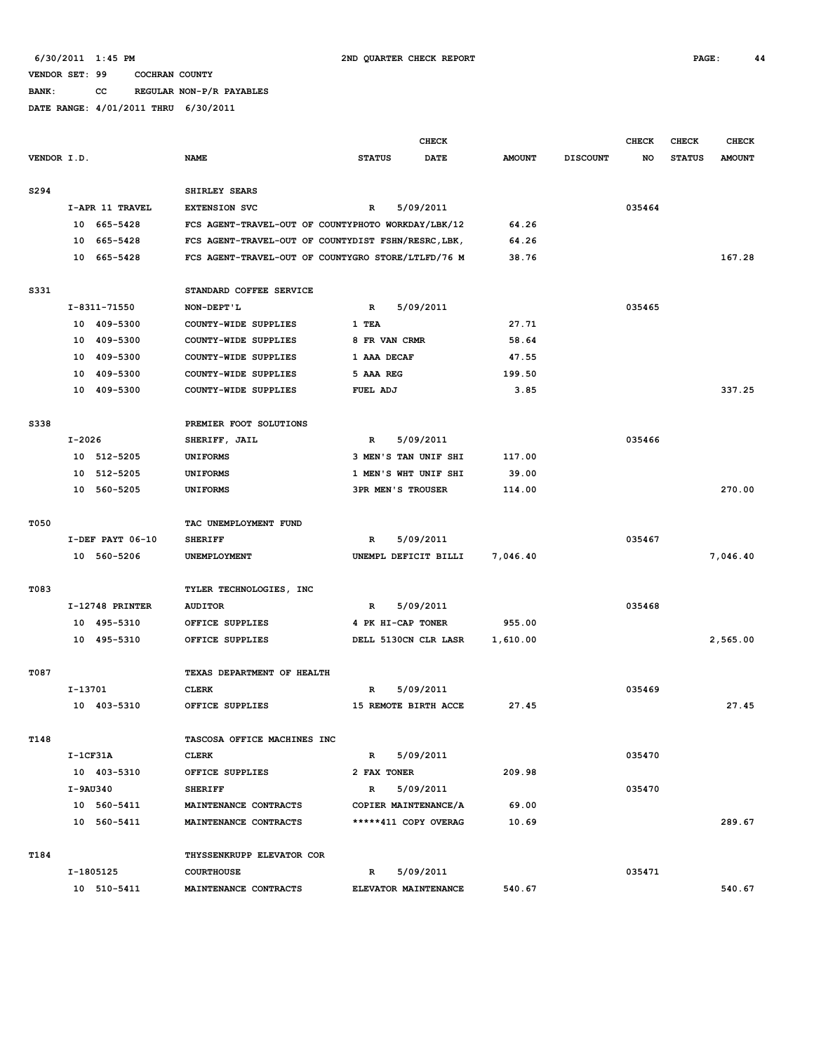**BANK: CC REGULAR NON-P/R PAYABLES**

|             |            |                  |                                                     |                          | <b>CHECK</b> |               |                 | <b>CHECK</b> | CHECK         | <b>CHECK</b>  |
|-------------|------------|------------------|-----------------------------------------------------|--------------------------|--------------|---------------|-----------------|--------------|---------------|---------------|
| VENDOR I.D. |            |                  | <b>NAME</b>                                         | <b>STATUS</b>            | DATE         | <b>AMOUNT</b> | <b>DISCOUNT</b> | NO           | <b>STATUS</b> | <b>AMOUNT</b> |
| S294        |            |                  | SHIRLEY SEARS                                       |                          |              |               |                 |              |               |               |
|             |            | I-APR 11 TRAVEL  | <b>EXTENSION SVC</b>                                | $\mathbb{R}$             | 5/09/2011    |               |                 | 035464       |               |               |
|             |            | 10 665-5428      | FCS AGENT-TRAVEL-OUT OF COUNTYPHOTO WORKDAY/LBK/12  |                          |              | 64.26         |                 |              |               |               |
|             |            | 10 665-5428      | FCS AGENT-TRAVEL-OUT OF COUNTYDIST FSHN/RESRC, LBK, |                          |              | 64.26         |                 |              |               |               |
|             |            | 10 665-5428      | FCS AGENT-TRAVEL-OUT OF COUNTYGRO STORE/LTLFD/76 M  |                          |              | 38.76         |                 |              |               | 167.28        |
| S331        |            |                  | STANDARD COFFEE SERVICE                             |                          |              |               |                 |              |               |               |
|             |            | I-8311-71550     | NON-DEPT'L                                          | $\mathbf{R}$             | 5/09/2011    |               |                 | 035465       |               |               |
|             |            | 10 409-5300      | COUNTY-WIDE SUPPLIES                                | 1 TEA                    |              | 27.71         |                 |              |               |               |
|             |            | 10 409-5300      | COUNTY-WIDE SUPPLIES                                | 8 FR VAN CRMR            |              | 58.64         |                 |              |               |               |
|             |            | 10 409-5300      | COUNTY-WIDE SUPPLIES                                | 1 AAA DECAF              |              | 47.55         |                 |              |               |               |
|             | 10         | 409-5300         | COUNTY-WIDE SUPPLIES                                | 5 AAA REG                |              | 199.50        |                 |              |               |               |
|             |            | 10 409-5300      | COUNTY-WIDE SUPPLIES                                | FUEL ADJ                 |              | 3.85          |                 |              |               | 337.25        |
| S338        |            |                  | PREMIER FOOT SOLUTIONS                              |                          |              |               |                 |              |               |               |
|             | $I-2026$   |                  | SHERIFF, JAIL                                       | R                        | 5/09/2011    |               |                 | 035466       |               |               |
|             |            | 10 512-5205      | <b>UNIFORMS</b>                                     | 3 MEN'S TAN UNIF SHI     |              | 117.00        |                 |              |               |               |
|             | 10         | 512-5205         | <b>UNIFORMS</b>                                     | 1 MEN'S WHT UNIF SHI     |              | 39.00         |                 |              |               |               |
|             |            | 10 560-5205      | <b>UNIFORMS</b>                                     | <b>3PR MEN'S TROUSER</b> |              | 114.00        |                 |              |               | 270.00        |
| T050        |            |                  | TAC UNEMPLOYMENT FUND                               |                          |              |               |                 |              |               |               |
|             |            | I-DEF PAYT 06-10 | <b>SHERIFF</b>                                      | $\mathbb{R}$             | 5/09/2011    |               |                 | 035467       |               |               |
|             |            | 10 560-5206      | UNEMPLOYMENT                                        | UNEMPL DEFICIT BILLI     |              | 7,046.40      |                 |              |               | 7,046.40      |
| T083        |            |                  | TYLER TECHNOLOGIES, INC                             |                          |              |               |                 |              |               |               |
|             |            | I-12748 PRINTER  | <b>AUDITOR</b>                                      | R                        | 5/09/2011    |               |                 | 035468       |               |               |
|             |            | 10 495-5310      | OFFICE SUPPLIES                                     | 4 PK HI-CAP TONER        |              | 955.00        |                 |              |               |               |
|             |            | 10 495-5310      | OFFICE SUPPLIES                                     | DELL 5130CN CLR LASR     |              | 1,610.00      |                 |              |               | 2,565.00      |
| T087        |            |                  | TEXAS DEPARTMENT OF HEALTH                          |                          |              |               |                 |              |               |               |
|             | I-13701    |                  | <b>CLERK</b>                                        | R                        | 5/09/2011    |               |                 | 035469       |               |               |
|             |            | 10 403-5310      | OFFICE SUPPLIES                                     | 15 REMOTE BIRTH ACCE     |              | 27.45         |                 |              |               | 27.45         |
| T148        |            |                  | TASCOSA OFFICE MACHINES INC                         |                          |              |               |                 |              |               |               |
|             | $I-1CF31A$ |                  | <b>CLERK</b>                                        | $\mathbb{R}$             | 5/09/2011    |               |                 | 035470       |               |               |
|             |            | 10 403-5310      | OFFICE SUPPLIES                                     | 2 FAX TONER              |              | 209.98        |                 |              |               |               |
|             |            | I-9AU340         | <b>SHERIFF</b>                                      | R                        | 5/09/2011    |               |                 | 035470       |               |               |
|             |            | 10 560-5411      | MAINTENANCE CONTRACTS                               | COPIER MAINTENANCE/A     |              | 69.00         |                 |              |               |               |
|             |            | 10 560-5411      | MAINTENANCE CONTRACTS                               | *****411 COPY OVERAG     |              | 10.69         |                 |              |               | 289.67        |
| T184        |            |                  | THYSSENKRUPP ELEVATOR COR                           |                          |              |               |                 |              |               |               |
|             |            | I-1805125        | <b>COURTHOUSE</b>                                   | R                        | 5/09/2011    |               |                 | 035471       |               |               |
|             |            | 10 510-5411      | MAINTENANCE CONTRACTS                               | ELEVATOR MAINTENANCE     |              | 540.67        |                 |              |               | 540.67        |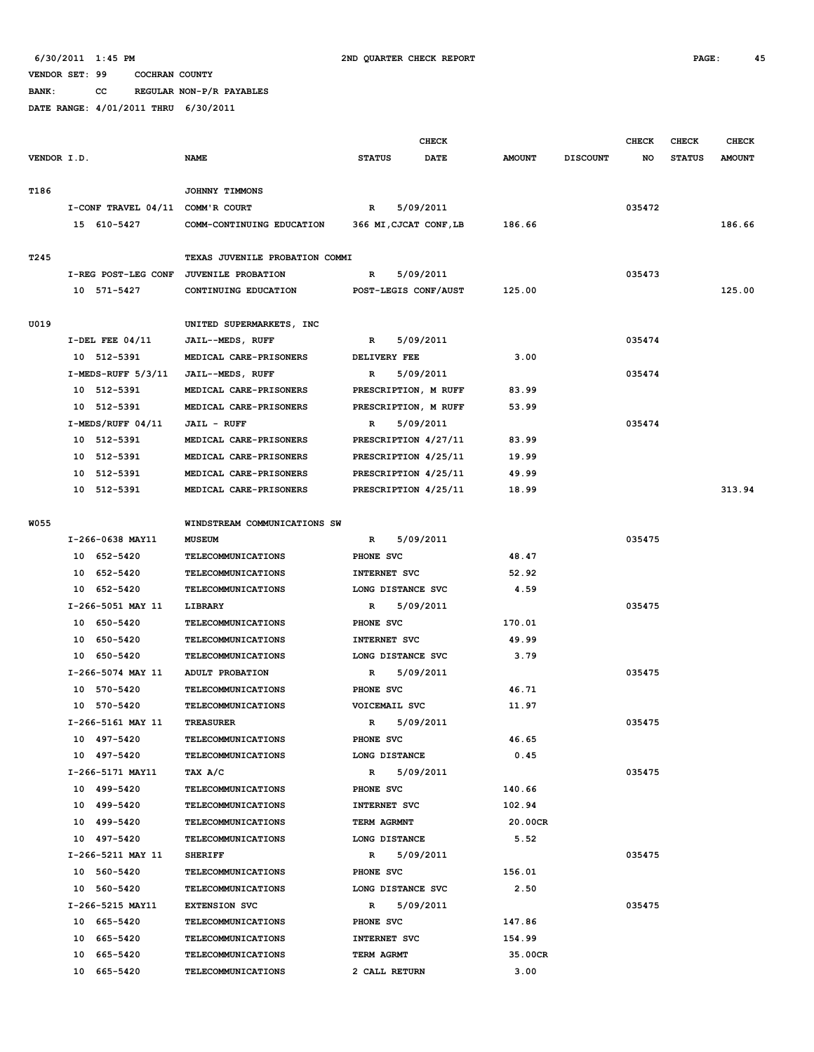**BANK: CC REGULAR NON-P/R PAYABLES**

|             |                                        |                                                        |                             | <b>CHECK</b> |                  |                 | <b>CHECK</b> | <b>CHECK</b>  | <b>CHECK</b>  |
|-------------|----------------------------------------|--------------------------------------------------------|-----------------------------|--------------|------------------|-----------------|--------------|---------------|---------------|
| VENDOR I.D. |                                        | <b>NAME</b>                                            | <b>STATUS</b>               | <b>DATE</b>  | <b>AMOUNT</b>    | <b>DISCOUNT</b> | NO           | <b>STATUS</b> | <b>AMOUNT</b> |
|             |                                        |                                                        |                             |              |                  |                 |              |               |               |
| T186        |                                        | JOHNNY TIMMONS                                         |                             |              |                  |                 |              |               |               |
|             | I-CONF TRAVEL 04/11 COMM'R COURT       |                                                        | R                           | 5/09/2011    |                  |                 | 035472       |               |               |
|             | 15 610-5427                            | COMM-CONTINUING EDUCATION                              | 366 MI, CJCAT CONF, LB      |              | 186.66           |                 |              |               | 186.66        |
|             |                                        |                                                        |                             |              |                  |                 |              |               |               |
| T245        |                                        | TEXAS JUVENILE PROBATION COMMI                         |                             |              |                  |                 |              |               |               |
|             | I-REG POST-LEG CONF JUVENILE PROBATION |                                                        | R                           | 5/09/2011    |                  |                 | 035473       |               |               |
|             | 10 571-5427                            | CONTINUING EDUCATION                                   | POST-LEGIS CONF/AUST        |              | 125.00           |                 |              |               | 125.00        |
|             |                                        |                                                        |                             |              |                  |                 |              |               |               |
| U019        |                                        | UNITED SUPERMARKETS, INC                               |                             |              |                  |                 |              |               |               |
|             | $I-DEL$ FEE $04/11$                    | JAIL--MEDS, RUFF                                       | R                           | 5/09/2011    |                  |                 | 035474       |               |               |
|             | 10 512-5391                            | MEDICAL CARE-PRISONERS                                 | DELIVERY FEE                |              | 3.00             |                 |              |               |               |
|             | I-MEDS-RUFF 5/3/11                     | JAIL--MEDS, RUFF                                       | $\mathbb{R}$                | 5/09/2011    |                  |                 | 035474       |               |               |
|             | 10 512-5391                            | MEDICAL CARE-PRISONERS                                 | PRESCRIPTION, M RUFF        |              | 83.99            |                 |              |               |               |
|             | 10 512-5391                            | MEDICAL CARE-PRISONERS                                 | PRESCRIPTION, M RUFF        |              | 53.99            |                 |              |               |               |
|             | $I-MEDS/RUFF 04/11$                    | <b>JAIL - RUFF</b>                                     | R                           | 5/09/2011    |                  |                 | 035474       |               |               |
|             | 10 512-5391                            | MEDICAL CARE-PRISONERS                                 | PRESCRIPTION 4/27/11        |              | 83.99            |                 |              |               |               |
|             | 10 512-5391                            | MEDICAL CARE-PRISONERS                                 | PRESCRIPTION 4/25/11        |              | 19.99            |                 |              |               |               |
|             | 10 512-5391                            | MEDICAL CARE-PRISONERS                                 | PRESCRIPTION 4/25/11        |              | 49.99            |                 |              |               |               |
|             | 10 512-5391                            | MEDICAL CARE-PRISONERS                                 | PRESCRIPTION 4/25/11        |              | 18.99            |                 |              |               | 313.94        |
|             |                                        |                                                        |                             |              |                  |                 |              |               |               |
| <b>W055</b> |                                        | WINDSTREAM COMMUNICATIONS SW                           |                             |              |                  |                 |              |               |               |
|             | I-266-0638 MAY11                       | <b>MUSEUM</b>                                          | R                           | 5/09/2011    |                  |                 | 035475       |               |               |
|             | 10 652-5420                            | <b>TELECOMMUNICATIONS</b>                              | PHONE SVC                   |              | 48.47            |                 |              |               |               |
|             | 10 652-5420                            | <b>TELECOMMUNICATIONS</b>                              | INTERNET SVC                |              | 52.92            |                 |              |               |               |
|             | 10 652-5420                            | <b>TELECOMMUNICATIONS</b>                              | LONG DISTANCE SVC           |              | 4.59             |                 |              |               |               |
|             | I-266-5051 MAY 11                      | LIBRARY                                                | R                           | 5/09/2011    |                  |                 | 035475       |               |               |
|             | 10 650-5420                            | TELECOMMUNICATIONS                                     | PHONE SVC                   |              | 170.01           |                 |              |               |               |
|             | 10 650-5420                            | TELECOMMUNICATIONS                                     | INTERNET SVC                |              | 49.99            |                 |              |               |               |
|             | 10 650-5420                            | <b>TELECOMMUNICATIONS</b>                              | LONG DISTANCE SVC           |              | 3.79             |                 |              |               |               |
|             | I-266-5074 MAY 11                      | ADULT PROBATION                                        | R                           | 5/09/2011    |                  |                 | 035475       |               |               |
|             | 10 570-5420                            | <b>TELECOMMUNICATIONS</b>                              | PHONE SVC                   |              | 46.71            |                 |              |               |               |
|             | 10 570-5420                            | <b>TELECOMMUNICATIONS</b>                              | VOICEMAIL SVC               |              | 11.97            |                 | 035475       |               |               |
|             | I-266-5161 MAY 11                      | <b>TREASURER</b>                                       | $\mathbb{R}$                | 5/09/2011    |                  |                 |              |               |               |
|             | 10 497-5420<br>10 497-5420             | TELECOMMUNICATIONS                                     | PHONE SVC<br>LONG DISTANCE  |              | 46.65<br>0.45    |                 |              |               |               |
|             |                                        | <b>TELECOMMUNICATIONS</b><br>TAX A/C                   |                             |              |                  |                 | 035475       |               |               |
|             | I-266-5171 MAY11                       |                                                        | $\mathbb{R}$                | 5/09/2011    |                  |                 |              |               |               |
|             | 10 499-5420                            | <b>TELECOMMUNICATIONS</b><br><b>TELECOMMUNICATIONS</b> | PHONE SVC<br>INTERNET SVC   |              | 140.66<br>102.94 |                 |              |               |               |
|             | 10 499-5420                            |                                                        |                             |              |                  |                 |              |               |               |
|             | 10 499-5420                            | <b>TELECOMMUNICATIONS</b>                              | TERM AGRMNT                 |              | 20.00CR<br>5.52  |                 |              |               |               |
|             | 10 497-5420                            | <b>TELECOMMUNICATIONS</b>                              | LONG DISTANCE               |              |                  |                 |              |               |               |
|             | I-266-5211 MAY 11<br>10 560-5420       | <b>SHERIFF</b>                                         | R<br>PHONE SVC              | 5/09/2011    | 156.01           |                 | 035475       |               |               |
|             |                                        | <b>TELECOMMUNICATIONS</b>                              |                             |              | 2.50             |                 |              |               |               |
|             | 10 560-5420                            | <b>TELECOMMUNICATIONS</b>                              | LONG DISTANCE SVC           |              |                  |                 |              |               |               |
|             | I-266-5215 MAY11                       | <b>EXTENSION SVC</b>                                   | R                           | 5/09/2011    |                  |                 | 035475       |               |               |
|             | 10 665-5420                            | <b>TELECOMMUNICATIONS</b>                              | PHONE SVC                   |              | 147.86           |                 |              |               |               |
|             | 10 665-5420                            | <b>TELECOMMUNICATIONS</b>                              | INTERNET SVC                |              | 154.99           |                 |              |               |               |
|             | 10 665-5420<br>10 665-5420             | TELECOMMUNICATIONS<br><b>TELECOMMUNICATIONS</b>        | TERM AGRMT<br>2 CALL RETURN |              | 35.00CR<br>3.00  |                 |              |               |               |
|             |                                        |                                                        |                             |              |                  |                 |              |               |               |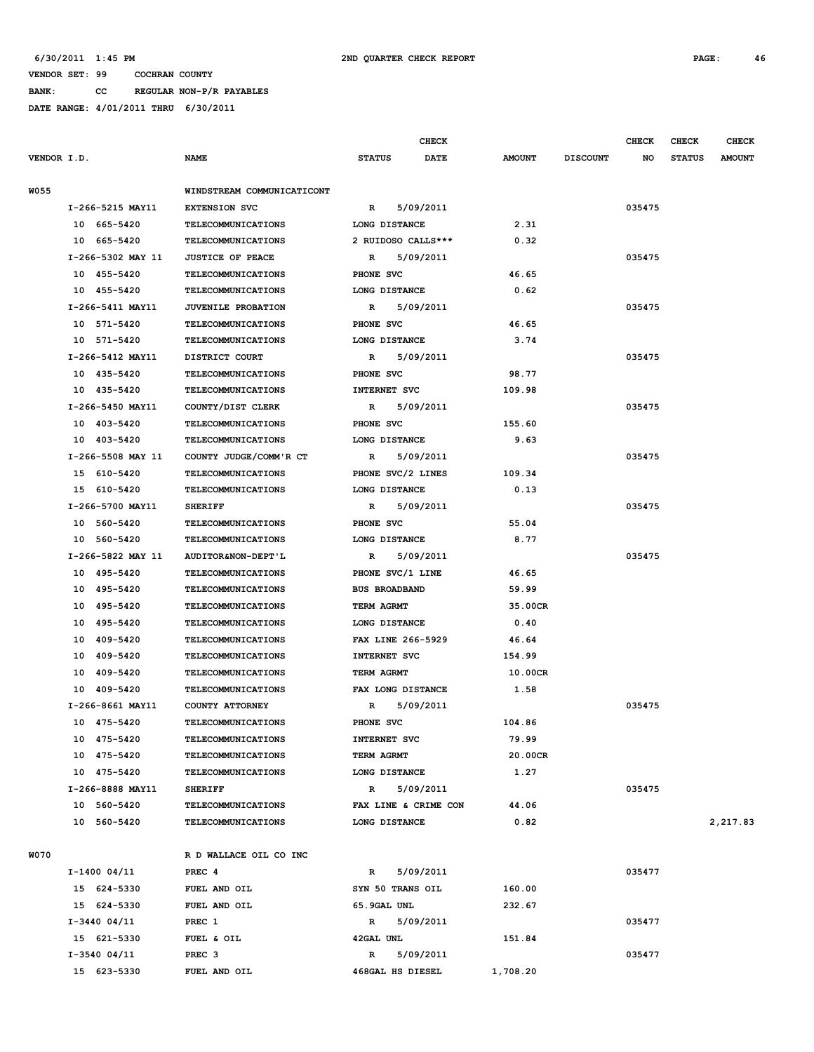**BANK: CC REGULAR NON-P/R PAYABLES DATE RANGE: 4/01/2011 THRU 6/30/2011**

|             |                   |                                                 | CHECK                        |                 |                 | <b>CHECK</b> | CHECK         | <b>CHECK</b>  |
|-------------|-------------------|-------------------------------------------------|------------------------------|-----------------|-----------------|--------------|---------------|---------------|
| VENDOR I.D. |                   | NAME                                            | <b>STATUS</b><br><b>DATE</b> | <b>AMOUNT</b>   | <b>DISCOUNT</b> | NO           | <b>STATUS</b> | <b>AMOUNT</b> |
| <b>W055</b> |                   | WINDSTREAM COMMUNICATICONT                      |                              |                 |                 |              |               |               |
|             | I-266-5215 MAY11  | <b>EXTENSION SVC</b>                            | 5/09/2011<br>R               |                 |                 | 035475       |               |               |
|             | 10 665-5420       | <b>TELECOMMUNICATIONS</b>                       | LONG DISTANCE                | 2.31            |                 |              |               |               |
|             | 10 665-5420       | <b>TELECOMMUNICATIONS</b>                       | 2 RUIDOSO CALLS***           | 0.32            |                 |              |               |               |
|             | I-266-5302 MAY 11 | <b>JUSTICE OF PEACE</b>                         | 5/09/2011<br>R               |                 |                 | 035475       |               |               |
|             | 10 455-5420       | <b>TELECOMMUNICATIONS</b>                       | PHONE SVC                    | 46.65           |                 |              |               |               |
|             | 10 455-5420       | <b>TELECOMMUNICATIONS</b>                       | LONG DISTANCE                | 0.62            |                 |              |               |               |
|             | I-266-5411 MAY11  | JUVENILE PROBATION                              | 5/09/2011<br>R               |                 |                 | 035475       |               |               |
|             | 10 571-5420       | <b>TELECOMMUNICATIONS</b>                       | PHONE SVC                    | 46.65           |                 |              |               |               |
|             | 10 571-5420       | <b>TELECOMMUNICATIONS</b>                       | LONG DISTANCE                | 3.74            |                 |              |               |               |
|             | I-266-5412 MAY11  | DISTRICT COURT                                  | 5/09/2011<br>R               |                 |                 | 035475       |               |               |
|             | 10 435-5420       | <b>TELECOMMUNICATIONS</b>                       | PHONE SVC                    | 98.77           |                 |              |               |               |
|             | 10 435-5420       | <b>TELECOMMUNICATIONS</b>                       | INTERNET SVC                 | 109.98          |                 |              |               |               |
|             | I-266-5450 MAY11  | COUNTY/DIST CLERK                               | 5/09/2011<br>R               |                 |                 | 035475       |               |               |
|             | 10 403-5420       | <b>TELECOMMUNICATIONS</b>                       | PHONE SVC                    | 155.60          |                 |              |               |               |
|             | 10 403-5420       | <b>TELECOMMUNICATIONS</b>                       | LONG DISTANCE                | 9.63            |                 |              |               |               |
|             | I-266-5508 MAY 11 | COUNTY JUDGE/COMM'R CT                          | 5/09/2011<br>R               |                 |                 | 035475       |               |               |
|             | 15 610-5420       | <b>TELECOMMUNICATIONS</b>                       | PHONE SVC/2 LINES            | 109.34          |                 |              |               |               |
|             | 15 610-5420       | <b>TELECOMMUNICATIONS</b>                       | LONG DISTANCE                | 0.13            |                 |              |               |               |
|             | I-266-5700 MAY11  | <b>SHERIFF</b>                                  | 5/09/2011<br>R               |                 |                 | 035475       |               |               |
|             | 10 560-5420       | <b>TELECOMMUNICATIONS</b>                       | PHONE SVC                    | 55.04           |                 |              |               |               |
|             | 10 560-5420       | <b>TELECOMMUNICATIONS</b>                       | LONG DISTANCE                |                 |                 |              |               |               |
|             | I-266-5822 MAY 11 | AUDITOR&NON-DEPT'L                              | 5/09/2011<br>R               | 8.77            |                 | 035475       |               |               |
|             | 10 495-5420       | <b>TELECOMMUNICATIONS</b>                       | PHONE SVC/1 LINE             | 46.65           |                 |              |               |               |
|             | 10 495-5420       | <b>TELECOMMUNICATIONS</b>                       | <b>BUS BROADBAND</b>         | 59.99           |                 |              |               |               |
|             | 10 495-5420       | <b>TELECOMMUNICATIONS</b>                       | TERM AGRMT                   | 35.00CR         |                 |              |               |               |
|             | 10 495-5420       | <b>TELECOMMUNICATIONS</b>                       | LONG DISTANCE                | 0.40            |                 |              |               |               |
|             | 10 409-5420       | <b>TELECOMMUNICATIONS</b>                       | FAX LINE 266-5929            | 46.64           |                 |              |               |               |
|             | 10 409-5420       | <b>TELECOMMUNICATIONS</b>                       | INTERNET SVC                 | 154.99          |                 |              |               |               |
|             | 10<br>409–5420    | <b>TELECOMMUNICATIONS</b>                       | TERM AGRMT                   | 10.00CR         |                 |              |               |               |
|             | 10 409-5420       | TELECOMMUNICATIONS                              | FAX LONG DISTANCE            | 1.58            |                 |              |               |               |
|             | I-266-8661 MAY11  | COUNTY ATTORNEY                                 | 5/09/2011<br>R               |                 |                 | 035475       |               |               |
|             |                   | <b>TELECOMMUNICATIONS</b>                       |                              |                 |                 |              |               |               |
|             | 10 475-5420       |                                                 | PHONE SVC                    | 104.86          |                 |              |               |               |
|             | 10 475-5420       | <b>TELECOMMUNICATIONS</b>                       | INTERNET SVC                 | 79.99           |                 |              |               |               |
|             | 10 475-5420       | TELECOMMUNICATIONS<br><b>TELECOMMUNICATIONS</b> | TERM AGRMT<br>LONG DISTANCE  | 20.00CR<br>1.27 |                 |              |               |               |
|             | 10 475-5420       |                                                 |                              |                 |                 |              |               |               |
|             | I-266-8888 MAY11  | <b>SHERIFF</b>                                  | R 5/09/2011                  |                 |                 | 035475       |               |               |
|             | 10 560-5420       | <b>TELECOMMUNICATIONS</b>                       | FAX LINE & CRIME CON         | 44.06           |                 |              |               | 2,217.83      |
|             | 10 560-5420       | <b>TELECOMMUNICATIONS</b>                       | LONG DISTANCE                | 0.82            |                 |              |               |               |
| <b>W070</b> |                   | R D WALLACE OIL CO INC                          |                              |                 |                 |              |               |               |
|             | $I-1400$ 04/11    | PREC 4                                          | 5/09/2011<br>$\mathbf{R}$    |                 |                 | 035477       |               |               |
|             | 15 624-5330       | FUEL AND OIL                                    | SYN 50 TRANS OIL             | 160.00          |                 |              |               |               |
|             | 15 624-5330       | FUEL AND OIL                                    | 65.9GAL UNL                  | 232.67          |                 |              |               |               |
|             | $I-3440$ 04/11    | PREC 1                                          | 5/09/2011<br>$\mathbb{R}$    |                 |                 | 035477       |               |               |
|             | 15 621-5330       | FUEL & OIL                                      | 42GAL UNL                    | 151.84          |                 |              |               |               |
|             | $I-3540$ 04/11    | PREC <sub>3</sub>                               | 5/09/2011<br>R               |                 |                 | 035477       |               |               |
|             | 15 623-5330       | FUEL AND OIL                                    | 468GAL HS DIESEL             | 1,708.20        |                 |              |               |               |
|             |                   |                                                 |                              |                 |                 |              |               |               |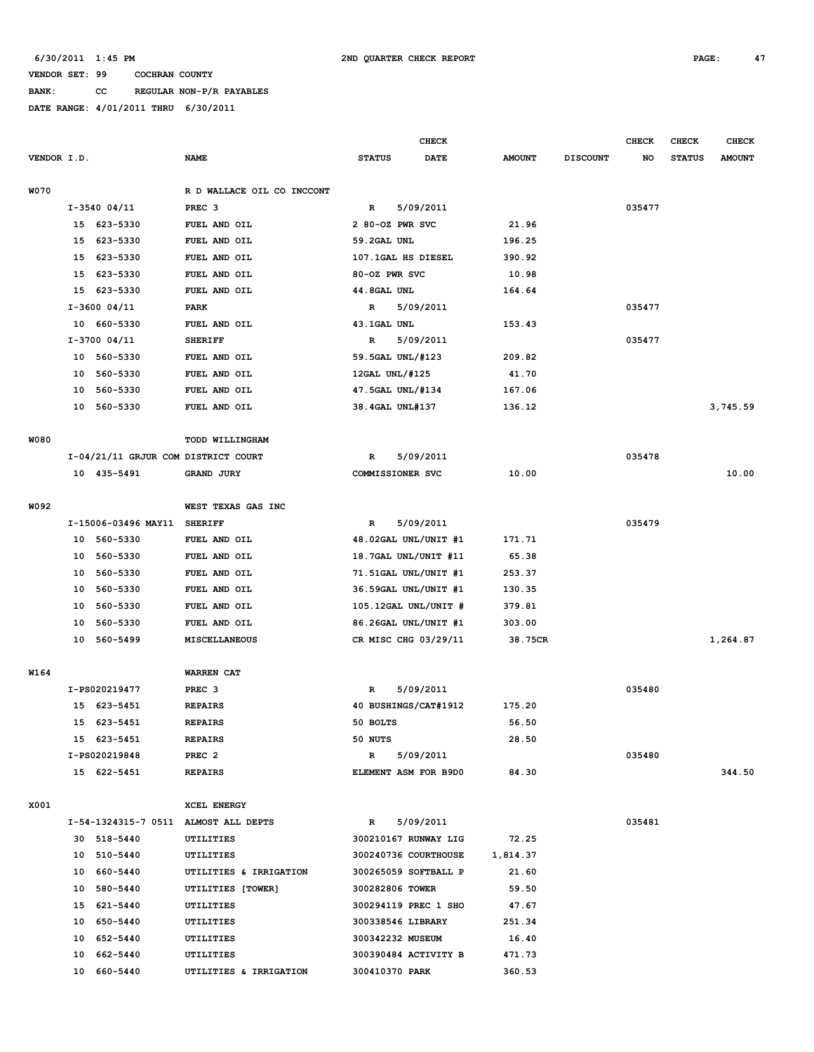**BANK: CC REGULAR NON-P/R PAYABLES**

|             |    |                                     |                                      |                 | <b>CHECK</b>         |               |                 | <b>CHECK</b> | <b>CHECK</b>  | CHECK         |
|-------------|----|-------------------------------------|--------------------------------------|-----------------|----------------------|---------------|-----------------|--------------|---------------|---------------|
| VENDOR I.D. |    |                                     | <b>NAME</b>                          | <b>STATUS</b>   | <b>DATE</b>          | <b>AMOUNT</b> | <b>DISCOUNT</b> | NO           | <b>STATUS</b> | <b>AMOUNT</b> |
| <b>W070</b> |    |                                     | R D WALLACE OIL CO INCCONT           |                 |                      |               |                 |              |               |               |
|             |    | $I-3540$ 04/11                      | PREC <sub>3</sub>                    | $\mathbf R$     | 5/09/2011            |               |                 | 035477       |               |               |
|             |    | 15 623-5330                         | FUEL AND OIL                         | 2 80-OZ PWR SVC |                      | 21.96         |                 |              |               |               |
|             | 15 | 623-5330                            | FUEL AND OIL                         | 59.2GAL UNL     |                      | 196.25        |                 |              |               |               |
|             | 15 | 623-5330                            | FUEL AND OIL                         |                 | 107.1GAL HS DIESEL   | 390.92        |                 |              |               |               |
|             | 15 | 623-5330                            | FUEL AND OIL                         | 80-OZ PWR SVC   |                      | 10.98         |                 |              |               |               |
|             | 15 | 623-5330                            | FUEL AND OIL                         | 44.8GAL UNL     |                      | 164.64        |                 |              |               |               |
|             |    | $I-3600$ 04/11                      | PARK                                 | R               | 5/09/2011            |               |                 | 035477       |               |               |
|             |    | 10 660-5330                         | FUEL AND OIL                         | 43.1GAL UNL     |                      | 153.43        |                 |              |               |               |
|             |    | $I-3700$ 04/11                      | <b>SHERIFF</b>                       | R               | 5/09/2011            |               |                 | 035477       |               |               |
|             |    | 10 560-5330                         | FUEL AND OIL                         |                 | 59.5GAL UNL/#123     | 209.82        |                 |              |               |               |
|             | 10 | 560-5330                            | FUEL AND OIL                         | 12GAL UNL/#125  |                      | 41.70         |                 |              |               |               |
|             | 10 | 560-5330                            | FUEL AND OIL                         |                 | 47.5GAL UNL/#134     | 167.06        |                 |              |               |               |
|             | 10 | 560-5330                            | FUEL AND OIL                         | 38.4GAL UNL#137 |                      | 136.12        |                 |              |               | 3,745.59      |
|             |    |                                     |                                      |                 |                      |               |                 |              |               |               |
| <b>W080</b> |    |                                     | TODD WILLINGHAM                      |                 |                      |               |                 |              |               |               |
|             |    | I-04/21/11 GRJUR COM DISTRICT COURT |                                      | R               | 5/09/2011            |               |                 | 035478       |               |               |
|             |    | 10 435-5491                         | GRAND JURY                           |                 | COMMISSIONER SVC     | 10.00         |                 |              |               | 10.00         |
|             |    |                                     |                                      |                 |                      |               |                 |              |               |               |
| W092        |    |                                     | WEST TEXAS GAS INC                   |                 |                      |               |                 |              |               |               |
|             |    | I-15006-03496 MAY11                 | <b>SHERIFF</b>                       | $\mathbf R$     | 5/09/2011            |               |                 | 035479       |               |               |
|             |    | 10 560-5330                         | FUEL AND OIL                         |                 | 48.02GAL UNL/UNIT #1 | 171.71        |                 |              |               |               |
|             |    | 10 560-5330                         | FUEL AND OIL                         |                 | 18.7GAL UNL/UNIT #11 | 65.38         |                 |              |               |               |
|             | 10 | 560-5330                            | FUEL AND OIL                         |                 | 71.51GAL UNL/UNIT #1 | 253.37        |                 |              |               |               |
|             | 10 | 560-5330                            | FUEL AND OIL                         |                 | 36.59GAL UNL/UNIT #1 | 130.35        |                 |              |               |               |
|             | 10 | 560-5330                            | FUEL AND OIL                         |                 | 105.12GAL UNL/UNIT # | 379.81        |                 |              |               |               |
|             | 10 | 560-5330                            | FUEL AND OIL                         |                 | 86.26GAL UNL/UNIT #1 | 303.00        |                 |              |               |               |
|             | 10 | 560-5499                            | MISCELLANEOUS                        |                 | CR MISC CHG 03/29/11 | 38.75CR       |                 |              |               | 1,264.87      |
| W164        |    |                                     | WARREN CAT                           |                 |                      |               |                 |              |               |               |
|             |    |                                     |                                      |                 |                      |               |                 |              |               |               |
|             |    | I-PS020219477                       | PREC <sub>3</sub>                    | R               | 5/09/2011            |               |                 | 035480       |               |               |
|             |    | 15 623-5451                         | <b>REPAIRS</b>                       |                 | 40 BUSHINGS/CAT#1912 | 175.20        |                 |              |               |               |
|             |    | 15 623-5451                         | <b>REPAIRS</b>                       | 50 BOLTS        |                      | 56.50         |                 |              |               |               |
|             |    | 15 623-5451                         | <b>REPAIRS</b>                       | 50 NUTS         |                      | 28.50         |                 |              |               |               |
|             |    | I-PS020219848                       | PREC <sub>2</sub>                    | R               | 5/09/2011            |               |                 | 035480       |               |               |
|             |    | 15 622-5451                         | <b>REPAIRS</b>                       |                 | ELEMENT ASM FOR B9D0 | 84.30         |                 |              |               | 344.50        |
| X001        |    |                                     | XCEL ENERGY                          |                 |                      |               |                 |              |               |               |
|             |    |                                     | I-54-1324315-7 0511 ALMOST ALL DEPTS | $\mathbb{R}$    | 5/09/2011            |               |                 | 035481       |               |               |
|             |    | 30 518-5440                         | UTILITIES                            |                 | 300210167 RUNWAY LIG | 72.25         |                 |              |               |               |
|             |    | 10 510-5440                         | UTILITIES                            |                 | 300240736 COURTHOUSE | 1,814.37      |                 |              |               |               |
|             |    | 10 660-5440                         | UTILITIES & IRRIGATION               |                 | 300265059 SOFTBALL P | 21.60         |                 |              |               |               |
|             |    | 10 580-5440                         | UTILITIES [TOWER]                    |                 | 300282806 TOWER      | 59.50         |                 |              |               |               |
|             |    | 15 621-5440                         | UTILITIES                            |                 | 300294119 PREC 1 SHO | 47.67         |                 |              |               |               |
|             |    | 10 650-5440                         | UTILITIES                            |                 | 300338546 LIBRARY    | 251.34        |                 |              |               |               |
|             |    | 10 652-5440                         | UTILITIES                            |                 | 300342232 MUSEUM     | 16.40         |                 |              |               |               |
|             |    | 10 662-5440                         | UTILITIES                            |                 | 300390484 ACTIVITY B | 471.73        |                 |              |               |               |
|             | 10 | 660-5440                            | UTILITIES & IRRIGATION               | 300410370 PARK  |                      | 360.53        |                 |              |               |               |
|             |    |                                     |                                      |                 |                      |               |                 |              |               |               |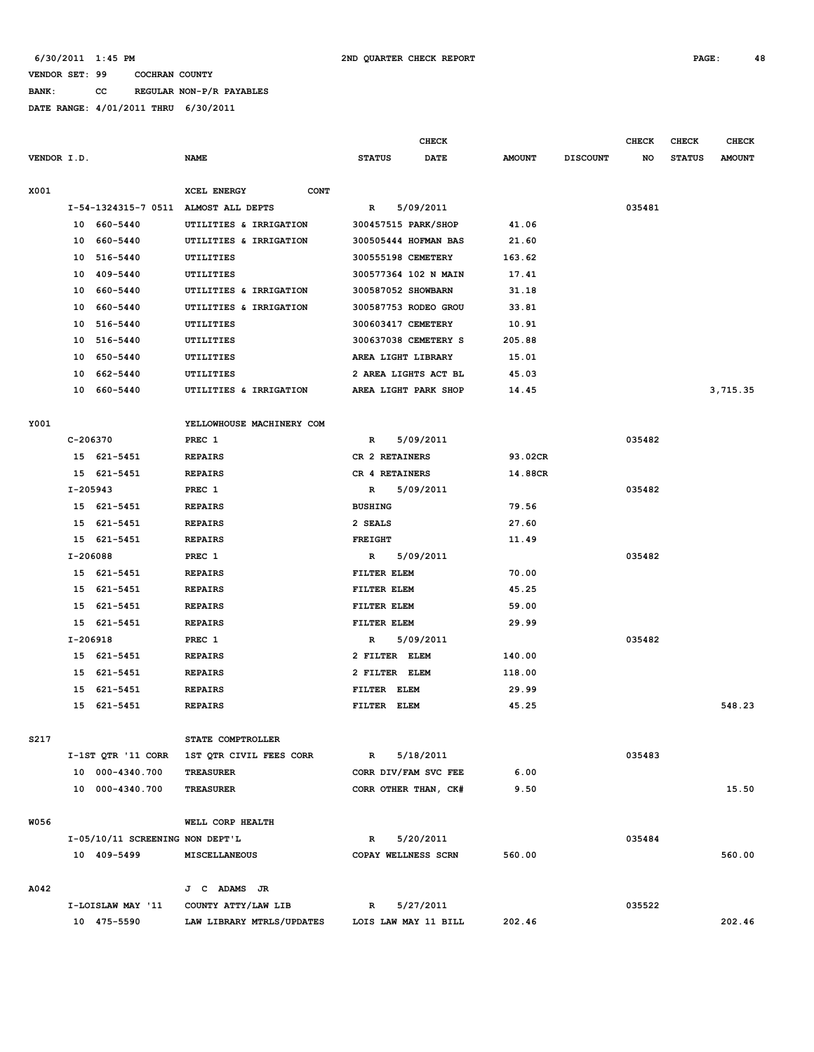**BANK: CC REGULAR NON-P/R PAYABLES**

|             |            |                                 |                            |                      | <b>CHECK</b>         |               |                 | <b>CHECK</b> | <b>CHECK</b>  | <b>CHECK</b>  |
|-------------|------------|---------------------------------|----------------------------|----------------------|----------------------|---------------|-----------------|--------------|---------------|---------------|
| VENDOR I.D. |            |                                 | <b>NAME</b>                | <b>STATUS</b>        | DATE                 | <b>AMOUNT</b> | <b>DISCOUNT</b> | NO           | <b>STATUS</b> | <b>AMOUNT</b> |
|             |            |                                 |                            |                      |                      |               |                 |              |               |               |
| X001        |            |                                 | XCEL ENERGY<br><b>CONT</b> |                      |                      |               |                 |              |               |               |
|             |            | I-54-1324315-7 0511             | ALMOST ALL DEPTS           | R                    | 5/09/2011            |               |                 | 035481       |               |               |
|             |            | 10 660-5440                     | UTILITIES & IRRIGATION     | 300457515 PARK/SHOP  |                      | 41.06         |                 |              |               |               |
|             |            | 10 660-5440                     | UTILITIES & IRRIGATION     |                      | 300505444 HOFMAN BAS | 21.60         |                 |              |               |               |
|             | 10         | 516-5440                        | UTILITIES                  | 300555198 CEMETERY   |                      | 163.62        |                 |              |               |               |
|             | 10         | 409-5440                        | UTILITIES                  |                      | 300577364 102 N MAIN | 17.41         |                 |              |               |               |
|             | 10         | 660-5440                        | UTILITIES & IRRIGATION     | 300587052 SHOWBARN   |                      | 31.18         |                 |              |               |               |
|             | 10         | 660-5440                        | UTILITIES & IRRIGATION     |                      | 300587753 RODEO GROU | 33.81         |                 |              |               |               |
|             | 10         | 516-5440                        | UTILITIES                  | 300603417 CEMETERY   |                      | 10.91         |                 |              |               |               |
|             | 10         | 516-5440                        | UTILITIES                  |                      | 300637038 CEMETERY S | 205.88        |                 |              |               |               |
|             | 10         | 650-5440                        | UTILITIES                  | AREA LIGHT LIBRARY   |                      | 15.01         |                 |              |               |               |
|             | 10         | 662-5440                        | UTILITIES                  |                      | 2 AREA LIGHTS ACT BL | 45.03         |                 |              |               |               |
|             | 10         | 660-5440                        | UTILITIES & IRRIGATION     | AREA LIGHT PARK SHOP |                      | 14.45         |                 |              |               | 3,715.35      |
|             |            |                                 |                            |                      |                      |               |                 |              |               |               |
| Y001        |            |                                 | YELLOWHOUSE MACHINERY COM  |                      |                      |               |                 |              |               |               |
|             | C-206370   |                                 | PREC 1                     | R                    | 5/09/2011            |               |                 | 035482       |               |               |
|             |            | 15 621-5451                     | <b>REPAIRS</b>             | CR 2 RETAINERS       |                      | 93.02CR       |                 |              |               |               |
|             |            | 15 621-5451                     | <b>REPAIRS</b>             | CR 4 RETAINERS       |                      | 14.88CR       |                 |              |               |               |
|             | $I-205943$ |                                 | PREC 1                     | R                    | 5/09/2011            |               |                 | 035482       |               |               |
|             |            | 15 621-5451                     | <b>REPAIRS</b>             | <b>BUSHING</b>       |                      | 79.56         |                 |              |               |               |
|             |            | 15 621-5451                     | <b>REPAIRS</b>             | 2 SEALS              |                      | 27.60         |                 |              |               |               |
|             |            | 15 621-5451                     | <b>REPAIRS</b>             | <b>FREIGHT</b>       |                      | 11.49         |                 |              |               |               |
|             | I-206088   |                                 | PREC 1                     | R                    | 5/09/2011            |               |                 | 035482       |               |               |
|             |            | 15 621-5451                     | <b>REPAIRS</b>             | FILTER ELEM          |                      | 70.00         |                 |              |               |               |
|             |            | 15 621-5451                     | <b>REPAIRS</b>             | FILTER ELEM          |                      | 45.25         |                 |              |               |               |
|             | 15         | 621-5451                        | <b>REPAIRS</b>             | FILTER ELEM          |                      | 59.00         |                 |              |               |               |
|             |            | 15 621-5451                     | <b>REPAIRS</b>             | FILTER ELEM          |                      | 29.99         |                 |              |               |               |
|             | I-206918   |                                 | PREC 1                     | R                    | 5/09/2011            |               |                 | 035482       |               |               |
|             |            | 15 621-5451                     | <b>REPAIRS</b>             | 2 FILTER ELEM        |                      | 140.00        |                 |              |               |               |
|             | 15         | 621-5451                        | <b>REPAIRS</b>             | 2 FILTER ELEM        |                      | 118.00        |                 |              |               |               |
|             | 15         | 621-5451                        | <b>REPAIRS</b>             | FILTER ELEM          |                      | 29.99         |                 |              |               |               |
|             | 15         | 621-5451                        | <b>REPAIRS</b>             | FILTER ELEM          |                      | 45.25         |                 |              |               | 548.23        |
|             |            |                                 |                            |                      |                      |               |                 |              |               |               |
| S217        |            |                                 | STATE COMPTROLLER          |                      |                      |               |                 |              |               |               |
|             |            | I-1ST QTR '11 CORR              | 1ST OTR CIVIL FEES CORR    | $\mathbb{R}$         | 5/18/2011            |               |                 | 035483       |               |               |
|             |            | 10 000-4340.700                 | <b>TREASURER</b>           |                      | CORR DIV/FAM SVC FEE | 6.00          |                 |              |               |               |
|             |            | 10 000-4340.700                 | TREASURER                  |                      | CORR OTHER THAN, CK# | 9.50          |                 |              |               | 15.50         |
|             |            |                                 |                            |                      |                      |               |                 |              |               |               |
| <b>W056</b> |            |                                 | WELL CORP HEALTH           |                      |                      |               |                 |              |               |               |
|             |            | I-05/10/11 SCREENING NON DEPT'L |                            | R                    | 5/20/2011            |               |                 | 035484       |               |               |
|             |            | 10 409-5499                     | MISCELLANEOUS              | COPAY WELLNESS SCRN  |                      | 560.00        |                 |              |               | 560.00        |
|             |            |                                 |                            |                      |                      |               |                 |              |               |               |
| A042        |            |                                 | J C ADAMS JR               |                      |                      |               |                 |              |               |               |
|             |            | I-LOISLAW MAY '11               | COUNTY ATTY/LAW LIB        | R                    | 5/27/2011            |               |                 | 035522       |               |               |
|             |            | 10 475-5590                     | LAW LIBRARY MTRLS/UPDATES  |                      | LOIS LAW MAY 11 BILL | 202.46        |                 |              |               | 202.46        |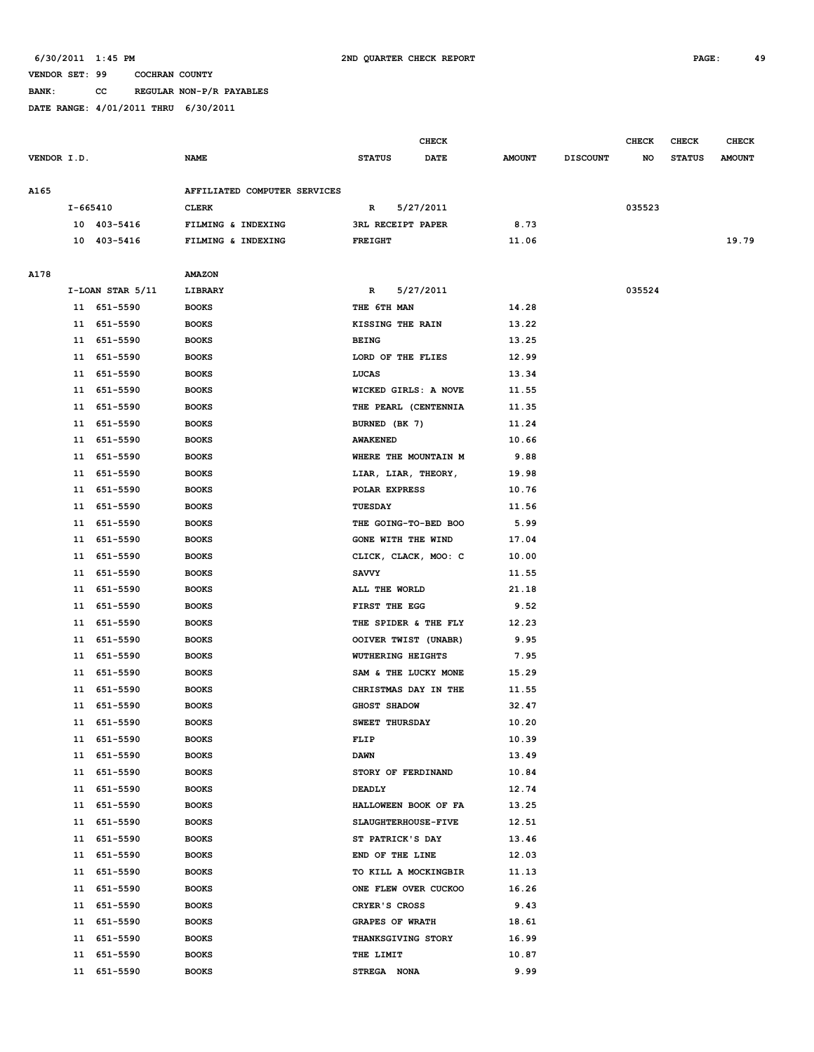**BANK: CC REGULAR NON-P/R PAYABLES**

|             |          |                      |                              |                          | CHECK       |               |                 | CHECK  | CHECK         | <b>CHECK</b>  |
|-------------|----------|----------------------|------------------------------|--------------------------|-------------|---------------|-----------------|--------|---------------|---------------|
| VENDOR I.D. |          |                      | <b>NAME</b>                  | <b>STATUS</b>            | <b>DATE</b> | <b>AMOUNT</b> | <b>DISCOUNT</b> | NO     | <b>STATUS</b> | <b>AMOUNT</b> |
| A165        |          |                      | AFFILIATED COMPUTER SERVICES |                          |             |               |                 |        |               |               |
|             | I-665410 |                      | <b>CLERK</b>                 | R                        | 5/27/2011   |               |                 | 035523 |               |               |
|             |          | 10 403-5416          | FILMING & INDEXING           | <b>3RL RECEIPT PAPER</b> |             | 8.73          |                 |        |               |               |
|             |          | 10 403-5416          | FILMING & INDEXING           | <b>FREIGHT</b>           |             | 11.06         |                 |        |               | 19.79         |
|             |          |                      |                              |                          |             |               |                 |        |               |               |
| A178        |          |                      | <b>AMAZON</b>                |                          |             |               |                 |        |               |               |
|             |          | $I-LOAN$ STAR $5/11$ | LIBRARY                      | R                        | 5/27/2011   |               |                 | 035524 |               |               |
|             |          | 11 651-5590          | <b>BOOKS</b>                 | THE 6TH MAN              |             | 14.28         |                 |        |               |               |
|             | 11       | 651-5590             | <b>BOOKS</b>                 | KISSING THE RAIN         |             | 13.22         |                 |        |               |               |
|             | 11       | 651-5590             | <b>BOOKS</b>                 | <b>BEING</b>             |             | 13.25         |                 |        |               |               |
|             | 11       | 651-5590             | <b>BOOKS</b>                 | LORD OF THE FLIES        |             | 12.99         |                 |        |               |               |
|             | 11       | 651-5590             | <b>BOOKS</b>                 | LUCAS                    |             | 13.34         |                 |        |               |               |
|             | 11       | 651-5590             | <b>BOOKS</b>                 | WICKED GIRLS: A NOVE     |             | 11.55         |                 |        |               |               |
|             | 11       | 651-5590             | <b>BOOKS</b>                 | THE PEARL (CENTENNIA     |             | 11.35         |                 |        |               |               |
|             | 11       | 651-5590             | <b>BOOKS</b>                 | BURNED (BK 7)            |             | 11.24         |                 |        |               |               |
|             | 11       | 651-5590             | <b>BOOKS</b>                 | <b>AWAKENED</b>          |             | 10.66         |                 |        |               |               |
|             | 11       | 651-5590             | <b>BOOKS</b>                 | WHERE THE MOUNTAIN M     |             | 9.88          |                 |        |               |               |
|             | 11       | 651-5590             | <b>BOOKS</b>                 | LIAR, LIAR, THEORY,      |             | 19.98         |                 |        |               |               |
|             | 11       | 651-5590             | <b>BOOKS</b>                 | POLAR EXPRESS            |             | 10.76         |                 |        |               |               |
|             | 11       | 651-5590             | <b>BOOKS</b>                 | TUESDAY                  |             | 11.56         |                 |        |               |               |
|             | 11       | 651-5590             | <b>BOOKS</b>                 | THE GOING-TO-BED BOO     |             | 5.99          |                 |        |               |               |
|             | 11       | 651-5590             | <b>BOOKS</b>                 | GONE WITH THE WIND       |             | 17.04         |                 |        |               |               |
|             | 11       | 651-5590             | <b>BOOKS</b>                 | CLICK, CLACK, MOO: C     |             | 10.00         |                 |        |               |               |
|             | 11       | 651-5590             | <b>BOOKS</b>                 | <b>SAVVY</b>             |             | 11.55         |                 |        |               |               |
|             | 11       | 651-5590             | <b>BOOKS</b>                 | ALL THE WORLD            |             | 21.18         |                 |        |               |               |
|             | 11       | 651-5590             | <b>BOOKS</b>                 | FIRST THE EGG            |             | 9.52          |                 |        |               |               |
|             | 11       | 651-5590             | <b>BOOKS</b>                 | THE SPIDER & THE FLY     |             | 12.23         |                 |        |               |               |
|             | 11       | 651-5590             | <b>BOOKS</b>                 | OOIVER TWIST (UNABR)     |             | 9.95          |                 |        |               |               |
|             | 11       | 651-5590             | <b>BOOKS</b>                 | WUTHERING HEIGHTS        |             | 7.95          |                 |        |               |               |
|             | 11       | 651-5590             | <b>BOOKS</b>                 | SAM & THE LUCKY MONE     |             | 15.29         |                 |        |               |               |
|             | 11       | 651-5590             | <b>BOOKS</b>                 | CHRISTMAS DAY IN THE     |             | 11.55         |                 |        |               |               |
|             | 11       | 651-5590             | <b>BOOKS</b>                 | <b>GHOST SHADOW</b>      |             | 32.47         |                 |        |               |               |
|             |          | 11 651-5590          | <b>BOOKS</b>                 | SWEET THURSDAY           |             | 10.20         |                 |        |               |               |
|             |          | 11 651-5590          | <b>BOOKS</b>                 | FLIP                     |             | 10.39         |                 |        |               |               |
|             | 11       | 651-5590             | <b>BOOKS</b>                 | <b>DAWN</b>              |             | 13.49         |                 |        |               |               |
|             | 11       | 651-5590             | <b>BOOKS</b>                 | STORY OF FERDINAND       |             | 10.84         |                 |        |               |               |
|             | 11       | 651-5590             | <b>BOOKS</b>                 | DEADLY                   |             | 12.74         |                 |        |               |               |
|             | 11       | 651-5590             | <b>BOOKS</b>                 | HALLOWEEN BOOK OF FA     |             | 13.25         |                 |        |               |               |
|             | 11       | 651-5590             | <b>BOOKS</b>                 | SLAUGHTERHOUSE-FIVE      |             | 12.51         |                 |        |               |               |
|             | 11       | 651-5590             | <b>BOOKS</b>                 | ST PATRICK'S DAY         |             | 13.46         |                 |        |               |               |
|             | 11       | 651-5590             | <b>BOOKS</b>                 | END OF THE LINE          |             | 12.03         |                 |        |               |               |
|             | 11       | 651-5590             | <b>BOOKS</b>                 | TO KILL A MOCKINGBIR     |             | 11.13         |                 |        |               |               |
|             | 11       | 651-5590             | <b>BOOKS</b>                 | ONE FLEW OVER CUCKOO     |             | 16.26         |                 |        |               |               |
|             | 11       | 651-5590             | <b>BOOKS</b>                 | CRYER'S CROSS            |             | 9.43          |                 |        |               |               |
|             | 11       | 651-5590             | <b>BOOKS</b>                 | <b>GRAPES OF WRATH</b>   |             | 18.61         |                 |        |               |               |
|             | 11       | 651-5590             | <b>BOOKS</b>                 | THANKSGIVING STORY       |             | 16.99         |                 |        |               |               |
|             | 11       | 651-5590             | <b>BOOKS</b>                 | THE LIMIT                |             | 10.87         |                 |        |               |               |
|             | 11       | 651-5590             | <b>BOOKS</b>                 | STREGA NONA              |             | 9.99          |                 |        |               |               |
|             |          |                      |                              |                          |             |               |                 |        |               |               |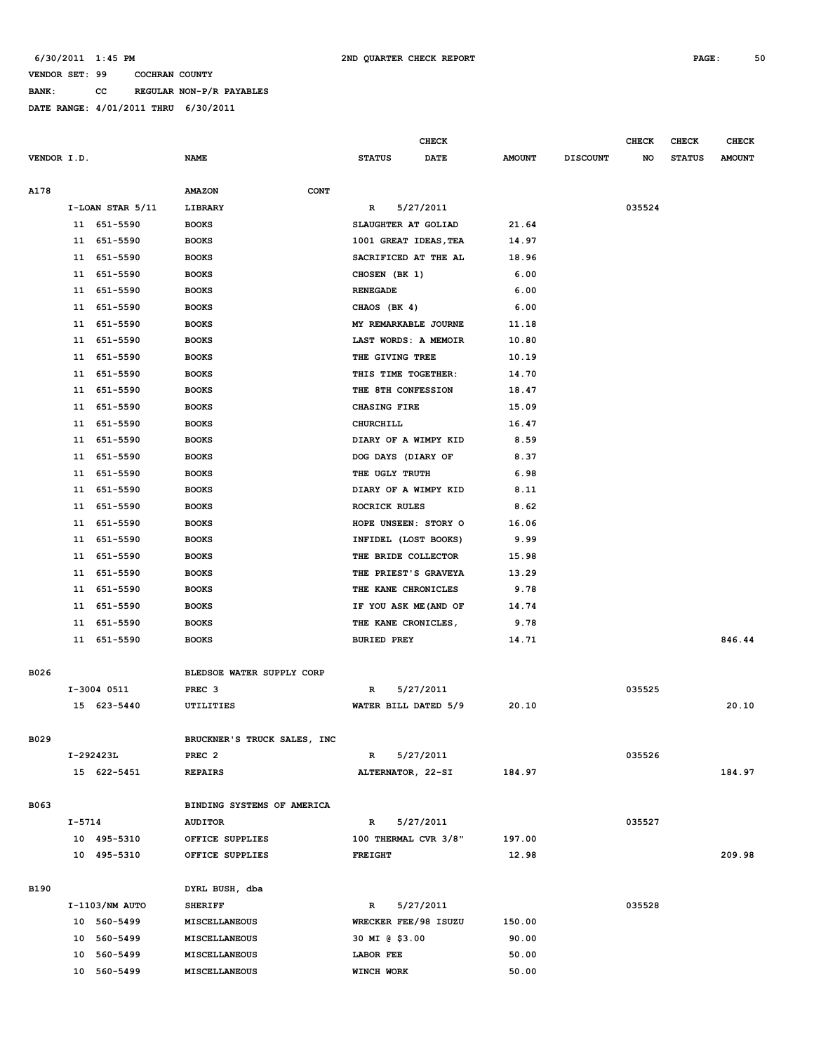**BANK: CC REGULAR NON-P/R PAYABLES**

|             |                  |                             |                       | <b>CHECK</b> |               |                 | <b>CHECK</b> | <b>CHECK</b>  | <b>CHECK</b>  |
|-------------|------------------|-----------------------------|-----------------------|--------------|---------------|-----------------|--------------|---------------|---------------|
| VENDOR I.D. |                  | <b>NAME</b>                 | <b>STATUS</b>         | <b>DATE</b>  | <b>AMOUNT</b> | <b>DISCOUNT</b> | NO           | <b>STATUS</b> | <b>AMOUNT</b> |
|             |                  |                             |                       |              |               |                 |              |               |               |
| A178        |                  | CONT<br><b>AMAZON</b>       |                       |              |               |                 |              |               |               |
|             | I-LOAN STAR 5/11 | LIBRARY                     | R                     | 5/27/2011    |               |                 | 035524       |               |               |
|             | 11 651-5590      | <b>BOOKS</b>                | SLAUGHTER AT GOLIAD   |              | 21.64         |                 |              |               |               |
|             | 11 651-5590      | <b>BOOKS</b>                | 1001 GREAT IDEAS, TEA |              | 14.97         |                 |              |               |               |
|             | 651-5590<br>11   | <b>BOOKS</b>                | SACRIFICED AT THE AL  |              | 18.96         |                 |              |               |               |
|             | 651-5590<br>11   | <b>BOOKS</b>                | CHOSEN (BK 1)         |              | 6.00          |                 |              |               |               |
|             | 651-5590<br>11   | <b>BOOKS</b>                | <b>RENEGADE</b>       |              | 6.00          |                 |              |               |               |
|             | 651-5590<br>11   | <b>BOOKS</b>                | CHAOS (BK 4)          |              | 6.00          |                 |              |               |               |
|             | 651-5590<br>11   | <b>BOOKS</b>                | MY REMARKABLE JOURNE  |              | 11.18         |                 |              |               |               |
|             | 651-5590<br>11   | <b>BOOKS</b>                | LAST WORDS: A MEMOIR  |              | 10.80         |                 |              |               |               |
|             | 651-5590<br>11   | <b>BOOKS</b>                | THE GIVING TREE       |              | 10.19         |                 |              |               |               |
|             | 11 651-5590      | <b>BOOKS</b>                | THIS TIME TOGETHER:   |              | 14.70         |                 |              |               |               |
|             | 651-5590<br>11   | <b>BOOKS</b>                | THE 8TH CONFESSION    |              | 18.47         |                 |              |               |               |
|             | 651-5590<br>11   | <b>BOOKS</b>                | CHASING FIRE          |              | 15.09         |                 |              |               |               |
|             | 651-5590<br>11   | <b>BOOKS</b>                | CHURCHILL             |              | 16.47         |                 |              |               |               |
|             | 651-5590<br>11   | <b>BOOKS</b>                | DIARY OF A WIMPY KID  |              | 8.59          |                 |              |               |               |
|             | 11<br>651-5590   | <b>BOOKS</b>                | DOG DAYS (DIARY OF    |              | 8.37          |                 |              |               |               |
|             | 651-5590<br>11   | <b>BOOKS</b>                | THE UGLY TRUTH        |              | 6.98          |                 |              |               |               |
|             | 651-5590<br>11   | <b>BOOKS</b>                | DIARY OF A WIMPY KID  |              | 8.11          |                 |              |               |               |
|             | 651-5590<br>11   | <b>BOOKS</b>                | ROCRICK RULES         |              | 8.62          |                 |              |               |               |
|             | 651-5590<br>11   | <b>BOOKS</b>                | HOPE UNSEEN: STORY O  |              | 16.06         |                 |              |               |               |
|             | 651-5590<br>11   | <b>BOOKS</b>                | INFIDEL (LOST BOOKS)  |              | 9.99          |                 |              |               |               |
|             | 651-5590<br>11   | <b>BOOKS</b>                | THE BRIDE COLLECTOR   |              | 15.98         |                 |              |               |               |
|             | 651-5590<br>11   | <b>BOOKS</b>                | THE PRIEST'S GRAVEYA  |              | 13.29         |                 |              |               |               |
|             | 11 651-5590      | <b>BOOKS</b>                | THE KANE CHRONICLES   |              | 9.78          |                 |              |               |               |
|             | 651-5590<br>11   | <b>BOOKS</b>                | IF YOU ASK ME (AND OF |              | 14.74         |                 |              |               |               |
|             | 651-5590<br>11   | <b>BOOKS</b>                | THE KANE CRONICLES,   |              | 9.78          |                 |              |               |               |
|             | 11<br>651-5590   | <b>BOOKS</b>                | <b>BURIED PREY</b>    |              | 14.71         |                 |              |               | 846.44        |
|             |                  |                             |                       |              |               |                 |              |               |               |
| B026        |                  | BLEDSOE WATER SUPPLY CORP   |                       |              |               |                 |              |               |               |
|             | I-3004 0511      | PREC <sub>3</sub>           | R                     | 5/27/2011    |               |                 | 035525       |               |               |
|             | 15 623-5440      | UTILITIES                   | WATER BILL DATED 5/9  |              | 20.10         |                 |              |               | 20.10         |
|             |                  |                             |                       |              |               |                 |              |               |               |
| B029        |                  | BRUCKNER'S TRUCK SALES, INC |                       |              |               |                 |              |               |               |
|             | I-292423L        | PREC <sub>2</sub>           | R                     | 5/27/2011    |               |                 | 035526       |               |               |
|             | 15 622-5451      | <b>REPAIRS</b>              | ALTERNATOR, 22-SI     |              | 184.97        |                 |              |               | 184.97        |
|             |                  |                             |                       |              |               |                 |              |               |               |
| B063        |                  | BINDING SYSTEMS OF AMERICA  |                       |              |               |                 |              |               |               |
|             | I-5714           | <b>AUDITOR</b>              | R                     | 5/27/2011    |               |                 | 035527       |               |               |
|             | 10 495-5310      | OFFICE SUPPLIES             | 100 THERMAL CVR 3/8"  |              | 197.00        |                 |              |               |               |
|             | 10 495-5310      | OFFICE SUPPLIES             | <b>FREIGHT</b>        |              | 12.98         |                 |              |               | 209.98        |
|             |                  |                             |                       |              |               |                 |              |               |               |
| <b>B190</b> |                  | DYRL BUSH, dba              |                       |              |               |                 |              |               |               |
|             | I-1103/NM AUTO   | <b>SHERIFF</b>              | $\mathbb{R}$          | 5/27/2011    |               |                 | 035528       |               |               |
|             | 10 560-5499      | MISCELLANEOUS               | WRECKER FEE/98 ISUZU  |              | 150.00        |                 |              |               |               |
|             | 10 560-5499      | MISCELLANEOUS               | 30 MI @ \$3.00        |              | 90.00         |                 |              |               |               |
|             | 10 560-5499      | MISCELLANEOUS               | LABOR FEE             |              | 50.00         |                 |              |               |               |
|             | 10 560-5499      | MISCELLANEOUS               | WINCH WORK            |              | 50.00         |                 |              |               |               |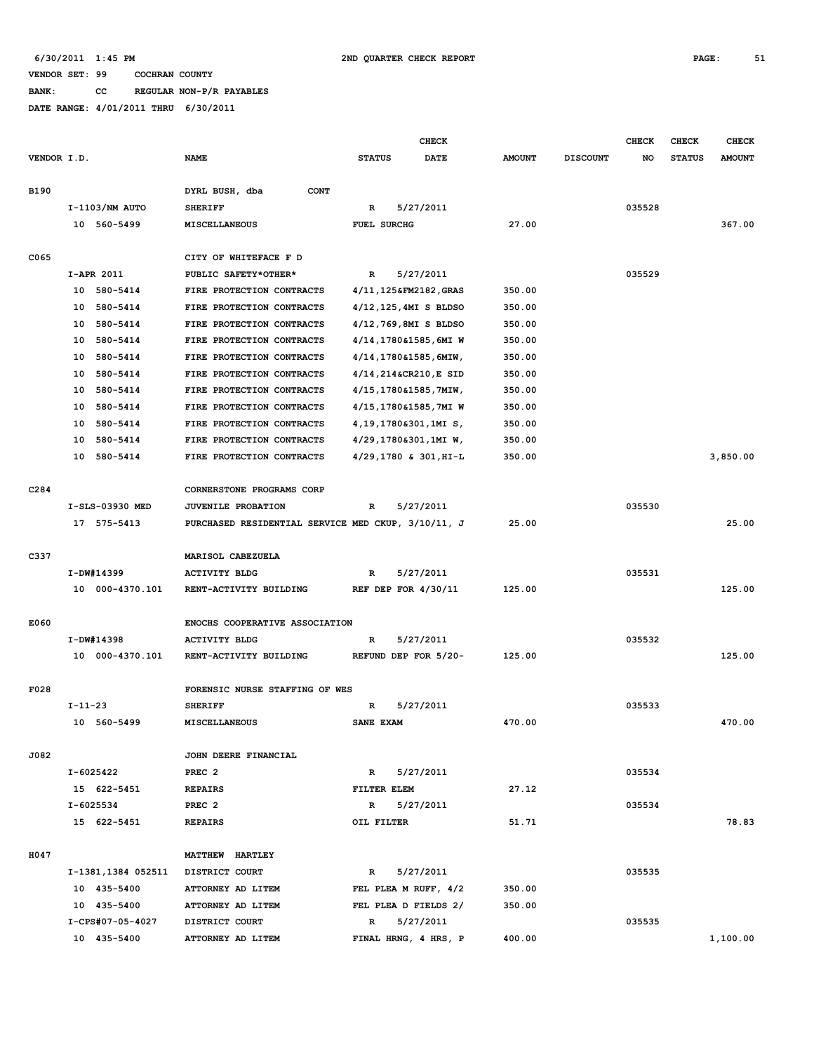**BANK: CC REGULAR NON-P/R PAYABLES**

|             |                    |                                                    |                          | <b>CHECK</b> |               |                 | <b>CHECK</b> | <b>CHECK</b>  | CHECK         |
|-------------|--------------------|----------------------------------------------------|--------------------------|--------------|---------------|-----------------|--------------|---------------|---------------|
| VENDOR I.D. |                    | <b>NAME</b>                                        | <b>STATUS</b>            | <b>DATE</b>  | <b>AMOUNT</b> | <b>DISCOUNT</b> | NO           | <b>STATUS</b> | <b>AMOUNT</b> |
| <b>B190</b> |                    | DYRL BUSH, dba<br><b>CONT</b>                      |                          |              |               |                 |              |               |               |
|             | I-1103/NM AUTO     | <b>SHERIFF</b>                                     | R                        | 5/27/2011    |               |                 | 035528       |               |               |
|             | 10 560-5499        | <b>MISCELLANEOUS</b>                               | <b>FUEL SURCHG</b>       |              | 27.00         |                 |              |               | 367.00        |
| C065        |                    | CITY OF WHITEFACE F D                              |                          |              |               |                 |              |               |               |
|             | I-APR 2011         | PUBLIC SAFETY*OTHER*                               | R                        | 5/27/2011    |               |                 | 035529       |               |               |
|             | 10 580-5414        | FIRE PROTECTION CONTRACTS                          | 4/11,125&FM2182,GRAS     |              | 350.00        |                 |              |               |               |
|             | 580-5414<br>10     | FIRE PROTECTION CONTRACTS                          | $4/12, 125, 4MI$ S BLDSO |              | 350.00        |                 |              |               |               |
|             | 10 580-5414        | FIRE PROTECTION CONTRACTS                          | 4/12,769,8MI S BLDSO     |              | 350.00        |                 |              |               |               |
|             | 580-5414<br>10     | FIRE PROTECTION CONTRACTS                          | 4/14,1780&1585,6MI W     |              | 350.00        |                 |              |               |               |
|             | 580-5414<br>10     | FIRE PROTECTION CONTRACTS                          | 4/14,1780&1585,6MIW,     |              | 350.00        |                 |              |               |               |
|             | 10<br>580-5414     | FIRE PROTECTION CONTRACTS                          | 4/14,214&CR210,E SID     |              | 350.00        |                 |              |               |               |
|             | 10 580-5414        | FIRE PROTECTION CONTRACTS                          | 4/15,1780&1585,7MIW,     |              | 350.00        |                 |              |               |               |
|             | 10 580-5414        | FIRE PROTECTION CONTRACTS                          | 4/15,1780&1585,7MI W     |              | 350.00        |                 |              |               |               |
|             | 10 580-5414        | FIRE PROTECTION CONTRACTS                          | 4, 19, 1780&301, 1MI S,  |              | 350.00        |                 |              |               |               |
|             | 580-5414<br>10     | FIRE PROTECTION CONTRACTS                          | 4/29,1780&301,1MI W,     |              | 350.00        |                 |              |               |               |
|             | 580-5414<br>10     | FIRE PROTECTION CONTRACTS                          | 4/29,1780 & 301, HI-L    |              | 350.00        |                 |              |               | 3,850.00      |
|             |                    |                                                    |                          |              |               |                 |              |               |               |
| C284        |                    | CORNERSTONE PROGRAMS CORP                          |                          |              |               |                 |              |               |               |
|             | I-SLS-03930 MED    | <b>JUVENILE PROBATION</b>                          | R                        | 5/27/2011    |               |                 | 035530       |               |               |
|             | 17 575-5413        | PURCHASED RESIDENTIAL SERVICE MED CKUP, 3/10/11, J |                          |              | 25.00         |                 |              |               | 25.00         |
| C337        |                    | MARISOL CABEZUELA                                  |                          |              |               |                 |              |               |               |
|             | I-DW#14399         | <b>ACTIVITY BLDG</b>                               | $\mathbf R$              |              |               |                 | 035531       |               |               |
|             |                    |                                                    |                          | 5/27/2011    |               |                 |              |               |               |
|             | 10 000-4370.101    | RENT-ACTIVITY BUILDING                             | REF DEP FOR $4/30/11$    |              | 125.00        |                 |              |               | 125.00        |
| E060        |                    | ENOCHS COOPERATIVE ASSOCIATION                     |                          |              |               |                 |              |               |               |
|             | I-DW#14398         | <b>ACTIVITY BLDG</b>                               | R                        | 5/27/2011    |               |                 | 035532       |               |               |
|             | 10 000-4370.101    | RENT-ACTIVITY BUILDING                             | REFUND DEP FOR 5/20-     |              | 125.00        |                 |              |               | 125.00        |
| F028        |                    | FORENSIC NURSE STAFFING OF WES                     |                          |              |               |                 |              |               |               |
|             | $I - 11 - 23$      | <b>SHERIFF</b>                                     | R                        | 5/27/2011    |               |                 | 035533       |               |               |
|             | 10 560-5499        | <b>MISCELLANEOUS</b>                               | SANE EXAM                |              | 470.00        |                 |              |               | 470.00        |
|             |                    |                                                    |                          |              |               |                 |              |               |               |
| J082        |                    | JOHN DEERE FINANCIAL                               |                          |              |               |                 |              |               |               |
|             | I-6025422          | PREC <sub>2</sub>                                  | R                        | 5/27/2011    |               |                 | 035534       |               |               |
|             | 15 622-5451        | <b>REPAIRS</b>                                     | FILTER ELEM              |              | 27.12         |                 |              |               |               |
|             | I-6025534          | PREC <sub>2</sub>                                  | R                        | 5/27/2011    |               |                 | 035534       |               |               |
|             | 15 622-5451        | <b>REPAIRS</b>                                     | OIL FILTER               |              | 51.71         |                 |              |               | 78.83         |
| H047        |                    | MATTHEW HARTLEY                                    |                          |              |               |                 |              |               |               |
|             | I-1381,1384 052511 | DISTRICT COURT                                     | $\mathbb{R}$             | 5/27/2011    |               |                 | 035535       |               |               |
|             | 10 435-5400        | ATTORNEY AD LITEM                                  | FEL PLEA M RUFF, 4/2     |              | 350.00        |                 |              |               |               |
|             | 10 435-5400        | ATTORNEY AD LITEM                                  | FEL PLEA D FIELDS 2/     |              | 350.00        |                 |              |               |               |
|             | I-CPS#07-05-4027   | DISTRICT COURT                                     | $\mathbb{R}$             | 5/27/2011    |               |                 | 035535       |               |               |
|             | 10 435-5400        | ATTORNEY AD LITEM                                  | FINAL HRNG, 4 HRS, P     |              | 400.00        |                 |              |               | 1,100.00      |
|             |                    |                                                    |                          |              |               |                 |              |               |               |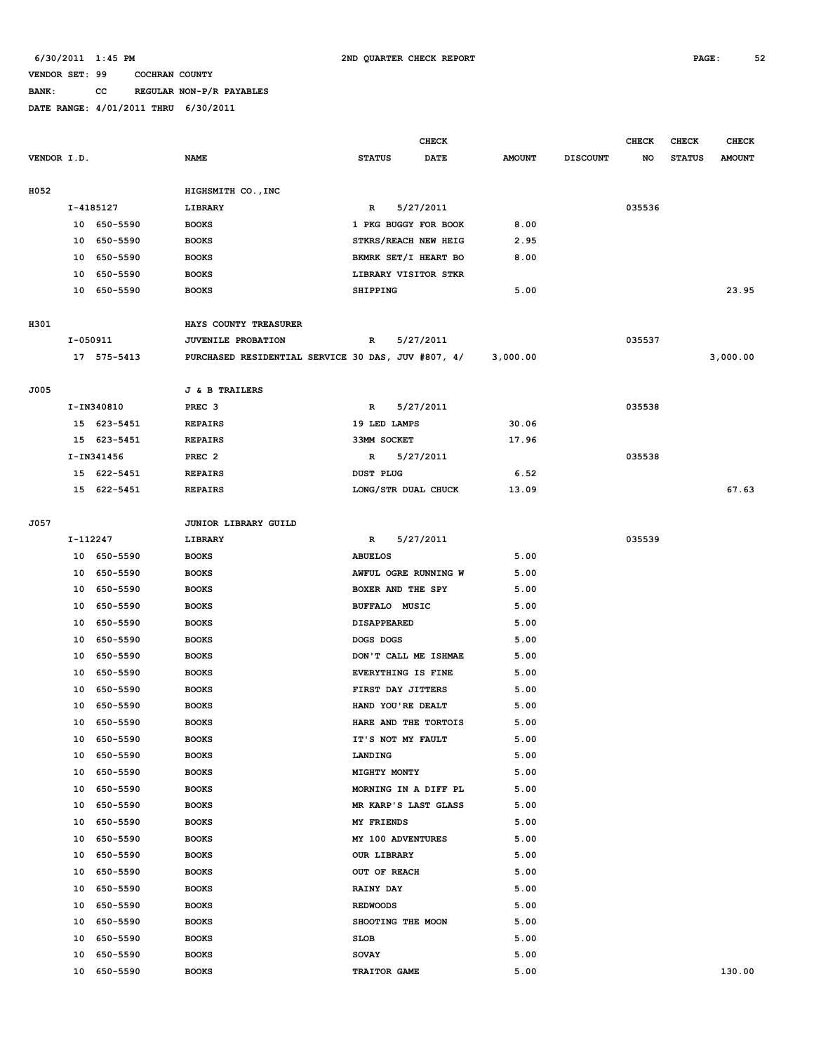# **BANK: CC REGULAR NON-P/R PAYABLES**

|             |           |             |                                                    |                           | <b>CHECK</b> |               |                 | <b>CHECK</b> | <b>CHECK</b>  | <b>CHECK</b>  |
|-------------|-----------|-------------|----------------------------------------------------|---------------------------|--------------|---------------|-----------------|--------------|---------------|---------------|
| VENDOR I.D. |           |             | <b>NAME</b>                                        | <b>STATUS</b>             | <b>DATE</b>  | <b>AMOUNT</b> | <b>DISCOUNT</b> | NO           | <b>STATUS</b> | <b>AMOUNT</b> |
|             |           |             |                                                    |                           |              |               |                 |              |               |               |
| H052        |           |             | HIGHSMITH CO., INC                                 |                           |              |               |                 |              |               |               |
|             | I-4185127 |             | LIBRARY                                            | R                         | 5/27/2011    |               |                 | 035536       |               |               |
|             |           | 10 650-5590 | <b>BOOKS</b>                                       | 1 PKG BUGGY FOR BOOK      |              | 8.00          |                 |              |               |               |
|             |           | 10 650-5590 | <b>BOOKS</b>                                       | STKRS/REACH NEW HEIG      |              | 2.95          |                 |              |               |               |
|             |           | 10 650-5590 | <b>BOOKS</b>                                       | BKMRK SET/I HEART BO      |              | 8.00          |                 |              |               |               |
|             |           | 10 650-5590 | <b>BOOKS</b>                                       | LIBRARY VISITOR STKR      |              |               |                 |              |               |               |
|             |           | 10 650-5590 | <b>BOOKS</b>                                       | <b>SHIPPING</b>           |              | 5.00          |                 |              |               | 23.95         |
|             |           |             |                                                    |                           |              |               |                 |              |               |               |
| H301        |           |             | HAYS COUNTY TREASURER                              |                           |              |               |                 |              |               |               |
|             | I-050911  |             | JUVENILE PROBATION                                 | R                         | 5/27/2011    |               |                 | 035537       |               |               |
|             |           | 17 575-5413 | PURCHASED RESIDENTIAL SERVICE 30 DAS, JUV #807, 4/ |                           |              | 3,000.00      |                 |              |               | 3,000.00      |
|             |           |             |                                                    |                           |              |               |                 |              |               |               |
| J005        |           |             | <b>J &amp; B TRAILERS</b>                          |                           |              |               |                 |              |               |               |
|             |           | I-IN340810  | PREC <sub>3</sub>                                  | R                         | 5/27/2011    |               |                 | 035538       |               |               |
|             |           | 15 623-5451 | <b>REPAIRS</b>                                     | 19 LED LAMPS              |              | 30.06         |                 |              |               |               |
|             |           | 15 623-5451 | <b>REPAIRS</b>                                     | 33MM SOCKET               |              | 17.96         |                 |              |               |               |
|             |           | I-IN341456  | PREC <sub>2</sub>                                  | R                         | 5/27/2011    |               |                 | 035538       |               |               |
|             |           | 15 622-5451 | <b>REPAIRS</b>                                     | <b>DUST PLUG</b>          |              | 6.52          |                 |              |               |               |
|             |           | 15 622-5451 | <b>REPAIRS</b>                                     | LONG/STR DUAL CHUCK       |              | 13.09         |                 |              |               | 67.63         |
| J057        |           |             | JUNIOR LIBRARY GUILD                               |                           |              |               |                 |              |               |               |
|             | I-112247  |             | LIBRARY                                            | R                         | 5/27/2011    |               |                 | 035539       |               |               |
|             |           | 10 650-5590 | <b>BOOKS</b>                                       | <b>ABUELOS</b>            |              | 5.00          |                 |              |               |               |
|             |           | 10 650-5590 | <b>BOOKS</b>                                       | AWFUL OGRE RUNNING W      |              | 5.00          |                 |              |               |               |
|             |           | 10 650-5590 | <b>BOOKS</b>                                       | BOXER AND THE SPY         |              | 5.00          |                 |              |               |               |
|             |           | 10 650-5590 | <b>BOOKS</b>                                       | <b>BUFFALO MUSIC</b>      |              | 5.00          |                 |              |               |               |
|             |           | 10 650-5590 | <b>BOOKS</b>                                       | <b>DISAPPEARED</b>        |              | 5.00          |                 |              |               |               |
|             |           | 10 650-5590 | <b>BOOKS</b>                                       | DOGS DOGS                 |              | 5.00          |                 |              |               |               |
|             |           | 10 650-5590 | <b>BOOKS</b>                                       | DON'T CALL ME ISHMAE      |              | 5.00          |                 |              |               |               |
|             | 10        | 650-5590    | <b>BOOKS</b>                                       | <b>EVERYTHING IS FINE</b> |              | 5.00          |                 |              |               |               |
|             | 10        | 650-5590    | <b>BOOKS</b>                                       | FIRST DAY JITTERS         |              | 5.00          |                 |              |               |               |
|             | 10        | 650-5590    | <b>BOOKS</b>                                       | HAND YOU'RE DEALT         |              | 5.00          |                 |              |               |               |
|             |           | 10 650-5590 | <b>BOOKS</b>                                       | HARE AND THE TORTOIS      |              | 5.00          |                 |              |               |               |
|             |           | 10 650-5590 | <b>BOOKS</b>                                       | IT'S NOT MY FAULT         |              | 5.00          |                 |              |               |               |
|             | 10        | 650-5590    | <b>BOOKS</b>                                       | LANDING                   |              | 5.00          |                 |              |               |               |
|             | 10        | 650-5590    | <b>BOOKS</b>                                       | MIGHTY MONTY              |              | 5.00          |                 |              |               |               |
|             | 10        | 650-5590    | <b>BOOKS</b>                                       | MORNING IN A DIFF PL      |              | 5.00          |                 |              |               |               |
|             |           | 10 650-5590 | <b>BOOKS</b>                                       | MR KARP'S LAST GLASS      |              | 5.00          |                 |              |               |               |
|             |           | 10 650-5590 | <b>BOOKS</b>                                       | MY FRIENDS                |              | 5.00          |                 |              |               |               |
|             |           | 10 650-5590 | <b>BOOKS</b>                                       | MY 100 ADVENTURES         |              | 5.00          |                 |              |               |               |
|             |           | 10 650-5590 | <b>BOOKS</b>                                       | <b>OUR LIBRARY</b>        |              | 5.00          |                 |              |               |               |
|             | 10        | 650-5590    | <b>BOOKS</b>                                       | OUT OF REACH              |              | 5.00          |                 |              |               |               |
|             | 10        | 650-5590    | <b>BOOKS</b>                                       | <b>RAINY DAY</b>          |              | 5.00          |                 |              |               |               |
|             | 10        | 650-5590    | <b>BOOKS</b>                                       | <b>REDWOODS</b>           |              | 5.00          |                 |              |               |               |
|             |           | 10 650-5590 | <b>BOOKS</b>                                       | SHOOTING THE MOON         |              | 5.00          |                 |              |               |               |
|             | 10        | 650-5590    | <b>BOOKS</b>                                       | SLOB                      |              | 5.00          |                 |              |               |               |
|             | 10        | 650-5590    | <b>BOOKS</b>                                       | <b>SOVAY</b>              |              | 5.00          |                 |              |               |               |
|             |           | 10 650-5590 | <b>BOOKS</b>                                       | TRAITOR GAME              |              | 5.00          |                 |              |               | 130.00        |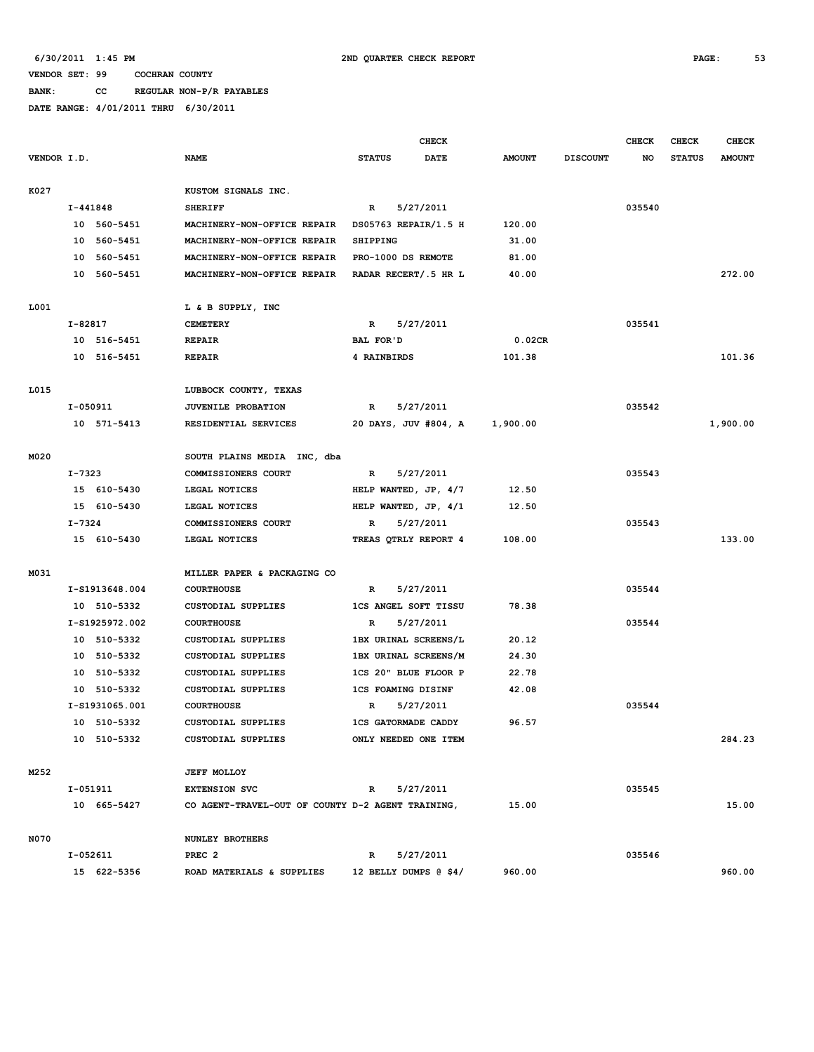**BANK: CC REGULAR NON-P/R PAYABLES**

|             |         |                |                                                   |                 | <b>CHECK</b>                |               |                 | <b>CHECK</b> | <b>CHECK</b>  | <b>CHECK</b>  |
|-------------|---------|----------------|---------------------------------------------------|-----------------|-----------------------------|---------------|-----------------|--------------|---------------|---------------|
| VENDOR I.D. |         |                | <b>NAME</b>                                       | <b>STATUS</b>   | <b>DATE</b>                 | <b>AMOUNT</b> | <b>DISCOUNT</b> | NO           | <b>STATUS</b> | <b>AMOUNT</b> |
| K027        |         |                | KUSTOM SIGNALS INC.                               |                 |                             |               |                 |              |               |               |
|             |         | I-441848       | <b>SHERIFF</b>                                    | R               | 5/27/2011                   |               |                 | 035540       |               |               |
|             |         | 10 560-5451    | MACHINERY-NON-OFFICE REPAIR                       |                 | DS05763 REPAIR/1.5 H        | 120.00        |                 |              |               |               |
|             |         | 10 560-5451    | MACHINERY-NON-OFFICE REPAIR                       | <b>SHIPPING</b> |                             | 31.00         |                 |              |               |               |
|             |         | 10 560-5451    | MACHINERY-NON-OFFICE REPAIR                       |                 | PRO-1000 DS REMOTE          | 81.00         |                 |              |               |               |
|             |         | 10 560-5451    | MACHINERY-NON-OFFICE REPAIR                       |                 | RADAR RECERT/.5 HR L        | 40.00         |                 |              |               | 272.00        |
| L001        |         |                | L & B SUPPLY, INC                                 |                 |                             |               |                 |              |               |               |
|             | I-82817 |                | <b>CEMETERY</b>                                   | R               | 5/27/2011                   |               |                 | 035541       |               |               |
|             |         | 10 516-5451    | <b>REPAIR</b>                                     | BAL FOR'D       |                             | 0.02CR        |                 |              |               |               |
|             |         | 10 516-5451    | <b>REPAIR</b>                                     | 4 RAINBIRDS     |                             | 101.38        |                 |              |               | 101.36        |
| L015        |         |                | LUBBOCK COUNTY, TEXAS                             |                 |                             |               |                 |              |               |               |
|             |         | I-050911       | <b>JUVENILE PROBATION</b>                         | R               | 5/27/2011                   |               |                 | 035542       |               |               |
|             |         | 10 571-5413    | RESIDENTIAL SERVICES                              |                 | 20 DAYS, JUV #804, A        | 1,900.00      |                 |              |               | 1,900.00      |
| M020        |         |                | SOUTH PLAINS MEDIA INC, dba                       |                 |                             |               |                 |              |               |               |
|             | I-7323  |                | COMMISSIONERS COURT                               | R               | 5/27/2011                   |               |                 | 035543       |               |               |
|             |         | 15 610-5430    | LEGAL NOTICES                                     |                 | HELP WANTED, JP, 4/7        | 12.50         |                 |              |               |               |
|             |         | 15 610-5430    | LEGAL NOTICES                                     |                 | HELP WANTED, JP, 4/1        | 12.50         |                 |              |               |               |
|             | I-7324  |                | COMMISSIONERS COURT                               | $\mathbb{R}$    | 5/27/2011                   |               |                 | 035543       |               |               |
|             |         | 15 610-5430    | LEGAL NOTICES                                     |                 | TREAS QTRLY REPORT 4        | 108.00        |                 |              |               | 133.00        |
| M031        |         |                | MILLER PAPER & PACKAGING CO                       |                 |                             |               |                 |              |               |               |
|             |         | I-S1913648.004 | <b>COURTHOUSE</b>                                 | $\mathbb{R}$    | 5/27/2011                   |               |                 | 035544       |               |               |
|             |         | 10 510-5332    | CUSTODIAL SUPPLIES                                |                 | <b>1CS ANGEL SOFT TISSU</b> | 78.38         |                 |              |               |               |
|             |         | I-S1925972.002 | <b>COURTHOUSE</b>                                 | R               | 5/27/2011                   |               |                 | 035544       |               |               |
|             |         | 10 510-5332    | <b>CUSTODIAL SUPPLIES</b>                         |                 | 1BX URINAL SCREENS/L        | 20.12         |                 |              |               |               |
|             |         | 10 510-5332    | CUSTODIAL SUPPLIES                                |                 | 1BX URINAL SCREENS/M        | 24.30         |                 |              |               |               |
|             |         | 10 510-5332    | CUSTODIAL SUPPLIES                                |                 | 1CS 20" BLUE FLOOR P        | 22.78         |                 |              |               |               |
|             |         | 10 510-5332    | <b>CUSTODIAL SUPPLIES</b>                         |                 | <b>1CS FOAMING DISINF</b>   | 42.08         |                 |              |               |               |
|             |         | I-S1931065.001 | <b>COURTHOUSE</b>                                 | R               | 5/27/2011                   |               |                 | 035544       |               |               |
|             |         | 10 510-5332    | <b>CUSTODIAL SUPPLIES</b>                         |                 | <b>1CS GATORMADE CADDY</b>  | 96.57         |                 |              |               |               |
|             |         | 10 510-5332    | CUSTODIAL SUPPLIES                                |                 | ONLY NEEDED ONE ITEM        |               |                 |              |               | 284.23        |
| M252        |         |                | <b>JEFF MOLLOY</b>                                |                 |                             |               |                 |              |               |               |
|             |         | I-051911       | <b>EXTENSION SVC</b>                              | R               | 5/27/2011                   |               |                 | 035545       |               |               |
|             |         | 10 665-5427    | CO AGENT-TRAVEL-OUT OF COUNTY D-2 AGENT TRAINING, |                 |                             | 15.00         |                 |              |               | 15.00         |
| N070        |         |                | <b>NUNLEY BROTHERS</b>                            |                 |                             |               |                 |              |               |               |
|             |         | I-052611       | PREC <sub>2</sub>                                 | R               | 5/27/2011                   |               |                 | 035546       |               |               |
|             |         | 15 622-5356    | ROAD MATERIALS & SUPPLIES                         |                 | 12 BELLY DUMPS @ \$4/       | 960.00        |                 |              |               | 960.00        |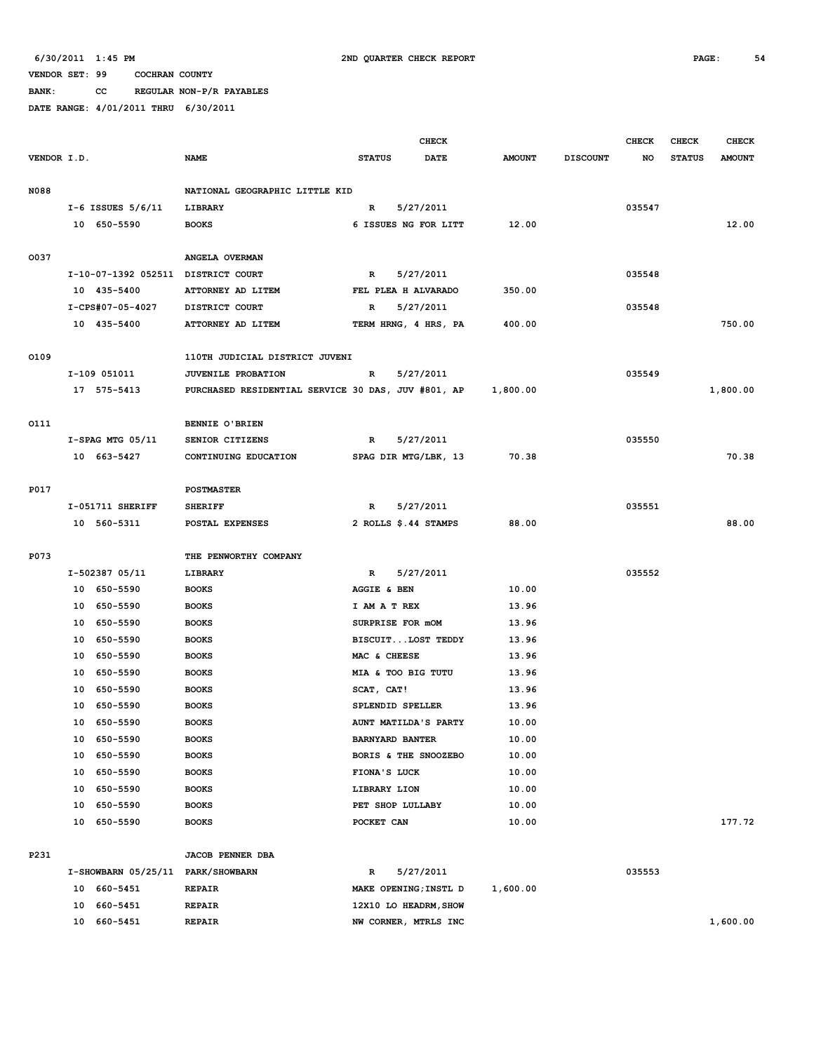**BANK: CC REGULAR NON-P/R PAYABLES**

|             |                       |                                                      |                                                    | <b>CHECK</b>                 |                 | <b>CHECK</b> | CHECK         | <b>CHECK</b>  |
|-------------|-----------------------|------------------------------------------------------|----------------------------------------------------|------------------------------|-----------------|--------------|---------------|---------------|
| VENDOR I.D. |                       | <b>NAME</b>                                          | <b>STATUS</b>                                      | <b>DATE</b><br><b>AMOUNT</b> | <b>DISCOUNT</b> | NO           | <b>STATUS</b> | <b>AMOUNT</b> |
|             |                       |                                                      |                                                    |                              |                 |              |               |               |
| N088        |                       | NATIONAL GEOGRAPHIC LITTLE KID                       |                                                    |                              |                 |              |               |               |
|             | $I-6$ ISSUES $5/6/11$ | LIBRARY                                              | 5/27/2011<br>R                                     |                              |                 | 035547       |               |               |
|             | 10 650-5590           | <b>BOOKS</b>                                         | 6 ISSUES NG FOR LITT                               | 12.00                        |                 |              |               | 12.00         |
|             |                       |                                                      |                                                    |                              |                 |              |               |               |
| 0037        |                       | ANGELA OVERMAN<br>I-10-07-1392 052511 DISTRICT COURT | 5/27/2011<br>R                                     |                              |                 | 035548       |               |               |
|             | 10 435-5400           | ATTORNEY AD LITEM                                    | FEL PLEA H ALVARADO                                | 350.00                       |                 |              |               |               |
|             | I-CPS#07-05-4027      | DISTRICT COURT                                       | 5/27/2011<br>R                                     |                              |                 | 035548       |               |               |
|             | 10 435-5400           | ATTORNEY AD LITEM                                    | TERM HRNG, 4 HRS, PA                               | 400.00                       |                 |              |               | 750.00        |
|             |                       |                                                      |                                                    |                              |                 |              |               |               |
| 0109        |                       | 110TH JUDICIAL DISTRICT JUVENI                       |                                                    |                              |                 |              |               |               |
|             | I-109 051011          | JUVENILE PROBATION                                   | $\mathbb{R}$<br>5/27/2011                          |                              |                 | 035549       |               |               |
|             | 17 575-5413           |                                                      | PURCHASED RESIDENTIAL SERVICE 30 DAS, JUV #801, AP | 1,800.00                     |                 |              |               | 1,800.00      |
|             |                       |                                                      |                                                    |                              |                 |              |               |               |
| 0111        |                       | BENNIE O'BRIEN                                       |                                                    |                              |                 |              |               |               |
|             | $I-SPAG$ MTG $05/11$  | SENIOR CITIZENS                                      | 5/27/2011<br>R                                     |                              |                 | 035550       |               |               |
|             | 10 663-5427           | CONTINUING EDUCATION                                 | SPAG DIR MTG/LBK, 13                               | 70.38                        |                 |              |               | 70.38         |
|             |                       |                                                      |                                                    |                              |                 |              |               |               |
| P017        |                       | POSTMASTER                                           |                                                    |                              |                 |              |               |               |
|             | I-051711 SHERIFF      | <b>SHERIFF</b>                                       | 5/27/2011<br>R                                     |                              |                 | 035551       |               |               |
|             | 10 560-5311           | POSTAL EXPENSES                                      | 2 ROLLS \$.44 STAMPS                               | 88.00                        |                 |              |               | 88.00         |
|             |                       |                                                      |                                                    |                              |                 |              |               |               |
| P073        | I-502387 05/11        | THE PENWORTHY COMPANY<br>LIBRARY                     | 5/27/2011<br>R                                     |                              |                 | 035552       |               |               |
|             | 10 650-5590           | <b>BOOKS</b>                                         | AGGIE & BEN                                        | 10.00                        |                 |              |               |               |
|             | 10 650-5590           | <b>BOOKS</b>                                         | I AM A T REX                                       | 13.96                        |                 |              |               |               |
|             | 10 650-5590           | <b>BOOKS</b>                                         | SURPRISE FOR mOM                                   | 13.96                        |                 |              |               |               |
|             | 10 650-5590           | <b>BOOKS</b>                                         | BISCUITLOST TEDDY                                  | 13.96                        |                 |              |               |               |
|             | 10 650-5590           | <b>BOOKS</b>                                         | MAC & CHEESE                                       | 13.96                        |                 |              |               |               |
|             | 10 650-5590           | <b>BOOKS</b>                                         | MIA & TOO BIG TUTU                                 | 13.96                        |                 |              |               |               |
|             | 10<br>650–5590        | <b>BOOKS</b>                                         | SCAT, CAT!                                         | 13.96                        |                 |              |               |               |
|             | 10<br>650-5590        | <b>BOOKS</b>                                         | SPLENDID SPELLER                                   | 13.96                        |                 |              |               |               |
|             | 650-5590<br>10        | <b>BOOKS</b>                                         | AUNT MATILDA'S PARTY                               | 10.00                        |                 |              |               |               |
|             | 10 650-5590           | <b>BOOKS</b>                                         | <b>BARNYARD BANTER</b>                             | 10.00                        |                 |              |               |               |
|             | 650-5590<br>10        | <b>BOOKS</b>                                         | BORIS & THE SNOOZEBO                               | 10.00                        |                 |              |               |               |
|             | 10 650-5590           | <b>BOOKS</b>                                         | FIONA'S LUCK                                       | 10.00                        |                 |              |               |               |
|             | 650-5590<br>10        | <b>BOOKS</b>                                         | LIBRARY LION                                       | 10.00                        |                 |              |               |               |
|             | 650-5590<br>10        | <b>BOOKS</b>                                         | PET SHOP LULLABY                                   | 10.00                        |                 |              |               |               |
|             | 10<br>650-5590        | <b>BOOKS</b>                                         | POCKET CAN                                         | 10.00                        |                 |              |               | 177.72        |
|             |                       |                                                      |                                                    |                              |                 |              |               |               |
| P231        |                       | <b>JACOB PENNER DBA</b>                              |                                                    |                              |                 |              |               |               |
|             |                       | I-SHOWBARN 05/25/11 PARK/SHOWBARN                    | 5/27/2011<br>R                                     |                              |                 | 035553       |               |               |
|             | 10 660-5451           | <b>REPAIR</b>                                        | MAKE OPENING; INSTL D                              | 1,600.00                     |                 |              |               |               |
|             | 660-5451<br>10        | <b>REPAIR</b>                                        | 12X10 LO HEADRM, SHOW                              |                              |                 |              |               |               |
|             | 660-5451<br>10        | <b>REPAIR</b>                                        | NW CORNER, MTRLS INC                               |                              |                 |              |               | 1,600.00      |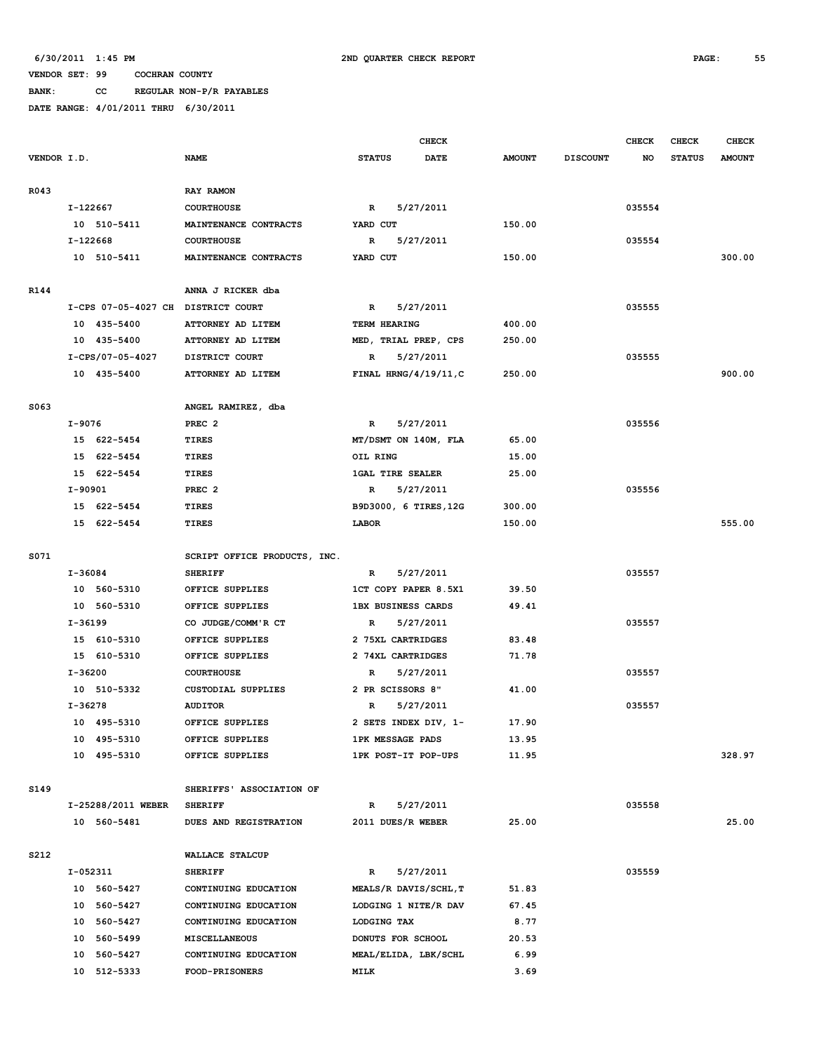# **BANK: CC REGULAR NON-P/R PAYABLES**

|             |                                    |                              | <b>CHECK</b>                 |               |                 | <b>CHECK</b> | CHECK         | <b>CHECK</b>  |
|-------------|------------------------------------|------------------------------|------------------------------|---------------|-----------------|--------------|---------------|---------------|
| VENDOR I.D. |                                    | <b>NAME</b>                  | <b>STATUS</b><br><b>DATE</b> | <b>AMOUNT</b> | <b>DISCOUNT</b> | NO           | <b>STATUS</b> | <b>AMOUNT</b> |
| R043        |                                    | RAY RAMON                    |                              |               |                 |              |               |               |
|             | I-122667                           | <b>COURTHOUSE</b>            | $\mathbf{R}$<br>5/27/2011    |               |                 | 035554       |               |               |
|             | 10 510-5411                        | MAINTENANCE CONTRACTS        | YARD CUT                     | 150.00        |                 |              |               |               |
|             | I-122668                           | <b>COURTHOUSE</b>            | R<br>5/27/2011               |               |                 | 035554       |               |               |
|             | 10 510-5411                        | MAINTENANCE CONTRACTS        | YARD CUT                     | 150.00        |                 |              |               | 300.00        |
|             |                                    |                              |                              |               |                 |              |               |               |
| R144        |                                    | ANNA J RICKER dba            |                              |               |                 |              |               |               |
|             | I-CPS 07-05-4027 CH DISTRICT COURT |                              | 5/27/2011<br>$\mathbb{R}$    |               |                 | 035555       |               |               |
|             | 10 435-5400                        | ATTORNEY AD LITEM            | TERM HEARING                 | 400.00        |                 |              |               |               |
|             | 10 435-5400                        | ATTORNEY AD LITEM            | MED, TRIAL PREP, CPS         | 250.00        |                 |              |               |               |
|             | I-CPS/07-05-4027                   | DISTRICT COURT               | 5/27/2011<br>R               |               |                 | 035555       |               |               |
|             | 10 435-5400                        | ATTORNEY AD LITEM            | FINAL HRNG/4/19/11, C        | 250.00        |                 |              |               | 900.00        |
| S063        |                                    | ANGEL RAMIREZ, dba           |                              |               |                 |              |               |               |
|             | I-9076                             | PREC <sub>2</sub>            | 5/27/2011<br>$\mathbb{R}$    |               |                 | 035556       |               |               |
|             | 15 622-5454                        | <b>TIRES</b>                 | MT/DSMT ON 140M, FLA         | 65.00         |                 |              |               |               |
|             | 15 622-5454                        | <b>TIRES</b>                 | OIL RING                     | 15.00         |                 |              |               |               |
|             | 15 622-5454                        | <b>TIRES</b>                 | <b>1GAL TIRE SEALER</b>      | 25.00         |                 |              |               |               |
|             | I-90901                            | PREC <sub>2</sub>            | R<br>5/27/2011               |               |                 | 035556       |               |               |
|             | 15 622-5454                        | <b>TIRES</b>                 | B9D3000, 6 TIRES, 12G        | 300.00        |                 |              |               |               |
|             | 15 622-5454                        | <b>TIRES</b>                 | LABOR                        | 150.00        |                 |              |               | 555.00        |
| S071        |                                    | SCRIPT OFFICE PRODUCTS, INC. |                              |               |                 |              |               |               |
|             | I-36084                            | <b>SHERIFF</b>               | 5/27/2011<br>R               |               |                 | 035557       |               |               |
|             | 10 560-5310                        | OFFICE SUPPLIES              | 1CT COPY PAPER 8.5X1         | 39.50         |                 |              |               |               |
|             | 10 560-5310                        | OFFICE SUPPLIES              | <b>1BX BUSINESS CARDS</b>    | 49.41         |                 |              |               |               |
|             | I-36199                            | CO JUDGE/COMM'R CT           | 5/27/2011<br>R               |               |                 | 035557       |               |               |
|             | 15 610-5310                        | OFFICE SUPPLIES              | 2 75XL CARTRIDGES            | 83.48         |                 |              |               |               |
|             | 15 610-5310                        | OFFICE SUPPLIES              | 2 74XL CARTRIDGES            | 71.78         |                 |              |               |               |
|             | I-36200                            | <b>COURTHOUSE</b>            | R<br>5/27/2011               |               |                 | 035557       |               |               |
|             | 10 510-5332                        | <b>CUSTODIAL SUPPLIES</b>    | 2 PR SCISSORS 8"             | 41.00         |                 |              |               |               |
|             | I-36278                            | <b>AUDITOR</b>               | 5/27/2011<br>R               |               |                 | 035557       |               |               |
|             | 10 495-5310                        | OFFICE SUPPLIES              | 2 SETS INDEX DIV, 1-         | 17.90         |                 |              |               |               |
|             | 10 495-5310                        | OFFICE SUPPLIES              | <b>1PK MESSAGE PADS</b>      | 13.95         |                 |              |               |               |
|             | 10 495-5310                        | OFFICE SUPPLIES              | 1PK POST-IT POP-UPS          | 11.95         |                 |              |               | 328.97        |
| S149        |                                    | SHERIFFS' ASSOCIATION OF     |                              |               |                 |              |               |               |
|             | I-25288/2011 WEBER                 | <b>SHERIFF</b>               | $\mathbb{R}$<br>5/27/2011    |               |                 | 035558       |               |               |
|             | 10 560-5481                        | DUES AND REGISTRATION        | 2011 DUES/R WEBER            | 25.00         |                 |              |               | 25.00         |
| S212        |                                    | WALLACE STALCUP              |                              |               |                 |              |               |               |
|             | I-052311                           | <b>SHERIFF</b>               | 5/27/2011<br>R               |               |                 | 035559       |               |               |
|             | 10 560-5427                        | CONTINUING EDUCATION         | MEALS/R DAVIS/SCHL, T        | 51.83         |                 |              |               |               |
|             | 10 560-5427                        | CONTINUING EDUCATION         | LODGING 1 NITE/R DAV         | 67.45         |                 |              |               |               |
|             | 10 560-5427                        | CONTINUING EDUCATION         | LODGING TAX                  | 8.77          |                 |              |               |               |
|             | 10 560-5499                        | MISCELLANEOUS                | DONUTS FOR SCHOOL            | 20.53         |                 |              |               |               |
|             | 10 560-5427                        | CONTINUING EDUCATION         | MEAL/ELIDA, LBK/SCHL         | 6.99          |                 |              |               |               |
|             | 10 512-5333                        | <b>FOOD-PRISONERS</b>        | MILK                         | 3.69          |                 |              |               |               |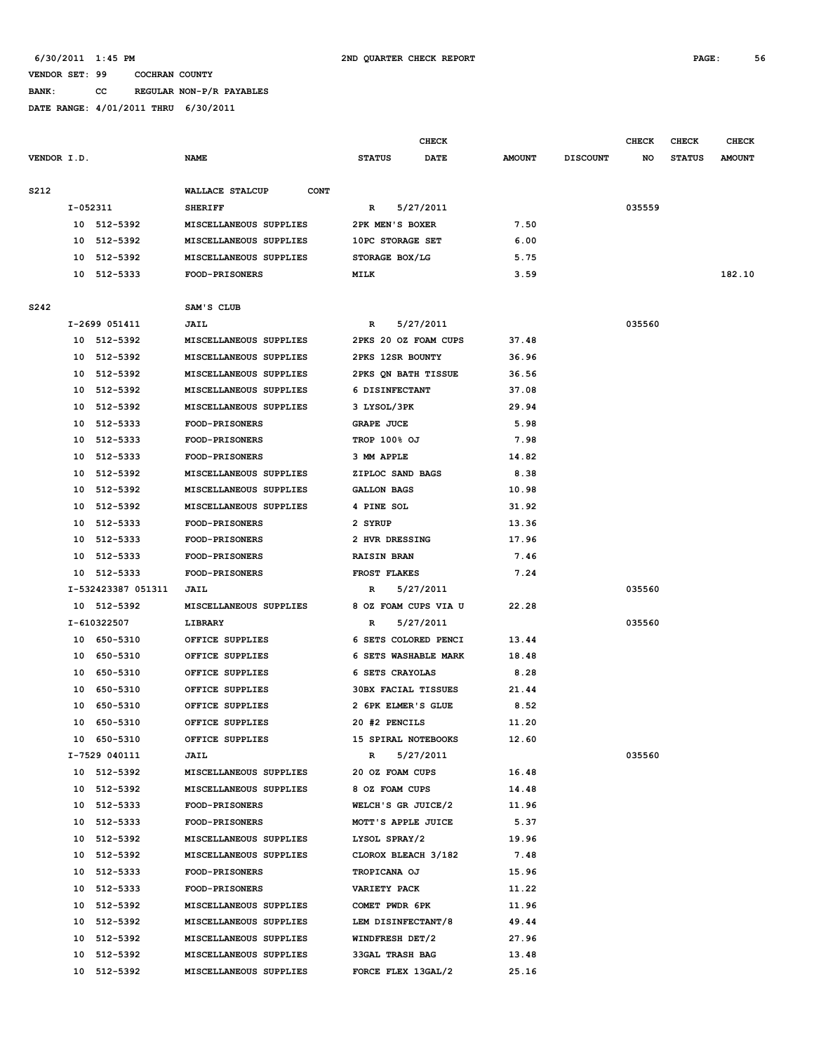### **VENDOR SET: 99 COCHRAN COUNTY BANK: CC REGULAR NON-P/R PAYABLES**

|             |          |                    |                                |                            | <b>CHECK</b> |               |                 | <b>CHECK</b> | <b>CHECK</b>  | CHECK         |
|-------------|----------|--------------------|--------------------------------|----------------------------|--------------|---------------|-----------------|--------------|---------------|---------------|
| VENDOR I.D. |          |                    | <b>NAME</b>                    | <b>STATUS</b>              | <b>DATE</b>  | <b>AMOUNT</b> | <b>DISCOUNT</b> | NO           | <b>STATUS</b> | <b>AMOUNT</b> |
| S212        |          |                    | WALLACE STALCUP<br><b>CONT</b> |                            |              |               |                 |              |               |               |
|             | I-052311 |                    | <b>SHERIFF</b>                 | R                          | 5/27/2011    |               |                 | 035559       |               |               |
|             |          | 10 512-5392        | MISCELLANEOUS SUPPLIES         | 2PK MEN'S BOXER            |              | 7.50          |                 |              |               |               |
|             | 10       | 512-5392           | MISCELLANEOUS SUPPLIES         | 10PC STORAGE SET           |              | 6.00          |                 |              |               |               |
|             | 10       | 512-5392           | MISCELLANEOUS SUPPLIES         | STORAGE BOX/LG             |              | 5.75          |                 |              |               |               |
|             |          | 10 512-5333        | <b>FOOD-PRISONERS</b>          | MILK                       |              | 3.59          |                 |              |               | 182.10        |
|             |          |                    |                                |                            |              |               |                 |              |               |               |
| S242        |          |                    | SAM'S CLUB                     |                            |              |               |                 |              |               |               |
|             |          | I-2699 051411      | <b>JAIL</b>                    | R                          | 5/27/2011    |               |                 | 035560       |               |               |
|             |          | 10 512-5392        | MISCELLANEOUS SUPPLIES         | 2PKS 20 OZ FOAM CUPS       |              | 37.48         |                 |              |               |               |
|             | 10       | 512-5392           | MISCELLANEOUS SUPPLIES         | 2PKS 12SR BOUNTY           |              | 36.96         |                 |              |               |               |
|             | 10       | 512-5392           | MISCELLANEOUS SUPPLIES         | 2PKS ON BATH TISSUE        |              | 36.56         |                 |              |               |               |
|             | 10       | 512-5392           | MISCELLANEOUS SUPPLIES         | 6 DISINFECTANT             |              | 37.08         |                 |              |               |               |
|             | 10       | 512-5392           | MISCELLANEOUS SUPPLIES         | 3 LYSOL/3PK                |              | 29.94         |                 |              |               |               |
|             | 10       | 512-5333           | <b>FOOD-PRISONERS</b>          | <b>GRAPE JUCE</b>          |              | 5.98          |                 |              |               |               |
|             | 10       | 512-5333           | <b>FOOD-PRISONERS</b>          | <b>TROP 100% OJ</b>        |              | 7.98          |                 |              |               |               |
|             | 10       | 512-5333           | FOOD-PRISONERS                 | 3 MM APPLE                 |              | 14.82         |                 |              |               |               |
|             | 10       | 512-5392           | MISCELLANEOUS SUPPLIES         | ZIPLOC SAND BAGS           |              | 8.38          |                 |              |               |               |
|             | 10       | 512-5392           | MISCELLANEOUS SUPPLIES         | <b>GALLON BAGS</b>         |              | 10.98         |                 |              |               |               |
|             | 10       | 512-5392           | MISCELLANEOUS SUPPLIES         | 4 PINE SOL                 |              | 31.92         |                 |              |               |               |
|             | 10       | 512-5333           | <b>FOOD-PRISONERS</b>          | 2 SYRUP                    |              | 13.36         |                 |              |               |               |
|             | 10       | 512-5333           | <b>FOOD-PRISONERS</b>          | 2 HVR DRESSING             |              | 17.96         |                 |              |               |               |
|             | 10       | 512-5333           | <b>FOOD-PRISONERS</b>          | <b>RAISIN BRAN</b>         |              | 7.46          |                 |              |               |               |
|             | 10       | 512-5333           | <b>FOOD-PRISONERS</b>          | FROST FLAKES               |              | 7.24          |                 |              |               |               |
|             |          | I-532423387 051311 | JAIL                           | R                          | 5/27/2011    |               |                 | 035560       |               |               |
|             |          | 10 512-5392        | MISCELLANEOUS SUPPLIES         | 8 OZ FOAM CUPS VIA U       |              | 22.28         |                 |              |               |               |
|             |          | I-610322507        | LIBRARY                        | R                          | 5/27/2011    |               |                 | 035560       |               |               |
|             |          | 10 650-5310        | OFFICE SUPPLIES                | 6 SETS COLORED PENCI       |              | 13.44         |                 |              |               |               |
|             | 10       | 650-5310           | OFFICE SUPPLIES                | 6 SETS WASHABLE MARK       |              | 18.48         |                 |              |               |               |
|             | 10       | 650-5310           | OFFICE SUPPLIES                | 6 SETS CRAYOLAS            |              | 8.28          |                 |              |               |               |
|             | 10       | 650-5310           | OFFICE SUPPLIES                | <b>30BX FACIAL TISSUES</b> |              | 21.44         |                 |              |               |               |
|             | 10       | 650-5310           | OFFICE SUPPLIES                | 2 6PK ELMER'S GLUE         |              | 8.52          |                 |              |               |               |
|             | 10       | 650-5310           | OFFICE SUPPLIES                | 20 #2 PENCILS              |              | 11.20         |                 |              |               |               |
|             |          | 10 650-5310        | OFFICE SUPPLIES                | 15 SPIRAL NOTEBOOKS        |              | 12.60         |                 |              |               |               |
|             |          | I-7529 040111      | <b>JAIL</b>                    | R                          | 5/27/2011    |               |                 | 035560       |               |               |
|             |          | 10 512-5392        | MISCELLANEOUS SUPPLIES         | 20 OZ FOAM CUPS            |              | 16.48         |                 |              |               |               |
|             |          | 10 512-5392        | MISCELLANEOUS SUPPLIES         | 8 OZ FOAM CUPS             |              | 14.48         |                 |              |               |               |
|             |          | 10 512-5333        | <b>FOOD-PRISONERS</b>          | WELCH'S GR JUICE/2         |              | 11.96         |                 |              |               |               |
|             |          |                    | <b>FOOD-PRISONERS</b>          |                            |              |               |                 |              |               |               |
|             |          | 10 512-5333        |                                | MOTT'S APPLE JUICE         |              | 5.37          |                 |              |               |               |
|             |          | 10 512-5392        | MISCELLANEOUS SUPPLIES         | LYSOL SPRAY/2              |              | 19.96         |                 |              |               |               |
|             |          | 10 512-5392        | MISCELLANEOUS SUPPLIES         | CLOROX BLEACH 3/182        |              | 7.48          |                 |              |               |               |
|             |          | 10 512-5333        | <b>FOOD-PRISONERS</b>          | TROPICANA OJ               |              | 15.96         |                 |              |               |               |
|             |          | 10 512-5333        | FOOD-PRISONERS                 | <b>VARIETY PACK</b>        |              | 11.22         |                 |              |               |               |
|             |          | 10 512-5392        | MISCELLANEOUS SUPPLIES         | COMET PWDR 6PK             |              | 11.96         |                 |              |               |               |
|             |          | 10 512-5392        | MISCELLANEOUS SUPPLIES         | LEM DISINFECTANT/8         |              | 49.44         |                 |              |               |               |
|             |          | 10 512-5392        | MISCELLANEOUS SUPPLIES         | WINDFRESH DET/2            |              | 27.96         |                 |              |               |               |
|             |          | 10 512-5392        | MISCELLANEOUS SUPPLIES         | <b>33GAL TRASH BAG</b>     |              | 13.48         |                 |              |               |               |
|             |          | 10 512-5392        | MISCELLANEOUS SUPPLIES         | FORCE FLEX 13GAL/2         |              | 25.16         |                 |              |               |               |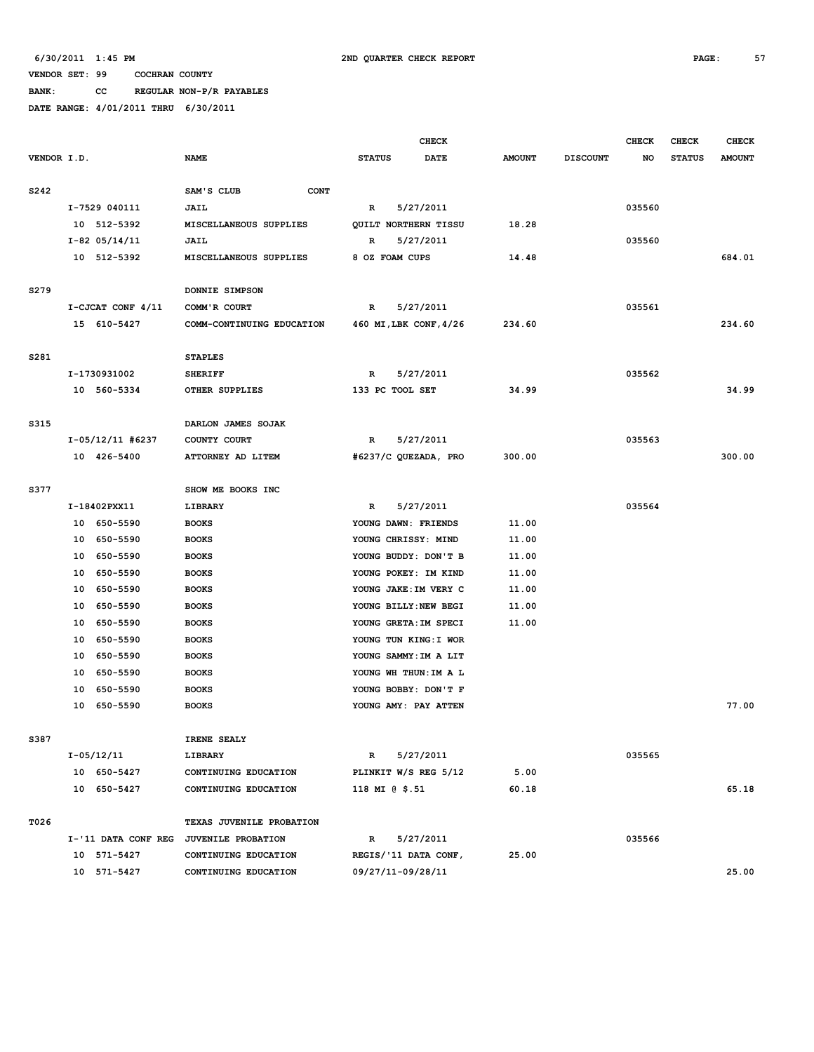**BANK: CC REGULAR NON-P/R PAYABLES**

|             |                     | <b>CHECK</b>              |                        |             |               | <b>CHECK</b>    | <b>CHECK</b> | <b>CHECK</b>  |               |
|-------------|---------------------|---------------------------|------------------------|-------------|---------------|-----------------|--------------|---------------|---------------|
| VENDOR I.D. |                     | <b>NAME</b>               | <b>STATUS</b>          | <b>DATE</b> | <b>AMOUNT</b> | <b>DISCOUNT</b> | NO           | <b>STATUS</b> | <b>AMOUNT</b> |
|             |                     |                           |                        |             |               |                 |              |               |               |
| S242        |                     | SAM'S CLUB<br><b>CONT</b> |                        |             |               |                 |              |               |               |
|             | I-7529 040111       | JAIL                      | $\mathbb{R}$           | 5/27/2011   |               |                 | 035560       |               |               |
|             | 10 512-5392         | MISCELLANEOUS SUPPLIES    | QUILT NORTHERN TISSU   |             | 18.28         |                 |              |               |               |
|             | $I-82$ 05/14/11     | <b>JAIL</b>               | $\mathbf R$            | 5/27/2011   |               |                 | 035560       |               |               |
|             | 10 512-5392         | MISCELLANEOUS SUPPLIES    | 8 OZ FOAM CUPS         |             | 14.48         |                 |              |               | 684.01        |
| S279        |                     | DONNIE SIMPSON            |                        |             |               |                 |              |               |               |
|             | I-CJCAT CONF 4/11   | COMM'R COURT              | $\mathbb{R}$           | 5/27/2011   |               |                 | 035561       |               |               |
|             | 15 610-5427         | COMM-CONTINUING EDUCATION | 460 MI, LBK CONF, 4/26 |             | 234.60        |                 |              |               | 234.60        |
|             |                     |                           |                        |             |               |                 |              |               |               |
| S281        |                     | <b>STAPLES</b>            |                        |             |               |                 |              |               |               |
|             | I-1730931002        | <b>SHERIFF</b>            | $\mathbb{R}$           | 5/27/2011   |               |                 | 035562       |               |               |
|             | 10 560-5334         | OTHER SUPPLIES            | 133 PC TOOL SET        |             | 34.99         |                 |              |               | 34.99         |
|             |                     |                           |                        |             |               |                 |              |               |               |
| S315        |                     | DARLON JAMES SOJAK        |                        |             |               |                 |              |               |               |
|             | I-05/12/11 #6237    | COUNTY COURT              | R                      | 5/27/2011   |               |                 | 035563       |               |               |
|             | 10 426-5400         | ATTORNEY AD LITEM         | #6237/C QUEZADA, PRO   |             | 300.00        |                 |              |               | 300.00        |
|             |                     |                           |                        |             |               |                 |              |               |               |
| S377        |                     | SHOW ME BOOKS INC         |                        |             |               |                 |              |               |               |
|             | I-18402PXX11        | LIBRARY                   | $\mathbb{R}$           | 5/27/2011   |               |                 | 035564       |               |               |
|             | 650-5590<br>10      | <b>BOOKS</b>              | YOUNG DAWN: FRIENDS    |             | 11.00         |                 |              |               |               |
|             | 650-5590<br>10      | <b>BOOKS</b>              | YOUNG CHRISSY: MIND    |             | 11.00         |                 |              |               |               |
|             | 650-5590<br>10      | <b>BOOKS</b>              | YOUNG BUDDY: DON'T B   |             | 11.00         |                 |              |               |               |
|             | 10<br>650-5590      | <b>BOOKS</b>              | YOUNG POKEY: IM KIND   |             | 11.00         |                 |              |               |               |
|             | 650-5590<br>10      | <b>BOOKS</b>              | YOUNG JAKE: IM VERY C  |             | 11.00         |                 |              |               |               |
|             | 650-5590<br>10      | <b>BOOKS</b>              | YOUNG BILLY: NEW BEGI  |             | 11.00         |                 |              |               |               |
|             | 650-5590<br>10      | <b>BOOKS</b>              | YOUNG GRETA: IM SPECI  |             | 11.00         |                 |              |               |               |
|             | 650-5590<br>10      | <b>BOOKS</b>              | YOUNG TUN KING: I WOR  |             |               |                 |              |               |               |
|             | 650-5590<br>10      | <b>BOOKS</b>              | YOUNG SAMMY: IM A LIT  |             |               |                 |              |               |               |
|             | 10<br>650-5590      | <b>BOOKS</b>              | YOUNG WH THUN: IM A L  |             |               |                 |              |               |               |
|             | 650-5590<br>10      | <b>BOOKS</b>              | YOUNG BOBBY: DON'T F   |             |               |                 |              |               |               |
|             | 10<br>650-5590      | <b>BOOKS</b>              | YOUNG AMY: PAY ATTEN   |             |               |                 |              |               | 77.00         |
|             |                     |                           |                        |             |               |                 |              |               |               |
| S387        | I-05/12/11          | IRENE SEALY<br>LIBRARY    | $\mathbb{R}$           | 5/27/2011   |               |                 | 035565       |               |               |
|             | 10 650-5427         | CONTINUING EDUCATION      | PLINKIT W/S REG 5/12   |             | 5.00          |                 |              |               |               |
|             |                     |                           |                        |             |               |                 |              |               | 65.18         |
|             | 10 650-5427         | CONTINUING EDUCATION      | 118 MI @ \$.51         |             | 60.18         |                 |              |               |               |
| T026        |                     | TEXAS JUVENILE PROBATION  |                        |             |               |                 |              |               |               |
|             | I-'11 DATA CONF REG | <b>JUVENILE PROBATION</b> | R                      | 5/27/2011   |               |                 | 035566       |               |               |
|             | 10 571-5427         | CONTINUING EDUCATION      | REGIS/'11 DATA CONF,   |             | 25.00         |                 |              |               |               |
|             | 10 571-5427         | CONTINUING EDUCATION      | 09/27/11-09/28/11      |             |               |                 |              |               | 25.00         |
|             |                     |                           |                        |             |               |                 |              |               |               |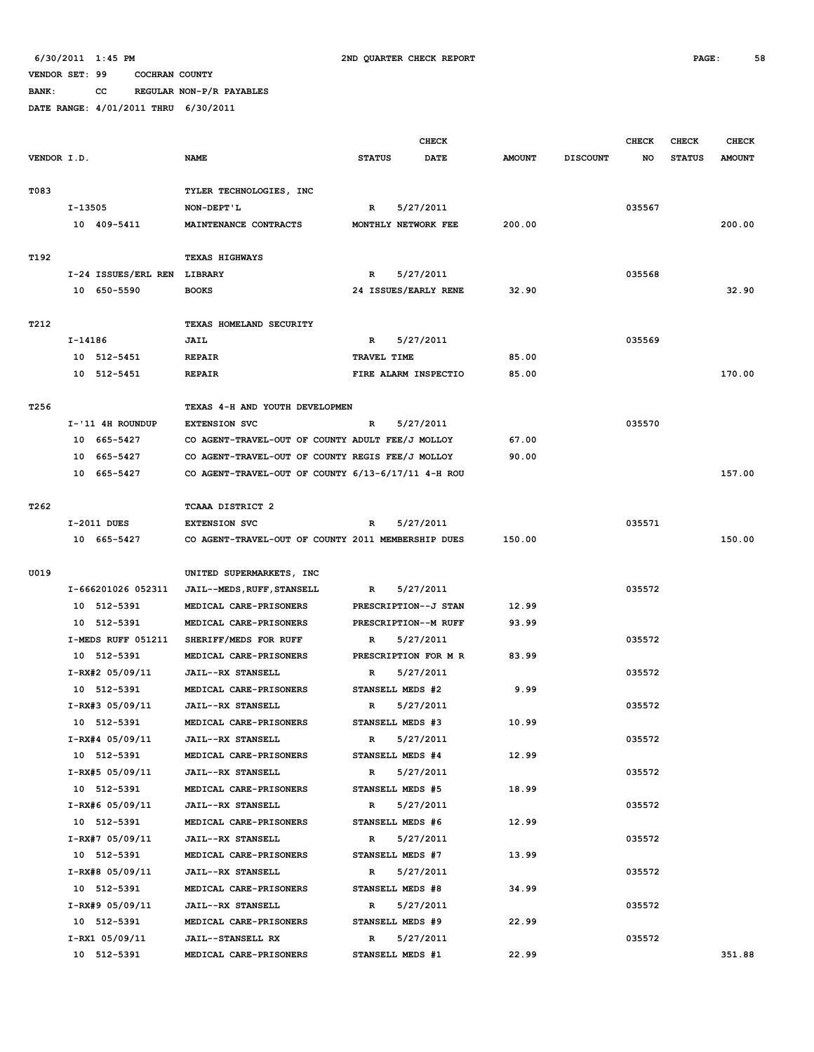**BANK: CC REGULAR NON-P/R PAYABLES**

|             |                             |                                                    |               | <b>CHECK</b>         |               |                 | <b>CHECK</b> | <b>CHECK</b>  | <b>CHECK</b>  |
|-------------|-----------------------------|----------------------------------------------------|---------------|----------------------|---------------|-----------------|--------------|---------------|---------------|
| VENDOR I.D. |                             | <b>NAME</b>                                        | <b>STATUS</b> | <b>DATE</b>          | <b>AMOUNT</b> | <b>DISCOUNT</b> | NO           | <b>STATUS</b> | <b>AMOUNT</b> |
|             |                             |                                                    |               |                      |               |                 |              |               |               |
| T083        |                             | TYLER TECHNOLOGIES, INC                            |               |                      |               |                 |              |               |               |
|             | I-13505                     | NON-DEPT'L                                         | R             | 5/27/2011            |               |                 | 035567       |               |               |
|             | 10 409-5411                 | MAINTENANCE CONTRACTS                              |               | MONTHLY NETWORK FEE  | 200.00        |                 |              |               | 200.00        |
|             |                             |                                                    |               |                      |               |                 |              |               |               |
| T192        |                             | TEXAS HIGHWAYS                                     |               |                      |               |                 |              |               |               |
|             | I-24 ISSUES/ERL REN LIBRARY |                                                    | $\mathbb{R}$  | 5/27/2011            |               |                 | 035568       |               |               |
|             | 10 650-5590                 | <b>BOOKS</b>                                       |               | 24 ISSUES/EARLY RENE | 32.90         |                 |              |               | 32.90         |
|             |                             |                                                    |               |                      |               |                 |              |               |               |
| T212        |                             | TEXAS HOMELAND SECURITY                            |               |                      |               |                 |              |               |               |
|             | I-14186                     | JAIL                                               | R             | 5/27/2011            |               |                 | 035569       |               |               |
|             | 10 512-5451                 | <b>REPAIR</b>                                      | TRAVEL TIME   |                      | 85.00         |                 |              |               |               |
|             | 10 512-5451                 | <b>REPAIR</b>                                      |               | FIRE ALARM INSPECTIO | 85.00         |                 |              |               | 170.00        |
| T256        |                             | TEXAS 4-H AND YOUTH DEVELOPMEN                     |               |                      |               |                 |              |               |               |
|             | I-'11 4H ROUNDUP            | <b>EXTENSION SVC</b>                               | R             | 5/27/2011            |               |                 | 035570       |               |               |
|             | 10 665-5427                 | CO AGENT-TRAVEL-OUT OF COUNTY ADULT FEE/J MOLLOY   |               |                      | 67.00         |                 |              |               |               |
|             | 10 665-5427                 | CO AGENT-TRAVEL-OUT OF COUNTY REGIS FEE/J MOLLOY   |               |                      | 90.00         |                 |              |               |               |
|             | 10 665-5427                 | CO AGENT-TRAVEL-OUT OF COUNTY 6/13-6/17/11 4-H ROU |               |                      |               |                 |              |               | 157.00        |
|             |                             |                                                    |               |                      |               |                 |              |               |               |
| T262        |                             | <b>TCAAA DISTRICT 2</b>                            |               |                      |               |                 |              |               |               |
|             | I-2011 DUES                 | <b>EXTENSION SVC</b>                               | R             | 5/27/2011            |               |                 | 035571       |               |               |
|             | 10 665-5427                 | CO AGENT-TRAVEL-OUT OF COUNTY 2011 MEMBERSHIP DUES |               |                      | 150.00        |                 |              |               | 150.00        |
|             |                             |                                                    |               |                      |               |                 |              |               |               |
| U019        |                             | UNITED SUPERMARKETS, INC                           |               |                      |               |                 |              |               |               |
|             | I-666201026 052311          | JAIL--MEDS, RUFF, STANSELL                         | R             | 5/27/2011            |               |                 | 035572       |               |               |
|             | 10 512-5391                 | MEDICAL CARE-PRISONERS                             |               | PRESCRIPTION--J STAN | 12.99         |                 |              |               |               |
|             | 10 512-5391                 | MEDICAL CARE-PRISONERS                             |               | PRESCRIPTION--M RUFF | 93.99         |                 |              |               |               |
|             | I-MEDS RUFF 051211          | SHERIFF/MEDS FOR RUFF                              | R             | 5/27/2011            |               |                 | 035572       |               |               |
|             | 10 512-5391                 | MEDICAL CARE-PRISONERS                             |               | PRESCRIPTION FOR M R | 83.99         |                 |              |               |               |
|             | I-RX#2 05/09/11             | JAIL--RX STANSELL                                  | R             | 5/27/2011            |               |                 | 035572       |               |               |
|             | 10 512-5391                 | MEDICAL CARE-PRISONERS                             |               | STANSELL MEDS #2     | 9.99          |                 |              |               |               |
|             | I-RX#3 05/09/11             | JAIL--RX STANSELL                                  | R             | 5/27/2011            |               |                 | 035572       |               |               |
|             | 10 512-5391                 | MEDICAL CARE-PRISONERS                             |               | STANSELL MEDS #3     | 10.99         |                 |              |               |               |
|             | I-RX#4 05/09/11             | JAIL--RX STANSELL                                  | R             | 5/27/2011            |               |                 | 035572       |               |               |
|             | 10 512-5391                 | MEDICAL CARE-PRISONERS                             |               | STANSELL MEDS #4     | 12.99         |                 |              |               |               |
|             | I-RX#5 05/09/11             | JAIL--RX STANSELL                                  | R             | 5/27/2011            |               |                 | 035572       |               |               |
|             | 10 512-5391                 | MEDICAL CARE-PRISONERS                             |               | STANSELL MEDS #5     | 18.99         |                 |              |               |               |
|             | I-RX#6 05/09/11             | JAIL--RX STANSELL                                  | R             | 5/27/2011            |               |                 | 035572       |               |               |
|             | 10 512-5391                 | MEDICAL CARE-PRISONERS                             |               | STANSELL MEDS #6     | 12.99         |                 |              |               |               |
|             | I-RX#7 05/09/11             | JAIL--RX STANSELL                                  | R             | 5/27/2011            |               |                 | 035572       |               |               |
|             | 10 512-5391                 | MEDICAL CARE-PRISONERS                             |               | STANSELL MEDS #7     | 13.99         |                 |              |               |               |
|             | I-RX#8 05/09/11             | JAIL--RX STANSELL                                  | R             | 5/27/2011            |               |                 | 035572       |               |               |
|             | 10 512-5391                 | MEDICAL CARE-PRISONERS                             |               | STANSELL MEDS #8     | 34.99         |                 |              |               |               |
|             | I-RX#9 05/09/11             | JAIL--RX STANSELL                                  | R             | 5/27/2011            |               |                 | 035572       |               |               |
|             | 10 512-5391                 | MEDICAL CARE-PRISONERS                             |               | STANSELL MEDS #9     | 22.99         |                 |              |               |               |
|             | I-RX1 05/09/11              | JAIL--STANSELL RX                                  | R             | 5/27/2011            |               |                 | 035572       |               |               |
|             | 10 512-5391                 | MEDICAL CARE-PRISONERS                             |               | STANSELL MEDS #1     | 22.99         |                 |              |               | 351.88        |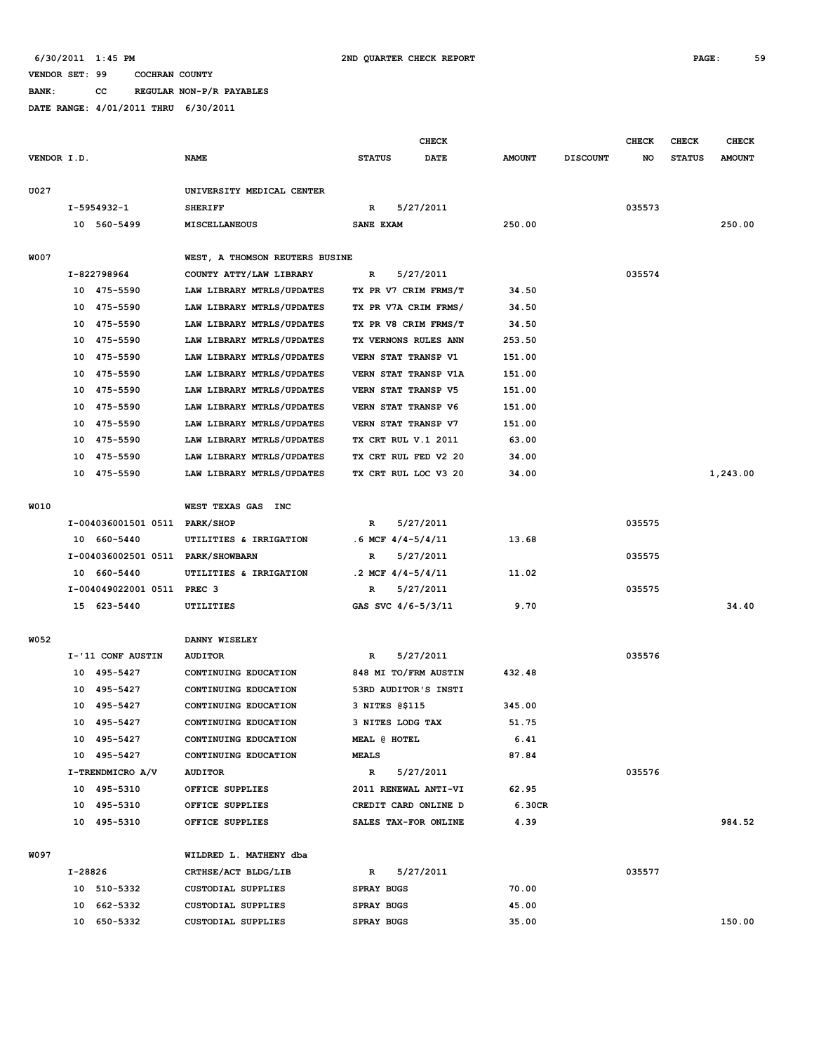**BANK: CC REGULAR NON-P/R PAYABLES**

|             | <b>CHECK</b> |                                   |                                        |                       |           |               | <b>CHECK</b>    | <b>CHECK</b> | <b>CHECK</b>  |               |
|-------------|--------------|-----------------------------------|----------------------------------------|-----------------------|-----------|---------------|-----------------|--------------|---------------|---------------|
| VENDOR I.D. |              |                                   | <b>NAME</b>                            | <b>STATUS</b>         | DATE      | <b>AMOUNT</b> | <b>DISCOUNT</b> | NO           | <b>STATUS</b> | <b>AMOUNT</b> |
|             |              |                                   |                                        |                       |           |               |                 |              |               |               |
| U027        |              |                                   | UNIVERSITY MEDICAL CENTER              |                       |           |               |                 |              |               |               |
|             |              | I-5954932-1                       | <b>SHERIFF</b>                         | R                     | 5/27/2011 |               |                 | 035573       |               |               |
|             |              | 10 560-5499                       | MISCELLANEOUS                          | SANE EXAM             |           | 250.00        |                 |              |               | 250.00        |
| <b>W007</b> |              |                                   | WEST, A THOMSON REUTERS BUSINE         |                       |           |               |                 |              |               |               |
|             |              | I-822798964                       | COUNTY ATTY/LAW LIBRARY                | R                     | 5/27/2011 |               |                 | 035574       |               |               |
|             |              | 10 475-5590                       | LAW LIBRARY MTRLS/UPDATES              | TX PR V7 CRIM FRMS/T  |           | 34.50         |                 |              |               |               |
|             | 10           | 475-5590                          | LAW LIBRARY MTRLS/UPDATES              | TX PR V7A CRIM FRMS/  |           | 34.50         |                 |              |               |               |
|             | 10           | 475-5590                          | LAW LIBRARY MTRLS/UPDATES              | TX PR V8 CRIM FRMS/T  |           | 34.50         |                 |              |               |               |
|             | 10           | 475-5590                          | LAW LIBRARY MTRLS/UPDATES              | TX VERNONS RULES ANN  |           | 253.50        |                 |              |               |               |
|             | 10           | 475-5590                          | LAW LIBRARY MTRLS/UPDATES              | VERN STAT TRANSP V1   |           | 151.00        |                 |              |               |               |
|             | 10           | 475-5590                          | LAW LIBRARY MTRLS/UPDATES              | VERN STAT TRANSP V1A  |           | 151.00        |                 |              |               |               |
|             | 10           | 475-5590                          | LAW LIBRARY MTRLS/UPDATES              | VERN STAT TRANSP V5   |           | 151.00        |                 |              |               |               |
|             | 10           | 475-5590                          | LAW LIBRARY MTRLS/UPDATES              | VERN STAT TRANSP V6   |           | 151.00        |                 |              |               |               |
|             | 10           | 475-5590                          | LAW LIBRARY MTRLS/UPDATES              | VERN STAT TRANSP V7   |           | 151.00        |                 |              |               |               |
|             | 10           | 475-5590                          | LAW LIBRARY MTRLS/UPDATES              | TX CRT RUL V.1 2011   |           | 63.00         |                 |              |               |               |
|             | 10           | 475-5590                          | LAW LIBRARY MTRLS/UPDATES              | TX CRT RUL FED V2 20  |           | 34.00         |                 |              |               |               |
|             | 10           | 475-5590                          | LAW LIBRARY MTRLS/UPDATES              | TX CRT RUL LOC V3 20  |           | 34.00         |                 |              |               | 1,243.00      |
|             |              |                                   |                                        |                       |           |               |                 |              |               |               |
| W010        |              |                                   | WEST TEXAS GAS INC                     |                       |           |               |                 |              |               |               |
|             |              | I-004036001501 0511 PARK/SHOP     |                                        | R                     | 5/27/2011 |               |                 | 035575       |               |               |
|             |              | 10 660-5440                       | UTILITIES & IRRIGATION                 | $.6$ MCF $4/4-5/4/11$ |           | 13.68         |                 |              |               |               |
|             |              | I-004036002501 0511 PARK/SHOWBARN |                                        | R                     | 5/27/2011 |               |                 | 035575       |               |               |
|             |              | 10 660-5440                       | UTILITIES & IRRIGATION                 | .2 MCF $4/4 - 5/4/11$ |           | 11.02         |                 |              |               |               |
|             |              | I-004049022001 0511 PREC 3        |                                        | R                     | 5/27/2011 |               |                 | 035575       |               |               |
|             |              | 15 623-5440                       | UTILITIES                              | GAS SVC 4/6-5/3/11    |           | 9.70          |                 |              |               | 34.40         |
|             |              |                                   |                                        |                       |           |               |                 |              |               |               |
| W052        |              |                                   | DANNY WISELEY                          |                       |           |               |                 |              |               |               |
|             |              | I-'11 CONF AUSTIN                 | <b>AUDITOR</b>                         | R                     | 5/27/2011 |               |                 | 035576       |               |               |
|             | 10           | 495–5427                          | CONTINUING EDUCATION                   | 848 MI TO/FRM AUSTIN  |           | 432.48        |                 |              |               |               |
|             | 10           | 495-5427                          | CONTINUING EDUCATION                   | 53RD AUDITOR'S INSTI  |           |               |                 |              |               |               |
|             | 10           | 495-5427                          | CONTINUING EDUCATION                   | 3 NITES @\$115        |           | 345.00        |                 |              |               |               |
|             | 10           | 495–5427                          | CONTINUING EDUCATION                   | 3 NITES LODG TAX      |           | 51.75         |                 |              |               |               |
|             |              | 10 495-5427<br>10 495-5427        | CONTINUING EDUCATION                   | MEAL @ HOTEL          |           | 6.41          |                 |              |               |               |
|             |              | I-TRENDMICRO A/V                  | CONTINUING EDUCATION<br><b>AUDITOR</b> | <b>MEALS</b><br>R     | 5/27/2011 | 87.84         |                 | 035576       |               |               |
|             |              | 10 495-5310                       | OFFICE SUPPLIES                        | 2011 RENEWAL ANTI-VI  |           | 62.95         |                 |              |               |               |
|             |              | 10 495-5310                       | OFFICE SUPPLIES                        | CREDIT CARD ONLINE D  |           | 6.30CR        |                 |              |               |               |
|             |              | 10 495-5310                       | OFFICE SUPPLIES                        | SALES TAX-FOR ONLINE  |           | 4.39          |                 |              |               | 984.52        |
|             |              |                                   |                                        |                       |           |               |                 |              |               |               |
| W097        |              |                                   | WILDRED L. MATHENY dba                 |                       |           |               |                 |              |               |               |
|             | I-28826      |                                   | CRTHSE/ACT BLDG/LIB                    | R                     | 5/27/2011 |               |                 | 035577       |               |               |
|             |              | 10 510-5332                       | CUSTODIAL SUPPLIES                     | SPRAY BUGS            |           | 70.00         |                 |              |               |               |
|             |              | 10 662-5332                       | CUSTODIAL SUPPLIES                     | SPRAY BUGS            |           | 45.00         |                 |              |               |               |
|             |              | 10 650-5332                       | CUSTODIAL SUPPLIES                     | SPRAY BUGS            |           | 35.00         |                 |              |               | 150.00        |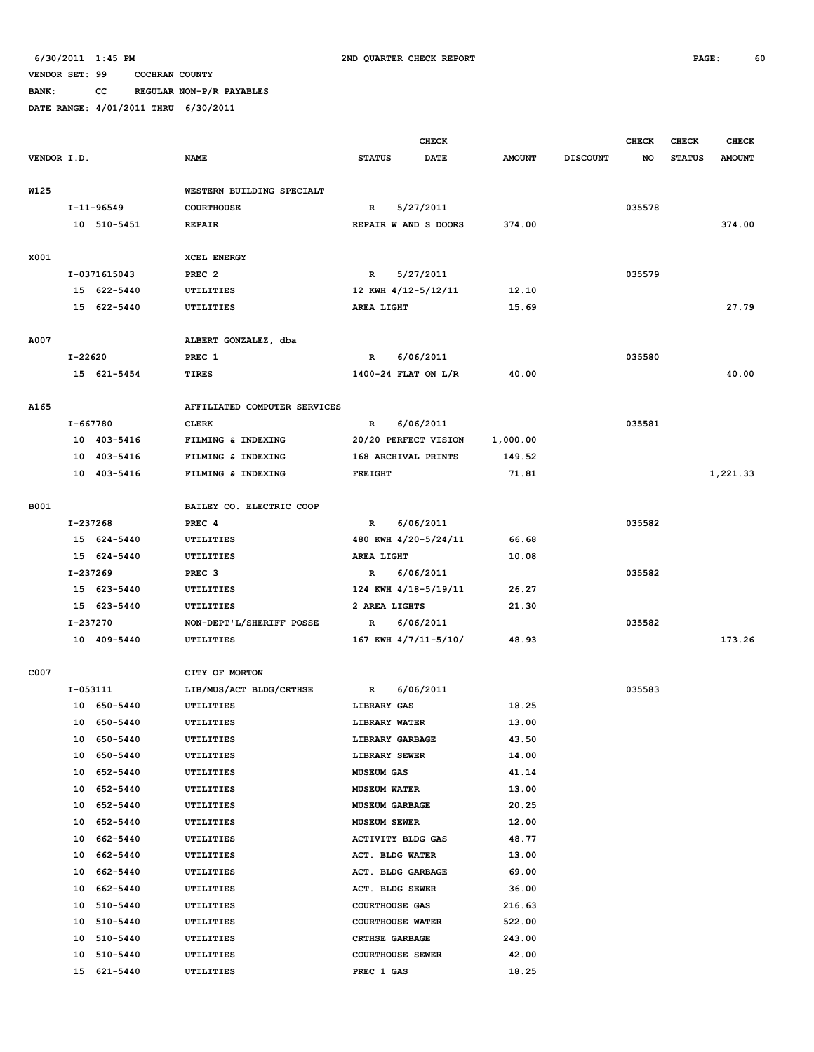**BANK: CC REGULAR NON-P/R PAYABLES**

|             |             |                  | <b>CHECK</b>                            |                                        |                      |               | <b>CHECK</b>    | <b>CHECK</b> | <b>CHECK</b>  |               |
|-------------|-------------|------------------|-----------------------------------------|----------------------------------------|----------------------|---------------|-----------------|--------------|---------------|---------------|
| VENDOR I.D. |             |                  | <b>NAME</b>                             | <b>STATUS</b>                          | <b>DATE</b>          | <b>AMOUNT</b> | <b>DISCOUNT</b> | NO           | <b>STATUS</b> | <b>AMOUNT</b> |
|             |             |                  |                                         |                                        |                      |               |                 |              |               |               |
| W125        |             |                  | WESTERN BUILDING SPECIALT               |                                        |                      |               |                 |              |               |               |
|             |             | $I - 11 - 96549$ | <b>COURTHOUSE</b>                       | $\mathbb{R}$                           | 5/27/2011            |               |                 | 035578       |               |               |
|             |             | 10 510-5451      | <b>REPAIR</b>                           |                                        | REPAIR W AND S DOORS | 374.00        |                 |              |               | 374.00        |
|             |             |                  |                                         |                                        |                      |               |                 |              |               |               |
| X001        |             | I-0371615043     | <b>XCEL ENERGY</b><br>PREC <sub>2</sub> | $\mathbb{R}$                           | 5/27/2011            |               |                 | 035579       |               |               |
|             |             | 15 622-5440      | UTILITIES                               | 12 KWH 4/12-5/12/11                    |                      | 12.10         |                 |              |               |               |
|             |             | 15 622-5440      | UTILITIES                               | AREA LIGHT                             |                      | 15.69         |                 |              |               | 27.79         |
|             |             |                  |                                         |                                        |                      |               |                 |              |               |               |
| A007        |             |                  | ALBERT GONZALEZ, dba                    |                                        |                      |               |                 |              |               |               |
|             | $I - 22620$ |                  | PREC 1                                  | $\mathbb{R}$                           | 6/06/2011            |               |                 | 035580       |               |               |
|             |             | 15 621-5454      | <b>TIRES</b>                            | 1400-24 FLAT ON L/R                    |                      | 40.00         |                 |              |               | 40.00         |
|             |             |                  |                                         |                                        |                      |               |                 |              |               |               |
| A165        |             |                  | AFFILIATED COMPUTER SERVICES            |                                        |                      |               |                 |              |               |               |
|             | I-667780    |                  | <b>CLERK</b>                            | $\mathbb{R}$                           | 6/06/2011            |               |                 | 035581       |               |               |
|             |             | 10 403-5416      | FILMING & INDEXING                      |                                        | 20/20 PERFECT VISION | 1,000.00      |                 |              |               |               |
|             |             | 10 403-5416      | FILMING & INDEXING                      | 168 ARCHIVAL PRINTS                    |                      | 149.52        |                 |              |               |               |
|             |             | 10 403-5416      | FILMING & INDEXING                      | <b>FREIGHT</b>                         |                      | 71.81         |                 |              |               | 1,221.33      |
|             |             |                  |                                         |                                        |                      |               |                 |              |               |               |
| <b>B001</b> |             |                  | BAILEY CO. ELECTRIC COOP                |                                        |                      |               |                 |              |               |               |
|             | I-237268    |                  | PREC <sub>4</sub>                       | $\mathbb{R}$                           | 6/06/2011            |               |                 | 035582       |               |               |
|             |             | 15 624-5440      | UTILITIES                               |                                        | 480 KWH 4/20-5/24/11 | 66.68         |                 |              |               |               |
|             |             | 15 624-5440      | UTILITIES                               | AREA LIGHT                             |                      | 10.08         |                 |              |               |               |
|             | I-237269    |                  | PREC <sub>3</sub>                       | 6/06/2011<br>R<br>124 KWH 4/18-5/19/11 |                      |               |                 | 035582       |               |               |
|             |             | 15 623-5440      | UTILITIES                               |                                        |                      | 26.27         |                 |              |               |               |
|             |             | 15 623-5440      | UTILITIES                               | 2 AREA LIGHTS                          |                      | 21.30         |                 |              |               |               |
|             | I-237270    |                  | NON-DEPT'L/SHERIFF POSSE                | R                                      | 6/06/2011            |               |                 | 035582       |               |               |
|             |             | 10 409-5440      | UTILITIES                               |                                        | 167 KWH 4/7/11-5/10/ | 48.93         |                 |              |               | 173.26        |
| C007        |             |                  | CITY OF MORTON                          |                                        |                      |               |                 |              |               |               |
|             | I-053111    |                  | LIB/MUS/ACT BLDG/CRTHSE                 | $\mathbb{R}$                           | 6/06/2011            |               |                 | 035583       |               |               |
|             |             | 10 650-5440      | UTILITIES                               | LIBRARY GAS                            |                      | 18.25         |                 |              |               |               |
|             |             | 10 650-5440      | UTILITIES                               | LIBRARY WATER                          |                      | 13.00         |                 |              |               |               |
|             |             | 10 650-5440      | UTILITIES                               | LIBRARY GARBAGE                        |                      | 43.50         |                 |              |               |               |
|             |             | 10 650-5440      | UTILITIES                               | LIBRARY SEWER                          |                      | 14.00         |                 |              |               |               |
|             |             | 10 652-5440      | UTILITIES                               | <b>MUSEUM GAS</b>                      |                      | 41.14         |                 |              |               |               |
|             | 10          | 652-5440         | UTILITIES                               | <b>MUSEUM WATER</b>                    |                      | 13.00         |                 |              |               |               |
|             | 10          | 652-5440         | UTILITIES                               | <b>MUSEUM GARBAGE</b>                  |                      | 20.25         |                 |              |               |               |
|             | 10          | 652-5440         | UTILITIES                               | MUSEUM SEWER                           |                      | 12.00         |                 |              |               |               |
|             |             | 10 662-5440      | UTILITIES                               | ACTIVITY BLDG GAS                      |                      | 48.77         |                 |              |               |               |
|             | 10          | 662-5440         | UTILITIES                               | ACT. BLDG WATER                        |                      | 13.00         |                 |              |               |               |
|             | 10          | 662-5440         | UTILITIES                               | ACT. BLDG GARBAGE                      |                      | 69.00         |                 |              |               |               |
|             | 10          | 662-5440         | UTILITIES                               | ACT. BLDG SEWER                        |                      | 36.00         |                 |              |               |               |
|             | 10          | 510-5440         | UTILITIES                               | <b>COURTHOUSE GAS</b>                  |                      | 216.63        |                 |              |               |               |
|             | 10          | 510-5440         | UTILITIES                               | <b>COURTHOUSE WATER</b>                |                      | 522.00        |                 |              |               |               |
|             | 10          | 510-5440         | UTILITIES                               | <b>CRTHSE GARBAGE</b>                  |                      | 243.00        |                 |              |               |               |
|             | 10          | 510-5440         | UTILITIES                               | <b>COURTHOUSE SEWER</b>                |                      | 42.00         |                 |              |               |               |
|             |             | 15 621-5440      | UTILITIES                               | PREC 1 GAS                             |                      | 18.25         |                 |              |               |               |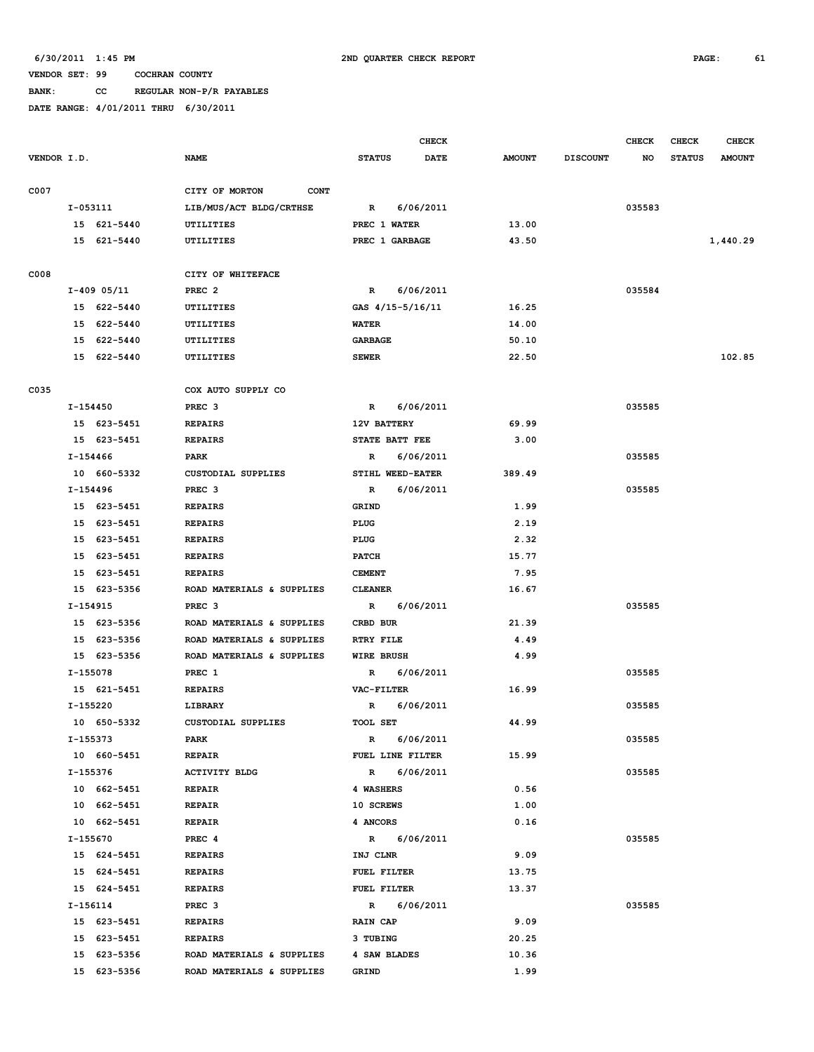## **BANK: CC REGULAR NON-P/R PAYABLES**

|             |               |             |                               |                                  |             | CHECK       |               |                 | <b>CHECK</b> | <b>CHECK</b>  | <b>CHECK</b>  |
|-------------|---------------|-------------|-------------------------------|----------------------------------|-------------|-------------|---------------|-----------------|--------------|---------------|---------------|
| VENDOR I.D. |               |             | <b>NAME</b>                   | <b>STATUS</b>                    |             | <b>DATE</b> | <b>AMOUNT</b> | <b>DISCOUNT</b> | NO           | <b>STATUS</b> | <b>AMOUNT</b> |
|             |               |             |                               |                                  |             |             |               |                 |              |               |               |
| C007        |               |             | CITY OF MORTON<br><b>CONT</b> |                                  |             |             |               |                 |              |               |               |
|             | $I-053111$    |             | LIB/MUS/ACT BLDG/CRTHSE       | $\mathbf R$                      |             | 6/06/2011   |               |                 | 035583       |               |               |
|             |               | 15 621-5440 | UTILITIES                     | PREC 1 WATER                     |             |             | 13.00         |                 |              |               |               |
|             |               | 15 621-5440 | UTILITIES                     | PREC 1 GARBAGE                   |             |             | 43.50         |                 |              |               | 1,440.29      |
| C008        |               |             | CITY OF WHITEFACE             |                                  |             |             |               |                 |              |               |               |
|             | $I-409$ 05/11 |             | PREC <sub>2</sub>             | $\mathbb{R}$                     |             | 6/06/2011   |               |                 | 035584       |               |               |
|             |               | 15 622-5440 | UTILITIES                     | GAS 4/15-5/16/11                 |             |             | 16.25         |                 |              |               |               |
|             |               | 15 622-5440 | UTILITIES                     | <b>WATER</b>                     |             |             | 14.00         |                 |              |               |               |
|             |               | 15 622-5440 | UTILITIES                     | <b>GARBAGE</b>                   |             |             | 50.10         |                 |              |               |               |
|             |               | 15 622-5440 | UTILITIES                     | <b>SEWER</b>                     |             |             | 22.50         |                 |              |               | 102.85        |
|             |               |             |                               |                                  |             |             |               |                 |              |               |               |
| C035        |               |             | COX AUTO SUPPLY CO            |                                  |             |             |               |                 |              |               |               |
|             | I-154450      |             | PREC <sub>3</sub>             | R                                |             | 6/06/2011   |               |                 | 035585       |               |               |
|             |               | 15 623-5451 | <b>REPAIRS</b>                | 12V BATTERY                      |             |             | 69.99         |                 |              |               |               |
|             |               | 15 623-5451 | <b>REPAIRS</b>                | STATE BATT FEE                   |             |             | 3.00          |                 |              |               |               |
|             | I-154466      |             | PARK                          | R                                |             | 6/06/2011   |               |                 | 035585       |               |               |
|             |               | 10 660-5332 | <b>CUSTODIAL SUPPLIES</b>     | STIHL WEED-EATER                 |             |             | 389.49        |                 |              |               |               |
|             | I-154496      |             | PREC <sub>3</sub>             | $\mathbb{R}$                     |             | 6/06/2011   |               |                 | 035585       |               |               |
|             |               | 15 623-5451 | <b>REPAIRS</b>                | <b>GRIND</b>                     |             |             | 1.99          |                 |              |               |               |
|             |               | 15 623-5451 | <b>REPAIRS</b>                | PLUG                             |             |             | 2.19          |                 |              |               |               |
|             |               | 15 623-5451 | <b>REPAIRS</b>                | PLUG                             |             |             | 2.32          |                 |              |               |               |
|             |               | 15 623-5451 | <b>REPAIRS</b>                | <b>PATCH</b>                     |             |             | 15.77         |                 |              |               |               |
|             |               | 15 623-5451 | <b>REPAIRS</b>                | <b>CEMENT</b>                    |             |             | 7.95          |                 |              |               |               |
|             |               | 15 623-5356 | ROAD MATERIALS & SUPPLIES     | <b>CLEANER</b>                   |             |             | 16.67         |                 |              |               |               |
|             | I-154915      |             | PREC <sub>3</sub>             | R                                |             | 6/06/2011   |               |                 | 035585       |               |               |
|             |               | 15 623-5356 | ROAD MATERIALS & SUPPLIES     | CRBD BUR                         |             |             | 21.39         |                 |              |               |               |
|             |               | 15 623-5356 | ROAD MATERIALS & SUPPLIES     | <b>RTRY FILE</b>                 |             |             | 4.49          |                 |              |               |               |
|             |               | 15 623-5356 | ROAD MATERIALS & SUPPLIES     | <b>WIRE BRUSH</b>                |             |             | 4.99          |                 |              |               |               |
|             | I-155078      |             | PREC 1                        | R                                |             | 6/06/2011   |               |                 | 035585       |               |               |
|             |               | 15 621-5451 | <b>REPAIRS</b>                | VAC-FILTER                       |             |             | 16.99         |                 |              |               |               |
|             | I-155220      |             | <b>LIBRARY</b>                | R                                |             | 6/06/2011   |               |                 | 035585       |               |               |
|             |               | 10 650-5332 | <b>CUSTODIAL SUPPLIES</b>     | TOOL SET                         |             |             | 44.99         |                 |              |               |               |
|             | I-155373      |             | PARK                          | R                                |             | 6/06/2011   |               |                 | 035585       |               |               |
|             |               | 10 660-5451 | REPAIR                        | FUEL LINE FILTER<br>$\mathbb{R}$ |             |             | 15.99         |                 |              |               |               |
|             | I-155376      | 10 662-5451 | <b>ACTIVITY BLDG</b>          | 4 WASHERS                        |             | 6/06/2011   |               |                 | 035585       |               |               |
|             |               | 10 662-5451 | <b>REPAIR</b><br>REPAIR       | 10 SCREWS                        |             |             | 0.56<br>1.00  |                 |              |               |               |
|             |               | 10 662-5451 | <b>REPAIR</b>                 | 4 ANCORS                         |             |             | 0.16          |                 |              |               |               |
|             | I-155670      |             | PREC 4                        |                                  | R 6/06/2011 |             |               |                 | 035585       |               |               |
|             |               | 15 624-5451 | <b>REPAIRS</b>                | INJ CLNR                         |             |             | 9.09          |                 |              |               |               |
|             |               | 15 624-5451 | <b>REPAIRS</b>                | FUEL FILTER                      |             |             | 13.75         |                 |              |               |               |
|             |               | 15 624-5451 | <b>REPAIRS</b>                | FUEL FILTER                      |             |             | 13.37         |                 |              |               |               |
|             | I-156114      |             | PREC <sub>3</sub>             |                                  | R 6/06/2011 |             |               |                 | 035585       |               |               |
|             |               | 15 623-5451 | <b>REPAIRS</b>                | <b>RAIN CAP</b>                  |             |             | 9.09          |                 |              |               |               |
|             |               | 15 623-5451 | <b>REPAIRS</b>                | 3 TUBING                         |             |             | 20.25         |                 |              |               |               |
|             |               | 15 623-5356 | ROAD MATERIALS & SUPPLIES     | 4 SAW BLADES                     |             |             | 10.36         |                 |              |               |               |
|             |               | 15 623-5356 | ROAD MATERIALS & SUPPLIES     | GRIND                            |             |             | 1.99          |                 |              |               |               |
|             |               |             |                               |                                  |             |             |               |                 |              |               |               |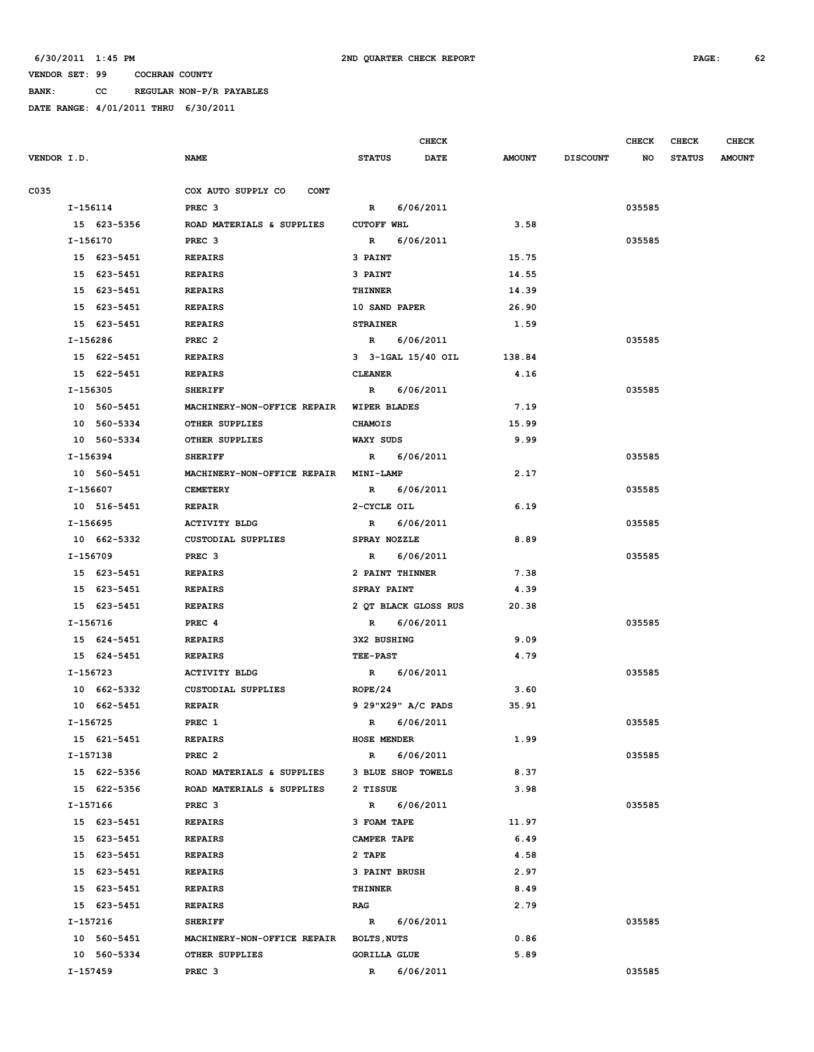**BANK: CC REGULAR NON-P/R PAYABLES**

|             |             |                                         |                      | <b>CHECK</b> |               |                 | <b>CHECK</b> | <b>CHECK</b>  | <b>CHECK</b>  |
|-------------|-------------|-----------------------------------------|----------------------|--------------|---------------|-----------------|--------------|---------------|---------------|
| VENDOR I.D. |             | <b>NAME</b>                             | <b>STATUS</b>        | DATE         | <b>AMOUNT</b> | <b>DISCOUNT</b> | NO           | <b>STATUS</b> | <b>AMOUNT</b> |
| C035        |             | COX AUTO SUPPLY CO<br><b>CONT</b>       |                      |              |               |                 |              |               |               |
|             | I-156114    | PREC <sub>3</sub>                       | R                    | 6/06/2011    |               |                 | 035585       |               |               |
|             | 15 623-5356 | ROAD MATERIALS & SUPPLIES               | <b>CUTOFF WHL</b>    |              | 3.58          |                 |              |               |               |
|             | I-156170    | PREC <sub>3</sub>                       | $\mathbb{R}$         | 6/06/2011    |               |                 | 035585       |               |               |
|             | 15 623-5451 | <b>REPAIRS</b>                          | 3 PAINT              |              | 15.75         |                 |              |               |               |
|             | 15 623-5451 | <b>REPAIRS</b>                          | 3 PAINT              |              | 14.55         |                 |              |               |               |
|             | 15 623-5451 | <b>REPAIRS</b>                          | THINNER              |              | 14.39         |                 |              |               |               |
|             | 15 623-5451 | <b>REPAIRS</b>                          | 10 SAND PAPER        |              | 26.90         |                 |              |               |               |
|             | 15 623-5451 | <b>REPAIRS</b>                          | <b>STRAINER</b>      |              | 1.59          |                 |              |               |               |
|             | I-156286    | PREC <sub>2</sub>                       | $\mathbb{R}$         | 6/06/2011    |               |                 | 035585       |               |               |
|             | 15 622-5451 | <b>REPAIRS</b>                          | 3 3-1GAL 15/40 OIL   |              | 138.84        |                 |              |               |               |
|             | 15 622-5451 | <b>REPAIRS</b>                          | <b>CLEANER</b>       |              | 4.16          |                 |              |               |               |
|             | I-156305    | <b>SHERIFF</b>                          | R                    | 6/06/2011    |               |                 | 035585       |               |               |
|             | 10 560-5451 | MACHINERY-NON-OFFICE REPAIR             | WIPER BLADES         |              | 7.19          |                 |              |               |               |
|             | 10 560-5334 | OTHER SUPPLIES                          | <b>CHAMOIS</b>       |              | 15.99         |                 |              |               |               |
|             | 10 560-5334 | OTHER SUPPLIES                          | WAXY SUDS            |              | 9.99          |                 |              |               |               |
|             | I-156394    | <b>SHERIFF</b>                          | R                    | 6/06/2011    |               |                 | 035585       |               |               |
|             | 10 560-5451 | MACHINERY-NON-OFFICE REPAIR             | MINI-LAMP            |              | 2.17          |                 |              |               |               |
|             | I-156607    | <b>CEMETERY</b>                         | $\mathbb{R}$         | 6/06/2011    |               |                 | 035585       |               |               |
|             | 10 516-5451 | <b>REPAIR</b>                           | 2-CYCLE OIL          |              | 6.19          |                 |              |               |               |
|             | I-156695    | <b>ACTIVITY BLDG</b>                    | $\mathbb{R}$         | 6/06/2011    |               |                 | 035585       |               |               |
|             | 10 662-5332 | <b>CUSTODIAL SUPPLIES</b>               | SPRAY NOZZLE         |              | 8.89          |                 |              |               |               |
|             | I-156709    | PREC <sub>3</sub>                       | R                    | 6/06/2011    |               |                 | 035585       |               |               |
|             | 15 623-5451 | <b>REPAIRS</b>                          | 2 PAINT THINNER      |              | 7.38          |                 |              |               |               |
|             | 15 623-5451 | <b>REPAIRS</b>                          | SPRAY PAINT          |              | 4.39          |                 |              |               |               |
|             | 15 623-5451 | <b>REPAIRS</b>                          | 2 QT BLACK GLOSS RUS |              | 20.38         |                 |              |               |               |
|             | I-156716    | PREC <sub>4</sub>                       | $\mathbb{R}$         | 6/06/2011    |               |                 | 035585       |               |               |
|             | 15 624-5451 | <b>REPAIRS</b>                          | 3X2 BUSHING          |              | 9.09          |                 |              |               |               |
|             | 15 624-5451 | <b>REPAIRS</b>                          | <b>TEE-PAST</b>      |              | 4.79          |                 |              |               |               |
|             | I-156723    | <b>ACTIVITY BLDG</b>                    | R                    | 6/06/2011    |               |                 | 035585       |               |               |
|             | 10 662-5332 | <b>CUSTODIAL SUPPLIES</b>               | ROPE/24              |              | 3.60          |                 |              |               |               |
|             | 10 662-5451 | <b>REPAIR</b>                           | 9 29"X29" A/C PADS   |              | 35.91         |                 |              |               |               |
|             | I-156725    | PREC 1                                  | $\mathbb{R}$         | 6/06/2011    |               |                 | 035585       |               |               |
|             | 15 621-5451 | <b>REPAIRS</b>                          | <b>HOSE MENDER</b>   |              | 1.99          |                 |              |               |               |
|             | I-157138    | PREC <sub>2</sub>                       | $\mathbb{R}$         | 6/06/2011    |               |                 | 035585       |               |               |
|             | 15 622-5356 | ROAD MATERIALS & SUPPLIES               | 3 BLUE SHOP TOWELS   |              | 8.37          |                 |              |               |               |
|             | 15 622-5356 | ROAD MATERIALS & SUPPLIES               | 2 TISSUE             |              | 3.98          |                 |              |               |               |
|             | I-157166    | PREC <sub>3</sub>                       | R 6/06/2011          |              |               |                 | 035585       |               |               |
|             | 15 623-5451 | <b>REPAIRS</b>                          | 3 FOAM TAPE          |              | 11.97         |                 |              |               |               |
|             | 15 623-5451 | <b>REPAIRS</b>                          | CAMPER TAPE          |              | 6.49          |                 |              |               |               |
|             | 15 623-5451 | <b>REPAIRS</b>                          | 2 TAPE               |              | 4.58          |                 |              |               |               |
|             | 15 623-5451 | <b>REPAIRS</b>                          | <b>3 PAINT BRUSH</b> |              | 2.97          |                 |              |               |               |
|             | 15 623-5451 | <b>REPAIRS</b>                          | THINNER              |              | 8.49          |                 |              |               |               |
|             | 15 623-5451 | <b>REPAIRS</b>                          | RAG                  |              | 2.79          |                 |              |               |               |
|             | I-157216    | <b>SHERIFF</b>                          | $\mathbb{R}$         | 6/06/2011    |               |                 | 035585       |               |               |
|             | 10 560-5451 | MACHINERY-NON-OFFICE REPAIR BOLTS, NUTS |                      |              | 0.86          |                 |              |               |               |
|             | 10 560-5334 | OTHER SUPPLIES                          | <b>GORILLA GLUE</b>  |              | 5.89          |                 |              |               |               |
|             | I-157459    | PREC <sub>3</sub>                       | $\mathbb{R}$         | 6/06/2011    |               |                 | 035585       |               |               |
|             |             |                                         |                      |              |               |                 |              |               |               |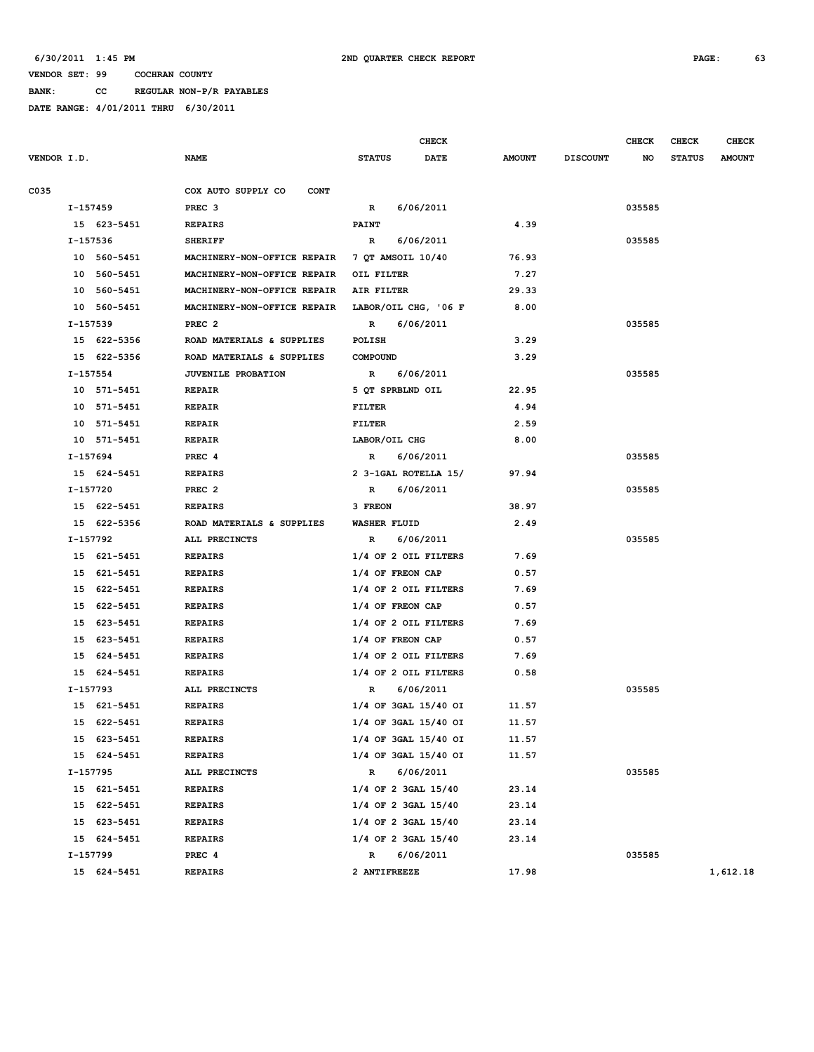**BANK: CC REGULAR NON-P/R PAYABLES**

|             |          |             |                                   |                     |             | CHECK                    |               |                 | <b>CHECK</b> | <b>CHECK</b>  | <b>CHECK</b>  |
|-------------|----------|-------------|-----------------------------------|---------------------|-------------|--------------------------|---------------|-----------------|--------------|---------------|---------------|
| VENDOR I.D. |          |             | NAME                              | <b>STATUS</b>       |             | DATE                     | <b>AMOUNT</b> | <b>DISCOUNT</b> | NO           | <b>STATUS</b> | <b>AMOUNT</b> |
| C035        |          |             | COX AUTO SUPPLY CO<br><b>CONT</b> |                     |             |                          |               |                 |              |               |               |
|             | I-157459 |             | PREC <sub>3</sub>                 | $\mathbb{R}$        |             | 6/06/2011                |               |                 | 035585       |               |               |
|             |          | 15 623-5451 | <b>REPAIRS</b>                    | <b>PAINT</b>        |             |                          | 4.39          |                 |              |               |               |
|             | I-157536 |             | <b>SHERIFF</b>                    | R                   |             | 6/06/2011                |               |                 | 035585       |               |               |
|             |          | 10 560-5451 | MACHINERY-NON-OFFICE REPAIR       | 7 QT AMSOIL 10/40   |             |                          | 76.93         |                 |              |               |               |
|             |          | 10 560-5451 | MACHINERY-NON-OFFICE REPAIR       | OIL FILTER          |             |                          | 7.27          |                 |              |               |               |
|             |          | 10 560-5451 | MACHINERY-NON-OFFICE REPAIR       | AIR FILTER          |             |                          | 29.33         |                 |              |               |               |
|             |          | 10 560-5451 | MACHINERY-NON-OFFICE REPAIR       |                     |             | LABOR/OIL CHG, '06 F     | 8.00          |                 |              |               |               |
|             | I-157539 |             | PREC <sub>2</sub>                 | $\mathbb{R}$        |             | 6/06/2011                |               |                 | 035585       |               |               |
|             |          | 15 622-5356 | ROAD MATERIALS & SUPPLIES         | POLISH              |             |                          | 3.29          |                 |              |               |               |
|             |          | 15 622-5356 | ROAD MATERIALS & SUPPLIES         | <b>COMPOUND</b>     |             |                          | 3.29          |                 |              |               |               |
|             | I-157554 |             | <b>JUVENILE PROBATION</b>         | R                   |             | 6/06/2011                |               |                 | 035585       |               |               |
|             |          | 10 571-5451 | <b>REPAIR</b>                     | 5 QT SPRBLND OIL    |             |                          | 22.95         |                 |              |               |               |
|             |          | 10 571-5451 | <b>REPAIR</b>                     | FILTER              |             |                          | 4.94          |                 |              |               |               |
|             |          | 10 571-5451 | <b>REPAIR</b>                     | <b>FILTER</b>       |             |                          | 2.59          |                 |              |               |               |
|             |          | 10 571-5451 | <b>REPAIR</b>                     | LABOR/OIL CHG       |             |                          | 8.00          |                 |              |               |               |
|             | I-157694 |             | PREC 4                            | $\mathbb{R}$        |             | 6/06/2011                |               |                 | 035585       |               |               |
|             |          | 15 624-5451 | <b>REPAIRS</b>                    |                     |             | 2 3-1GAL ROTELLA 15/     | 97.94         |                 |              |               |               |
|             | I-157720 |             | PREC <sub>2</sub>                 |                     | R 6/06/2011 |                          |               |                 | 035585       |               |               |
|             |          | 15 622-5451 | <b>REPAIRS</b>                    | 3 FREON             |             |                          | 38.97         |                 |              |               |               |
|             |          | 15 622-5356 | ROAD MATERIALS & SUPPLIES         | <b>WASHER FLUID</b> |             |                          | 2.49          |                 |              |               |               |
|             | I-157792 |             | ALL PRECINCTS                     | $\mathbb{R}$        |             | 6/06/2011                |               |                 | 035585       |               |               |
|             |          | 15 621-5451 | <b>REPAIRS</b>                    |                     |             | 1/4 OF 2 OIL FILTERS     | 7.69          |                 |              |               |               |
|             |          | 15 621-5451 | <b>REPAIRS</b>                    | 1/4 OF FREON CAP    |             |                          | 0.57          |                 |              |               |               |
|             |          | 15 622-5451 | <b>REPAIRS</b>                    |                     |             | 1/4 OF 2 OIL FILTERS     | 7.69          |                 |              |               |               |
|             |          | 15 622-5451 | <b>REPAIRS</b>                    | 1/4 OF FREON CAP    |             |                          | 0.57          |                 |              |               |               |
|             |          | 15 623-5451 | <b>REPAIRS</b>                    |                     |             | 1/4 OF 2 OIL FILTERS     | 7.69          |                 |              |               |               |
|             |          | 15 623-5451 | <b>REPAIRS</b>                    | 1/4 OF FREON CAP    |             |                          | 0.57          |                 |              |               |               |
|             |          | 15 624-5451 | <b>REPAIRS</b>                    |                     |             | 1/4 OF 2 OIL FILTERS     | 7.69          |                 |              |               |               |
|             |          | 15 624-5451 | <b>REPAIRS</b>                    |                     |             | 1/4 OF 2 OIL FILTERS     | 0.58          |                 |              |               |               |
|             |          | I-157793    | ALL PRECINCTS                     | R                   |             | 6/06/2011                |               |                 | 035585       |               |               |
|             |          | 15 621-5451 | <b>REPAIRS</b>                    |                     |             | $1/4$ OF 3GAL $15/40$ OI | 11.57         |                 |              |               |               |
|             |          | 15 622-5451 | <b>REPAIRS</b>                    |                     |             | 1/4 OF 3GAL 15/40 OI     | 11.57         |                 |              |               |               |
|             |          | 15 623-5451 | <b>REPAIRS</b>                    |                     |             | 1/4 OF 3GAL 15/40 OI     | 11.57         |                 |              |               |               |
|             |          | 15 624-5451 | <b>REPAIRS</b>                    |                     |             | 1/4 OF 3GAL 15/40 OI     | 11.57         |                 |              |               |               |
|             | I-157795 |             | ALL PRECINCTS                     | R                   |             | 6/06/2011                |               |                 | 035585       |               |               |
|             |          | 15 621-5451 | <b>REPAIRS</b>                    |                     |             | 1/4 OF 2 3GAL 15/40      | 23.14         |                 |              |               |               |
|             |          | 15 622-5451 | <b>REPAIRS</b>                    |                     |             | 1/4 OF 2 3GAL 15/40      | 23.14         |                 |              |               |               |
|             |          | 15 623-5451 | <b>REPAIRS</b>                    |                     |             | 1/4 OF 2 3GAL 15/40      | 23.14         |                 |              |               |               |
|             |          | 15 624-5451 | <b>REPAIRS</b>                    |                     |             | 1/4 OF 2 3GAL 15/40      | 23.14         |                 |              |               |               |
|             |          | I-157799    | PREC 4                            | R                   |             | 6/06/2011                |               |                 | 035585       |               |               |
|             |          | 15 624-5451 | <b>REPAIRS</b>                    | 2 ANTIFREEZE        |             |                          | 17.98         |                 |              |               | 1,612.18      |
|             |          |             |                                   |                     |             |                          |               |                 |              |               |               |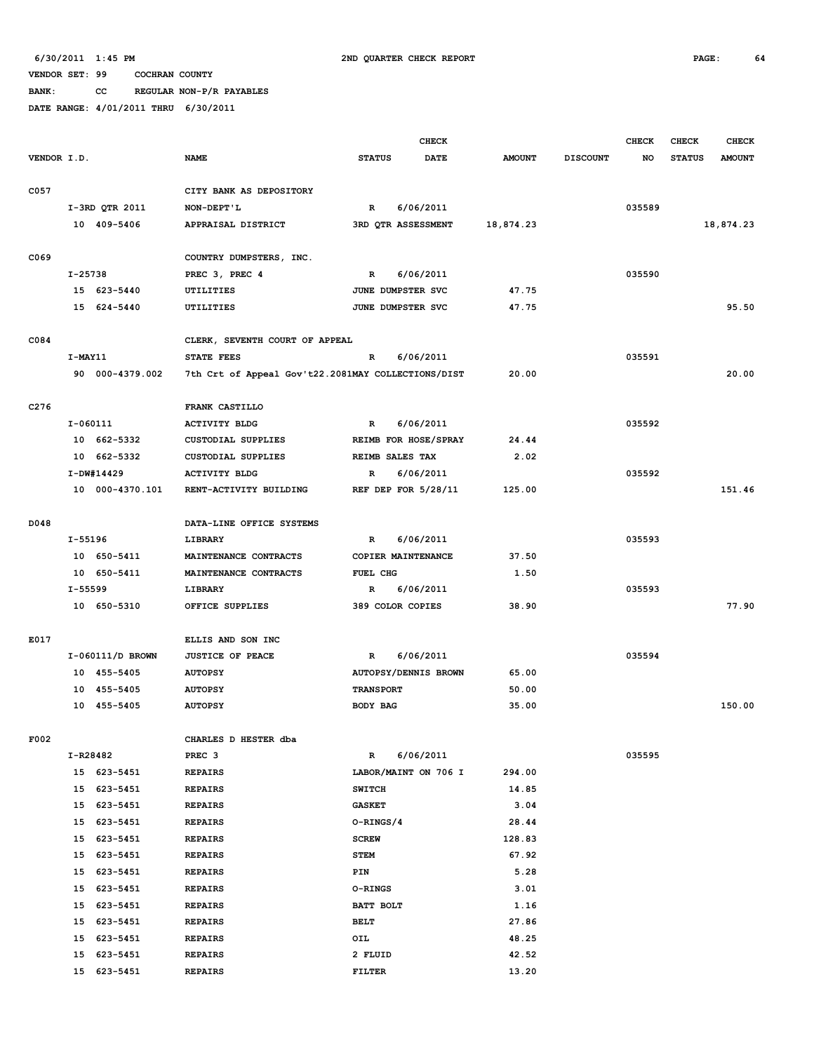**BANK: CC REGULAR NON-P/R PAYABLES**

|                  |             |                            |                                                    |                  | <b>CHECK</b>                           |                |                 | <b>CHECK</b> | <b>CHECK</b>  | <b>CHECK</b>  |
|------------------|-------------|----------------------------|----------------------------------------------------|------------------|----------------------------------------|----------------|-----------------|--------------|---------------|---------------|
| VENDOR I.D.      |             |                            | <b>NAME</b>                                        | <b>STATUS</b>    | <b>DATE</b>                            | <b>AMOUNT</b>  | <b>DISCOUNT</b> | NO           | <b>STATUS</b> | <b>AMOUNT</b> |
|                  |             |                            |                                                    |                  |                                        |                |                 |              |               |               |
| C057             |             |                            | CITY BANK AS DEPOSITORY                            |                  |                                        |                |                 |              |               |               |
|                  |             | I-3RD QTR 2011             | NON-DEPT'L                                         | $\mathbb{R}$     | 6/06/2011                              |                |                 | 035589       |               |               |
|                  |             | 10 409-5406                | APPRAISAL DISTRICT                                 |                  | 3RD QTR ASSESSMENT                     | 18,874.23      |                 |              |               | 18,874.23     |
|                  |             |                            |                                                    |                  |                                        |                |                 |              |               |               |
| C069             |             |                            | COUNTRY DUMPSTERS, INC.                            |                  |                                        |                |                 |              |               |               |
|                  | $I - 25738$ |                            | PREC 3, PREC 4                                     | $\mathbf{R}$     | 6/06/2011                              |                |                 | 035590       |               |               |
|                  |             | 15 623-5440<br>15 624-5440 | UTILITIES<br>UTILITIES                             |                  | JUNE DUMPSTER SVC<br>JUNE DUMPSTER SVC | 47.75<br>47.75 |                 |              |               | 95.50         |
|                  |             |                            |                                                    |                  |                                        |                |                 |              |               |               |
| C084             |             |                            | CLERK, SEVENTH COURT OF APPEAL                     |                  |                                        |                |                 |              |               |               |
|                  | I-MAY11     |                            | <b>STATE FEES</b>                                  | $\mathbb{R}$     | 6/06/2011                              |                |                 | 035591       |               |               |
|                  |             | 90 000-4379.002            | 7th Crt of Appeal Gov't22.2081MAY COLLECTIONS/DIST |                  |                                        | 20.00          |                 |              |               | 20.00         |
|                  |             |                            |                                                    |                  |                                        |                |                 |              |               |               |
| C <sub>276</sub> |             |                            | FRANK CASTILLO                                     |                  |                                        |                |                 |              |               |               |
|                  | I-060111    |                            | <b>ACTIVITY BLDG</b>                               | $\mathbf{R}$     | 6/06/2011                              |                |                 | 035592       |               |               |
|                  |             | 10 662-5332                | CUSTODIAL SUPPLIES                                 |                  | REIMB FOR HOSE/SPRAY                   | 24.44          |                 |              |               |               |
|                  |             | 10 662-5332                | CUSTODIAL SUPPLIES                                 |                  | REIMB SALES TAX                        | 2.02           |                 |              |               |               |
|                  |             | I-DW#14429                 | <b>ACTIVITY BLDG</b>                               | R                | 6/06/2011                              |                |                 | 035592       |               |               |
|                  |             | 10 000-4370.101            | RENT-ACTIVITY BUILDING                             |                  | REF DEP FOR 5/28/11                    | 125.00         |                 |              |               | 151.46        |
|                  |             |                            |                                                    |                  |                                        |                |                 |              |               |               |
| D048             |             |                            | DATA-LINE OFFICE SYSTEMS                           |                  |                                        |                |                 |              |               |               |
|                  | I-55196     |                            | <b>LIBRARY</b>                                     | $\mathbb{R}$     | 6/06/2011                              |                |                 | 035593       |               |               |
|                  |             | 10 650-5411                | MAINTENANCE CONTRACTS                              |                  | COPIER MAINTENANCE                     | 37.50          |                 |              |               |               |
|                  |             | 10 650-5411                | MAINTENANCE CONTRACTS                              | FUEL CHG         |                                        | 1.50           |                 |              |               |               |
|                  | I-55599     |                            | <b>LIBRARY</b>                                     | $\mathbb{R}$     | 6/06/2011                              |                |                 | 035593       |               |               |
|                  |             | 10 650-5310                | OFFICE SUPPLIES                                    |                  | 389 COLOR COPIES                       | 38.90          |                 |              |               | 77.90         |
| E017             |             |                            | ELLIS AND SON INC                                  |                  |                                        |                |                 |              |               |               |
|                  |             | I-060111/D BROWN           | <b>JUSTICE OF PEACE</b>                            | $\mathbb{R}$     | 6/06/2011                              |                |                 | 035594       |               |               |
|                  |             | 10 455-5405                | <b>AUTOPSY</b>                                     |                  | <b>AUTOPSY/DENNIS BROWN</b>            | 65.00          |                 |              |               |               |
|                  |             | 10 455-5405                | <b>AUTOPSY</b>                                     | <b>TRANSPORT</b> |                                        | 50.00          |                 |              |               |               |
|                  |             | 10 455-5405                | <b>AUTOPSY</b>                                     | BODY BAG         |                                        | 35.00          |                 |              |               | 150.00        |
|                  |             |                            |                                                    |                  |                                        |                |                 |              |               |               |
| F002             |             |                            | CHARLES D HESTER dba                               |                  |                                        |                |                 |              |               |               |
|                  | I-R28482    |                            | PREC <sub>3</sub>                                  | $\mathbb R$      | 6/06/2011                              |                |                 | 035595       |               |               |
|                  |             | 15 623-5451                | <b>REPAIRS</b>                                     |                  | LABOR/MAINT ON 706 I                   | 294.00         |                 |              |               |               |
|                  |             | 15 623-5451                | <b>REPAIRS</b>                                     | <b>SWITCH</b>    |                                        | 14.85          |                 |              |               |               |
|                  |             | 15 623-5451                | <b>REPAIRS</b>                                     | <b>GASKET</b>    |                                        | 3.04           |                 |              |               |               |
|                  |             | 15 623-5451                | <b>REPAIRS</b>                                     | O-RINGS/4        |                                        | 28.44          |                 |              |               |               |
|                  |             | 15 623-5451                | <b>REPAIRS</b>                                     | <b>SCREW</b>     |                                        | 128.83         |                 |              |               |               |
|                  | 15          | 623-5451                   | <b>REPAIRS</b>                                     | <b>STEM</b>      |                                        | 67.92          |                 |              |               |               |
|                  | 15          | 623-5451                   | <b>REPAIRS</b>                                     | PIN              |                                        | 5.28           |                 |              |               |               |
|                  | 15          | 623-5451                   | <b>REPAIRS</b>                                     | <b>O-RINGS</b>   |                                        | 3.01           |                 |              |               |               |
|                  | 15          | 623-5451                   | <b>REPAIRS</b>                                     | BATT BOLT        |                                        | 1.16           |                 |              |               |               |
|                  | 15          | 623-5451                   | <b>REPAIRS</b>                                     | <b>BELT</b>      |                                        | 27.86          |                 |              |               |               |
|                  | 15          | 623-5451                   | <b>REPAIRS</b>                                     | OIL              |                                        | 48.25          |                 |              |               |               |
|                  | 15          | 623-5451                   | <b>REPAIRS</b>                                     | 2 FLUID          |                                        | 42.52          |                 |              |               |               |
|                  | 15          | 623-5451                   | <b>REPAIRS</b>                                     | <b>FILTER</b>    |                                        | 13.20          |                 |              |               |               |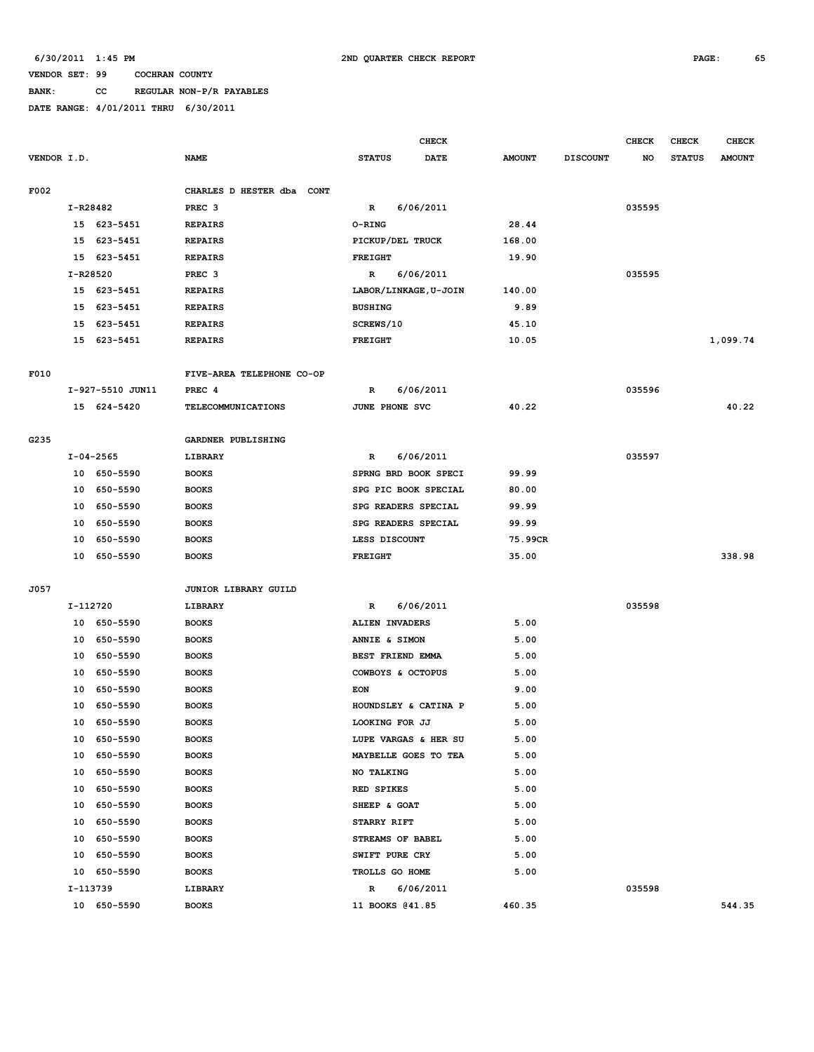# **BANK: CC REGULAR NON-P/R PAYABLES**

|             |          |                                 |                                     |                     | <b>CHECK</b>          |               |                 | <b>CHECK</b> | <b>CHECK</b>  | <b>CHECK</b>  |
|-------------|----------|---------------------------------|-------------------------------------|---------------------|-----------------------|---------------|-----------------|--------------|---------------|---------------|
| VENDOR I.D. |          |                                 | <b>NAME</b>                         | <b>STATUS</b>       | DATE                  | <b>AMOUNT</b> | <b>DISCOUNT</b> | NO           | <b>STATUS</b> | <b>AMOUNT</b> |
|             |          |                                 |                                     |                     |                       |               |                 |              |               |               |
| F002        |          |                                 | CHARLES D HESTER dba CONT           |                     |                       |               |                 |              |               |               |
|             | I-R28482 |                                 | PREC <sub>3</sub>                   | R                   | 6/06/2011             |               |                 | 035595       |               |               |
|             |          | 15 623-5451                     | <b>REPAIRS</b>                      | O-RING              |                       | 28.44         |                 |              |               |               |
|             | 15       | 623-5451                        | <b>REPAIRS</b>                      | PICKUP/DEL TRUCK    |                       | 168.00        |                 |              |               |               |
|             |          | 15 623-5451                     | <b>REPAIRS</b>                      | <b>FREIGHT</b>      |                       | 19.90         |                 |              |               |               |
|             | I-R28520 |                                 | PREC <sub>3</sub>                   | $\mathbb{R}$        | 6/06/2011             |               |                 | 035595       |               |               |
|             |          | 15 623-5451                     | <b>REPAIRS</b>                      |                     | LABOR/LINKAGE, U-JOIN | 140.00        |                 |              |               |               |
|             |          | 15 623-5451                     | <b>REPAIRS</b>                      | <b>BUSHING</b>      |                       | 9.89          |                 |              |               |               |
|             | 15       | 623-5451                        | <b>REPAIRS</b>                      | SCREWS/10           |                       | 45.10         |                 |              |               |               |
|             |          | 15 623-5451                     | <b>REPAIRS</b>                      | FREIGHT             |                       | 10.05         |                 |              |               | 1,099.74      |
|             |          |                                 |                                     |                     |                       |               |                 |              |               |               |
| F010        |          |                                 | FIVE-AREA TELEPHONE CO-OP<br>PREC 4 |                     |                       |               |                 | 035596       |               |               |
|             |          | I-927-5510 JUN11<br>15 624-5420 | <b>TELECOMMUNICATIONS</b>           | R<br>JUNE PHONE SVC | 6/06/2011             | 40.22         |                 |              |               | 40.22         |
|             |          |                                 |                                     |                     |                       |               |                 |              |               |               |
| G235        |          |                                 | GARDNER PUBLISHING                  |                     |                       |               |                 |              |               |               |
|             |          | $I - 04 - 2565$                 | LIBRARY                             | R                   | 6/06/2011             |               |                 | 035597       |               |               |
|             |          | 10 650-5590                     | <b>BOOKS</b>                        |                     | SPRNG BRD BOOK SPECI  | 99.99         |                 |              |               |               |
|             | 10       | 650-5590                        | <b>BOOKS</b>                        |                     | SPG PIC BOOK SPECIAL  | 80.00         |                 |              |               |               |
|             | 10       | 650-5590                        | <b>BOOKS</b>                        | SPG READERS SPECIAL |                       | 99.99         |                 |              |               |               |
|             | 10       | 650-5590                        | <b>BOOKS</b>                        | SPG READERS SPECIAL |                       | 99.99         |                 |              |               |               |
|             | 10       | 650-5590                        | <b>BOOKS</b>                        | LESS DISCOUNT       |                       | 75.99CR       |                 |              |               |               |
|             | 10       | 650-5590                        | <b>BOOKS</b>                        | <b>FREIGHT</b>      |                       | 35.00         |                 |              |               | 338.98        |
|             |          |                                 |                                     |                     |                       |               |                 |              |               |               |
| J057        |          |                                 | JUNIOR LIBRARY GUILD                |                     |                       |               |                 |              |               |               |
|             | I-112720 |                                 | LIBRARY                             | R                   | 6/06/2011             |               |                 | 035598       |               |               |
|             | 10       | 650-5590                        | <b>BOOKS</b>                        | ALIEN INVADERS      |                       | 5.00          |                 |              |               |               |
|             | 10       | 650-5590                        | <b>BOOKS</b>                        | ANNIE & SIMON       |                       | 5.00          |                 |              |               |               |
|             | 10       | 650-5590                        | <b>BOOKS</b>                        | BEST FRIEND EMMA    |                       | 5.00          |                 |              |               |               |
|             | 10       | 650-5590                        | <b>BOOKS</b>                        | COWBOYS & OCTOPUS   |                       | 5.00          |                 |              |               |               |
|             | 10       | 650-5590                        | <b>BOOKS</b>                        | <b>EON</b>          |                       | 9.00          |                 |              |               |               |
|             | 10       | 650-5590                        | <b>BOOKS</b>                        |                     | HOUNDSLEY & CATINA P  | 5.00          |                 |              |               |               |
|             | 10       | 650-5590                        | <b>BOOKS</b>                        | LOOKING FOR JJ      |                       | 5.00          |                 |              |               |               |
|             |          | 10 650-5590                     | <b>BOOKS</b>                        |                     | LUPE VARGAS & HER SU  | 5.00          |                 |              |               |               |
|             | 10       | 650-5590                        | <b>BOOKS</b>                        |                     | MAYBELLE GOES TO TEA  | 5.00          |                 |              |               |               |
|             | 10       | 650-5590                        | <b>BOOKS</b>                        | NO TALKING          |                       | 5.00          |                 |              |               |               |
|             | 10       | 650-5590                        | <b>BOOKS</b>                        | RED SPIKES          |                       | 5.00          |                 |              |               |               |
|             | 10       | 650-5590                        | <b>BOOKS</b>                        | SHEEP & GOAT        |                       | 5.00          |                 |              |               |               |
|             | 10       | 650-5590                        | <b>BOOKS</b>                        | STARRY RIFT         |                       | 5.00          |                 |              |               |               |
|             | 10       | 650-5590                        | <b>BOOKS</b>                        | STREAMS OF BABEL    |                       | 5.00          |                 |              |               |               |
|             | 10       | 650-5590                        | <b>BOOKS</b>                        | SWIFT PURE CRY      |                       | 5.00          |                 |              |               |               |
|             |          | 10 650-5590                     | <b>BOOKS</b>                        | TROLLS GO HOME      |                       | 5.00          |                 |              |               |               |
|             | I-113739 |                                 | LIBRARY                             | R                   | 6/06/2011             |               |                 | 035598       |               |               |
|             |          | 10 650-5590                     | <b>BOOKS</b>                        | 11 BOOKS @41.85     |                       | 460.35        |                 |              |               | 544.35        |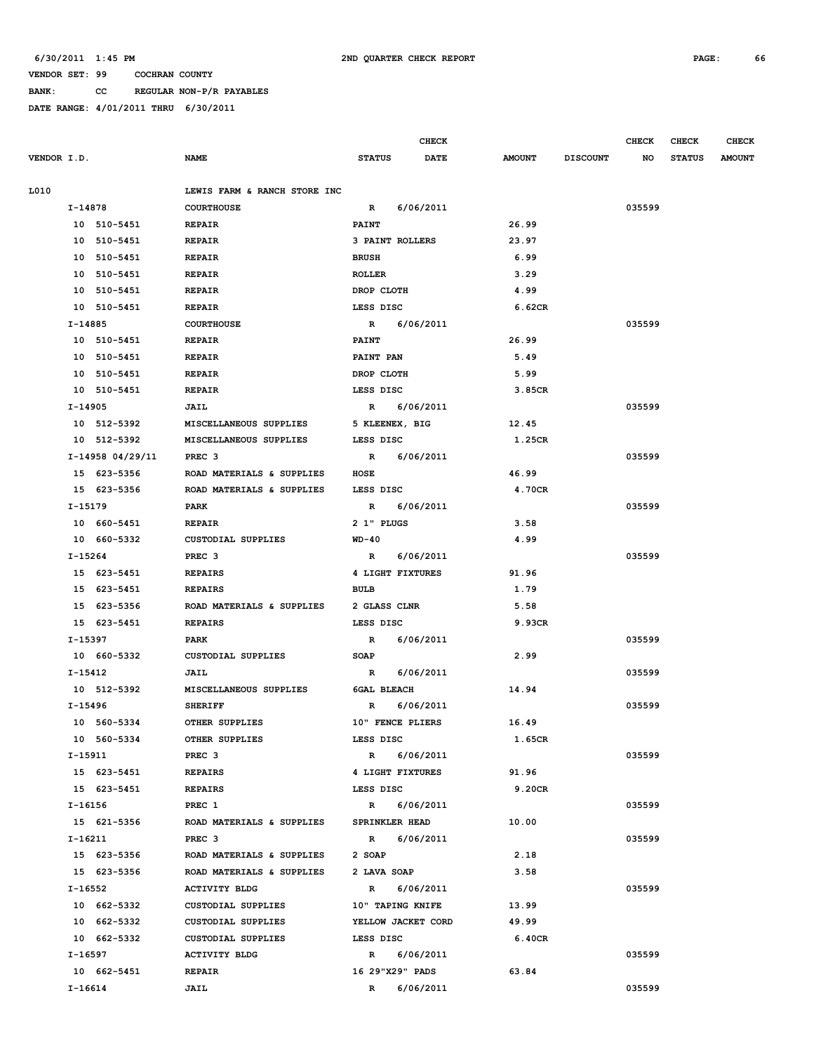# **BANK: CC REGULAR NON-P/R PAYABLES**

|             |           |                  |                                |                       | <b>CHECK</b>     |               |                 | <b>CHECK</b> | <b>CHECK</b>  | <b>CHECK</b>  |
|-------------|-----------|------------------|--------------------------------|-----------------------|------------------|---------------|-----------------|--------------|---------------|---------------|
| VENDOR I.D. |           |                  | <b>NAME</b>                    | <b>STATUS</b>         | <b>DATE</b>      | <b>AMOUNT</b> | <b>DISCOUNT</b> | NO           | <b>STATUS</b> | <b>AMOUNT</b> |
| L010        |           |                  | LEWIS FARM & RANCH STORE INC   |                       |                  |               |                 |              |               |               |
|             | I-14878   |                  | <b>COURTHOUSE</b>              | $\mathbb{R}$          | 6/06/2011        |               |                 | 035599       |               |               |
|             |           | 10 510-5451      | <b>REPAIR</b>                  | <b>PAINT</b>          |                  | 26.99         |                 |              |               |               |
|             |           | 10 510-5451      | <b>REPAIR</b>                  |                       | 3 PAINT ROLLERS  | 23.97         |                 |              |               |               |
|             |           | 10 510-5451      | <b>REPAIR</b>                  | <b>BRUSH</b>          |                  | 6.99          |                 |              |               |               |
|             |           | 10 510-5451      | <b>REPAIR</b>                  | <b>ROLLER</b>         |                  | 3.29          |                 |              |               |               |
|             |           | 10 510-5451      |                                | DROP CLOTH            |                  | 4.99          |                 |              |               |               |
|             |           | 10 510-5451      | <b>REPAIR</b><br><b>REPAIR</b> | LESS DISC             |                  | 6.62CR        |                 |              |               |               |
|             | I-14885   |                  | <b>COURTHOUSE</b>              | $\mathbb{R}$          |                  |               |                 | 035599       |               |               |
|             |           |                  |                                |                       | 6/06/2011        |               |                 |              |               |               |
|             |           | 10 510-5451      | <b>REPAIR</b>                  | <b>PAINT</b>          |                  | 26.99         |                 |              |               |               |
|             |           | 10 510-5451      | <b>REPAIR</b>                  | <b>PAINT PAN</b>      |                  | 5.49          |                 |              |               |               |
|             |           | 10 510-5451      | <b>REPAIR</b>                  | DROP CLOTH            |                  | 5.99          |                 |              |               |               |
|             |           | 10 510-5451      | <b>REPAIR</b>                  | LESS DISC             |                  | 3.85CR        |                 |              |               |               |
|             | $I-14905$ |                  | JAIL                           |                       | R 6/06/2011      |               |                 | 035599       |               |               |
|             |           | 10 512-5392      | MISCELLANEOUS SUPPLIES         |                       | 5 KLEENEX, BIG   | 12.45         |                 |              |               |               |
|             |           | 10 512-5392      | MISCELLANEOUS SUPPLIES         | LESS DISC             |                  | 1.25CR        |                 |              |               |               |
|             |           | I-14958 04/29/11 | PREC <sub>3</sub>              |                       | R 6/06/2011      |               |                 | 035599       |               |               |
|             |           | 15 623-5356      | ROAD MATERIALS & SUPPLIES      | HOSE                  |                  | 46.99         |                 |              |               |               |
|             |           | 15 623-5356      | ROAD MATERIALS & SUPPLIES      | LESS DISC             |                  | 4.70CR        |                 |              |               |               |
|             | I-15179   |                  | PARK                           | R                     | 6/06/2011        |               |                 | 035599       |               |               |
|             |           | 10 660-5451      | <b>REPAIR</b>                  | 2 1" PLUGS            |                  | 3.58          |                 |              |               |               |
|             |           | 10 660-5332      | CUSTODIAL SUPPLIES             | $WD-40$               |                  | 4.99          |                 |              |               |               |
|             | I-15264   |                  | PREC <sub>3</sub>              | R                     | 6/06/2011        |               |                 | 035599       |               |               |
|             |           | 15 623-5451      | <b>REPAIRS</b>                 |                       | 4 LIGHT FIXTURES | 91.96         |                 |              |               |               |
|             |           | 15 623-5451      | <b>REPAIRS</b>                 | <b>BULB</b>           |                  | 1.79          |                 |              |               |               |
|             |           | 15 623-5356      | ROAD MATERIALS & SUPPLIES      | 2 GLASS CLNR          |                  | 5.58          |                 |              |               |               |
|             |           | 15 623-5451      | <b>REPAIRS</b>                 | LESS DISC             |                  | 9.93CR        |                 |              |               |               |
|             | I-15397   |                  | PARK                           | $\mathbb{R}$          | 6/06/2011        |               |                 | 035599       |               |               |
|             |           | 10 660-5332      | CUSTODIAL SUPPLIES             | SOAP                  |                  | 2.99          |                 |              |               |               |
|             | I-15412   |                  | JAIL                           | $\mathbb{R}$          | 6/06/2011        |               |                 | 035599       |               |               |
|             |           | 10 512-5392      | MISCELLANEOUS SUPPLIES         | <b>6GAL BLEACH</b>    |                  | 14.94         |                 |              |               |               |
|             | I-15496   |                  | <b>SHERIFF</b>                 | R                     | 6/06/2011        |               |                 | 035599       |               |               |
|             |           | 10 560-5334      | OTHER SUPPLIES                 |                       | 10" FENCE PLIERS | 16.49         |                 |              |               |               |
|             |           | 10 560-5334      | OTHER SUPPLIES                 | LESS DISC             |                  | 1.65CR        |                 |              |               |               |
|             |           | I-15911          | PREC <sub>3</sub>              |                       | R 6/06/2011      |               |                 | 035599       |               |               |
|             |           | 15 623-5451      | <b>REPAIRS</b>                 |                       | 4 LIGHT FIXTURES | 91.96         |                 |              |               |               |
|             |           | 15 623-5451      | <b>REPAIRS</b>                 | LESS DISC             |                  | 9.20CR        |                 |              |               |               |
|             | I-16156   |                  | PREC 1                         |                       | R 6/06/2011      |               |                 | 035599       |               |               |
|             |           | 15 621-5356      | ROAD MATERIALS & SUPPLIES      | <b>SPRINKLER HEAD</b> |                  | 10.00         |                 |              |               |               |
|             | I-16211   |                  | PREC <sub>3</sub>              |                       | R 6/06/2011      |               |                 | 035599       |               |               |
|             |           | 15 623-5356      | ROAD MATERIALS & SUPPLIES      | 2 SOAP                |                  | 2.18          |                 |              |               |               |
|             |           | 15 623-5356      | ROAD MATERIALS & SUPPLIES      | 2 LAVA SOAP           |                  | 3.58          |                 |              |               |               |
|             |           | I-16552          | <b>ACTIVITY BLDG</b>           |                       | R 6/06/2011      |               |                 | 035599       |               |               |
|             |           | 10 662-5332      | CUSTODIAL SUPPLIES             | 10" TAPING KNIFE      |                  | 13.99         |                 |              |               |               |
|             |           | 10 662-5332      | CUSTODIAL SUPPLIES             | YELLOW JACKET CORD    |                  | 49.99         |                 |              |               |               |
|             |           | 10 662-5332      | CUSTODIAL SUPPLIES             | LESS DISC             |                  | 6.40CR        |                 |              |               |               |
|             |           | I-16597          | <b>ACTIVITY BLDG</b>           |                       | R 6/06/2011      |               |                 | 035599       |               |               |
|             |           | 10 662-5451      | <b>REPAIR</b>                  |                       | 16 29"X29" PADS  | 63.84         |                 |              |               |               |
|             | I-16614   |                  | JAIL                           | $\mathbb{R}$          | 6/06/2011        |               |                 | 035599       |               |               |
|             |           |                  |                                |                       |                  |               |                 |              |               |               |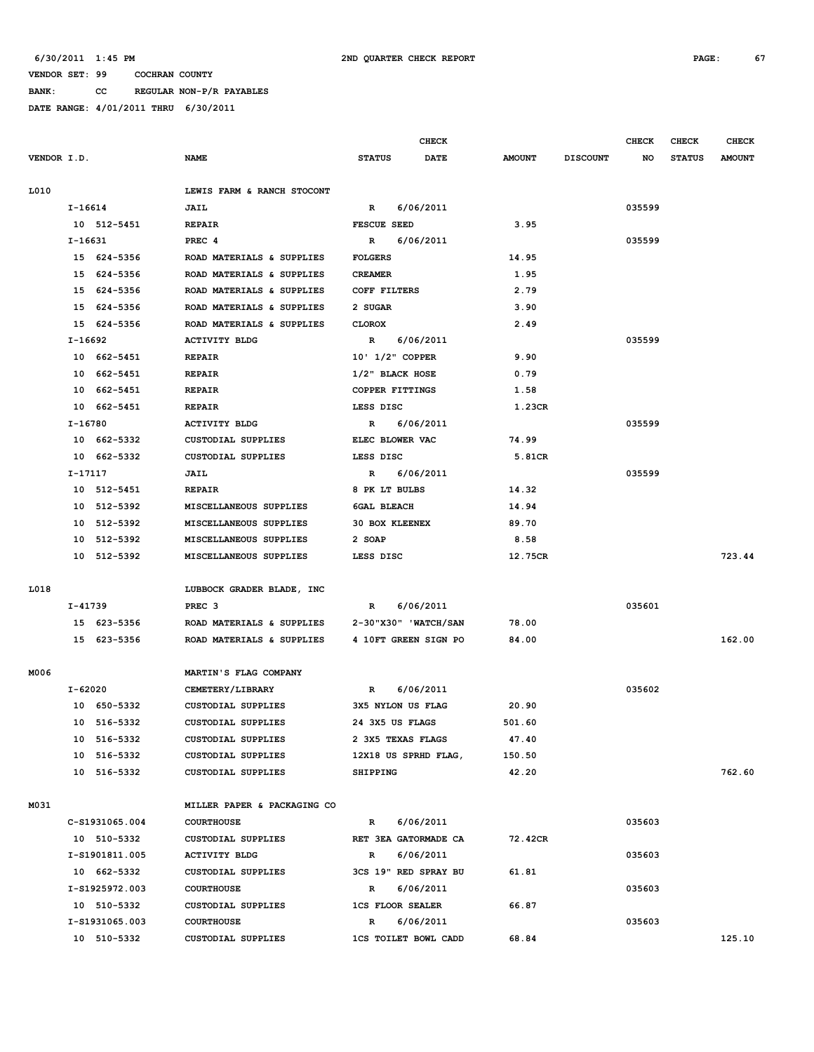**BANK: CC REGULAR NON-P/R PAYABLES**

|             |           |                |                             |                         | <b>CHECK</b>                |               |                 | <b>CHECK</b> | <b>CHECK</b>  | <b>CHECK</b>  |
|-------------|-----------|----------------|-----------------------------|-------------------------|-----------------------------|---------------|-----------------|--------------|---------------|---------------|
| VENDOR I.D. |           |                | <b>NAME</b>                 | <b>STATUS</b>           | <b>DATE</b>                 | <b>AMOUNT</b> | <b>DISCOUNT</b> | NO           | <b>STATUS</b> | <b>AMOUNT</b> |
| L010        |           |                | LEWIS FARM & RANCH STOCONT  |                         |                             |               |                 |              |               |               |
|             | I-16614   |                | JAIL                        | R                       | 6/06/2011                   |               |                 | 035599       |               |               |
|             |           | 10 512-5451    | <b>REPAIR</b>               | <b>FESCUE SEED</b>      |                             | 3.95          |                 |              |               |               |
|             | I-16631   |                | PREC <sub>4</sub>           | R                       | 6/06/2011                   |               |                 | 035599       |               |               |
|             |           | 15 624-5356    | ROAD MATERIALS & SUPPLIES   | <b>FOLGERS</b>          |                             | 14.95         |                 |              |               |               |
|             |           | 15 624-5356    | ROAD MATERIALS & SUPPLIES   | <b>CREAMER</b>          |                             | 1.95          |                 |              |               |               |
|             |           | 15 624-5356    | ROAD MATERIALS & SUPPLIES   | COFF FILTERS            |                             | 2.79          |                 |              |               |               |
|             |           | 15 624-5356    | ROAD MATERIALS & SUPPLIES   | 2 SUGAR                 |                             | 3.90          |                 |              |               |               |
|             |           | 15 624-5356    | ROAD MATERIALS & SUPPLIES   | <b>CLOROX</b>           |                             | 2.49          |                 |              |               |               |
|             | $I-16692$ |                | <b>ACTIVITY BLDG</b>        | $\mathbb{R}$            | 6/06/2011                   |               |                 | 035599       |               |               |
|             |           | 10 662-5451    | <b>REPAIR</b>               | 10' 1/2" COPPER         |                             | 9.90          |                 |              |               |               |
|             |           | 10 662-5451    | <b>REPAIR</b>               | 1/2" BLACK HOSE         |                             | 0.79          |                 |              |               |               |
|             |           | 10 662-5451    | <b>REPAIR</b>               | COPPER FITTINGS         |                             | 1.58          |                 |              |               |               |
|             |           | 10 662-5451    | <b>REPAIR</b>               | LESS DISC               |                             | 1.23CR        |                 |              |               |               |
|             | I-16780   |                | <b>ACTIVITY BLDG</b>        | $\mathbb{R}$            | 6/06/2011                   |               |                 | 035599       |               |               |
|             |           | 10 662-5332    | CUSTODIAL SUPPLIES          | ELEC BLOWER VAC         |                             | 74.99         |                 |              |               |               |
|             |           | 10 662-5332    | <b>CUSTODIAL SUPPLIES</b>   | LESS DISC               |                             | 5.81CR        |                 |              |               |               |
|             | $I-17117$ |                | JAIL                        | R                       | 6/06/2011                   |               |                 | 035599       |               |               |
|             |           | 10 512-5451    | <b>REPAIR</b>               | 8 PK LT BULBS           |                             | 14.32         |                 |              |               |               |
|             |           | 10 512-5392    | MISCELLANEOUS SUPPLIES      | <b>6GAL BLEACH</b>      |                             | 14.94         |                 |              |               |               |
|             |           | 10 512-5392    | MISCELLANEOUS SUPPLIES      | <b>30 BOX KLEENEX</b>   |                             | 89.70         |                 |              |               |               |
|             |           | 10 512-5392    | MISCELLANEOUS SUPPLIES      | 2 SOAP                  |                             | 8.58          |                 |              |               |               |
|             |           | 10 512-5392    | MISCELLANEOUS SUPPLIES      | LESS DISC               |                             | 12.75CR       |                 |              |               | 723.44        |
| L018        |           |                | LUBBOCK GRADER BLADE, INC   |                         |                             |               |                 |              |               |               |
|             | I-41739   |                | PREC <sub>3</sub>           | R                       | 6/06/2011                   |               |                 | 035601       |               |               |
|             |           | 15 623-5356    | ROAD MATERIALS & SUPPLIES   |                         | 2-30"X30" 'WATCH/SAN        | 78.00         |                 |              |               |               |
|             |           | 15 623-5356    | ROAD MATERIALS & SUPPLIES   |                         | 4 10FT GREEN SIGN PO        | 84.00         |                 |              |               | 162.00        |
| M006        |           |                | MARTIN'S FLAG COMPANY       |                         |                             |               |                 |              |               |               |
|             | I-62020   |                | CEMETERY/LIBRARY            | R                       | 6/06/2011                   |               |                 | 035602       |               |               |
|             |           | 10 650-5332    | <b>CUSTODIAL SUPPLIES</b>   | 3X5 NYLON US FLAG       |                             | 20.90         |                 |              |               |               |
|             |           | 10 516-5332    | <b>CUSTODIAL SUPPLIES</b>   | 24 3X5 US FLAGS         |                             | 501.60        |                 |              |               |               |
|             |           | 10 516-5332    | CUSTODIAL SUPPLIES          | 2 3X5 TEXAS FLAGS       |                             | 47.40         |                 |              |               |               |
|             |           | 10 516-5332    | CUSTODIAL SUPPLIES          |                         | 12X18 US SPRHD FLAG,        | 150.50        |                 |              |               |               |
|             |           | 10 516-5332    | CUSTODIAL SUPPLIES          | SHIPPING                |                             | 42.20         |                 |              |               | 762.60        |
| M031        |           |                | MILLER PAPER & PACKAGING CO |                         |                             |               |                 |              |               |               |
|             |           | C-S1931065.004 | <b>COURTHOUSE</b>           | $\mathbb{R}$            | 6/06/2011                   |               |                 | 035603       |               |               |
|             |           | 10 510-5332    | CUSTODIAL SUPPLIES          |                         | RET 3EA GATORMADE CA        | 72.42CR       |                 |              |               |               |
|             |           | I-S1901811.005 | <b>ACTIVITY BLDG</b>        | R                       | 6/06/2011                   |               |                 | 035603       |               |               |
|             |           | 10 662-5332    | CUSTODIAL SUPPLIES          |                         | 3CS 19" RED SPRAY BU        | 61.81         |                 |              |               |               |
|             |           | I-S1925972.003 | <b>COURTHOUSE</b>           | R                       | 6/06/2011                   |               |                 | 035603       |               |               |
|             |           | 10 510-5332    | CUSTODIAL SUPPLIES          | <b>1CS FLOOR SEALER</b> |                             | 66.87         |                 |              |               |               |
|             |           | I-S1931065.003 | <b>COURTHOUSE</b>           | R                       | 6/06/2011                   |               |                 | 035603       |               |               |
|             |           | 10 510-5332    | CUSTODIAL SUPPLIES          |                         | <b>1CS TOILET BOWL CADD</b> | 68.84         |                 |              |               | 125.10        |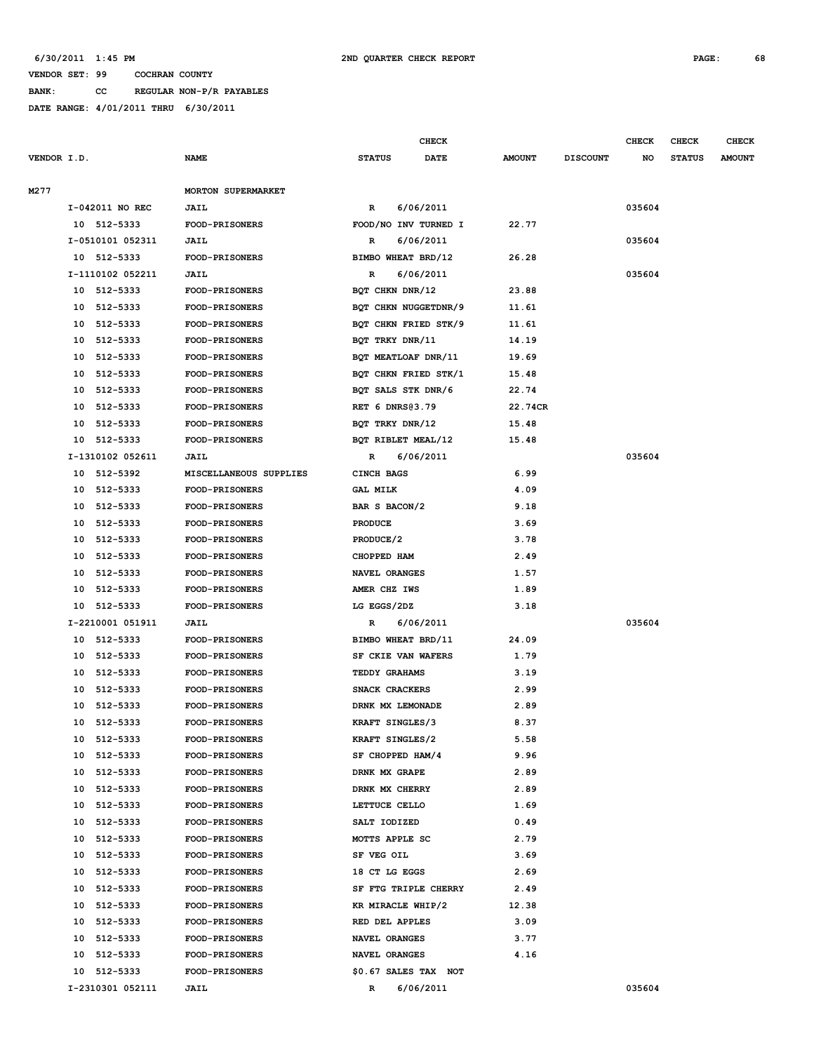**BANK: CC REGULAR NON-P/R PAYABLES**

**DATE RANGE: 4/01/2011 THRU 6/30/2011**

**CHECK CHECK CHECK CHECK** 

| <b>VENDOR I.D.</b> |          |                      | <b>NAME</b>            | <b>STATUS</b>                     | DATE                 | <b>AMOUNT</b> | <b>DISCOUNT</b> | NO     | <b>STATUS</b> | <b>AMOUNT</b> |
|--------------------|----------|----------------------|------------------------|-----------------------------------|----------------------|---------------|-----------------|--------|---------------|---------------|
| M277               |          |                      | MORTON SUPERMARKET     |                                   |                      |               |                 |        |               |               |
|                    |          | I-042011 NO REC      | JAIL                   | R                                 | 6/06/2011            |               |                 | 035604 |               |               |
|                    |          | 10 512-5333          | <b>FOOD-PRISONERS</b>  |                                   | FOOD/NO INV TURNED I | 22.77         |                 |        |               |               |
|                    |          | I-0510101 052311     | JAIL                   | R                                 | 6/06/2011            |               |                 | 035604 |               |               |
|                    |          | 10 512-5333          | <b>FOOD-PRISONERS</b>  | BIMBO WHEAT BRD/12                |                      | 26.28         |                 |        |               |               |
|                    |          | I-1110102 052211     | <b>JAIL</b>            | R                                 | 6/06/2011            |               |                 | 035604 |               |               |
|                    |          | 10 512-5333          | <b>FOOD-PRISONERS</b>  | BQT CHKN DNR/12                   |                      | 23.88         |                 |        |               |               |
|                    |          | 10 512-5333          | FOOD-PRISONERS         |                                   | BQT CHKN NUGGETDNR/9 | 11.61         |                 |        |               |               |
|                    |          | 10 512-5333          | <b>FOOD-PRISONERS</b>  |                                   | BQT CHKN FRIED STK/9 | 11.61         |                 |        |               |               |
|                    |          | 10 512-5333          | FOOD-PRISONERS         | BQT TRKY DNR/11                   |                      | 14.19         |                 |        |               |               |
|                    | 10       | 512-5333             | FOOD-PRISONERS         | BQT MEATLOAF DNR/11               |                      | 19.69         |                 |        |               |               |
|                    | 10       | 512-5333             | <b>FOOD-PRISONERS</b>  |                                   | BQT CHKN FRIED STK/1 | 15.48         |                 |        |               |               |
|                    | 10       | 512-5333             | <b>FOOD-PRISONERS</b>  | BQT SALS STK DNR/6                |                      | 22.74         |                 |        |               |               |
|                    | 10       | 512-5333             | FOOD-PRISONERS         | RET 6 DNRS@3.79                   |                      | 22.74CR       |                 |        |               |               |
|                    |          | 10 512-5333          | <b>FOOD-PRISONERS</b>  | BOT TRKY DNR/12                   |                      | 15.48         |                 |        |               |               |
|                    |          | 10 512-5333          | <b>FOOD-PRISONERS</b>  | BOT RIBLET MEAL/12                |                      | 15.48         |                 |        |               |               |
|                    |          | I-1310102 052611     | <b>JAIL</b>            | R                                 | 6/06/2011            |               |                 | 035604 |               |               |
|                    |          | 10 512-5392          | MISCELLANEOUS SUPPLIES | CINCH BAGS                        |                      | 6.99          |                 |        |               |               |
|                    |          | 10 512-5333          | <b>FOOD-PRISONERS</b>  | <b>GAL MILK</b>                   |                      | 4.09          |                 |        |               |               |
|                    |          | 10 512-5333          | FOOD-PRISONERS         | BAR S BACON/2                     |                      | 9.18          |                 |        |               |               |
|                    | 10       | 512-5333             | <b>FOOD-PRISONERS</b>  | <b>PRODUCE</b>                    |                      | 3.69          |                 |        |               |               |
|                    | 10       | 512-5333             | FOOD-PRISONERS         | PRODUCE/2                         |                      | 3.78          |                 |        |               |               |
|                    | 10       | 512-5333             | FOOD-PRISONERS         | CHOPPED HAM                       |                      | 2.49          |                 |        |               |               |
|                    | 10       | 512-5333             | <b>FOOD-PRISONERS</b>  | NAVEL ORANGES                     |                      | 1.57          |                 |        |               |               |
|                    | 10       | 512-5333             | <b>FOOD-PRISONERS</b>  | AMER CHZ IWS                      |                      | 1.89          |                 |        |               |               |
|                    |          | 10 512-5333          | FOOD-PRISONERS         | LG EGGS/2DZ                       |                      | 3.18          |                 |        |               |               |
|                    |          | I-2210001 051911     | JAIL                   | R                                 | 6/06/2011            |               |                 | 035604 |               |               |
|                    |          | 10 512-5333          | <b>FOOD-PRISONERS</b>  | BIMBO WHEAT BRD/11                |                      | 24.09         |                 |        |               |               |
|                    |          | 10 512-5333          | FOOD-PRISONERS         | SF CKIE VAN WAFERS                |                      | 1.79          |                 |        |               |               |
|                    |          | 10 512-5333          | <b>FOOD-PRISONERS</b>  | TEDDY GRAHAMS                     |                      | 3.19          |                 |        |               |               |
|                    |          | 10 512-5333          | <b>FOOD-PRISONERS</b>  | SNACK CRACKERS                    |                      | 2.99          |                 |        |               |               |
|                    |          | 10 512-5333          | <b>FOOD-PRISONERS</b>  | DRNK MX LEMONADE                  |                      | 2.89          |                 |        |               |               |
|                    | 10       | 512-5333             | <b>FOOD-PRISONERS</b>  | KRAFT SINGLES/3                   |                      | 8.37          |                 |        |               |               |
|                    |          | 10 512-5333          | <b>FOOD-PRISONERS</b>  | KRAFT SINGLES/2                   |                      | 5.58          |                 |        |               |               |
|                    |          |                      | <b>FOOD-PRISONERS</b>  |                                   |                      | 9.96          |                 |        |               |               |
|                    | 10<br>10 | 512-5333<br>512-5333 | <b>FOOD-PRISONERS</b>  | SF CHOPPED HAM/4<br>DRNK MX GRAPE |                      | 2.89          |                 |        |               |               |
|                    |          |                      | FOOD-PRISONERS         |                                   |                      |               |                 |        |               |               |
|                    |          | 10 512-5333          |                        | DRNK MX CHERRY                    |                      | 2.89          |                 |        |               |               |
|                    |          | 10 512-5333          | FOOD-PRISONERS         | LETTUCE CELLO                     |                      | 1.69          |                 |        |               |               |
|                    |          | 10 512-5333          | <b>FOOD-PRISONERS</b>  | SALT IODIZED                      |                      | 0.49          |                 |        |               |               |
|                    |          | 10 512-5333          | <b>FOOD-PRISONERS</b>  | MOTTS APPLE SC                    |                      | 2.79          |                 |        |               |               |
|                    |          | 10 512-5333          | FOOD-PRISONERS         | SF VEG OIL                        |                      | 3.69          |                 |        |               |               |
|                    |          | 10 512-5333          | <b>FOOD-PRISONERS</b>  | 18 CT LG EGGS                     |                      | 2.69          |                 |        |               |               |
|                    |          | 10 512-5333          | <b>FOOD-PRISONERS</b>  |                                   | SF FTG TRIPLE CHERRY | 2.49          |                 |        |               |               |
|                    |          | 10 512-5333          | FOOD-PRISONERS         | KR MIRACLE WHIP/2                 |                      | 12.38         |                 |        |               |               |
|                    |          | 10 512-5333          | <b>FOOD-PRISONERS</b>  | RED DEL APPLES                    |                      | 3.09          |                 |        |               |               |
|                    |          | 10 512-5333          | <b>FOOD-PRISONERS</b>  | NAVEL ORANGES                     |                      | 3.77          |                 |        |               |               |
|                    | 10       | 512-5333             | <b>FOOD-PRISONERS</b>  | NAVEL ORANGES                     |                      | 4.16          |                 |        |               |               |
|                    |          | 10 512-5333          | <b>FOOD-PRISONERS</b>  |                                   | \$0.67 SALES TAX NOT |               |                 |        |               |               |
|                    |          | I-2310301 052111     | <b>JAIL</b>            | $\mathbb{R}$                      | 6/06/2011            |               |                 | 035604 |               |               |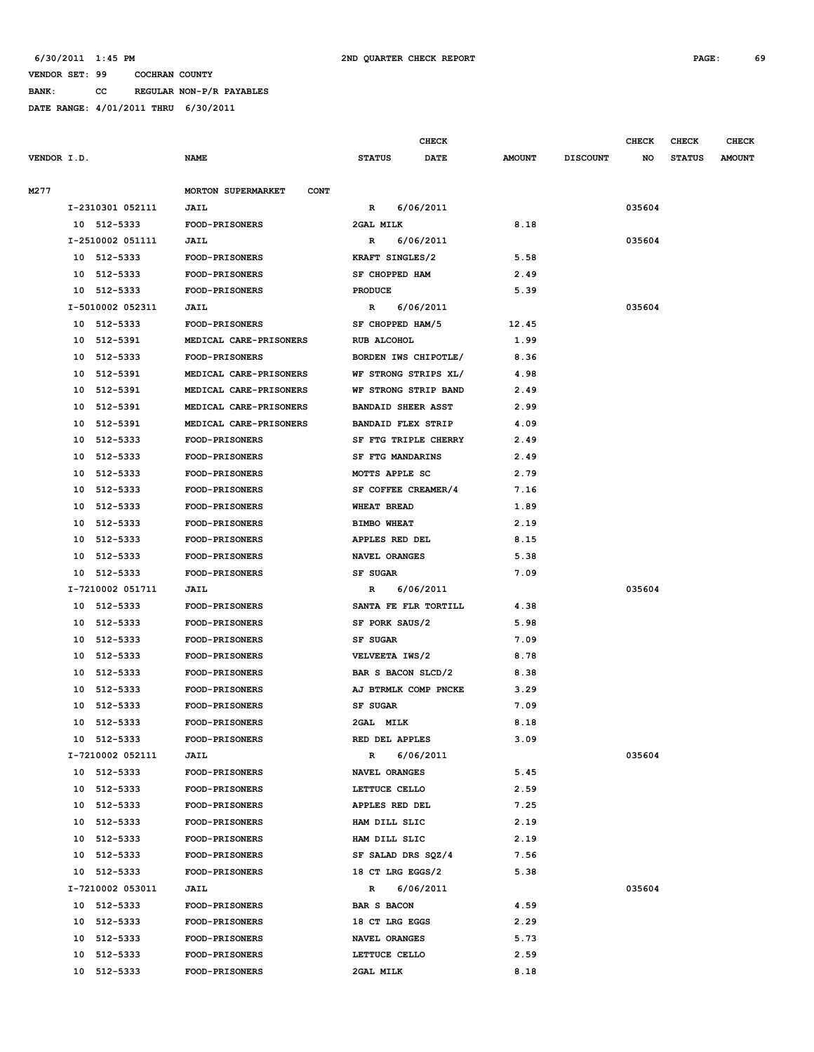### **6/30/2011 1:45 PM 2ND QUARTER CHECK REPORT PAGE: 69**

**VENDOR SET: 99 COCHRAN COUNTY BANK: CC REGULAR NON-P/R PAYABLES**

|             |    |                  |                                          |                           | CHECK                |               |                 | <b>CHECK</b> | <b>CHECK</b>  | <b>CHECK</b>  |
|-------------|----|------------------|------------------------------------------|---------------------------|----------------------|---------------|-----------------|--------------|---------------|---------------|
| VENDOR I.D. |    |                  | <b>NAME</b>                              | <b>STATUS</b>             | <b>DATE</b>          | <b>AMOUNT</b> | <b>DISCOUNT</b> | NO           | <b>STATUS</b> | <b>AMOUNT</b> |
| M277        |    |                  | <b>MORTON SUPERMARKET</b><br><b>CONT</b> |                           |                      |               |                 |              |               |               |
|             |    | I-2310301 052111 | <b>JAIL</b>                              | R                         | 6/06/2011            |               |                 | 035604       |               |               |
|             |    | 10 512-5333      | <b>FOOD-PRISONERS</b>                    | 2GAL MILK                 |                      | 8.18          |                 |              |               |               |
|             |    | I-2510002 051111 | <b>JAIL</b>                              | R                         | 6/06/2011            |               |                 | 035604       |               |               |
|             |    | 10 512-5333      | <b>FOOD-PRISONERS</b>                    | KRAFT SINGLES/2           |                      | 5.58          |                 |              |               |               |
|             |    | 10 512-5333      | <b>FOOD-PRISONERS</b>                    | SF CHOPPED HAM            |                      | 2.49          |                 |              |               |               |
|             |    | 10 512-5333      | FOOD-PRISONERS                           | <b>PRODUCE</b>            |                      | 5.39          |                 |              |               |               |
|             |    | I-5010002 052311 | JAIL                                     | R                         | 6/06/2011            |               |                 | 035604       |               |               |
|             |    | 10 512-5333      | <b>FOOD-PRISONERS</b>                    | SF CHOPPED HAM/5          |                      | 12.45         |                 |              |               |               |
|             | 10 | 512-5391         | MEDICAL CARE-PRISONERS                   | RUB ALCOHOL               |                      | 1.99          |                 |              |               |               |
|             | 10 | 512-5333         | <b>FOOD-PRISONERS</b>                    |                           | BORDEN IWS CHIPOTLE/ | 8.36          |                 |              |               |               |
|             | 10 | 512-5391         | MEDICAL CARE-PRISONERS                   |                           | WF STRONG STRIPS XL/ | 4.98          |                 |              |               |               |
|             | 10 | 512-5391         | MEDICAL CARE-PRISONERS                   | WF STRONG STRIP BAND      |                      | 2.49          |                 |              |               |               |
|             | 10 | 512-5391         | MEDICAL CARE-PRISONERS                   | <b>BANDAID SHEER ASST</b> |                      | 2.99          |                 |              |               |               |
|             | 10 | 512-5391         | MEDICAL CARE-PRISONERS                   | <b>BANDAID FLEX STRIP</b> |                      | 4.09          |                 |              |               |               |
|             | 10 | 512-5333         | FOOD-PRISONERS                           |                           | SF FTG TRIPLE CHERRY | 2.49          |                 |              |               |               |
|             | 10 | 512-5333         | <b>FOOD-PRISONERS</b>                    | SF FTG MANDARINS          |                      | 2.49          |                 |              |               |               |
|             | 10 | 512-5333         | <b>FOOD-PRISONERS</b>                    | MOTTS APPLE SC            |                      | 2.79          |                 |              |               |               |
|             | 10 | 512-5333         | FOOD-PRISONERS                           | SF COFFEE CREAMER/4       |                      | 7.16          |                 |              |               |               |
|             | 10 | 512-5333         | <b>FOOD-PRISONERS</b>                    | <b>WHEAT BREAD</b>        |                      | 1.89          |                 |              |               |               |
|             | 10 | 512-5333         | <b>FOOD-PRISONERS</b>                    | <b>BIMBO WHEAT</b>        |                      | 2.19          |                 |              |               |               |
|             | 10 | 512-5333         | <b>FOOD-PRISONERS</b>                    | APPLES RED DEL            |                      | 8.15          |                 |              |               |               |
|             | 10 | 512-5333         | <b>FOOD-PRISONERS</b>                    | NAVEL ORANGES             |                      | 5.38          |                 |              |               |               |
|             | 10 | 512-5333         | <b>FOOD-PRISONERS</b>                    | SF SUGAR                  |                      | 7.09          |                 |              |               |               |
|             |    | I-7210002 051711 | <b>JAIL</b>                              | R                         | 6/06/2011            |               |                 | 035604       |               |               |
|             |    | 10 512-5333      | <b>FOOD-PRISONERS</b>                    |                           | SANTA FE FLR TORTILL | 4.38          |                 |              |               |               |
|             |    | 10 512-5333      | FOOD-PRISONERS                           | SF PORK SAUS/2            |                      | 5.98          |                 |              |               |               |
|             | 10 | 512-5333         | <b>FOOD-PRISONERS</b>                    | SF SUGAR                  |                      | 7.09          |                 |              |               |               |
|             | 10 | 512-5333         | <b>FOOD-PRISONERS</b>                    | VELVEETA IWS/2            |                      | 8.78          |                 |              |               |               |
|             | 10 | 512-5333         | <b>FOOD-PRISONERS</b>                    | BAR S BACON SLCD/2        |                      | 8.38          |                 |              |               |               |
|             | 10 | 512-5333         | <b>FOOD-PRISONERS</b>                    | AJ BTRMLK COMP PNCKE      |                      | 3.29          |                 |              |               |               |
|             | 10 | 512-5333         | <b>FOOD-PRISONERS</b>                    | SF SUGAR                  |                      | 7.09          |                 |              |               |               |
|             |    | 10 512-5333      | <b>FOOD-PRISONERS</b>                    | 2GAL MILK                 |                      | 8.18          |                 |              |               |               |
|             |    | 10 512-5333      | <b>FOOD-PRISONERS</b>                    | RED DEL APPLES            |                      | 3.09          |                 |              |               |               |
|             |    | I-7210002 052111 | <b>JAIL</b>                              | R                         | 6/06/2011            |               |                 | 035604       |               |               |
|             |    | 10 512-5333      | <b>FOOD-PRISONERS</b>                    | NAVEL ORANGES             |                      | 5.45          |                 |              |               |               |
|             |    | 10 512-5333      | <b>FOOD-PRISONERS</b>                    | LETTUCE CELLO             |                      | 2.59          |                 |              |               |               |
|             |    | 10 512-5333      | <b>FOOD-PRISONERS</b>                    | APPLES RED DEL            |                      | 7.25          |                 |              |               |               |
|             |    | 10 512-5333      | <b>FOOD-PRISONERS</b>                    | HAM DILL SLIC             |                      | 2.19          |                 |              |               |               |
|             |    | 10 512-5333      | <b>FOOD-PRISONERS</b>                    | HAM DILL SLIC             |                      | 2.19          |                 |              |               |               |
|             |    | 10 512-5333      | <b>FOOD-PRISONERS</b>                    | SF SALAD DRS SQZ/4        |                      | 7.56          |                 |              |               |               |
|             |    | 10 512-5333      | <b>FOOD-PRISONERS</b>                    | 18 CT LRG EGGS/2          |                      | 5.38          |                 |              |               |               |
|             |    | I-7210002 053011 | <b>JAIL</b>                              | $\mathbb{R}$              | 6/06/2011            |               |                 | 035604       |               |               |
|             |    | 10 512-5333      | <b>FOOD-PRISONERS</b>                    | BAR S BACON               |                      | 4.59          |                 |              |               |               |
|             |    | 10 512-5333      | FOOD-PRISONERS                           | 18 CT LRG EGGS            |                      | 2.29          |                 |              |               |               |
|             |    | 10 512-5333      | <b>FOOD-PRISONERS</b>                    | NAVEL ORANGES             |                      | 5.73          |                 |              |               |               |
|             |    | 10 512-5333      | <b>FOOD-PRISONERS</b>                    | LETTUCE CELLO             |                      | 2.59          |                 |              |               |               |
|             |    | 10 512-5333      | <b>FOOD-PRISONERS</b>                    | 2GAL MILK                 |                      | 8.18          |                 |              |               |               |
|             |    |                  |                                          |                           |                      |               |                 |              |               |               |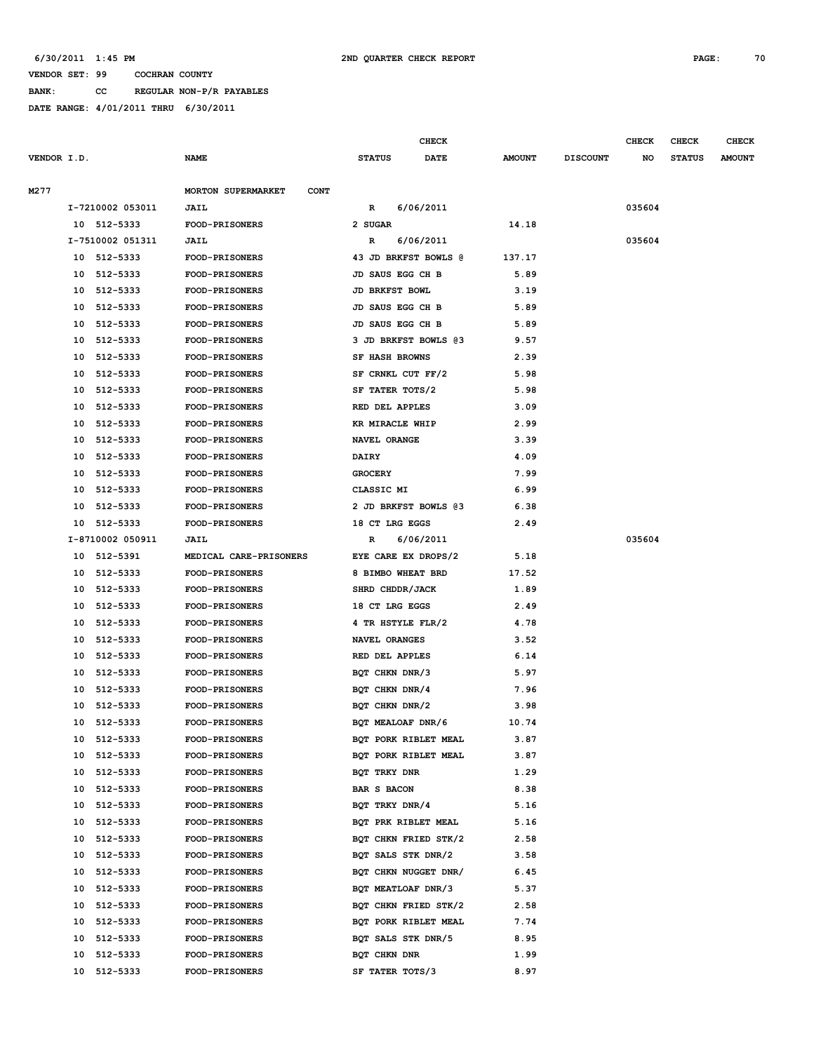**BANK: CC REGULAR NON-P/R PAYABLES**

|             |    |                  |                                          |                       | CHECK                |               |                 | <b>CHECK</b> | <b>CHECK</b>  | <b>CHECK</b>  |
|-------------|----|------------------|------------------------------------------|-----------------------|----------------------|---------------|-----------------|--------------|---------------|---------------|
| VENDOR I.D. |    |                  | <b>NAME</b>                              | <b>STATUS</b>         | <b>DATE</b>          | <b>AMOUNT</b> | <b>DISCOUNT</b> | NO           | <b>STATUS</b> | <b>AMOUNT</b> |
| M277        |    |                  | <b>MORTON SUPERMARKET</b><br><b>CONT</b> |                       |                      |               |                 |              |               |               |
|             |    | I-7210002 053011 | <b>JAIL</b>                              | R                     | 6/06/2011            |               |                 | 035604       |               |               |
|             |    | 10 512-5333      | FOOD-PRISONERS                           | 2 SUGAR               |                      | 14.18         |                 |              |               |               |
|             |    | I-7510002 051311 | <b>JAIL</b>                              | R                     | 6/06/2011            |               |                 | 035604       |               |               |
|             |    | 10 512-5333      | <b>FOOD-PRISONERS</b>                    |                       | 43 JD BRKFST BOWLS @ | 137.17        |                 |              |               |               |
|             | 10 | 512-5333         | <b>FOOD-PRISONERS</b>                    | JD SAUS EGG CH B      |                      | 5.89          |                 |              |               |               |
|             | 10 | 512-5333         | <b>FOOD-PRISONERS</b>                    | JD BRKFST BOWL        |                      | 3.19          |                 |              |               |               |
|             | 10 | 512-5333         | <b>FOOD-PRISONERS</b>                    | JD SAUS EGG CH B      |                      | 5.89          |                 |              |               |               |
|             | 10 | 512-5333         | <b>FOOD-PRISONERS</b>                    | JD SAUS EGG CH B      |                      | 5.89          |                 |              |               |               |
|             | 10 | 512-5333         | <b>FOOD-PRISONERS</b>                    |                       | 3 JD BRKFST BOWLS 03 | 9.57          |                 |              |               |               |
|             | 10 | 512-5333         | <b>FOOD-PRISONERS</b>                    | <b>SF HASH BROWNS</b> |                      | 2.39          |                 |              |               |               |
|             | 10 | 512-5333         | <b>FOOD-PRISONERS</b>                    | SF CRNKL CUT FF/2     |                      | 5.98          |                 |              |               |               |
|             | 10 | 512-5333         | <b>FOOD-PRISONERS</b>                    | SF TATER TOTS/2       |                      | 5.98          |                 |              |               |               |
|             | 10 | 512-5333         | <b>FOOD-PRISONERS</b>                    | RED DEL APPLES        |                      | 3.09          |                 |              |               |               |
|             | 10 | 512-5333         | <b>FOOD-PRISONERS</b>                    | KR MIRACLE WHIP       |                      | 2.99          |                 |              |               |               |
|             | 10 | 512-5333         | <b>FOOD-PRISONERS</b>                    | NAVEL ORANGE          |                      | 3.39          |                 |              |               |               |
|             | 10 | 512-5333         | <b>FOOD-PRISONERS</b>                    | <b>DAIRY</b>          |                      | 4.09          |                 |              |               |               |
|             | 10 | 512-5333         | <b>FOOD-PRISONERS</b>                    | <b>GROCERY</b>        |                      | 7.99          |                 |              |               |               |
|             | 10 | 512-5333         | FOOD-PRISONERS                           | CLASSIC MI            |                      | 6.99          |                 |              |               |               |
|             | 10 | 512-5333         | <b>FOOD-PRISONERS</b>                    |                       | 2 JD BRKFST BOWLS @3 | 6.38          |                 |              |               |               |
|             | 10 | 512-5333         | <b>FOOD-PRISONERS</b>                    | 18 CT LRG EGGS        |                      | 2.49          |                 |              |               |               |
|             |    | I-8710002 050911 | <b>JAIL</b>                              | R                     | 6/06/2011            |               |                 | 035604       |               |               |
|             | 10 | 512-5391         | MEDICAL CARE-PRISONERS                   | EYE CARE EX DROPS/2   |                      | 5.18          |                 |              |               |               |
|             | 10 | 512-5333         | <b>FOOD-PRISONERS</b>                    | 8 BIMBO WHEAT BRD     |                      | 17.52         |                 |              |               |               |
|             | 10 | 512-5333         | <b>FOOD-PRISONERS</b>                    | SHRD CHDDR/JACK       |                      | 1.89          |                 |              |               |               |
|             | 10 | 512-5333         | <b>FOOD-PRISONERS</b>                    | 18 CT LRG EGGS        |                      | 2.49          |                 |              |               |               |
|             | 10 | 512-5333         | FOOD-PRISONERS                           | 4 TR HSTYLE FLR/2     |                      | 4.78          |                 |              |               |               |
|             | 10 | 512-5333         | <b>FOOD-PRISONERS</b>                    | NAVEL ORANGES         |                      | 3.52          |                 |              |               |               |
|             | 10 | 512-5333         | <b>FOOD-PRISONERS</b>                    | RED DEL APPLES        |                      | 6.14          |                 |              |               |               |
|             | 10 | 512-5333         | <b>FOOD-PRISONERS</b>                    | BQT CHKN DNR/3        |                      | 5.97          |                 |              |               |               |
|             | 10 | 512-5333         | <b>FOOD-PRISONERS</b>                    | BQT CHKN DNR/4        |                      | 7.96          |                 |              |               |               |
|             | 10 | 512-5333         | <b>FOOD-PRISONERS</b>                    | BQT CHKN DNR/2        |                      | 3.98          |                 |              |               |               |
|             | 10 | 512-5333         | <b>FOOD-PRISONERS</b>                    | BQT MEALOAF DNR/6     |                      | 10.74         |                 |              |               |               |
|             | 10 | 512-5333         | <b>FOOD-PRISONERS</b>                    |                       | BQT PORK RIBLET MEAL | 3.87          |                 |              |               |               |
|             | 10 | 512-5333         | <b>FOOD-PRISONERS</b>                    |                       | BQT PORK RIBLET MEAL | 3.87          |                 |              |               |               |
|             | 10 | 512-5333         | <b>FOOD-PRISONERS</b>                    | BQT TRKY DNR          |                      | 1.29          |                 |              |               |               |
|             | 10 | 512-5333         | <b>FOOD-PRISONERS</b>                    | BAR S BACON           |                      | 8.38          |                 |              |               |               |
|             | 10 | 512-5333         | <b>FOOD-PRISONERS</b>                    | BQT TRKY DNR/4        |                      | 5.16          |                 |              |               |               |
|             | 10 | 512-5333         | <b>FOOD-PRISONERS</b>                    | BQT PRK RIBLET MEAL   |                      | 5.16          |                 |              |               |               |
|             | 10 | 512-5333         | <b>FOOD-PRISONERS</b>                    |                       | BQT CHKN FRIED STK/2 | 2.58          |                 |              |               |               |
|             | 10 | 512-5333         | <b>FOOD-PRISONERS</b>                    | BQT SALS STK DNR/2    |                      | 3.58          |                 |              |               |               |
|             | 10 | 512-5333         | <b>FOOD-PRISONERS</b>                    |                       | BQT CHKN NUGGET DNR/ | 6.45          |                 |              |               |               |
|             | 10 | 512-5333         | <b>FOOD-PRISONERS</b>                    | BOT MEATLOAF DNR/3    |                      | 5.37          |                 |              |               |               |
|             | 10 | 512-5333         | <b>FOOD-PRISONERS</b>                    |                       | BQT CHKN FRIED STK/2 | 2.58          |                 |              |               |               |
|             | 10 | 512-5333         | FOOD-PRISONERS                           |                       | BQT PORK RIBLET MEAL | 7.74          |                 |              |               |               |
|             | 10 | 512-5333         | <b>FOOD-PRISONERS</b>                    | BQT SALS STK DNR/5    |                      | 8.95          |                 |              |               |               |
|             | 10 | 512-5333         | <b>FOOD-PRISONERS</b>                    | BQT CHKN DNR          |                      | 1.99          |                 |              |               |               |
|             |    | 10 512-5333      | <b>FOOD-PRISONERS</b>                    | SF TATER TOTS/3       |                      | 8.97          |                 |              |               |               |
|             |    |                  |                                          |                       |                      |               |                 |              |               |               |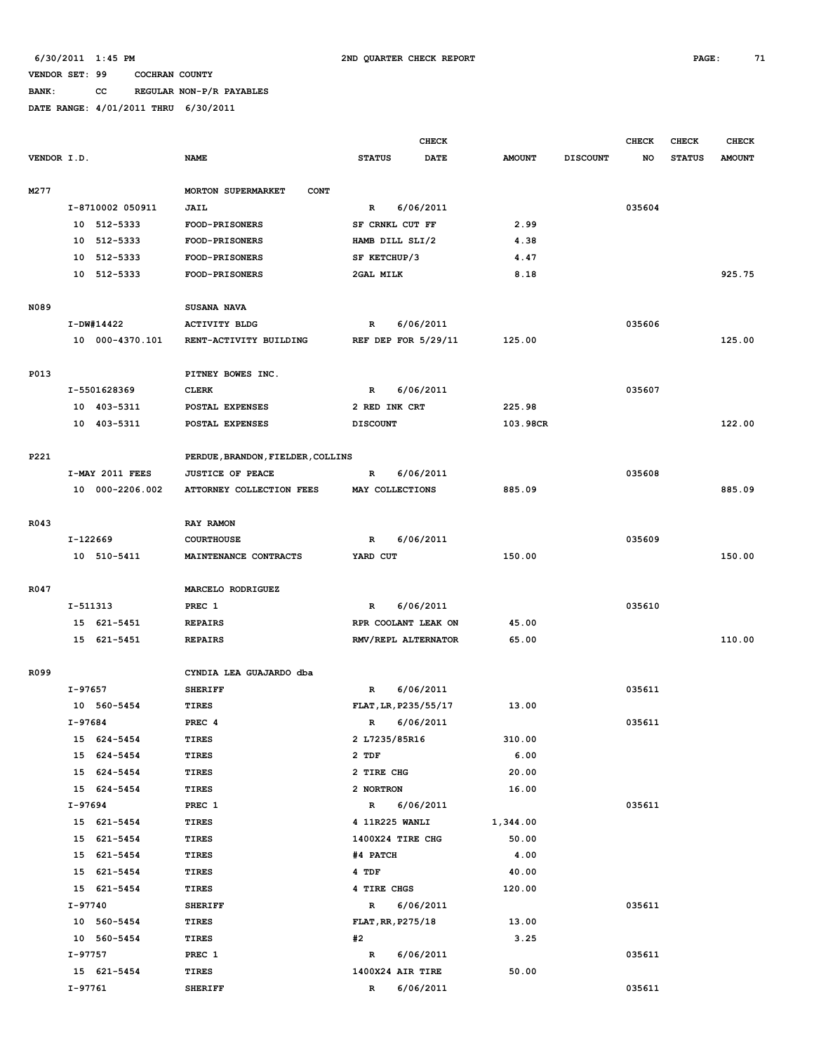# **BANK: CC REGULAR NON-P/R PAYABLES**

|             |           |                  |                                   |                 | <b>CHECK</b>          |               |                 | <b>CHECK</b> | <b>CHECK</b>  | <b>CHECK</b>  |
|-------------|-----------|------------------|-----------------------------------|-----------------|-----------------------|---------------|-----------------|--------------|---------------|---------------|
| VENDOR I.D. |           |                  | <b>NAME</b>                       | <b>STATUS</b>   | DATE                  | <b>AMOUNT</b> | <b>DISCOUNT</b> | NO           | <b>STATUS</b> | <b>AMOUNT</b> |
| M277        |           |                  | MORTON SUPERMARKET<br><b>CONT</b> |                 |                       |               |                 |              |               |               |
|             |           | I-8710002 050911 | <b>JAIL</b>                       | $\mathbb{R}$    | 6/06/2011             |               |                 | 035604       |               |               |
|             |           | 10 512-5333      | <b>FOOD-PRISONERS</b>             |                 | SF CRNKL CUT FF       | 2.99          |                 |              |               |               |
|             | 10        | 512-5333         | <b>FOOD-PRISONERS</b>             |                 | HAMB DILL SLI/2       | 4.38          |                 |              |               |               |
|             | 10        | 512-5333         | FOOD-PRISONERS                    | SF KETCHUP/3    |                       | 4.47          |                 |              |               |               |
|             | 10        | 512-5333         | <b>FOOD-PRISONERS</b>             | 2GAL MILK       |                       | 8.18          |                 |              |               | 925.75        |
| N089        |           |                  | SUSANA NAVA                       |                 |                       |               |                 |              |               |               |
|             |           | I-DW#14422       | <b>ACTIVITY BLDG</b>              | R               | 6/06/2011             |               |                 | 035606       |               |               |
|             |           | 10 000-4370.101  | RENT-ACTIVITY BUILDING            |                 | REF DEP FOR $5/29/11$ | 125.00        |                 |              |               | 125.00        |
| P013        |           |                  | PITNEY BOWES INC.                 |                 |                       |               |                 |              |               |               |
|             |           | I-5501628369     | <b>CLERK</b>                      | $\mathbb{R}$    | 6/06/2011             |               |                 | 035607       |               |               |
|             |           | 10 403-5311      | POSTAL EXPENSES                   | 2 RED INK CRT   |                       | 225.98        |                 |              |               |               |
|             |           | 10 403-5311      | POSTAL EXPENSES                   | <b>DISCOUNT</b> |                       | 103.98CR      |                 |              |               | 122.00        |
| P221        |           |                  | PERDUE, BRANDON, FIELDER, COLLINS |                 |                       |               |                 |              |               |               |
|             |           | I-MAY 2011 FEES  | <b>JUSTICE OF PEACE</b>           | R               | 6/06/2011             |               |                 | 035608       |               |               |
|             |           | 10 000-2206.002  | ATTORNEY COLLECTION FEES          |                 | MAY COLLECTIONS       | 885.09        |                 |              |               | 885.09        |
| R043        |           |                  | RAY RAMON                         |                 |                       |               |                 |              |               |               |
|             | I-122669  |                  | <b>COURTHOUSE</b>                 | R               | 6/06/2011             |               |                 | 035609       |               |               |
|             |           | 10 510-5411      | MAINTENANCE CONTRACTS             | YARD CUT        |                       | 150.00        |                 |              |               | 150.00        |
| R047        |           |                  | MARCELO RODRIGUEZ                 |                 |                       |               |                 |              |               |               |
|             | I-511313  |                  | PREC <sub>1</sub>                 | R               | 6/06/2011             |               |                 | 035610       |               |               |
|             |           | 15 621-5451      | <b>REPAIRS</b>                    |                 | RPR COOLANT LEAK ON   | 45.00         |                 |              |               |               |
|             |           | 15 621-5451      | <b>REPAIRS</b>                    |                 | RMV/REPL ALTERNATOR   | 65.00         |                 |              |               | 110.00        |
| R099        |           |                  | CYNDIA LEA GUAJARDO dba           |                 |                       |               |                 |              |               |               |
|             | I-97657   |                  | <b>SHERIFF</b>                    | R               | 6/06/2011             |               |                 | 035611       |               |               |
|             |           | 10 560-5454      | TIRES                             |                 | FLAT, LR, P235/55/17  | 13.00         |                 |              |               |               |
|             | $I-97684$ |                  | PREC <sub>4</sub>                 | $\mathbb{R}$    | 6/06/2011             |               |                 | 035611       |               |               |
|             |           | 15 624-5454      | TIRES                             | 2 L7235/85R16   |                       | 310.00        |                 |              |               |               |
|             |           | 15 624-5454      | TIRES                             | 2 TDF           |                       | 6.00          |                 |              |               |               |
|             |           | 15 624-5454      | TIRES                             | 2 TIRE CHG      |                       | 20.00         |                 |              |               |               |
|             |           | 15 624-5454      | TIRES                             | 2 NORTRON       |                       | 16.00         |                 |              |               |               |
|             | I-97694   |                  | PREC 1                            | $\mathbb{R}$    | 6/06/2011             |               |                 | 035611       |               |               |
|             |           | 15 621-5454      | <b>TIRES</b>                      |                 | 4 11R225 WANLI        | 1,344.00      |                 |              |               |               |
|             |           | 15 621-5454      | TIRES                             |                 | 1400X24 TIRE CHG      | 50.00         |                 |              |               |               |
|             |           | 15 621-5454      | TIRES                             | #4 PATCH        |                       | 4.00          |                 |              |               |               |
|             |           | 15 621-5454      | TIRES                             | 4 TDF           |                       | 40.00         |                 |              |               |               |
|             |           | 15 621-5454      | TIRES                             | 4 TIRE CHGS     |                       | 120.00        |                 |              |               |               |
|             | I-97740   |                  | <b>SHERIFF</b>                    | $\mathbb{R}$    | 6/06/2011             |               |                 | 035611       |               |               |
|             |           | 10 560-5454      | TIRES                             |                 | FLAT, RR, P275/18     | 13.00         |                 |              |               |               |
|             |           | 10 560-5454      | TIRES                             | #2              |                       | 3.25          |                 |              |               |               |
|             | I-97757   |                  | PREC 1                            | R               | 6/06/2011             |               |                 | 035611       |               |               |
|             |           | 15 621-5454      | TIRES                             |                 | 1400X24 AIR TIRE      | 50.00         |                 |              |               |               |
|             | $I-97761$ |                  | <b>SHERIFF</b>                    | $\mathbb{R}$    | 6/06/2011             |               |                 | 035611       |               |               |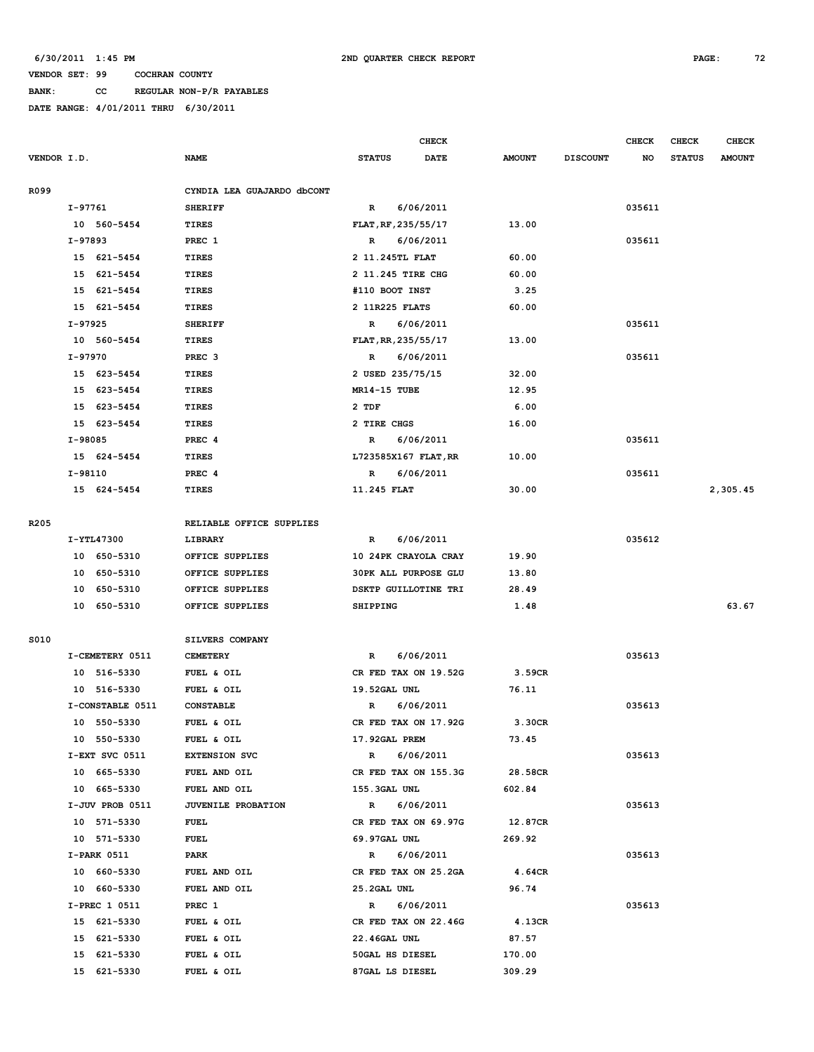**BANK: CC REGULAR NON-P/R PAYABLES**

|             |                  |                            |                             | CHECK     |               |                 | <b>CHECK</b> | CHECK         | <b>CHECK</b>  |
|-------------|------------------|----------------------------|-----------------------------|-----------|---------------|-----------------|--------------|---------------|---------------|
| VENDOR I.D. |                  | <b>NAME</b>                | <b>STATUS</b>               | DATE      | <b>AMOUNT</b> | <b>DISCOUNT</b> | NO           | <b>STATUS</b> | <b>AMOUNT</b> |
| R099        |                  | CYNDIA LEA GUAJARDO dbCONT |                             |           |               |                 |              |               |               |
|             | $I-97761$        | <b>SHERIFF</b>             | $\mathbb{R}$                | 6/06/2011 |               |                 | 035611       |               |               |
|             | 10 560-5454      | <b>TIRES</b>               | FLAT, RF, 235/55/17         |           | 13.00         |                 |              |               |               |
|             | I-97893          | PREC 1                     | R                           | 6/06/2011 |               |                 | 035611       |               |               |
|             | 15 621-5454      | <b>TIRES</b>               | 2 11.245TL FLAT             |           | 60.00         |                 |              |               |               |
|             | 15 621-5454      | TIRES                      | 2 11.245 TIRE CHG           |           | 60.00         |                 |              |               |               |
|             | 15 621-5454      | TIRES                      | #110 BOOT INST              |           | 3.25          |                 |              |               |               |
|             | 15 621-5454      | <b>TIRES</b>               | 2 11R225 FLATS              |           | 60.00         |                 |              |               |               |
|             | $I-97925$        | <b>SHERIFF</b>             | $\mathbb{R}$                | 6/06/2011 |               |                 | 035611       |               |               |
|             | 10 560-5454      | <b>TIRES</b>               | FLAT, RR, 235/55/17         |           | 13.00         |                 |              |               |               |
|             | I-97970          | PREC <sub>3</sub>          | R                           | 6/06/2011 |               |                 | 035611       |               |               |
|             | 15 623-5454      | TIRES                      | 2 USED 235/75/15            |           | 32.00         |                 |              |               |               |
|             |                  |                            |                             |           |               |                 |              |               |               |
|             | 15 623-5454      | TIRES                      | MR14-15 TUBE                |           | 12.95         |                 |              |               |               |
|             | 15 623-5454      | <b>TIRES</b>               | 2 TDF                       |           | 6.00          |                 |              |               |               |
|             | 15 623-5454      | <b>TIRES</b>               | 2 TIRE CHGS                 |           | 16.00         |                 |              |               |               |
|             | I-98085          | PREC <sub>4</sub>          | R                           | 6/06/2011 |               |                 | 035611       |               |               |
|             | 15 624-5454      | TIRES                      | L723585X167 FLAT, RR        |           | 10.00         |                 |              |               |               |
|             | I-98110          | PREC 4                     | R                           | 6/06/2011 |               |                 | 035611       |               |               |
|             | 15 624-5454      | <b>TIRES</b>               | 11.245 FLAT                 |           | 30.00         |                 |              |               | 2,305.45      |
| R205        |                  | RELIABLE OFFICE SUPPLIES   |                             |           |               |                 |              |               |               |
|             | I-YTL47300       | LIBRARY                    | R                           | 6/06/2011 |               |                 | 035612       |               |               |
|             | 10 650-5310      | OFFICE SUPPLIES            | 10 24PK CRAYOLA CRAY        |           | 19.90         |                 |              |               |               |
|             | 10 650-5310      | OFFICE SUPPLIES            | <b>30PK ALL PURPOSE GLU</b> |           | 13.80         |                 |              |               |               |
|             | 650-5310<br>10   | OFFICE SUPPLIES            | DSKTP GUILLOTINE TRI        |           | 28.49         |                 |              |               |               |
|             | 10 650-5310      | OFFICE SUPPLIES            | <b>SHIPPING</b>             |           | 1.48          |                 |              |               | 63.67         |
|             |                  |                            |                             |           |               |                 |              |               |               |
| S010        |                  | SILVERS COMPANY            |                             |           |               |                 |              |               |               |
|             | I-CEMETERY 0511  | <b>CEMETERY</b>            | R                           | 6/06/2011 |               |                 | 035613       |               |               |
|             | 10 516-5330      | FUEL & OIL                 | CR FED TAX ON 19.52G        |           | 3.59CR        |                 |              |               |               |
|             | 10 516-5330      | FUEL & OIL                 | 19.52GAL UNL                |           | 76.11         |                 |              |               |               |
|             | I-CONSTABLE 0511 | <b>CONSTABLE</b>           | R                           | 6/06/2011 |               |                 | 035613       |               |               |
|             | 10 550-5330      | FUEL & OIL                 | CR FED TAX ON 17.92G        |           | 3.30CR        |                 |              |               |               |
|             | 10 550-5330      | FUEL & OIL                 | 17.92GAL PREM               |           | 73.45         |                 |              |               |               |
|             | I-EXT SVC 0511   | <b>EXTENSION SVC</b>       | $\mathbb{R}$                | 6/06/2011 |               |                 | 035613       |               |               |
|             | 10 665-5330      | FUEL AND OIL               | CR FED TAX ON 155.3G        |           | 28.58CR       |                 |              |               |               |
|             | 10 665-5330      | FUEL AND OIL               | 155.3GAL UNL                |           | 602.84        |                 |              |               |               |
|             | I-JUV PROB 0511  | JUVENILE PROBATION         | $\mathbb{R}$                | 6/06/2011 |               |                 | 035613       |               |               |
|             | 10 571-5330      | <b>FUEL</b>                | CR FED TAX ON 69.97G        |           | 12.87CR       |                 |              |               |               |
|             | 10 571-5330      | <b>FUEL</b>                | 69.97GAL UNL                |           | 269.92        |                 |              |               |               |
|             | I-PARK 0511      | PARK                       | $\mathbb{R}$                | 6/06/2011 |               |                 | 035613       |               |               |
|             | 10 660-5330      | FUEL AND OIL               | CR FED TAX ON 25.2GA        |           | 4.64CR        |                 |              |               |               |
|             | 10 660-5330      | FUEL AND OIL               | 25.2GAL UNL                 |           | 96.74         |                 |              |               |               |
|             | I-PREC 1 0511    | PREC 1                     | $\mathbb{R}$                | 6/06/2011 |               |                 | 035613       |               |               |
|             | 15 621-5330      | FUEL & OIL                 | CR FED TAX ON 22.46G        |           | 4.13CR        |                 |              |               |               |
|             | 15 621-5330      | FUEL & OIL                 | 22.46GAL UNL                |           | 87.57         |                 |              |               |               |
|             | 15 621-5330      | FUEL & OIL                 | 50GAL HS DIESEL             |           | 170.00        |                 |              |               |               |
|             | 15 621-5330      | FUEL & OIL                 | 87GAL LS DIESEL             |           | 309.29        |                 |              |               |               |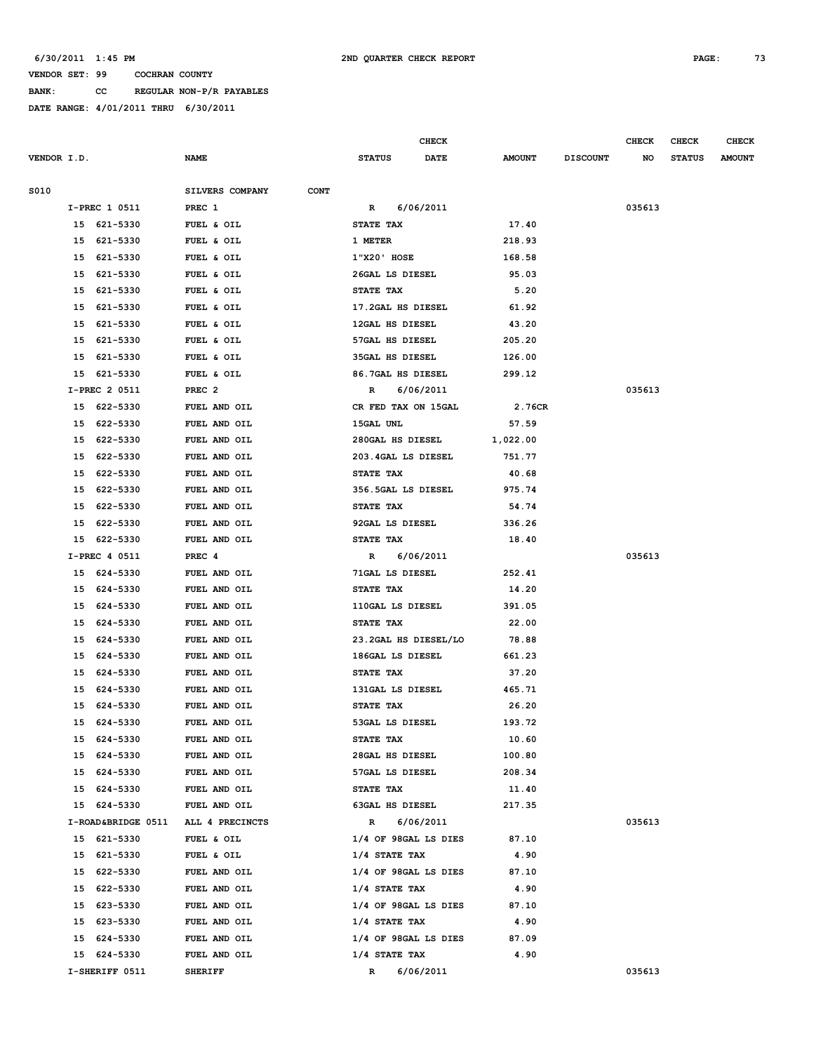**BANK: CC REGULAR NON-P/R PAYABLES**

|             |    |                    |                                |                        | <b>CHECK</b> |               |                 | <b>CHECK</b> | <b>CHECK</b>  | <b>CHECK</b>  |
|-------------|----|--------------------|--------------------------------|------------------------|--------------|---------------|-----------------|--------------|---------------|---------------|
| VENDOR I.D. |    |                    | <b>NAME</b>                    | <b>STATUS</b>          | <b>DATE</b>  | <b>AMOUNT</b> | <b>DISCOUNT</b> | NO           | <b>STATUS</b> | <b>AMOUNT</b> |
| S010        |    |                    | SILVERS COMPANY<br><b>CONT</b> |                        |              |               |                 |              |               |               |
|             |    | I-PREC 1 0511      | PREC 1                         | R                      | 6/06/2011    |               |                 | 035613       |               |               |
|             |    | 15 621-5330        | FUEL & OIL                     | STATE TAX              |              | 17.40         |                 |              |               |               |
|             |    | 15 621-5330        | FUEL & OIL                     | 1 METER                |              | 218.93        |                 |              |               |               |
|             |    | 15 621-5330        | FUEL & OIL                     | 1"X20' HOSE            |              | 168.58        |                 |              |               |               |
|             | 15 | 621-5330           |                                | 26GAL LS DIESEL        |              | 95.03         |                 |              |               |               |
|             |    |                    | FUEL & OIL                     |                        |              |               |                 |              |               |               |
|             | 15 | 621-5330           | FUEL & OIL                     | STATE TAX              |              | 5.20          |                 |              |               |               |
|             | 15 | 621-5330           | FUEL & OIL                     | 17.2GAL HS DIESEL      |              | 61.92         |                 |              |               |               |
|             | 15 | 621-5330           | FUEL & OIL                     | 12GAL HS DIESEL        |              | 43.20         |                 |              |               |               |
|             | 15 | 621-5330           | FUEL & OIL                     | 57GAL HS DIESEL        |              | 205.20        |                 |              |               |               |
|             | 15 | 621-5330           | FUEL & OIL                     | <b>35GAL HS DIESEL</b> |              | 126.00        |                 |              |               |               |
|             | 15 | 621-5330           | FUEL & OIL                     | 86.7GAL HS DIESEL      |              | 299.12        |                 |              |               |               |
|             |    | I-PREC 2 0511      | PREC <sub>2</sub>              | R                      | 6/06/2011    |               |                 | 035613       |               |               |
|             |    | 15 622-5330        | FUEL AND OIL                   | CR FED TAX ON 15GAL    |              | 2.76CR        |                 |              |               |               |
|             | 15 | 622-5330           | FUEL AND OIL                   | 15GAL UNL              |              | 57.59         |                 |              |               |               |
|             | 15 | 622-5330           | FUEL AND OIL                   | 280GAL HS DIESEL       |              | 1,022.00      |                 |              |               |               |
|             |    | 15 622-5330        | FUEL AND OIL                   | 203.4GAL LS DIESEL     |              | 751.77        |                 |              |               |               |
|             | 15 | 622-5330           | FUEL AND OIL                   | STATE TAX              |              | 40.68         |                 |              |               |               |
|             | 15 | 622-5330           | FUEL AND OIL                   | 356.5GAL LS DIESEL     |              | 975.74        |                 |              |               |               |
|             | 15 | 622-5330           | FUEL AND OIL                   | STATE TAX              |              | 54.74         |                 |              |               |               |
|             | 15 | 622-5330           | FUEL AND OIL                   | 92GAL LS DIESEL        |              | 336.26        |                 |              |               |               |
|             | 15 | 622-5330           | FUEL AND OIL                   | STATE TAX              |              | 18.40         |                 |              |               |               |
|             |    | I-PREC 4 0511      | PREC 4                         | R                      | 6/06/2011    |               |                 | 035613       |               |               |
|             |    | 15 624-5330        | FUEL AND OIL                   | 71GAL LS DIESEL        |              | 252.41        |                 |              |               |               |
|             | 15 | 624-5330           | FUEL AND OIL                   | STATE TAX              |              | 14.20         |                 |              |               |               |
|             |    | 15 624-5330        | FUEL AND OIL                   | 110GAL LS DIESEL       |              | 391.05        |                 |              |               |               |
|             | 15 | 624-5330           | FUEL AND OIL                   | STATE TAX              |              | 22.00         |                 |              |               |               |
|             |    | 15 624-5330        | FUEL AND OIL                   | 23.2GAL HS DIESEL/LO   |              | 78.88         |                 |              |               |               |
|             |    | 15 624-5330        | FUEL AND OIL                   | 186GAL LS DIESEL       |              | 661.23        |                 |              |               |               |
|             | 15 | 624-5330           | FUEL AND OIL                   | STATE TAX              |              | 37.20         |                 |              |               |               |
|             | 15 | 624-5330           | FUEL AND OIL                   | 131GAL LS DIESEL       |              | 465.71        |                 |              |               |               |
|             | 15 | 624-5330           | FUEL AND OIL                   | STATE TAX              |              | 26.20         |                 |              |               |               |
|             |    | 15 624-5330        | FUEL AND OIL                   | 53GAL LS DIESEL        |              | 193.72        |                 |              |               |               |
|             |    | 15 624-5330        | FUEL AND OIL                   | STATE TAX              |              | 10.60         |                 |              |               |               |
|             |    | 15 624-5330        | FUEL AND OIL                   | 28GAL HS DIESEL        |              | 100.80        |                 |              |               |               |
|             |    | 15 624-5330        | FUEL AND OIL                   | 57GAL LS DIESEL        |              | 208.34        |                 |              |               |               |
|             |    | 15 624-5330        | FUEL AND OIL                   | STATE TAX              |              | 11.40         |                 |              |               |               |
|             |    | 15 624-5330        | FUEL AND OIL                   | <b>63GAL HS DIESEL</b> |              | 217.35        |                 |              |               |               |
|             |    | I-ROAD&BRIDGE 0511 | ALL 4 PRECINCTS                | R                      | 6/06/2011    |               |                 | 035613       |               |               |
|             |    | 15 621-5330        | FUEL & OIL                     | 1/4 OF 98GAL LS DIES   |              | 87.10         |                 |              |               |               |
|             |    | 15 621-5330        | FUEL & OIL                     | $1/4$ STATE TAX        |              | 4.90          |                 |              |               |               |
|             | 15 | 622-5330           | FUEL AND OIL                   | 1/4 OF 98GAL LS DIES   |              | 87.10         |                 |              |               |               |
|             |    | 15 622-5330        | FUEL AND OIL                   | $1/4$ STATE TAX        |              | 4.90          |                 |              |               |               |
|             |    | 15 623-5330        | FUEL AND OIL                   | 1/4 OF 98GAL LS DIES   |              | 87.10         |                 |              |               |               |
|             | 15 | 623-5330           | FUEL AND OIL                   | $1/4$ STATE TAX        |              | 4.90          |                 |              |               |               |
|             | 15 | 624-5330           | FUEL AND OIL                   | 1/4 OF 98GAL LS DIES   |              | 87.09         |                 |              |               |               |
|             |    | 15 624-5330        | FUEL AND OIL                   | $1/4$ STATE TAX        |              | 4.90          |                 |              |               |               |
|             |    | I-SHERIFF 0511     | <b>SHERIFF</b>                 | R                      | 6/06/2011    |               |                 | 035613       |               |               |
|             |    |                    |                                |                        |              |               |                 |              |               |               |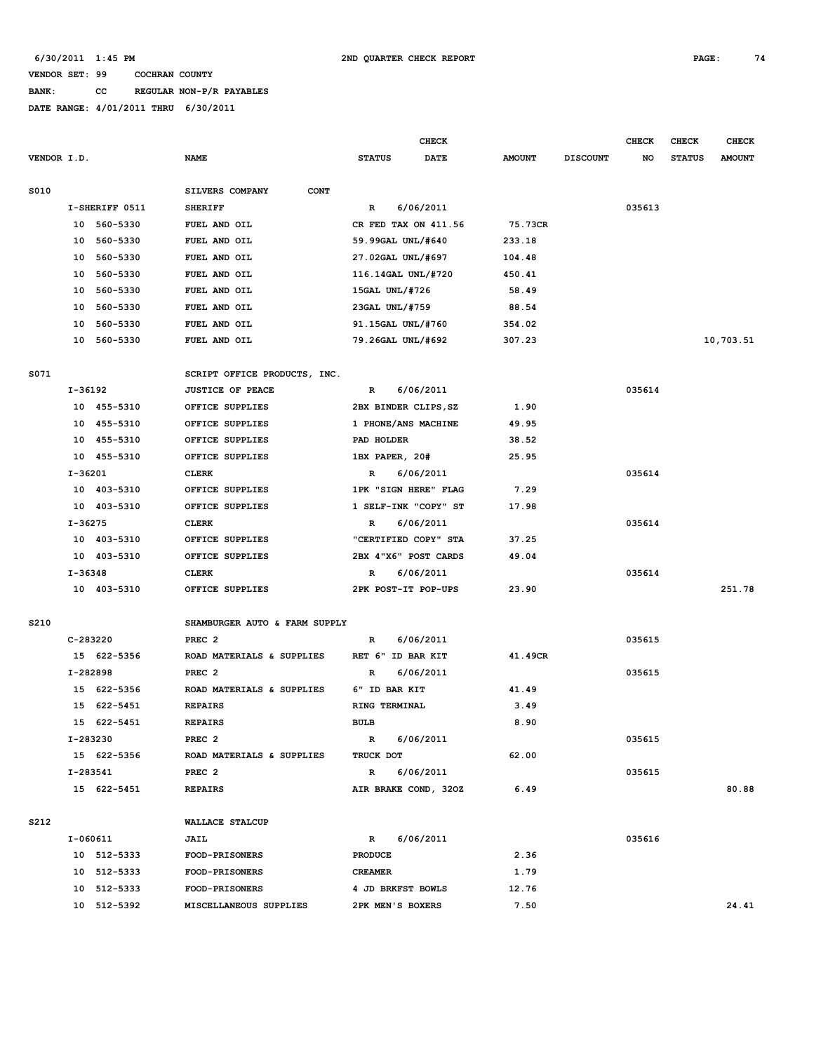# **BANK: CC REGULAR NON-P/R PAYABLES**

|             |             |                |                                |                      | CHECK     |               |                 | <b>CHECK</b> | <b>CHECK</b>  | <b>CHECK</b>  |
|-------------|-------------|----------------|--------------------------------|----------------------|-----------|---------------|-----------------|--------------|---------------|---------------|
| VENDOR I.D. |             |                | <b>NAME</b>                    | <b>STATUS</b>        | DATE      | <b>AMOUNT</b> | <b>DISCOUNT</b> | NO           | <b>STATUS</b> | <b>AMOUNT</b> |
| S010        |             |                | SILVERS COMPANY<br><b>CONT</b> |                      |           |               |                 |              |               |               |
|             |             | I-SHERIFF 0511 | <b>SHERIFF</b>                 | R                    | 6/06/2011 |               |                 | 035613       |               |               |
|             | 10          | 560-5330       | FUEL AND OIL                   | CR FED TAX ON 411.56 |           | 75.73CR       |                 |              |               |               |
|             | 10          | 560-5330       | FUEL AND OIL                   | 59.99GAL UNL/#640    |           | 233.18        |                 |              |               |               |
|             | 10          | 560-5330       | FUEL AND OIL                   | 27.02GAL UNL/#697    |           | 104.48        |                 |              |               |               |
|             | 10          | 560-5330       | FUEL AND OIL                   | 116.14GAL UNL/#720   |           | 450.41        |                 |              |               |               |
|             | 10          | 560-5330       | FUEL AND OIL                   | 15GAL UNL/#726       |           | 58.49         |                 |              |               |               |
|             | 10          | 560-5330       | FUEL AND OIL                   | 23GAL UNL/#759       |           | 88.54         |                 |              |               |               |
|             | 10          | 560-5330       | FUEL AND OIL                   | 91.15GAL UNL/#760    |           | 354.02        |                 |              |               |               |
|             |             | 10 560-5330    | FUEL AND OIL                   | 79.26GAL UNL/#692    |           | 307.23        |                 |              |               | 10,703.51     |
| S071        |             |                | SCRIPT OFFICE PRODUCTS, INC.   |                      |           |               |                 |              |               |               |
|             | I-36192     |                | <b>JUSTICE OF PEACE</b>        | R                    | 6/06/2011 |               |                 | 035614       |               |               |
|             |             | 10 455-5310    | OFFICE SUPPLIES                | 2BX BINDER CLIPS, SZ |           | 1.90          |                 |              |               |               |
|             |             | 10 455-5310    | OFFICE SUPPLIES                | 1 PHONE/ANS MACHINE  |           | 49.95         |                 |              |               |               |
|             | 10          | 455-5310       | OFFICE SUPPLIES                | PAD HOLDER           |           | 38.52         |                 |              |               |               |
|             | 10          | 455-5310       | OFFICE SUPPLIES                | 1BX PAPER, 20#       |           | 25.95         |                 |              |               |               |
|             | I-36201     |                | <b>CLERK</b>                   | R                    | 6/06/2011 |               |                 | 035614       |               |               |
|             |             | 10 403-5310    | OFFICE SUPPLIES                | 1PK "SIGN HERE" FLAG |           | 7.29          |                 |              |               |               |
|             |             | 10 403-5310    | OFFICE SUPPLIES                | 1 SELF-INK "COPY" ST |           | 17.98         |                 |              |               |               |
|             | $I - 36275$ |                | <b>CLERK</b>                   | R                    | 6/06/2011 |               |                 | 035614       |               |               |
|             |             | 10 403-5310    | OFFICE SUPPLIES                | "CERTIFIED COPY" STA |           | 37.25         |                 |              |               |               |
|             |             | 10 403-5310    | OFFICE SUPPLIES                | 2BX 4"X6" POST CARDS |           | 49.04         |                 |              |               |               |
|             | I-36348     |                | <b>CLERK</b>                   | R                    | 6/06/2011 |               |                 | 035614       |               |               |
|             |             | 10 403-5310    | OFFICE SUPPLIES                | 2PK POST-IT POP-UPS  |           | 23.90         |                 |              |               | 251.78        |
| S210        |             |                | SHAMBURGER AUTO & FARM SUPPLY  |                      |           |               |                 |              |               |               |
|             | C-283220    |                | PREC <sub>2</sub>              | R                    | 6/06/2011 |               |                 | 035615       |               |               |
|             |             | 15 622-5356    | ROAD MATERIALS & SUPPLIES      | RET 6" ID BAR KIT    |           | 41.49CR       |                 |              |               |               |
|             | I-282898    |                | PREC <sub>2</sub>              | R                    | 6/06/2011 |               |                 | 035615       |               |               |
|             |             | 15 622-5356    | ROAD MATERIALS & SUPPLIES      | 6" ID BAR KIT        |           | 41.49         |                 |              |               |               |
|             | 15          | 622-5451       | <b>REPAIRS</b>                 | RING TERMINAL        |           | 3.49          |                 |              |               |               |
|             |             | 15 622-5451    | <b>REPAIRS</b>                 | <b>BULB</b>          |           | 8.90          |                 |              |               |               |
|             | I-283230    |                | PREC <sub>2</sub>              | R                    | 6/06/2011 |               |                 | 035615       |               |               |
|             |             | 15 622-5356    | ROAD MATERIALS & SUPPLIES      | TRUCK DOT            |           | 62.00         |                 |              |               |               |
|             | I-283541    |                | PREC <sub>2</sub>              | R                    | 6/06/2011 |               |                 | 035615       |               |               |
|             |             | 15 622-5451    | <b>REPAIRS</b>                 | AIR BRAKE COND, 320Z |           | 6.49          |                 |              |               | 80.88         |
| S212        |             |                | WALLACE STALCUP                |                      |           |               |                 |              |               |               |
|             | I-060611    |                | JAIL                           | $\mathbb{R}$         | 6/06/2011 |               |                 | 035616       |               |               |
|             |             | 10 512-5333    | <b>FOOD-PRISONERS</b>          | <b>PRODUCE</b>       |           | 2.36          |                 |              |               |               |
|             |             | 10 512-5333    | <b>FOOD-PRISONERS</b>          | <b>CREAMER</b>       |           | 1.79          |                 |              |               |               |
|             |             | 10 512-5333    | FOOD-PRISONERS                 | 4 JD BRKFST BOWLS    |           | 12.76         |                 |              |               |               |
|             |             | 10 512-5392    | MISCELLANEOUS SUPPLIES         | 2PK MEN'S BOXERS     |           | 7.50          |                 |              |               | 24.41         |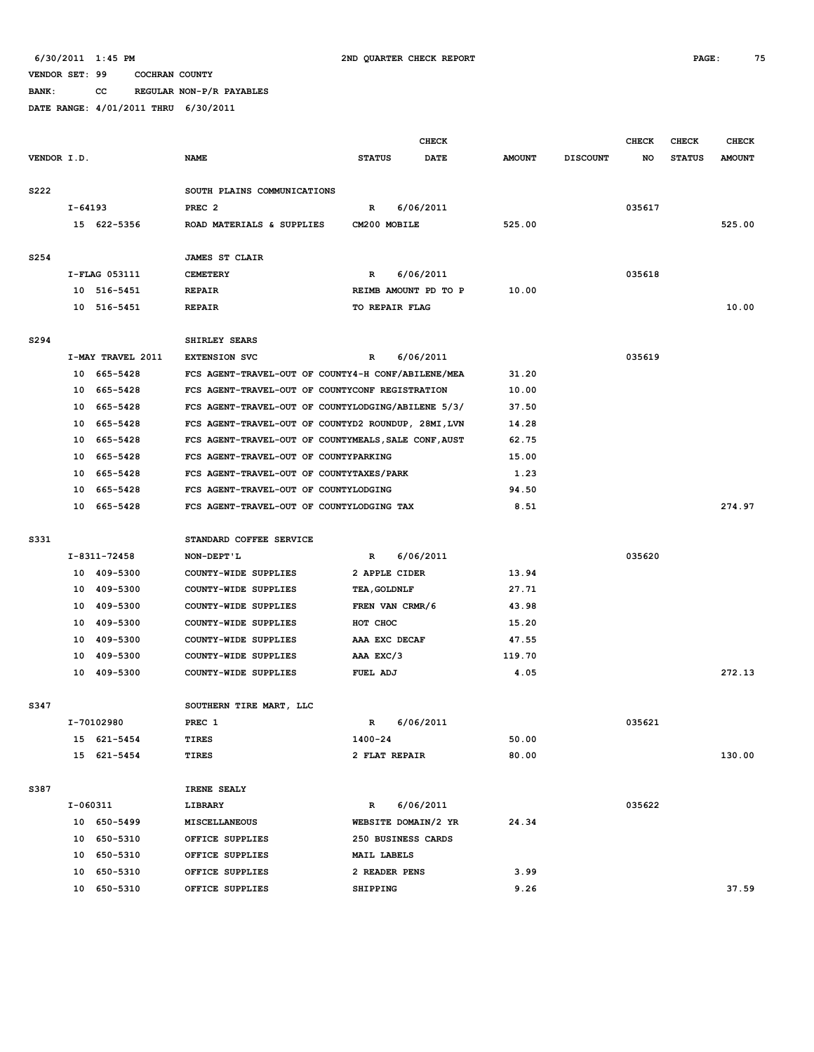**BANK: CC REGULAR NON-P/R PAYABLES**

|             |             |                            |                                                                                    |                      | CHECK     |                |                 | <b>CHECK</b> | <b>CHECK</b>  | <b>CHECK</b>  |
|-------------|-------------|----------------------------|------------------------------------------------------------------------------------|----------------------|-----------|----------------|-----------------|--------------|---------------|---------------|
| VENDOR I.D. |             |                            | <b>NAME</b>                                                                        | <b>STATUS</b>        | DATE      | <b>AMOUNT</b>  | <b>DISCOUNT</b> | NO           | <b>STATUS</b> | <b>AMOUNT</b> |
|             |             |                            |                                                                                    |                      |           |                |                 |              |               |               |
| S222        |             |                            | SOUTH PLAINS COMMUNICATIONS                                                        |                      |           |                |                 |              |               |               |
|             | $I - 64193$ |                            | PREC <sub>2</sub>                                                                  | R                    | 6/06/2011 |                |                 | 035617       |               |               |
|             |             | 15 622-5356                | ROAD MATERIALS & SUPPLIES                                                          | CM200 MOBILE         |           | 525.00         |                 |              |               | 525.00        |
|             |             |                            |                                                                                    |                      |           |                |                 |              |               |               |
| S254        |             |                            | <b>JAMES ST CLAIR</b>                                                              |                      |           |                |                 |              |               |               |
|             |             | I-FLAG 053111              | <b>CEMETERY</b>                                                                    | R                    | 6/06/2011 |                |                 | 035618       |               |               |
|             |             | 10 516-5451                | <b>REPAIR</b>                                                                      | REIMB AMOUNT PD TO P |           | 10.00          |                 |              |               |               |
|             |             | 10 516-5451                | <b>REPAIR</b>                                                                      | TO REPAIR FLAG       |           |                |                 |              |               | 10.00         |
|             |             |                            |                                                                                    |                      |           |                |                 |              |               |               |
| S294        |             |                            | SHIRLEY SEARS                                                                      |                      |           |                |                 |              |               |               |
|             |             | I-MAY TRAVEL 2011          | <b>EXTENSION SVC</b>                                                               | R                    | 6/06/2011 |                |                 | 035619       |               |               |
|             |             | 10 665-5428                | FCS AGENT-TRAVEL-OUT OF COUNTY4-H CONF/ABILENE/MEA                                 |                      |           | 31.20          |                 |              |               |               |
|             |             | 10 665-5428                | FCS AGENT-TRAVEL-OUT OF COUNTYCONF REGISTRATION                                    |                      |           | 10.00          |                 |              |               |               |
|             |             | 10 665-5428                | FCS AGENT-TRAVEL-OUT OF COUNTYLODGING/ABILENE 5/3/                                 |                      |           | 37.50          |                 |              |               |               |
|             |             | 10 665-5428                | FCS AGENT-TRAVEL-OUT OF COUNTYD2 ROUNDUP, 28MI, LVN                                |                      |           | 14.28          |                 |              |               |               |
|             |             | 10 665-5428<br>10 665-5428 | FCS AGENT-TRAVEL-OUT OF COUNTYMEALS, SALE CONF, AUST                               |                      |           | 62.75<br>15.00 |                 |              |               |               |
|             |             | 10 665-5428                | FCS AGENT-TRAVEL-OUT OF COUNTYPARKING<br>FCS AGENT-TRAVEL-OUT OF COUNTYTAXES/PARK  |                      |           | 1.23           |                 |              |               |               |
|             |             | 10 665-5428                |                                                                                    |                      |           | 94.50          |                 |              |               |               |
|             |             | 10 665-5428                | FCS AGENT-TRAVEL-OUT OF COUNTYLODGING<br>FCS AGENT-TRAVEL-OUT OF COUNTYLODGING TAX |                      |           | 8.51           |                 |              |               | 274.97        |
|             |             |                            |                                                                                    |                      |           |                |                 |              |               |               |
| S331        |             |                            | STANDARD COFFEE SERVICE                                                            |                      |           |                |                 |              |               |               |
|             |             | I-8311-72458               | NON-DEPT'L                                                                         | R                    | 6/06/2011 |                |                 | 035620       |               |               |
|             |             | 10 409-5300                | COUNTY-WIDE SUPPLIES                                                               | 2 APPLE CIDER        |           | 13.94          |                 |              |               |               |
|             |             | 10 409-5300                | COUNTY-WIDE SUPPLIES                                                               | TEA, GOLDNLF         |           | 27.71          |                 |              |               |               |
|             |             | 10 409-5300                | COUNTY-WIDE SUPPLIES                                                               | FREN VAN CRMR/6      |           | 43.98          |                 |              |               |               |
|             |             | 10 409-5300                | COUNTY-WIDE SUPPLIES                                                               | HOT CHOC             |           | 15.20          |                 |              |               |               |
|             |             | 10 409-5300                | COUNTY-WIDE SUPPLIES                                                               | AAA EXC DECAF        |           | 47.55          |                 |              |               |               |
|             |             | 10 409-5300                | COUNTY-WIDE SUPPLIES                                                               | AAA EXC/3            |           | 119.70         |                 |              |               |               |
|             |             | 10 409-5300                | COUNTY-WIDE SUPPLIES                                                               | FUEL ADJ             |           | 4.05           |                 |              |               | 272.13        |
|             |             |                            |                                                                                    |                      |           |                |                 |              |               |               |
| S347        |             |                            | SOUTHERN TIRE MART, LLC                                                            |                      |           |                |                 |              |               |               |
|             |             | I-70102980                 | PREC 1                                                                             | R                    | 6/06/2011 |                |                 | 035621       |               |               |
|             |             | 15 621-5454                | TIRES                                                                              | 1400-24              |           | 50.00          |                 |              |               |               |
|             |             | 15 621-5454                | TIRES                                                                              | 2 FLAT REPAIR        |           | 80.00          |                 |              |               | 130.00        |
|             |             |                            |                                                                                    |                      |           |                |                 |              |               |               |
| S387        |             |                            | IRENE SEALY                                                                        |                      |           |                |                 |              |               |               |
|             | I-060311    |                            | LIBRARY                                                                            | R                    | 6/06/2011 |                |                 | 035622       |               |               |
|             |             | 10 650-5499                | MISCELLANEOUS                                                                      | WEBSITE DOMAIN/2 YR  |           | 24.34          |                 |              |               |               |
|             |             | 10 650-5310                | OFFICE SUPPLIES                                                                    | 250 BUSINESS CARDS   |           |                |                 |              |               |               |
|             |             | 10 650-5310                | OFFICE SUPPLIES                                                                    | MAIL LABELS          |           |                |                 |              |               |               |
|             |             | 10 650-5310                | OFFICE SUPPLIES                                                                    | 2 READER PENS        |           | 3.99           |                 |              |               |               |
|             |             | 10 650-5310                | OFFICE SUPPLIES                                                                    | <b>SHIPPING</b>      |           | 9.26           |                 |              |               | 37.59         |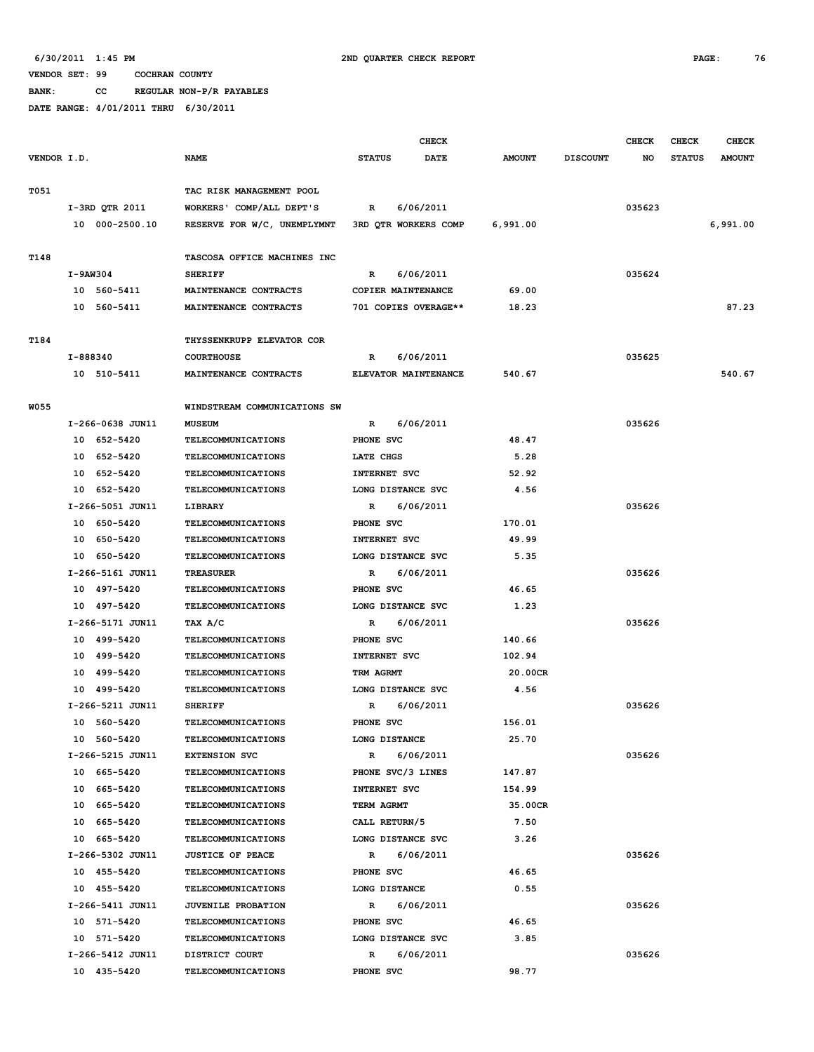**BANK: CC REGULAR NON-P/R PAYABLES**

|             |                  |                              |                     | <b>CHECK</b>         |               |                 | <b>CHECK</b> | <b>CHECK</b>  | <b>CHECK</b>  |
|-------------|------------------|------------------------------|---------------------|----------------------|---------------|-----------------|--------------|---------------|---------------|
| VENDOR I.D. |                  | <b>NAME</b>                  | <b>STATUS</b>       | <b>DATE</b>          | <b>AMOUNT</b> | <b>DISCOUNT</b> | NO           | <b>STATUS</b> | <b>AMOUNT</b> |
| T051        |                  | TAC RISK MANAGEMENT POOL     |                     |                      |               |                 |              |               |               |
|             | I-3RD QTR 2011   | WORKERS' COMP/ALL DEPT'S     | R                   | 6/06/2011            |               |                 | 035623       |               |               |
|             | 10 000-2500.10   |                              |                     | 3RD QTR WORKERS COMP | 6,991.00      |                 |              |               | 6,991.00      |
|             |                  | RESERVE FOR W/C, UNEMPLYMNT  |                     |                      |               |                 |              |               |               |
| T148        |                  | TASCOSA OFFICE MACHINES INC  |                     |                      |               |                 |              |               |               |
|             | $I-9AW304$       | <b>SHERIFF</b>               | $\mathbb{R}$        | 6/06/2011            |               |                 | 035624       |               |               |
|             | 10 560-5411      | MAINTENANCE CONTRACTS        | COPIER MAINTENANCE  |                      | 69.00         |                 |              |               |               |
|             | 10 560-5411      | MAINTENANCE CONTRACTS        |                     | 701 COPIES OVERAGE** | 18.23         |                 |              |               | 87.23         |
| T184        |                  | THYSSENKRUPP ELEVATOR COR    |                     |                      |               |                 |              |               |               |
|             | I-888340         | <b>COURTHOUSE</b>            | R                   | 6/06/2011            |               |                 | 035625       |               |               |
|             | 10 510-5411      | MAINTENANCE CONTRACTS        |                     | ELEVATOR MAINTENANCE | 540.67        |                 |              |               | 540.67        |
| W055        |                  | WINDSTREAM COMMUNICATIONS SW |                     |                      |               |                 |              |               |               |
|             | I-266-0638 JUN11 | <b>MUSEUM</b>                | R                   | 6/06/2011            |               |                 | 035626       |               |               |
|             | 10 652-5420      | TELECOMMUNICATIONS           | PHONE SVC           |                      | 48.47         |                 |              |               |               |
|             | 10 652-5420      | <b>TELECOMMUNICATIONS</b>    | LATE CHGS           |                      | 5.28          |                 |              |               |               |
|             | 10 652-5420      | <b>TELECOMMUNICATIONS</b>    | INTERNET SVC        |                      | 52.92         |                 |              |               |               |
|             | 10 652-5420      | <b>TELECOMMUNICATIONS</b>    | LONG DISTANCE SVC   |                      | 4.56          |                 |              |               |               |
|             | I-266-5051 JUN11 | LIBRARY                      | R                   | 6/06/2011            |               |                 | 035626       |               |               |
|             | 10 650-5420      | <b>TELECOMMUNICATIONS</b>    | PHONE SVC           |                      | 170.01        |                 |              |               |               |
|             | 10 650-5420      | <b>TELECOMMUNICATIONS</b>    | <b>INTERNET SVC</b> |                      | 49.99         |                 |              |               |               |
|             | 10 650-5420      | <b>TELECOMMUNICATIONS</b>    | LONG DISTANCE SVC   |                      | 5.35          |                 |              |               |               |
|             | I-266-5161 JUN11 | <b>TREASURER</b>             | R                   | 6/06/2011            |               |                 | 035626       |               |               |
|             | 10 497-5420      | <b>TELECOMMUNICATIONS</b>    | PHONE SVC           |                      | 46.65         |                 |              |               |               |
|             | 10 497-5420      | <b>TELECOMMUNICATIONS</b>    | LONG DISTANCE SVC   |                      | 1.23          |                 |              |               |               |
|             | I-266-5171 JUN11 | TAX A/C                      | R                   | 6/06/2011            |               |                 | 035626       |               |               |
|             | 10 499-5420      | <b>TELECOMMUNICATIONS</b>    | PHONE SVC           |                      | 140.66        |                 |              |               |               |
|             | 10 499-5420      | <b>TELECOMMUNICATIONS</b>    | <b>INTERNET SVC</b> |                      | 102.94        |                 |              |               |               |
|             | 10 499-5420      | <b>TELECOMMUNICATIONS</b>    | TRM AGRMT           |                      | 20.00CR       |                 |              |               |               |
|             | 10 499-5420      | TELECOMMUNICATIONS           | LONG DISTANCE SVC   |                      | 4.56          |                 |              |               |               |
|             | I-266-5211 JUN11 | <b>SHERIFF</b>               | R                   | 6/06/2011            |               |                 | 035626       |               |               |
|             | 10 560-5420      | TELECOMMUNICATIONS           | PHONE SVC           |                      | 156.01        |                 |              |               |               |
|             | 10 560-5420      | <b>TELECOMMUNICATIONS</b>    | LONG DISTANCE       |                      | 25.70         |                 |              |               |               |
|             | I-266-5215 JUN11 | <b>EXTENSION SVC</b>         | R                   | 6/06/2011            |               |                 | 035626       |               |               |
|             | 10 665-5420      | TELECOMMUNICATIONS           | PHONE SVC/3 LINES   |                      | 147.87        |                 |              |               |               |
|             | 10 665-5420      | TELECOMMUNICATIONS           | INTERNET SVC        |                      | 154.99        |                 |              |               |               |
|             | 10 665-5420      | <b>TELECOMMUNICATIONS</b>    | TERM AGRMT          |                      | 35.00CR       |                 |              |               |               |
|             | 10 665-5420      | TELECOMMUNICATIONS           | CALL RETURN/5       |                      | 7.50          |                 |              |               |               |
|             | 10 665-5420      | <b>TELECOMMUNICATIONS</b>    | LONG DISTANCE SVC   |                      | 3.26          |                 |              |               |               |
|             | I-266-5302 JUN11 | <b>JUSTICE OF PEACE</b>      | R                   | 6/06/2011            |               |                 | 035626       |               |               |
|             | 10 455-5420      | <b>TELECOMMUNICATIONS</b>    | PHONE SVC           |                      | 46.65         |                 |              |               |               |
|             | 10 455-5420      | TELECOMMUNICATIONS           | LONG DISTANCE       |                      | 0.55          |                 |              |               |               |
|             | I-266-5411 JUN11 | <b>JUVENILE PROBATION</b>    | $\mathbb{R}$        | 6/06/2011            |               |                 | 035626       |               |               |
|             | 10 571-5420      | <b>TELECOMMUNICATIONS</b>    | PHONE SVC           |                      | 46.65         |                 |              |               |               |
|             | 10 571-5420      | <b>TELECOMMUNICATIONS</b>    | LONG DISTANCE SVC   |                      | 3.85          |                 |              |               |               |
|             | I-266-5412 JUN11 | DISTRICT COURT               | $\mathbb{R}$        | 6/06/2011            |               |                 | 035626       |               |               |
|             | 10 435-5420      | <b>TELECOMMUNICATIONS</b>    | PHONE SVC           |                      | 98.77         |                 |              |               |               |
|             |                  |                              |                     |                      |               |                 |              |               |               |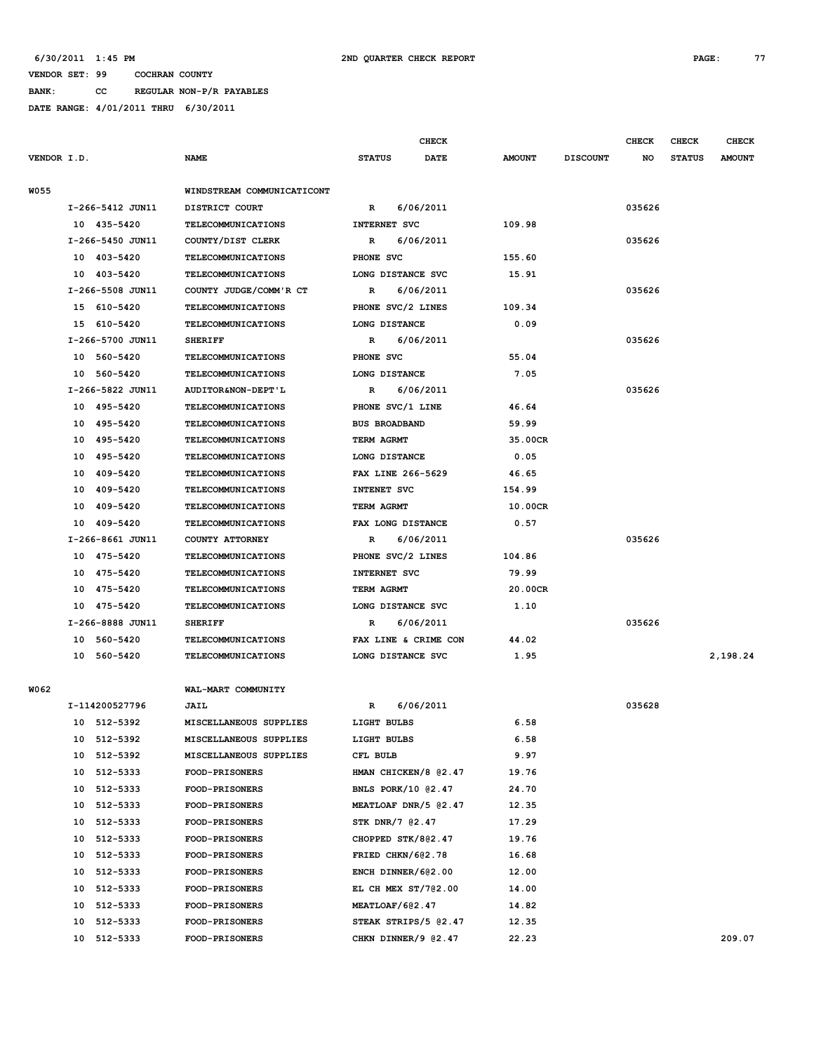**BANK: CC REGULAR NON-P/R PAYABLES DATE RANGE: 4/01/2011 THRU 6/30/2011**

|             |    |                  |                            |                      | <b>CHECK</b>              |               |                 | <b>CHECK</b> | <b>CHECK</b>  | <b>CHECK</b>  |
|-------------|----|------------------|----------------------------|----------------------|---------------------------|---------------|-----------------|--------------|---------------|---------------|
| VENDOR I.D. |    |                  | NAME                       | <b>STATUS</b>        | <b>DATE</b>               | <b>AMOUNT</b> | <b>DISCOUNT</b> | NO           | <b>STATUS</b> | <b>AMOUNT</b> |
| <b>W055</b> |    |                  | WINDSTREAM COMMUNICATICONT |                      |                           |               |                 |              |               |               |
|             |    | I-266-5412 JUN11 | DISTRICT COURT             | R                    | 6/06/2011                 |               |                 | 035626       |               |               |
|             |    | 10 435-5420      | <b>TELECOMMUNICATIONS</b>  | INTERNET SVC         |                           | 109.98        |                 |              |               |               |
|             |    | I-266-5450 JUN11 | COUNTY/DIST CLERK          | R                    | 6/06/2011                 |               |                 | 035626       |               |               |
|             |    | 10 403-5420      | <b>TELECOMMUNICATIONS</b>  | PHONE SVC            |                           | 155.60        |                 |              |               |               |
|             |    | 10 403-5420      | <b>TELECOMMUNICATIONS</b>  | LONG DISTANCE SVC    |                           | 15.91         |                 |              |               |               |
|             |    | I-266-5508 JUN11 | COUNTY JUDGE/COMM'R CT     | R                    | 6/06/2011                 |               |                 | 035626       |               |               |
|             |    | 15 610-5420      | <b>TELECOMMUNICATIONS</b>  | PHONE SVC/2 LINES    |                           | 109.34        |                 |              |               |               |
|             |    | 15 610-5420      | <b>TELECOMMUNICATIONS</b>  | LONG DISTANCE        |                           | 0.09          |                 |              |               |               |
|             |    | I-266-5700 JUN11 | <b>SHERIFF</b>             | R                    | 6/06/2011                 |               |                 | 035626       |               |               |
|             |    | 10 560-5420      | <b>TELECOMMUNICATIONS</b>  | PHONE SVC            |                           | 55.04         |                 |              |               |               |
|             |    | 10 560-5420      | <b>TELECOMMUNICATIONS</b>  | LONG DISTANCE        |                           | 7.05          |                 |              |               |               |
|             |    | I-266-5822 JUN11 | AUDITOR&NON-DEPT'L         | R                    | 6/06/2011                 |               |                 | 035626       |               |               |
|             |    | 10 495-5420      | <b>TELECOMMUNICATIONS</b>  | PHONE SVC/1 LINE     |                           | 46.64         |                 |              |               |               |
|             |    | 10 495-5420      | TELECOMMUNICATIONS         | <b>BUS BROADBAND</b> |                           | 59.99         |                 |              |               |               |
|             |    | 10 495-5420      | <b>TELECOMMUNICATIONS</b>  | TERM AGRMT           |                           | 35.00CR       |                 |              |               |               |
|             |    | 10 495-5420      | <b>TELECOMMUNICATIONS</b>  | LONG DISTANCE        |                           | 0.05          |                 |              |               |               |
|             |    | 10 409-5420      | <b>TELECOMMUNICATIONS</b>  | FAX LINE 266-5629    |                           | 46.65         |                 |              |               |               |
|             |    | 10 409-5420      | <b>TELECOMMUNICATIONS</b>  | INTENET SVC          |                           | 154.99        |                 |              |               |               |
|             |    | 10 409-5420      | <b>TELECOMMUNICATIONS</b>  | TERM AGRMT           |                           | 10.00CR       |                 |              |               |               |
|             | 10 | 409–5420         | <b>TELECOMMUNICATIONS</b>  | FAX LONG DISTANCE    |                           | 0.57          |                 |              |               |               |
|             |    | I-266-8661 JUN11 | COUNTY ATTORNEY            | R                    | 6/06/2011                 |               |                 | 035626       |               |               |
|             |    | 10 475-5420      | <b>TELECOMMUNICATIONS</b>  | PHONE SVC/2 LINES    |                           | 104.86        |                 |              |               |               |
|             |    | 10 475-5420      | <b>TELECOMMUNICATIONS</b>  | INTERNET SVC         |                           | 79.99         |                 |              |               |               |
|             |    | 10 475-5420      | <b>TELECOMMUNICATIONS</b>  | TERM AGRMT           |                           | 20.00CR       |                 |              |               |               |
|             |    | 10 475-5420      | <b>TELECOMMUNICATIONS</b>  | LONG DISTANCE SVC    |                           | 1.10          |                 |              |               |               |
|             |    | I-266-8888 JUN11 | <b>SHERIFF</b>             | R                    | 6/06/2011                 |               |                 | 035626       |               |               |
|             |    | 10 560-5420      | <b>TELECOMMUNICATIONS</b>  |                      | FAX LINE & CRIME CON      | 44.02         |                 |              |               |               |
|             |    | 10 560-5420      | <b>TELECOMMUNICATIONS</b>  | LONG DISTANCE SVC    |                           | 1.95          |                 |              |               | 2,198.24      |
|             |    |                  |                            |                      |                           |               |                 |              |               |               |
| W062        |    |                  | WAL-MART COMMUNITY         |                      |                           |               |                 |              |               |               |
|             |    | I-114200527796   | JAIL                       | R                    | 6/06/2011                 |               |                 | 035628       |               |               |
|             |    | 10 512-5392      | MISCELLANEOUS SUPPLIES     | LIGHT BULBS          |                           | 6.58          |                 |              |               |               |
|             |    | 10 512-5392      | MISCELLANEOUS SUPPLIES     | LIGHT BULBS          |                           | 6.58          |                 |              |               |               |
|             |    | 10 512-5392      | MISCELLANEOUS SUPPLIES     | CFL BULB             |                           | 9.97          |                 |              |               |               |
|             |    | 10 512-5333      | <b>FOOD-PRISONERS</b>      |                      | HMAN CHICKEN/8 @2.47      | 19.76         |                 |              |               |               |
|             |    | 10 512-5333      | <b>FOOD-PRISONERS</b>      |                      | <b>BNLS PORK/10 @2.47</b> | 24.70         |                 |              |               |               |
|             |    | 10 512-5333      | <b>FOOD-PRISONERS</b>      |                      | MEATLOAF DNR/5 @2.47      | 12.35         |                 |              |               |               |
|             |    | 10 512-5333      | <b>FOOD-PRISONERS</b>      | STK DNR/7 @2.47      |                           | 17.29         |                 |              |               |               |
|             | 10 | 512-5333         | <b>FOOD-PRISONERS</b>      |                      | CHOPPED STK/802.47        | 19.76         |                 |              |               |               |
|             |    | 10 512-5333      | <b>FOOD-PRISONERS</b>      | FRIED CHKN/602.78    |                           | 16.68         |                 |              |               |               |
|             |    | 10 512-5333      | <b>FOOD-PRISONERS</b>      |                      | ENCH DINNER/602.00        | 12.00         |                 |              |               |               |
|             |    | 10 512-5333      | <b>FOOD-PRISONERS</b>      |                      | EL CH MEX ST/702.00       | 14.00         |                 |              |               |               |
|             |    | 10 512-5333      | <b>FOOD-PRISONERS</b>      | MEATLOAF/602.47      |                           | 14.82         |                 |              |               |               |
|             | 10 | 512-5333         | <b>FOOD-PRISONERS</b>      |                      | STEAK STRIPS/5 @2.47      | 12.35         |                 |              |               |               |
|             | 10 | 512-5333         | <b>FOOD-PRISONERS</b>      |                      | CHKN DINNER/9 @2.47       | 22.23         |                 |              |               | 209.07        |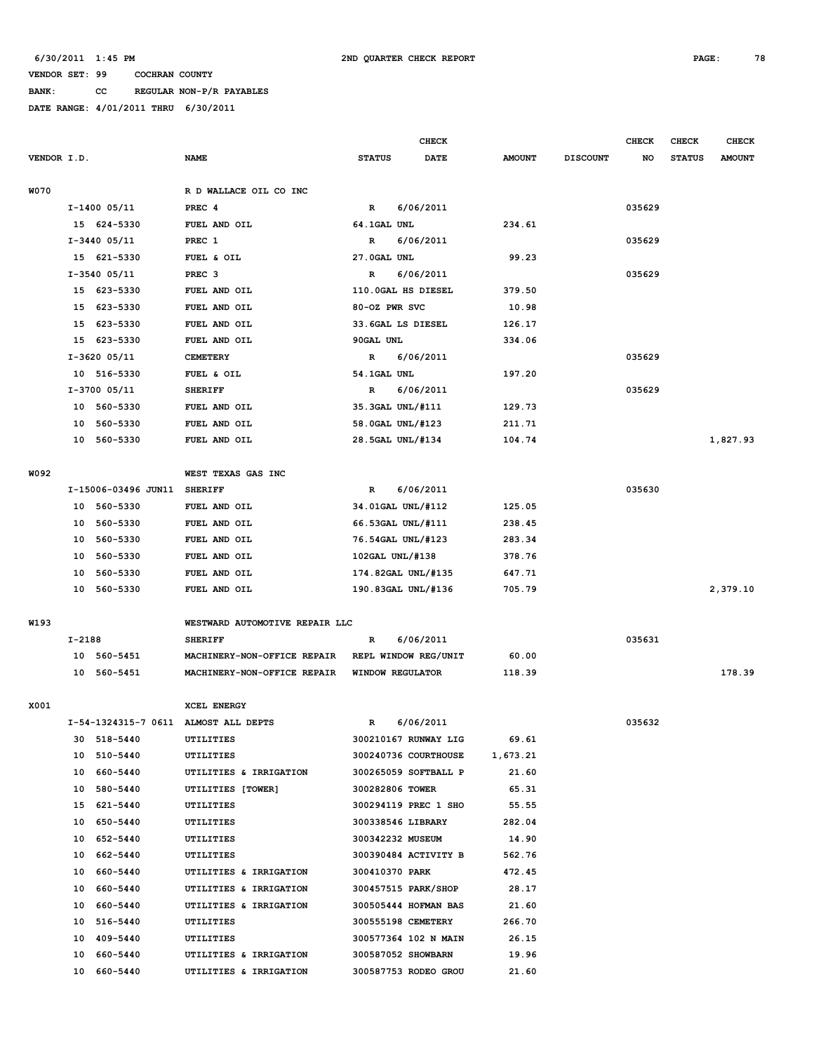**BANK: CC REGULAR NON-P/R PAYABLES**

|             |          |                         |                                      |                         | <b>CHECK</b>                                 |                   |                 | <b>CHECK</b> | CHECK         | <b>CHECK</b>  |
|-------------|----------|-------------------------|--------------------------------------|-------------------------|----------------------------------------------|-------------------|-----------------|--------------|---------------|---------------|
| VENDOR I.D. |          |                         | <b>NAME</b>                          | <b>STATUS</b>           | <b>DATE</b>                                  | <b>AMOUNT</b>     | <b>DISCOUNT</b> | NO           | <b>STATUS</b> | <b>AMOUNT</b> |
| <b>W070</b> |          |                         | R D WALLACE OIL CO INC               |                         |                                              |                   |                 |              |               |               |
|             |          | I-1400 05/11            | PREC <sub>4</sub>                    | $\mathbb{R}$            | 6/06/2011                                    |                   |                 | 035629       |               |               |
|             |          | 15 624-5330             | FUEL AND OIL                         | 64.1GAL UNL             |                                              | 234.61            |                 |              |               |               |
|             |          | I-3440 05/11            | PREC 1                               | R                       | 6/06/2011                                    |                   |                 | 035629       |               |               |
|             |          | 15 621-5330             | FUEL & OIL                           | 27.0GAL UNL             |                                              | 99.23             |                 |              |               |               |
|             |          | I-3540 05/11            | PREC <sub>3</sub>                    | R                       | 6/06/2011                                    |                   |                 | 035629       |               |               |
|             |          | 15 623-5330             | FUEL AND OIL                         | 110.0GAL HS DIESEL      |                                              | 379.50            |                 |              |               |               |
|             |          | 15 623-5330             | FUEL AND OIL                         | 80-OZ PWR SVC           |                                              | 10.98             |                 |              |               |               |
|             | 15       | 623-5330                | FUEL AND OIL                         | 33.6GAL LS DIESEL       |                                              | 126.17            |                 |              |               |               |
|             | 15       | 623-5330                | FUEL AND OIL                         | 90GAL UNL               |                                              | 334.06            |                 |              |               |               |
|             |          | I-3620 05/11            | <b>CEMETERY</b>                      | R                       | 6/06/2011                                    |                   |                 | 035629       |               |               |
|             |          | 10 516-5330             | FUEL & OIL                           | 54.1GAL UNL             |                                              | 197.20            |                 |              |               |               |
|             |          | I-3700 05/11            | <b>SHERIFF</b>                       | R                       | 6/06/2011                                    |                   |                 | 035629       |               |               |
|             |          | 10 560-5330             | FUEL AND OIL                         | 35.3GAL UNL/#111        |                                              | 129.73            |                 |              |               |               |
|             |          | 10 560-5330             | FUEL AND OIL                         | 58.0GAL UNL/#123        |                                              | 211.71            |                 |              |               |               |
|             | 10       | 560-5330                | FUEL AND OIL                         | 28.5GAL UNL/#134        |                                              | 104.74            |                 |              |               | 1,827.93      |
|             |          |                         |                                      |                         |                                              |                   |                 |              |               |               |
| W092        |          |                         | WEST TEXAS GAS INC                   |                         |                                              |                   |                 |              |               |               |
|             |          | I-15006-03496 JUN11     | <b>SHERIFF</b>                       | R                       | 6/06/2011                                    |                   |                 | 035630       |               |               |
|             |          | 10 560-5330             | FUEL AND OIL                         | 34.01GAL UNL/#112       |                                              | 125.05            |                 |              |               |               |
|             |          | 10 560-5330             | FUEL AND OIL                         | 66.53GAL UNL/#111       |                                              | 238.45            |                 |              |               |               |
|             | 10       | 560-5330                | FUEL AND OIL                         | 76.54GAL UNL/#123       |                                              | 283.34            |                 |              |               |               |
|             | 10       | 560-5330                | FUEL AND OIL                         | 102GAL UNL/#138         |                                              | 378.76            |                 |              |               |               |
|             | 10       | 560-5330                | FUEL AND OIL                         | 174.82GAL UNL/#135      |                                              | 647.71            |                 |              |               |               |
|             |          | 10 560-5330             | FUEL AND OIL                         | 190.83GAL UNL/#136      |                                              | 705.79            |                 |              |               | 2,379.10      |
|             |          |                         |                                      |                         |                                              |                   |                 |              |               |               |
| W193        |          |                         | WESTWARD AUTOMOTIVE REPAIR LLC       |                         |                                              |                   |                 |              |               |               |
|             | $I-2188$ |                         | <b>SHERIFF</b>                       | R                       | 6/06/2011                                    |                   |                 | 035631       |               |               |
|             | 10       | 560-5451                | MACHINERY-NON-OFFICE REPAIR          |                         | REPL WINDOW REG/UNIT                         | 60.00             |                 |              |               |               |
|             |          | 10 560-5451             | MACHINERY-NON-OFFICE REPAIR          | <b>WINDOW REGULATOR</b> |                                              | 118.39            |                 |              |               | 178.39        |
| X001        |          |                         | XCEL ENERGY                          |                         |                                              |                   |                 |              |               |               |
|             |          |                         | I-54-1324315-7 0611 ALMOST ALL DEPTS | $\mathbf R$             | 6/06/2011                                    |                   |                 | 035632       |               |               |
|             |          |                         |                                      |                         |                                              |                   |                 |              |               |               |
|             | 30       | 518-5440<br>10 510-5440 | UTILITIES                            |                         | 300210167 RUNWAY LIG<br>300240736 COURTHOUSE | 69.61<br>1,673.21 |                 |              |               |               |
|             |          | 10 660-5440             | UTILITIES<br>UTILITIES & IRRIGATION  |                         | 300265059 SOFTBALL P                         | 21.60             |                 |              |               |               |
|             |          |                         | UTILITIES [TOWER]                    |                         |                                              |                   |                 |              |               |               |
|             |          | 10 580-5440             |                                      | 300282806 TOWER         |                                              | 65.31             |                 |              |               |               |
|             |          | 15 621-5440             | UTILITIES                            |                         | 300294119 PREC 1 SHO                         | 55.55             |                 |              |               |               |
|             |          | 10 650-5440             | UTILITIES                            | 300338546 LIBRARY       |                                              | 282.04            |                 |              |               |               |
|             | 10       | 652-5440                | UTILITIES                            | 300342232 MUSEUM        |                                              | 14.90             |                 |              |               |               |
|             |          | 10 662-5440             | UTILITIES                            | 300410370 PARK          | 300390484 ACTIVITY B                         | 562.76            |                 |              |               |               |
|             |          | 10 660-5440             | UTILITIES & IRRIGATION               |                         |                                              | 472.45            |                 |              |               |               |
|             |          | 10 660-5440             | UTILITIES & IRRIGATION               |                         | 300457515 PARK/SHOP                          | 28.17             |                 |              |               |               |
|             |          | 10 660-5440             | UTILITIES & IRRIGATION               |                         | 300505444 HOFMAN BAS                         | 21.60             |                 |              |               |               |
|             |          | 10 516-5440             | UTILITIES                            | 300555198 CEMETERY      |                                              | 266.70            |                 |              |               |               |
|             | 10       | 409-5440                | UTILITIES                            |                         | 300577364 102 N MAIN                         | 26.15             |                 |              |               |               |
|             | 10       | 660-5440                | UTILITIES & IRRIGATION               | 300587052 SHOWBARN      |                                              | 19.96             |                 |              |               |               |
|             |          | 10 660-5440             | UTILITIES & IRRIGATION               |                         | 300587753 RODEO GROU                         | 21.60             |                 |              |               |               |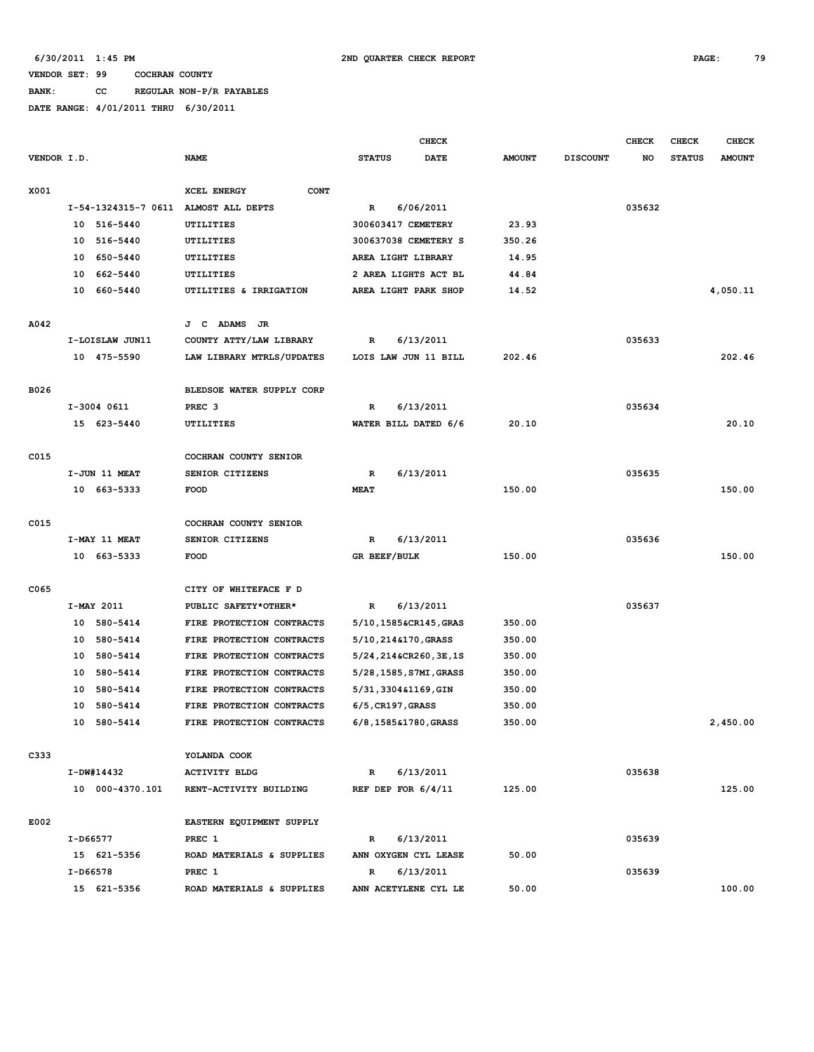**BANK: CC REGULAR NON-P/R PAYABLES**

|             |          |                 |                                      |                      |           | <b>CHECK</b>              |               |                 | <b>CHECK</b> | <b>CHECK</b>  | <b>CHECK</b>  |
|-------------|----------|-----------------|--------------------------------------|----------------------|-----------|---------------------------|---------------|-----------------|--------------|---------------|---------------|
| VENDOR I.D. |          |                 | <b>NAME</b>                          | <b>STATUS</b>        |           | <b>DATE</b>               | <b>AMOUNT</b> | <b>DISCOUNT</b> | NO           | <b>STATUS</b> | <b>AMOUNT</b> |
|             |          |                 |                                      |                      |           |                           |               |                 |              |               |               |
| X001        |          |                 | <b>CONT</b><br>XCEL ENERGY           |                      |           |                           |               |                 |              |               |               |
|             |          |                 | I-54-1324315-7 0611 ALMOST ALL DEPTS | R                    | 6/06/2011 |                           |               |                 | 035632       |               |               |
|             |          | 10 516-5440     | <b>UTILITIES</b>                     | 300603417 CEMETERY   |           |                           | 23.93         |                 |              |               |               |
|             |          | 10 516-5440     | UTILITIES                            |                      |           | 300637038 CEMETERY S      | 350.26        |                 |              |               |               |
|             | 10       | 650-5440        | UTILITIES                            | AREA LIGHT LIBRARY   |           |                           | 14.95         |                 |              |               |               |
|             | 10       | 662-5440        | UTILITIES                            |                      |           | 2 AREA LIGHTS ACT BL      | 44.84         |                 |              |               |               |
|             | 10       | 660-5440        | UTILITIES & IRRIGATION               |                      |           | AREA LIGHT PARK SHOP      | 14.52         |                 |              |               | 4,050.11      |
|             |          |                 |                                      |                      |           |                           |               |                 |              |               |               |
| A042        |          |                 | J C ADAMS<br>JR                      |                      |           |                           |               |                 |              |               |               |
|             |          | I-LOISLAW JUN11 | COUNTY ATTY/LAW LIBRARY              | R                    | 6/13/2011 |                           |               |                 | 035633       |               |               |
|             |          | 10 475-5590     | LAW LIBRARY MTRLS/UPDATES            |                      |           | LOIS LAW JUN 11 BILL      | 202.46        |                 |              |               | 202.46        |
|             |          |                 |                                      |                      |           |                           |               |                 |              |               |               |
| B026        |          |                 | BLEDSOE WATER SUPPLY CORP            |                      |           |                           |               |                 |              |               |               |
|             |          | I-3004 0611     | PREC <sub>3</sub>                    | R                    | 6/13/2011 |                           |               |                 | 035634       |               |               |
|             |          | 15 623-5440     | UTILITIES                            |                      |           | WATER BILL DATED 6/6      | 20.10         |                 |              |               | 20.10         |
|             |          |                 |                                      |                      |           |                           |               |                 |              |               |               |
| C015        |          |                 | COCHRAN COUNTY SENIOR                |                      |           |                           |               |                 |              |               |               |
|             |          | I-JUN 11 MEAT   | SENIOR CITIZENS                      | R                    | 6/13/2011 |                           |               |                 | 035635       |               |               |
|             |          | 10 663-5333     | FOOD                                 | <b>MEAT</b>          |           |                           | 150.00        |                 |              |               | 150.00        |
|             |          |                 |                                      |                      |           |                           |               |                 |              |               |               |
| C015        |          |                 | COCHRAN COUNTY SENIOR                |                      |           |                           |               |                 |              |               |               |
|             |          | I-MAY 11 MEAT   | SENIOR CITIZENS                      | $\mathbb{R}$         | 6/13/2011 |                           |               |                 | 035636       |               |               |
|             |          | 10 663-5333     | <b>FOOD</b>                          | GR BEEF/BULK         |           |                           | 150.00        |                 |              |               | 150.00        |
|             |          |                 |                                      |                      |           |                           |               |                 |              |               |               |
| C065        |          |                 | CITY OF WHITEFACE F D                |                      |           |                           |               |                 |              |               |               |
|             |          | I-MAY 2011      | PUBLIC SAFETY*OTHER*                 | R                    | 6/13/2011 |                           |               |                 | 035637       |               |               |
|             |          | 10 580-5414     | FIRE PROTECTION CONTRACTS            |                      |           | 5/10,1585&CR145,GRAS      | 350.00        |                 |              |               |               |
|             |          | 10 580-5414     | FIRE PROTECTION CONTRACTS            | 5/10, 214&170, GRASS |           |                           | 350.00        |                 |              |               |               |
|             |          | 10 580-5414     | FIRE PROTECTION CONTRACTS            |                      |           | 5/24, 214 & CR260, 3E, 1S | 350.00        |                 |              |               |               |
|             |          | 10 580-5414     | FIRE PROTECTION CONTRACTS            |                      |           | 5/28, 1585, S7MI, GRASS   | 350.00        |                 |              |               |               |
|             | 10       | 580-5414        | FIRE PROTECTION CONTRACTS            | 5/31,3304&1169,GIN   |           |                           | 350.00        |                 |              |               |               |
|             | 10       | 580-5414        | FIRE PROTECTION CONTRACTS            | $6/5$ , CR197, GRASS |           |                           | 350.00        |                 |              |               |               |
|             | 10       | 580-5414        | FIRE PROTECTION CONTRACTS            | 6/8,1585&1780,GRASS  |           |                           | 350.00        |                 |              |               | 2,450.00      |
|             |          |                 |                                      |                      |           |                           |               |                 |              |               |               |
| C333        |          |                 | YOLANDA COOK                         |                      |           |                           |               |                 |              |               |               |
|             |          | I-DW#14432      | <b>ACTIVITY BLDG</b>                 | $\mathbb{R}$         | 6/13/2011 |                           |               |                 | 035638       |               |               |
|             |          | 10 000-4370.101 | RENT-ACTIVITY BUILDING               | REF DEP FOR $6/4/11$ |           |                           | 125.00        |                 |              |               | 125.00        |
|             |          |                 |                                      |                      |           |                           |               |                 |              |               |               |
| E002        |          |                 | EASTERN EQUIPMENT SUPPLY             |                      |           |                           |               |                 |              |               |               |
|             | I-D66577 |                 | PREC 1                               | $\mathbb{R}$         | 6/13/2011 |                           |               |                 | 035639       |               |               |
|             |          | 15 621-5356     | ROAD MATERIALS & SUPPLIES            |                      |           | ANN OXYGEN CYL LEASE      | 50.00         |                 |              |               |               |
|             | I-D66578 |                 | PREC 1                               | R                    | 6/13/2011 |                           |               |                 | 035639       |               |               |
|             |          | 15 621-5356     | ROAD MATERIALS & SUPPLIES            |                      |           | ANN ACETYLENE CYL LE      | 50.00         |                 |              |               | 100.00        |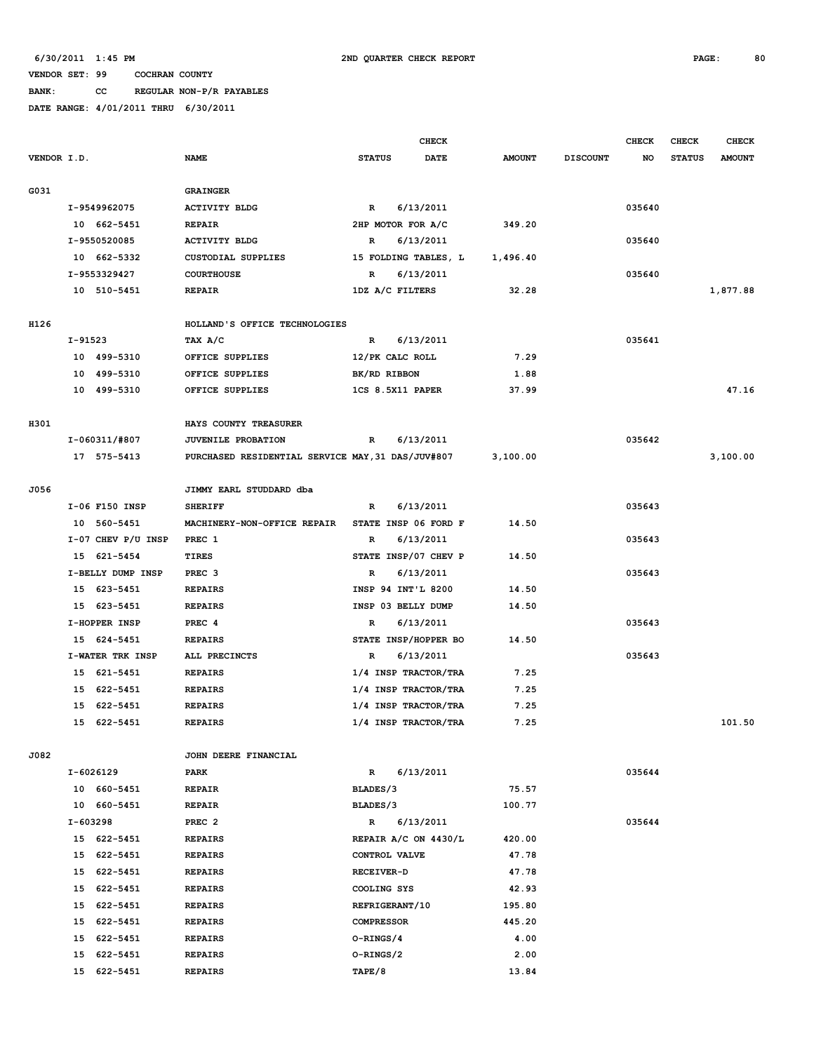### **BANK: CC REGULAR NON-P/R PAYABLES**

|             |          |                        |                                                   |                      | <b>CHECK</b> |               |                 | <b>CHECK</b> | <b>CHECK</b>  | <b>CHECK</b>  |
|-------------|----------|------------------------|---------------------------------------------------|----------------------|--------------|---------------|-----------------|--------------|---------------|---------------|
| VENDOR I.D. |          |                        | <b>NAME</b>                                       | <b>STATUS</b>        | <b>DATE</b>  | <b>AMOUNT</b> | <b>DISCOUNT</b> | NO           | <b>STATUS</b> | <b>AMOUNT</b> |
|             |          |                        |                                                   |                      |              |               |                 |              |               |               |
| G031        |          |                        | <b>GRAINGER</b>                                   |                      |              |               |                 |              |               |               |
|             |          | I-9549962075           | <b>ACTIVITY BLDG</b>                              | $\mathbb{R}$         | 6/13/2011    |               |                 | 035640       |               |               |
|             |          | 10 662-5451            | <b>REPAIR</b>                                     | 2HP MOTOR FOR A/C    |              | 349.20        |                 |              |               |               |
|             |          | I-9550520085           | <b>ACTIVITY BLDG</b>                              | R                    | 6/13/2011    |               |                 | 035640       |               |               |
|             |          | 10 662-5332            | <b>CUSTODIAL SUPPLIES</b>                         | 15 FOLDING TABLES, L |              | 1,496.40      |                 |              |               |               |
|             |          | I-9553329427           | <b>COURTHOUSE</b>                                 | R                    | 6/13/2011    |               |                 | 035640       |               |               |
|             |          | 10 510-5451            | <b>REPAIR</b>                                     | 1DZ A/C FILTERS      |              | 32.28         |                 |              |               | 1,877.88      |
|             |          |                        |                                                   |                      |              |               |                 |              |               |               |
| H126        |          |                        | HOLLAND'S OFFICE TECHNOLOGIES                     |                      |              |               |                 |              |               |               |
|             | I-91523  |                        | TAX A/C                                           | R                    | 6/13/2011    |               |                 | 035641       |               |               |
|             |          | 10 499-5310            | OFFICE SUPPLIES                                   | 12/PK CALC ROLL      |              | 7.29          |                 |              |               |               |
|             |          | 10 499-5310            | OFFICE SUPPLIES                                   | BK/RD RIBBON         |              | 1.88          |                 |              |               |               |
|             |          | 10 499-5310            | OFFICE SUPPLIES                                   | 1CS 8.5X11 PAPER     |              | 37.99         |                 |              |               | 47.16         |
|             |          |                        |                                                   |                      |              |               |                 |              |               |               |
| H301        |          |                        | HAYS COUNTY TREASURER                             |                      |              |               |                 |              |               |               |
|             |          | I-060311/#807          | JUVENILE PROBATION                                | $\mathbf R$          | 6/13/2011    |               |                 | 035642       |               |               |
|             |          | 17 575-5413            | PURCHASED RESIDENTIAL SERVICE MAY, 31 DAS/JUV#807 |                      |              | 3,100.00      |                 |              |               | 3,100.00      |
|             |          |                        |                                                   |                      |              |               |                 |              |               |               |
| J056        |          |                        | JIMMY EARL STUDDARD dba                           |                      |              |               |                 |              |               |               |
|             |          | I-06 F150 INSP         | <b>SHERIFF</b>                                    | R                    | 6/13/2011    |               |                 | 035643       |               |               |
|             |          | 10 560-5451            | MACHINERY-NON-OFFICE REPAIR                       | STATE INSP 06 FORD F |              | 14.50         |                 |              |               |               |
|             |          | $I-07$ CHEV $P/U$ INSP | PREC 1                                            | R                    | 6/13/2011    |               |                 | 035643       |               |               |
|             |          | 15 621-5454            | <b>TIRES</b>                                      | STATE INSP/07 CHEV P |              | 14.50         |                 |              |               |               |
|             |          | I-BELLY DUMP INSP      | PREC <sub>3</sub>                                 | R                    | 6/13/2011    |               |                 | 035643       |               |               |
|             |          | 15 623-5451            | <b>REPAIRS</b>                                    | INSP 94 INT'L 8200   |              | 14.50         |                 |              |               |               |
|             |          | 15 623-5451            | <b>REPAIRS</b>                                    | INSP 03 BELLY DUMP   |              | 14.50         |                 |              |               |               |
|             |          | I-HOPPER INSP          | PREC 4                                            | R                    | 6/13/2011    |               |                 | 035643       |               |               |
|             |          | 15 624-5451            | <b>REPAIRS</b>                                    | STATE INSP/HOPPER BO |              | 14.50         |                 |              |               |               |
|             |          | I-WATER TRK INSP       | ALL PRECINCTS                                     | R                    | 6/13/2011    |               |                 | 035643       |               |               |
|             |          | 15 621-5451            | <b>REPAIRS</b>                                    | 1/4 INSP TRACTOR/TRA |              | 7.25          |                 |              |               |               |
|             | 15       | 622-5451               | <b>REPAIRS</b>                                    | 1/4 INSP TRACTOR/TRA |              | 7.25          |                 |              |               |               |
|             | 15       | 622-5451               | <b>REPAIRS</b>                                    | 1/4 INSP TRACTOR/TRA |              | 7.25          |                 |              |               |               |
|             |          | 15 622-5451            | <b>REPAIRS</b>                                    | 1/4 INSP TRACTOR/TRA |              | 7.25          |                 |              |               | 101.50        |
|             |          |                        |                                                   |                      |              |               |                 |              |               |               |
| J082        |          |                        | JOHN DEERE FINANCIAL                              |                      |              |               |                 |              |               |               |
|             |          | I-6026129              | PARK                                              | $\mathbb{R}$         | 6/13/2011    |               |                 | 035644       |               |               |
|             |          | 10 660-5451            | <b>REPAIR</b>                                     | BLADES/3             |              | 75.57         |                 |              |               |               |
|             |          | 10 660-5451            | <b>REPAIR</b>                                     | BLADES/3             |              | 100.77        |                 |              |               |               |
|             | I-603298 |                        | PREC <sub>2</sub>                                 | R                    | 6/13/2011    |               |                 | 035644       |               |               |
|             |          | 15 622-5451            | <b>REPAIRS</b>                                    | REPAIR A/C ON 4430/L |              | 420.00        |                 |              |               |               |
|             |          | 15 622-5451            | <b>REPAIRS</b>                                    | CONTROL VALVE        |              | 47.78         |                 |              |               |               |
|             |          | 15 622-5451            | <b>REPAIRS</b>                                    | RECEIVER-D           |              | 47.78         |                 |              |               |               |
|             |          | 15 622-5451            | <b>REPAIRS</b>                                    | COOLING SYS          |              | 42.93         |                 |              |               |               |
|             |          | 15 622-5451            | <b>REPAIRS</b>                                    | REFRIGERANT/10       |              | 195.80        |                 |              |               |               |
|             |          | 15 622-5451            | <b>REPAIRS</b>                                    | <b>COMPRESSOR</b>    |              | 445.20        |                 |              |               |               |
|             |          | 15 622-5451            | <b>REPAIRS</b>                                    | O-RINGS/4            |              | 4.00          |                 |              |               |               |
|             |          | 15 622-5451            | <b>REPAIRS</b>                                    | O-RINGS/2            |              | 2.00          |                 |              |               |               |
|             |          | 15 622-5451            | <b>REPAIRS</b>                                    | TAPE/8               |              | 13.84         |                 |              |               |               |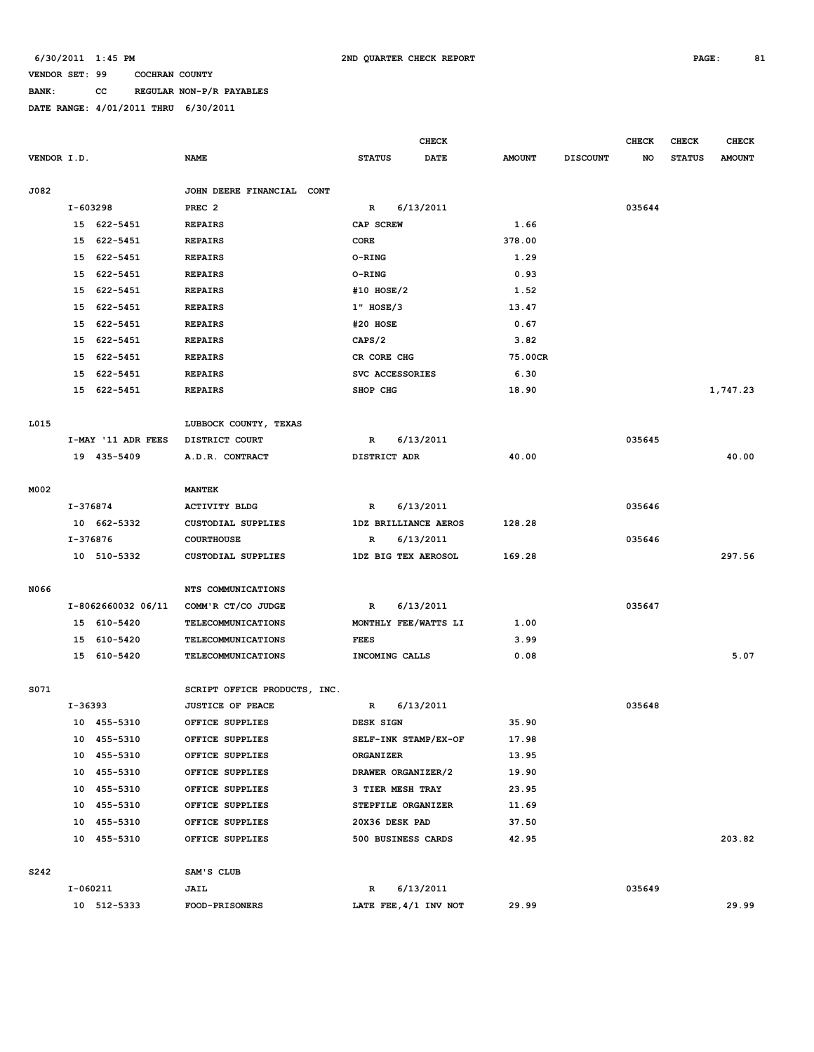# **BANK: CC REGULAR NON-P/R PAYABLES**

|             |            |                            |                                    |                    | <b>CHECK</b>          |                |                 | <b>CHECK</b> | CHECK         | <b>CHECK</b>  |
|-------------|------------|----------------------------|------------------------------------|--------------------|-----------------------|----------------|-----------------|--------------|---------------|---------------|
| VENDOR I.D. |            |                            | <b>NAME</b>                        | <b>STATUS</b>      | <b>DATE</b>           | <b>AMOUNT</b>  | <b>DISCOUNT</b> | NO           | <b>STATUS</b> | <b>AMOUNT</b> |
|             |            |                            |                                    |                    |                       |                |                 |              |               |               |
| J082        |            |                            | JOHN DEERE FINANCIAL CONT          |                    |                       |                |                 |              |               |               |
|             | I-603298   |                            | PREC <sub>2</sub>                  | $\mathbb{R}$       | 6/13/2011             |                |                 | 035644       |               |               |
|             |            | 15 622-5451                | <b>REPAIRS</b>                     | CAP SCREW          |                       | 1.66           |                 |              |               |               |
|             | 15         | 622-5451                   | <b>REPAIRS</b>                     | CORE               |                       | 378.00         |                 |              |               |               |
|             | 15         | 622-5451                   | <b>REPAIRS</b>                     | <b>O-RING</b>      |                       | 1.29           |                 |              |               |               |
|             | 15         | 622-5451                   | <b>REPAIRS</b>                     | O-RING             |                       | 0.93           |                 |              |               |               |
|             | 15         | 622-5451                   | <b>REPAIRS</b>                     | #10 HOSE/2         |                       | 1.52           |                 |              |               |               |
|             | 15         | 622-5451                   | <b>REPAIRS</b>                     | 1" HOSE/3          |                       | 13.47          |                 |              |               |               |
|             | 15         | 622-5451                   | <b>REPAIRS</b>                     | #20 HOSE           |                       | 0.67           |                 |              |               |               |
|             | 15         | 622-5451                   | <b>REPAIRS</b>                     | CAPS/2             |                       | 3.82           |                 |              |               |               |
|             | 15         | 622-5451                   | <b>REPAIRS</b>                     | CR CORE CHG        |                       | 75.00CR        |                 |              |               |               |
|             | 15         | 622-5451                   | <b>REPAIRS</b>                     | SVC ACCESSORIES    |                       | 6.30           |                 |              |               |               |
|             |            | 15 622-5451                | <b>REPAIRS</b>                     | SHOP CHG           |                       | 18.90          |                 |              |               | 1,747.23      |
|             |            |                            |                                    |                    |                       |                |                 |              |               |               |
| L015        |            |                            | LUBBOCK COUNTY, TEXAS              |                    |                       |                |                 |              |               |               |
|             |            | I-MAY '11 ADR FEES         | DISTRICT COURT                     | R                  | 6/13/2011             |                |                 | 035645       |               |               |
|             |            | 19 435-5409                | A.D.R. CONTRACT                    | DISTRICT ADR       |                       | 40.00          |                 |              |               | 40.00         |
|             |            |                            |                                    |                    |                       |                |                 |              |               |               |
| M002        |            |                            | <b>MANTEK</b>                      |                    |                       |                |                 |              |               |               |
|             | $I-376874$ |                            | <b>ACTIVITY BLDG</b>               | R                  | 6/13/2011             |                |                 | 035646       |               |               |
|             |            | 10 662-5332                | CUSTODIAL SUPPLIES                 |                    | 1DZ BRILLIANCE AEROS  | 128.28         |                 |              |               |               |
|             |            | I-376876                   | <b>COURTHOUSE</b>                  | R                  | 6/13/2011             |                |                 | 035646       |               |               |
|             |            | 10 510-5332                | CUSTODIAL SUPPLIES                 |                    | 1DZ BIG TEX AEROSOL   | 169.28         |                 |              |               | 297.56        |
|             |            |                            |                                    |                    |                       |                |                 |              |               |               |
| N066        |            |                            | NTS COMMUNICATIONS                 |                    |                       |                |                 |              |               |               |
|             |            | I-8062660032 06/11         | COMM'R CT/CO JUDGE                 | R                  | 6/13/2011             |                |                 | 035647       |               |               |
|             |            | 15 610-5420                | TELECOMMUNICATIONS                 |                    | MONTHLY FEE/WATTS LI  | 1.00           |                 |              |               |               |
|             |            | 15 610-5420                | <b>TELECOMMUNICATIONS</b>          | <b>FEES</b>        |                       | 3.99           |                 |              |               |               |
|             | 15         | 610-5420                   | <b>TELECOMMUNICATIONS</b>          | INCOMING CALLS     |                       | 0.08           |                 |              |               | 5.07          |
|             |            |                            |                                    |                    |                       |                |                 |              |               |               |
| S071        | I-36393    |                            | SCRIPT OFFICE PRODUCTS, INC.       |                    |                       |                |                 | 035648       |               |               |
|             |            |                            | <b>JUSTICE OF PEACE</b>            | R                  | 6/13/2011             | 35.90          |                 |              |               |               |
|             |            | 10 455-5310                | OFFICE SUPPLIES                    | DESK SIGN          |                       |                |                 |              |               |               |
|             |            | 10 455-5310<br>10 455-5310 | OFFICE SUPPLIES                    | <b>ORGANIZER</b>   | SELF-INK STAMP/EX-OF  | 17.98<br>13.95 |                 |              |               |               |
|             |            | 10 455-5310                | OFFICE SUPPLIES<br>OFFICE SUPPLIES | DRAWER ORGANIZER/2 |                       | 19.90          |                 |              |               |               |
|             |            | 10 455-5310                | OFFICE SUPPLIES                    | 3 TIER MESH TRAY   |                       | 23.95          |                 |              |               |               |
|             |            | 10 455-5310                |                                    | STEPFILE ORGANIZER |                       | 11.69          |                 |              |               |               |
|             |            | 10 455-5310                | OFFICE SUPPLIES<br>OFFICE SUPPLIES | 20X36 DESK PAD     |                       | 37.50          |                 |              |               |               |
|             |            | 10 455-5310                | OFFICE SUPPLIES                    | 500 BUSINESS CARDS |                       | 42.95          |                 |              |               | 203.82        |
|             |            |                            |                                    |                    |                       |                |                 |              |               |               |
| S242        |            |                            | SAM'S CLUB                         |                    |                       |                |                 |              |               |               |
|             |            | I-060211                   | <b>JAIL</b>                        | R                  | 6/13/2011             |                |                 | 035649       |               |               |
|             |            | 10 512-5333                | <b>FOOD-PRISONERS</b>              |                    | LATE FEE, 4/1 INV NOT | 29.99          |                 |              |               | 29.99         |
|             |            |                            |                                    |                    |                       |                |                 |              |               |               |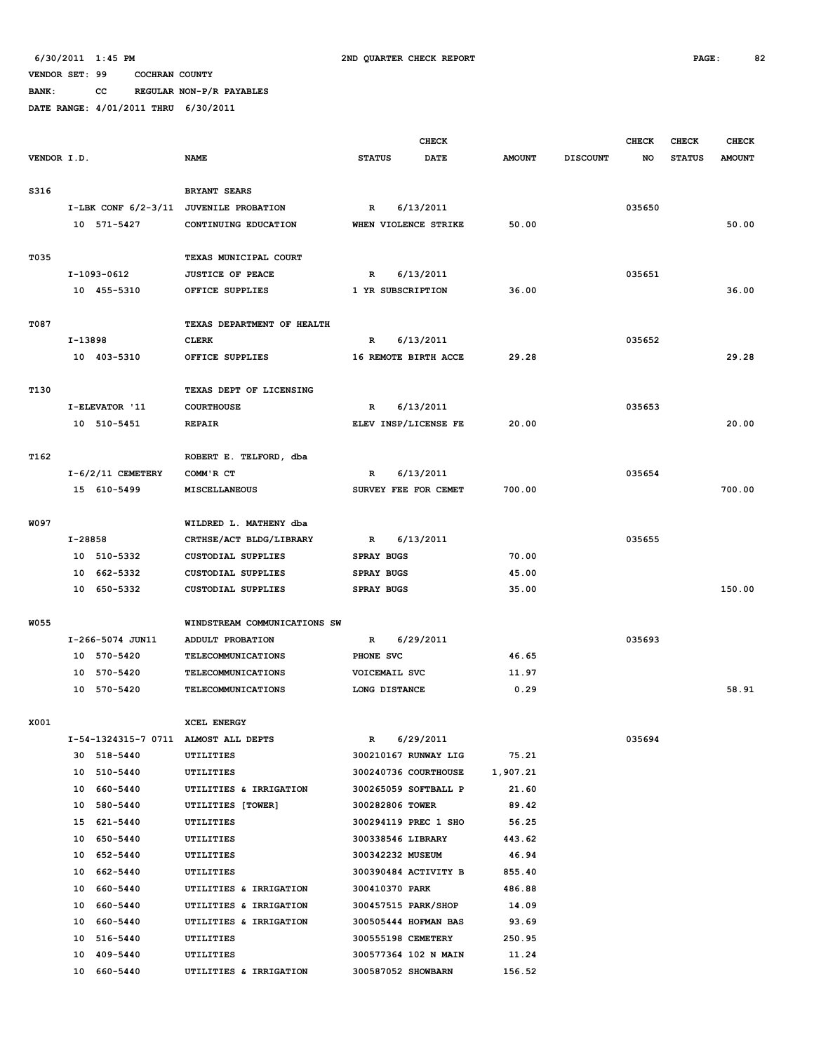**BANK: CC REGULAR NON-P/R PAYABLES**

|             |         |                               |                                        |                   | <b>CHECK</b>                               |                 |                 | <b>CHECK</b> | <b>CHECK</b>  | <b>CHECK</b>  |
|-------------|---------|-------------------------------|----------------------------------------|-------------------|--------------------------------------------|-----------------|-----------------|--------------|---------------|---------------|
| VENDOR I.D. |         |                               | <b>NAME</b>                            | <b>STATUS</b>     | <b>DATE</b>                                | <b>AMOUNT</b>   | <b>DISCOUNT</b> | NO           | <b>STATUS</b> | <b>AMOUNT</b> |
|             |         |                               |                                        |                   |                                            |                 |                 |              |               |               |
| S316        |         |                               | <b>BRYANT SEARS</b>                    |                   |                                            |                 |                 |              |               |               |
|             |         |                               | I-LBK CONF 6/2-3/11 JUVENILE PROBATION | R                 | 6/13/2011                                  |                 |                 | 035650       |               |               |
|             |         | 10 571-5427                   | CONTINUING EDUCATION                   |                   | WHEN VIOLENCE STRIKE                       | 50.00           |                 |              |               | 50.00         |
|             |         |                               |                                        |                   |                                            |                 |                 |              |               |               |
| T035        |         |                               | TEXAS MUNICIPAL COURT                  |                   |                                            |                 |                 |              |               |               |
|             |         | I-1093-0612                   | <b>JUSTICE OF PEACE</b>                | R                 | 6/13/2011                                  |                 |                 | 035651       |               |               |
|             |         | 10 455-5310                   | OFFICE SUPPLIES                        | 1 YR SUBSCRIPTION |                                            | 36.00           |                 |              |               | 36.00         |
|             |         |                               |                                        |                   |                                            |                 |                 |              |               |               |
| T087        |         |                               | TEXAS DEPARTMENT OF HEALTH             |                   |                                            |                 |                 |              |               |               |
|             | I-13898 |                               | <b>CLERK</b>                           | R                 | 6/13/2011                                  |                 |                 | 035652       |               |               |
|             |         | 10 403-5310                   | OFFICE SUPPLIES                        |                   | 16 REMOTE BIRTH ACCE                       | 29.28           |                 |              |               | 29.28         |
|             |         |                               |                                        |                   |                                            |                 |                 |              |               |               |
| T130        |         |                               | TEXAS DEPT OF LICENSING                |                   |                                            |                 |                 | 035653       |               |               |
|             |         | I-ELEVATOR '11<br>10 510-5451 | <b>COURTHOUSE</b><br><b>REPAIR</b>     | R                 | 6/13/2011<br>ELEV INSP/LICENSE FE          | 20.00           |                 |              |               | 20.00         |
|             |         |                               |                                        |                   |                                            |                 |                 |              |               |               |
| T162        |         |                               | ROBERT E. TELFORD, dba                 |                   |                                            |                 |                 |              |               |               |
|             |         | $I-6/2/11$ CEMETERY           | COMM'R CT                              | R                 | 6/13/2011                                  |                 |                 | 035654       |               |               |
|             |         | 15 610-5499                   | <b>MISCELLANEOUS</b>                   |                   | SURVEY FEE FOR CEMET                       | 700.00          |                 |              |               | 700.00        |
|             |         |                               |                                        |                   |                                            |                 |                 |              |               |               |
| W097        |         |                               | WILDRED L. MATHENY dba                 |                   |                                            |                 |                 |              |               |               |
|             | I-28858 |                               | CRTHSE/ACT BLDG/LIBRARY                | $\mathbb{R}$      | 6/13/2011                                  |                 |                 | 035655       |               |               |
|             |         | 10 510-5332                   | <b>CUSTODIAL SUPPLIES</b>              | <b>SPRAY BUGS</b> |                                            | 70.00           |                 |              |               |               |
|             |         | 10 662-5332                   | <b>CUSTODIAL SUPPLIES</b>              | <b>SPRAY BUGS</b> |                                            | 45.00           |                 |              |               |               |
|             |         | 10 650-5332                   | <b>CUSTODIAL SUPPLIES</b>              | <b>SPRAY BUGS</b> |                                            | 35.00           |                 |              |               | 150.00        |
|             |         |                               |                                        |                   |                                            |                 |                 |              |               |               |
| W055        |         |                               | WINDSTREAM COMMUNICATIONS SW           |                   |                                            |                 |                 |              |               |               |
|             |         | I-266-5074 JUN11              | ADDULT PROBATION                       | $\mathbb{R}$      | 6/29/2011                                  |                 |                 | 035693       |               |               |
|             |         | 10 570-5420                   | TELECOMMUNICATIONS                     | PHONE SVC         |                                            | 46.65           |                 |              |               |               |
|             |         | 10 570-5420                   | TELECOMMUNICATIONS                     | VOICEMAIL SVC     |                                            | 11.97           |                 |              |               |               |
|             |         | 10 570-5420                   | <b>TELECOMMUNICATIONS</b>              | LONG DISTANCE     |                                            | 0.29            |                 |              |               | 58.91         |
|             |         |                               |                                        |                   |                                            |                 |                 |              |               |               |
| X001        |         |                               | XCEL ENERGY                            |                   |                                            |                 |                 |              |               |               |
|             |         |                               | I-54-1324315-7 0711 ALMOST ALL DEPTS   | $\mathbb{R}$      | 6/29/2011                                  |                 |                 | 035694       |               |               |
|             |         | 30 518-5440                   | UTILITIES                              |                   | 300210167 RUNWAY LIG                       | 75.21           |                 |              |               |               |
|             |         | 10 510-5440                   | UTILITIES                              |                   | 300240736 COURTHOUSE                       | 1,907.21        |                 |              |               |               |
|             |         | 10 660-5440                   | UTILITIES & IRRIGATION                 |                   | 300265059 SOFTBALL P                       | 21.60           |                 |              |               |               |
|             |         | 10 580-5440                   | UTILITIES [TOWER]                      | 300282806 TOWER   |                                            | 89.42           |                 |              |               |               |
|             |         | 15 621-5440                   | UTILITIES                              |                   | 300294119 PREC 1 SHO                       | 56.25           |                 |              |               |               |
|             |         | 10 650-5440                   | UTILITIES                              | 300338546 LIBRARY |                                            | 443.62          |                 |              |               |               |
|             |         | 10 652-5440                   | UTILITIES                              | 300342232 MUSEUM  |                                            | 46.94           |                 |              |               |               |
|             |         | 10 662-5440                   | UTILITIES                              |                   | 300390484 ACTIVITY B                       | 855.40          |                 |              |               |               |
|             |         | 10 660-5440                   | UTILITIES & IRRIGATION                 | 300410370 PARK    |                                            | 486.88          |                 |              |               |               |
|             |         | 10 660-5440                   | UTILITIES & IRRIGATION                 |                   | 300457515 PARK/SHOP                        | 14.09           |                 |              |               |               |
|             |         | 10 660-5440<br>10 516-5440    | UTILITIES & IRRIGATION<br>UTILITIES    |                   | 300505444 HOFMAN BAS<br>300555198 CEMETERY | 93.69<br>250.95 |                 |              |               |               |
|             |         | 10 409-5440                   | UTILITIES                              |                   | 300577364 102 N MAIN                       | 11.24           |                 |              |               |               |
|             |         | 10 660-5440                   | UTILITIES & IRRIGATION                 |                   | 300587052 SHOWBARN                         | 156.52          |                 |              |               |               |
|             |         |                               |                                        |                   |                                            |                 |                 |              |               |               |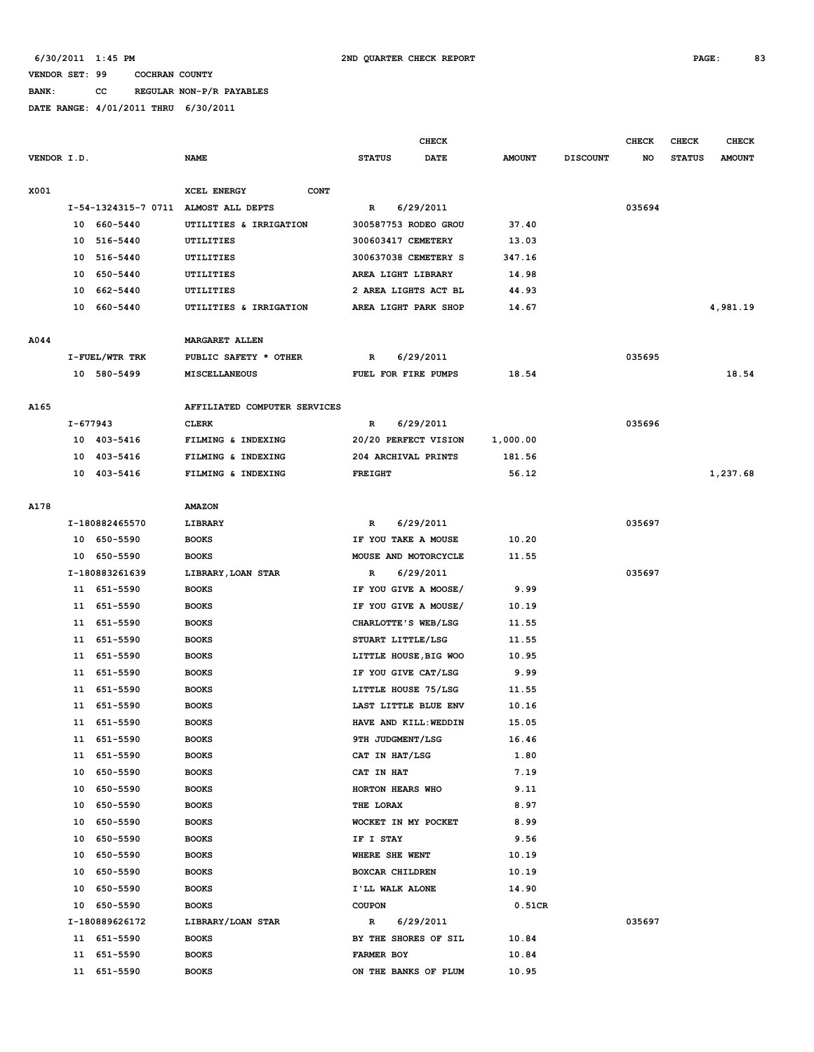**BANK: CC REGULAR NON-P/R PAYABLES**

|             |          |                |                                      |                       | CHECK       |               |                 | <b>CHECK</b> | CHECK         | <b>CHECK</b>  |
|-------------|----------|----------------|--------------------------------------|-----------------------|-------------|---------------|-----------------|--------------|---------------|---------------|
| VENDOR I.D. |          |                | <b>NAME</b>                          | <b>STATUS</b>         | <b>DATE</b> | <b>AMOUNT</b> | <b>DISCOUNT</b> | NO           | <b>STATUS</b> | <b>AMOUNT</b> |
| X001        |          |                | <b>XCEL ENERGY</b><br><b>CONT</b>    |                       |             |               |                 |              |               |               |
|             |          |                | I-54-1324315-7 0711 ALMOST ALL DEPTS | R                     | 6/29/2011   |               |                 | 035694       |               |               |
|             | 10       | 660-5440       | UTILITIES & IRRIGATION               | 300587753 RODEO GROU  |             | 37.40         |                 |              |               |               |
|             | 10       | 516-5440       | UTILITIES                            | 300603417 CEMETERY    |             | 13.03         |                 |              |               |               |
|             | 10       | 516-5440       | UTILITIES                            | 300637038 CEMETERY S  |             | 347.16        |                 |              |               |               |
|             | 10       | 650-5440       | UTILITIES                            | AREA LIGHT LIBRARY    |             | 14.98         |                 |              |               |               |
|             | 10       | 662-5440       | UTILITIES                            | 2 AREA LIGHTS ACT BL  |             | 44.93         |                 |              |               |               |
|             | 10       | 660-5440       | UTILITIES & IRRIGATION               | AREA LIGHT PARK SHOP  |             | 14.67         |                 |              |               | 4,981.19      |
| A044        |          |                | <b>MARGARET ALLEN</b>                |                       |             |               |                 |              |               |               |
|             |          | I-FUEL/WTR TRK | PUBLIC SAFETY * OTHER                | R                     | 6/29/2011   |               |                 | 035695       |               |               |
|             |          | 10 580-5499    | MISCELLANEOUS                        | FUEL FOR FIRE PUMPS   |             | 18.54         |                 |              |               | 18.54         |
| A165        |          |                | AFFILIATED COMPUTER SERVICES         |                       |             |               |                 |              |               |               |
|             | I-677943 |                | <b>CLERK</b>                         | R                     | 6/29/2011   |               |                 | 035696       |               |               |
|             |          | 10 403-5416    | FILMING & INDEXING                   | 20/20 PERFECT VISION  |             | 1,000.00      |                 |              |               |               |
|             | 10       | 403-5416       | FILMING & INDEXING                   | 204 ARCHIVAL PRINTS   |             | 181.56        |                 |              |               |               |
|             | 10       | 403-5416       | FILMING & INDEXING                   | <b>FREIGHT</b>        |             | 56.12         |                 |              |               | 1,237.68      |
|             |          |                |                                      |                       |             |               |                 |              |               |               |
| A178        |          |                | <b>AMAZON</b>                        |                       |             |               |                 |              |               |               |
|             |          | I-180882465570 | LIBRARY                              | R                     | 6/29/2011   |               |                 | 035697       |               |               |
|             |          | 10 650-5590    | <b>BOOKS</b>                         | IF YOU TAKE A MOUSE   |             | 10.20         |                 |              |               |               |
|             |          | 10 650-5590    | <b>BOOKS</b>                         | MOUSE AND MOTORCYCLE  |             | 11.55         |                 |              |               |               |
|             |          | I-180883261639 | LIBRARY, LOAN STAR                   | R                     | 6/29/2011   |               |                 | 035697       |               |               |
|             |          | 11 651-5590    | <b>BOOKS</b>                         | IF YOU GIVE A MOOSE/  |             | 9.99          |                 |              |               |               |
|             | 11       | 651-5590       | <b>BOOKS</b>                         | IF YOU GIVE A MOUSE/  |             | 10.19         |                 |              |               |               |
|             | 11       | 651-5590       | <b>BOOKS</b>                         | CHARLOTTE'S WEB/LSG   |             | 11.55         |                 |              |               |               |
|             | 11       | 651-5590       | <b>BOOKS</b>                         | STUART LITTLE/LSG     |             | 11.55         |                 |              |               |               |
|             | 11       | 651-5590       | <b>BOOKS</b>                         | LITTLE HOUSE, BIG WOO |             | 10.95         |                 |              |               |               |
|             | 11       | 651-5590       | <b>BOOKS</b>                         | IF YOU GIVE CAT/LSG   |             | 9.99          |                 |              |               |               |
|             | 11       | 651-5590       | <b>BOOKS</b>                         | LITTLE HOUSE 75/LSG   |             | 11.55         |                 |              |               |               |
|             | 11       | 651-5590       | <b>BOOKS</b>                         | LAST LITTLE BLUE ENV  |             | 10.16         |                 |              |               |               |
|             |          | 11 651-5590    | <b>BOOKS</b>                         | HAVE AND KILL: WEDDIN |             | 15.05         |                 |              |               |               |
|             |          | 11 651-5590    | <b>BOOKS</b>                         | 9TH JUDGMENT/LSG      |             | 16.46         |                 |              |               |               |
|             |          | 11 651-5590    | <b>BOOKS</b>                         | CAT IN HAT/LSG        |             | 1.80          |                 |              |               |               |
|             | 10       | 650-5590       | <b>BOOKS</b>                         | CAT IN HAT            |             | 7.19          |                 |              |               |               |
|             | 10       | 650-5590       | <b>BOOKS</b>                         | HORTON HEARS WHO      |             | 9.11          |                 |              |               |               |
|             | 10       | 650-5590       | <b>BOOKS</b>                         | THE LORAX             |             | 8.97          |                 |              |               |               |
|             | 10       | 650-5590       | <b>BOOKS</b>                         | WOCKET IN MY POCKET   |             | 8.99          |                 |              |               |               |
|             | 10       | 650-5590       | <b>BOOKS</b>                         | IF I STAY             |             | 9.56          |                 |              |               |               |
|             | 10       | 650-5590       | <b>BOOKS</b>                         | WHERE SHE WENT        |             | 10.19         |                 |              |               |               |
|             | 10       | 650-5590       | <b>BOOKS</b>                         | BOXCAR CHILDREN       |             | 10.19         |                 |              |               |               |
|             | 10       | 650-5590       | <b>BOOKS</b>                         | I'LL WALK ALONE       |             | 14.90         |                 |              |               |               |
|             |          | 10 650-5590    | <b>BOOKS</b>                         | <b>COUPON</b>         |             | 0.51CR        |                 |              |               |               |
|             |          | I-180889626172 | LIBRARY/LOAN STAR                    | R                     | 6/29/2011   |               |                 | 035697       |               |               |
|             |          | 11 651-5590    | <b>BOOKS</b>                         | BY THE SHORES OF SIL  |             | 10.84         |                 |              |               |               |
|             | 11       | 651-5590       | <b>BOOKS</b>                         | FARMER BOY            |             | 10.84         |                 |              |               |               |
|             | 11       | 651-5590       | <b>BOOKS</b>                         | ON THE BANKS OF PLUM  |             | 10.95         |                 |              |               |               |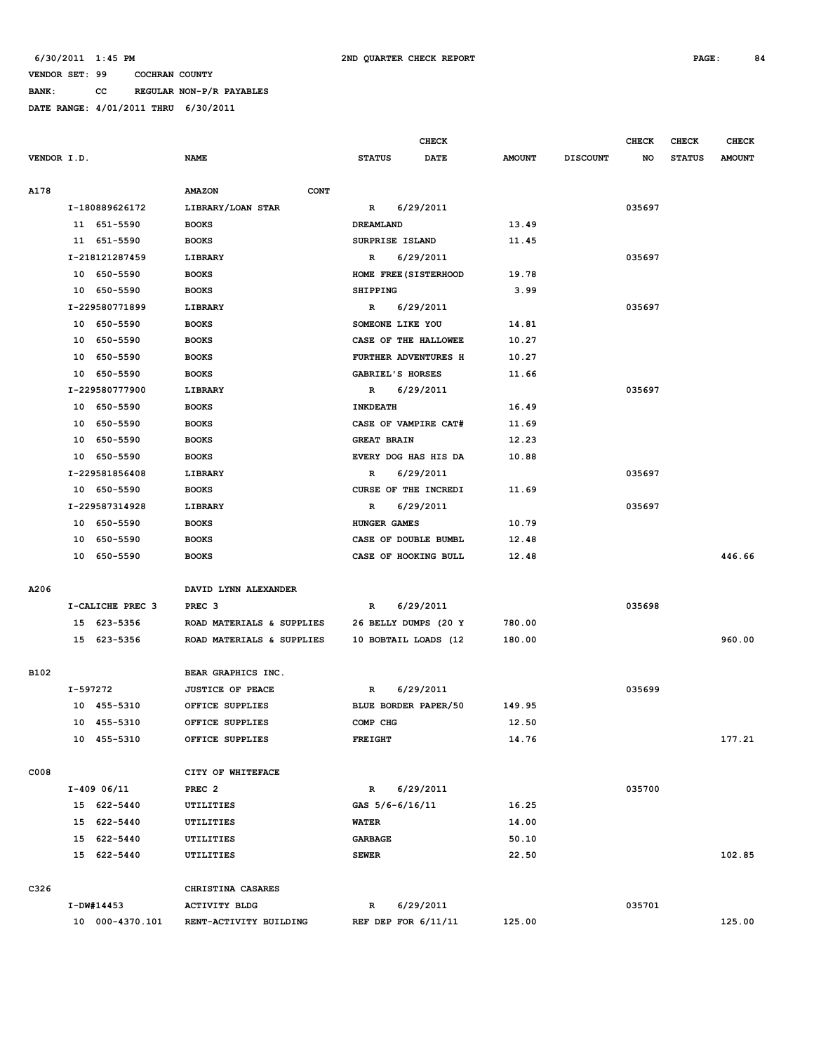**BANK: CC REGULAR NON-P/R PAYABLES**

|             |    |                  |                           |             |                    | <b>CHECK</b>          |               |                 | <b>CHECK</b> | <b>CHECK</b>  | <b>CHECK</b>  |
|-------------|----|------------------|---------------------------|-------------|--------------------|-----------------------|---------------|-----------------|--------------|---------------|---------------|
| VENDOR I.D. |    |                  | <b>NAME</b>               |             | <b>STATUS</b>      | DATE                  | <b>AMOUNT</b> | <b>DISCOUNT</b> | NO           | <b>STATUS</b> | <b>AMOUNT</b> |
|             |    |                  |                           |             |                    |                       |               |                 |              |               |               |
| A178        |    |                  | <b>AMAZON</b>             | <b>CONT</b> |                    |                       |               |                 |              |               |               |
|             |    | I-180889626172   | LIBRARY/LOAN STAR         |             | $\mathbb{R}$       | 6/29/2011             |               |                 | 035697       |               |               |
|             |    | 11 651-5590      | <b>BOOKS</b>              |             | DREAMLAND          |                       | 13.49         |                 |              |               |               |
|             |    | 11 651-5590      | <b>BOOKS</b>              |             | SURPRISE ISLAND    |                       | 11.45         |                 |              |               |               |
|             |    | I-218121287459   | LIBRARY                   |             | $\mathbb{R}$       | 6/29/2011             |               |                 | 035697       |               |               |
|             |    | 10 650-5590      | <b>BOOKS</b>              |             |                    | HOME FREE (SISTERHOOD | 19.78         |                 |              |               |               |
|             |    | 10 650-5590      | <b>BOOKS</b>              |             | <b>SHIPPING</b>    |                       | 3.99          |                 |              |               |               |
|             |    | I-229580771899   | LIBRARY                   |             | $\mathbb{R}$       | 6/29/2011             |               |                 | 035697       |               |               |
|             |    | 10 650-5590      | <b>BOOKS</b>              |             | SOMEONE LIKE YOU   |                       | 14.81         |                 |              |               |               |
|             |    | 10 650-5590      | <b>BOOKS</b>              |             |                    | CASE OF THE HALLOWEE  | 10.27         |                 |              |               |               |
|             | 10 | 650-5590         | <b>BOOKS</b>              |             |                    | FURTHER ADVENTURES H  | 10.27         |                 |              |               |               |
|             | 10 | 650-5590         | <b>BOOKS</b>              |             | GABRIEL'S HORSES   |                       | 11.66         |                 |              |               |               |
|             |    | I-229580777900   | LIBRARY                   |             | $\mathbb{R}$       | 6/29/2011             |               |                 | 035697       |               |               |
|             |    | 10 650-5590      | <b>BOOKS</b>              |             | <b>INKDEATH</b>    |                       | 16.49         |                 |              |               |               |
|             |    | 10 650-5590      | <b>BOOKS</b>              |             |                    | CASE OF VAMPIRE CAT#  | 11.69         |                 |              |               |               |
|             |    | 10 650-5590      | <b>BOOKS</b>              |             | <b>GREAT BRAIN</b> |                       | 12.23         |                 |              |               |               |
|             |    | 10 650-5590      | <b>BOOKS</b>              |             |                    | EVERY DOG HAS HIS DA  | 10.88         |                 |              |               |               |
|             |    | I-229581856408   | <b>LIBRARY</b>            |             | R                  | 6/29/2011             |               |                 | 035697       |               |               |
|             |    | 10 650-5590      | <b>BOOKS</b>              |             |                    | CURSE OF THE INCREDI  | 11.69         |                 |              |               |               |
|             |    | I-229587314928   | LIBRARY                   |             | R                  | 6/29/2011             |               |                 | 035697       |               |               |
|             |    | 10 650-5590      | <b>BOOKS</b>              |             | HUNGER GAMES       |                       | 10.79         |                 |              |               |               |
|             |    | 10 650-5590      | <b>BOOKS</b>              |             |                    | CASE OF DOUBLE BUMBL  | 12.48         |                 |              |               |               |
|             |    | 10 650-5590      | <b>BOOKS</b>              |             |                    | CASE OF HOOKING BULL  | 12.48         |                 |              |               | 446.66        |
|             |    |                  |                           |             |                    |                       |               |                 |              |               |               |
| A206        |    |                  | DAVID LYNN ALEXANDER      |             |                    |                       |               |                 |              |               |               |
|             |    | I-CALICHE PREC 3 | PREC <sub>3</sub>         |             | R                  | 6/29/2011             |               |                 | 035698       |               |               |
|             |    | 15 623-5356      | ROAD MATERIALS & SUPPLIES |             |                    | 26 BELLY DUMPS (20 Y  | 780.00        |                 |              |               |               |
|             |    | 15 623-5356      | ROAD MATERIALS & SUPPLIES |             |                    | 10 BOBTAIL LOADS (12  | 180.00        |                 |              |               | 960.00        |
|             |    |                  |                           |             |                    |                       |               |                 |              |               |               |
| B102        |    |                  | BEAR GRAPHICS INC.        |             |                    |                       |               |                 |              |               |               |
|             |    | I-597272         | <b>JUSTICE OF PEACE</b>   |             | R                  | 6/29/2011             |               |                 | 035699       |               |               |
|             |    | 10 455-5310      | OFFICE SUPPLIES           |             |                    | BLUE BORDER PAPER/50  | 149.95        |                 |              |               |               |
|             |    | 10 455-5310      | OFFICE SUPPLIES           |             | COMP CHG           |                       | 12.50         |                 |              |               |               |
|             |    | 10 455-5310      | OFFICE SUPPLIES           |             | <b>FREIGHT</b>     |                       | 14.76         |                 |              |               | 177.21        |
|             |    |                  |                           |             |                    |                       |               |                 |              |               |               |
| C008        |    |                  | CITY OF WHITEFACE         |             |                    |                       |               |                 |              |               |               |
|             |    | $I-409$ 06/11    | PREC <sub>2</sub>         |             | $\mathbb{R}$       | 6/29/2011             |               |                 | 035700       |               |               |
|             |    | 15 622-5440      | UTILITIES                 |             | GAS 5/6-6/16/11    |                       | 16.25         |                 |              |               |               |
|             |    | 15 622-5440      | UTILITIES                 |             | <b>WATER</b>       |                       | 14.00         |                 |              |               |               |
|             |    | 15 622-5440      | UTILITIES                 |             | <b>GARBAGE</b>     |                       | 50.10         |                 |              |               |               |
|             |    | 15 622-5440      | <b>UTILITIES</b>          |             | <b>SEWER</b>       |                       | 22.50         |                 |              |               | 102.85        |
|             |    |                  |                           |             |                    |                       |               |                 |              |               |               |
| C326        |    |                  | CHRISTINA CASARES         |             |                    |                       |               |                 |              |               |               |
|             |    | I-DW#14453       | <b>ACTIVITY BLDG</b>      |             | R                  | 6/29/2011             |               |                 | 035701       |               |               |
|             |    | 10 000-4370.101  | RENT-ACTIVITY BUILDING    |             |                    | REF DEP FOR $6/11/11$ | 125.00        |                 |              |               | 125.00        |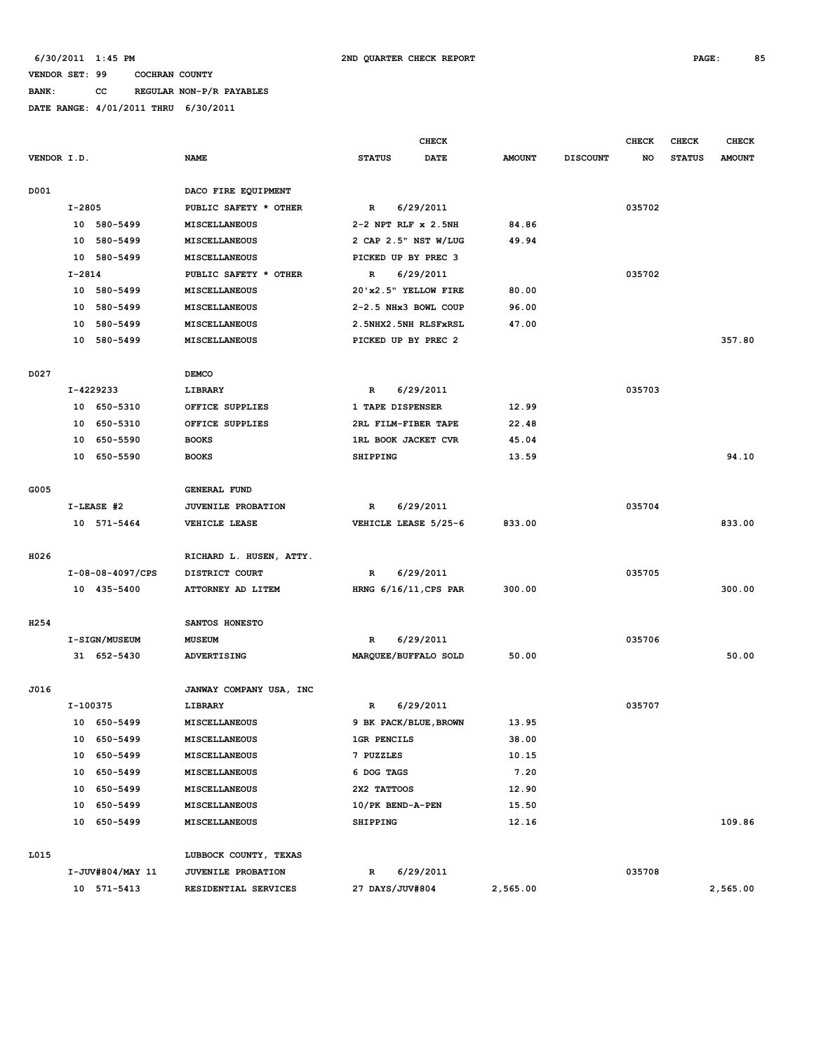## **BANK: CC REGULAR NON-P/R PAYABLES**

|                  |            |                  |                           |                     | <b>CHECK</b>             |               |                 | <b>CHECK</b> | CHECK         | <b>CHECK</b>  |
|------------------|------------|------------------|---------------------------|---------------------|--------------------------|---------------|-----------------|--------------|---------------|---------------|
| VENDOR I.D.      |            |                  | <b>NAME</b>               | <b>STATUS</b>       | <b>DATE</b>              | <b>AMOUNT</b> | <b>DISCOUNT</b> | NO           | <b>STATUS</b> | <b>AMOUNT</b> |
|                  |            |                  |                           |                     |                          |               |                 |              |               |               |
| D001             |            |                  | DACO FIRE EQUIPMENT       |                     |                          |               |                 |              |               |               |
|                  | $I - 2805$ |                  | PUBLIC SAFETY * OTHER     | $\mathbb{R}$        | 6/29/2011                |               |                 | 035702       |               |               |
|                  |            | 10 580-5499      | <b>MISCELLANEOUS</b>      | 2-2 NPT RLF x 2.5NH |                          | 84.86         |                 |              |               |               |
|                  | 10         | 580-5499         | MISCELLANEOUS             |                     | 2 CAP 2.5" NST W/LUG     | 49.94         |                 |              |               |               |
|                  |            | 10 580-5499      | MISCELLANEOUS             | PICKED UP BY PREC 3 |                          |               |                 |              |               |               |
|                  | $I-2814$   |                  | PUBLIC SAFETY * OTHER     | R                   | 6/29/2011                |               |                 | 035702       |               |               |
|                  |            | 10 580-5499      | MISCELLANEOUS             |                     | 20'x2.5" YELLOW FIRE     | 80.00         |                 |              |               |               |
|                  |            | 10 580-5499      | MISCELLANEOUS             |                     | 2-2.5 NHx3 BOWL COUP     | 96.00         |                 |              |               |               |
|                  |            | 10 580-5499      | <b>MISCELLANEOUS</b>      |                     | 2.5NHX2.5NH RLSFxRSL     | 47.00         |                 |              |               |               |
|                  |            | 10 580-5499      | MISCELLANEOUS             | PICKED UP BY PREC 2 |                          |               |                 |              |               | 357.80        |
|                  |            |                  |                           |                     |                          |               |                 |              |               |               |
| D027             |            |                  | <b>DEMCO</b>              |                     |                          |               |                 |              |               |               |
|                  |            | I-4229233        | LIBRARY                   | R                   | 6/29/2011                |               |                 | 035703       |               |               |
|                  |            | 10 650-5310      | OFFICE SUPPLIES           | 1 TAPE DISPENSER    |                          | 12.99         |                 |              |               |               |
|                  |            | 10 650-5310      | OFFICE SUPPLIES           | 2RL FILM-FIBER TAPE |                          | 22.48         |                 |              |               |               |
|                  |            | 10 650-5590      | <b>BOOKS</b>              | 1RL BOOK JACKET CVR |                          | 45.04         |                 |              |               |               |
|                  |            | 10 650-5590      | <b>BOOKS</b>              | <b>SHIPPING</b>     |                          | 13.59         |                 |              |               | 94.10         |
|                  |            |                  |                           |                     |                          |               |                 |              |               |               |
| G005             |            |                  | <b>GENERAL FUND</b>       |                     |                          |               |                 |              |               |               |
|                  |            | $I-LEASE$ #2     | <b>JUVENILE PROBATION</b> | R                   | 6/29/2011                |               |                 | 035704       |               |               |
|                  |            | 10 571-5464      | VEHICLE LEASE             |                     | VEHICLE LEASE 5/25-6     | 833.00        |                 |              |               | 833.00        |
|                  |            |                  |                           |                     |                          |               |                 |              |               |               |
| H026             |            |                  | RICHARD L. HUSEN, ATTY.   |                     |                          |               |                 |              |               |               |
|                  |            | I-08-08-4097/CPS | DISTRICT COURT            | R                   | 6/29/2011                |               |                 | 035705       |               |               |
|                  |            | 10 435-5400      | ATTORNEY AD LITEM         |                     | HRNG $6/16/11$ , CPS PAR | 300.00        |                 |              |               | 300.00        |
|                  |            |                  |                           |                     |                          |               |                 |              |               |               |
| H <sub>254</sub> |            |                  | SANTOS HONESTO            |                     |                          |               |                 |              |               |               |
|                  |            | I-SIGN/MUSEUM    | <b>MUSEUM</b>             | R                   | 6/29/2011                |               |                 | 035706       |               |               |
|                  |            | 31 652-5430      | <b>ADVERTISING</b>        |                     | MARQUEE/BUFFALO SOLD     | 50.00         |                 |              |               | 50.00         |
|                  |            |                  |                           |                     |                          |               |                 |              |               |               |
| J016             |            |                  | JANWAY COMPANY USA, INC   |                     |                          |               |                 |              |               |               |
|                  | I-100375   |                  | LIBRARY                   | R                   | 6/29/2011                |               |                 | 035707       |               |               |
|                  |            | 10 650-5499      | MISCELLANEOUS             |                     | 9 BK PACK/BLUE, BROWN    | 13.95         |                 |              |               |               |
|                  |            | 10 650-5499      | <b>MISCELLANEOUS</b>      | <b>1GR PENCILS</b>  |                          | 38.00         |                 |              |               |               |
|                  |            | 10 650-5499      | MISCELLANEOUS             | 7 PUZZLES           |                          | 10.15         |                 |              |               |               |
|                  |            | 10 650-5499      | <b>MISCELLANEOUS</b>      | 6 DOG TAGS          |                          | 7.20          |                 |              |               |               |
|                  |            | 10 650-5499      | MISCELLANEOUS             | 2X2 TATTOOS         |                          | 12.90         |                 |              |               |               |
|                  |            | 10 650-5499      | <b>MISCELLANEOUS</b>      | 10/PK BEND-A-PEN    |                          | 15.50         |                 |              |               |               |
|                  |            | 10 650-5499      | MISCELLANEOUS             | SHIPPING            |                          | 12.16         |                 |              |               | 109.86        |
|                  |            |                  |                           |                     |                          |               |                 |              |               |               |
| L015             |            |                  | LUBBOCK COUNTY, TEXAS     |                     |                          |               |                 |              |               |               |
|                  |            | I-JUV#804/MAY 11 | <b>JUVENILE PROBATION</b> | R                   | 6/29/2011                |               |                 | 035708       |               |               |
|                  |            | 10 571-5413      | RESIDENTIAL SERVICES      | 27 DAYS/JUV#804     |                          | 2,565.00      |                 |              |               | 2,565.00      |
|                  |            |                  |                           |                     |                          |               |                 |              |               |               |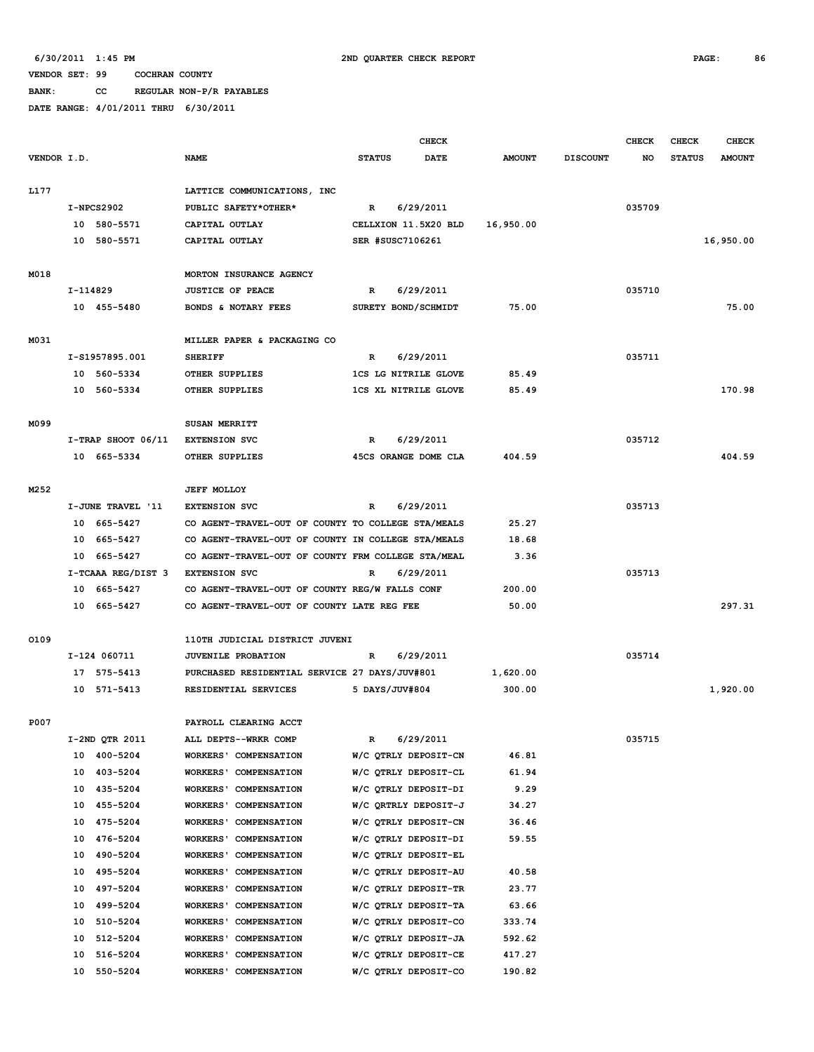**BANK: CC REGULAR NON-P/R PAYABLES**

|             |          |                      |                                                                                                          |               | <b>CHECK</b>                |                |                 | <b>CHECK</b> | <b>CHECK</b>  | <b>CHECK</b>  |
|-------------|----------|----------------------|----------------------------------------------------------------------------------------------------------|---------------|-----------------------------|----------------|-----------------|--------------|---------------|---------------|
| VENDOR I.D. |          |                      | <b>NAME</b>                                                                                              | <b>STATUS</b> | <b>DATE</b>                 | <b>AMOUNT</b>  | <b>DISCOUNT</b> | NO           | <b>STATUS</b> | <b>AMOUNT</b> |
|             |          |                      |                                                                                                          |               |                             |                |                 |              |               |               |
| L177        |          |                      | LATTICE COMMUNICATIONS, INC                                                                              |               |                             |                |                 |              |               |               |
|             |          | $I-NPCS2902$         | PUBLIC SAFETY*OTHER*                                                                                     | $\mathbb{R}$  | 6/29/2011                   |                |                 | 035709       |               |               |
|             |          | 10 580-5571          | CAPITAL OUTLAY                                                                                           |               | CELLXION 11.5X20 BLD        | 16,950.00      |                 |              |               |               |
|             | 10       | 580-5571             | CAPITAL OUTLAY                                                                                           |               | SER #SUSC7106261            |                |                 |              |               | 16,950.00     |
|             |          |                      |                                                                                                          |               |                             |                |                 |              |               |               |
| M018        |          |                      | MORTON INSURANCE AGENCY                                                                                  |               |                             |                |                 |              |               |               |
|             | I-114829 |                      | <b>JUSTICE OF PEACE</b>                                                                                  | R             | 6/29/2011                   |                |                 | 035710       |               |               |
|             |          | 10 455-5480          | BONDS & NOTARY FEES                                                                                      |               | SURETY BOND/SCHMIDT         | 75.00          |                 |              |               | 75.00         |
|             |          |                      |                                                                                                          |               |                             |                |                 |              |               |               |
| M031        |          |                      | MILLER PAPER & PACKAGING CO                                                                              |               |                             |                |                 |              |               |               |
|             |          | I-S1957895.001       | <b>SHERIFF</b>                                                                                           | R             | 6/29/2011                   |                |                 | 035711       |               |               |
|             |          | 10 560-5334          | OTHER SUPPLIES                                                                                           |               | <b>1CS LG NITRILE GLOVE</b> | 85.49          |                 |              |               |               |
|             |          | 10 560-5334          | OTHER SUPPLIES                                                                                           |               | <b>1CS XL NITRILE GLOVE</b> | 85.49          |                 |              |               | 170.98        |
|             |          |                      |                                                                                                          |               |                             |                |                 |              |               |               |
| M099        |          |                      | SUSAN MERRITT                                                                                            |               |                             |                |                 |              |               |               |
|             |          | I-TRAP SHOOT 06/11   | <b>EXTENSION SVC</b>                                                                                     | R             | 6/29/2011                   |                |                 | 035712       |               |               |
|             |          | 10 665-5334          | OTHER SUPPLIES                                                                                           |               | 45CS ORANGE DOME CLA        | 404.59         |                 |              |               | 404.59        |
|             |          |                      | <b>JEFF MOLLOY</b>                                                                                       |               |                             |                |                 |              |               |               |
| M252        |          | I-JUNE TRAVEL '11    | <b>EXTENSION SVC</b>                                                                                     |               |                             |                |                 | 035713       |               |               |
|             |          |                      |                                                                                                          | R             | 6/29/2011                   |                |                 |              |               |               |
|             | 10<br>10 | 665-5427<br>665-5427 | CO AGENT-TRAVEL-OUT OF COUNTY TO COLLEGE STA/MEALS<br>CO AGENT-TRAVEL-OUT OF COUNTY IN COLLEGE STA/MEALS |               |                             | 25.27<br>18.68 |                 |              |               |               |
|             | 10       | 665-5427             | CO AGENT-TRAVEL-OUT OF COUNTY FRM COLLEGE STA/MEAL                                                       |               |                             | 3.36           |                 |              |               |               |
|             |          | I-TCAAA REG/DIST 3   | <b>EXTENSION SVC</b>                                                                                     | R             | 6/29/2011                   |                |                 | 035713       |               |               |
|             | 10       | 665-5427             | CO AGENT-TRAVEL-OUT OF COUNTY REG/W FALLS CONF                                                           |               |                             | 200.00         |                 |              |               |               |
|             | 10       | 665-5427             | CO AGENT-TRAVEL-OUT OF COUNTY LATE REG FEE                                                               |               |                             | 50.00          |                 |              |               | 297.31        |
|             |          |                      |                                                                                                          |               |                             |                |                 |              |               |               |
| 0109        |          |                      | 110TH JUDICIAL DISTRICT JUVENI                                                                           |               |                             |                |                 |              |               |               |
|             |          | I-124 060711         | JUVENILE PROBATION                                                                                       | R             | 6/29/2011                   |                |                 | 035714       |               |               |
|             |          | 17 575-5413          | PURCHASED RESIDENTIAL SERVICE 27 DAYS/JUV#801                                                            |               |                             | 1,620.00       |                 |              |               |               |
|             | 10       | 571-5413             | RESIDENTIAL SERVICES                                                                                     |               | 5 DAYS/JUV#804              | 300.00         |                 |              |               | 1,920.00      |
|             |          |                      |                                                                                                          |               |                             |                |                 |              |               |               |
| P007        |          |                      | PAYROLL CLEARING ACCT                                                                                    |               |                             |                |                 |              |               |               |
|             |          | I-2ND QTR 2011       | ALL DEPTS--WRKR COMP                                                                                     | R             | 6/29/2011                   |                |                 | 035715       |               |               |
|             |          | 10 400-5204          | <b>WORKERS' COMPENSATION</b>                                                                             |               | W/C QTRLY DEPOSIT-CN        | 46.81          |                 |              |               |               |
|             |          | 10 403-5204          | WORKERS' COMPENSATION                                                                                    |               | W/C QTRLY DEPOSIT-CL        | 61.94          |                 |              |               |               |
|             |          | 10 435-5204          | WORKERS' COMPENSATION                                                                                    |               | W/C QTRLY DEPOSIT-DI        | 9.29           |                 |              |               |               |
|             | 10       | 455-5204             | WORKERS' COMPENSATION                                                                                    |               | W/C QRTRLY DEPOSIT-J        | 34.27          |                 |              |               |               |
|             | 10       | 475-5204             | <b>WORKERS' COMPENSATION</b>                                                                             |               | W/C QTRLY DEPOSIT-CN        | 36.46          |                 |              |               |               |
|             | 10       | 476-5204             | <b>WORKERS' COMPENSATION</b>                                                                             |               | W/C QTRLY DEPOSIT-DI        | 59.55          |                 |              |               |               |
|             | 10       | 490-5204             | <b>WORKERS' COMPENSATION</b>                                                                             |               | W/C QTRLY DEPOSIT-EL        |                |                 |              |               |               |
|             | 10       | 495-5204             | <b>WORKERS' COMPENSATION</b>                                                                             |               | W/C QTRLY DEPOSIT-AU        | 40.58          |                 |              |               |               |
|             | 10       | 497-5204             | <b>WORKERS' COMPENSATION</b>                                                                             |               | W/C QTRLY DEPOSIT-TR        | 23.77          |                 |              |               |               |
|             | 10       | 499-5204             | <b>WORKERS' COMPENSATION</b>                                                                             |               | W/C QTRLY DEPOSIT-TA        | 63.66          |                 |              |               |               |
|             | 10       | 510-5204             | <b>WORKERS' COMPENSATION</b>                                                                             |               | W/C QTRLY DEPOSIT-CO        | 333.74         |                 |              |               |               |
|             | 10       | 512-5204             | <b>WORKERS' COMPENSATION</b>                                                                             |               | W/C QTRLY DEPOSIT-JA        | 592.62         |                 |              |               |               |
|             | 10       | 516-5204             | WORKERS' COMPENSATION                                                                                    |               | W/C QTRLY DEPOSIT-CE        | 417.27         |                 |              |               |               |
|             |          | 10 550-5204          | WORKERS' COMPENSATION                                                                                    |               | W/C QTRLY DEPOSIT-CO        | 190.82         |                 |              |               |               |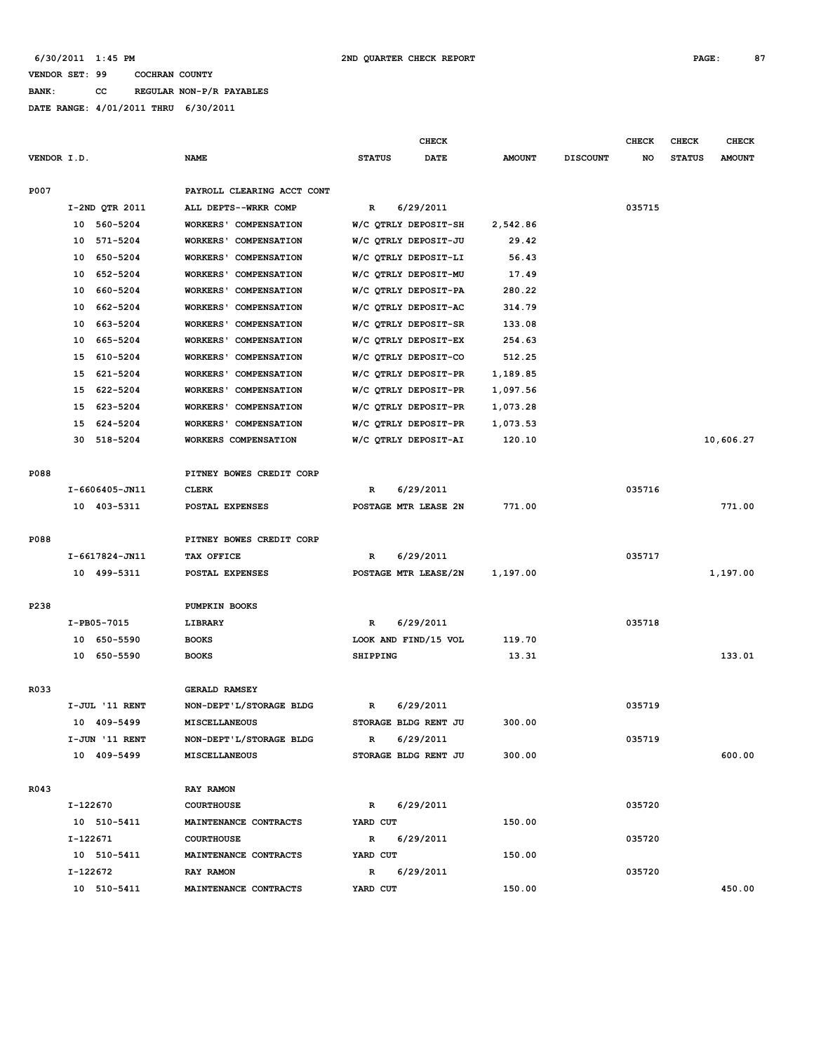**BANK: CC REGULAR NON-P/R PAYABLES**

|                |                                        |                      | CHECK       |               |                 | <b>CHECK</b> | <b>CHECK</b>  | <b>CHECK</b>  |
|----------------|----------------------------------------|----------------------|-------------|---------------|-----------------|--------------|---------------|---------------|
| VENDOR I.D.    | <b>NAME</b>                            | <b>STATUS</b>        | <b>DATE</b> | <b>AMOUNT</b> | <b>DISCOUNT</b> | NO           | <b>STATUS</b> | <b>AMOUNT</b> |
|                |                                        |                      |             |               |                 |              |               |               |
| P007           | PAYROLL CLEARING ACCT CONT             |                      |             |               |                 |              |               |               |
| I-2ND QTR 2011 | ALL DEPTS--WRKR COMP                   | $\mathbb{R}$         | 6/29/2011   |               |                 | 035715       |               |               |
| 10<br>560-5204 | <b>WORKERS' COMPENSATION</b>           | W/C QTRLY DEPOSIT-SH |             | 2,542.86      |                 |              |               |               |
| 10<br>571-5204 | WORKERS' COMPENSATION                  | W/C QTRLY DEPOSIT-JU |             | 29.42         |                 |              |               |               |
| 650-5204<br>10 | <b>WORKERS' COMPENSATION</b>           | W/C QTRLY DEPOSIT-LI |             | 56.43         |                 |              |               |               |
| 652-5204<br>10 | WORKERS' COMPENSATION                  | W/C QTRLY DEPOSIT-MU |             | 17.49         |                 |              |               |               |
| 660-5204<br>10 | <b>WORKERS' COMPENSATION</b>           | W/C QTRLY DEPOSIT-PA |             | 280.22        |                 |              |               |               |
| 662-5204<br>10 | <b>WORKERS' COMPENSATION</b>           | W/C QTRLY DEPOSIT-AC |             | 314.79        |                 |              |               |               |
| 663-5204<br>10 | WORKERS' COMPENSATION                  | W/C QTRLY DEPOSIT-SR |             | 133.08        |                 |              |               |               |
| 665-5204<br>10 | <b>WORKERS' COMPENSATION</b>           | W/C QTRLY DEPOSIT-EX |             | 254.63        |                 |              |               |               |
| 610-5204<br>15 | <b>WORKERS' COMPENSATION</b>           | W/C QTRLY DEPOSIT-CO |             | 512.25        |                 |              |               |               |
| 621-5204<br>15 | <b>WORKERS'</b><br><b>COMPENSATION</b> | W/C QTRLY DEPOSIT-PR |             | 1,189.85      |                 |              |               |               |
| 622-5204<br>15 | <b>WORKERS' COMPENSATION</b>           | W/C QTRLY DEPOSIT-PR |             | 1,097.56      |                 |              |               |               |
| 623-5204<br>15 | <b>WORKERS' COMPENSATION</b>           | W/C QTRLY DEPOSIT-PR |             | 1,073.28      |                 |              |               |               |
| 15<br>624-5204 | WORKERS' COMPENSATION                  | W/C QTRLY DEPOSIT-PR |             | 1,073.53      |                 |              |               |               |
| 30<br>518-5204 | WORKERS COMPENSATION                   | W/C QTRLY DEPOSIT-AI |             | 120.10        |                 |              |               | 10,606.27     |
|                |                                        |                      |             |               |                 |              |               |               |
| P088           | PITNEY BOWES CREDIT CORP               |                      |             |               |                 |              |               |               |
| I-6606405-JN11 | <b>CLERK</b>                           | R                    | 6/29/2011   |               |                 | 035716       |               |               |
| 10 403-5311    | POSTAL EXPENSES                        | POSTAGE MTR LEASE 2N |             | 771.00        |                 |              |               | 771.00        |
|                |                                        |                      |             |               |                 |              |               |               |
| P088           | PITNEY BOWES CREDIT CORP               |                      |             |               |                 |              |               |               |
| I-6617824-JN11 | TAX OFFICE                             | R                    | 6/29/2011   |               |                 | 035717       |               |               |
| 10 499-5311    | POSTAL EXPENSES                        | POSTAGE MTR LEASE/2N |             | 1,197.00      |                 |              |               | 1,197.00      |
|                |                                        |                      |             |               |                 |              |               |               |
| P238           | PUMPKIN BOOKS                          |                      |             |               |                 |              |               |               |
| I-PB05-7015    | LIBRARY                                | R                    | 6/29/2011   |               |                 | 035718       |               |               |
| 10 650-5590    | <b>BOOKS</b>                           | LOOK AND FIND/15 VOL |             | 119.70        |                 |              |               |               |
| 10 650-5590    | <b>BOOKS</b>                           | SHIPPING             |             | 13.31         |                 |              |               | 133.01        |
|                |                                        |                      |             |               |                 |              |               |               |
| R033           | <b>GERALD RAMSEY</b>                   |                      |             |               |                 |              |               |               |
| I-JUL '11 RENT | NON-DEPT'L/STORAGE BLDG                | R                    | 6/29/2011   |               |                 | 035719       |               |               |
| 10 409-5499    | <b>MISCELLANEOUS</b>                   | STORAGE BLDG RENT JU |             | 300.00        |                 |              |               |               |
| I-JUN '11 RENT | NON-DEPT'L/STORAGE BLDG                | R                    | 6/29/2011   |               |                 | 035719       |               |               |
| 10 409-5499    | MISCELLANEOUS                          | STORAGE BLDG RENT JU |             | 300.00        |                 |              |               | 600.00        |
|                |                                        |                      |             |               |                 |              |               |               |
| R043           | RAY RAMON                              |                      |             |               |                 |              |               |               |
| I-122670       | <b>COURTHOUSE</b>                      | R                    | 6/29/2011   |               |                 | 035720       |               |               |
| 10 510-5411    | MAINTENANCE CONTRACTS                  | YARD CUT             |             | 150.00        |                 |              |               |               |
| I-122671       | <b>COURTHOUSE</b>                      | $\mathbb{R}$         | 6/29/2011   |               |                 | 035720       |               |               |
| 10 510-5411    | MAINTENANCE CONTRACTS                  | YARD CUT             |             | 150.00        |                 |              |               |               |
| I-122672       | RAY RAMON                              | R                    | 6/29/2011   |               |                 | 035720       |               |               |
| 10 510-5411    | MAINTENANCE CONTRACTS                  | YARD CUT             |             | 150.00        |                 |              |               | 450.00        |
|                |                                        |                      |             |               |                 |              |               |               |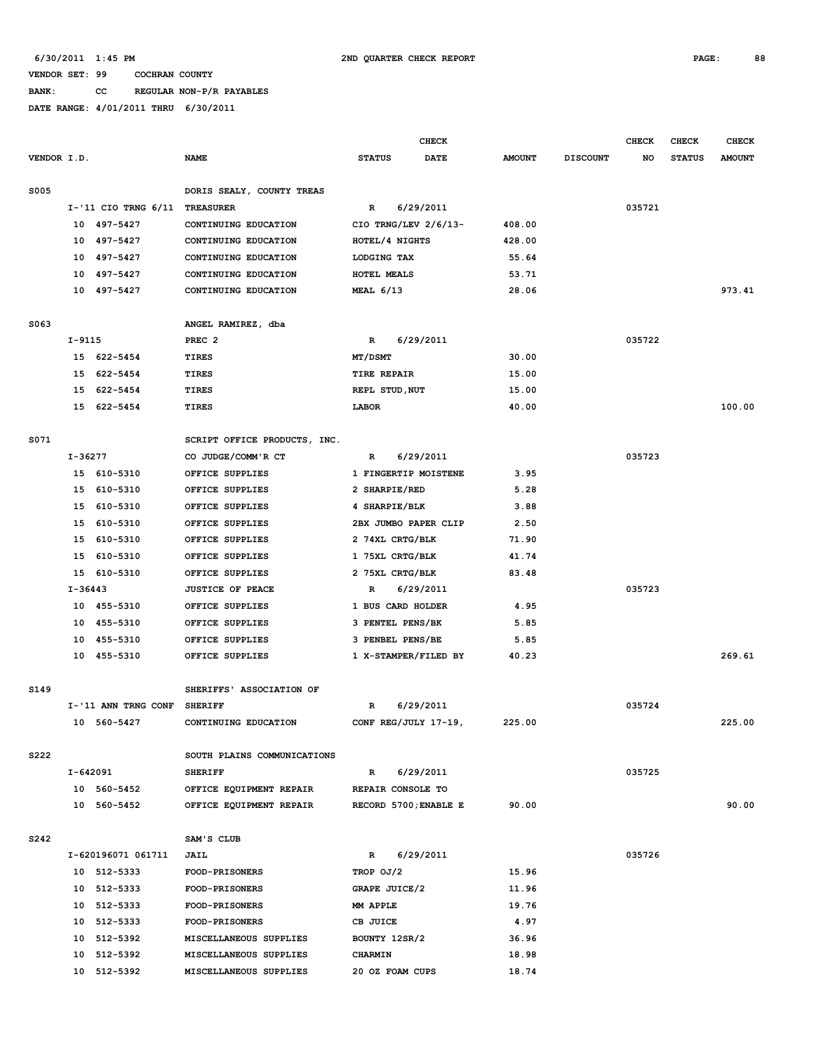## **BANK: CC REGULAR NON-P/R PAYABLES**

|             |              |                           |                              |                       | <b>CHECK</b> |               |                 | <b>CHECK</b> | <b>CHECK</b>  | <b>CHECK</b>  |
|-------------|--------------|---------------------------|------------------------------|-----------------------|--------------|---------------|-----------------|--------------|---------------|---------------|
| VENDOR I.D. |              |                           | <b>NAME</b>                  | <b>STATUS</b>         | <b>DATE</b>  | <b>AMOUNT</b> | <b>DISCOUNT</b> | NO           | <b>STATUS</b> | <b>AMOUNT</b> |
| <b>S005</b> |              |                           | DORIS SEALY, COUNTY TREAS    |                       |              |               |                 |              |               |               |
|             |              | $I - '11$ CIO TRNG $6/11$ | <b>TREASURER</b>             | $\mathbb{R}$          | 6/29/2011    |               |                 | 035721       |               |               |
|             | 10           | 497–5427                  | CONTINUING EDUCATION         | CIO TRNG/LEV 2/6/13-  |              | 408.00        |                 |              |               |               |
|             | 10           | 497-5427                  | CONTINUING EDUCATION         | HOTEL/4 NIGHTS        |              | 428.00        |                 |              |               |               |
|             | 10           | 497–5427                  | CONTINUING EDUCATION         | LODGING TAX           |              | 55.64         |                 |              |               |               |
|             | 10           | 497–5427                  | CONTINUING EDUCATION         | HOTEL MEALS           |              | 53.71         |                 |              |               |               |
|             |              | 10 497-5427               | CONTINUING EDUCATION         | <b>MEAL 6/13</b>      |              | 28.06         |                 |              |               | 973.41        |
| S063        |              |                           | ANGEL RAMIREZ, dba           |                       |              |               |                 |              |               |               |
|             | $I-9115$     |                           | PREC <sub>2</sub>            | $\mathbb{R}$          | 6/29/2011    |               |                 | 035722       |               |               |
|             |              | 15 622-5454               | TIRES                        | MT/DSMT               |              | 30.00         |                 |              |               |               |
|             | 15           | 622-5454                  | TIRES                        | TIRE REPAIR           |              | 15.00         |                 |              |               |               |
|             | 15           | 622-5454                  | TIRES                        | REPL STUD, NUT        |              | 15.00         |                 |              |               |               |
|             |              | 15 622-5454               | TIRES                        | <b>LABOR</b>          |              | 40.00         |                 |              |               | 100.00        |
| S071        |              |                           | SCRIPT OFFICE PRODUCTS, INC. |                       |              |               |                 |              |               |               |
|             | I-36277      |                           | CO JUDGE/COMM'R CT           | R                     | 6/29/2011    |               |                 | 035723       |               |               |
|             | 15           | 610-5310                  | OFFICE SUPPLIES              | 1 FINGERTIP MOISTENE  |              | 3.95          |                 |              |               |               |
|             | 15           | 610-5310                  | OFFICE SUPPLIES              | 2 SHARPIE/RED         |              | 5.28          |                 |              |               |               |
|             |              | 15 610-5310               | OFFICE SUPPLIES              | 4 SHARPIE/BLK         |              | 3.88          |                 |              |               |               |
|             | 15           | 610-5310                  | OFFICE SUPPLIES              | 2BX JUMBO PAPER CLIP  |              | 2.50          |                 |              |               |               |
|             | 15           | 610-5310                  | OFFICE SUPPLIES              | 2 74XL CRTG/BLK       |              | 71.90         |                 |              |               |               |
|             | 15           | 610-5310                  | OFFICE SUPPLIES              | 1 75XL CRTG/BLK       |              | 41.74         |                 |              |               |               |
|             | 15           | 610-5310                  | OFFICE SUPPLIES              | 2 75XL CRTG/BLK       |              | 83.48         |                 |              |               |               |
|             | $I-36443$    |                           | <b>JUSTICE OF PEACE</b>      | $\mathbb{R}$          | 6/29/2011    |               |                 | 035723       |               |               |
|             |              | 10 455-5310               | OFFICE SUPPLIES              | 1 BUS CARD HOLDER     |              | 4.95          |                 |              |               |               |
|             | 10           | 455-5310                  | OFFICE SUPPLIES              | 3 PENTEL PENS/BK      |              | 5.85          |                 |              |               |               |
|             | 10           | 455-5310                  | OFFICE SUPPLIES              | 3 PENBEL PENS/BE      |              | 5.85          |                 |              |               |               |
|             |              | 10 455-5310               | OFFICE SUPPLIES              | 1 X-STAMPER/FILED BY  |              | 40.23         |                 |              |               | 269.61        |
|             |              |                           |                              |                       |              |               |                 |              |               |               |
| S149        |              |                           | SHERIFFS' ASSOCIATION OF     |                       |              |               |                 |              |               |               |
|             |              | I-'11 ANN TRNG CONF       | <b>SHERIFF</b>               | R                     | 6/29/2011    |               |                 | 035724       |               |               |
|             |              | 10 560-5427               | CONTINUING EDUCATION         | CONF REG/JULY 17-19,  |              | 225.00        |                 |              |               | 225.00        |
| S222        |              |                           | SOUTH PLAINS COMMUNICATIONS  |                       |              |               |                 |              |               |               |
|             | $I - 642091$ |                           | <b>SHERIFF</b>               | $\mathbb{R}$          | 6/29/2011    |               |                 | 035725       |               |               |
|             |              | 10 560-5452               | OFFICE EQUIPMENT REPAIR      | REPAIR CONSOLE TO     |              |               |                 |              |               |               |
|             |              | 10 560-5452               | OFFICE EQUIPMENT REPAIR      | RECORD 5700; ENABLE E |              | 90.00         |                 |              |               | 90.00         |
| S242        |              |                           | SAM'S CLUB                   |                       |              |               |                 |              |               |               |
|             |              | I-620196071 061711        | JAIL                         | R                     | 6/29/2011    |               |                 | 035726       |               |               |
|             |              | 10 512-5333               | <b>FOOD-PRISONERS</b>        | TROP OJ/2             |              | 15.96         |                 |              |               |               |
|             |              | 10 512-5333               | FOOD-PRISONERS               | GRAPE JUICE/2         |              | 11.96         |                 |              |               |               |
|             |              | 10 512-5333               | <b>FOOD-PRISONERS</b>        | MM APPLE              |              | 19.76         |                 |              |               |               |
|             |              | 10 512-5333               | <b>FOOD-PRISONERS</b>        | CB JUICE              |              | 4.97          |                 |              |               |               |
|             |              | 10 512-5392               | MISCELLANEOUS SUPPLIES       | BOUNTY 12SR/2         |              | 36.96         |                 |              |               |               |
|             | 10           | 512-5392                  | MISCELLANEOUS SUPPLIES       | CHARMIN               |              | 18.98         |                 |              |               |               |
|             |              | 10 512-5392               | MISCELLANEOUS SUPPLIES       | 20 OZ FOAM CUPS       |              | 18.74         |                 |              |               |               |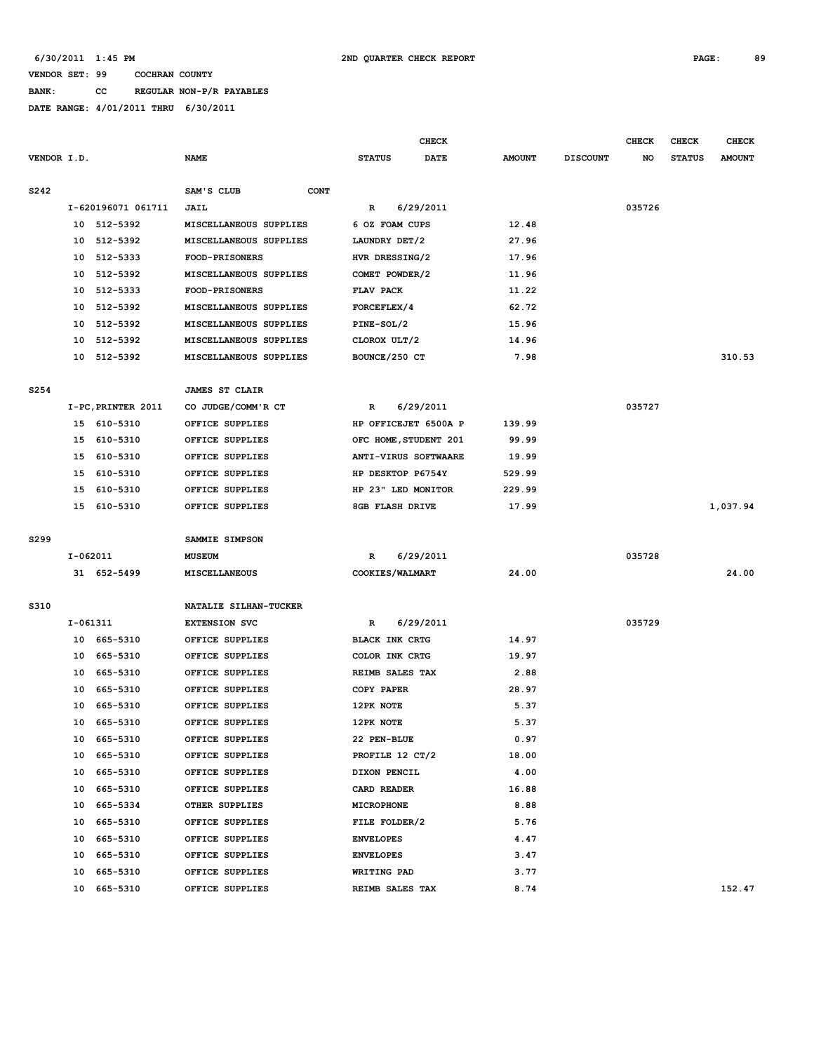## **BANK: CC REGULAR NON-P/R PAYABLES**

| VENDOR I.D.<br><b>NAME</b><br><b>STATUS</b><br><b>DATE</b><br>S242<br>SAM'S CLUB<br><b>CONT</b><br>I-620196071 061711<br>6/29/2011<br>R<br>JAIL | <b>AMOUNT</b><br><b>DISCOUNT</b><br><b>STATUS</b><br><b>AMOUNT</b><br>NO<br>035726 |
|-------------------------------------------------------------------------------------------------------------------------------------------------|------------------------------------------------------------------------------------|
|                                                                                                                                                 |                                                                                    |
|                                                                                                                                                 |                                                                                    |
|                                                                                                                                                 |                                                                                    |
| 10 512-5392<br>MISCELLANEOUS SUPPLIES<br>6 OZ FOAM CUPS                                                                                         | 12.48                                                                              |
| 10<br>512-5392<br>MISCELLANEOUS SUPPLIES<br>LAUNDRY DET/2                                                                                       | 27.96                                                                              |
| 512-5333<br>FOOD-PRISONERS<br>HVR DRESSING/2<br>10                                                                                              | 17.96                                                                              |
| 512-5392<br>MISCELLANEOUS SUPPLIES<br>COMET POWDER/2<br>10                                                                                      | 11.96                                                                              |
| 512-5333<br>10<br>FOOD-PRISONERS<br>FLAV PACK                                                                                                   | 11.22                                                                              |
| 512-5392<br>MISCELLANEOUS SUPPLIES<br>FORCEFLEX/4<br>10                                                                                         | 62.72                                                                              |
| 512-5392<br>PINE-SOL/2<br>10<br>MISCELLANEOUS SUPPLIES                                                                                          | 15.96                                                                              |
| 10<br>512-5392<br>MISCELLANEOUS SUPPLIES<br>CLOROX ULT/2                                                                                        | 14.96                                                                              |
| 10<br>512-5392<br>MISCELLANEOUS SUPPLIES<br>BOUNCE/250 CT                                                                                       | 7.98<br>310.53                                                                     |
| S254<br><b>JAMES ST CLAIR</b>                                                                                                                   |                                                                                    |
| I-PC, PRINTER 2011<br>CO JUDGE/COMM'R CT<br>6/29/2011<br>R                                                                                      | 035727                                                                             |
| HP OFFICEJET 6500A P<br>15 610-5310<br>OFFICE SUPPLIES                                                                                          | 139.99                                                                             |
| 15<br>610-5310<br>OFFICE SUPPLIES<br>OFC HOME, STUDENT 201                                                                                      | 99.99                                                                              |
| 610-5310<br>15<br>OFFICE SUPPLIES<br>ANTI-VIRUS SOFTWAARE                                                                                       | 19.99                                                                              |
| 610-5310<br>HP DESKTOP P6754Y<br>15<br>OFFICE SUPPLIES                                                                                          | 529.99                                                                             |
| 15<br>HP 23" LED MONITOR                                                                                                                        |                                                                                    |
| 610-5310<br>OFFICE SUPPLIES                                                                                                                     | 229.99<br>1,037.94<br>17.99                                                        |
| 15 610-5310<br>OFFICE SUPPLIES<br>8GB FLASH DRIVE                                                                                               |                                                                                    |
| S299<br>SAMMIE SIMPSON                                                                                                                          |                                                                                    |
| 6/29/2011<br>I-062011<br>R<br>MUSEUM                                                                                                            | 035728                                                                             |
| 31 652-5499<br>COOKIES/WALMART<br>MISCELLANEOUS                                                                                                 | 24.00<br>24.00                                                                     |
| S310<br>NATALIE SILHAN-TUCKER                                                                                                                   |                                                                                    |
| I-061311<br><b>EXTENSION SVC</b><br>6/29/2011<br>R                                                                                              | 035729                                                                             |
| 10 665-5310<br>OFFICE SUPPLIES<br><b>BLACK INK CRTG</b>                                                                                         | 14.97                                                                              |
| COLOR INK CRTG<br>10<br>665-5310<br>OFFICE SUPPLIES                                                                                             | 19.97                                                                              |
| 665-5310<br>REIMB SALES TAX<br>10<br>OFFICE SUPPLIES                                                                                            | 2.88                                                                               |
| 10<br>665-5310<br>OFFICE SUPPLIES<br>COPY PAPER                                                                                                 | 28.97                                                                              |
| 665-5310<br>OFFICE SUPPLIES<br>12PK NOTE<br>10                                                                                                  | 5.37                                                                               |
| 10<br>665-5310<br>OFFICE SUPPLIES<br>12PK NOTE                                                                                                  | 5.37                                                                               |
| 10 665-5310<br>22 PEN-BLUE<br>OFFICE SUPPLIES                                                                                                   | 0.97                                                                               |
| 10 665-5310<br>OFFICE SUPPLIES<br>PROFILE 12 CT/2                                                                                               | 18.00                                                                              |
| 665-5310<br>10<br>OFFICE SUPPLIES<br>DIXON PENCIL                                                                                               | 4.00                                                                               |
| 10 665-5310<br>OFFICE SUPPLIES<br>CARD READER                                                                                                   | 16.88                                                                              |
| OTHER SUPPLIES<br>10 665-5334<br><b>MICROPHONE</b>                                                                                              | 8.88                                                                               |
| 10<br>665-5310<br>OFFICE SUPPLIES<br>FILE FOLDER/2                                                                                              | 5.76                                                                               |
| 10<br>665-5310<br>OFFICE SUPPLIES<br><b>ENVELOPES</b>                                                                                           | 4.47                                                                               |
| 10 665-5310<br>OFFICE SUPPLIES<br><b>ENVELOPES</b>                                                                                              | 3.47                                                                               |
| 10<br>665-5310<br>OFFICE SUPPLIES<br>WRITING PAD                                                                                                | 3.77                                                                               |
| 10 665-5310<br>REIMB SALES TAX<br>OFFICE SUPPLIES                                                                                               | 8.74<br>152.47                                                                     |
|                                                                                                                                                 |                                                                                    |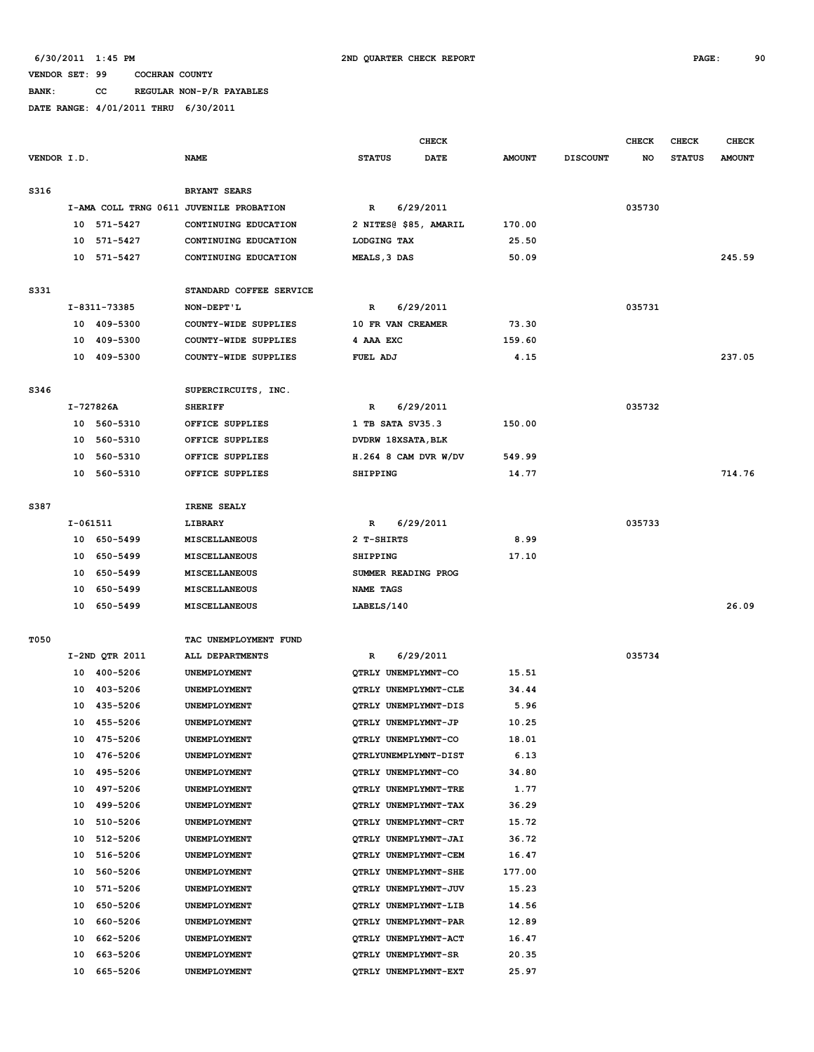**BANK: CC REGULAR NON-P/R PAYABLES**

|             |          |                |                                         |                           | <b>CHECK</b> |               |                 | <b>CHECK</b> | CHECK         | <b>CHECK</b>  |
|-------------|----------|----------------|-----------------------------------------|---------------------------|--------------|---------------|-----------------|--------------|---------------|---------------|
| VENDOR I.D. |          |                | <b>NAME</b>                             | <b>STATUS</b>             | DATE         | <b>AMOUNT</b> | <b>DISCOUNT</b> | NO           | <b>STATUS</b> | <b>AMOUNT</b> |
| S316        |          |                | <b>BRYANT SEARS</b>                     |                           |              |               |                 |              |               |               |
|             |          |                | I-AMA COLL TRNG 0611 JUVENILE PROBATION | $\mathbb{R}$              | 6/29/2011    |               |                 | 035730       |               |               |
|             |          | 10 571-5427    | CONTINUING EDUCATION                    | 2 NITES@ \$85, AMARIL     |              | 170.00        |                 |              |               |               |
|             | 10       | 571-5427       | CONTINUING EDUCATION                    | LODGING TAX               |              | 25.50         |                 |              |               |               |
|             |          | 10 571-5427    | CONTINUING EDUCATION                    | MEALS, 3 DAS              |              | 50.09         |                 |              |               | 245.59        |
| S331        |          |                | STANDARD COFFEE SERVICE                 |                           |              |               |                 |              |               |               |
|             |          | I-8311-73385   | NON-DEPT'L                              | R                         | 6/29/2011    |               |                 | 035731       |               |               |
|             |          | 10 409-5300    | COUNTY-WIDE SUPPLIES                    | 10 FR VAN CREAMER         |              | 73.30         |                 |              |               |               |
|             | 10       | 409-5300       | COUNTY-WIDE SUPPLIES                    | 4 AAA EXC                 |              | 159.60        |                 |              |               |               |
|             |          | 10 409-5300    | COUNTY-WIDE SUPPLIES                    | FUEL ADJ                  |              | 4.15          |                 |              |               | 237.05        |
| S346        |          |                | SUPERCIRCUITS, INC.                     |                           |              |               |                 |              |               |               |
|             |          | I-727826A      | <b>SHERIFF</b>                          | R                         | 6/29/2011    |               |                 | 035732       |               |               |
|             |          | 10 560-5310    | OFFICE SUPPLIES                         | 1 TB SATA SV35.3          |              | 150.00        |                 |              |               |               |
|             | 10       | 560-5310       | OFFICE SUPPLIES                         | <b>DVDRW 18XSATA, BLK</b> |              |               |                 |              |               |               |
|             | 10       | 560-5310       | OFFICE SUPPLIES                         | $H.264$ 8 CAM DVR W/DV    |              | 549.99        |                 |              |               |               |
|             |          | 10 560-5310    | OFFICE SUPPLIES                         | SHIPPING                  |              | 14.77         |                 |              |               | 714.76        |
| S387        |          |                | IRENE SEALY                             |                           |              |               |                 |              |               |               |
|             | I-061511 |                | LIBRARY                                 | $\mathbb{R}$              | 6/29/2011    |               |                 | 035733       |               |               |
|             |          | 10 650-5499    | <b>MISCELLANEOUS</b>                    | 2 T-SHIRTS                |              | 8.99          |                 |              |               |               |
|             | 10       | 650–5499       | MISCELLANEOUS                           | SHIPPING                  |              | 17.10         |                 |              |               |               |
|             | 10       | 650–5499       | MISCELLANEOUS                           | SUMMER READING PROG       |              |               |                 |              |               |               |
|             | 10       | 650-5499       | MISCELLANEOUS                           | NAME TAGS                 |              |               |                 |              |               |               |
|             |          | 10 650-5499    | MISCELLANEOUS                           | LABELS/140                |              |               |                 |              |               | 26.09         |
| T050        |          |                | TAC UNEMPLOYMENT FUND                   |                           |              |               |                 |              |               |               |
|             |          | I-2ND QTR 2011 | ALL DEPARTMENTS                         | R                         | 6/29/2011    |               |                 | 035734       |               |               |
|             |          | 10 400-5206    | UNEMPLOYMENT                            | QTRLY UNEMPLYMNT-CO       |              | 15.51         |                 |              |               |               |
|             |          | 10 403-5206    | <b>UNEMPLOYMENT</b>                     | QTRLY UNEMPLYMNT-CLE      |              | 34.44         |                 |              |               |               |
|             |          | 10 435-5206    | UNEMPLOYMENT                            | QTRLY UNEMPLYMNT-DIS      |              | 5.96          |                 |              |               |               |
|             |          | 10 455-5206    | <b>UNEMPLOYMENT</b>                     | QTRLY UNEMPLYMNT-JP       |              | 10.25         |                 |              |               |               |
|             |          | 10 475-5206    | UNEMPLOYMENT                            | QTRLY UNEMPLYMNT-CO       |              | 18.01         |                 |              |               |               |
|             | 10       | 476-5206       | UNEMPLOYMENT                            | OTRLYUNEMPLYMNT-DIST      |              | 6.13          |                 |              |               |               |
|             | 10       | 495-5206       | UNEMPLOYMENT                            | QTRLY UNEMPLYMNT-CO       |              | 34.80         |                 |              |               |               |
|             | 10       | 497-5206       | UNEMPLOYMENT                            | QTRLY UNEMPLYMNT-TRE      |              | 1.77          |                 |              |               |               |
|             | 10       | 499-5206       | UNEMPLOYMENT                            | QTRLY UNEMPLYMNT-TAX      |              | 36.29         |                 |              |               |               |
|             | 10       | 510-5206       | UNEMPLOYMENT                            | QTRLY UNEMPLYMNT-CRT      |              | 15.72         |                 |              |               |               |
|             | 10       | 512-5206       | UNEMPLOYMENT                            | QTRLY UNEMPLYMNT-JAI      |              | 36.72         |                 |              |               |               |
|             | 10       | 516-5206       | UNEMPLOYMENT                            | QTRLY UNEMPLYMNT-CEM      |              | 16.47         |                 |              |               |               |
|             | 10       | 560-5206       | UNEMPLOYMENT                            | QTRLY UNEMPLYMNT-SHE      |              | 177.00        |                 |              |               |               |
|             | 10       | 571-5206       | UNEMPLOYMENT                            | QTRLY UNEMPLYMNT-JUV      |              | 15.23         |                 |              |               |               |
|             | 10       | 650-5206       | UNEMPLOYMENT                            | QTRLY UNEMPLYMNT-LIB      |              | 14.56         |                 |              |               |               |
|             | 10       | 660-5206       | UNEMPLOYMENT                            | QTRLY UNEMPLYMNT-PAR      |              | 12.89         |                 |              |               |               |
|             | 10       | 662-5206       | UNEMPLOYMENT                            | QTRLY UNEMPLYMNT-ACT      |              | 16.47         |                 |              |               |               |
|             | 10       | 663-5206       | UNEMPLOYMENT                            | QTRLY UNEMPLYMNT-SR       |              | 20.35         |                 |              |               |               |
|             | 10       | 665-5206       | UNEMPLOYMENT                            | QTRLY UNEMPLYMNT-EXT      |              | 25.97         |                 |              |               |               |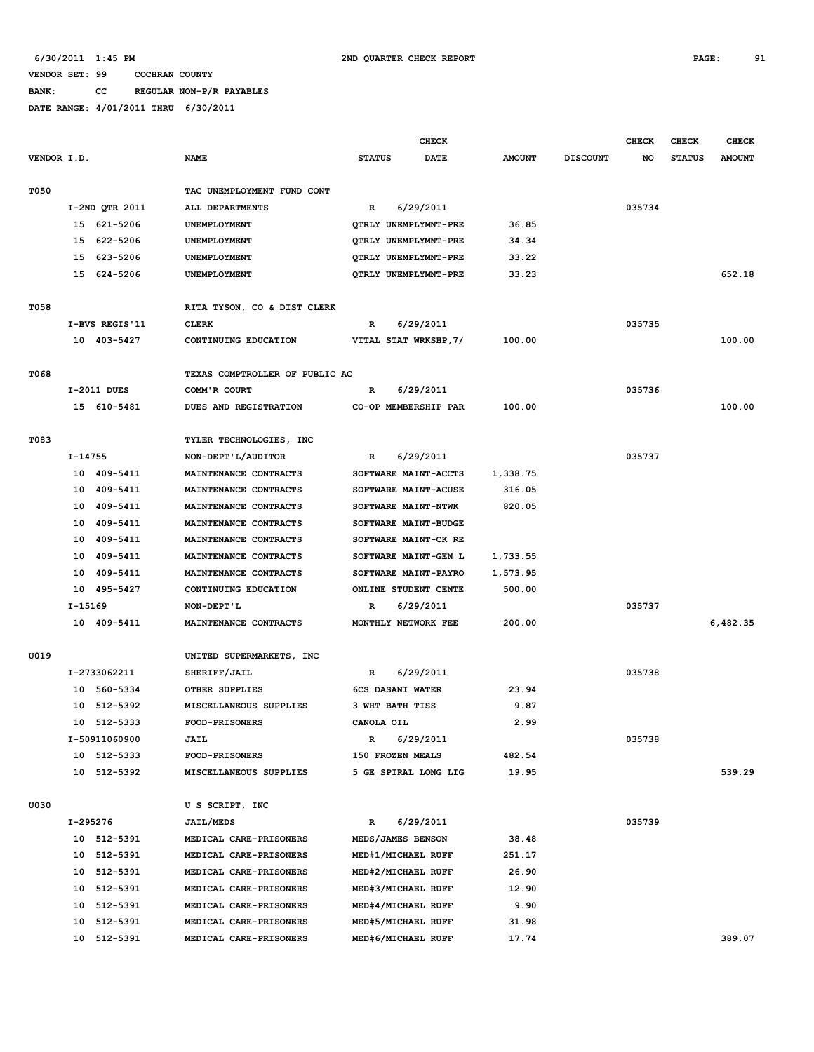## **BANK: CC REGULAR NON-P/R PAYABLES**

|             |           |                |                                | <b>CHECK</b>  |                       |               | <b>CHECK</b>    | CHECK  | <b>CHECK</b>  |               |
|-------------|-----------|----------------|--------------------------------|---------------|-----------------------|---------------|-----------------|--------|---------------|---------------|
| VENDOR I.D. |           |                | <b>NAME</b>                    | <b>STATUS</b> | DATE                  | <b>AMOUNT</b> | <b>DISCOUNT</b> | NO     | <b>STATUS</b> | <b>AMOUNT</b> |
|             |           |                |                                |               |                       |               |                 |        |               |               |
| T050        |           |                | TAC UNEMPLOYMENT FUND CONT     |               |                       |               |                 |        |               |               |
|             |           | I-2ND QTR 2011 | ALL DEPARTMENTS                | R             | 6/29/2011             |               |                 | 035734 |               |               |
|             |           | 15 621-5206    | UNEMPLOYMENT                   |               | QTRLY UNEMPLYMNT-PRE  | 36.85         |                 |        |               |               |
|             |           | 15 622-5206    | UNEMPLOYMENT                   |               | QTRLY UNEMPLYMNT-PRE  | 34.34         |                 |        |               |               |
|             |           | 15 623-5206    | UNEMPLOYMENT                   |               | QTRLY UNEMPLYMNT-PRE  | 33.22         |                 |        |               |               |
|             |           | 15 624-5206    | UNEMPLOYMENT                   |               | QTRLY UNEMPLYMNT-PRE  | 33.23         |                 |        |               | 652.18        |
|             |           |                |                                |               |                       |               |                 |        |               |               |
| T058        |           |                | RITA TYSON, CO & DIST CLERK    |               |                       |               |                 |        |               |               |
|             |           | I-BVS REGIS'11 | <b>CLERK</b>                   | R             | 6/29/2011             |               |                 | 035735 |               |               |
|             |           | 10 403-5427    | CONTINUING EDUCATION           |               | VITAL STAT WRKSHP, 7/ | 100.00        |                 |        |               | 100.00        |
|             |           |                |                                |               |                       |               |                 |        |               |               |
| T068        |           |                | TEXAS COMPTROLLER OF PUBLIC AC |               |                       |               |                 |        |               |               |
|             |           | I-2011 DUES    | COMM'R COURT                   | R             | 6/29/2011             |               |                 | 035736 |               |               |
|             |           | 15 610-5481    | DUES AND REGISTRATION          |               | CO-OP MEMBERSHIP PAR  | 100.00        |                 |        |               | 100.00        |
|             |           |                |                                |               |                       |               |                 |        |               |               |
| T083        |           |                | TYLER TECHNOLOGIES, INC        |               |                       |               |                 |        |               |               |
|             | I-14755   |                | NON-DEPT'L/AUDITOR             | R             | 6/29/2011             |               |                 | 035737 |               |               |
|             |           | 10 409-5411    | MAINTENANCE CONTRACTS          |               | SOFTWARE MAINT-ACCTS  | 1,338.75      |                 |        |               |               |
|             |           | 10 409-5411    | MAINTENANCE CONTRACTS          |               | SOFTWARE MAINT-ACUSE  | 316.05        |                 |        |               |               |
|             |           | 10 409-5411    | MAINTENANCE CONTRACTS          |               | SOFTWARE MAINT-NTWK   | 820.05        |                 |        |               |               |
|             |           | 10 409-5411    | MAINTENANCE CONTRACTS          |               | SOFTWARE MAINT-BUDGE  |               |                 |        |               |               |
|             |           | 10 409-5411    | MAINTENANCE CONTRACTS          |               | SOFTWARE MAINT-CK RE  |               |                 |        |               |               |
|             |           | 10 409-5411    | MAINTENANCE CONTRACTS          |               | SOFTWARE MAINT-GEN L  | 1,733.55      |                 |        |               |               |
|             | 10        | 409-5411       | MAINTENANCE CONTRACTS          |               | SOFTWARE MAINT-PAYRO  | 1,573.95      |                 |        |               |               |
|             |           | 10 495-5427    | CONTINUING EDUCATION           |               | ONLINE STUDENT CENTE  | 500.00        |                 |        |               |               |
|             | $I-15169$ |                | NON-DEPT'L                     | R             | 6/29/2011             |               |                 | 035737 |               |               |
|             |           | 10 409-5411    | MAINTENANCE CONTRACTS          |               | MONTHLY NETWORK FEE   | 200.00        |                 |        |               | 6,482.35      |
|             |           |                |                                |               |                       |               |                 |        |               |               |
| U019        |           |                | UNITED SUPERMARKETS, INC       |               |                       |               |                 |        |               |               |
|             |           | I-2733062211   | SHERIFF/JAIL                   | R             | 6/29/2011             |               |                 | 035738 |               |               |
|             |           | 10 560-5334    | OTHER SUPPLIES                 |               | 6CS DASANI WATER      | 23.94         |                 |        |               |               |
|             |           | 10 512-5392    | MISCELLANEOUS SUPPLIES         |               | 3 WHT BATH TISS       | 9.87          |                 |        |               |               |
|             |           | 10 512-5333    | <b>FOOD-PRISONERS</b>          | CANOLA OIL    |                       | 2.99          |                 |        |               |               |
|             |           | I-50911060900  | <b>JAIL</b>                    | R             | 6/29/2011             |               |                 | 035738 |               |               |
|             |           | 10 512-5333    | <b>FOOD-PRISONERS</b>          |               | 150 FROZEN MEALS      | 482.54        |                 |        |               |               |
|             |           | 10 512-5392    | MISCELLANEOUS SUPPLIES         |               | 5 GE SPIRAL LONG LIG  | 19.95         |                 |        |               | 539.29        |
|             |           |                |                                |               |                       |               |                 |        |               |               |
| U030        |           |                | U S SCRIPT, INC                |               |                       |               |                 |        |               |               |
|             | I-295276  |                | <b>JAIL/MEDS</b>               | $\mathbb{R}$  | 6/29/2011             |               |                 | 035739 |               |               |
|             |           | 10 512-5391    | MEDICAL CARE-PRISONERS         |               | MEDS/JAMES BENSON     | 38.48         |                 |        |               |               |
|             |           | 10 512-5391    | MEDICAL CARE-PRISONERS         |               | MED#1/MICHAEL RUFF    | 251.17        |                 |        |               |               |
|             |           | 10 512-5391    | MEDICAL CARE-PRISONERS         |               | MED#2/MICHAEL RUFF    | 26.90         |                 |        |               |               |
|             |           | 10 512-5391    | MEDICAL CARE-PRISONERS         |               | MED#3/MICHAEL RUFF    | 12.90         |                 |        |               |               |
|             |           | 10 512-5391    | MEDICAL CARE-PRISONERS         |               | MED#4/MICHAEL RUFF    | 9.90          |                 |        |               |               |
|             |           | 10 512-5391    | MEDICAL CARE-PRISONERS         |               | MED#5/MICHAEL RUFF    | 31.98         |                 |        |               |               |
|             |           | 10 512-5391    | MEDICAL CARE-PRISONERS         |               | MED#6/MICHAEL RUFF    | 17.74         |                 |        |               | 389.07        |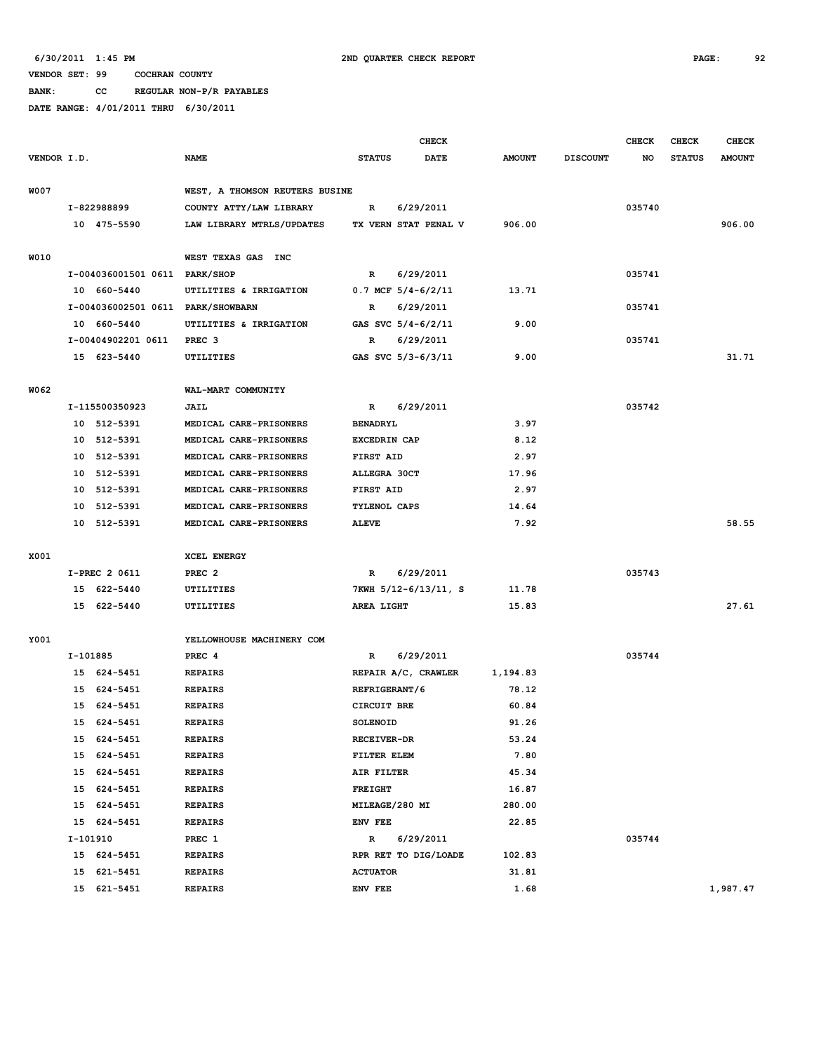**BANK: CC REGULAR NON-P/R PAYABLES**

|             |          |                                   |                                |                     | <b>CHECK</b>             |               |                 | <b>CHECK</b> | <b>CHECK</b>  | <b>CHECK</b>  |
|-------------|----------|-----------------------------------|--------------------------------|---------------------|--------------------------|---------------|-----------------|--------------|---------------|---------------|
| VENDOR I.D. |          |                                   | <b>NAME</b>                    | <b>STATUS</b>       | <b>DATE</b>              | <b>AMOUNT</b> | <b>DISCOUNT</b> | NO           | <b>STATUS</b> | <b>AMOUNT</b> |
| W007        |          |                                   | WEST, A THOMSON REUTERS BUSINE |                     |                          |               |                 |              |               |               |
|             |          |                                   |                                |                     |                          |               |                 |              |               |               |
|             |          | I-822988899                       | COUNTY ATTY/LAW LIBRARY        | R                   | 6/29/2011                |               |                 | 035740       |               |               |
|             |          | 10 475-5590                       | LAW LIBRARY MTRLS/UPDATES      |                     | TX VERN STAT PENAL V     | 906.00        |                 |              |               | 906.00        |
| W010        |          |                                   | WEST TEXAS GAS INC             |                     |                          |               |                 |              |               |               |
|             |          | I-004036001501 0611 PARK/SHOP     |                                | $\mathbb{R}$        | 6/29/2011                |               |                 | 035741       |               |               |
|             |          | 10 660-5440                       | UTILITIES & IRRIGATION         |                     | $0.7$ MCF $5/4 - 6/2/11$ | 13.71         |                 |              |               |               |
|             |          | I-004036002501 0611 PARK/SHOWBARN |                                | R                   | 6/29/2011                |               |                 | 035741       |               |               |
|             |          | 10 660-5440                       | UTILITIES & IRRIGATION         |                     | GAS SVC $5/4 - 6/2/11$   | 9.00          |                 |              |               |               |
|             |          | I-00404902201 0611                | PREC <sub>3</sub>              | R                   | 6/29/2011                |               |                 | 035741       |               |               |
|             |          | 15 623-5440                       | UTILITIES                      |                     | GAS SVC 5/3-6/3/11       | 9.00          |                 |              |               | 31.71         |
| W062        |          |                                   | WAL-MART COMMUNITY             |                     |                          |               |                 |              |               |               |
|             |          | I-115500350923                    | <b>JAIL</b>                    | R                   | 6/29/2011                |               |                 | 035742       |               |               |
|             |          | 10 512-5391                       | MEDICAL CARE-PRISONERS         | <b>BENADRYL</b>     |                          | 3.97          |                 |              |               |               |
|             |          | 10 512-5391                       | MEDICAL CARE-PRISONERS         | <b>EXCEDRIN CAP</b> |                          | 8.12          |                 |              |               |               |
|             |          | 10 512-5391                       | MEDICAL CARE-PRISONERS         | FIRST AID           |                          | 2.97          |                 |              |               |               |
|             |          | 10 512-5391                       | MEDICAL CARE-PRISONERS         | <b>ALLEGRA 30CT</b> |                          | 17.96         |                 |              |               |               |
|             |          | 10 512-5391                       | MEDICAL CARE-PRISONERS         | FIRST AID           |                          | 2.97          |                 |              |               |               |
|             |          | 10 512-5391                       | MEDICAL CARE-PRISONERS         | TYLENOL CAPS        |                          | 14.64         |                 |              |               |               |
|             |          | 10 512-5391                       | MEDICAL CARE-PRISONERS         | <b>ALEVE</b>        |                          | 7.92          |                 |              |               | 58.55         |
|             |          |                                   |                                |                     |                          |               |                 |              |               |               |
| X001        |          |                                   | XCEL ENERGY                    |                     |                          |               |                 |              |               |               |
|             |          | I-PREC 2 0611                     | PREC <sub>2</sub>              | R                   | 6/29/2011                |               |                 | 035743       |               |               |
|             |          | 15 622-5440                       | UTILITIES                      |                     | 7KWH 5/12-6/13/11, S     | 11.78         |                 |              |               |               |
|             |          | 15 622-5440                       | UTILITIES                      | AREA LIGHT          |                          | 15.83         |                 |              |               | 27.61         |
| Y001        |          |                                   | YELLOWHOUSE MACHINERY COM      |                     |                          |               |                 |              |               |               |
|             | I-101885 |                                   | PREC 4                         | R                   | 6/29/2011                |               |                 | 035744       |               |               |
|             |          | 15 624-5451                       | <b>REPAIRS</b>                 |                     | REPAIR A/C, CRAWLER      | 1,194.83      |                 |              |               |               |
|             |          | 15 624-5451                       | <b>REPAIRS</b>                 | REFRIGERANT/6       |                          | 78.12         |                 |              |               |               |
|             |          | 15 624-5451                       | <b>REPAIRS</b>                 | CIRCUIT BRE         |                          | 60.84         |                 |              |               |               |
|             |          |                                   |                                |                     |                          | 91.26         |                 |              |               |               |
|             |          | 15 624-5451                       | <b>REPAIRS</b>                 | SOLENOID            |                          |               |                 |              |               |               |
|             |          | 15 624-5451<br>15 624-5451        | <b>REPAIRS</b>                 | <b>RECEIVER-DR</b>  |                          | 53.24<br>7.80 |                 |              |               |               |
|             |          |                                   | <b>REPAIRS</b>                 | FILTER ELEM         |                          |               |                 |              |               |               |
|             |          | 15 624-5451                       | <b>REPAIRS</b>                 | AIR FILTER          |                          | 45.34         |                 |              |               |               |
|             |          | 15 624-5451                       | <b>REPAIRS</b>                 | <b>FREIGHT</b>      |                          | 16.87         |                 |              |               |               |
|             |          | 15 624-5451                       | <b>REPAIRS</b>                 | MILEAGE/280 MI      |                          | 280.00        |                 |              |               |               |
|             |          | 15 624-5451                       | <b>REPAIRS</b>                 | ENV FEE             |                          | 22.85         |                 |              |               |               |
|             | I-101910 |                                   | PREC 1                         | $\mathbb{R}$        | 6/29/2011                |               |                 | 035744       |               |               |
|             |          | 15 624-5451                       | <b>REPAIRS</b>                 |                     | RPR RET TO DIG/LOADE     | 102.83        |                 |              |               |               |
|             | 15       | 621-5451                          | <b>REPAIRS</b>                 | <b>ACTUATOR</b>     |                          | 31.81         |                 |              |               |               |
|             |          | 15 621-5451                       | <b>REPAIRS</b>                 | ENV FEE             |                          | 1.68          |                 |              |               | 1,987.47      |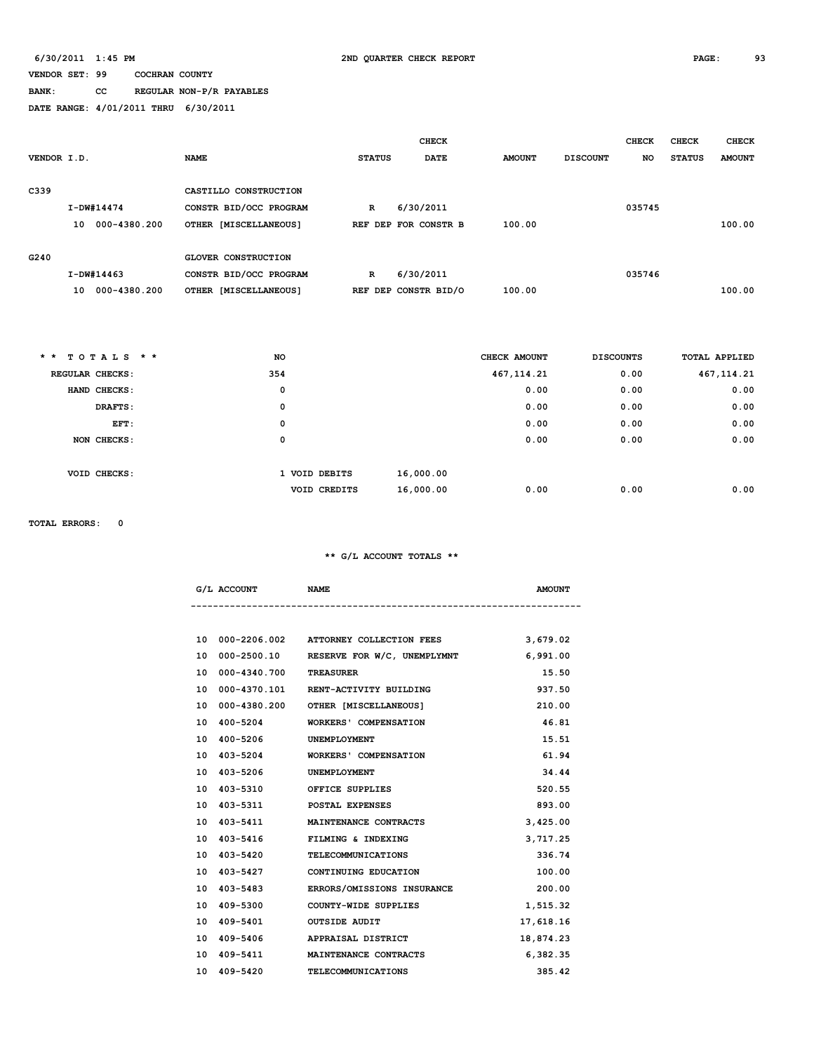# **BANK: CC REGULAR NON-P/R PAYABLES**

**DATE RANGE: 4/01/2011 THRU 6/30/2011**

|             |                    |                            |               | <b>CHECK</b>         |               |                 | <b>CHECK</b> | <b>CHECK</b>  | <b>CHECK</b>  |
|-------------|--------------------|----------------------------|---------------|----------------------|---------------|-----------------|--------------|---------------|---------------|
| VENDOR I.D. |                    | <b>NAME</b>                | <b>STATUS</b> | <b>DATE</b>          | <b>AMOUNT</b> | <b>DISCOUNT</b> | <b>NO</b>    | <b>STATUS</b> | <b>AMOUNT</b> |
|             |                    |                            |               |                      |               |                 |              |               |               |
| C339        |                    | CASTILLO CONSTRUCTION      |               |                      |               |                 |              |               |               |
|             | $I-DW#14474$       | CONSTR BID/OCC PROGRAM     | $\mathbb{R}$  | 6/30/2011            |               |                 | 035745       |               |               |
|             | 000-4380.200<br>10 | OTHER [MISCELLANEOUS]      |               | REF DEP FOR CONSTR B | 100.00        |                 |              |               | 100.00        |
|             |                    |                            |               |                      |               |                 |              |               |               |
| G240        |                    | <b>GLOVER CONSTRUCTION</b> |               |                      |               |                 |              |               |               |
|             | $I-DW#14463$       | CONSTR BID/OCC PROGRAM     | $\mathbb{R}$  | 6/30/2011            |               |                 | 035746       |               |               |
|             | 000-4380.200<br>10 | OTHER [MISCELLANEOUS]      |               | REF DEP CONSTR BID/O | 100.00        |                 |              |               | 100.00        |
|             |                    |                            |               |                      |               |                 |              |               |               |

| $*$ * TOTALS * * | <b>NO</b> |                     | CHECK AMOUNT | <b>DISCOUNTS</b> | <b>TOTAL APPLIED</b> |
|------------------|-----------|---------------------|--------------|------------------|----------------------|
| REGULAR CHECKS:  | 354       |                     | 467, 114.21  | 0.00             | 467, 114.21          |
| HAND CHECKS:     |           | 0                   |              | 0.00<br>0.00     | 0.00                 |
| DRAFTS:          |           | 0                   |              | 0.00<br>0.00     | 0.00                 |
| EFT:             |           | 0                   |              | 0.00<br>0.00     | 0.00                 |
| NON CHECKS:      |           | 0                   |              | 0.00<br>0.00     | 0.00                 |
|                  |           |                     |              |                  |                      |
| VOID CHECKS:     |           | 1 VOID DEBITS       | 16,000.00    |                  |                      |
|                  |           | <b>VOID CREDITS</b> | 16,000.00    | 0.00<br>0.00     | 0.00                 |

**TOTAL ERRORS: 0**

|     | G/L ACCOUNT  | <b>NAME</b>                 | <b>AMOUNT</b> |
|-----|--------------|-----------------------------|---------------|
|     |              |                             |               |
| 1 ດ | 000-2206.002 | ATTORNEY COLLECTION FEES    | 3,679.02      |
| 10  | 000-2500.10  | RESERVE FOR W/C, UNEMPLYMNT | 6,991.00      |
| 10  | 000-4340.700 | <b>TREASURER</b>            | 15.50         |

|    | 10 000-4340.700 TREASURER |                                        | 15.50     |
|----|---------------------------|----------------------------------------|-----------|
|    |                           | 10 000-4370.101 RENT-ACTIVITY BUILDING | 937.50    |
|    |                           | 10 000-4380.200 OTHER [MISCELLANEOUS]  | 210.00    |
|    | 10 400-5204               | <b>WORKERS' COMPENSATION</b>           | 46.81     |
| 10 | 400-5206                  | UNEMPLOYMENT                           | 15.51     |
|    | 10 403-5204               | <b>WORKERS' COMPENSATION</b>           | 61.94     |
| 10 | 403-5206                  | UNEMPLOYMENT                           | 34.44     |
| 10 | 403-5310                  | OFFICE SUPPLIES                        | 520.55    |
| 10 | 403-5311                  | POSTAL EXPENSES                        | 893.00    |
|    | 10 403-5411               | MAINTENANCE CONTRACTS                  | 3,425.00  |
|    | 10 403-5416               | FILMING & INDEXING                     | 3,717.25  |
|    | 10 403-5420               | TELECOMMUNICATIONS                     | 336.74    |
|    | 10 403-5427               | CONTINUING EDUCATION                   | 100.00    |
|    | 10 403-5483               | ERRORS/OMISSIONS INSURANCE             | 200.00    |
|    | 10 409-5300               | COUNTY-WIDE SUPPLIES                   | 1,515.32  |
|    | 10 409-5401               | <b>OUTSIDE AUDIT</b>                   | 17,618.16 |
|    | 10 409-5406               | APPRAISAL DISTRICT                     | 18,874.23 |
|    | 10 409-5411               | MAINTENANCE CONTRACTS                  | 6,382.35  |
|    | 10 409-5420               | <b>TELECOMMUNICATIONS</b>              | 385.42    |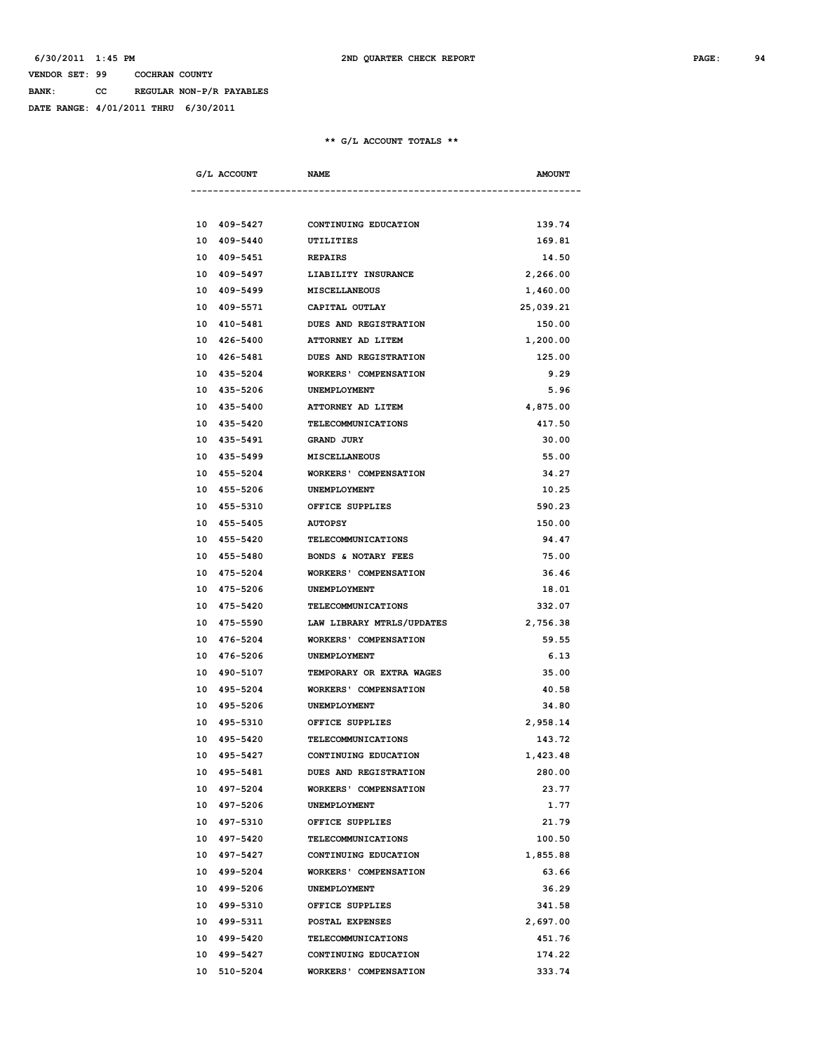**BANK: CC REGULAR NON-P/R PAYABLES**

**DATE RANGE: 4/01/2011 THRU 6/30/2011**

| G/L ACCOUNT<br>---------------------- | <b>NAME</b>                           | <b>AMOUNT</b> |
|---------------------------------------|---------------------------------------|---------------|
|                                       |                                       |               |
|                                       | 10 409-5427 CONTINUING EDUCATION      | 139.74        |
| 10 409-5440                           | UTILITIES                             | 169.81        |
| 10 409-5451                           | <b>REPAIRS</b>                        | 14.50         |
| 10 409-5497                           | LIABILITY INSURANCE                   | 2,266.00      |
| 10 409-5499                           | <b>MISCELLANEOUS</b>                  | 1,460.00      |
| 10 409-5571                           | CAPITAL OUTLAY                        | 25,039.21     |
| 10 410-5481                           | <b>DUES AND REGISTRATION</b>          | 150.00        |
| 10 426-5400                           | <b>ATTORNEY AD LITEM</b>              | 1,200.00      |
| 10 426-5481                           | DUES AND REGISTRATION                 | 125.00        |
|                                       | 10 435-5204 WORKERS' COMPENSATION     | 9.29          |
|                                       | 10 435-5206 UNEMPLOYMENT              | 5.96          |
|                                       | 10 435-5400 ATTORNEY AD LITEM         | 4,875.00      |
|                                       | 10 435-5420 TELECOMMUNICATIONS        | 417.50        |
| 10 435-5491                           | <b>GRAND JURY</b>                     | 30.00         |
| 10 435-5499                           | <b>MISCELLANEOUS</b>                  | 55.00         |
| 10 455-5204                           | <b>WORKERS' COMPENSATION</b>          | 34.27         |
| 10 455-5206                           | <b>UNEMPLOYMENT</b>                   | 10.25         |
| 10 455-5310                           | OFFICE SUPPLIES                       | 590.23        |
| 10 455-5405                           | <b>AUTOPSY</b>                        | 150.00        |
| 10 455-5420                           | TELECOMMUNICATIONS                    | 94.47         |
| 10 455-5480                           | BONDS & NOTARY FEES                   | 75.00         |
| 10 475-5204                           | <b>WORKERS' COMPENSATION</b>          | 36.46         |
| 10 475-5206                           | UNEMPLOYMENT                          | 18.01         |
|                                       | 10 475-5420 TELECOMMUNICATIONS        | 332.07        |
|                                       | 10 475-5590 LAW LIBRARY MTRLS/UPDATES | 2,756.38      |
| 10 476-5204                           | <b>WORKERS' COMPENSATION</b>          | 59.55         |
| 10 476-5206                           | UNEMPLOYMENT                          | 6.13          |
| 10 490-5107                           | <b>TEMPORARY OR EXTRA WAGES</b>       | 35.00         |
| 10 495-5204                           | <b>WORKERS' COMPENSATION</b>          | 40.58         |
| 10 495-5206                           | <b>UNEMPLOYMENT</b>                   | 34.80         |
| 10 495-5310                           | OFFICE SUPPLIES                       | 2,958.14      |
| 10 495-5420                           | TELECOMMUNICATIONS                    | 143.72        |
| 10 495-5427                           | CONTINUING EDUCATION                  | 1,423.48      |
| 10 495-5481                           | DUES AND REGISTRATION                 | 280.00        |
| 10 497-5204                           | WORKERS' COMPENSATION                 | 23.77         |
| 10 497-5206                           | UNEMPLOYMENT                          | 1.77          |
| 10 497-5310                           | OFFICE SUPPLIES                       | 21.79         |
| 10 497-5420                           | <b>TELECOMMUNICATIONS</b>             | 100.50        |
| 10 497-5427                           | CONTINUING EDUCATION                  | 1,855.88      |
| 10 499-5204                           | <b>WORKERS' COMPENSATION</b>          | 63.66         |
| 10 499-5206                           | UNEMPLOYMENT                          | 36.29         |
| 10 499-5310                           | OFFICE SUPPLIES                       | 341.58        |
| 10 499-5311                           | POSTAL EXPENSES                       | 2,697.00      |
| 10 499-5420                           | <b>TELECOMMUNICATIONS</b>             | 451.76        |
| 10 499-5427                           | CONTINUING EDUCATION                  | 174.22        |
| 10 510-5204                           | <b>WORKERS' COMPENSATION</b>          | 333.74        |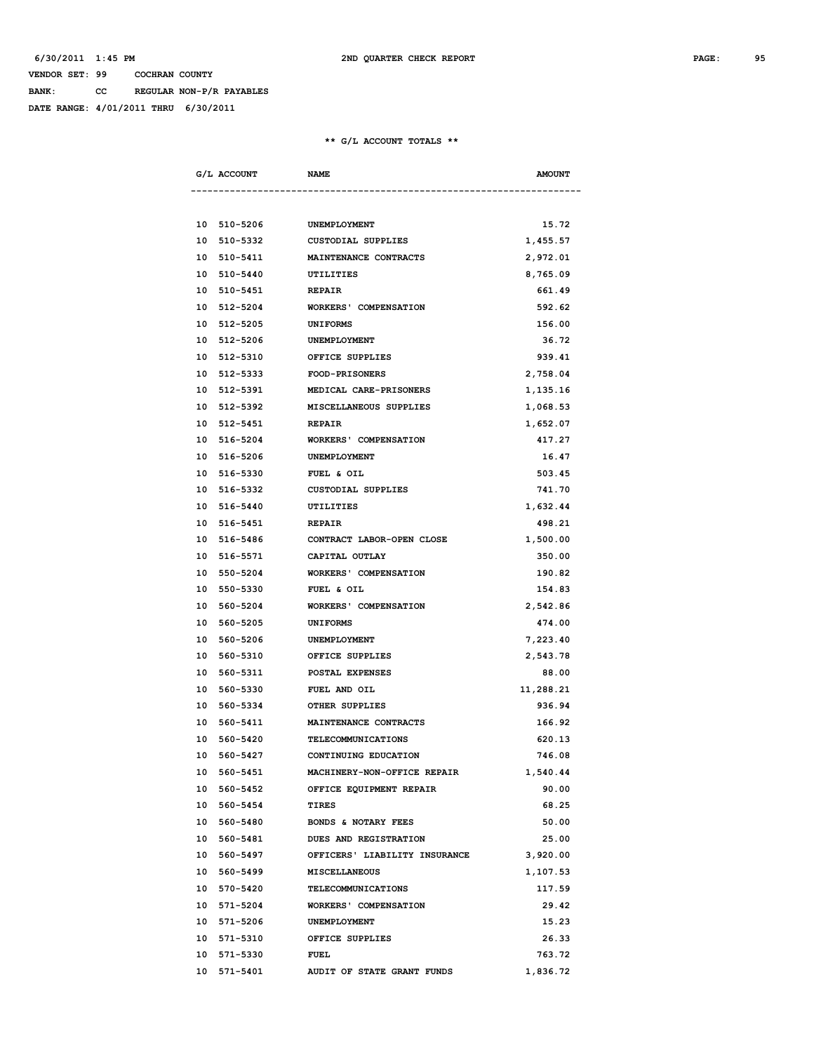**BANK: CC REGULAR NON-P/R PAYABLES**

**DATE RANGE: 4/01/2011 THRU 6/30/2011**

| G/L ACCOUNT | <b>NAME</b>                        | <b>AMOUNT</b> |
|-------------|------------------------------------|---------------|
|             |                                    |               |
| 10 510-5206 | UNEMPLOYMENT                       | 15.72         |
| 10 510-5332 | CUSTODIAL SUPPLIES                 | 1,455.57      |
| 10 510-5411 | <b>MAINTENANCE CONTRACTS</b>       | 2,972.01      |
| 10 510-5440 | UTILITIES                          | 8,765.09      |
| 10 510-5451 | <b>REPAIR</b>                      | 661.49        |
| 10 512-5204 | <b>WORKERS' COMPENSATION</b>       | 592.62        |
| 10 512-5205 | UNIFORMS                           | 156.00        |
| 10 512-5206 | UNEMPLOYMENT                       | 36.72         |
| 10 512-5310 | OFFICE SUPPLIES                    | 939.41        |
| 10 512-5333 | <b>FOOD-PRISONERS</b>              | 2,758.04      |
|             | 10 512-5391 MEDICAL CARE-PRISONERS | 1,135.16      |
| 10 512-5392 | MISCELLANEOUS SUPPLIES             | 1,068.53      |
| 10 512-5451 | <b>REPAIR</b>                      | 1,652.07      |
| 10 516-5204 | <b>WORKERS' COMPENSATION</b>       | 417.27        |
| 10 516-5206 | UNEMPLOYMENT                       | 16.47         |
| 10 516-5330 | FUEL & OIL                         | 503.45        |
| 10 516-5332 | CUSTODIAL SUPPLIES                 | 741.70        |
| 10 516-5440 | UTILITIES                          | 1,632.44      |
| 10 516-5451 | <b>REPAIR</b>                      | 498.21        |
| 10 516-5486 | CONTRACT LABOR-OPEN CLOSE          | 1,500.00      |
| 10 516-5571 | CAPITAL OUTLAY                     | 350.00        |
| 10 550-5204 | WORKERS' COMPENSATION              | 190.82        |
| 10 550-5330 | FUEL & OIL                         | 154.83        |
| 10 560-5204 | WORKERS' COMPENSATION              | 2,542.86      |
| 10 560-5205 | <b>UNIFORMS</b>                    | 474.00        |
| 10 560-5206 | UNEMPLOYMENT                       | 7,223.40      |
| 10 560-5310 | OFFICE SUPPLIES                    | 2,543.78      |
| 10 560-5311 | POSTAL EXPENSES                    | 88.00         |
| 10 560-5330 | FUEL AND OIL                       | 11,288.21     |
| 10 560-5334 | OTHER SUPPLIES                     | 936.94        |
| 10 560-5411 | <b>MAINTENANCE CONTRACTS</b>       | 166.92        |
| 10 560-5420 | TELECOMMUNICATIONS                 | 620.13        |
| 10 560-5427 | CONTINUING EDUCATION               | 746.08        |
| 10 560-5451 | MACHINERY-NON-OFFICE REPAIR        | 1,540.44      |
| 10 560-5452 | OFFICE EQUIPMENT REPAIR            | 90.00         |
| 10 560-5454 | <b>TIRES</b>                       | 68.25         |
| 10 560-5480 | BONDS & NOTARY FEES                | 50.00         |
| 10 560-5481 | DUES AND REGISTRATION              | 25.00         |
| 10 560-5497 | OFFICERS' LIABILITY INSURANCE      | 3,920.00      |
|             |                                    | 1,107.53      |
| 10 560-5499 | MISCELLANEOUS                      |               |
| 10 570-5420 | <b>TELECOMMUNICATIONS</b>          | 117.59        |
| 10 571-5204 | <b>WORKERS' COMPENSATION</b>       | 29.42         |
| 10 571-5206 | UNEMPLOYMENT                       | 15.23         |
| 10 571-5310 | OFFICE SUPPLIES                    | 26.33         |
| 10 571-5330 | <b>FUEL</b>                        | 763.72        |
| 10 571-5401 | AUDIT OF STATE GRANT FUNDS         | 1,836.72      |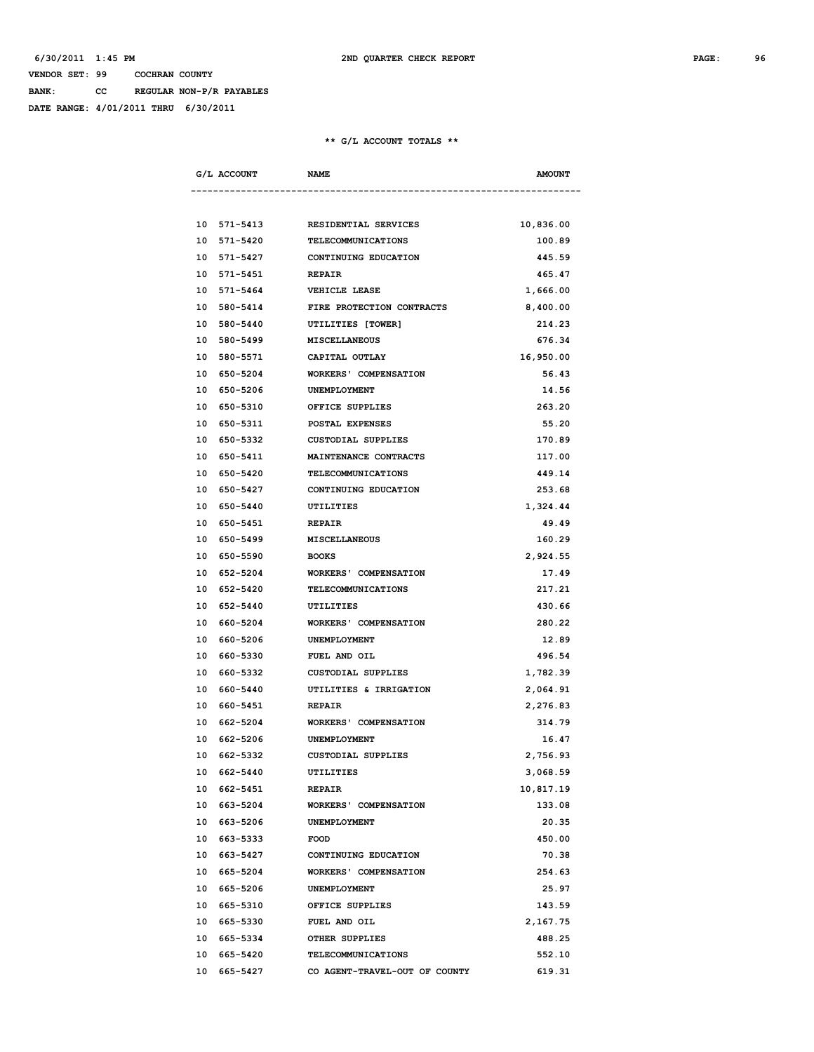**BANK: CC REGULAR NON-P/R PAYABLES**

**DATE RANGE: 4/01/2011 THRU 6/30/2011**

|    | G/L ACCOUNT<br><b>NAME</b> |                                   | <b>AMOUNT</b> |
|----|----------------------------|-----------------------------------|---------------|
|    |                            |                                   |               |
|    | 10 571-5413                | <b>RESIDENTIAL SERVICES</b>       | 10,836.00     |
|    | 10 571-5420                | TELECOMMUNICATIONS                | 100.89        |
|    | 10 571-5427                | CONTINUING EDUCATION              | 445.59        |
|    | 10 571-5451                | <b>REPAIR</b>                     | 465.47        |
|    | 10 571-5464                | <b>VEHICLE LEASE</b>              | 1,666.00      |
|    | 10 580-5414                | FIRE PROTECTION CONTRACTS         | 8,400.00      |
|    | 10 580-5440                | UTILITIES [TOWER]                 | 214.23        |
|    | 10 580-5499 MISCELLANEOUS  |                                   | 676.34        |
|    | 10 580-5571 CAPITAL OUTLAY |                                   | 16,950.00     |
|    |                            | 10 650-5204 WORKERS' COMPENSATION | 56.43         |
|    | 10 650-5206                | UNEMPLOYMENT                      | 14.56         |
|    | 10 650-5310                | OFFICE SUPPLIES                   | 263.20        |
|    | 10 650-5311                | <b>POSTAL EXPENSES</b>            | 55.20         |
|    | 10 650-5332                | CUSTODIAL SUPPLIES                | 170.89        |
|    | 10 650-5411                | MAINTENANCE CONTRACTS             | 117.00        |
|    | 10 650-5420                | TELECOMMUNICATIONS                | 449.14        |
|    | 10 650-5427                | CONTINUING EDUCATION              | 253.68        |
|    | 10 650-5440                | UTILITIES                         | 1,324.44      |
|    | 10 650-5451 REPAIR         |                                   | 49.49         |
|    | 10 650-5499 MISCELLANEOUS  |                                   | 160.29        |
|    | 10 650-5590 BOOKS          |                                   | 2,924.55      |
|    |                            | 10 652-5204 WORKERS' COMPENSATION | 17.49         |
|    | 10 652-5420                | TELECOMMUNICATIONS                | 217.21        |
|    | 10 652-5440                | UTILITIES                         | 430.66        |
|    | 10 660-5204                | <b>WORKERS' COMPENSATION</b>      | 280.22        |
|    | 10 660-5206                | UNEMPLOYMENT                      | 12.89         |
|    | 10 660-5330                | <b>FUEL AND OIL</b>               | 496.54        |
|    | 10 660-5332                |                                   |               |
|    |                            | CUSTODIAL SUPPLIES                | 1,782.39      |
|    | 10 660-5440                | UTILITIES & IRRIGATION            | 2,064.91      |
|    | 10 660-5451                | <b>REPAIR</b>                     | 2,276.83      |
|    |                            | 10 662-5204 WORKERS' COMPENSATION | 314.79        |
|    | 10 662-5206 UNEMPLOYMENT   |                                   | 16.47         |
|    | 10 662-5332                | <b>CUSTODIAL SUPPLIES</b>         | 2,756.93      |
|    | 10 662-5440                | UTILITIES                         | 3,068.59      |
|    | 10 662-5451                | <b>REPAIR</b>                     | 10,817.19     |
|    | 10 663-5204                | <b>WORKERS' COMPENSATION</b>      | 133.08        |
|    | 10 663-5206                | UNEMPLOYMENT                      | 20.35         |
|    | 10 663-5333                | <b>FOOD</b>                       | 450.00        |
|    | 10 663-5427                | CONTINUING EDUCATION              | 70.38         |
|    | 10 665-5204                | <b>WORKERS' COMPENSATION</b>      | 254.63        |
|    | 10 665-5206                | UNEMPLOYMENT                      | 25.97         |
|    | 10 665-5310                | OFFICE SUPPLIES                   | 143.59        |
|    | 10 665-5330                | FUEL AND OIL                      | 2,167.75      |
|    | 10 665-5334                | OTHER SUPPLIES                    | 488.25        |
| 10 | 665-5420                   | TELECOMMUNICATIONS                | 552.10        |
|    | 10 665-5427                | CO AGENT-TRAVEL-OUT OF COUNTY     | 619.31        |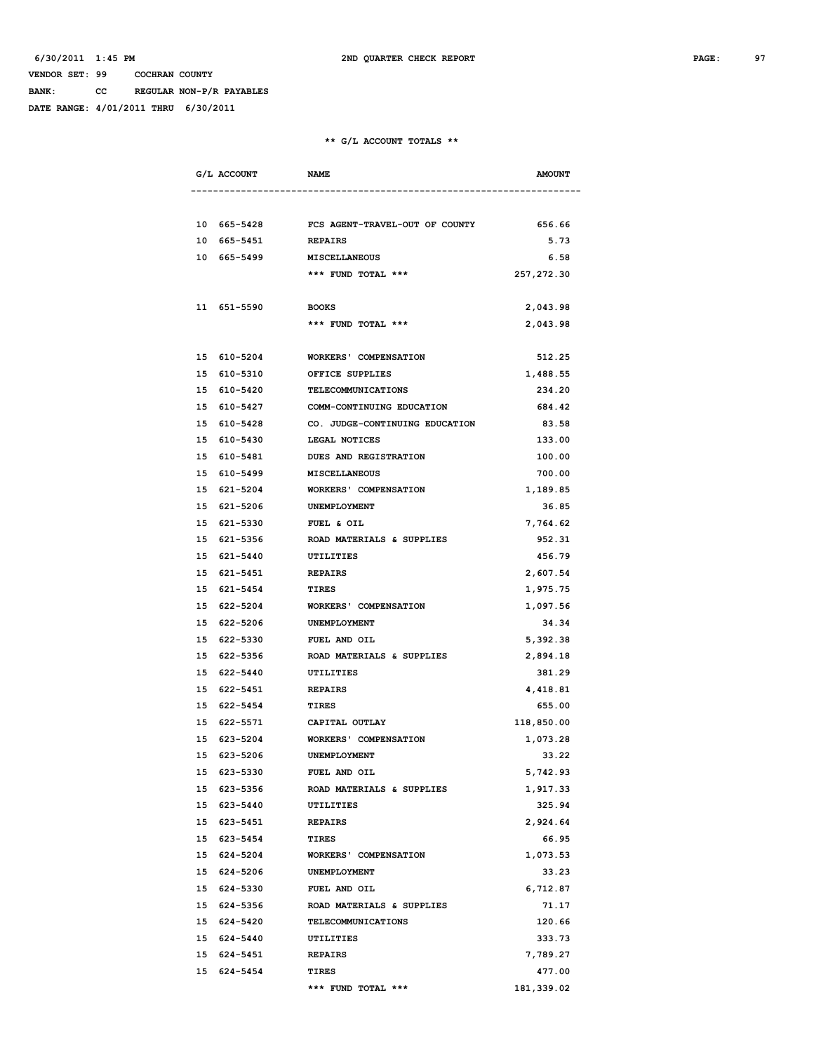**BANK: CC REGULAR NON-P/R PAYABLES**

**DATE RANGE: 4/01/2011 THRU 6/30/2011**

| G/L ACCOUNT                | <b>NAME</b>                                | <b>AMOUNT</b> |
|----------------------------|--------------------------------------------|---------------|
|                            |                                            |               |
|                            | 10 665-5428 FCS AGENT-TRAVEL-OUT OF COUNTY | 656.66        |
| 10 665-5451                | <b>REPAIRS</b>                             | 5.73          |
| 10 665-5499 MISCELLANEOUS  |                                            | 6.58          |
|                            | *** FUND TOTAL ***                         | 257, 272.30   |
|                            |                                            |               |
| 11 651-5590                | <b>BOOKS</b>                               | 2,043.98      |
|                            | *** FUND TOTAL ***                         | 2,043.98      |
|                            |                                            |               |
| 15 610-5204<br>15 610-5310 | WORKERS' COMPENSATION<br>OFFICE SUPPLIES   | 512.25        |
|                            |                                            | 1,488.55      |
| 15 610-5420                | TELECOMMUNICATIONS                         | 234.20        |
| 15 610-5427                | COMM-CONTINUING EDUCATION                  | 684.42        |
| 15 610-5428                | CO. JUDGE-CONTINUING EDUCATION             | 83.58         |
| 15 610-5430                | LEGAL NOTICES                              | 133.00        |
| 15 610-5481                | <b>DUES AND REGISTRATION</b>               | 100.00        |
| 15 610-5499                | <b>MISCELLANEOUS</b>                       | 700.00        |
| 15 621-5204                | <b>WORKERS' COMPENSATION</b>               | 1,189.85      |
| 15 621-5206                | <b>UNEMPLOYMENT</b>                        | 36.85         |
| 15 621-5330                | FUEL & OIL                                 | 7,764.62      |
| 15 621-5356                | ROAD MATERIALS & SUPPLIES                  | 952.31        |
| 15 621-5440                | UTILITIES                                  | 456.79        |
| 15 621-5451                | <b>REPAIRS</b>                             | 2,607.54      |
| 15 621-5454                | <b>TIRES</b>                               | 1,975.75      |
| 15 622-5204                | WORKERS' COMPENSATION                      | 1,097.56      |
| 15 622-5206                | UNEMPLOYMENT                               | 34.34         |
| 15 622-5330                | FUEL AND OIL                               | 5,392.38      |
| 15 622-5356                | ROAD MATERIALS & SUPPLIES                  | 2,894.18      |
| 15 622-5440                | UTILITIES                                  | 381.29        |
| 15 622-5451                | <b>REPAIRS</b>                             | 4,418.81      |
| 15 622-5454                | <b>TIRES</b>                               | 655.00        |
| 15 622-5571                | CAPITAL OUTLAY                             | 118,850.00    |
| 15 623-5204                | <b>WORKERS' COMPENSATION</b>               | 1,073.28      |
| 15 623-5206                | UNEMPLOYMENT                               | 33.22         |
| 15 623-5330                | FUEL AND OIL                               | 5,742.93      |
| 15 623-5356                | ROAD MATERIALS & SUPPLIES                  | 1,917.33      |
| 15 623-5440                | <b>UTILITIES</b>                           | 325.94        |
| 15 623-5451                | <b>REPAIRS</b>                             | 2,924.64      |
| 15 623-5454                | TIRES                                      | 66.95         |
| 15 624-5204                | <b>WORKERS' COMPENSATION</b>               | 1,073.53      |
| 15 624-5206                | UNEMPLOYMENT                               | 33.23         |
| 15 624-5330                | FUEL AND OIL                               | 6,712.87      |
| 15 624-5356                | ROAD MATERIALS & SUPPLIES                  | 71.17         |
| 15 624-5420                | TELECOMMUNICATIONS                         | 120.66        |
| 15 624-5440                | UTILITIES                                  | 333.73        |
| 15 624-5451                | <b>REPAIRS</b>                             | 7,789.27      |
| 15 624-5454                | <b>TIRES</b>                               | 477.00        |
|                            | *** FUND TOTAL ***                         | 181,339.02    |
|                            |                                            |               |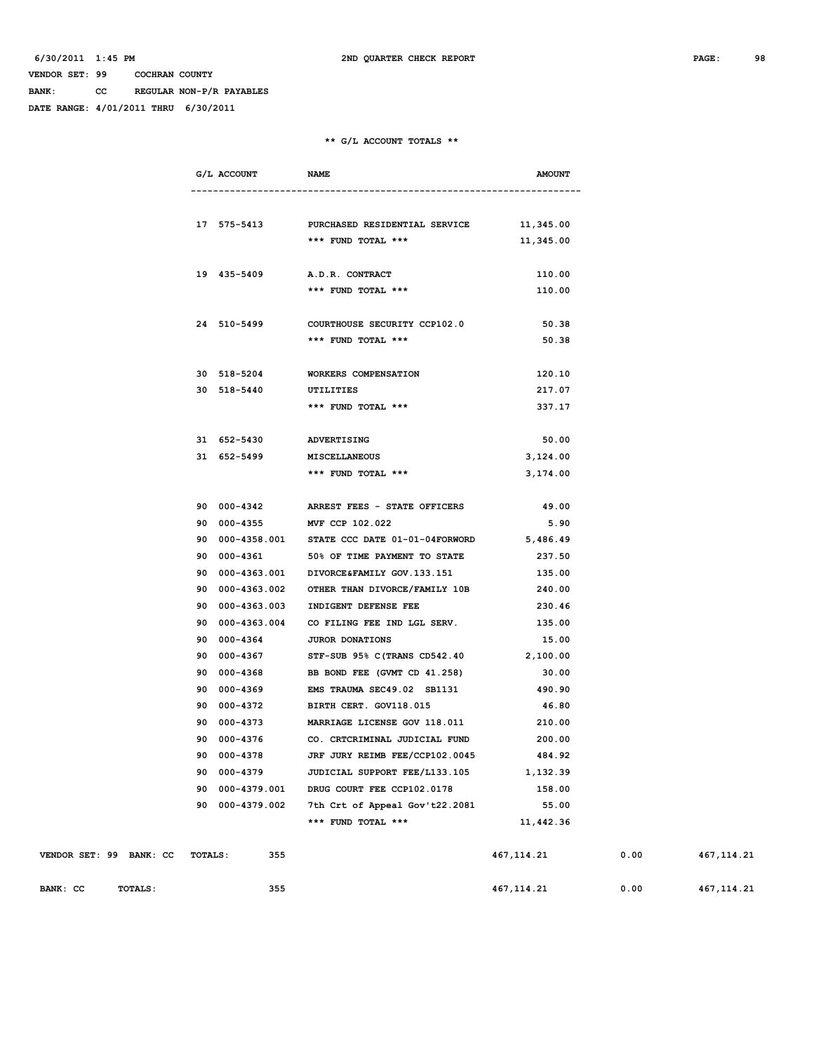**BANK: CC REGULAR NON-P/R PAYABLES**

**DATE RANGE: 4/01/2011 THRU 6/30/2011**

#### **\*\* G/L ACCOUNT TOTALS \*\***

|                         |                | G/L ACCOUNT     | <b>NAME</b>                                                | <b>AMOUNT</b> |      |             |
|-------------------------|----------------|-----------------|------------------------------------------------------------|---------------|------|-------------|
|                         |                |                 |                                                            |               |      |             |
|                         |                |                 |                                                            |               |      |             |
|                         |                |                 | 17 575-5413 PURCHASED RESIDENTIAL SERVICE 11,345.00        |               |      |             |
|                         |                |                 | *** FUND TOTAL ***                                         | 11,345.00     |      |             |
|                         |                | 19 435-5409     | <b>A.D.R. CONTRACT</b>                                     | 110.00        |      |             |
|                         |                |                 | *** FUND TOTAL ***                                         | 110.00        |      |             |
|                         |                |                 |                                                            |               |      |             |
|                         |                | 24 510-5499     | COURTHOUSE SECURITY CCP102.0                               | 50.38         |      |             |
|                         |                |                 | *** FUND TOTAL ***                                         | 50.38         |      |             |
|                         |                |                 |                                                            |               |      |             |
|                         |                | 30 518-5204     | WORKERS COMPENSATION                                       | 120.10        |      |             |
|                         |                | 30 518-5440     | UTILITIES                                                  | 217.07        |      |             |
|                         |                |                 | *** FUND TOTAL ***                                         | 337.17        |      |             |
|                         |                |                 |                                                            |               |      |             |
|                         |                | 31 652-5430     | ADVERTISING                                                | 50.00         |      |             |
|                         |                | 31 652-5499     | MISCELLANEOUS                                              | 3,124.00      |      |             |
|                         |                |                 | *** FUND TOTAL ***                                         | 3,174.00      |      |             |
|                         |                |                 |                                                            |               |      |             |
|                         |                | 90 000-4342     | ARREST FEES - STATE OFFICERS                               | 49.00         |      |             |
|                         |                | 90 000-4355     | MVF CCP 102.022                                            | 5.90          |      |             |
|                         |                |                 | 90  000-4358.001  STATE CCC DATE 01-01-04FORWORD  5,486.49 |               |      |             |
|                         |                | 90 000-4361     | 50% OF TIME PAYMENT TO STATE                               | 237.50        |      |             |
|                         |                | 90 000-4363.001 | DIVORCE & FAMILY GOV. 133. 151                             | 135.00        |      |             |
|                         |                | 90 000-4363.002 | OTHER THAN DIVORCE/FAMILY 10B                              | 240.00        |      |             |
|                         |                | 90 000-4363.003 | INDIGENT DEFENSE FEE                                       | 230.46        |      |             |
|                         |                | 90 000-4363.004 | CO FILING FEE IND LGL SERV.                                | 135.00        |      |             |
|                         |                | 90 000-4364     | <b>JUROR DONATIONS</b>                                     | 15.00         |      |             |
|                         |                | 90 000-4367     | STF-SUB 95% C (TRANS CD542.40                              | 2,100.00      |      |             |
|                         |                | 90 000-4368     | BB BOND FEE (GVMT CD 41.258)                               | 30.00         |      |             |
|                         |                | 90 000-4369     | EMS TRAUMA SEC49.02 SB1131                                 | 490.90        |      |             |
|                         |                | 90 000-4372     | BIRTH CERT. GOV118.015                                     | 46.80         |      |             |
|                         |                |                 | 90 000-4373 MARRIAGE LICENSE GOV 118.011                   | 210.00        |      |             |
|                         |                |                 | 90 000-4376 CO. CRTCRIMINAL JUDICIAL FUND                  | 200.00        |      |             |
|                         |                | 90 000-4378     | JRF JURY REIMB FEE/CCP102.0045                             | 484.92        |      |             |
|                         |                | 90 000-4379     | JUDICIAL SUPPORT FEE/L133.105                              | 1,132.39      |      |             |
|                         |                | 90 000-4379.001 | DRUG COURT FEE CCP102.0178                                 | 158.00        |      |             |
|                         |                | 90 000-4379.002 | 7th Crt of Appeal Gov't22.2081                             | 55.00         |      |             |
|                         |                |                 | *** FUND TOTAL ***                                         | 11,442.36     |      |             |
|                         |                |                 |                                                            |               |      |             |
| VENDOR SET: 99 BANK: CC | <b>TOTALS:</b> | 355             |                                                            | 467,114.21    | 0.00 | 467, 114.21 |

**BANK: CC** TOTALS: 355 355 467,114.21 0.00 467,114.21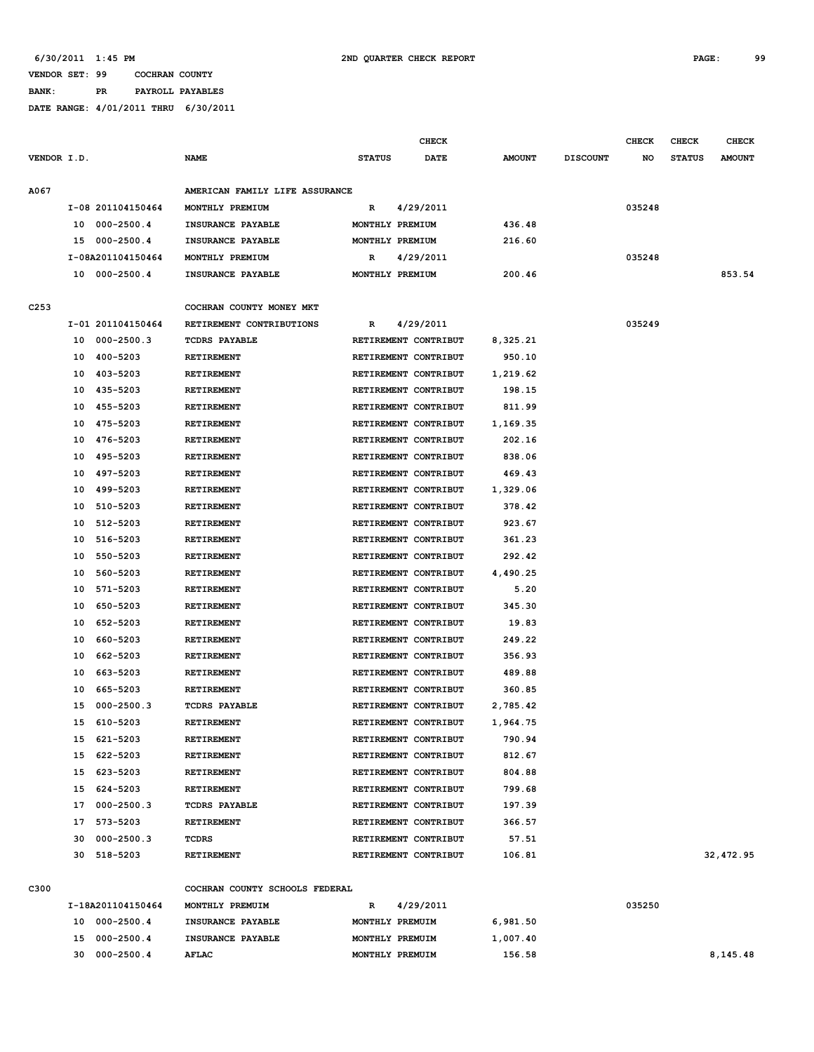#### **VENDOR SET: 99 COCHRAN COUNTY BANK: PR PAYROLL PAYABLES**

|             |    |                   |                                |                      | <b>CHECK</b> |               |                 | <b>CHECK</b> | <b>CHECK</b>  | <b>CHECK</b>  |
|-------------|----|-------------------|--------------------------------|----------------------|--------------|---------------|-----------------|--------------|---------------|---------------|
| VENDOR I.D. |    |                   | <b>NAME</b>                    | <b>STATUS</b>        | DATE         | <b>AMOUNT</b> | <b>DISCOUNT</b> | NO           | <b>STATUS</b> | <b>AMOUNT</b> |
| <b>A067</b> |    |                   | AMERICAN FAMILY LIFE ASSURANCE |                      |              |               |                 |              |               |               |
|             |    | I-08 201104150464 | MONTHLY PREMIUM                | R                    | 4/29/2011    |               |                 | 035248       |               |               |
|             |    | 10 000-2500.4     | INSURANCE PAYABLE              | MONTHLY PREMIUM      |              | 436.48        |                 |              |               |               |
|             |    | 15 000-2500.4     | INSURANCE PAYABLE              | MONTHLY PREMIUM      |              | 216.60        |                 |              |               |               |
|             |    | I-08A201104150464 | MONTHLY PREMIUM                | R                    | 4/29/2011    |               |                 | 035248       |               |               |
|             |    | 10 000-2500.4     | INSURANCE PAYABLE              | MONTHLY PREMIUM      |              | 200.46        |                 |              |               | 853.54        |
|             |    |                   |                                |                      |              |               |                 |              |               |               |
| C253        |    |                   | COCHRAN COUNTY MONEY MKT       |                      |              |               |                 |              |               |               |
|             |    | I-01 201104150464 | RETIREMENT CONTRIBUTIONS       | R                    | 4/29/2011    |               |                 | 035249       |               |               |
|             | 10 | 000-2500.3        | <b>TCDRS PAYABLE</b>           | RETIREMENT CONTRIBUT |              | 8,325.21      |                 |              |               |               |
|             | 10 | 400-5203          | <b>RETIREMENT</b>              | RETIREMENT CONTRIBUT |              | 950.10        |                 |              |               |               |
|             |    | 10 403-5203       | RETIREMENT                     | RETIREMENT CONTRIBUT |              | 1,219.62      |                 |              |               |               |
|             |    | 10 435-5203       | <b>RETIREMENT</b>              | RETIREMENT CONTRIBUT |              | 198.15        |                 |              |               |               |
|             |    | 10 455-5203       | <b>RETIREMENT</b>              | RETIREMENT CONTRIBUT |              | 811.99        |                 |              |               |               |
|             | 10 | 475-5203          | RETIREMENT                     | RETIREMENT CONTRIBUT |              | 1,169.35      |                 |              |               |               |
|             | 10 | 476-5203          | <b>RETIREMENT</b>              | RETIREMENT CONTRIBUT |              | 202.16        |                 |              |               |               |
|             | 10 | 495-5203          | <b>RETIREMENT</b>              | RETIREMENT CONTRIBUT |              | 838.06        |                 |              |               |               |
|             |    | 10 497-5203       | RETIREMENT                     | RETIREMENT CONTRIBUT |              | 469.43        |                 |              |               |               |
|             | 10 | 499–5203          | RETIREMENT                     | RETIREMENT CONTRIBUT |              | 1,329.06      |                 |              |               |               |
|             | 10 | 510-5203          | <b>RETIREMENT</b>              | RETIREMENT CONTRIBUT |              | 378.42        |                 |              |               |               |
|             | 10 | 512-5203          | RETIREMENT                     | RETIREMENT CONTRIBUT |              | 923.67        |                 |              |               |               |
|             | 10 | 516-5203          | RETIREMENT                     | RETIREMENT CONTRIBUT |              | 361.23        |                 |              |               |               |
|             | 10 | 550-5203          | RETIREMENT                     | RETIREMENT CONTRIBUT |              | 292.42        |                 |              |               |               |
|             | 10 | 560-5203          | RETIREMENT                     | RETIREMENT CONTRIBUT |              | 4,490.25      |                 |              |               |               |
|             | 10 | 571-5203          | RETIREMENT                     | RETIREMENT CONTRIBUT |              | 5.20          |                 |              |               |               |
|             | 10 | 650-5203          | <b>RETIREMENT</b>              | RETIREMENT CONTRIBUT |              | 345.30        |                 |              |               |               |
|             | 10 | 652-5203          | RETIREMENT                     | RETIREMENT CONTRIBUT |              | 19.83         |                 |              |               |               |
|             | 10 | 660-5203          | <b>RETIREMENT</b>              | RETIREMENT CONTRIBUT |              | 249.22        |                 |              |               |               |
|             | 10 | 662-5203          | <b>RETIREMENT</b>              | RETIREMENT CONTRIBUT |              | 356.93        |                 |              |               |               |
|             | 10 | 663-5203          | RETIREMENT                     | RETIREMENT CONTRIBUT |              | 489.88        |                 |              |               |               |
|             | 10 | 665–5203          | <b>RETIREMENT</b>              | RETIREMENT CONTRIBUT |              | 360.85        |                 |              |               |               |
|             | 15 | $000 - 2500.3$    | <b>TCDRS PAYABLE</b>           | RETIREMENT CONTRIBUT |              | 2,785.42      |                 |              |               |               |
|             |    | 15 610-5203       | <b>RETIREMENT</b>              | RETIREMENT CONTRIBUT |              | 1,964.75      |                 |              |               |               |
|             |    | 15 621-5203       | RETIREMENT                     | RETIREMENT CONTRIBUT |              | 790.94        |                 |              |               |               |
|             |    | 15 622-5203       | RETIREMENT                     | RETIREMENT CONTRIBUT |              | 812.67        |                 |              |               |               |
|             |    | 15 623-5203       | <b>RETIREMENT</b>              | RETIREMENT CONTRIBUT |              | 804.88        |                 |              |               |               |
|             |    | 15 624-5203       | RETIREMENT                     | RETIREMENT CONTRIBUT |              | 799.68        |                 |              |               |               |
|             |    | 17 000-2500.3     | <b>TCDRS PAYABLE</b>           | RETIREMENT CONTRIBUT |              | 197.39        |                 |              |               |               |
|             |    | 17 573-5203       | RETIREMENT                     | RETIREMENT CONTRIBUT |              | 366.57        |                 |              |               |               |
|             | 30 | 000-2500.3        | TCDRS                          | RETIREMENT CONTRIBUT |              | 57.51         |                 |              |               |               |
|             |    | 30 518-5203       | RETIREMENT                     | RETIREMENT CONTRIBUT |              | 106.81        |                 |              |               | 32,472.95     |
|             |    |                   |                                |                      |              |               |                 |              |               |               |
| C300        |    |                   | COCHRAN COUNTY SCHOOLS FEDERAL |                      |              |               |                 |              |               |               |
|             |    | I-18A201104150464 | MONTHLY PREMUIM                | R                    | 4/29/2011    |               |                 | 035250       |               |               |
|             |    | 10 000-2500.4     | INSURANCE PAYABLE              | MONTHLY PREMUIM      |              | 6,981.50      |                 |              |               |               |
|             |    | 15 000-2500.4     | INSURANCE PAYABLE              | MONTHLY PREMUIM      |              | 1,007.40      |                 |              |               |               |
|             |    | 30 000-2500.4     | AFLAC                          | MONTHLY PREMUIM      |              | 156.58        |                 |              |               | 8,145.48      |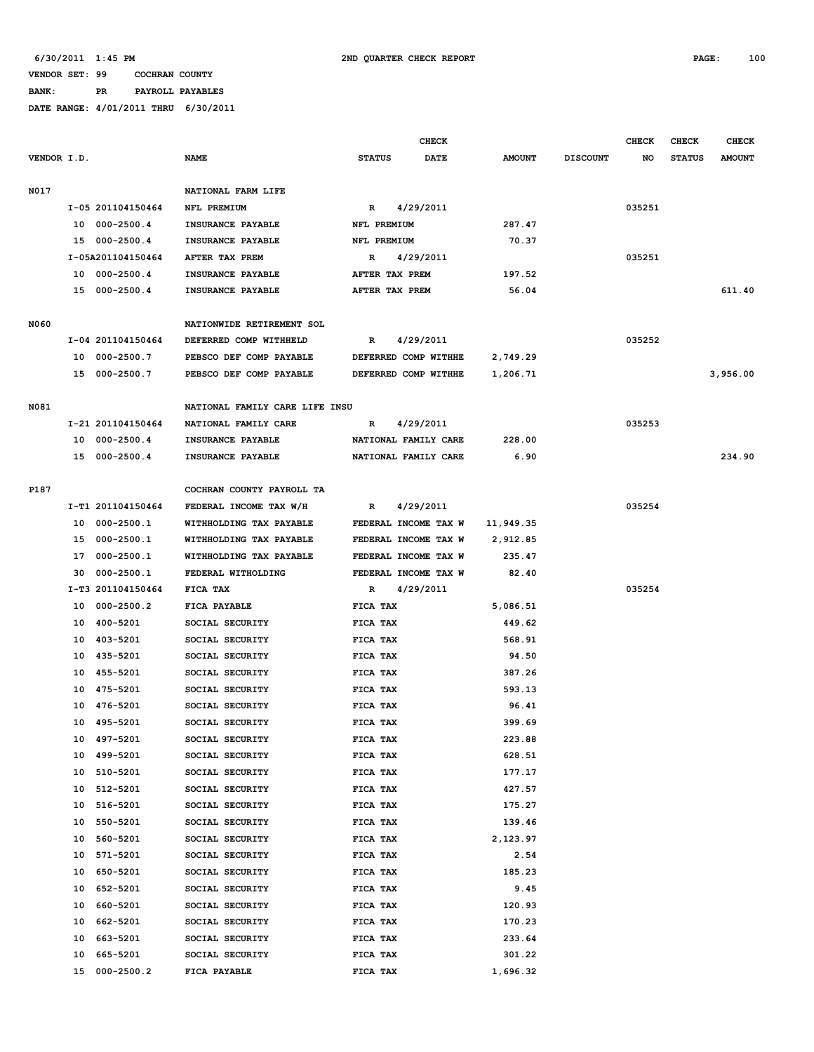#### **VENDOR SET: 99 COCHRAN COUNTY BANK: PR PAYROLL PAYABLES**

|             |    |                   |                                |               | <b>CHECK</b>         |               |                 | <b>CHECK</b> | CHECK         | <b>CHECK</b>  |
|-------------|----|-------------------|--------------------------------|---------------|----------------------|---------------|-----------------|--------------|---------------|---------------|
| VENDOR I.D. |    |                   | <b>NAME</b>                    | <b>STATUS</b> | DATE                 | <b>AMOUNT</b> | <b>DISCOUNT</b> | NO           | <b>STATUS</b> | <b>AMOUNT</b> |
| N017        |    |                   | NATIONAL FARM LIFE             |               |                      |               |                 |              |               |               |
|             |    | I-05 201104150464 | NFL PREMIUM                    | R             | 4/29/2011            |               |                 | 035251       |               |               |
|             | 10 | $000 - 2500.4$    | INSURANCE PAYABLE              |               | NFL PREMIUM          | 287.47        |                 |              |               |               |
|             | 15 | 000-2500.4        | INSURANCE PAYABLE              |               | NFL PREMIUM          | 70.37         |                 |              |               |               |
|             |    | I-05A201104150464 | AFTER TAX PREM                 | R             | 4/29/2011            |               |                 | 035251       |               |               |
|             |    | 10 000-2500.4     | INSURANCE PAYABLE              |               | AFTER TAX PREM       | 197.52        |                 |              |               |               |
|             |    | 15 000-2500.4     | INSURANCE PAYABLE              |               | AFTER TAX PREM       | 56.04         |                 |              |               | 611.40        |
|             |    |                   |                                |               |                      |               |                 |              |               |               |
| N060        |    |                   | NATIONWIDE RETIREMENT SOL      |               |                      |               |                 |              |               |               |
|             |    | I-04 201104150464 | DEFERRED COMP WITHHELD         | R             | 4/29/2011            |               |                 | 035252       |               |               |
|             |    | 10 000-2500.7     | PEBSCO DEF COMP PAYABLE        |               | DEFERRED COMP WITHHE | 2,749.29      |                 |              |               |               |
|             |    | 15 000-2500.7     | PEBSCO DEF COMP PAYABLE        |               | DEFERRED COMP WITHHE | 1,206.71      |                 |              |               | 3,956.00      |
| N081        |    |                   | NATIONAL FAMILY CARE LIFE INSU |               |                      |               |                 |              |               |               |
|             |    | I-21 201104150464 | NATIONAL FAMILY CARE           | R             | 4/29/2011            |               |                 | 035253       |               |               |
|             | 10 | $000 - 2500.4$    | INSURANCE PAYABLE              |               | NATIONAL FAMILY CARE | 228.00        |                 |              |               |               |
|             |    | 15 000-2500.4     | INSURANCE PAYABLE              |               | NATIONAL FAMILY CARE | 6.90          |                 |              |               | 234.90        |
|             |    |                   |                                |               |                      |               |                 |              |               |               |
| P187        |    |                   | COCHRAN COUNTY PAYROLL TA      |               |                      |               |                 |              |               |               |
|             |    | I-T1 201104150464 | FEDERAL INCOME TAX W/H         | R             | 4/29/2011            |               |                 | 035254       |               |               |
|             | 10 | $000 - 2500.1$    | WITHHOLDING TAX PAYABLE        |               | FEDERAL INCOME TAX W | 11,949.35     |                 |              |               |               |
|             | 15 | 000-2500.1        | WITHHOLDING TAX PAYABLE        |               | FEDERAL INCOME TAX W | 2,912.85      |                 |              |               |               |
|             | 17 | $000 - 2500.1$    | WITHHOLDING TAX PAYABLE        |               | FEDERAL INCOME TAX W | 235.47        |                 |              |               |               |
|             | 30 | $000 - 2500.1$    | FEDERAL WITHOLDING             |               | FEDERAL INCOME TAX W | 82.40         |                 |              |               |               |
|             |    | I-T3 201104150464 | FICA TAX                       | R             | 4/29/2011            |               |                 | 035254       |               |               |
|             | 10 | $000 - 2500.2$    | FICA PAYABLE                   | FICA TAX      |                      | 5,086.51      |                 |              |               |               |
|             | 10 | 400-5201          | SOCIAL SECURITY                | FICA TAX      |                      | 449.62        |                 |              |               |               |
|             | 10 | 403-5201          | SOCIAL SECURITY                | FICA TAX      |                      | 568.91        |                 |              |               |               |
|             | 10 | 435-5201          | SOCIAL SECURITY                | FICA TAX      |                      | 94.50         |                 |              |               |               |
|             | 10 | 455-5201          | SOCIAL SECURITY                | FICA TAX      |                      | 387.26        |                 |              |               |               |
|             | 10 | 475-5201          | SOCIAL SECURITY                | FICA TAX      |                      | 593.13        |                 |              |               |               |
|             | 10 | 476-5201          | SOCIAL SECURITY                | FICA TAX      |                      | 96.41         |                 |              |               |               |
|             |    | 10 495-5201       | SOCIAL SECURITY                | FICA TAX      |                      | 399.69        |                 |              |               |               |
|             | 10 | 497-5201          | SOCIAL SECURITY                | FICA TAX      |                      | 223.88        |                 |              |               |               |
|             | 10 | 499-5201          | SOCIAL SECURITY                | FICA TAX      |                      | 628.51        |                 |              |               |               |
|             | 10 | 510-5201          | SOCIAL SECURITY                | FICA TAX      |                      | 177.17        |                 |              |               |               |
|             | 10 | 512-5201          | SOCIAL SECURITY                | FICA TAX      |                      | 427.57        |                 |              |               |               |
|             | 10 | 516-5201          | SOCIAL SECURITY                | FICA TAX      |                      | 175.27        |                 |              |               |               |
|             | 10 | 550-5201          | SOCIAL SECURITY                | FICA TAX      |                      | 139.46        |                 |              |               |               |
|             | 10 | 560-5201          | SOCIAL SECURITY                | FICA TAX      |                      | 2,123.97      |                 |              |               |               |
|             | 10 | 571-5201          | SOCIAL SECURITY                | FICA TAX      |                      | 2.54          |                 |              |               |               |
|             | 10 | 650-5201          | SOCIAL SECURITY                | FICA TAX      |                      | 185.23        |                 |              |               |               |
|             | 10 | 652-5201          | SOCIAL SECURITY                | FICA TAX      |                      | 9.45          |                 |              |               |               |
|             | 10 | 660-5201          | SOCIAL SECURITY                | FICA TAX      |                      | 120.93        |                 |              |               |               |
|             | 10 | 662-5201          | SOCIAL SECURITY                | FICA TAX      |                      | 170.23        |                 |              |               |               |
|             | 10 | 663-5201          | SOCIAL SECURITY                | FICA TAX      |                      | 233.64        |                 |              |               |               |
|             | 10 | 665-5201          | SOCIAL SECURITY                | FICA TAX      |                      | 301.22        |                 |              |               |               |
|             | 15 | $000 - 2500.2$    | FICA PAYABLE                   | FICA TAX      |                      | 1,696.32      |                 |              |               |               |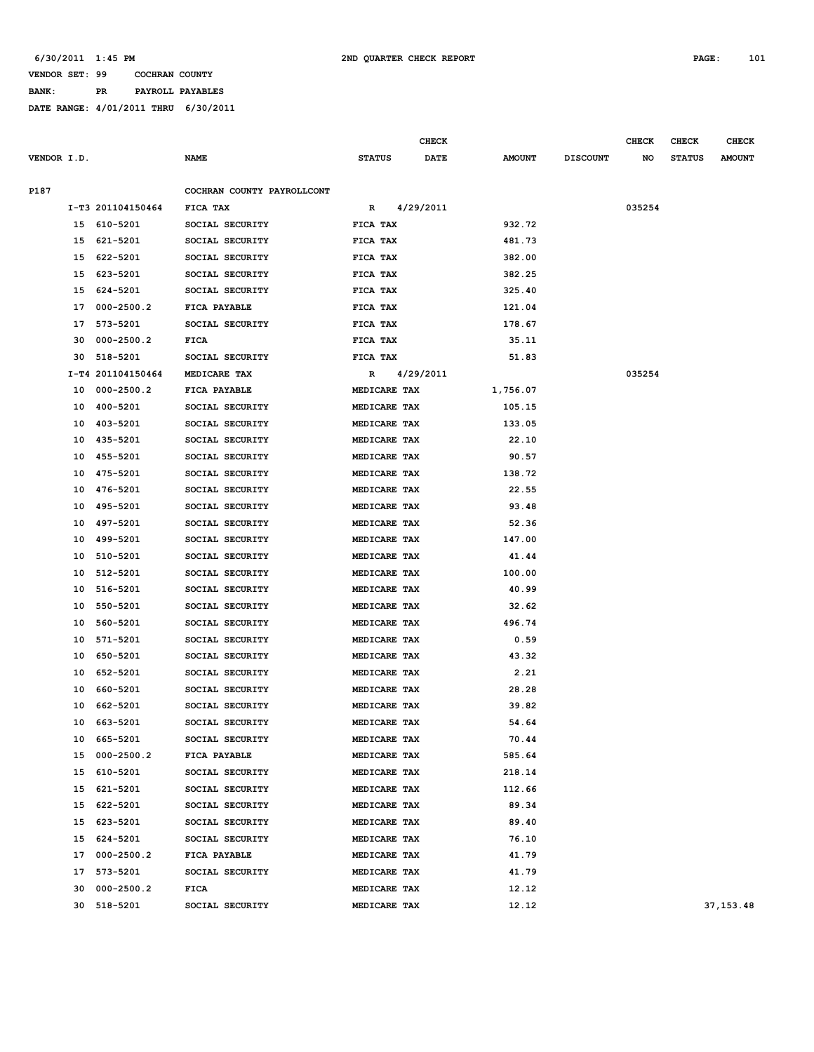**BANK: PR PAYROLL PAYABLES**

|             |    |                   |                            |               | <b>CHECK</b> |               |                 | <b>CHECK</b> |               | <b>CHECK</b>  |
|-------------|----|-------------------|----------------------------|---------------|--------------|---------------|-----------------|--------------|---------------|---------------|
| VENDOR I.D. |    |                   | <b>NAME</b>                | <b>STATUS</b> | <b>DATE</b>  | <b>AMOUNT</b> | <b>DISCOUNT</b> | NO           | <b>STATUS</b> | <b>AMOUNT</b> |
| P187        |    |                   | COCHRAN COUNTY PAYROLLCONT |               |              |               |                 |              |               |               |
|             |    | I-T3 201104150464 | FICA TAX                   | R             | 4/29/2011    |               |                 | 035254       |               |               |
|             | 15 | 610-5201          | SOCIAL SECURITY            | FICA TAX      |              | 932.72        |                 |              |               |               |
|             | 15 | 621-5201          | SOCIAL SECURITY            | FICA TAX      |              | 481.73        |                 |              |               |               |
|             | 15 | 622-5201          | SOCIAL SECURITY            | FICA TAX      |              | 382.00        |                 |              |               |               |
|             | 15 | 623-5201          | SOCIAL SECURITY            | FICA TAX      |              | 382.25        |                 |              |               |               |
|             | 15 | 624-5201          | SOCIAL SECURITY            | FICA TAX      |              | 325.40        |                 |              |               |               |
|             | 17 | $000 - 2500.2$    | FICA PAYABLE               | FICA TAX      |              | 121.04        |                 |              |               |               |
|             | 17 | 573-5201          | SOCIAL SECURITY            | FICA TAX      |              | 178.67        |                 |              |               |               |
|             | 30 | $000 - 2500.2$    | FICA                       | FICA TAX      |              | 35.11         |                 |              |               |               |
|             | 30 | 518-5201          | SOCIAL SECURITY            | FICA TAX      |              | 51.83         |                 |              |               |               |
|             |    | I-T4 201104150464 | MEDICARE TAX               | R             | 4/29/2011    |               |                 | 035254       |               |               |
|             | 10 | $000 - 2500.2$    | FICA PAYABLE               | MEDICARE TAX  |              | 1,756.07      |                 |              |               |               |
|             | 10 | 400-5201          | SOCIAL SECURITY            | MEDICARE TAX  |              | 105.15        |                 |              |               |               |
|             | 10 | 403-5201          | SOCIAL SECURITY            | MEDICARE TAX  |              | 133.05        |                 |              |               |               |
|             | 10 | 435-5201          | SOCIAL SECURITY            | MEDICARE TAX  |              | 22.10         |                 |              |               |               |
|             | 10 | 455-5201          | SOCIAL SECURITY            | MEDICARE TAX  |              | 90.57         |                 |              |               |               |
|             | 10 | 475-5201          | SOCIAL SECURITY            | MEDICARE TAX  |              | 138.72        |                 |              |               |               |
|             | 10 | 476-5201          | SOCIAL SECURITY            | MEDICARE TAX  |              | 22.55         |                 |              |               |               |
|             | 10 | 495-5201          | SOCIAL SECURITY            | MEDICARE TAX  |              | 93.48         |                 |              |               |               |
|             | 10 | 497-5201          | SOCIAL SECURITY            | MEDICARE TAX  |              | 52.36         |                 |              |               |               |
|             | 10 | 499-5201          | SOCIAL SECURITY            | MEDICARE TAX  |              | 147.00        |                 |              |               |               |
|             | 10 | 510-5201          | SOCIAL SECURITY            | MEDICARE TAX  |              | 41.44         |                 |              |               |               |
|             | 10 | 512-5201          | SOCIAL SECURITY            | MEDICARE TAX  |              | 100.00        |                 |              |               |               |
|             | 10 | 516-5201          | SOCIAL SECURITY            | MEDICARE TAX  |              | 40.99         |                 |              |               |               |
|             | 10 | 550-5201          | SOCIAL SECURITY            | MEDICARE TAX  |              | 32.62         |                 |              |               |               |
|             | 10 | 560-5201          | SOCIAL SECURITY            | MEDICARE TAX  |              | 496.74        |                 |              |               |               |
|             | 10 | 571-5201          | SOCIAL SECURITY            | MEDICARE TAX  |              | 0.59          |                 |              |               |               |
|             | 10 | 650-5201          | SOCIAL SECURITY            | MEDICARE TAX  |              | 43.32         |                 |              |               |               |
|             | 10 | 652-5201          | SOCIAL SECURITY            | MEDICARE TAX  |              | 2.21          |                 |              |               |               |
|             | 10 | 660-5201          | SOCIAL SECURITY            | MEDICARE TAX  |              | 28.28         |                 |              |               |               |
|             | 10 | 662-5201          | SOCIAL SECURITY            | MEDICARE TAX  |              | 39.82         |                 |              |               |               |
|             | 10 | 663-5201          | SOCIAL SECURITY            | MEDICARE TAX  |              | 54.64         |                 |              |               |               |
|             | 10 | 665-5201          | SOCIAL SECURITY            | MEDICARE TAX  |              | 70.44         |                 |              |               |               |
|             | 15 | $000 - 2500.2$    | FICA PAYABLE               | MEDICARE TAX  |              | 585.64        |                 |              |               |               |
|             | 15 | 610-5201          | SOCIAL SECURITY            | MEDICARE TAX  |              | 218.14        |                 |              |               |               |
|             | 15 | 621-5201          | SOCIAL SECURITY            | MEDICARE TAX  |              | 112.66        |                 |              |               |               |
|             | 15 | 622-5201          | SOCIAL SECURITY            | MEDICARE TAX  |              | 89.34         |                 |              |               |               |
|             | 15 | 623-5201          | SOCIAL SECURITY            | MEDICARE TAX  |              | 89.40         |                 |              |               |               |
|             | 15 | 624-5201          | SOCIAL SECURITY            | MEDICARE TAX  |              | 76.10         |                 |              |               |               |
|             | 17 | $000 - 2500.2$    | FICA PAYABLE               | MEDICARE TAX  |              | 41.79         |                 |              |               |               |
|             | 17 | 573-5201          | SOCIAL SECURITY            | MEDICARE TAX  |              | 41.79         |                 |              |               |               |
|             | 30 | 000-2500.2        | FICA                       | MEDICARE TAX  |              | 12.12         |                 |              |               |               |
|             |    | 518-5201          | SOCIAL SECURITY            | MEDICARE TAX  |              | 12.12         |                 |              |               | 37, 153.48    |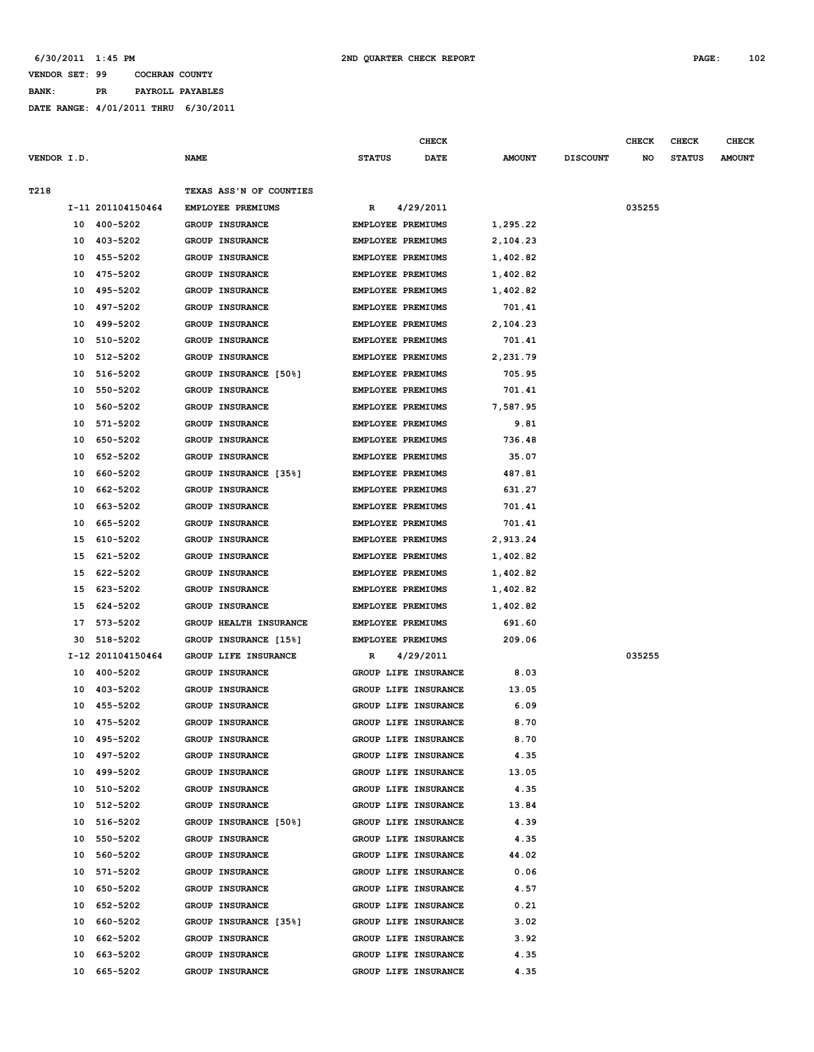#### **VENDOR SET: 99 COCHRAN COUNTY BANK: PR PAYROLL PAYABLES**

|             |          |                      |                                    |                                               | <b>CHECK</b>         |                    |                 | <b>CHECK</b> | <b>CHECK</b>  | <b>CHECK</b>  |
|-------------|----------|----------------------|------------------------------------|-----------------------------------------------|----------------------|--------------------|-----------------|--------------|---------------|---------------|
| VENDOR I.D. |          |                      | <b>NAME</b>                        | <b>STATUS</b>                                 | DATE                 | <b>AMOUNT</b>      | <b>DISCOUNT</b> | NO           | <b>STATUS</b> | <b>AMOUNT</b> |
|             |          |                      |                                    |                                               |                      |                    |                 |              |               |               |
| T218        |          |                      | TEXAS ASS'N OF COUNTIES            |                                               |                      |                    |                 |              |               |               |
|             |          | I-11 201104150464    | EMPLOYEE PREMIUMS                  | R                                             | 4/29/2011            |                    |                 | 035255       |               |               |
|             | 10       | 400-5202             | <b>GROUP INSURANCE</b>             | EMPLOYEE PREMIUMS                             |                      | 1,295.22           |                 |              |               |               |
|             | 10       | 403-5202             | GROUP INSURANCE                    | EMPLOYEE PREMIUMS                             |                      | 2,104.23           |                 |              |               |               |
|             | 10       | 455-5202             | GROUP INSURANCE                    | EMPLOYEE PREMIUMS                             |                      | 1,402.82           |                 |              |               |               |
|             | 10       | 475-5202             | GROUP INSURANCE                    | EMPLOYEE PREMIUMS                             |                      | 1,402.82           |                 |              |               |               |
|             | 10       | 495-5202<br>497-5202 | <b>GROUP INSURANCE</b>             | EMPLOYEE PREMIUMS                             |                      | 1,402.82           |                 |              |               |               |
|             | 10       | 499-5202             | GROUP INSURANCE<br>GROUP INSURANCE | <b>EMPLOYEE PREMIUMS</b>                      |                      | 701.41             |                 |              |               |               |
|             | 10<br>10 | 510-5202             | <b>GROUP INSURANCE</b>             | EMPLOYEE PREMIUMS<br><b>EMPLOYEE PREMIUMS</b> |                      | 2,104.23<br>701.41 |                 |              |               |               |
|             |          | 512-5202             | <b>GROUP INSURANCE</b>             | EMPLOYEE PREMIUMS                             |                      |                    |                 |              |               |               |
|             | 10<br>10 | 516-5202             | GROUP INSURANCE [50%]              |                                               |                      | 2,231.79<br>705.95 |                 |              |               |               |
|             | 10       | 550-5202             | <b>GROUP INSURANCE</b>             | EMPLOYEE PREMIUMS<br><b>EMPLOYEE PREMIUMS</b> |                      | 701.41             |                 |              |               |               |
|             | 10       | 560-5202             | <b>GROUP INSURANCE</b>             | EMPLOYEE PREMIUMS                             |                      | 7,587.95           |                 |              |               |               |
|             | 10       | 571-5202             | GROUP INSURANCE                    | EMPLOYEE PREMIUMS                             |                      | 9.81               |                 |              |               |               |
|             | 10       | 650-5202             | <b>GROUP INSURANCE</b>             | EMPLOYEE PREMIUMS                             |                      | 736.48             |                 |              |               |               |
|             | 10       | 652-5202             | <b>GROUP INSURANCE</b>             | <b>EMPLOYEE PREMIUMS</b>                      |                      | 35.07              |                 |              |               |               |
|             | 10       | 660-5202             | GROUP INSURANCE [35%]              | EMPLOYEE PREMIUMS                             |                      | 487.81             |                 |              |               |               |
|             | 10       | 662-5202             | <b>GROUP INSURANCE</b>             | <b>EMPLOYEE PREMIUMS</b>                      |                      | 631.27             |                 |              |               |               |
|             | 10       | 663-5202             | <b>GROUP INSURANCE</b>             | <b>EMPLOYEE PREMIUMS</b>                      |                      | 701.41             |                 |              |               |               |
|             | 10       | 665-5202             | <b>GROUP INSURANCE</b>             | <b>EMPLOYEE PREMIUMS</b>                      |                      | 701.41             |                 |              |               |               |
|             | 15       | 610-5202             | <b>GROUP INSURANCE</b>             | EMPLOYEE PREMIUMS                             |                      | 2,913.24           |                 |              |               |               |
|             | 15       | 621-5202             | GROUP INSURANCE                    | EMPLOYEE PREMIUMS                             |                      | 1,402.82           |                 |              |               |               |
|             | 15       | 622-5202             | GROUP INSURANCE                    | EMPLOYEE PREMIUMS                             |                      | 1,402.82           |                 |              |               |               |
|             | 15       | 623-5202             | <b>GROUP INSURANCE</b>             | EMPLOYEE PREMIUMS                             |                      | 1,402.82           |                 |              |               |               |
|             | 15       | 624-5202             | GROUP INSURANCE                    | EMPLOYEE PREMIUMS                             |                      | 1,402.82           |                 |              |               |               |
|             | 17       | 573-5202             | GROUP HEALTH INSURANCE             | EMPLOYEE PREMIUMS                             |                      | 691.60             |                 |              |               |               |
|             | 30       | 518-5202             | GROUP INSURANCE [15%]              | EMPLOYEE PREMIUMS                             |                      | 209.06             |                 |              |               |               |
|             |          | I-12 201104150464    | GROUP LIFE INSURANCE               | R                                             | 4/29/2011            |                    |                 | 035255       |               |               |
|             | 10       | 400-5202             | GROUP INSURANCE                    |                                               | GROUP LIFE INSURANCE | 8.03               |                 |              |               |               |
|             | 10       | 403-5202             | <b>GROUP INSURANCE</b>             |                                               | GROUP LIFE INSURANCE | 13.05              |                 |              |               |               |
|             | 10       | 455-5202             | GROUP INSURANCE                    |                                               | GROUP LIFE INSURANCE | 6.09               |                 |              |               |               |
|             | 10       | 475-5202             | <b>GROUP INSURANCE</b>             |                                               | GROUP LIFE INSURANCE | 8.70               |                 |              |               |               |
|             |          | 10 495-5202          | GROUP INSURANCE                    |                                               | GROUP LIFE INSURANCE | 8.70               |                 |              |               |               |
|             |          | 10 497-5202          | GROUP INSURANCE                    |                                               | GROUP LIFE INSURANCE | 4.35               |                 |              |               |               |
|             | 10       | 499-5202             | GROUP INSURANCE                    |                                               | GROUP LIFE INSURANCE | 13.05              |                 |              |               |               |
|             | 10       | 510-5202             | GROUP INSURANCE                    |                                               | GROUP LIFE INSURANCE | 4.35               |                 |              |               |               |
|             |          | 10 512-5202          | GROUP INSURANCE                    |                                               | GROUP LIFE INSURANCE | 13.84              |                 |              |               |               |
|             |          | 10 516-5202          | GROUP INSURANCE [50%]              |                                               | GROUP LIFE INSURANCE | 4.39               |                 |              |               |               |
|             |          | 10 550-5202          | GROUP INSURANCE                    |                                               | GROUP LIFE INSURANCE | 4.35               |                 |              |               |               |
|             |          | 10 560-5202          | GROUP INSURANCE                    |                                               | GROUP LIFE INSURANCE | 44.02              |                 |              |               |               |
|             | 10       | 571-5202             | <b>GROUP INSURANCE</b>             |                                               | GROUP LIFE INSURANCE | 0.06               |                 |              |               |               |
|             | 10       | 650-5202             | GROUP INSURANCE                    |                                               | GROUP LIFE INSURANCE | 4.57               |                 |              |               |               |
|             |          | 10 652-5202          | GROUP INSURANCE                    |                                               | GROUP LIFE INSURANCE | 0.21               |                 |              |               |               |
|             |          | 10 660-5202          | GROUP INSURANCE [35%]              |                                               | GROUP LIFE INSURANCE | 3.02               |                 |              |               |               |
|             |          | 10 662-5202          | GROUP INSURANCE                    |                                               | GROUP LIFE INSURANCE | 3.92               |                 |              |               |               |
|             | 10       | 663-5202             | GROUP INSURANCE                    |                                               | GROUP LIFE INSURANCE | 4.35               |                 |              |               |               |
|             | 10       | 665-5202             | GROUP INSURANCE                    |                                               | GROUP LIFE INSURANCE | 4.35               |                 |              |               |               |
|             |          |                      |                                    |                                               |                      |                    |                 |              |               |               |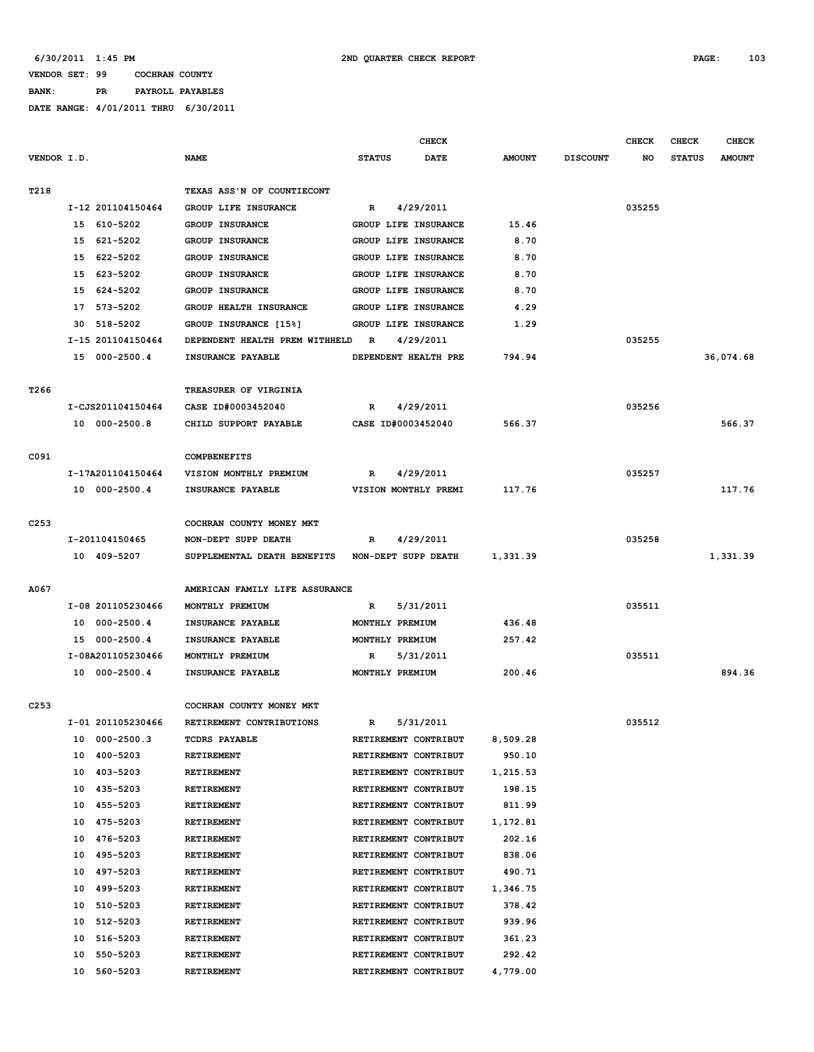#### **VENDOR SET: 99 COCHRAN COUNTY BANK: PR PAYROLL PAYABLES**

|                  |                      |                                |                 | <b>CHECK</b>         |               |                 | <b>CHECK</b> | CHECK         | <b>CHECK</b>  |
|------------------|----------------------|--------------------------------|-----------------|----------------------|---------------|-----------------|--------------|---------------|---------------|
| VENDOR I.D.      |                      | <b>NAME</b>                    | <b>STATUS</b>   | <b>DATE</b>          | <b>AMOUNT</b> | <b>DISCOUNT</b> | NO           | <b>STATUS</b> | <b>AMOUNT</b> |
|                  |                      |                                |                 |                      |               |                 |              |               |               |
| T218             |                      | TEXAS ASS'N OF COUNTIECONT     |                 |                      |               |                 |              |               |               |
|                  | I-12 201104150464    | GROUP LIFE INSURANCE           | R               | 4/29/2011            |               |                 | 035255       |               |               |
|                  | 15 610-5202          | <b>GROUP INSURANCE</b>         |                 | GROUP LIFE INSURANCE | 15.46         |                 |              |               |               |
|                  | 15 621-5202          | <b>GROUP INSURANCE</b>         |                 | GROUP LIFE INSURANCE | 8.70          |                 |              |               |               |
|                  | 15 622-5202          | <b>GROUP INSURANCE</b>         |                 | GROUP LIFE INSURANCE | 8.70          |                 |              |               |               |
|                  | 15 623-5202          | <b>GROUP INSURANCE</b>         |                 | GROUP LIFE INSURANCE | 8.70          |                 |              |               |               |
|                  | 15 624-5202          | GROUP INSURANCE                |                 | GROUP LIFE INSURANCE | 8.70          |                 |              |               |               |
|                  | 17 573-5202          | GROUP HEALTH INSURANCE         |                 | GROUP LIFE INSURANCE | 4.29          |                 |              |               |               |
|                  | 30 518-5202          | GROUP INSURANCE [15%]          |                 | GROUP LIFE INSURANCE | 1.29          |                 |              |               |               |
|                  | I-15 201104150464    | DEPENDENT HEALTH PREM WITHHELD | $\mathbb{R}$    | 4/29/2011            |               |                 | 035255       |               |               |
|                  | 15 000-2500.4        | INSURANCE PAYABLE              |                 | DEPENDENT HEALTH PRE | 794.94        |                 |              |               | 36,074.68     |
|                  |                      |                                |                 |                      |               |                 |              |               |               |
| T <sub>266</sub> |                      | TREASURER OF VIRGINIA          |                 |                      |               |                 |              |               |               |
|                  | I-CJS201104150464    | CASE ID#0003452040             | R               | 4/29/2011            |               |                 | 035256       |               |               |
|                  | 10 000-2500.8        | CHILD SUPPORT PAYABLE          |                 | CASE ID#0003452040   | 566.37        |                 |              |               | 566.37        |
|                  |                      |                                |                 |                      |               |                 |              |               |               |
| C091             |                      | <b>COMPBENEFITS</b>            |                 |                      |               |                 |              |               |               |
|                  | I-17A201104150464    | VISION MONTHLY PREMIUM         | $\mathbb{R}$    | 4/29/2011            |               |                 | 035257       |               |               |
|                  | 10 000-2500.4        | INSURANCE PAYABLE              |                 | VISION MONTHLY PREMI | 117.76        |                 |              |               | 117.76        |
|                  |                      |                                |                 |                      |               |                 |              |               |               |
| C <sub>253</sub> |                      | COCHRAN COUNTY MONEY MKT       |                 |                      |               |                 |              |               |               |
|                  | I-201104150465       | NON-DEPT SUPP DEATH            | R               | 4/29/2011            |               |                 | 035258       |               |               |
|                  | 10 409-5207          | SUPPLEMENTAL DEATH BENEFITS    |                 | NON-DEPT SUPP DEATH  | 1,331.39      |                 |              |               | 1,331.39      |
|                  |                      |                                |                 |                      |               |                 |              |               |               |
| A067             |                      | AMERICAN FAMILY LIFE ASSURANCE |                 |                      |               |                 |              |               |               |
|                  | I-08 201105230466    | MONTHLY PREMIUM                | R               | 5/31/2011            |               |                 | 035511       |               |               |
|                  | 10 000-2500.4        | INSURANCE PAYABLE              | MONTHLY PREMIUM |                      | 436.48        |                 |              |               |               |
|                  | 15 000-2500.4        | INSURANCE PAYABLE              | MONTHLY PREMIUM |                      | 257.42        |                 |              |               |               |
|                  | I-08A201105230466    | MONTHLY PREMIUM                | R               | 5/31/2011            |               |                 | 035511       |               |               |
|                  | 10 000-2500.4        | INSURANCE PAYABLE              | MONTHLY PREMIUM |                      | 200.46        |                 |              |               | 894.36        |
|                  |                      |                                |                 |                      |               |                 |              |               |               |
| C <sub>253</sub> |                      | COCHRAN COUNTY MONEY MKT       |                 |                      |               |                 |              |               |               |
|                  | I-01 201105230466    | RETIREMENT CONTRIBUTIONS       | R               | 5/31/2011            |               |                 | 035512       |               |               |
|                  | $000 - 2500.3$<br>10 | <b>TCDRS PAYABLE</b>           |                 | RETIREMENT CONTRIBUT | 8,509.28      |                 |              |               |               |
|                  | 400-5203<br>10       | RETIREMENT                     |                 | RETIREMENT CONTRIBUT | 950.10        |                 |              |               |               |
|                  | 403-5203<br>10       | RETIREMENT                     |                 | RETIREMENT CONTRIBUT | 1,215.53      |                 |              |               |               |
|                  | 435-5203<br>10       | RETIREMENT                     |                 | RETIREMENT CONTRIBUT | 198.15        |                 |              |               |               |
|                  | 10<br>455-5203       | RETIREMENT                     |                 | RETIREMENT CONTRIBUT | 811.99        |                 |              |               |               |
|                  | 475-5203<br>10       | RETIREMENT                     |                 | RETIREMENT CONTRIBUT | 1,172.81      |                 |              |               |               |
|                  | 476-5203<br>10       | RETIREMENT                     |                 | RETIREMENT CONTRIBUT | 202.16        |                 |              |               |               |
|                  | 10<br>495-5203       | RETIREMENT                     |                 | RETIREMENT CONTRIBUT | 838.06        |                 |              |               |               |
|                  | 497-5203<br>10       | RETIREMENT                     |                 | RETIREMENT CONTRIBUT | 490.71        |                 |              |               |               |
|                  | 10<br>499-5203       | RETIREMENT                     |                 | RETIREMENT CONTRIBUT | 1,346.75      |                 |              |               |               |
|                  | 10<br>510-5203       | RETIREMENT                     |                 | RETIREMENT CONTRIBUT | 378.42        |                 |              |               |               |
|                  | 512-5203<br>10       | RETIREMENT                     |                 | RETIREMENT CONTRIBUT | 939.96        |                 |              |               |               |
|                  | 516-5203<br>10       | RETIREMENT                     |                 | RETIREMENT CONTRIBUT | 361.23        |                 |              |               |               |
|                  | 10<br>550-5203       | RETIREMENT                     |                 | RETIREMENT CONTRIBUT | 292.42        |                 |              |               |               |
|                  | 10<br>560-5203       | RETIREMENT                     |                 | RETIREMENT CONTRIBUT | 4,779.00      |                 |              |               |               |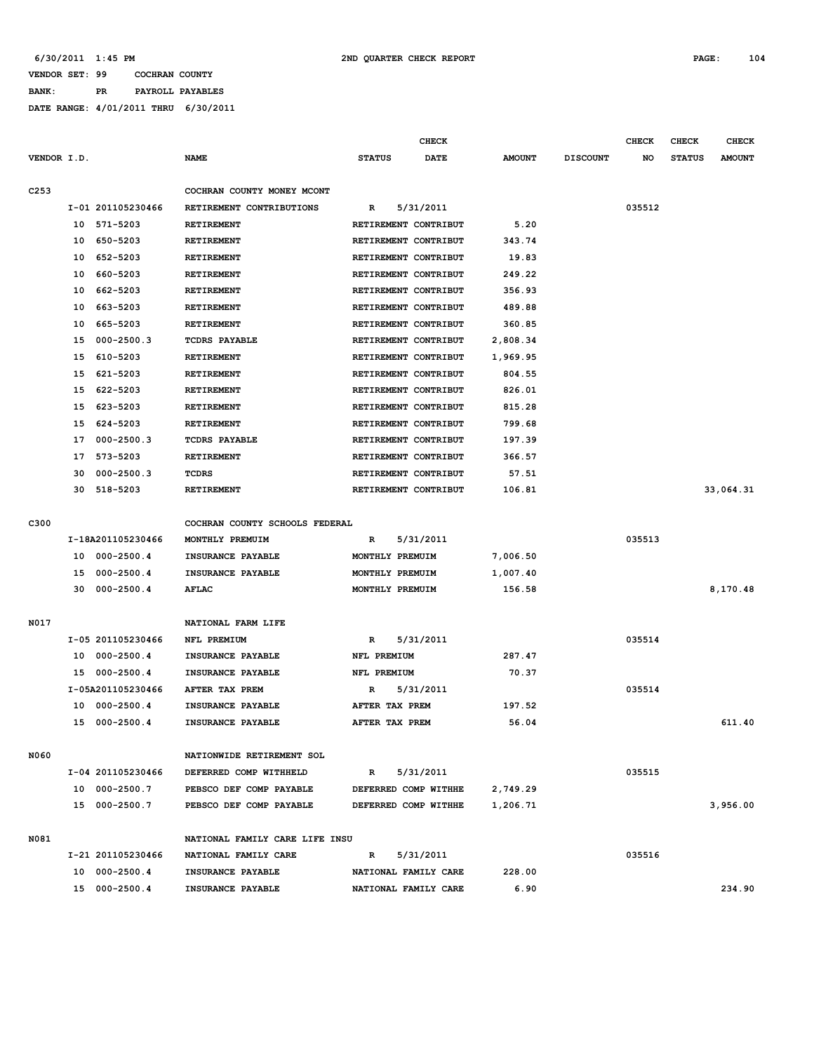**BANK: PR PAYROLL PAYABLES**

|                  |    |                   |                                |                      | CHECK       |                  |                 | <b>CHECK</b> | <b>CHECK</b>  | <b>CHECK</b>  |
|------------------|----|-------------------|--------------------------------|----------------------|-------------|------------------|-----------------|--------------|---------------|---------------|
| VENDOR I.D.      |    |                   | <b>NAME</b>                    | <b>STATUS</b>        | <b>DATE</b> | <b>AMOUNT</b>    | <b>DISCOUNT</b> | NO           | <b>STATUS</b> | <b>AMOUNT</b> |
| C <sub>253</sub> |    |                   | COCHRAN COUNTY MONEY MCONT     |                      |             |                  |                 |              |               |               |
|                  |    | I-01 201105230466 | RETIREMENT CONTRIBUTIONS       | R                    | 5/31/2011   |                  |                 | 035512       |               |               |
|                  | 10 | 571-5203          | RETIREMENT                     | RETIREMENT CONTRIBUT |             | 5.20             |                 |              |               |               |
|                  | 10 | 650-5203          | <b>RETIREMENT</b>              | RETIREMENT CONTRIBUT |             | 343.74           |                 |              |               |               |
|                  | 10 | 652-5203          | RETIREMENT                     | RETIREMENT CONTRIBUT |             | 19.83            |                 |              |               |               |
|                  | 10 | 660-5203          | <b>RETIREMENT</b>              | RETIREMENT CONTRIBUT |             | 249.22           |                 |              |               |               |
|                  | 10 | 662-5203          | <b>RETIREMENT</b>              | RETIREMENT CONTRIBUT |             | 356.93           |                 |              |               |               |
|                  | 10 | 663-5203          | <b>RETIREMENT</b>              | RETIREMENT CONTRIBUT |             | 489.88           |                 |              |               |               |
|                  | 10 | 665-5203          | <b>RETIREMENT</b>              | RETIREMENT CONTRIBUT |             | 360.85           |                 |              |               |               |
|                  | 15 | $000 - 2500.3$    | <b>TCDRS PAYABLE</b>           | RETIREMENT CONTRIBUT |             | 2,808.34         |                 |              |               |               |
|                  | 15 | 610-5203          | <b>RETIREMENT</b>              | RETIREMENT CONTRIBUT |             | 1,969.95         |                 |              |               |               |
|                  | 15 | 621-5203          | RETIREMENT                     | RETIREMENT CONTRIBUT |             | 804.55           |                 |              |               |               |
|                  |    |                   |                                |                      |             |                  |                 |              |               |               |
|                  | 15 | 622-5203          | RETIREMENT                     | RETIREMENT CONTRIBUT |             | 826.01           |                 |              |               |               |
|                  | 15 | 623-5203          | RETIREMENT                     | RETIREMENT CONTRIBUT |             | 815.28<br>799.68 |                 |              |               |               |
|                  | 15 | 624-5203          | RETIREMENT                     | RETIREMENT CONTRIBUT |             |                  |                 |              |               |               |
|                  | 17 | $000 - 2500.3$    | <b>TCDRS PAYABLE</b>           | RETIREMENT CONTRIBUT |             | 197.39           |                 |              |               |               |
|                  | 17 | 573-5203          | RETIREMENT                     | RETIREMENT CONTRIBUT |             | 366.57           |                 |              |               |               |
|                  | 30 | $000 - 2500.3$    | TCDRS                          | RETIREMENT CONTRIBUT |             | 57.51            |                 |              |               |               |
|                  | 30 | 518-5203          | <b>RETIREMENT</b>              | RETIREMENT CONTRIBUT |             | 106.81           |                 |              |               | 33,064.31     |
| C300             |    |                   | COCHRAN COUNTY SCHOOLS FEDERAL |                      |             |                  |                 |              |               |               |
|                  |    | I-18A201105230466 | MONTHLY PREMUIM                | R                    | 5/31/2011   |                  |                 | 035513       |               |               |
|                  | 10 | $000 - 2500.4$    | INSURANCE PAYABLE              | MONTHLY PREMUIM      |             | 7,006.50         |                 |              |               |               |
|                  | 15 | $000 - 2500.4$    | <b>INSURANCE PAYABLE</b>       | MONTHLY PREMUIM      |             | 1,007.40         |                 |              |               |               |
|                  | 30 | $000 - 2500.4$    | <b>AFLAC</b>                   | MONTHLY PREMUIM      |             | 156.58           |                 |              |               | 8,170.48      |
|                  |    |                   |                                |                      |             |                  |                 |              |               |               |
| N017             |    |                   | NATIONAL FARM LIFE             |                      |             |                  |                 |              |               |               |
|                  |    | I-05 201105230466 | NFL PREMIUM                    | R                    | 5/31/2011   |                  |                 | 035514       |               |               |
|                  | 10 | $000 - 2500.4$    | INSURANCE PAYABLE              | NFL PREMIUM          |             | 287.47           |                 |              |               |               |
|                  | 15 | $000 - 2500.4$    | <b>INSURANCE PAYABLE</b>       | NFL PREMIUM          |             | 70.37            |                 |              |               |               |
|                  |    | I-05A201105230466 | AFTER TAX PREM                 | R                    | 5/31/2011   |                  |                 | 035514       |               |               |
|                  | 10 | $000 - 2500.4$    | INSURANCE PAYABLE              | AFTER TAX PREM       |             | 197.52           |                 |              |               |               |
|                  |    | 15 000-2500.4     | INSURANCE PAYABLE              | AFTER TAX PREM       |             | 56.04            |                 |              |               | 611.40        |
|                  |    |                   |                                |                      |             |                  |                 |              |               |               |
| N060             |    |                   | NATIONWIDE RETIREMENT SOL      |                      |             |                  |                 |              |               |               |
|                  |    | I-04 201105230466 | DEFERRED COMP WITHHELD         | R                    | 5/31/2011   |                  |                 | 035515       |               |               |
|                  |    | 10 000-2500.7     | PEBSCO DEF COMP PAYABLE        | DEFERRED COMP WITHHE |             | 2,749.29         |                 |              |               |               |
|                  |    | 15 000-2500.7     | PEBSCO DEF COMP PAYABLE        | DEFERRED COMP WITHHE |             | 1,206.71         |                 |              |               | 3,956.00      |
| N081             |    |                   | NATIONAL FAMILY CARE LIFE INSU |                      |             |                  |                 |              |               |               |
|                  |    | I-21 201105230466 | NATIONAL FAMILY CARE           | R                    | 5/31/2011   |                  |                 | 035516       |               |               |
|                  |    | 10 000-2500.4     | INSURANCE PAYABLE              | NATIONAL FAMILY CARE |             | 228.00           |                 |              |               |               |
|                  |    | 15 000-2500.4     | INSURANCE PAYABLE              | NATIONAL FAMILY CARE |             | 6.90             |                 |              |               | 234.90        |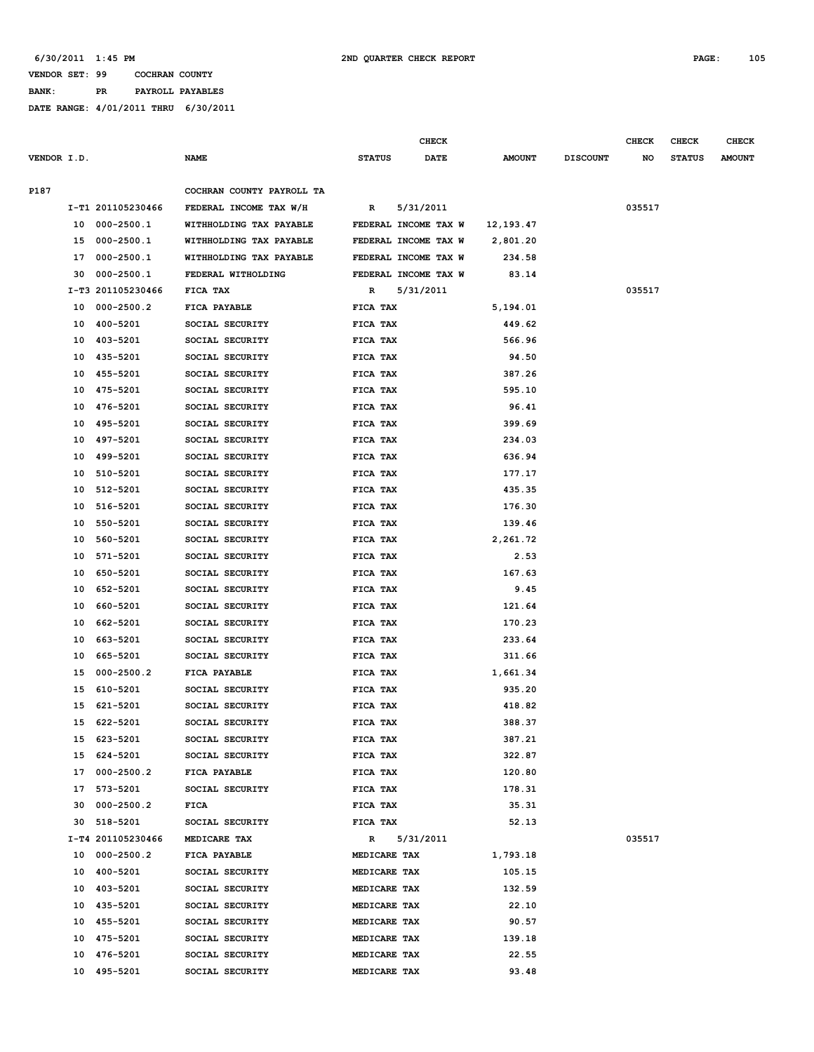#### **VENDOR SET: 99 COCHRAN COUNTY BANK: PR PAYROLL PAYABLES**

|             |    |                   |                           |                 | <b>CHECK</b>         |               |                 | <b>CHECK</b> | <b>CHECK</b>  | <b>CHECK</b>  |
|-------------|----|-------------------|---------------------------|-----------------|----------------------|---------------|-----------------|--------------|---------------|---------------|
| VENDOR I.D. |    |                   | <b>NAME</b>               | <b>STATUS</b>   | <b>DATE</b>          | <b>AMOUNT</b> | <b>DISCOUNT</b> | NO           | <b>STATUS</b> | <b>AMOUNT</b> |
| P187        |    |                   | COCHRAN COUNTY PAYROLL TA |                 |                      |               |                 |              |               |               |
|             |    | I-T1 201105230466 | FEDERAL INCOME TAX W/H    | R               | 5/31/2011            |               |                 | 035517       |               |               |
|             |    | 10 000-2500.1     | WITHHOLDING TAX PAYABLE   |                 | FEDERAL INCOME TAX W | 12,193.47     |                 |              |               |               |
|             |    | 15 000-2500.1     | WITHHOLDING TAX PAYABLE   |                 | FEDERAL INCOME TAX W | 2,801.20      |                 |              |               |               |
|             | 17 | 000-2500.1        | WITHHOLDING TAX PAYABLE   |                 | FEDERAL INCOME TAX W | 234.58        |                 |              |               |               |
|             | 30 | $000 - 2500.1$    | FEDERAL WITHOLDING        |                 | FEDERAL INCOME TAX W | 83.14         |                 |              |               |               |
|             |    | I-T3 201105230466 | FICA TAX                  | R               | 5/31/2011            |               |                 | 035517       |               |               |
|             |    | 10 000-2500.2     | FICA PAYABLE              | FICA TAX        |                      | 5,194.01      |                 |              |               |               |
|             |    | 10 400-5201       | SOCIAL SECURITY           | FICA TAX        |                      | 449.62        |                 |              |               |               |
|             |    | 10 403-5201       | SOCIAL SECURITY           | FICA TAX        |                      | 566.96        |                 |              |               |               |
|             |    | 10 435-5201       | SOCIAL SECURITY           | FICA TAX        |                      | 94.50         |                 |              |               |               |
|             | 10 | 455-5201          | SOCIAL SECURITY           | FICA TAX        |                      | 387.26        |                 |              |               |               |
|             | 10 | 475-5201          | SOCIAL SECURITY           | FICA TAX        |                      | 595.10        |                 |              |               |               |
|             | 10 | 476-5201          | SOCIAL SECURITY           | FICA TAX        |                      | 96.41         |                 |              |               |               |
|             | 10 | 495-5201          | SOCIAL SECURITY           | FICA TAX        |                      | 399.69        |                 |              |               |               |
|             | 10 | 497-5201          | SOCIAL SECURITY           | FICA TAX        |                      | 234.03        |                 |              |               |               |
|             | 10 | 499-5201          | SOCIAL SECURITY           | FICA TAX        |                      | 636.94        |                 |              |               |               |
|             | 10 | 510-5201          | SOCIAL SECURITY           | FICA TAX        |                      | 177.17        |                 |              |               |               |
|             | 10 | 512-5201          | SOCIAL SECURITY           | FICA TAX        |                      | 435.35        |                 |              |               |               |
|             | 10 | 516-5201          | SOCIAL SECURITY           | FICA TAX        |                      | 176.30        |                 |              |               |               |
|             | 10 | 550-5201          | SOCIAL SECURITY           | FICA TAX        |                      | 139.46        |                 |              |               |               |
|             | 10 | 560-5201          | SOCIAL SECURITY           | FICA TAX        |                      | 2,261.72      |                 |              |               |               |
|             | 10 | 571-5201          | SOCIAL SECURITY           | FICA TAX        |                      | 2.53          |                 |              |               |               |
|             | 10 | 650-5201          | SOCIAL SECURITY           | FICA TAX        |                      | 167.63        |                 |              |               |               |
|             | 10 | 652-5201          | SOCIAL SECURITY           | FICA TAX        |                      | 9.45          |                 |              |               |               |
|             | 10 | 660-5201          | SOCIAL SECURITY           | FICA TAX        |                      | 121.64        |                 |              |               |               |
|             | 10 | 662-5201          | SOCIAL SECURITY           | FICA TAX        |                      | 170.23        |                 |              |               |               |
|             | 10 | 663-5201          | SOCIAL SECURITY           | FICA TAX        |                      | 233.64        |                 |              |               |               |
|             | 10 | 665-5201          | SOCIAL SECURITY           | FICA TAX        |                      | 311.66        |                 |              |               |               |
|             | 15 | $000 - 2500.2$    | FICA PAYABLE              | FICA TAX        |                      | 1,661.34      |                 |              |               |               |
|             | 15 | 610-5201          | SOCIAL SECURITY           | FICA TAX        |                      | 935.20        |                 |              |               |               |
|             | 15 | 621-5201          | SOCIAL SECURITY           | FICA TAX        |                      | 418.82        |                 |              |               |               |
|             |    | 15 622-5201       | SOCIAL SECURITY           | FICA TAX        |                      | 388.37        |                 |              |               |               |
|             |    | 15 623-5201       | SOCIAL SECURITY           | FICA TAX        |                      | 387.21        |                 |              |               |               |
|             |    | 15 624-5201       | SOCIAL SECURITY           | FICA TAX        |                      | 322.87        |                 |              |               |               |
|             |    | 17 000-2500.2     | FICA PAYABLE              | <b>FICA TAX</b> |                      | 120.80        |                 |              |               |               |
|             |    | 17 573-5201       | SOCIAL SECURITY           | <b>FICA TAX</b> |                      | 178.31        |                 |              |               |               |
|             |    | 30 000-2500.2     | FICA                      | <b>FICA TAX</b> |                      | 35.31         |                 |              |               |               |
|             |    | 30 518-5201       | SOCIAL SECURITY           | FICA TAX        |                      | 52.13         |                 |              |               |               |
|             |    | I-T4 201105230466 | MEDICARE TAX              | R               | 5/31/2011            |               |                 | 035517       |               |               |
|             |    | 10 000-2500.2     | <b>FICA PAYABLE</b>       | MEDICARE TAX    |                      | 1,793.18      |                 |              |               |               |
|             |    | 10 400-5201       | SOCIAL SECURITY           | MEDICARE TAX    |                      | 105.15        |                 |              |               |               |
|             |    | 10 403-5201       | SOCIAL SECURITY           | MEDICARE TAX    |                      | 132.59        |                 |              |               |               |
|             |    | 10 435-5201       | SOCIAL SECURITY           | MEDICARE TAX    |                      | 22.10         |                 |              |               |               |
|             |    | 10 455-5201       | SOCIAL SECURITY           | MEDICARE TAX    |                      | 90.57         |                 |              |               |               |
|             |    | 10 475-5201       | SOCIAL SECURITY           | MEDICARE TAX    |                      | 139.18        |                 |              |               |               |
|             |    | 10 476-5201       | SOCIAL SECURITY           | MEDICARE TAX    |                      | 22.55         |                 |              |               |               |
|             |    | 10 495-5201       | SOCIAL SECURITY           | MEDICARE TAX    |                      | 93.48         |                 |              |               |               |
|             |    |                   |                           |                 |                      |               |                 |              |               |               |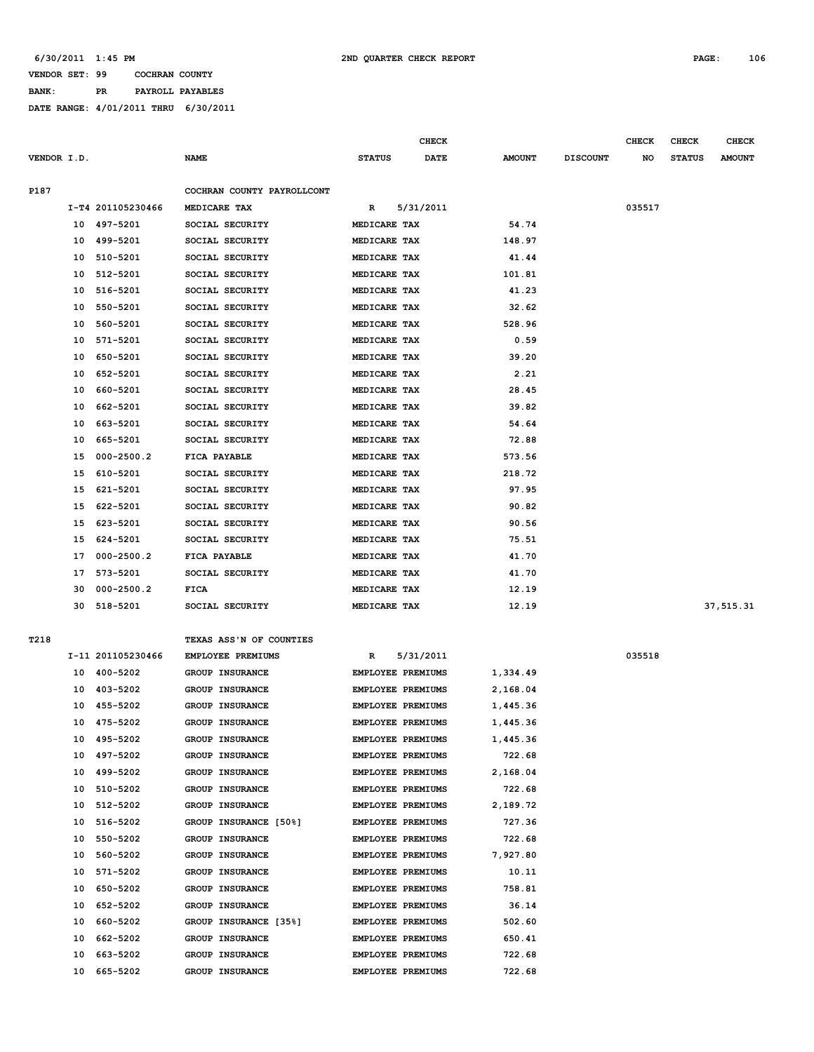**BANK: PR PAYROLL PAYABLES**

|             |          |                      |                                    |                              | <b>CHECK</b> |                |                 | CHECK  | <b>CHECK</b>  | <b>CHECK</b>  |
|-------------|----------|----------------------|------------------------------------|------------------------------|--------------|----------------|-----------------|--------|---------------|---------------|
| VENDOR I.D. |          |                      | <b>NAME</b>                        | <b>STATUS</b>                | <b>DATE</b>  | <b>AMOUNT</b>  | <b>DISCOUNT</b> | NO     | <b>STATUS</b> | <b>AMOUNT</b> |
|             |          |                      |                                    |                              |              |                |                 |        |               |               |
| P187        |          |                      | COCHRAN COUNTY PAYROLLCONT         |                              |              |                |                 |        |               |               |
|             |          | I-T4 201105230466    | MEDICARE TAX                       | R                            | 5/31/2011    |                |                 | 035517 |               |               |
|             |          | 10 497-5201          | SOCIAL SECURITY                    | MEDICARE TAX                 |              | 54.74          |                 |        |               |               |
|             | 10       | 499-5201             | SOCIAL SECURITY                    | MEDICARE TAX                 |              | 148.97         |                 |        |               |               |
|             | 10       | 510-5201             | SOCIAL SECURITY                    | MEDICARE TAX                 |              | 41.44          |                 |        |               |               |
|             | 10       | 512-5201<br>516-5201 | SOCIAL SECURITY                    | MEDICARE TAX<br>MEDICARE TAX |              | 101.81         |                 |        |               |               |
|             | 10<br>10 | 550-5201             | SOCIAL SECURITY<br>SOCIAL SECURITY | MEDICARE TAX                 |              | 41.23<br>32.62 |                 |        |               |               |
|             | 10       | 560-5201             | SOCIAL SECURITY                    | MEDICARE TAX                 |              | 528.96         |                 |        |               |               |
|             | 10       | 571-5201             | SOCIAL SECURITY                    | MEDICARE TAX                 |              | 0.59           |                 |        |               |               |
|             | 10       | 650-5201             | SOCIAL SECURITY                    | MEDICARE TAX                 |              | 39.20          |                 |        |               |               |
|             | 10       | 652-5201             | SOCIAL SECURITY                    | MEDICARE TAX                 |              | 2.21           |                 |        |               |               |
|             | 10       | 660-5201             | SOCIAL SECURITY                    | MEDICARE TAX                 |              | 28.45          |                 |        |               |               |
|             | 10       | 662-5201             | SOCIAL SECURITY                    | MEDICARE TAX                 |              | 39.82          |                 |        |               |               |
|             | 10       | 663-5201             | SOCIAL SECURITY                    | MEDICARE TAX                 |              | 54.64          |                 |        |               |               |
|             | 10       | 665-5201             | SOCIAL SECURITY                    | MEDICARE TAX                 |              | 72.88          |                 |        |               |               |
|             | 15       | $000 - 2500.2$       | FICA PAYABLE                       | MEDICARE TAX                 |              | 573.56         |                 |        |               |               |
|             | 15       | 610-5201             | SOCIAL SECURITY                    | MEDICARE TAX                 |              | 218.72         |                 |        |               |               |
|             | 15       | 621-5201             | SOCIAL SECURITY                    | MEDICARE TAX                 |              | 97.95          |                 |        |               |               |
|             | 15       | 622-5201             | SOCIAL SECURITY                    | MEDICARE TAX                 |              | 90.82          |                 |        |               |               |
|             | 15       | 623-5201             | SOCIAL SECURITY                    | MEDICARE TAX                 |              | 90.56          |                 |        |               |               |
|             | 15       | 624-5201             | SOCIAL SECURITY                    | MEDICARE TAX                 |              | 75.51          |                 |        |               |               |
|             | 17       | $000 - 2500.2$       | FICA PAYABLE                       | MEDICARE TAX                 |              | 41.70          |                 |        |               |               |
|             | 17       | 573-5201             | SOCIAL SECURITY                    | MEDICARE TAX                 |              | 41.70          |                 |        |               |               |
|             | 30       | $000 - 2500.2$       | FICA                               | MEDICARE TAX                 |              | 12.19          |                 |        |               |               |
|             |          | 30 518-5201          | SOCIAL SECURITY                    | MEDICARE TAX                 |              | 12.19          |                 |        |               | 37,515.31     |
|             |          |                      |                                    |                              |              |                |                 |        |               |               |
| T218        |          |                      | TEXAS ASS'N OF COUNTIES            |                              |              |                |                 |        |               |               |
|             |          | I-11 201105230466    | EMPLOYEE PREMIUMS                  | R                            | 5/31/2011    |                |                 | 035518 |               |               |
|             |          | 10 400-5202          | GROUP INSURANCE                    | <b>EMPLOYEE PREMIUMS</b>     |              | 1,334.49       |                 |        |               |               |
|             | 10       | 403-5202             | GROUP INSURANCE                    | <b>EMPLOYEE PREMIUMS</b>     |              | 2,168.04       |                 |        |               |               |
|             | 10       | 455-5202             | GROUP INSURANCE                    | <b>EMPLOYEE PREMIUMS</b>     |              | 1,445.36       |                 |        |               |               |
|             | 10       | 475-5202             | <b>GROUP INSURANCE</b>             | EMPLOYEE PREMIUMS            |              | 1,445.36       |                 |        |               |               |
|             |          | 10 495-5202          | GROUP INSURANCE                    | EMPLOYEE PREMIUMS            |              | 1,445.36       |                 |        |               |               |
|             |          | 10 497-5202          | GROUP INSURANCE                    | EMPLOYEE PREMIUMS            |              | 722.68         |                 |        |               |               |
|             | 10       | 499-5202             | <b>GROUP INSURANCE</b>             | EMPLOYEE PREMIUMS            |              | 2,168.04       |                 |        |               |               |
|             | 10       | 510-5202             | GROUP INSURANCE                    | EMPLOYEE PREMIUMS            |              | 722.68         |                 |        |               |               |
|             | 10       | 512-5202             | GROUP INSURANCE                    | <b>EMPLOYEE PREMIUMS</b>     |              | 2,189.72       |                 |        |               |               |
|             |          | 10 516-5202          | GROUP INSURANCE [50%]              | EMPLOYEE PREMIUMS            |              | 727.36         |                 |        |               |               |
|             | 10       | 550-5202             | GROUP INSURANCE                    | EMPLOYEE PREMIUMS            |              | 722.68         |                 |        |               |               |
|             |          | 10 560-5202          | GROUP INSURANCE                    | <b>EMPLOYEE PREMIUMS</b>     |              | 7,927.80       |                 |        |               |               |
|             |          | 10 571-5202          | GROUP INSURANCE                    | EMPLOYEE PREMIUMS            |              | 10.11          |                 |        |               |               |
|             | 10       | 650-5202             | GROUP INSURANCE                    | EMPLOYEE PREMIUMS            |              | 758.81         |                 |        |               |               |
|             |          | 10 652-5202          | GROUP INSURANCE                    | EMPLOYEE PREMIUMS            |              | 36.14          |                 |        |               |               |
|             |          | 10 660-5202          | GROUP INSURANCE [35%]              | EMPLOYEE PREMIUMS            |              | 502.60         |                 |        |               |               |
|             | 10       | 662-5202             | GROUP INSURANCE                    | EMPLOYEE PREMIUMS            |              | 650.41         |                 |        |               |               |
|             | 10       | 663-5202             | GROUP INSURANCE                    | EMPLOYEE PREMIUMS            |              | 722.68         |                 |        |               |               |
|             | 10       | 665-5202             | GROUP INSURANCE                    | EMPLOYEE PREMIUMS            |              | 722.68         |                 |        |               |               |
|             |          |                      |                                    |                              |              |                |                 |        |               |               |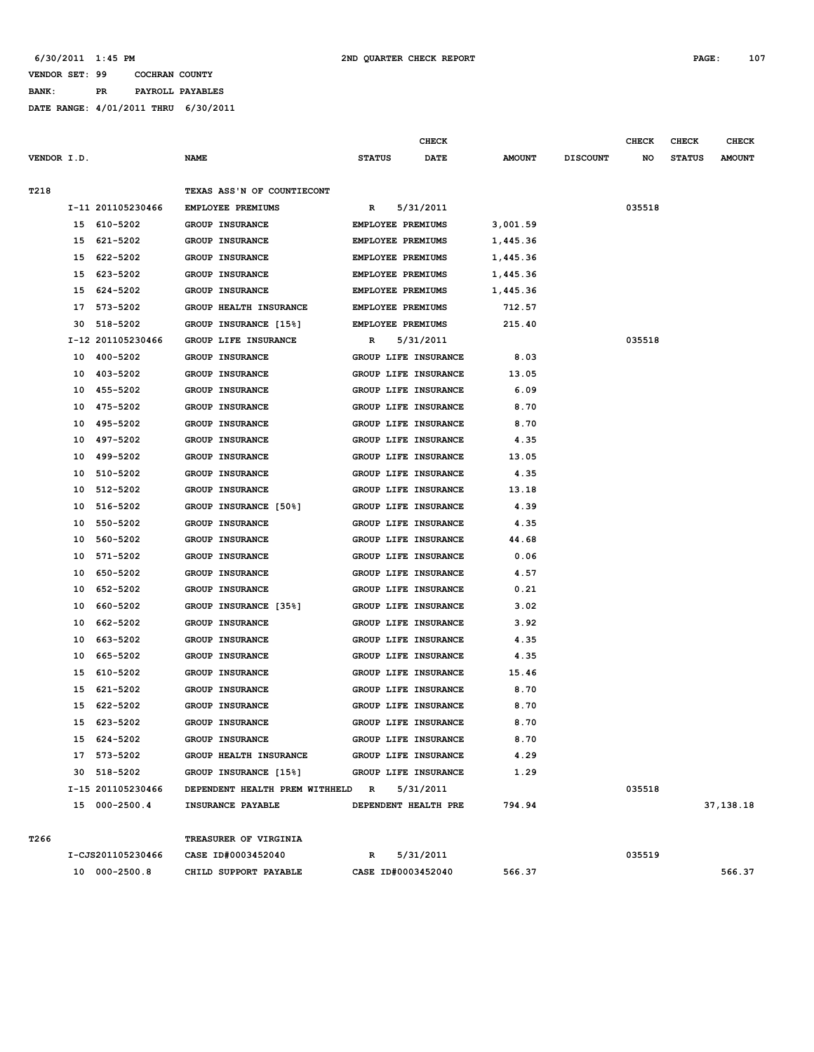#### **VENDOR SET: 99 COCHRAN COUNTY BANK: PR PAYROLL PAYABLES**

|             |    |                   |                                  | CHECK                    |                      |               |                 | <b>CHECK</b> | <b>CHECK</b>  | <b>CHECK</b>  |
|-------------|----|-------------------|----------------------------------|--------------------------|----------------------|---------------|-----------------|--------------|---------------|---------------|
| VENDOR I.D. |    |                   | <b>NAME</b>                      | <b>STATUS</b>            | <b>DATE</b>          | <b>AMOUNT</b> | <b>DISCOUNT</b> | NO           | <b>STATUS</b> | <b>AMOUNT</b> |
|             |    |                   |                                  |                          |                      |               |                 |              |               |               |
| T218        |    |                   | TEXAS ASS'N OF COUNTIECONT       |                          |                      |               |                 |              |               |               |
|             |    | I-11 201105230466 | EMPLOYEE PREMIUMS                | R                        | 5/31/2011            |               |                 | 035518       |               |               |
|             |    | 15 610-5202       | <b>GROUP INSURANCE</b>           | <b>EMPLOYEE PREMIUMS</b> |                      | 3,001.59      |                 |              |               |               |
|             | 15 | 621-5202          | <b>GROUP INSURANCE</b>           | <b>EMPLOYEE PREMIUMS</b> |                      | 1,445.36      |                 |              |               |               |
|             | 15 | 622-5202          | <b>GROUP INSURANCE</b>           | EMPLOYEE PREMIUMS        |                      | 1,445.36      |                 |              |               |               |
|             | 15 | 623-5202          | <b>GROUP INSURANCE</b>           | EMPLOYEE PREMIUMS        |                      | 1,445.36      |                 |              |               |               |
|             | 15 | 624-5202          | <b>GROUP INSURANCE</b>           | <b>EMPLOYEE PREMIUMS</b> |                      | 1,445.36      |                 |              |               |               |
|             | 17 | 573-5202          | GROUP HEALTH INSURANCE           | EMPLOYEE PREMIUMS        |                      | 712.57        |                 |              |               |               |
|             | 30 | 518-5202          | GROUP INSURANCE [15%]            | EMPLOYEE PREMIUMS        |                      | 215.40        |                 |              |               |               |
|             |    | I-12 201105230466 | GROUP LIFE INSURANCE             | R                        | 5/31/2011            |               |                 | 035518       |               |               |
|             | 10 | 400-5202          | <b>GROUP INSURANCE</b>           |                          | GROUP LIFE INSURANCE | 8.03          |                 |              |               |               |
|             | 10 | 403-5202          | <b>GROUP INSURANCE</b>           |                          | GROUP LIFE INSURANCE | 13.05         |                 |              |               |               |
|             | 10 | 455-5202          | <b>GROUP INSURANCE</b>           |                          | GROUP LIFE INSURANCE | 6.09          |                 |              |               |               |
|             | 10 | 475-5202          | <b>GROUP INSURANCE</b>           |                          | GROUP LIFE INSURANCE | 8.70          |                 |              |               |               |
|             | 10 | 495-5202          | <b>GROUP INSURANCE</b>           |                          | GROUP LIFE INSURANCE | 8.70          |                 |              |               |               |
|             | 10 | 497-5202          | <b>GROUP INSURANCE</b>           |                          | GROUP LIFE INSURANCE | 4.35          |                 |              |               |               |
|             | 10 | 499-5202          | <b>GROUP INSURANCE</b>           |                          | GROUP LIFE INSURANCE | 13.05         |                 |              |               |               |
|             | 10 | 510-5202          | GROUP INSURANCE                  |                          | GROUP LIFE INSURANCE | 4.35          |                 |              |               |               |
|             | 10 | 512-5202          | GROUP INSURANCE                  |                          | GROUP LIFE INSURANCE | 13.18         |                 |              |               |               |
|             | 10 | 516-5202          | GROUP INSURANCE [50%]            |                          | GROUP LIFE INSURANCE | 4.39          |                 |              |               |               |
|             | 10 | 550-5202          | <b>GROUP INSURANCE</b>           |                          | GROUP LIFE INSURANCE | 4.35          |                 |              |               |               |
|             | 10 | 560-5202          | <b>GROUP INSURANCE</b>           |                          | GROUP LIFE INSURANCE | 44.68         |                 |              |               |               |
|             | 10 | 571-5202          | <b>GROUP INSURANCE</b>           |                          | GROUP LIFE INSURANCE | 0.06          |                 |              |               |               |
|             | 10 | 650-5202          | <b>GROUP INSURANCE</b>           |                          | GROUP LIFE INSURANCE | 4.57          |                 |              |               |               |
|             | 10 | 652-5202          | GROUP INSURANCE                  |                          | GROUP LIFE INSURANCE | 0.21          |                 |              |               |               |
|             | 10 | 660-5202          | GROUP INSURANCE [35%]            |                          | GROUP LIFE INSURANCE | 3.02          |                 |              |               |               |
|             | 10 | 662-5202          | <b>GROUP INSURANCE</b>           |                          | GROUP LIFE INSURANCE | 3.92          |                 |              |               |               |
|             | 10 | 663-5202          | <b>GROUP INSURANCE</b>           |                          | GROUP LIFE INSURANCE | 4.35          |                 |              |               |               |
|             | 10 | 665-5202          | GROUP INSURANCE                  |                          | GROUP LIFE INSURANCE | 4.35          |                 |              |               |               |
|             | 15 | 610-5202          | <b>GROUP INSURANCE</b>           |                          | GROUP LIFE INSURANCE | 15.46         |                 |              |               |               |
|             | 15 | 621-5202          | GROUP INSURANCE                  |                          | GROUP LIFE INSURANCE | 8.70          |                 |              |               |               |
|             | 15 | 622-5202          | <b>GROUP INSURANCE</b>           |                          | GROUP LIFE INSURANCE | 8.70          |                 |              |               |               |
|             | 15 | 623-5202          | <b>GROUP INSURANCE</b>           |                          | GROUP LIFE INSURANCE | 8.70          |                 |              |               |               |
|             |    | 15 624-5202       | GROUP INSURANCE                  |                          | GROUP LIFE INSURANCE | 8.70          |                 |              |               |               |
|             |    | 17 573-5202       | GROUP HEALTH INSURANCE           |                          | GROUP LIFE INSURANCE | 4.29          |                 |              |               |               |
|             |    | 30 518-5202       | GROUP INSURANCE [15%]            |                          | GROUP LIFE INSURANCE | 1.29          |                 |              |               |               |
|             |    | I-15 201105230466 | DEPENDENT HEALTH PREM WITHHELD R |                          | 5/31/2011            |               |                 | 035518       |               |               |
|             |    | 15 000-2500.4     | INSURANCE PAYABLE                | DEPENDENT HEALTH PRE     |                      | 794.94        |                 |              |               | 37,138.18     |
|             |    |                   |                                  |                          |                      |               |                 |              |               |               |
| T266        |    |                   | TREASURER OF VIRGINIA            |                          |                      |               |                 |              |               |               |
|             |    | I-CJS201105230466 | CASE ID#0003452040               | R                        | 5/31/2011            |               |                 | 035519       |               |               |
|             |    | 10 000-2500.8     | CHILD SUPPORT PAYABLE            |                          | CASE ID#0003452040   | 566.37        |                 |              |               | 566.37        |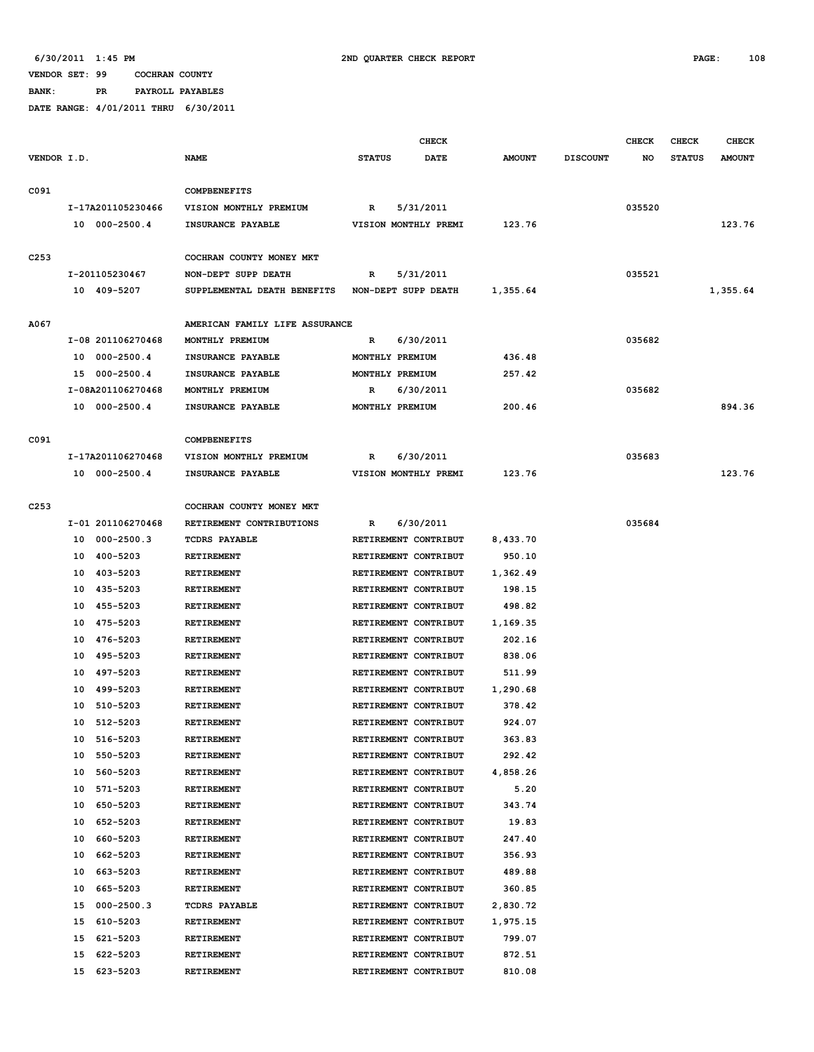**BANK: PR PAYROLL PAYABLES**

|                  |                      |                                | <b>CHECK</b>          |               |                 | <b>CHECK</b> | <b>CHECK</b>  | <b>CHECK</b>  |
|------------------|----------------------|--------------------------------|-----------------------|---------------|-----------------|--------------|---------------|---------------|
| VENDOR I.D.      |                      | <b>NAME</b>                    | <b>STATUS</b><br>DATE | <b>AMOUNT</b> | <b>DISCOUNT</b> | NO           | <b>STATUS</b> | <b>AMOUNT</b> |
|                  |                      |                                |                       |               |                 |              |               |               |
| C091             |                      | COMPBENEFITS                   |                       |               |                 |              |               |               |
|                  | I-17A201105230466    | VISION MONTHLY PREMIUM         | 5/31/2011<br>R        |               |                 | 035520       |               |               |
|                  | 10 000-2500.4        | INSURANCE PAYABLE              | VISION MONTHLY PREMI  | 123.76        |                 |              |               | 123.76        |
|                  |                      |                                |                       |               |                 |              |               |               |
| C <sub>253</sub> |                      | COCHRAN COUNTY MONEY MKT       |                       |               |                 |              |               |               |
|                  | I-201105230467       | NON-DEPT SUPP DEATH            | 5/31/2011<br>R        |               |                 | 035521       |               |               |
|                  | 10 409-5207          | SUPPLEMENTAL DEATH BENEFITS    | NON-DEPT SUPP DEATH   | 1,355.64      |                 |              |               | 1,355.64      |
|                  |                      |                                |                       |               |                 |              |               |               |
| A067             |                      | AMERICAN FAMILY LIFE ASSURANCE |                       |               |                 |              |               |               |
|                  | I-08 201106270468    | MONTHLY PREMIUM                | 6/30/2011<br>R        |               |                 | 035682       |               |               |
|                  | 000-2500.4<br>10     | INSURANCE PAYABLE              | MONTHLY PREMIUM       | 436.48        |                 |              |               |               |
|                  | 15 000-2500.4        | INSURANCE PAYABLE              | MONTHLY PREMIUM       | 257.42        |                 |              |               |               |
|                  | I-08A201106270468    | MONTHLY PREMIUM                | 6/30/2011<br>R        |               |                 | 035682       |               |               |
|                  | 10 000-2500.4        | INSURANCE PAYABLE              | MONTHLY PREMIUM       | 200.46        |                 |              |               | 894.36        |
|                  |                      |                                |                       |               |                 |              |               |               |
| C091             |                      | <b>COMPBENEFITS</b>            |                       |               |                 |              |               |               |
|                  | I-17A201106270468    | VISION MONTHLY PREMIUM         | 6/30/2011<br>R        |               |                 | 035683       |               |               |
|                  | 10 000-2500.4        | INSURANCE PAYABLE              | VISION MONTHLY PREMI  | 123.76        |                 |              |               | 123.76        |
|                  |                      |                                |                       |               |                 |              |               |               |
| C <sub>253</sub> |                      | COCHRAN COUNTY MONEY MKT       |                       |               |                 |              |               |               |
|                  | I-01 201106270468    | RETIREMENT CONTRIBUTIONS       | 6/30/2011<br>R        |               |                 | 035684       |               |               |
|                  | 000-2500.3<br>10     | <b>TCDRS PAYABLE</b>           | RETIREMENT CONTRIBUT  | 8,433.70      |                 |              |               |               |
|                  | 400-5203<br>10       | RETIREMENT                     | RETIREMENT CONTRIBUT  | 950.10        |                 |              |               |               |
|                  | 403-5203<br>10       | RETIREMENT                     | RETIREMENT CONTRIBUT  | 1,362.49      |                 |              |               |               |
|                  | 435-5203<br>10       | RETIREMENT                     | RETIREMENT CONTRIBUT  | 198.15        |                 |              |               |               |
|                  | 455-5203<br>10       | RETIREMENT                     | RETIREMENT CONTRIBUT  | 498.82        |                 |              |               |               |
|                  | 475-5203<br>10       | RETIREMENT                     | RETIREMENT CONTRIBUT  | 1,169.35      |                 |              |               |               |
|                  | 476-5203<br>10       | RETIREMENT                     | RETIREMENT CONTRIBUT  | 202.16        |                 |              |               |               |
|                  | 495-5203<br>10       | RETIREMENT                     | RETIREMENT CONTRIBUT  | 838.06        |                 |              |               |               |
|                  | 497-5203<br>10       | RETIREMENT                     | RETIREMENT CONTRIBUT  | 511.99        |                 |              |               |               |
|                  | 499-5203<br>10       | RETIREMENT                     | RETIREMENT CONTRIBUT  | 1,290.68      |                 |              |               |               |
|                  | 510-5203<br>10       | RETIREMENT                     | RETIREMENT CONTRIBUT  | 378.42        |                 |              |               |               |
|                  | 10<br>512-5203       | <b>RETIREMENT</b>              | RETIREMENT CONTRIBUT  | 924.07        |                 |              |               |               |
|                  | 516-5203<br>10       | RETIREMENT                     | RETIREMENT CONTRIBUT  | 363.83        |                 |              |               |               |
|                  | 550-5203<br>10       | <b>RETIREMENT</b>              | RETIREMENT CONTRIBUT  | 292.42        |                 |              |               |               |
|                  | 560-5203<br>10       | <b>RETIREMENT</b>              | RETIREMENT CONTRIBUT  | 4,858.26      |                 |              |               |               |
|                  | 571-5203<br>10       | RETIREMENT                     | RETIREMENT CONTRIBUT  | 5.20          |                 |              |               |               |
|                  | 10<br>650-5203       | RETIREMENT                     | RETIREMENT CONTRIBUT  | 343.74        |                 |              |               |               |
|                  | 652-5203<br>10       | RETIREMENT                     | RETIREMENT CONTRIBUT  | 19.83         |                 |              |               |               |
|                  | 660-5203<br>10       | <b>RETIREMENT</b>              | RETIREMENT CONTRIBUT  | 247.40        |                 |              |               |               |
|                  | 10<br>662-5203       | <b>RETIREMENT</b>              | RETIREMENT CONTRIBUT  | 356.93        |                 |              |               |               |
|                  | 663-5203<br>10       | RETIREMENT                     | RETIREMENT CONTRIBUT  | 489.88        |                 |              |               |               |
|                  | 10<br>665-5203       | RETIREMENT                     | RETIREMENT CONTRIBUT  | 360.85        |                 |              |               |               |
|                  | 15<br>$000 - 2500.3$ | <b>TCDRS PAYABLE</b>           | RETIREMENT CONTRIBUT  | 2,830.72      |                 |              |               |               |
|                  | 610-5203<br>15       | RETIREMENT                     | RETIREMENT CONTRIBUT  | 1,975.15      |                 |              |               |               |
|                  | 15<br>621-5203       | RETIREMENT                     | RETIREMENT CONTRIBUT  | 799.07        |                 |              |               |               |
|                  | 15<br>622-5203       | RETIREMENT                     | RETIREMENT CONTRIBUT  | 872.51        |                 |              |               |               |
|                  | 15<br>623-5203       | RETIREMENT                     | RETIREMENT CONTRIBUT  | 810.08        |                 |              |               |               |
|                  |                      |                                |                       |               |                 |              |               |               |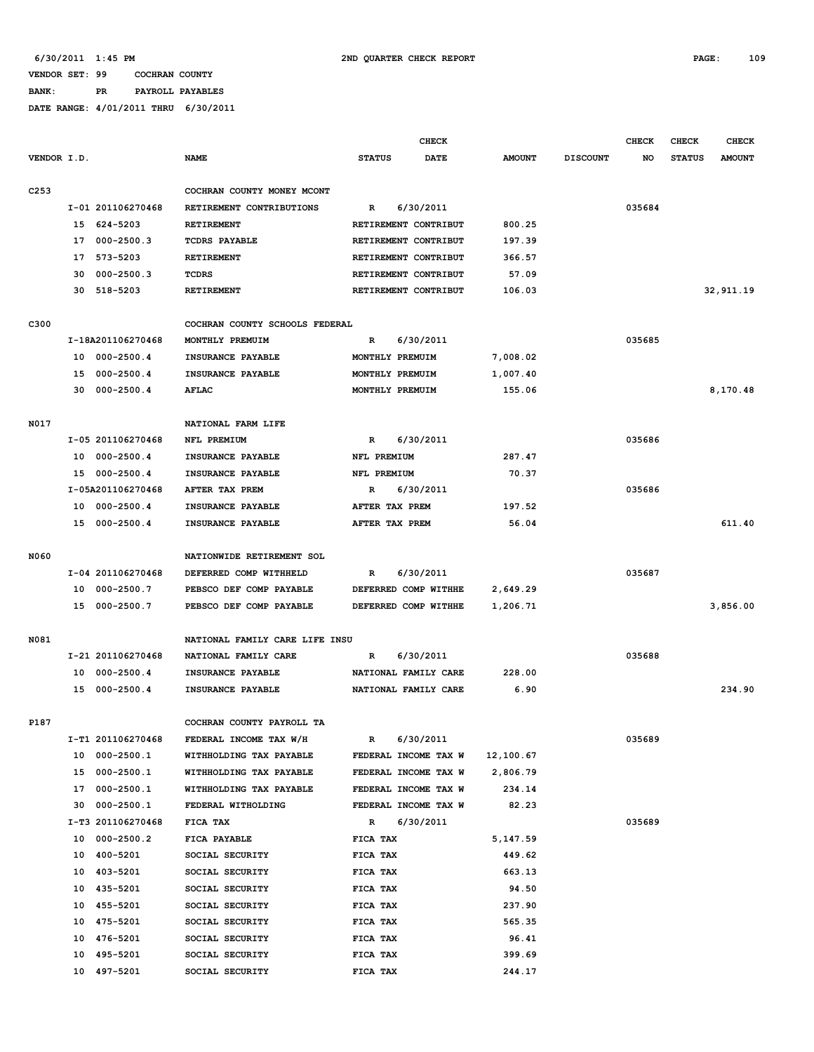### **VENDOR SET: 99 COCHRAN COUNTY BANK: PR PAYROLL PAYABLES**

|                  |    |                   |                                |                      | <b>CHECK</b> |               |                 | <b>CHECK</b> | <b>CHECK</b>  | <b>CHECK</b>  |
|------------------|----|-------------------|--------------------------------|----------------------|--------------|---------------|-----------------|--------------|---------------|---------------|
| VENDOR I.D.      |    |                   | <b>NAME</b>                    | <b>STATUS</b>        | <b>DATE</b>  | <b>AMOUNT</b> | <b>DISCOUNT</b> | NO           | <b>STATUS</b> | <b>AMOUNT</b> |
|                  |    |                   |                                |                      |              |               |                 |              |               |               |
| C <sub>253</sub> |    |                   | COCHRAN COUNTY MONEY MCONT     |                      |              |               |                 |              |               |               |
|                  |    | I-01 201106270468 | RETIREMENT CONTRIBUTIONS       | R                    | 6/30/2011    |               |                 | 035684       |               |               |
|                  |    | 15 624-5203       | RETIREMENT                     | RETIREMENT CONTRIBUT |              | 800.25        |                 |              |               |               |
|                  | 17 | $000 - 2500.3$    | <b>TCDRS PAYABLE</b>           | RETIREMENT CONTRIBUT |              | 197.39        |                 |              |               |               |
|                  | 17 | 573-5203          | RETIREMENT                     | RETIREMENT CONTRIBUT |              | 366.57        |                 |              |               |               |
|                  | 30 | 000-2500.3        | TCDRS                          | RETIREMENT CONTRIBUT |              | 57.09         |                 |              |               |               |
|                  | 30 | 518-5203          | RETIREMENT                     | RETIREMENT CONTRIBUT |              | 106.03        |                 |              |               | 32,911.19     |
|                  |    |                   |                                |                      |              |               |                 |              |               |               |
| C300             |    |                   | COCHRAN COUNTY SCHOOLS FEDERAL |                      |              |               |                 |              |               |               |
|                  |    | I-18A201106270468 | MONTHLY PREMUIM                | R                    | 6/30/2011    |               |                 | 035685       |               |               |
|                  | 10 | $000 - 2500.4$    | INSURANCE PAYABLE              | MONTHLY PREMUIM      |              | 7,008.02      |                 |              |               |               |
|                  |    | 15 000-2500.4     | INSURANCE PAYABLE              | MONTHLY PREMUIM      |              | 1,007.40      |                 |              |               |               |
|                  |    | 30 000-2500.4     | AFLAC                          | MONTHLY PREMUIM      |              | 155.06        |                 |              |               | 8,170.48      |
|                  |    |                   |                                |                      |              |               |                 |              |               |               |
| N017             |    |                   | NATIONAL FARM LIFE             |                      |              |               |                 |              |               |               |
|                  |    | I-05 201106270468 | NFL PREMIUM                    | R                    | 6/30/2011    |               |                 | 035686       |               |               |
|                  |    | 10 000-2500.4     | INSURANCE PAYABLE              | NFL PREMIUM          |              | 287.47        |                 |              |               |               |
|                  |    | 15 000-2500.4     | INSURANCE PAYABLE              | NFL PREMIUM          |              | 70.37         |                 |              |               |               |
|                  |    | I-05A201106270468 | AFTER TAX PREM                 | R                    | 6/30/2011    |               |                 | 035686       |               |               |
|                  |    | 10 000-2500.4     | INSURANCE PAYABLE              | AFTER TAX PREM       |              | 197.52        |                 |              |               |               |
|                  |    | 15 000-2500.4     | INSURANCE PAYABLE              | AFTER TAX PREM       |              | 56.04         |                 |              |               | 611.40        |
|                  |    |                   |                                |                      |              |               |                 |              |               |               |
| N060             |    |                   | NATIONWIDE RETIREMENT SOL      |                      |              |               |                 |              |               |               |
|                  |    | I-04 201106270468 | DEFERRED COMP WITHHELD         | R                    | 6/30/2011    |               |                 | 035687       |               |               |
|                  |    | 10 000-2500.7     | PEBSCO DEF COMP PAYABLE        | DEFERRED COMP WITHHE |              | 2,649.29      |                 |              |               |               |
|                  | 15 | $000 - 2500.7$    | PEBSCO DEF COMP PAYABLE        | DEFERRED COMP WITHHE |              | 1,206.71      |                 |              |               | 3,856.00      |
|                  |    |                   |                                |                      |              |               |                 |              |               |               |
| N081             |    |                   | NATIONAL FAMILY CARE LIFE INSU |                      |              |               |                 |              |               |               |
|                  |    | I-21 201106270468 | NATIONAL FAMILY CARE           | R                    | 6/30/2011    |               |                 | 035688       |               |               |
|                  | 10 | $000 - 2500.4$    | INSURANCE PAYABLE              | NATIONAL FAMILY CARE |              | 228.00        |                 |              |               |               |
|                  | 15 | $000 - 2500.4$    | INSURANCE PAYABLE              | NATIONAL FAMILY CARE |              | 6.90          |                 |              |               | 234.90        |
|                  |    |                   |                                |                      |              |               |                 |              |               |               |
| P187             |    |                   | COCHRAN COUNTY PAYROLL TA      |                      |              |               |                 |              |               |               |
|                  |    | I-T1 201106270468 | FEDERAL INCOME TAX W/H         | R                    | 6/30/2011    |               |                 | 035689       |               |               |
|                  |    | 10 000-2500.1     | WITHHOLDING TAX PAYABLE        | FEDERAL INCOME TAX W |              | 12,100.67     |                 |              |               |               |
|                  |    | 15 000-2500.1     | WITHHOLDING TAX PAYABLE        | FEDERAL INCOME TAX W |              | 2,806.79      |                 |              |               |               |
|                  |    | 17 000-2500.1     | WITHHOLDING TAX PAYABLE        | FEDERAL INCOME TAX W |              | 234.14        |                 |              |               |               |
|                  |    | 30 000-2500.1     | FEDERAL WITHOLDING             | FEDERAL INCOME TAX W |              | 82.23         |                 |              |               |               |
|                  |    | I-T3 201106270468 | FICA TAX                       | R                    | 6/30/2011    |               |                 | 035689       |               |               |
|                  |    | 10 000-2500.2     | FICA PAYABLE                   | FICA TAX             |              | 5,147.59      |                 |              |               |               |
|                  |    | 10 400-5201       | SOCIAL SECURITY                | FICA TAX             |              | 449.62        |                 |              |               |               |
|                  |    | 10 403-5201       | SOCIAL SECURITY                | FICA TAX             |              | 663.13        |                 |              |               |               |
|                  |    | 10 435-5201       | SOCIAL SECURITY                | FICA TAX             |              | 94.50         |                 |              |               |               |
|                  |    | 10 455-5201       | SOCIAL SECURITY                | FICA TAX             |              | 237.90        |                 |              |               |               |
|                  |    | 10 475-5201       | SOCIAL SECURITY                | FICA TAX             |              | 565.35        |                 |              |               |               |
|                  |    | 10 476-5201       | SOCIAL SECURITY                | FICA TAX             |              | 96.41         |                 |              |               |               |
|                  |    | 10 495-5201       | SOCIAL SECURITY                | FICA TAX             |              | 399.69        |                 |              |               |               |
|                  |    | 10 497-5201       | SOCIAL SECURITY                | FICA TAX             |              | 244.17        |                 |              |               |               |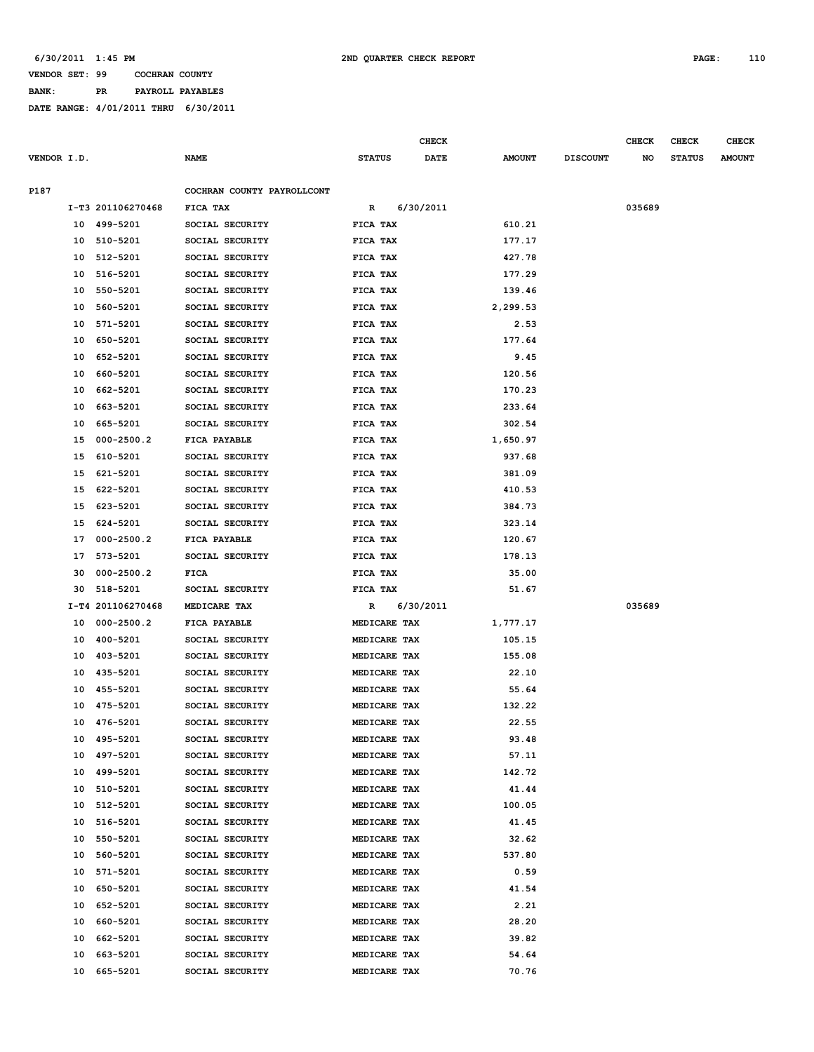**BANK: PR PAYROLL PAYABLES**

|             |    |                      |                            |               |              | CHECK       |               |                 | <b>CHECK</b> | CHECK         | <b>CHECK</b>  |
|-------------|----|----------------------|----------------------------|---------------|--------------|-------------|---------------|-----------------|--------------|---------------|---------------|
| VENDOR I.D. |    |                      | <b>NAME</b>                | <b>STATUS</b> |              | <b>DATE</b> | <b>AMOUNT</b> | <b>DISCOUNT</b> | NO           | <b>STATUS</b> | <b>AMOUNT</b> |
| P187        |    |                      | COCHRAN COUNTY PAYROLLCONT |               |              |             |               |                 |              |               |               |
|             |    | I-T3 201106270468    | FICA TAX                   | R             |              | 6/30/2011   |               |                 | 035689       |               |               |
|             |    | 10 499-5201          | SOCIAL SECURITY            | FICA TAX      |              |             | 610.21        |                 |              |               |               |
|             |    | 10 510-5201          | SOCIAL SECURITY            | FICA TAX      |              |             | 177.17        |                 |              |               |               |
|             | 10 | 512-5201             | SOCIAL SECURITY            | FICA TAX      |              |             | 427.78        |                 |              |               |               |
|             | 10 | 516-5201             | SOCIAL SECURITY            | FICA TAX      |              |             | 177.29        |                 |              |               |               |
|             | 10 | 550-5201             | SOCIAL SECURITY            | FICA TAX      |              |             | 139.46        |                 |              |               |               |
|             | 10 | 560-5201             | SOCIAL SECURITY            | FICA TAX      |              |             | 2,299.53      |                 |              |               |               |
|             | 10 | 571-5201             | SOCIAL SECURITY            | FICA TAX      |              |             | 2.53          |                 |              |               |               |
|             | 10 | 650-5201             | SOCIAL SECURITY            | FICA TAX      |              |             | 177.64        |                 |              |               |               |
|             | 10 | 652-5201             | SOCIAL SECURITY            | FICA TAX      |              |             | 9.45          |                 |              |               |               |
|             | 10 | 660-5201             | SOCIAL SECURITY            | FICA TAX      |              |             | 120.56        |                 |              |               |               |
|             | 10 | 662-5201             | SOCIAL SECURITY            |               |              |             | 170.23        |                 |              |               |               |
|             |    |                      | SOCIAL SECURITY            | FICA TAX      |              |             |               |                 |              |               |               |
|             | 10 | 663-5201<br>665-5201 |                            | FICA TAX      |              |             | 233.64        |                 |              |               |               |
|             | 10 |                      | SOCIAL SECURITY            | FICA TAX      |              |             | 302.54        |                 |              |               |               |
|             | 15 | $000 - 2500.2$       | FICA PAYABLE               | FICA TAX      |              |             | 1,650.97      |                 |              |               |               |
|             | 15 | 610-5201             | SOCIAL SECURITY            | FICA TAX      |              |             | 937.68        |                 |              |               |               |
|             | 15 | 621-5201             | SOCIAL SECURITY            | FICA TAX      |              |             | 381.09        |                 |              |               |               |
|             | 15 | 622-5201             | SOCIAL SECURITY            | FICA TAX      |              |             | 410.53        |                 |              |               |               |
|             | 15 | 623-5201             | SOCIAL SECURITY            | FICA TAX      |              |             | 384.73        |                 |              |               |               |
|             | 15 | 624-5201             | SOCIAL SECURITY            | FICA TAX      |              |             | 323.14        |                 |              |               |               |
|             | 17 | $000 - 2500.2$       | FICA PAYABLE               | FICA TAX      |              |             | 120.67        |                 |              |               |               |
|             | 17 | 573-5201             | SOCIAL SECURITY            | FICA TAX      |              |             | 178.13        |                 |              |               |               |
|             | 30 | $000 - 2500.2$       | <b>FICA</b>                | FICA TAX      |              |             | 35.00         |                 |              |               |               |
|             | 30 | 518-5201             | SOCIAL SECURITY            | FICA TAX      |              |             | 51.67         |                 |              |               |               |
|             |    | I-T4 201106270468    | MEDICARE TAX               | R             |              | 6/30/2011   |               |                 | 035689       |               |               |
|             | 10 | $000 - 2500.2$       | FICA PAYABLE               |               | MEDICARE TAX |             | 1,777.17      |                 |              |               |               |
|             | 10 | 400-5201             | SOCIAL SECURITY            |               | MEDICARE TAX |             | 105.15        |                 |              |               |               |
|             | 10 | 403-5201             | SOCIAL SECURITY            |               | MEDICARE TAX |             | 155.08        |                 |              |               |               |
|             | 10 | 435-5201             | SOCIAL SECURITY            |               | MEDICARE TAX |             | 22.10         |                 |              |               |               |
|             | 10 | 455-5201             | SOCIAL SECURITY            |               | MEDICARE TAX |             | 55.64         |                 |              |               |               |
|             | 10 | 475-5201             | SOCIAL SECURITY            |               | MEDICARE TAX |             | 132.22        |                 |              |               |               |
|             |    | 10 476-5201          | SOCIAL SECURITY            |               | MEDICARE TAX |             | 22.55         |                 |              |               |               |
|             | 10 | 495-5201             | SOCIAL SECURITY            |               | MEDICARE TAX |             | 93.48         |                 |              |               |               |
|             | 10 | 497-5201             | SOCIAL SECURITY            |               | MEDICARE TAX |             | 57.11         |                 |              |               |               |
|             | 10 | 499-5201             | SOCIAL SECURITY            |               | MEDICARE TAX |             | 142.72        |                 |              |               |               |
|             | 10 | 510-5201             | SOCIAL SECURITY            |               | MEDICARE TAX |             | 41.44         |                 |              |               |               |
|             | 10 | 512-5201             | SOCIAL SECURITY            |               | MEDICARE TAX |             | 100.05        |                 |              |               |               |
|             | 10 | 516-5201             | SOCIAL SECURITY            |               | MEDICARE TAX |             | 41.45         |                 |              |               |               |
|             | 10 | 550-5201             | SOCIAL SECURITY            |               | MEDICARE TAX |             | 32.62         |                 |              |               |               |
|             | 10 | 560-5201             | SOCIAL SECURITY            |               | MEDICARE TAX |             | 537.80        |                 |              |               |               |
|             | 10 | 571-5201             | SOCIAL SECURITY            |               | MEDICARE TAX |             | 0.59          |                 |              |               |               |
|             | 10 | 650-5201             | SOCIAL SECURITY            |               | MEDICARE TAX |             | 41.54         |                 |              |               |               |
|             | 10 | 652-5201             | SOCIAL SECURITY            |               | MEDICARE TAX |             | 2.21          |                 |              |               |               |
|             | 10 | 660-5201             | SOCIAL SECURITY            |               | MEDICARE TAX |             | 28.20         |                 |              |               |               |
|             | 10 | 662-5201             | SOCIAL SECURITY            |               | MEDICARE TAX |             | 39.82         |                 |              |               |               |
|             | 10 | 663-5201             | SOCIAL SECURITY            |               | MEDICARE TAX |             | 54.64         |                 |              |               |               |
|             | 10 | 665-5201             | SOCIAL SECURITY            |               | MEDICARE TAX |             | 70.76         |                 |              |               |               |
|             |    |                      |                            |               |              |             |               |                 |              |               |               |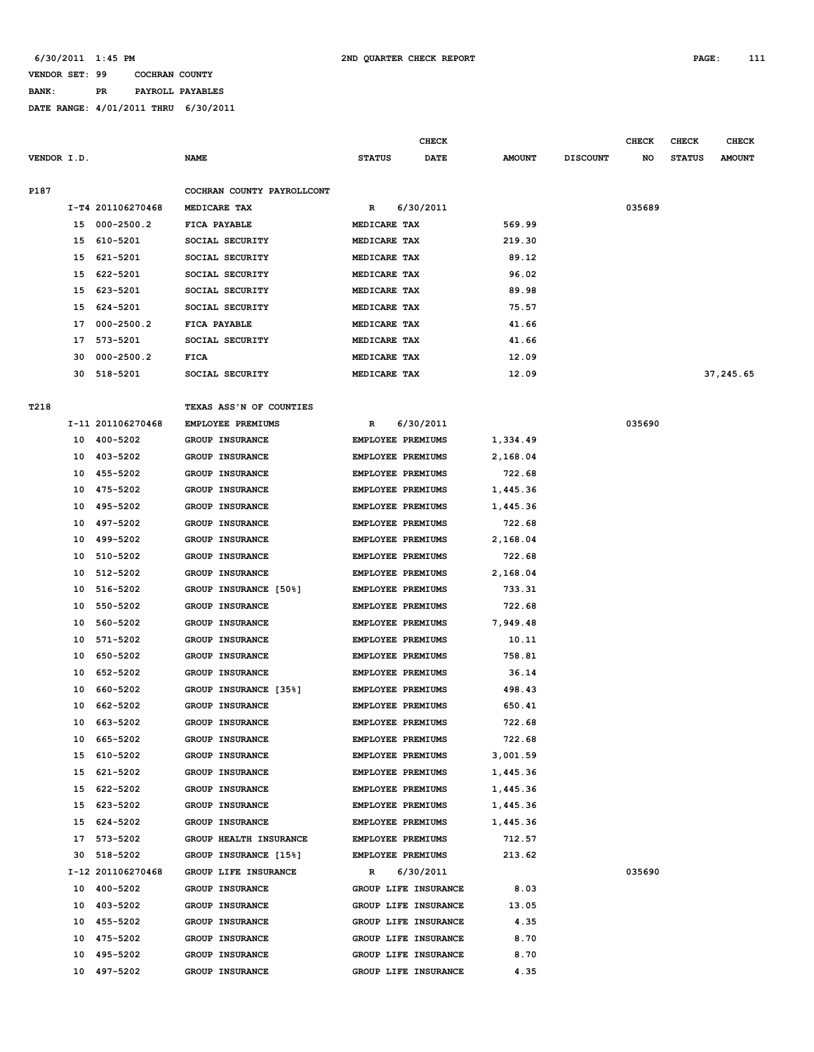**BANK: PR PAYROLL PAYABLES**

|             |    |                   |                            |               | <b>CHECK</b>             |               |                 | <b>CHECK</b> | <b>CHECK</b>  | <b>CHECK</b>  |
|-------------|----|-------------------|----------------------------|---------------|--------------------------|---------------|-----------------|--------------|---------------|---------------|
| VENDOR I.D. |    |                   | <b>NAME</b>                | <b>STATUS</b> | DATE                     | <b>AMOUNT</b> | <b>DISCOUNT</b> | NO           | <b>STATUS</b> | <b>AMOUNT</b> |
| P187        |    |                   | COCHRAN COUNTY PAYROLLCONT |               |                          |               |                 |              |               |               |
|             |    | I-T4 201106270468 | MEDICARE TAX               | R             | 6/30/2011                |               |                 | 035689       |               |               |
|             |    | 15 000-2500.2     | FICA PAYABLE               | MEDICARE TAX  |                          | 569.99        |                 |              |               |               |
|             | 15 | 610-5201          | SOCIAL SECURITY            | MEDICARE TAX  |                          | 219.30        |                 |              |               |               |
|             | 15 | 621-5201          | SOCIAL SECURITY            | MEDICARE TAX  |                          | 89.12         |                 |              |               |               |
|             | 15 | 622-5201          | SOCIAL SECURITY            | MEDICARE TAX  |                          | 96.02         |                 |              |               |               |
|             |    | 15 623-5201       | SOCIAL SECURITY            | MEDICARE TAX  |                          | 89.98         |                 |              |               |               |
|             |    | 15 624-5201       | SOCIAL SECURITY            | MEDICARE TAX  |                          | 75.57         |                 |              |               |               |
|             |    | 17 000-2500.2     | FICA PAYABLE               | MEDICARE TAX  |                          | 41.66         |                 |              |               |               |
|             | 17 | 573-5201          | SOCIAL SECURITY            | MEDICARE TAX  |                          | 41.66         |                 |              |               |               |
|             | 30 | $000 - 2500.2$    | FICA                       | MEDICARE TAX  |                          | 12.09         |                 |              |               |               |
|             | 30 | 518-5201          | SOCIAL SECURITY            | MEDICARE TAX  |                          | 12.09         |                 |              |               | 37,245.65     |
| T218        |    |                   | TEXAS ASS'N OF COUNTIES    |               |                          |               |                 |              |               |               |
|             |    | I-11 201106270468 | EMPLOYEE PREMIUMS          | R             | 6/30/2011                |               |                 | 035690       |               |               |
|             |    | 10 400-5202       | GROUP INSURANCE            |               | <b>EMPLOYEE PREMIUMS</b> | 1,334.49      |                 |              |               |               |
|             |    | 10 403-5202       | GROUP INSURANCE            |               | EMPLOYEE PREMIUMS        | 2,168.04      |                 |              |               |               |
|             |    | 10 455-5202       | GROUP INSURANCE            |               | EMPLOYEE PREMIUMS        | 722.68        |                 |              |               |               |
|             | 10 | 475-5202          | <b>GROUP INSURANCE</b>     |               | <b>EMPLOYEE PREMIUMS</b> | 1,445.36      |                 |              |               |               |
|             | 10 | 495-5202          | GROUP INSURANCE            |               | <b>EMPLOYEE PREMIUMS</b> | 1,445.36      |                 |              |               |               |
|             | 10 | 497–5202          | <b>GROUP INSURANCE</b>     |               | <b>EMPLOYEE PREMIUMS</b> | 722.68        |                 |              |               |               |
|             | 10 | 499–5202          | GROUP INSURANCE            |               | EMPLOYEE PREMIUMS        | 2,168.04      |                 |              |               |               |
|             | 10 | 510-5202          | GROUP INSURANCE            |               | EMPLOYEE PREMIUMS        | 722.68        |                 |              |               |               |
|             | 10 | 512-5202          | GROUP INSURANCE            |               | EMPLOYEE PREMIUMS        | 2,168.04      |                 |              |               |               |
|             | 10 | 516-5202          | GROUP INSURANCE [50%]      |               | <b>EMPLOYEE PREMIUMS</b> | 733.31        |                 |              |               |               |
|             | 10 | 550-5202          | GROUP INSURANCE            |               | <b>EMPLOYEE PREMIUMS</b> | 722.68        |                 |              |               |               |
|             | 10 | 560-5202          | <b>GROUP INSURANCE</b>     |               | EMPLOYEE PREMIUMS        | 7,949.48      |                 |              |               |               |
|             | 10 | 571-5202          | <b>GROUP INSURANCE</b>     |               | EMPLOYEE PREMIUMS        | 10.11         |                 |              |               |               |
|             | 10 | 650-5202          | GROUP INSURANCE            |               | EMPLOYEE PREMIUMS        | 758.81        |                 |              |               |               |
|             | 10 | 652-5202          | GROUP INSURANCE            |               | EMPLOYEE PREMIUMS        | 36.14         |                 |              |               |               |
|             | 10 | 660-5202          | GROUP INSURANCE [35%]      |               | EMPLOYEE PREMIUMS        | 498.43        |                 |              |               |               |
|             | 10 | 662-5202          | GROUP INSURANCE            |               | EMPLOYEE PREMIUMS        | 650.41        |                 |              |               |               |
|             | 10 | 663-5202          | <b>GROUP INSURANCE</b>     |               | <b>EMPLOYEE PREMIUMS</b> | 722.68        |                 |              |               |               |
|             |    | 10 665-5202       | GROUP INSURANCE            |               | EMPLOYEE PREMIUMS        | 722.68        |                 |              |               |               |
|             |    | 15 610-5202       | GROUP INSURANCE            |               | EMPLOYEE PREMIUMS        | 3,001.59      |                 |              |               |               |
|             |    | 15 621-5202       | GROUP INSURANCE            |               | EMPLOYEE PREMIUMS        | 1,445.36      |                 |              |               |               |
|             |    | 15 622-5202       | GROUP INSURANCE            |               | EMPLOYEE PREMIUMS        | 1,445.36      |                 |              |               |               |
|             |    | 15 623-5202       | GROUP INSURANCE            |               | EMPLOYEE PREMIUMS        | 1,445.36      |                 |              |               |               |
|             |    | 15 624-5202       | GROUP INSURANCE            |               | EMPLOYEE PREMIUMS        | 1,445.36      |                 |              |               |               |
|             |    | 17 573-5202       | GROUP HEALTH INSURANCE     |               | EMPLOYEE PREMIUMS        | 712.57        |                 |              |               |               |
|             |    | 30 518-5202       | GROUP INSURANCE [15%]      |               | EMPLOYEE PREMIUMS        | 213.62        |                 |              |               |               |
|             |    | I-12 201106270468 | GROUP LIFE INSURANCE       | R             | 6/30/2011                |               |                 | 035690       |               |               |
|             |    | 10 400-5202       | GROUP INSURANCE            |               | GROUP LIFE INSURANCE     | 8.03          |                 |              |               |               |
|             |    | 10 403-5202       | GROUP INSURANCE            |               | GROUP LIFE INSURANCE     | 13.05         |                 |              |               |               |
|             |    | 10 455-5202       | GROUP INSURANCE            |               | GROUP LIFE INSURANCE     | 4.35          |                 |              |               |               |
|             |    | 10 475-5202       | GROUP INSURANCE            |               | GROUP LIFE INSURANCE     | 8.70          |                 |              |               |               |
|             |    | 10 495-5202       | GROUP INSURANCE            |               | GROUP LIFE INSURANCE     | 8.70          |                 |              |               |               |
|             |    | 10 497-5202       | GROUP INSURANCE            |               | GROUP LIFE INSURANCE     | 4.35          |                 |              |               |               |
|             |    |                   |                            |               |                          |               |                 |              |               |               |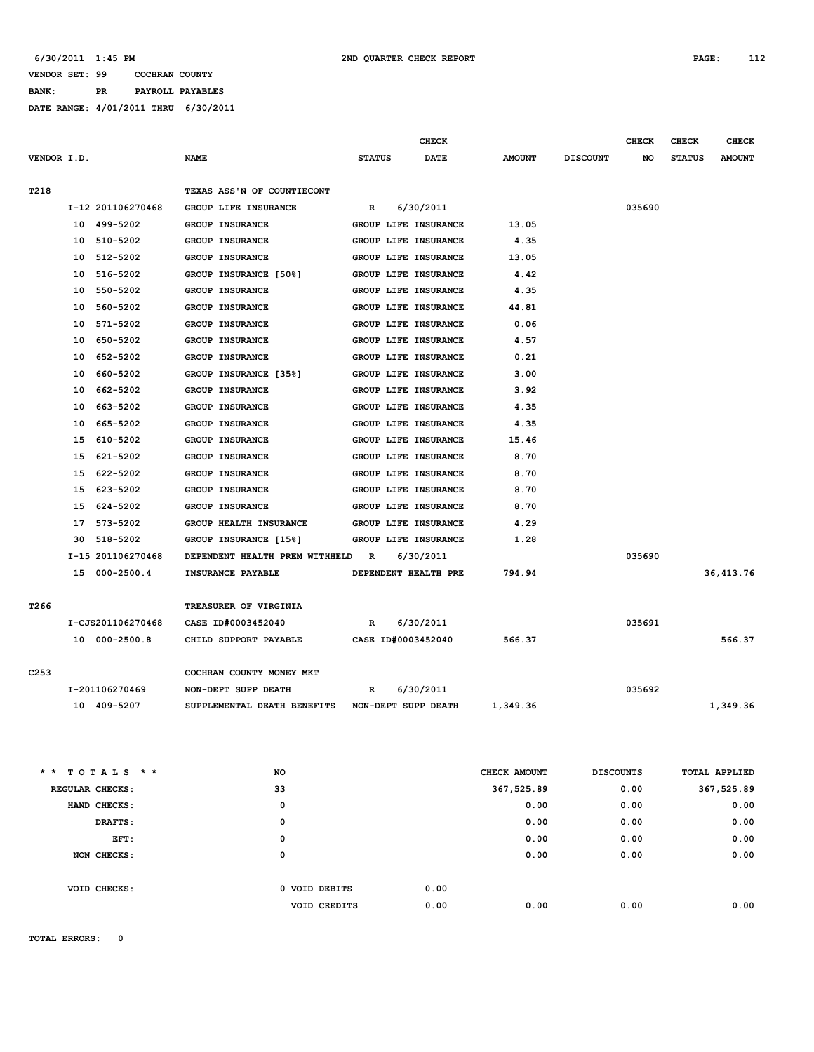**BANK: PR PAYROLL PAYABLES DATE RANGE: 4/01/2011 THRU 6/30/2011**

|                  |                   |                                | <b>CHECK</b>                 |               |                  | <b>CHECK</b> | <b>CHECK</b>  | <b>CHECK</b>  |
|------------------|-------------------|--------------------------------|------------------------------|---------------|------------------|--------------|---------------|---------------|
| VENDOR I.D.      |                   | <b>NAME</b>                    | <b>STATUS</b><br><b>DATE</b> | <b>AMOUNT</b> | <b>DISCOUNT</b>  | NO.          | <b>STATUS</b> | <b>AMOUNT</b> |
|                  |                   |                                |                              |               |                  |              |               |               |
| T218             |                   | TEXAS ASS'N OF COUNTIECONT     |                              |               |                  |              |               |               |
|                  | I-12 201106270468 | GROUP LIFE INSURANCE           | 6/30/2011<br>R               |               |                  | 035690       |               |               |
|                  | 10 499-5202       | GROUP INSURANCE                | GROUP LIFE INSURANCE         | 13.05         |                  |              |               |               |
|                  | 510-5202<br>10    | GROUP INSURANCE                | GROUP LIFE INSURANCE         | 4.35          |                  |              |               |               |
|                  | 512-5202<br>10    | <b>GROUP INSURANCE</b>         | GROUP LIFE INSURANCE         | 13.05         |                  |              |               |               |
|                  | 10<br>516-5202    | GROUP INSURANCE [50%]          | GROUP LIFE INSURANCE         | 4.42          |                  |              |               |               |
|                  | 550-5202<br>10    | GROUP INSURANCE                | GROUP LIFE INSURANCE         | 4.35          |                  |              |               |               |
|                  | 560-5202<br>10    | GROUP INSURANCE                | GROUP LIFE INSURANCE         | 44.81         |                  |              |               |               |
|                  | 571-5202<br>10    | <b>GROUP INSURANCE</b>         | GROUP LIFE INSURANCE         | 0.06          |                  |              |               |               |
|                  | 650-5202<br>10    | GROUP INSURANCE                | GROUP LIFE INSURANCE         | 4.57          |                  |              |               |               |
|                  | 10<br>652-5202    | <b>GROUP INSURANCE</b>         | GROUP LIFE INSURANCE         | 0.21          |                  |              |               |               |
|                  | 10<br>660-5202    | GROUP INSURANCE [35%]          | GROUP LIFE INSURANCE         | 3.00          |                  |              |               |               |
|                  | 662-5202<br>10    | GROUP INSURANCE                | GROUP LIFE INSURANCE         | 3.92          |                  |              |               |               |
|                  | 10<br>663-5202    | GROUP INSURANCE                | GROUP LIFE INSURANCE         | 4.35          |                  |              |               |               |
|                  | 10<br>665-5202    | <b>GROUP INSURANCE</b>         | GROUP LIFE INSURANCE         | 4.35          |                  |              |               |               |
|                  | 15<br>610-5202    | <b>GROUP INSURANCE</b>         | GROUP LIFE INSURANCE         | 15.46         |                  |              |               |               |
|                  | 621-5202<br>15    | <b>GROUP INSURANCE</b>         | GROUP LIFE INSURANCE         | 8.70          |                  |              |               |               |
|                  | 622-5202<br>15    | GROUP INSURANCE                | GROUP LIFE INSURANCE         | 8.70          |                  |              |               |               |
|                  | 15<br>623-5202    | GROUP INSURANCE                | GROUP LIFE INSURANCE         | 8.70          |                  |              |               |               |
|                  | 15<br>624-5202    | GROUP INSURANCE                | GROUP LIFE INSURANCE         | 8.70          |                  |              |               |               |
|                  | 17<br>573-5202    | GROUP HEALTH INSURANCE         | GROUP LIFE INSURANCE         | 4.29          |                  |              |               |               |
|                  | 518-5202<br>30    | GROUP INSURANCE [15%]          | GROUP LIFE INSURANCE         | 1.28          |                  |              |               |               |
|                  | I-15 201106270468 | DEPENDENT HEALTH PREM WITHHELD | 6/30/2011<br>$\mathbf R$     |               |                  | 035690       |               |               |
|                  | 15 000-2500.4     | INSURANCE PAYABLE              | DEPENDENT HEALTH PRE         | 794.94        |                  |              |               | 36, 413.76    |
|                  |                   |                                |                              |               |                  |              |               |               |
| T <sub>266</sub> |                   | TREASURER OF VIRGINIA          |                              |               |                  |              |               |               |
|                  | I-CJS201106270468 | CASE ID#0003452040             | 6/30/2011<br>R               |               |                  | 035691       |               |               |
|                  | 10 000-2500.8     | CHILD SUPPORT PAYABLE          | CASE ID#0003452040           | 566.37        |                  |              |               | 566.37        |
|                  |                   |                                |                              |               |                  |              |               |               |
| C <sub>253</sub> |                   | COCHRAN COUNTY MONEY MKT       |                              |               |                  |              |               |               |
|                  | I-201106270469    | NON-DEPT SUPP DEATH            | 6/30/2011<br>R               |               |                  | 035692       |               |               |
|                  | 10 409-5207       | SUPPLEMENTAL DEATH BENEFITS    | NON-DEPT SUPP DEATH          | 1,349.36      |                  |              |               | 1,349.36      |
|                  |                   |                                |                              |               |                  |              |               |               |
|                  | TOTALS * *        | NO.                            |                              | CHECK AMOUNT  | <b>DISCOUNTS</b> |              |               | TOTAL APPLIED |
|                  | REGULAR CHECKS:   | 33                             |                              | 367,525.89    |                  | 0.00         |               | 367,525.89    |
|                  | HAND CHECKS:      | $\mathbf 0$                    |                              | 0.00          |                  | 0.00         |               | 0.00          |

| EFT:         | 0             |      | 0.00 | 0.00 | 0.00 |
|--------------|---------------|------|------|------|------|
| NON CHECKS:  | 0             |      | 0.00 | 0.00 | 0.00 |
| VOID CHECKS: | 0 VOID DEBITS | 0.00 |      |      |      |
|              | VOID CREDITS  | 0.00 | 0.00 | 0.00 | 0.00 |

 **DRAFTS: 0 0.00 0.00 0.00**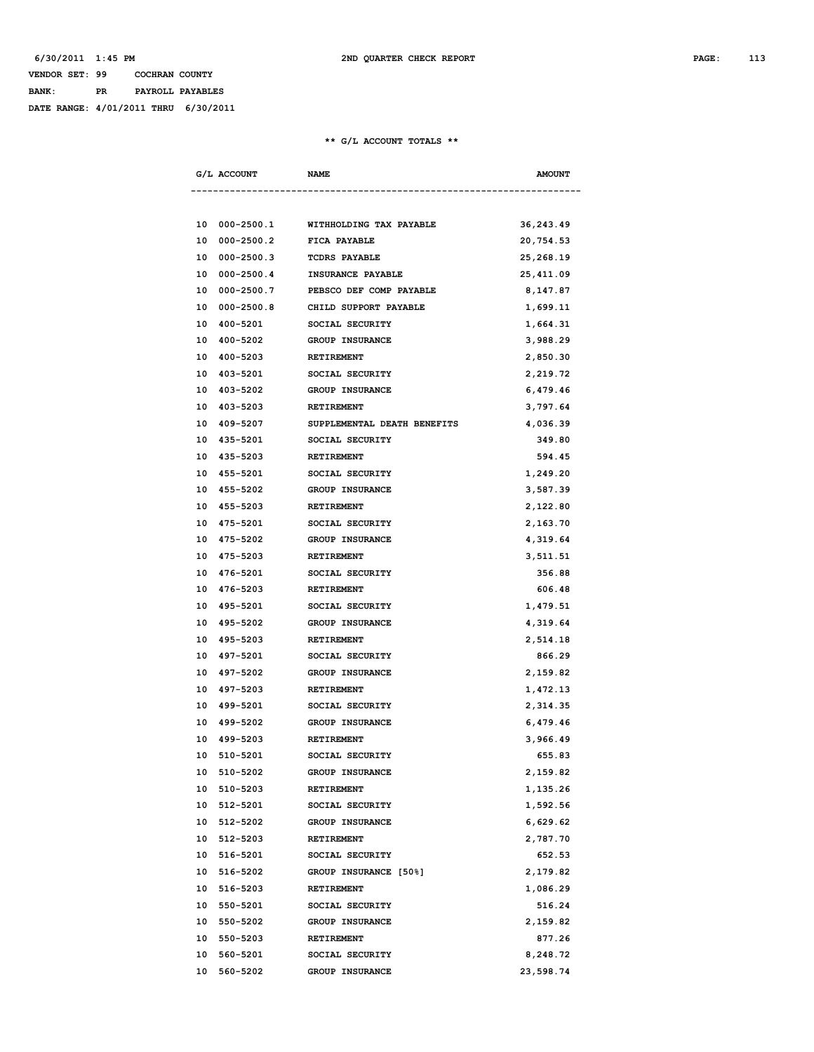## **VENDOR SET: 99 COCHRAN COUNTY BANK: PR PAYROLL PAYABLES DATE RANGE: 4/01/2011 THRU 6/30/2011**

#### **\*\* G/L ACCOUNT TOTALS \*\***

| G/L ACCOUNT          | <b>NAME</b>                 | <b>AMOUNT</b> |
|----------------------|-----------------------------|---------------|
|                      |                             |               |
| 10 000-2500.1        | WITHHOLDING TAX PAYABLE     | 36,243.49     |
| $000 - 2500.2$<br>10 | FICA PAYABLE                | 20,754.53     |
| $000 - 2500.3$<br>10 | <b>TCDRS PAYABLE</b>        | 25,268.19     |
| 10<br>000-2500.4     | INSURANCE PAYABLE           | 25,411.09     |
| $000 - 2500.7$<br>10 | PEBSCO DEF COMP PAYABLE     | 8,147.87      |
| 10 000-2500.8        | CHILD SUPPORT PAYABLE       | 1,699.11      |
| 10<br>400-5201       | SOCIAL SECURITY             | 1,664.31      |
| 400-5202<br>10       | <b>GROUP INSURANCE</b>      | 3,988.29      |
| 400-5203<br>10       | <b>RETIREMENT</b>           | 2,850.30      |
| 10 403-5201          | SOCIAL SECURITY             | 2,219.72      |
| 403-5202<br>10       | <b>GROUP INSURANCE</b>      | 6,479.46      |
| 403-5203<br>10       | <b>RETIREMENT</b>           | 3,797.64      |
| 409-5207<br>10       | SUPPLEMENTAL DEATH BENEFITS | 4,036.39      |
| 435-5201<br>10       | SOCIAL SECURITY             | 349.80        |
| 10 435-5203          | RETIREMENT                  | 594.45        |
| 10 455-5201          | SOCIAL SECURITY             | 1,249.20      |
| 10 455-5202          | <b>GROUP INSURANCE</b>      | 3,587.39      |
| 10 455-5203          | <b>RETIREMENT</b>           | 2,122.80      |
| 475-5201<br>10       | SOCIAL SECURITY             | 2,163.70      |
| 475-5202<br>10       | <b>GROUP INSURANCE</b>      | 4,319.64      |
| 10 475-5203          | RETIREMENT                  | 3,511.51      |
| 10 476-5201          | SOCIAL SECURITY             | 356.88        |
| 10 476-5203          | RETIREMENT                  | 606.48        |
| 10 495-5201          | SOCIAL SECURITY             | 1,479.51      |
| 495-5202<br>10       | GROUP INSURANCE             | 4,319.64      |
| 495-5203<br>10       | <b>RETIREMENT</b>           | 2,514.18      |
| 497-5201<br>10       | SOCIAL SECURITY             | 866.29        |
| 10 497-5202          | GROUP INSURANCE             | 2,159.82      |
| 10 497-5203          | <b>RETIREMENT</b>           | 1,472.13      |
| 10 499-5201          | SOCIAL SECURITY             | 2,314.35      |
| 10 499-5202          | <b>GROUP INSURANCE</b>      | 6,479.46      |
| 499-5203<br>10       | <b>RETIREMENT</b>           | 3,966.49      |
| 10<br>510-5201       | SOCIAL SECURITY             | 655.83        |
| 10 510-5202          | GROUP INSURANCE             | 2,159.82      |
| 10 510-5203          | RETIREMENT                  | 1,135.26      |
| 10<br>512-5201       | SOCIAL SECURITY             | 1,592.56      |
| 512-5202<br>10       | GROUP INSURANCE             | 6,629.62      |
| 512-5203<br>10       | RETIREMENT                  | 2,787.70      |
| 516-5201<br>10       | SOCIAL SECURITY             | 652.53        |
| 10 516-5202          | GROUP INSURANCE [50%]       | 2,179.82      |
| 10 516-5203          | RETIREMENT                  | 1,086.29      |
| 10 550-5201          | SOCIAL SECURITY             | 516.24        |
| 10 550-5202          | GROUP INSURANCE             | 2,159.82      |
| 10 550-5203          | RETIREMENT                  | 877.26        |
| 10<br>560-5201       | SOCIAL SECURITY             | 8,248.72      |
| 10<br>560-5202       | GROUP INSURANCE             | 23,598.74     |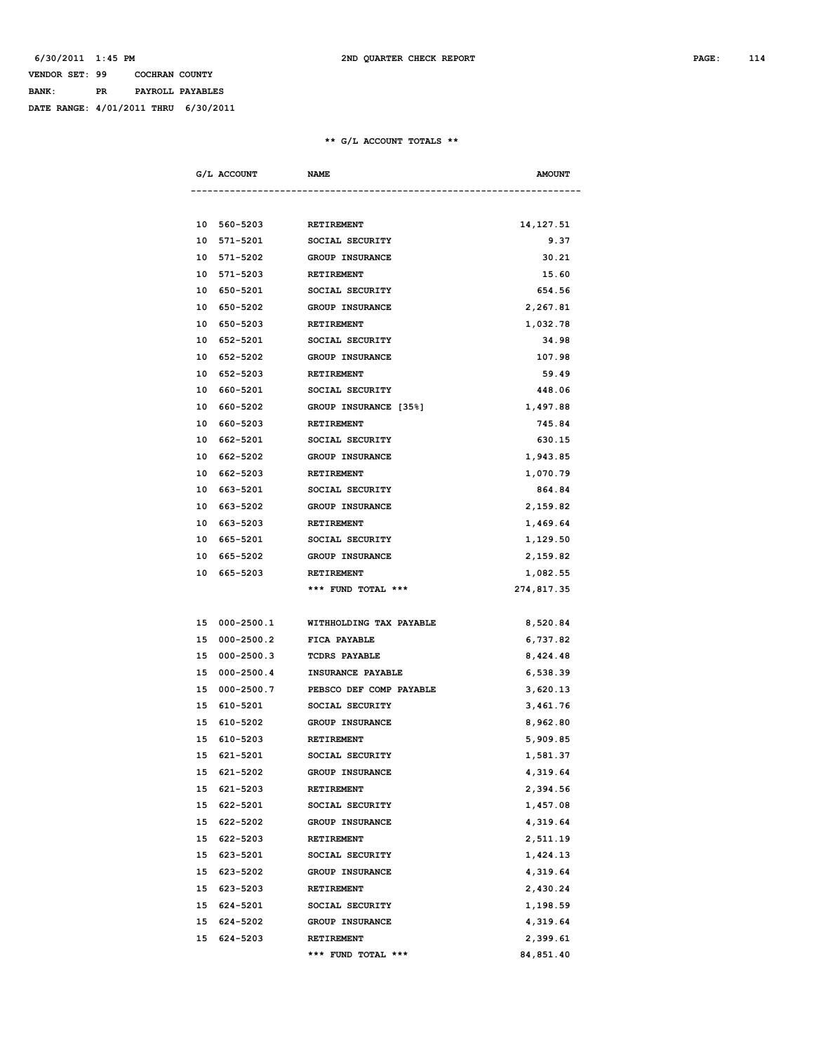## **VENDOR SET: 99 COCHRAN COUNTY BANK: PR PAYROLL PAYABLES DATE RANGE: 4/01/2011 THRU 6/30/2011**

#### **\*\* G/L ACCOUNT TOTALS \*\***

|    | G/L ACCOUNT    | <b>NAME</b>             | <b>AMOUNT</b> |
|----|----------------|-------------------------|---------------|
|    |                |                         |               |
|    | 10 560-5203    | <b>RETIREMENT</b>       | 14, 127.51    |
| 10 | 571-5201       | SOCIAL SECURITY         | 9.37          |
| 10 | 571-5202       | <b>GROUP INSURANCE</b>  | 30.21         |
| 10 | 571-5203       | <b>RETIREMENT</b>       | 15.60         |
| 10 | 650-5201       | SOCIAL SECURITY         | 654.56        |
| 10 | 650-5202       | <b>GROUP INSURANCE</b>  | 2,267.81      |
| 10 | 650-5203       | <b>RETIREMENT</b>       | 1,032.78      |
| 10 | 652-5201       | SOCIAL SECURITY         | 34.98         |
| 10 | 652-5202       | <b>GROUP INSURANCE</b>  | 107.98        |
| 10 | 652-5203       | <b>RETIREMENT</b>       | 59.49         |
| 10 | 660-5201       | SOCIAL SECURITY         | 448.06        |
| 10 | 660-5202       | GROUP INSURANCE [35%]   | 1,497.88      |
| 10 | 660-5203       | <b>RETIREMENT</b>       | 745.84        |
| 10 | 662-5201       | SOCIAL SECURITY         | 630.15        |
| 10 | 662-5202       | <b>GROUP INSURANCE</b>  | 1,943.85      |
| 10 | 662-5203       | <b>RETIREMENT</b>       | 1,070.79      |
| 10 | 663-5201       | SOCIAL SECURITY         | 864.84        |
| 10 | 663-5202       | <b>GROUP INSURANCE</b>  | 2,159.82      |
| 10 | 663-5203       | <b>RETIREMENT</b>       | 1,469.64      |
| 10 | 665-5201       | SOCIAL SECURITY         | 1,129.50      |
| 10 | 665-5202       | <b>GROUP INSURANCE</b>  | 2,159.82      |
| 10 | 665-5203       | <b>RETIREMENT</b>       | 1,082.55      |
|    |                | *** FUND TOTAL ***      | 274,817.35    |
|    |                |                         |               |
|    | 15 000-2500.1  | WITHHOLDING TAX PAYABLE | 8,520.84      |
| 15 | $000 - 2500.2$ | FICA PAYABLE            | 6,737.82      |
| 15 | $000 - 2500.3$ | <b>TCDRS PAYABLE</b>    | 8,424.48      |
| 15 | $000 - 2500.4$ | INSURANCE PAYABLE       | 6,538.39      |
| 15 | $000 - 2500.7$ | PEBSCO DEF COMP PAYABLE | 3,620.13      |
| 15 | 610-5201       | SOCIAL SECURITY         | 3,461.76      |
| 15 | 610-5202       | <b>GROUP INSURANCE</b>  | 8,962.80      |
| 15 | 610-5203       | RETIREMENT              | 5,909.85      |
| 15 | 621-5201       | SOCIAL SECURITY         | 1,581.37      |
|    | 15 621-5202    | GROUP INSURANCE         | 4,319.64      |
|    | 15 621-5203    | <b>RETIREMENT</b>       | 2,394.56      |
|    | 15 622-5201    | SOCIAL SECURITY         | 1,457.08      |
|    | 15 622-5202    | GROUP INSURANCE         | 4,319.64      |
|    | 15 622-5203    | RETIREMENT              | 2,511.19      |
|    | 15 623-5201    | SOCIAL SECURITY         | 1,424.13      |
|    | 15 623-5202    | GROUP INSURANCE         | 4,319.64      |
|    | 15 623-5203    | RETIREMENT              | 2,430.24      |
| 15 | 624-5201       | SOCIAL SECURITY         | 1,198.59      |
|    | 15 624-5202    | GROUP INSURANCE         | 4,319.64      |
|    | 15 624-5203    | RETIREMENT              | 2,399.61      |
|    |                | *** FUND TOTAL ***      | 84,851.40     |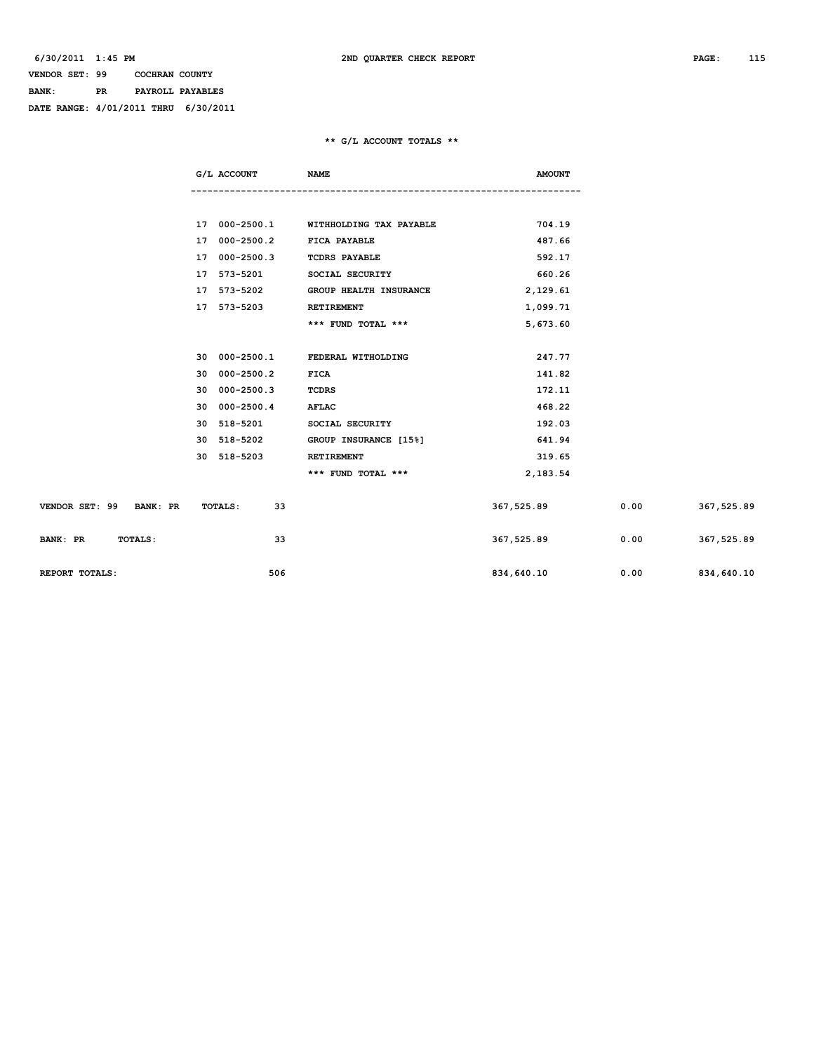## **VENDOR SET: 99 COCHRAN COUNTY BANK: PR PAYROLL PAYABLES DATE RANGE: 4/01/2011 THRU 6/30/2011**

#### **\*\* G/L ACCOUNT TOTALS \*\***

|                            | G/L ACCOUNT   | <b>NAME</b>                   | <b>AMOUNT</b> |      |            |
|----------------------------|---------------|-------------------------------|---------------|------|------------|
|                            |               |                               |               |      |            |
|                            |               |                               |               |      |            |
|                            | 17 000-2500.1 | WITHHOLDING TAX PAYABLE       | 704.19        |      |            |
|                            | 17 000-2500.2 | <b>FICA PAYABLE</b>           | 487.66        |      |            |
|                            | 17 000-2500.3 | <b>TCDRS PAYABLE</b>          | 592.17        |      |            |
|                            | 17 573-5201   | SOCIAL SECURITY               | 660.26        |      |            |
|                            | 17 573-5202   | <b>GROUP HEALTH INSURANCE</b> | 2,129.61      |      |            |
|                            | 17 573-5203   | RETIREMENT                    | 1,099.71      |      |            |
|                            |               | *** FUND TOTAL ***            | 5,673.60      |      |            |
|                            |               |                               |               |      |            |
|                            | 30 000-2500.1 | FEDERAL WITHOLDING            | 247.77        |      |            |
|                            | 30 000-2500.2 | <b>FICA</b>                   | 141.82        |      |            |
|                            | 30 000-2500.3 | <b>TCDRS</b>                  | 172.11        |      |            |
|                            | 30 000-2500.4 | AFLAC                         | 468.22        |      |            |
|                            | 30 518-5201   | SOCIAL SECURITY               | 192.03        |      |            |
|                            | 30 518-5202   | GROUP INSURANCE [15%]         | 641.94        |      |            |
|                            | 30 518-5203   | RETIREMENT                    | 319.65        |      |            |
|                            |               | *** FUND TOTAL ***            | 2,183.54      |      |            |
|                            |               |                               |               |      |            |
| VENDOR SET: 99 BANK: PR    | 33<br>TOTALS: |                               | 367,525.89    | 0.00 | 367,525.89 |
|                            |               |                               |               |      |            |
| <b>BANK: PR</b><br>TOTALS: | 33            |                               | 367,525.89    | 0.00 | 367,525.89 |
|                            |               |                               |               |      |            |
| REPORT TOTALS:             | 506           |                               | 834,640.10    | 0.00 | 834,640.10 |